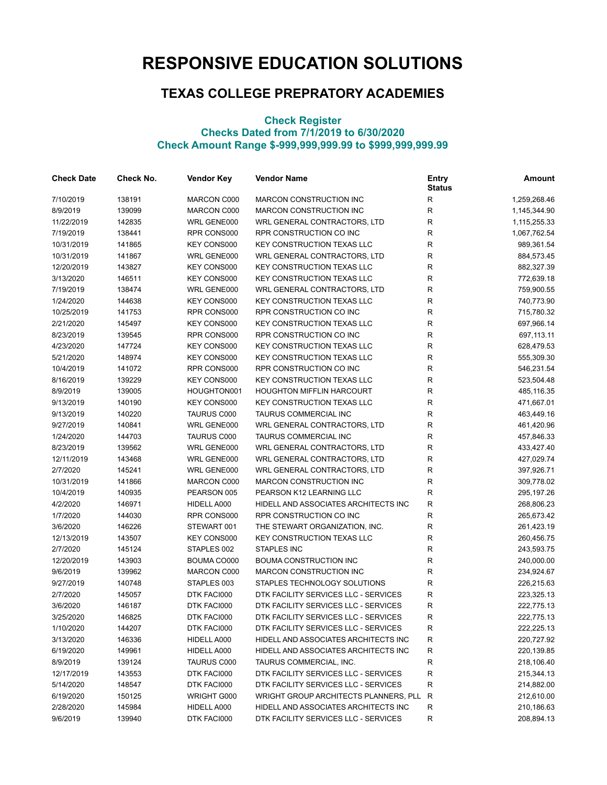## **RESPONSIVE EDUCATION SOLUTIONS**

## **TEXAS COLLEGE PREPRATORY ACADEMIES**

## **Check Register Checks Dated from 7/1/2019 to 6/30/2020 Check Amount Range \$-999,999,999.99 to \$999,999,999.99**

| <b>Check Date</b> | Check No. | <b>Vendor Key</b>  | <b>Vendor Name</b>                    | <b>Entry</b><br><b>Status</b> | Amount       |
|-------------------|-----------|--------------------|---------------------------------------|-------------------------------|--------------|
| 7/10/2019         | 138191    | MARCON C000        | <b>MARCON CONSTRUCTION INC</b>        | R                             | 1,259,268.46 |
| 8/9/2019          | 139099    | MARCON C000        | <b>MARCON CONSTRUCTION INC</b>        | $\mathsf R$                   | 1,145,344.90 |
| 11/22/2019        | 142835    | WRL GENE000        | WRL GENERAL CONTRACTORS, LTD          | R                             | 1,115,255.33 |
| 7/19/2019         | 138441    | RPR CONS000        | RPR CONSTRUCTION CO INC               | $\mathsf R$                   | 1,067,762.54 |
| 10/31/2019        | 141865    | <b>KEY CONS000</b> | <b>KEY CONSTRUCTION TEXAS LLC</b>     | $\mathsf R$                   | 989,361.54   |
| 10/31/2019        | 141867    | WRL GENE000        | WRL GENERAL CONTRACTORS, LTD          | $\mathsf R$                   | 884,573.45   |
| 12/20/2019        | 143827    | KEY CONS000        | <b>KEY CONSTRUCTION TEXAS LLC</b>     | R                             | 882,327.39   |
| 3/13/2020         | 146511    | KEY CONS000        | <b>KEY CONSTRUCTION TEXAS LLC</b>     | R                             | 772,639.18   |
| 7/19/2019         | 138474    | WRL GENE000        | WRL GENERAL CONTRACTORS, LTD          | ${\sf R}$                     | 759,900.55   |
| 1/24/2020         | 144638    | <b>KEY CONS000</b> | <b>KEY CONSTRUCTION TEXAS LLC</b>     | $\mathsf R$                   | 740,773.90   |
| 10/25/2019        | 141753    | RPR CONS000        | RPR CONSTRUCTION CO INC               | $\mathsf R$                   | 715,780.32   |
| 2/21/2020         | 145497    | <b>KEY CONS000</b> | <b>KEY CONSTRUCTION TEXAS LLC</b>     | ${\sf R}$                     | 697,966.14   |
| 8/23/2019         | 139545    | RPR CONS000        | RPR CONSTRUCTION CO INC               | R                             | 697,113.11   |
| 4/23/2020         | 147724    | <b>KEY CONS000</b> | <b>KEY CONSTRUCTION TEXAS LLC</b>     | $\mathsf R$                   | 628,479.53   |
| 5/21/2020         | 148974    | <b>KEY CONS000</b> | <b>KEY CONSTRUCTION TEXAS LLC</b>     | R                             | 555,309.30   |
| 10/4/2019         | 141072    | RPR CONS000        | RPR CONSTRUCTION CO INC               | ${\sf R}$                     | 546,231.54   |
| 8/16/2019         | 139229    | KEY CONS000        | <b>KEY CONSTRUCTION TEXAS LLC</b>     | ${\sf R}$                     | 523,504.48   |
| 8/9/2019          | 139005    | HOUGHTON001        | <b>HOUGHTON MIFFLIN HARCOURT</b>      | R                             | 485,116.35   |
| 9/13/2019         | 140190    | <b>KEY CONS000</b> | <b>KEY CONSTRUCTION TEXAS LLC</b>     | R                             | 471,667.01   |
| 9/13/2019         | 140220    | TAURUS C000        | TAURUS COMMERCIAL INC                 | $\mathsf R$                   | 463,449.16   |
| 9/27/2019         | 140841    | WRL GENE000        | WRL GENERAL CONTRACTORS, LTD          | ${\sf R}$                     | 461,420.96   |
| 1/24/2020         | 144703    | <b>TAURUS C000</b> | TAURUS COMMERCIAL INC                 | $\mathsf R$                   | 457,846.33   |
| 8/23/2019         | 139562    | WRL GENE000        | WRL GENERAL CONTRACTORS, LTD          | R                             | 433,427.40   |
| 12/11/2019        | 143468    | WRL GENE000        | WRL GENERAL CONTRACTORS, LTD          | R                             | 427,029.74   |
| 2/7/2020          | 145241    | WRL GENE000        | WRL GENERAL CONTRACTORS, LTD          | $\mathsf R$                   | 397,926.71   |
| 10/31/2019        | 141866    | MARCON C000        | MARCON CONSTRUCTION INC               | $\mathsf R$                   | 309,778.02   |
| 10/4/2019         | 140935    | PEARSON 005        | PEARSON K12 LEARNING LLC              | R                             | 295,197.26   |
| 4/2/2020          | 146971    | HIDELL A000        | HIDELL AND ASSOCIATES ARCHITECTS INC  | R                             | 268,806.23   |
| 1/7/2020          | 144030    | RPR CONS000        | RPR CONSTRUCTION CO INC               | $\mathsf R$                   | 265,673.42   |
| 3/6/2020          | 146226    | STEWART 001        | THE STEWART ORGANIZATION, INC.        | $\mathsf R$                   | 261,423.19   |
| 12/13/2019        | 143507    | <b>KEY CONS000</b> | <b>KEY CONSTRUCTION TEXAS LLC</b>     | $\mathsf R$                   | 260,456.75   |
| 2/7/2020          | 145124    | STAPLES 002        | <b>STAPLES INC</b>                    | R                             | 243,593.75   |
| 12/20/2019        | 143903    | BOUMA CO000        | <b>BOUMA CONSTRUCTION INC</b>         | R                             | 240,000.00   |
| 9/6/2019          | 139962    | MARCON C000        | <b>MARCON CONSTRUCTION INC</b>        | R                             | 234,924.67   |
| 9/27/2019         | 140748    | STAPLES 003        | STAPLES TECHNOLOGY SOLUTIONS          | ${\sf R}$                     | 226,215.63   |
| 2/7/2020          | 145057    | DTK FACI000        | DTK FACILITY SERVICES LLC - SERVICES  | ${\sf R}$                     | 223,325.13   |
| 3/6/2020          | 146187    | DTK FACI000        | DTK FACILITY SERVICES LLC - SERVICES  | R                             | 222,775.13   |
| 3/25/2020         | 146825    | DTK FACI000        | DTK FACILITY SERVICES LLC - SERVICES  | R                             | 222,775.13   |
| 1/10/2020         | 144207    | DTK FACI000        | DTK FACILITY SERVICES LLC - SERVICES  | R                             | 222,225.13   |
| 3/13/2020         | 146336    | HIDELL A000        | HIDELL AND ASSOCIATES ARCHITECTS INC  | R                             | 220,727.92   |
| 6/19/2020         | 149961    | HIDELL A000        | HIDELL AND ASSOCIATES ARCHITECTS INC  | ${\sf R}$                     | 220,139.85   |
| 8/9/2019          | 139124    | <b>TAURUS C000</b> | TAURUS COMMERCIAL, INC.               | R                             | 218,106.40   |
| 12/17/2019        | 143553    | DTK FACI000        | DTK FACILITY SERVICES LLC - SERVICES  | R                             | 215,344.13   |
| 5/14/2020         | 148547    | DTK FACI000        | DTK FACILITY SERVICES LLC - SERVICES  | R                             | 214,882.00   |
| 6/19/2020         | 150125    | WRIGHT G000        | WRIGHT GROUP ARCHITECTS PLANNERS, PLL | R                             | 212,610.00   |
| 2/28/2020         | 145984    | HIDELL A000        | HIDELL AND ASSOCIATES ARCHITECTS INC  | R                             | 210,186.63   |
| 9/6/2019          | 139940    | DTK FACI000        | DTK FACILITY SERVICES LLC - SERVICES  | R                             | 208,894.13   |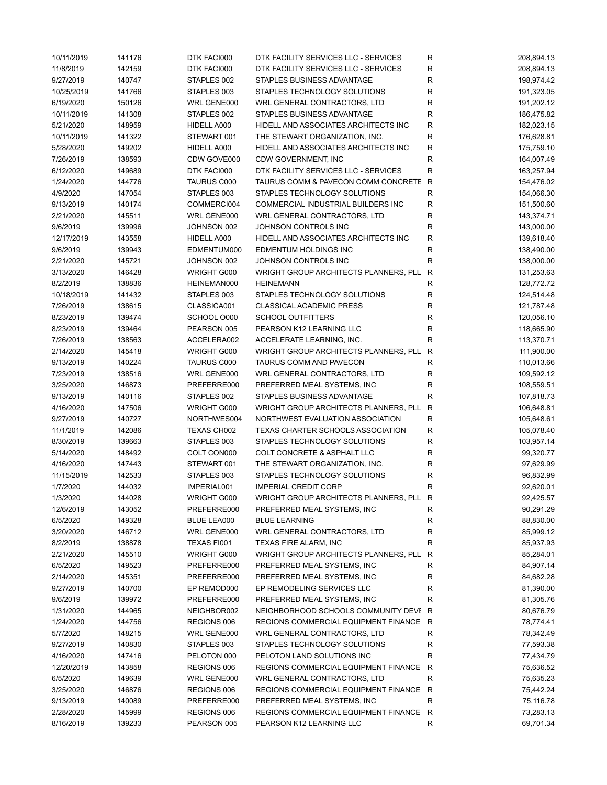| 10/11/2019            | 141176 | DTK FACI000                | DTK FACILITY SERVICES LLC - SERVICES    | R            | 208,894.13 |
|-----------------------|--------|----------------------------|-----------------------------------------|--------------|------------|
| 11/8/2019             | 142159 | DTK FACI000                | DTK FACILITY SERVICES LLC - SERVICES    | R            | 208,894.13 |
| 9/27/2019             | 140747 | STAPLES 002                | STAPLES BUSINESS ADVANTAGE              | R            | 198,974.42 |
| 10/25/2019            | 141766 | STAPLES 003                | STAPLES TECHNOLOGY SOLUTIONS            | R            | 191,323.05 |
| 6/19/2020             | 150126 | WRL GENE000                | WRL GENERAL CONTRACTORS, LTD            | ${\sf R}$    | 191,202.12 |
| 10/11/2019            | 141308 | STAPLES 002                | STAPLES BUSINESS ADVANTAGE              | ${\sf R}$    | 186,475.82 |
| 5/21/2020             | 148959 | HIDELL A000                | HIDELL AND ASSOCIATES ARCHITECTS INC    | $\mathsf R$  | 182,023.15 |
| 10/11/2019            | 141322 | STEWART 001                | THE STEWART ORGANIZATION, INC.          | $\mathsf R$  | 176,628.81 |
| 5/28/2020             | 149202 | HIDELL A000                | HIDELL AND ASSOCIATES ARCHITECTS INC    | R            | 175,759.10 |
| 7/26/2019             | 138593 | CDW GOVE000                | CDW GOVERNMENT, INC                     | ${\sf R}$    | 164,007.49 |
| 6/12/2020             | 149689 | DTK FACI000                | DTK FACILITY SERVICES LLC - SERVICES    | $\mathsf R$  | 163,257.94 |
| 1/24/2020             | 144776 | <b>TAURUS C000</b>         | TAURUS COMM & PAVECON COMM CONCRETE     | $\mathsf{R}$ | 154,476.02 |
| 4/9/2020              | 147054 | STAPLES 003                | STAPLES TECHNOLOGY SOLUTIONS            | ${\sf R}$    | 154,066.30 |
| 9/13/2019             | 140174 | COMMERCI004                | COMMERCIAL INDUSTRIAL BUILDERS INC      | R            | 151,500.60 |
| 2/21/2020             | 145511 | WRL GENE000                | WRL GENERAL CONTRACTORS, LTD            | ${\sf R}$    | 143,374.71 |
| 9/6/2019              | 139996 | JOHNSON 002                | JOHNSON CONTROLS INC                    | ${\sf R}$    | 143,000.00 |
| 12/17/2019            | 143558 | HIDELL A000                | HIDELL AND ASSOCIATES ARCHITECTS INC    | ${\sf R}$    | 139,618.40 |
| 9/6/2019              | 139943 | EDMENTUM000                | EDMENTUM HOLDINGS INC                   | ${\sf R}$    | 138,490.00 |
| 2/21/2020             | 145721 | JOHNSON 002                | JOHNSON CONTROLS INC                    | $\mathsf R$  | 138,000.00 |
| 3/13/2020             | 146428 | WRIGHT G000                | WRIGHT GROUP ARCHITECTS PLANNERS, PLL   | R            | 131,253.63 |
| 8/2/2019              | 138836 | HEINEMAN000                | <b>HEINEMANN</b>                        | ${\sf R}$    | 128,772.72 |
| 10/18/2019            | 141432 | STAPLES 003                | STAPLES TECHNOLOGY SOLUTIONS            | ${\sf R}$    | 124,514.48 |
| 7/26/2019             | 138615 | CLASSICA001                | <b>CLASSICAL ACADEMIC PRESS</b>         | R            | 121,787.48 |
| 8/23/2019             | 139474 | SCHOOL O000                | <b>SCHOOL OUTFITTERS</b>                | R            | 120,056.10 |
| 8/23/2019             | 139464 | PEARSON 005                | PEARSON K12 LEARNING LLC                | ${\sf R}$    | 118,665.90 |
| 7/26/2019             | 138563 | ACCELERA002                | ACCELERATE LEARNING, INC.               | ${\sf R}$    | 113,370.71 |
| 2/14/2020             | 145418 | WRIGHT G000                | WRIGHT GROUP ARCHITECTS PLANNERS, PLL   | ${\sf R}$    | 111,900.00 |
| 9/13/2019             | 140224 | TAURUS C000                | TAURUS COMM AND PAVECON                 | R            | 110,013.66 |
| 7/23/2019             | 138516 | WRL GENE000                | WRL GENERAL CONTRACTORS, LTD            | R            | 109,592.12 |
| 3/25/2020             | 146873 | PREFERRE000                | PREFERRED MEAL SYSTEMS, INC             | ${\sf R}$    | 108,559.51 |
| 9/13/2019             | 140116 | STAPLES 002                | STAPLES BUSINESS ADVANTAGE              | $\mathsf R$  | 107,818.73 |
| 4/16/2020             | 147506 | WRIGHT G000                | WRIGHT GROUP ARCHITECTS PLANNERS, PLL   | R            | 106,648.81 |
| 9/27/2019             | 140727 | NORTHWES004                | NORTHWEST EVALUATION ASSOCIATION        | R            | 105,648.61 |
| 11/1/2019             | 142086 | TEXAS CH002                | TEXAS CHARTER SCHOOLS ASSOCIATION       | R            | 105,078.40 |
| 8/30/2019             | 139663 | STAPLES 003                | STAPLES TECHNOLOGY SOLUTIONS            | R            | 103,957.14 |
| 5/14/2020             | 148492 | COLT CON000                | COLT CONCRETE & ASPHALT LLC             | $\mathsf R$  | 99,320.77  |
| 4/16/2020             | 147443 | STEWART 001                | THE STEWART ORGANIZATION, INC.          | ${\sf R}$    | 97,629.99  |
| 11/15/2019            | 142533 | STAPLES 003                | STAPLES TECHNOLOGY SOLUTIONS            | R            | 96,832.99  |
| 1/7/2020              | 144032 | IMPERIAL001                | <b>IMPERIAL CREDIT CORP</b>             | $\mathsf R$  | 92,620.01  |
| 1/3/2020              | 144028 | WRIGHT G000                | WRIGHT GROUP ARCHITECTS PLANNERS, PLL R |              | 92,425.57  |
|                       |        | PREFERRE000                |                                         |              |            |
| 12/6/2019<br>6/5/2020 | 143052 |                            | PREFERRED MEAL SYSTEMS, INC             | R            | 90,291.29  |
|                       | 149328 | BLUE LEA000<br>WRL GENE000 | <b>BLUE LEARNING</b>                    | ${\sf R}$    | 88,830.00  |
| 3/20/2020             | 146712 |                            | WRL GENERAL CONTRACTORS, LTD            | R            | 85,999.12  |
| 8/2/2019              | 138878 | TEXAS FI001                | TEXAS FIRE ALARM, INC                   | R            | 85,937.93  |
| 2/21/2020             | 145510 | WRIGHT G000                | WRIGHT GROUP ARCHITECTS PLANNERS, PLL   | R            | 85,284.01  |
| 6/5/2020              | 149523 | PREFERRE000                | PREFERRED MEAL SYSTEMS, INC             | $\mathsf R$  | 84,907.14  |
| 2/14/2020             | 145351 | PREFERRE000                | PREFERRED MEAL SYSTEMS, INC             | R            | 84,682.28  |
| 9/27/2019             | 140700 | EP REMOD000                | EP REMODELING SERVICES LLC              | R            | 81,390.00  |
| 9/6/2019              | 139972 | PREFERRE000                | PREFERRED MEAL SYSTEMS, INC             | $\mathsf R$  | 81,305.76  |
| 1/31/2020             | 144965 | NEIGHBOR002                | NEIGHBORHOOD SCHOOLS COMMUNITY DEVI R   |              | 80,676.79  |
| 1/24/2020             | 144756 | REGIONS 006                | REGIONS COMMERCIAL EQUIPMENT FINANCE R  |              | 78,774.41  |
| 5/7/2020              | 148215 | WRL GENE000                | WRL GENERAL CONTRACTORS, LTD            | R            | 78,342.49  |
| 9/27/2019             | 140830 | STAPLES 003                | STAPLES TECHNOLOGY SOLUTIONS            | R            | 77,593.38  |
| 4/16/2020             | 147416 | PELOTON 000                | PELOTON LAND SOLUTIONS INC              | $\mathsf R$  | 77,434.79  |
| 12/20/2019            | 143858 | REGIONS 006                | REGIONS COMMERCIAL EQUIPMENT FINANCE    | R            | 75,636.52  |
| 6/5/2020              | 149639 | WRL GENE000                | WRL GENERAL CONTRACTORS, LTD            | R            | 75,635.23  |
| 3/25/2020             | 146876 | REGIONS 006                | REGIONS COMMERCIAL EQUIPMENT FINANCE    | R            | 75,442.24  |
| 9/13/2019             | 140089 | PREFERRE000                | PREFERRED MEAL SYSTEMS, INC             | $\mathsf R$  | 75,116.78  |
| 2/28/2020             | 145999 | REGIONS 006                | REGIONS COMMERCIAL EQUIPMENT FINANCE R  |              | 73,283.13  |
| 8/16/2019             | 139233 | PEARSON 005                | PEARSON K12 LEARNING LLC                | R            | 69,701.34  |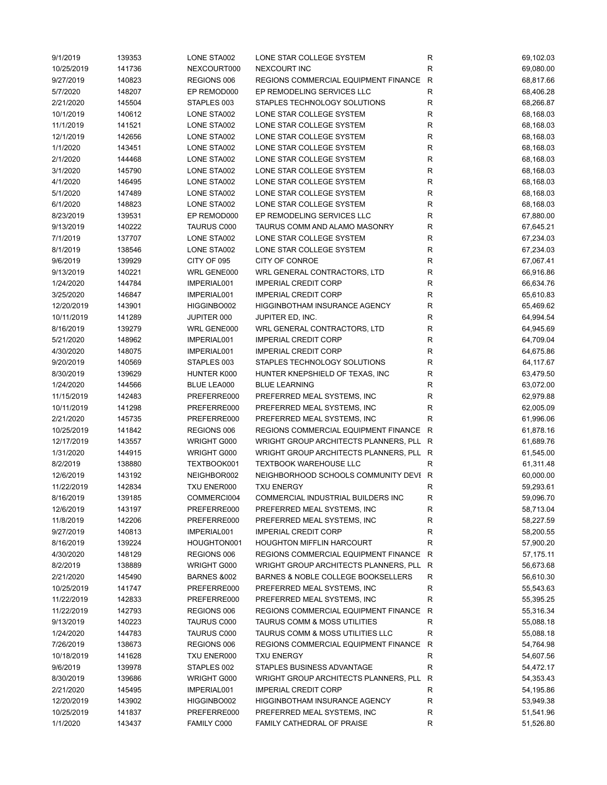| 9/1/2019   | 139353 | LONE STA002        | LONE STAR COLLEGE SYSTEM                | R           | 69,102.03   |
|------------|--------|--------------------|-----------------------------------------|-------------|-------------|
| 10/25/2019 | 141736 | NEXCOURT000        | NEXCOURT INC                            | $\mathsf R$ | 69,080.00   |
| 9/27/2019  | 140823 | REGIONS 006        | REGIONS COMMERCIAL EQUIPMENT FINANCE    | ${\sf R}$   | 68,817.66   |
| 5/7/2020   | 148207 | EP REMOD000        | EP REMODELING SERVICES LLC              | ${\sf R}$   | 68,406.28   |
| 2/21/2020  | 145504 | STAPLES 003        | STAPLES TECHNOLOGY SOLUTIONS            | $\mathsf R$ | 68,266.87   |
| 10/1/2019  | 140612 | LONE STA002        | LONE STAR COLLEGE SYSTEM                | ${\sf R}$   | 68,168.03   |
| 11/1/2019  | 141521 | LONE STA002        | LONE STAR COLLEGE SYSTEM                | ${\sf R}$   | 68,168.03   |
| 12/1/2019  | 142656 | LONE STA002        | LONE STAR COLLEGE SYSTEM                | ${\sf R}$   | 68,168.03   |
| 1/1/2020   | 143451 | LONE STA002        | LONE STAR COLLEGE SYSTEM                | $\mathsf R$ | 68,168.03   |
| 2/1/2020   | 144468 | LONE STA002        | LONE STAR COLLEGE SYSTEM                | $\mathsf R$ | 68,168.03   |
| 3/1/2020   | 145790 | LONE STA002        | LONE STAR COLLEGE SYSTEM                | $\mathsf R$ | 68,168.03   |
| 4/1/2020   | 146495 | LONE STA002        | LONE STAR COLLEGE SYSTEM                | $\mathsf R$ | 68,168.03   |
| 5/1/2020   | 147489 | LONE STA002        | LONE STAR COLLEGE SYSTEM                | R           | 68,168.03   |
| 6/1/2020   | 148823 | LONE STA002        | LONE STAR COLLEGE SYSTEM                | R           | 68,168.03   |
|            |        |                    | EP REMODELING SERVICES LLC              |             |             |
| 8/23/2019  | 139531 | EP REMOD000        |                                         | R           | 67,880.00   |
| 9/13/2019  | 140222 | <b>TAURUS C000</b> | TAURUS COMM AND ALAMO MASONRY           | $\mathsf R$ | 67,645.21   |
| 7/1/2019   | 137707 | LONE STA002        | LONE STAR COLLEGE SYSTEM                | $\mathsf R$ | 67,234.03   |
| 8/1/2019   | 138546 | LONE STA002        | LONE STAR COLLEGE SYSTEM                | $\mathsf R$ | 67,234.03   |
| 9/6/2019   | 139929 | CITY OF 095        | CITY OF CONROE                          | R           | 67,067.41   |
| 9/13/2019  | 140221 | WRL GENE000        | WRL GENERAL CONTRACTORS, LTD            | $\mathsf R$ | 66,916.86   |
| 1/24/2020  | 144784 | IMPERIAL001        | <b>IMPERIAL CREDIT CORP</b>             | $\mathsf R$ | 66,634.76   |
| 3/25/2020  | 146847 | IMPERIAL001        | <b>IMPERIAL CREDIT CORP</b>             | R           | 65,610.83   |
| 12/20/2019 | 143901 | HIGGINBO002        | HIGGINBOTHAM INSURANCE AGENCY           | R           | 65,469.62   |
| 10/11/2019 | 141289 | JUPITER 000        | JUPITER ED, INC.                        | $\mathsf R$ | 64,994.54   |
| 8/16/2019  | 139279 | WRL GENE000        | WRL GENERAL CONTRACTORS, LTD            | R           | 64,945.69   |
| 5/21/2020  | 148962 | IMPERIAL001        | <b>IMPERIAL CREDIT CORP</b>             | ${\sf R}$   | 64,709.04   |
| 4/30/2020  | 148075 | IMPERIAL001        | <b>IMPERIAL CREDIT CORP</b>             | ${\sf R}$   | 64,675.86   |
| 9/20/2019  | 140569 | STAPLES 003        | STAPLES TECHNOLOGY SOLUTIONS            | ${\sf R}$   | 64,117.67   |
| 8/30/2019  | 139629 | HUNTER K000        | HUNTER KNEPSHIELD OF TEXAS, INC         | $\mathsf R$ | 63,479.50   |
| 1/24/2020  | 144566 | <b>BLUE LEA000</b> | <b>BLUE LEARNING</b>                    | R           | 63,072.00   |
| 11/15/2019 | 142483 | PREFERRE000        | PREFERRED MEAL SYSTEMS, INC             | R           | 62,979.88   |
| 10/11/2019 | 141298 | PREFERRE000        | PREFERRED MEAL SYSTEMS, INC             | R           | 62,005.09   |
| 2/21/2020  | 145735 | PREFERRE000        | PREFERRED MEAL SYSTEMS, INC             | $\mathsf R$ | 61,996.06   |
| 10/25/2019 | 141842 | REGIONS 006        | REGIONS COMMERCIAL EQUIPMENT FINANCE R  |             | 61,878.16   |
| 12/17/2019 | 143557 | WRIGHT G000        | WRIGHT GROUP ARCHITECTS PLANNERS, PLL R |             | 61,689.76   |
| 1/31/2020  | 144915 | WRIGHT G000        | WRIGHT GROUP ARCHITECTS PLANNERS, PLL R |             | 61,545.00   |
| 8/2/2019   | 138880 | TEXTBOOK001        | <b>TEXTBOOK WAREHOUSE LLC</b>           | R           | 61,311.48   |
| 12/6/2019  | 143192 | NEIGHBOR002        | NEIGHBORHOOD SCHOOLS COMMUNITY DEVI R   |             | 60,000.00   |
| 11/22/2019 | 142834 | TXU ENER000        | <b>TXU ENERGY</b>                       | R           | 59,293.61   |
| 8/16/2019  | 139185 | COMMERCI004        | COMMERCIAL INDUSTRIAL BUILDERS INC      | R           | 59,096.70   |
| 12/6/2019  | 143197 | PREFERRE000        | PREFERRED MEAL SYSTEMS, INC             | R           | 58,713.04   |
|            |        | PREFERRE000        |                                         |             |             |
| 11/8/2019  | 142206 |                    | PREFERRED MEAL SYSTEMS, INC             | R           | 58,227.59   |
| 9/27/2019  | 140813 | IMPERIAL001        | <b>IMPERIAL CREDIT CORP</b>             | R           | 58,200.55   |
| 8/16/2019  | 139224 | HOUGHTON001        | <b>HOUGHTON MIFFLIN HARCOURT</b>        | R           | 57,900.20   |
| 4/30/2020  | 148129 | REGIONS 006        | REGIONS COMMERCIAL EQUIPMENT FINANCE    | R           | 57, 175. 11 |
| 8/2/2019   | 138889 | WRIGHT G000        | WRIGHT GROUP ARCHITECTS PLANNERS, PLL   | R           | 56,673.68   |
| 2/21/2020  | 145490 | BARNES &002        | BARNES & NOBLE COLLEGE BOOKSELLERS      | R           | 56,610.30   |
| 10/25/2019 | 141747 | PREFERRE000        | PREFERRED MEAL SYSTEMS, INC             | ${\sf R}$   | 55,543.63   |
| 11/22/2019 | 142833 | PREFERRE000        | PREFERRED MEAL SYSTEMS, INC             | R           | 55,395.25   |
| 11/22/2019 | 142793 | REGIONS 006        | REGIONS COMMERCIAL EQUIPMENT FINANCE    | R           | 55,316.34   |
| 9/13/2019  | 140223 | <b>TAURUS C000</b> | <b>TAURUS COMM &amp; MOSS UTILITIES</b> | ${\sf R}$   | 55,088.18   |
| 1/24/2020  | 144783 | TAURUS C000        | TAURUS COMM & MOSS UTILITIES LLC        | $\mathsf R$ | 55,088.18   |
| 7/26/2019  | 138673 | REGIONS 006        | REGIONS COMMERCIAL EQUIPMENT FINANCE    | $\mathsf R$ | 54,764.98   |
| 10/18/2019 | 141628 | TXU ENER000        | <b>TXU ENERGY</b>                       | R           | 54,607.56   |
| 9/6/2019   | 139978 | STAPLES 002        | STAPLES BUSINESS ADVANTAGE              | $\mathsf R$ | 54,472.17   |
| 8/30/2019  | 139686 | WRIGHT G000        | WRIGHT GROUP ARCHITECTS PLANNERS, PLL   | R           | 54,353.43   |
| 2/21/2020  | 145495 | IMPERIAL001        | <b>IMPERIAL CREDIT CORP</b>             | R           | 54,195.86   |
| 12/20/2019 | 143902 | HIGGINBO002        | HIGGINBOTHAM INSURANCE AGENCY           | ${\sf R}$   | 53,949.38   |
| 10/25/2019 | 141837 | PREFERRE000        | PREFERRED MEAL SYSTEMS, INC             | R           | 51,541.96   |
| 1/1/2020   | 143437 | FAMILY C000        | FAMILY CATHEDRAL OF PRAISE              | R           | 51,526.80   |
|            |        |                    |                                         |             |             |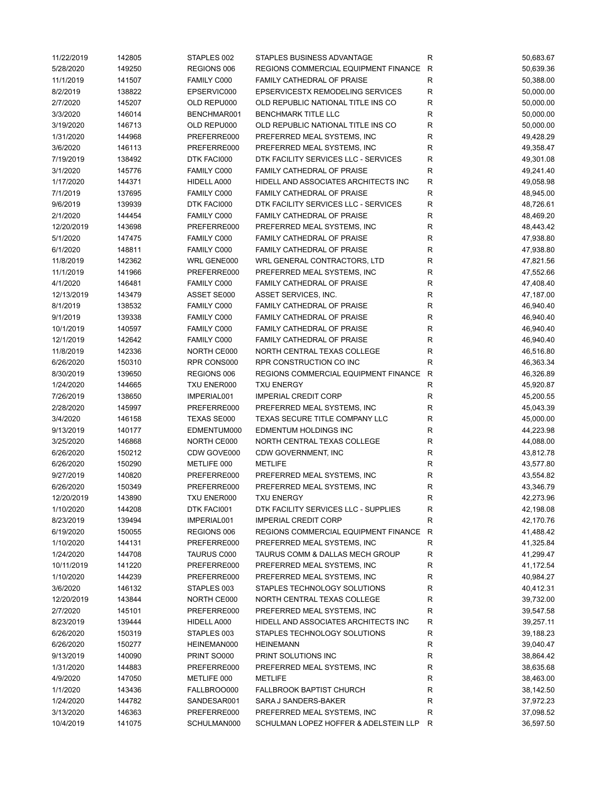| 11/22/2019 | 142805 | STAPLES 002 | STAPLES BUSINESS ADVANTAGE            | R            | 50,683.67              |
|------------|--------|-------------|---------------------------------------|--------------|------------------------|
| 5/28/2020  | 149250 | REGIONS 006 | REGIONS COMMERCIAL EQUIPMENT FINANCE  | R            | 50,639.36              |
| 11/1/2019  | 141507 | FAMILY C000 | FAMILY CATHEDRAL OF PRAISE            | ${\sf R}$    | 50,388.00              |
| 8/2/2019   | 138822 | EPSERVIC000 | EPSERVICESTX REMODELING SERVICES      | $\mathsf R$  | 50,000.00              |
| 2/7/2020   | 145207 | OLD REPU000 | OLD REPUBLIC NATIONAL TITLE INS CO    | R            | 50,000.00              |
| 3/3/2020   | 146014 | BENCHMAR001 | <b>BENCHMARK TITLE LLC</b>            | ${\sf R}$    | 50,000.00              |
| 3/19/2020  | 146713 | OLD REPU000 | OLD REPUBLIC NATIONAL TITLE INS CO    | ${\sf R}$    | 50,000.00              |
| 1/31/2020  | 144968 | PREFERRE000 | PREFERRED MEAL SYSTEMS, INC           | $\mathsf R$  | 49,428.29              |
| 3/6/2020   | 146113 | PREFERRE000 | PREFERRED MEAL SYSTEMS, INC           | $\mathsf R$  | 49,358.47              |
| 7/19/2019  | 138492 | DTK FACI000 | DTK FACILITY SERVICES LLC - SERVICES  | R            | 49,301.08              |
| 3/1/2020   | 145776 | FAMILY C000 | FAMILY CATHEDRAL OF PRAISE            | $\mathsf R$  | 49,241.40              |
| 1/17/2020  | 144371 | HIDELL A000 | HIDELL AND ASSOCIATES ARCHITECTS INC  | ${\sf R}$    | 49,058.98              |
| 7/1/2019   | 137695 | FAMILY C000 | FAMILY CATHEDRAL OF PRAISE            | $\mathsf R$  | 48,945.00              |
| 9/6/2019   | 139939 | DTK FACI000 | DTK FACILITY SERVICES LLC - SERVICES  | R            | 48,726.61              |
| 2/1/2020   | 144454 | FAMILY C000 | FAMILY CATHEDRAL OF PRAISE            | R            | 48,469.20              |
| 12/20/2019 | 143698 | PREFERRE000 | PREFERRED MEAL SYSTEMS, INC           | $\mathsf R$  | 48,443.42              |
| 5/1/2020   | 147475 | FAMILY C000 | FAMILY CATHEDRAL OF PRAISE            | $\mathsf R$  | 47,938.80              |
| 6/1/2020   | 148811 | FAMILY C000 | FAMILY CATHEDRAL OF PRAISE            | $\mathsf R$  | 47,938.80              |
| 11/8/2019  | 142362 | WRL GENE000 | WRL GENERAL CONTRACTORS, LTD          | $\mathsf R$  | 47,821.56              |
| 11/1/2019  | 141966 | PREFERRE000 | PREFERRED MEAL SYSTEMS, INC           | ${\sf R}$    | 47,552.66              |
| 4/1/2020   | 146481 | FAMILY C000 | FAMILY CATHEDRAL OF PRAISE            | $\mathsf R$  | 47,408.40              |
| 12/13/2019 | 143479 | ASSET SE000 | ASSET SERVICES, INC.                  | R            | 47,187.00              |
| 8/1/2019   | 138532 | FAMILY C000 | FAMILY CATHEDRAL OF PRAISE            | $\mathsf R$  | 46,940.40              |
| 9/1/2019   | 139338 | FAMILY C000 | FAMILY CATHEDRAL OF PRAISE            | R            | 46,940.40              |
| 10/1/2019  | 140597 | FAMILY C000 | FAMILY CATHEDRAL OF PRAISE            | $\mathsf R$  | 46,940.40              |
| 12/1/2019  | 142642 | FAMILY C000 | FAMILY CATHEDRAL OF PRAISE            | $\mathsf R$  | 46,940.40              |
| 11/8/2019  | 142336 | NORTH CE000 | NORTH CENTRAL TEXAS COLLEGE           | $\mathsf R$  | 46,516.80              |
| 6/26/2020  | 150310 | RPR CONS000 | RPR CONSTRUCTION CO INC               | $\mathsf R$  | 46,363.34              |
| 8/30/2019  | 139650 | REGIONS 006 | REGIONS COMMERCIAL EQUIPMENT FINANCE  | R            | 46,326.89              |
| 1/24/2020  | 144665 | TXU ENER000 | <b>TXU ENERGY</b>                     | ${\sf R}$    | 45,920.87              |
| 7/26/2019  | 138650 | IMPERIAL001 | <b>IMPERIAL CREDIT CORP</b>           | $\mathsf R$  | 45,200.55              |
| 2/28/2020  | 145997 | PREFERRE000 | PREFERRED MEAL SYSTEMS, INC           | R            | 45,043.39              |
| 3/4/2020   | 146158 | TEXAS SE000 | TEXAS SECURE TITLE COMPANY LLC        | $\mathsf R$  | 45,000.00              |
| 9/13/2019  | 140177 | EDMENTUM000 | EDMENTUM HOLDINGS INC                 | R            | 44,223.98              |
| 3/25/2020  | 146868 | NORTH CE000 | NORTH CENTRAL TEXAS COLLEGE           | $\mathsf R$  | 44,088.00              |
| 6/26/2020  | 150212 | CDW GOVE000 | CDW GOVERNMENT, INC                   | R            | 43,812.78              |
| 6/26/2020  | 150290 | METLIFE 000 | <b>METLIFE</b>                        | ${\sf R}$    | 43,577.80              |
| 9/27/2019  | 140820 | PREFERRE000 | PREFERRED MEAL SYSTEMS, INC           | ${\sf R}$    | 43,554.82              |
| 6/26/2020  | 150349 | PREFERRE000 | PREFERRED MEAL SYSTEMS, INC           | R            | 43,346.79              |
| 12/20/2019 | 143890 | TXU ENER000 | <b>TXU ENERGY</b>                     | R            | 42,273.96              |
| 1/10/2020  | 144208 | DTK FACI001 | DTK FACILITY SERVICES LLC - SUPPLIES  | R            | 42,198.08              |
| 8/23/2019  | 139494 | IMPERIAL001 | <b>IMPERIAL CREDIT CORP</b>           | $\mathsf R$  | 42,170.76              |
| 6/19/2020  | 150055 | REGIONS 006 | REGIONS COMMERCIAL EQUIPMENT FINANCE  | $\mathsf{R}$ | 41,488.42              |
| 1/10/2020  | 144131 | PREFERRE000 | PREFERRED MEAL SYSTEMS, INC           | R            | 41,325.84              |
| 1/24/2020  | 144708 | TAURUS C000 | TAURUS COMM & DALLAS MECH GROUP       | R            | 41,299.47              |
| 10/11/2019 | 141220 | PREFERRE000 | PREFERRED MEAL SYSTEMS, INC           | R            | 41,172.54              |
| 1/10/2020  | 144239 | PREFERRE000 | PREFERRED MEAL SYSTEMS, INC           | ${\sf R}$    | 40,984.27              |
| 3/6/2020   | 146132 | STAPLES 003 | STAPLES TECHNOLOGY SOLUTIONS          | R            | 40,412.31              |
| 12/20/2019 | 143844 | NORTH CE000 | NORTH CENTRAL TEXAS COLLEGE           | R            | 39,732.00              |
| 2/7/2020   | 145101 | PREFERRE000 | PREFERRED MEAL SYSTEMS, INC           | ${\sf R}$    | 39,547.58              |
| 8/23/2019  | 139444 | HIDELL A000 | HIDELL AND ASSOCIATES ARCHITECTS INC  | R            | 39,257.11              |
| 6/26/2020  | 150319 | STAPLES 003 | STAPLES TECHNOLOGY SOLUTIONS          | ${\sf R}$    | 39,188.23              |
| 6/26/2020  | 150277 | HEINEMAN000 | <b>HEINEMANN</b>                      | R            | 39,040.47              |
| 9/13/2019  | 140090 | PRINT SO000 | PRINT SOLUTIONS INC                   | R            | 38,864.42              |
| 1/31/2020  | 144883 | PREFERRE000 | PREFERRED MEAL SYSTEMS, INC           | R            | 38,635.68              |
| 4/9/2020   | 147050 | METLIFE 000 | <b>METLIFE</b>                        | R            | 38,463.00              |
| 1/1/2020   | 143436 | FALLBROO000 | <b>FALLBROOK BAPTIST CHURCH</b>       | ${\sf R}$    | 38,142.50              |
| 1/24/2020  | 144782 | SANDESAR001 | SARA J SANDERS-BAKER                  | R            | 37,972.23              |
| 3/13/2020  | 146363 | PREFERRE000 | PREFERRED MEAL SYSTEMS, INC           | R            |                        |
| 10/4/2019  |        |             | SCHULMAN LOPEZ HOFFER & ADELSTEIN LLP | R            | 37,098.52<br>36,597.50 |
|            | 141075 | SCHULMAN000 |                                       |              |                        |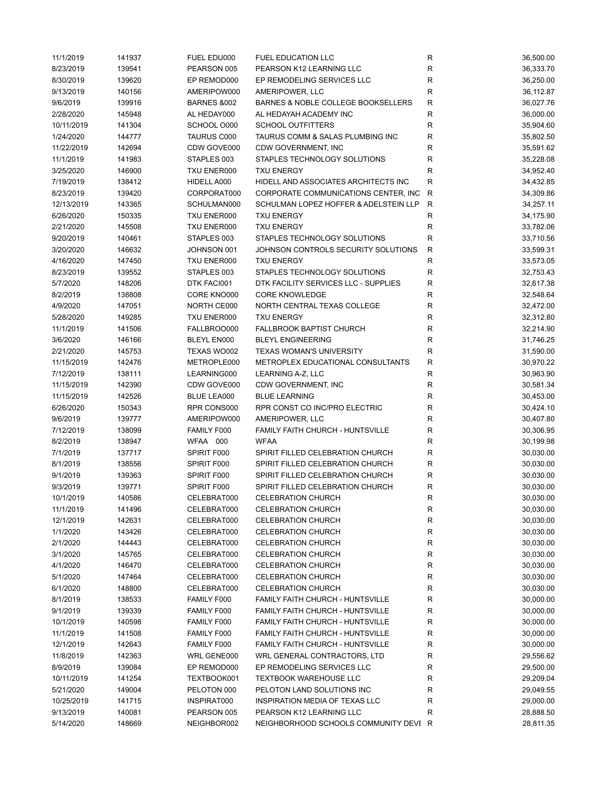| 11/1/2019  | 141937 | FUEL EDU000            | <b>FUEL EDUCATION LLC</b>               | R            | 36,500.00 |
|------------|--------|------------------------|-----------------------------------------|--------------|-----------|
| 8/23/2019  | 139541 | PEARSON 005            | PEARSON K12 LEARNING LLC                | R            | 36,333.70 |
| 8/30/2019  | 139620 | EP REMOD000            | EP REMODELING SERVICES LLC              | R            | 36,250.00 |
| 9/13/2019  | 140156 | AMERIPOW000            | AMERIPOWER, LLC                         | $\mathsf R$  | 36,112.87 |
| 9/6/2019   | 139916 | <b>BARNES &amp;002</b> | BARNES & NOBLE COLLEGE BOOKSELLERS      | ${\sf R}$    | 36,027.76 |
| 2/28/2020  | 145948 | AL HEDAY000            | AL HEDAYAH ACADEMY INC                  | ${\sf R}$    | 36,000.00 |
| 10/11/2019 | 141304 | SCHOOL O000            | <b>SCHOOL OUTFITTERS</b>                | $\mathsf R$  | 35,904.60 |
| 1/24/2020  | 144777 | TAURUS C000            | TAURUS COMM & SALAS PLUMBING INC        | R            | 35,802.50 |
| 11/22/2019 | 142694 | CDW GOVE000            | CDW GOVERNMENT, INC                     | R            | 35,591.62 |
| 11/1/2019  | 141983 | STAPLES 003            | STAPLES TECHNOLOGY SOLUTIONS            | R            | 35,228.08 |
| 3/25/2020  | 146900 | TXU ENER000            | <b>TXU ENERGY</b>                       | R            | 34,952.40 |
| 7/19/2019  | 138412 | HIDELL A000            | HIDELL AND ASSOCIATES ARCHITECTS INC    | $\mathsf R$  | 34,432.85 |
| 8/23/2019  | 139420 | CORPORAT000            | CORPORATE COMMUNICATIONS CENTER, INC.   | ${\sf R}$    | 34,309.86 |
| 12/13/2019 | 143365 | SCHULMAN000            | SCHULMAN LOPEZ HOFFER & ADELSTEIN LLP   | $\mathsf{R}$ | 34,257.11 |
| 6/26/2020  | 150335 | TXU ENER000            | <b>TXU ENERGY</b>                       | ${\sf R}$    | 34,175.90 |
| 2/21/2020  | 145508 | TXU ENER000            | <b>TXU ENERGY</b>                       | R            | 33,782.06 |
| 9/20/2019  | 140461 | STAPLES 003            | STAPLES TECHNOLOGY SOLUTIONS            | ${\sf R}$    | 33,710.56 |
| 3/20/2020  | 146632 | JOHNSON 001            | JOHNSON CONTROLS SECURITY SOLUTIONS     | ${\sf R}$    | 33,599.31 |
| 4/16/2020  | 147450 | TXU ENER000            | <b>TXU ENERGY</b>                       | $\mathsf R$  | 33,573.05 |
|            |        | STAPLES 003            | STAPLES TECHNOLOGY SOLUTIONS            | $\mathsf R$  | 32,753.43 |
| 8/23/2019  | 139552 |                        |                                         |              |           |
| 5/7/2020   | 148206 | DTK FACI001            | DTK FACILITY SERVICES LLC - SUPPLIES    | R            | 32,617.38 |
| 8/2/2019   | 138808 | CORE KNO000            | <b>CORE KNOWLEDGE</b>                   | R            | 32,548.64 |
| 4/9/2020   | 147051 | NORTH CE000            | NORTH CENTRAL TEXAS COLLEGE             | R            | 32,472.00 |
| 5/28/2020  | 149285 | TXU ENER000            | <b>TXU ENERGY</b>                       | R            | 32,312.80 |
| 11/1/2019  | 141506 | FALLBROO000            | <b>FALLBROOK BAPTIST CHURCH</b>         | ${\sf R}$    | 32,214.90 |
| 3/6/2020   | 146166 | BLEYL EN000            | <b>BLEYL ENGINEERING</b>                | ${\sf R}$    | 31,746.25 |
| 2/21/2020  | 145753 | TEXAS WO002            | <b>TEXAS WOMAN'S UNIVERSITY</b>         | ${\sf R}$    | 31,590.00 |
| 11/15/2019 | 142476 | METROPLE000            | METROPLEX EDUCATIONAL CONSULTANTS       | $\mathsf R$  | 30,970.22 |
| 7/12/2019  | 138111 | LEARNING000            | LEARNING A-Z, LLC                       | R            | 30,963.90 |
| 11/15/2019 | 142390 | CDW GOVE000            | CDW GOVERNMENT, INC                     | R            | 30,581.34 |
| 11/15/2019 | 142526 | <b>BLUE LEA000</b>     | <b>BLUE LEARNING</b>                    | R            | 30,453.00 |
| 6/26/2020  | 150343 | RPR CONS000            | RPR CONST CO INC/PRO ELECTRIC           | R            | 30,424.10 |
| 9/6/2019   | 139777 | AMERIPOW000            | AMERIPOWER, LLC                         | R            | 30,407.80 |
| 7/12/2019  | 138099 | FAMILY F000            | FAMILY FAITH CHURCH - HUNTSVILLE        | R            | 30,306.95 |
| 8/2/2019   | 138947 | WFAA 000               | <b>WFAA</b>                             | $\mathsf R$  | 30,199.98 |
| 7/1/2019   | 137717 | SPIRIT F000            | SPIRIT FILLED CELEBRATION CHURCH        | $\mathsf R$  | 30,030.00 |
| 8/1/2019   | 138556 | SPIRIT F000            | SPIRIT FILLED CELEBRATION CHURCH        | ${\sf R}$    | 30,030.00 |
| 9/1/2019   | 139363 | SPIRIT F000            | SPIRIT FILLED CELEBRATION CHURCH        | ${\sf R}$    | 30,030.00 |
| 9/3/2019   | 139771 | SPIRIT F000            | SPIRIT FILLED CELEBRATION CHURCH        | $\mathsf R$  | 30,030.00 |
| 10/1/2019  | 140586 | CELEBRAT000            | CELEBRATION CHURCH                      | R            | 30,030.00 |
| 11/1/2019  | 141496 | CELEBRAT000            | <b>CELEBRATION CHURCH</b>               | R            | 30,030.00 |
| 12/1/2019  | 142631 | CELEBRAT000            | <b>CELEBRATION CHURCH</b>               | R            | 30,030.00 |
| 1/1/2020   | 143426 | CELEBRAT000            | <b>CELEBRATION CHURCH</b>               | R            | 30,030.00 |
| 2/1/2020   | 144443 | CELEBRAT000            | <b>CELEBRATION CHURCH</b>               | R            | 30,030.00 |
| 3/1/2020   | 145765 | CELEBRAT000            | <b>CELEBRATION CHURCH</b>               | R            | 30,030.00 |
| 4/1/2020   | 146470 | CELEBRAT000            | <b>CELEBRATION CHURCH</b>               | R            | 30,030.00 |
| 5/1/2020   | 147464 | CELEBRAT000            | <b>CELEBRATION CHURCH</b>               | ${\sf R}$    | 30,030.00 |
| 6/1/2020   | 148800 | CELEBRAT000            | <b>CELEBRATION CHURCH</b>               | R            | 30,030.00 |
| 8/1/2019   | 138533 | FAMILY F000            | FAMILY FAITH CHURCH - HUNTSVILLE        | R            | 30,000.00 |
| 9/1/2019   | 139339 | FAMILY F000            | <b>FAMILY FAITH CHURCH - HUNTSVILLE</b> | R            | 30,000.00 |
| 10/1/2019  | 140598 | FAMILY F000            | FAMILY FAITH CHURCH - HUNTSVILLE        | R            | 30,000.00 |
| 11/1/2019  | 141508 | FAMILY F000            | FAMILY FAITH CHURCH - HUNTSVILLE        | R            | 30,000.00 |
| 12/1/2019  | 142643 | FAMILY F000            | FAMILY FAITH CHURCH - HUNTSVILLE        | R            | 30,000.00 |
| 11/8/2019  | 142363 | WRL GENE000            | WRL GENERAL CONTRACTORS, LTD            | R            | 29,556.62 |
| 8/9/2019   | 139084 | EP REMOD000            | EP REMODELING SERVICES LLC              | R            | 29,500.00 |
|            |        |                        |                                         |              |           |
| 10/11/2019 | 141254 | TEXTBOOK001            | <b>TEXTBOOK WAREHOUSE LLC</b>           | R            | 29,209.04 |
| 5/21/2020  | 149004 | PELOTON 000            | PELOTON LAND SOLUTIONS INC              | R            | 29,049.55 |
| 10/25/2019 | 141715 | INSPIRAT000            | INSPIRATION MEDIA OF TEXAS LLC          | R            | 29,000.00 |
| 9/13/2019  | 140081 | PEARSON 005            | PEARSON K12 LEARNING LLC                | $\mathsf R$  | 28,888.50 |
| 5/14/2020  | 148669 | NEIGHBOR002            | NEIGHBORHOOD SCHOOLS COMMUNITY DEVI R   |              | 28,811.35 |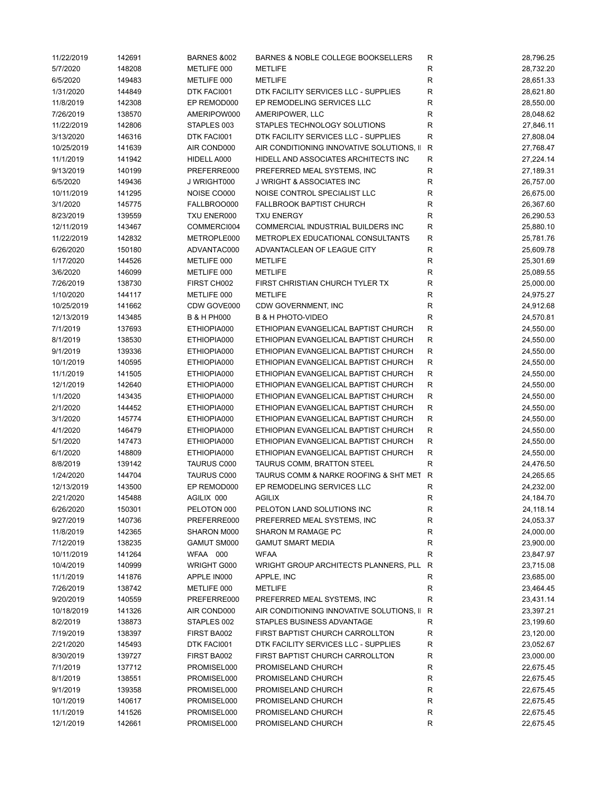| 11/22/2019 | 142691 | <b>BARNES &amp;002</b> | BARNES & NOBLE COLLEGE BOOKSELLERS        | R            | 28,796.25 |
|------------|--------|------------------------|-------------------------------------------|--------------|-----------|
| 5/7/2020   | 148208 | METLIFE 000            | <b>METLIFE</b>                            | R            | 28,732.20 |
| 6/5/2020   | 149483 | METLIFE 000            | <b>METLIFE</b>                            | R            | 28,651.33 |
| 1/31/2020  | 144849 | DTK FACI001            | DTK FACILITY SERVICES LLC - SUPPLIES      | R            | 28,621.80 |
| 11/8/2019  | 142308 | EP REMOD000            | EP REMODELING SERVICES LLC                | R            | 28,550.00 |
| 7/26/2019  | 138570 | AMERIPOW000            | AMERIPOWER, LLC                           | $\mathsf{R}$ | 28,048.62 |
| 11/22/2019 | 142806 | STAPLES 003            | STAPLES TECHNOLOGY SOLUTIONS              | R            | 27,846.11 |
| 3/13/2020  | 146316 | DTK FACI001            | DTK FACILITY SERVICES LLC - SUPPLIES      | $\mathsf{R}$ | 27,808.04 |
| 10/25/2019 | 141639 | AIR COND000            | AIR CONDITIONING INNOVATIVE SOLUTIONS, II | ${\sf R}$    | 27,768.47 |
| 11/1/2019  | 141942 | HIDELL A000            | HIDELL AND ASSOCIATES ARCHITECTS INC      | ${\sf R}$    | 27,224.14 |
| 9/13/2019  | 140199 | PREFERRE000            | PREFERRED MEAL SYSTEMS, INC               | $\mathsf{R}$ | 27,189.31 |
| 6/5/2020   | 149436 | J WRIGHT000            | <b>J WRIGHT &amp; ASSOCIATES INC</b>      | R            | 26,757.00 |
| 10/11/2019 | 141295 | NOISE CO000            | NOISE CONTROL SPECIALIST LLC              | R            | 26,675.00 |
| 3/1/2020   | 145775 | FALLBROO000            | <b>FALLBROOK BAPTIST CHURCH</b>           | R            | 26,367.60 |
| 8/23/2019  | 139559 | TXU ENER000            | <b>TXU ENERGY</b>                         | R            | 26,290.53 |
| 12/11/2019 | 143467 | COMMERCI004            | COMMERCIAL INDUSTRIAL BUILDERS INC        | $\mathsf R$  | 25,880.10 |
| 11/22/2019 | 142832 | METROPLE000            | METROPLEX EDUCATIONAL CONSULTANTS         | $\mathsf{R}$ | 25,781.76 |
| 6/26/2020  | 150180 | ADVANTAC000            | ADVANTACLEAN OF LEAGUE CITY               | R            | 25,609.78 |
| 1/17/2020  | 144526 | METLIFE 000            | <b>METLIFE</b>                            | R            | 25,301.69 |
| 3/6/2020   | 146099 | METLIFE 000            | <b>METLIFE</b>                            | R            | 25,089.55 |
| 7/26/2019  | 138730 | FIRST CH002            | FIRST CHRISTIAN CHURCH TYLER TX           | R            | 25,000.00 |
| 1/10/2020  | 144117 | METLIFE 000            | <b>METLIFE</b>                            | R            | 24,975.27 |
| 10/25/2019 | 141662 | CDW GOVE000            | CDW GOVERNMENT, INC                       | $\mathsf{R}$ | 24,912.68 |
| 12/13/2019 | 143485 | <b>B &amp; H PH000</b> | <b>B &amp; H PHOTO-VIDEO</b>              | R            | 24,570.81 |
| 7/1/2019   | 137693 | ETHIOPIA000            | ETHIOPIAN EVANGELICAL BAPTIST CHURCH      | R            | 24,550.00 |
| 8/1/2019   | 138530 | ETHIOPIA000            | ETHIOPIAN EVANGELICAL BAPTIST CHURCH      | $\mathsf{R}$ | 24,550.00 |
| 9/1/2019   | 139336 | ETHIOPIA000            | ETHIOPIAN EVANGELICAL BAPTIST CHURCH      | R            | 24,550.00 |
| 10/1/2019  | 140595 | ETHIOPIA000            | ETHIOPIAN EVANGELICAL BAPTIST CHURCH      | R            | 24,550.00 |
|            |        |                        |                                           |              |           |
| 11/1/2019  | 141505 | ETHIOPIA000            | ETHIOPIAN EVANGELICAL BAPTIST CHURCH      | R            | 24,550.00 |
| 12/1/2019  | 142640 | ETHIOPIA000            | ETHIOPIAN EVANGELICAL BAPTIST CHURCH      | R            | 24,550.00 |
| 1/1/2020   | 143435 | ETHIOPIA000            | ETHIOPIAN EVANGELICAL BAPTIST CHURCH      | R            | 24,550.00 |
| 2/1/2020   | 144452 | ETHIOPIA000            | ETHIOPIAN EVANGELICAL BAPTIST CHURCH      | $\mathsf{R}$ | 24,550.00 |
| 3/1/2020   | 145774 | ETHIOPIA000            | ETHIOPIAN EVANGELICAL BAPTIST CHURCH      | $\mathsf{R}$ | 24,550.00 |
| 4/1/2020   | 146479 | ETHIOPIA000            | ETHIOPIAN EVANGELICAL BAPTIST CHURCH      | R            | 24,550.00 |
| 5/1/2020   | 147473 | ETHIOPIA000            | ETHIOPIAN EVANGELICAL BAPTIST CHURCH      | R            | 24,550.00 |
| 6/1/2020   | 148809 | ETHIOPIA000            | ETHIOPIAN EVANGELICAL BAPTIST CHURCH      | $\mathsf R$  | 24,550.00 |
| 8/8/2019   | 139142 | TAURUS C000            | TAURUS COMM, BRATTON STEEL                | $\mathsf{R}$ | 24,476.50 |
| 1/24/2020  | 144704 | <b>TAURUS C000</b>     | TAURUS COMM & NARKE ROOFING & SHT MET     | $\mathsf{R}$ | 24,265.65 |
| 12/13/2019 | 143500 | EP REMOD000            | EP REMODELING SERVICES LLC                | R            | 24,232.00 |
| 2/21/2020  | 145488 | AGILIX 000             | <b>AGILIX</b>                             | R            | 24,184.70 |
| 6/26/2020  | 150301 | PELOTON 000            | PELOTON LAND SOLUTIONS INC                | R            | 24,118.14 |
| 9/27/2019  | 140736 | PREFERRE000            | PREFERRED MEAL SYSTEMS, INC               | R            | 24,053.37 |
| 11/8/2019  | 142365 | SHARON M000            | SHARON M RAMAGE PC                        | R            | 24,000.00 |
| 7/12/2019  | 138235 | <b>GAMUT SM000</b>     | <b>GAMUT SMART MEDIA</b>                  | R            | 23,900.00 |
| 10/11/2019 | 141264 | WFAA 000               | <b>WFAA</b>                               | R            | 23,847.97 |
| 10/4/2019  | 140999 | WRIGHT G000            | WRIGHT GROUP ARCHITECTS PLANNERS, PLL     | R            | 23,715.08 |
| 11/1/2019  | 141876 | APPLE IN000            | APPLE, INC                                | R            | 23,685.00 |
| 7/26/2019  | 138742 | METLIFE 000            | <b>METLIFE</b>                            | ${\sf R}$    | 23,464.45 |
| 9/20/2019  | 140559 | PREFERRE000            | PREFERRED MEAL SYSTEMS, INC               | $\mathsf{R}$ | 23,431.14 |
| 10/18/2019 | 141326 | AIR COND000            | AIR CONDITIONING INNOVATIVE SOLUTIONS, II | R            | 23,397.21 |
| 8/2/2019   | 138873 | STAPLES 002            | STAPLES BUSINESS ADVANTAGE                | R            | 23,199.60 |
| 7/19/2019  | 138397 | FIRST BA002            | FIRST BAPTIST CHURCH CARROLLTON           | R            | 23,120.00 |
| 2/21/2020  | 145493 | DTK FACI001            | DTK FACILITY SERVICES LLC - SUPPLIES      | R            | 23,052.67 |
| 8/30/2019  | 139727 | FIRST BA002            | FIRST BAPTIST CHURCH CARROLLTON           | R            | 23,000.00 |
| 7/1/2019   | 137712 | PROMISEL000            | PROMISELAND CHURCH                        | R            | 22,675.45 |
| 8/1/2019   | 138551 | PROMISEL000            | PROMISELAND CHURCH                        | R            | 22,675.45 |
| 9/1/2019   | 139358 | PROMISEL000            | PROMISELAND CHURCH                        | R            | 22,675.45 |
| 10/1/2019  | 140617 | PROMISEL000            | PROMISELAND CHURCH                        | R            | 22,675.45 |
| 11/1/2019  | 141526 | PROMISEL000            | PROMISELAND CHURCH                        | R            | 22,675.45 |
| 12/1/2019  | 142661 | PROMISEL000            | PROMISELAND CHURCH                        | R            | 22,675.45 |
|            |        |                        |                                           |              |           |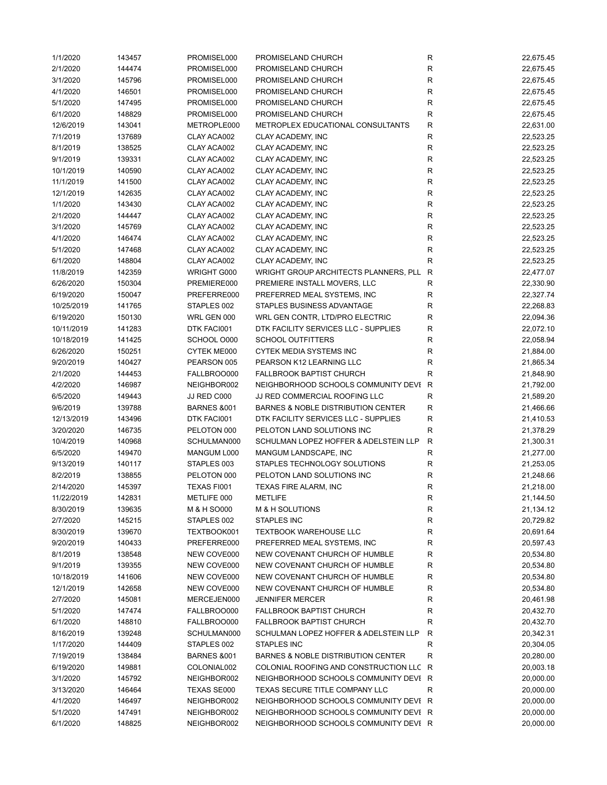| 1/1/2020   | 143457 | PROMISEL000            | PROMISELAND CHURCH                      | R            | 22,675.45 |
|------------|--------|------------------------|-----------------------------------------|--------------|-----------|
| 2/1/2020   | 144474 | PROMISEL000            | PROMISELAND CHURCH                      | ${\sf R}$    | 22,675.45 |
| 3/1/2020   | 145796 | PROMISEL000            | PROMISELAND CHURCH                      | $\mathsf R$  | 22,675.45 |
| 4/1/2020   | 146501 | PROMISEL000            | PROMISELAND CHURCH                      | R            | 22,675.45 |
| 5/1/2020   | 147495 | PROMISEL000            | PROMISELAND CHURCH                      | ${\sf R}$    | 22,675.45 |
| 6/1/2020   | 148829 | PROMISEL000            | PROMISELAND CHURCH                      | ${\sf R}$    | 22,675.45 |
| 12/6/2019  | 143041 | METROPLE000            | METROPLEX EDUCATIONAL CONSULTANTS       | ${\sf R}$    | 22,631.00 |
| 7/1/2019   | 137689 | CLAY ACA002            | CLAY ACADEMY, INC                       | $\mathsf R$  | 22,523.25 |
| 8/1/2019   | 138525 | CLAY ACA002            | CLAY ACADEMY, INC                       | R            | 22,523.25 |
| 9/1/2019   | 139331 | CLAY ACA002            | CLAY ACADEMY, INC                       | ${\sf R}$    | 22,523.25 |
| 10/1/2019  | 140590 | CLAY ACA002            | CLAY ACADEMY, INC                       | ${\sf R}$    | 22,523.25 |
|            |        |                        |                                         |              |           |
| 11/1/2019  | 141500 | CLAY ACA002            | CLAY ACADEMY, INC                       | $\mathsf R$  | 22,523.25 |
| 12/1/2019  | 142635 | CLAY ACA002            | CLAY ACADEMY, INC                       | $\mathsf R$  | 22,523.25 |
| 1/1/2020   | 143430 | CLAY ACA002            | CLAY ACADEMY, INC                       | R            | 22,523.25 |
| 2/1/2020   | 144447 | CLAY ACA002            | CLAY ACADEMY, INC                       | ${\sf R}$    | 22,523.25 |
| 3/1/2020   | 145769 | CLAY ACA002            | CLAY ACADEMY, INC                       | ${\sf R}$    | 22,523.25 |
| 4/1/2020   | 146474 | CLAY ACA002            | CLAY ACADEMY, INC                       | $\mathsf R$  | 22,523.25 |
| 5/1/2020   | 147468 | CLAY ACA002            | CLAY ACADEMY, INC                       | $\mathsf R$  | 22,523.25 |
| 6/1/2020   | 148804 | CLAY ACA002            | CLAY ACADEMY, INC                       | $\mathsf R$  | 22,523.25 |
| 11/8/2019  | 142359 | WRIGHT G000            | WRIGHT GROUP ARCHITECTS PLANNERS, PLL   | $\mathsf{R}$ | 22,477.07 |
| 6/26/2020  | 150304 | PREMIERE000            | PREMIERE INSTALL MOVERS, LLC            | $\mathsf R$  | 22,330.90 |
| 6/19/2020  | 150047 | PREFERRE000            | PREFERRED MEAL SYSTEMS, INC             | ${\sf R}$    | 22,327.74 |
| 10/25/2019 | 141765 | STAPLES 002            | STAPLES BUSINESS ADVANTAGE              | ${\sf R}$    | 22,268.83 |
| 6/19/2020  | 150130 | WRL GEN 000            | WRL GEN CONTR, LTD/PRO ELECTRIC         | ${\sf R}$    | 22,094.36 |
| 10/11/2019 | 141283 | DTK FACI001            | DTK FACILITY SERVICES LLC - SUPPLIES    | ${\sf R}$    | 22,072.10 |
| 10/18/2019 | 141425 | SCHOOL O000            | <b>SCHOOL OUTFITTERS</b>                | $\mathsf R$  | 22,058.94 |
| 6/26/2020  | 150251 | CYTEK ME000            | <b>CYTEK MEDIA SYSTEMS INC</b>          | $\mathsf R$  | 21,884.00 |
| 9/20/2019  | 140427 | PEARSON 005            | PEARSON K12 LEARNING LLC                | $\mathsf R$  | 21,865.34 |
|            |        |                        |                                         |              |           |
| 2/1/2020   | 144453 | FALLBROO000            | <b>FALLBROOK BAPTIST CHURCH</b>         | $\mathsf R$  | 21,848.90 |
| 4/2/2020   | 146987 | NEIGHBOR002            | NEIGHBORHOOD SCHOOLS COMMUNITY DEVI R   |              | 21,792.00 |
| 6/5/2020   | 149443 | JJ RED C000            | JJ RED COMMERCIAL ROOFING LLC           | $\mathsf R$  | 21,589.20 |
| 9/6/2019   | 139788 | <b>BARNES &amp;001</b> | BARNES & NOBLE DISTRIBUTION CENTER      | ${\sf R}$    | 21,466.66 |
| 12/13/2019 | 143496 | DTK FACI001            | DTK FACILITY SERVICES LLC - SUPPLIES    | R            | 21,410.53 |
| 3/20/2020  | 146735 | PELOTON 000            | PELOTON LAND SOLUTIONS INC              | R            | 21,378.29 |
| 10/4/2019  | 140968 | SCHULMAN000            | SCHULMAN LOPEZ HOFFER & ADELSTEIN LLP   | $\mathsf{R}$ | 21,300.31 |
| 6/5/2020   | 149470 | MANGUM L000            | MANGUM LANDSCAPE, INC                   | R            | 21,277.00 |
| 9/13/2019  | 140117 | STAPLES 003            | STAPLES TECHNOLOGY SOLUTIONS            | ${\sf R}$    | 21,253.05 |
| 8/2/2019   | 138855 | PELOTON 000            | PELOTON LAND SOLUTIONS INC              | ${\sf R}$    | 21,248.66 |
| 2/14/2020  | 145397 | TEXAS FI001            | TEXAS FIRE ALARM, INC                   | $\mathsf R$  | 21,218.00 |
| 11/22/2019 | 142831 | METLIFE 000            | <b>METLIFE</b>                          | R            | 21,144.50 |
| 8/30/2019  | 139635 | M & H SO000            | <b>M &amp; H SOLUTIONS</b>              | R            | 21,134.12 |
| 2/7/2020   | 145215 | STAPLES 002            | STAPLES INC                             | R            | 20,729.82 |
| 8/30/2019  | 139670 | TEXTBOOK001            | <b>TEXTBOOK WAREHOUSE LLC</b>           | R            | 20,691.64 |
| 9/20/2019  | 140433 | PREFERRE000            | PREFERRED MEAL SYSTEMS, INC             | R            | 20,597.43 |
|            |        |                        | NEW COVENANT CHURCH OF HUMBLE           |              |           |
| 8/1/2019   | 138548 | NEW COVE000            |                                         | R            | 20,534.80 |
| 9/1/2019   | 139355 | NEW COVE000            | NEW COVENANT CHURCH OF HUMBLE           | ${\sf R}$    | 20,534.80 |
| 10/18/2019 | 141606 | NEW COVE000            | NEW COVENANT CHURCH OF HUMBLE           | R            | 20,534.80 |
| 12/1/2019  | 142658 | NEW COVE000            | NEW COVENANT CHURCH OF HUMBLE           | R            | 20,534.80 |
| 2/7/2020   | 145081 | MERCEJEN000            | <b>JENNIFER MERCER</b>                  | R            | 20,461.98 |
| 5/1/2020   | 147474 | FALLBROO000            | <b>FALLBROOK BAPTIST CHURCH</b>         | R            | 20,432.70 |
| 6/1/2020   | 148810 | FALLBROO000            | <b>FALLBROOK BAPTIST CHURCH</b>         | R            | 20,432.70 |
| 8/16/2019  | 139248 | SCHULMAN000            | SCHULMAN LOPEZ HOFFER & ADELSTEIN LLP   | R            | 20,342.31 |
| 1/17/2020  | 144409 | STAPLES 002            | <b>STAPLES INC</b>                      | R            | 20,304.05 |
| 7/19/2019  | 138484 | <b>BARNES &amp;001</b> | BARNES & NOBLE DISTRIBUTION CENTER      | R            | 20,280.00 |
| 6/19/2020  | 149881 | COLONIAL002            | COLONIAL ROOFING AND CONSTRUCTION LLC R |              | 20,003.18 |
| 3/1/2020   | 145792 | NEIGHBOR002            | NEIGHBORHOOD SCHOOLS COMMUNITY DEVI R   |              | 20,000.00 |
| 3/13/2020  | 146464 | TEXAS SE000            | TEXAS SECURE TITLE COMPANY LLC          | R            | 20,000.00 |
| 4/1/2020   | 146497 | NEIGHBOR002            | NEIGHBORHOOD SCHOOLS COMMUNITY DEVI R   |              | 20,000.00 |
| 5/1/2020   | 147491 | NEIGHBOR002            | NEIGHBORHOOD SCHOOLS COMMUNITY DEVI R   |              | 20,000.00 |
| 6/1/2020   | 148825 | NEIGHBOR002            | NEIGHBORHOOD SCHOOLS COMMUNITY DEVI R   |              | 20,000.00 |
|            |        |                        |                                         |              |           |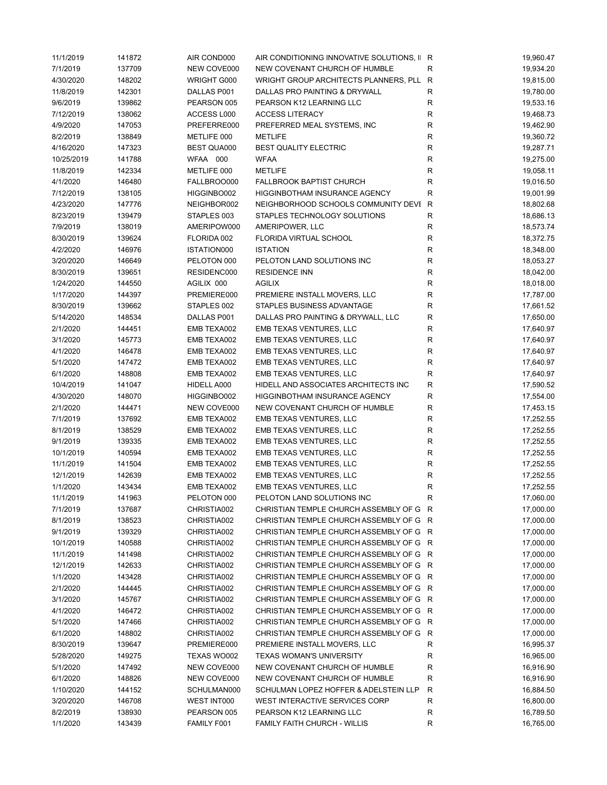| 11/1/2019  | 141872 | AIR COND000 | AIR CONDITIONING INNOVATIVE SOLUTIONS, II R |              | 19,960.47 |
|------------|--------|-------------|---------------------------------------------|--------------|-----------|
| 7/1/2019   | 137709 | NEW COVE000 | NEW COVENANT CHURCH OF HUMBLE               | $\mathsf{R}$ | 19,934.20 |
| 4/30/2020  | 148202 | WRIGHT G000 | WRIGHT GROUP ARCHITECTS PLANNERS, PLL       | R            | 19,815.00 |
| 11/8/2019  | 142301 | DALLAS P001 | DALLAS PRO PAINTING & DRYWALL               | ${\sf R}$    | 19,780.00 |
| 9/6/2019   | 139862 | PEARSON 005 | PEARSON K12 LEARNING LLC                    | R            | 19,533.16 |
| 7/12/2019  | 138062 | ACCESS L000 | <b>ACCESS LITERACY</b>                      | $\mathsf R$  | 19,468.73 |
| 4/9/2020   | 147053 | PREFERRE000 | PREFERRED MEAL SYSTEMS, INC                 | ${\sf R}$    | 19,462.90 |
| 8/2/2019   | 138849 | METLIFE 000 | <b>METLIFE</b>                              | $\mathsf R$  | 19,360.72 |
| 4/16/2020  | 147323 | BEST QUA000 | <b>BEST QUALITY ELECTRIC</b>                | $\mathsf R$  | 19,287.71 |
| 10/25/2019 | 141788 | WFAA 000    | <b>WFAA</b>                                 | R            | 19,275.00 |
| 11/8/2019  | 142334 | METLIFE 000 | <b>METLIFE</b>                              | $\mathsf R$  | 19,058.11 |
| 4/1/2020   | 146480 | FALLBROO000 | <b>FALLBROOK BAPTIST CHURCH</b>             | R            | 19,016.50 |
| 7/12/2019  | 138105 | HIGGINBO002 | HIGGINBOTHAM INSURANCE AGENCY               | R            | 19,001.99 |
| 4/23/2020  | 147776 | NEIGHBOR002 | NEIGHBORHOOD SCHOOLS COMMUNITY DEVI R       |              | 18,802.68 |
| 8/23/2019  | 139479 | STAPLES 003 | STAPLES TECHNOLOGY SOLUTIONS                | R            | 18,686.13 |
| 7/9/2019   | 138019 | AMERIPOW000 | AMERIPOWER, LLC                             | R            | 18,573.74 |
| 8/30/2019  | 139624 | FLORIDA 002 | FLORIDA VIRTUAL SCHOOL                      | $\mathsf R$  | 18,372.75 |
| 4/2/2020   | 146976 | ISTATION000 | <b>ISTATION</b>                             | $\mathsf R$  | 18,348.00 |
| 3/20/2020  | 146649 | PELOTON 000 | PELOTON LAND SOLUTIONS INC                  | $\mathsf R$  | 18,053.27 |
| 8/30/2019  | 139651 | RESIDENC000 | <b>RESIDENCE INN</b>                        | R            | 18,042.00 |
|            |        |             |                                             |              |           |
| 1/24/2020  | 144550 | AGILIX 000  | <b>AGILIX</b>                               | ${\sf R}$    | 18,018.00 |
| 1/17/2020  | 144397 | PREMIERE000 | PREMIERE INSTALL MOVERS, LLC                | R            | 17,787.00 |
| 8/30/2019  | 139662 | STAPLES 002 | STAPLES BUSINESS ADVANTAGE                  | R            | 17,661.52 |
| 5/14/2020  | 148534 | DALLAS P001 | DALLAS PRO PAINTING & DRYWALL, LLC          | R            | 17,650.00 |
| 2/1/2020   | 144451 | EMB TEXA002 | EMB TEXAS VENTURES, LLC                     | R            | 17,640.97 |
| 3/1/2020   | 145773 | EMB TEXA002 | EMB TEXAS VENTURES, LLC                     | ${\sf R}$    | 17,640.97 |
| 4/1/2020   | 146478 | EMB TEXA002 | EMB TEXAS VENTURES, LLC                     | $\mathsf R$  | 17,640.97 |
| 5/1/2020   | 147472 | EMB TEXA002 | EMB TEXAS VENTURES, LLC                     | ${\sf R}$    | 17,640.97 |
| 6/1/2020   | 148808 | EMB TEXA002 | EMB TEXAS VENTURES, LLC                     | R            | 17,640.97 |
| 10/4/2019  | 141047 | HIDELL A000 | HIDELL AND ASSOCIATES ARCHITECTS INC        | R            | 17,590.52 |
| 4/30/2020  | 148070 | HIGGINBO002 | HIGGINBOTHAM INSURANCE AGENCY               | $\mathsf R$  | 17,554.00 |
| 2/1/2020   | 144471 | NEW COVE000 | NEW COVENANT CHURCH OF HUMBLE               | R            | 17,453.15 |
| 7/1/2019   | 137692 | EMB TEXA002 | EMB TEXAS VENTURES, LLC                     | R            | 17,252.55 |
| 8/1/2019   | 138529 | EMB TEXA002 | EMB TEXAS VENTURES, LLC                     | R            | 17,252.55 |
| 9/1/2019   | 139335 | EMB TEXA002 | EMB TEXAS VENTURES, LLC                     | R            | 17,252.55 |
| 10/1/2019  | 140594 | EMB TEXA002 | EMB TEXAS VENTURES, LLC                     | R            | 17,252.55 |
| 11/1/2019  | 141504 | EMB TEXA002 | EMB TEXAS VENTURES, LLC                     | R            | 17,252.55 |
| 12/1/2019  | 142639 | EMB TEXA002 | EMB TEXAS VENTURES, LLC                     | ${\sf R}$    | 17,252.55 |
| 1/1/2020   | 143434 | EMB TEXA002 | EMB TEXAS VENTURES, LLC                     | R            | 17,252.55 |
| 11/1/2019  | 141963 | PELOTON 000 | PELOTON LAND SOLUTIONS INC                  | R            | 17,060.00 |
| 7/1/2019   | 137687 | CHRISTIA002 | CHRISTIAN TEMPLE CHURCH ASSEMBLY OF G R     |              | 17,000.00 |
| 8/1/2019   | 138523 | CHRISTIA002 | CHRISTIAN TEMPLE CHURCH ASSEMBLY OF G R     |              | 17,000.00 |
| 9/1/2019   | 139329 | CHRISTIA002 | CHRISTIAN TEMPLE CHURCH ASSEMBLY OF G R     |              | 17,000.00 |
| 10/1/2019  | 140588 | CHRISTIA002 | CHRISTIAN TEMPLE CHURCH ASSEMBLY OF G R     |              | 17,000.00 |
| 11/1/2019  | 141498 | CHRISTIA002 | CHRISTIAN TEMPLE CHURCH ASSEMBLY OF G R     |              | 17,000.00 |
| 12/1/2019  | 142633 | CHRISTIA002 | CHRISTIAN TEMPLE CHURCH ASSEMBLY OF G R     |              | 17,000.00 |
| 1/1/2020   | 143428 | CHRISTIA002 | CHRISTIAN TEMPLE CHURCH ASSEMBLY OF G R     |              | 17,000.00 |
| 2/1/2020   | 144445 | CHRISTIA002 | CHRISTIAN TEMPLE CHURCH ASSEMBLY OF G R     |              | 17,000.00 |
| 3/1/2020   | 145767 | CHRISTIA002 | CHRISTIAN TEMPLE CHURCH ASSEMBLY OF G R     |              | 17,000.00 |
| 4/1/2020   | 146472 | CHRISTIA002 | CHRISTIAN TEMPLE CHURCH ASSEMBLY OF G R     |              | 17,000.00 |
| 5/1/2020   | 147466 | CHRISTIA002 | CHRISTIAN TEMPLE CHURCH ASSEMBLY OF G R     |              | 17,000.00 |
| 6/1/2020   | 148802 | CHRISTIA002 | CHRISTIAN TEMPLE CHURCH ASSEMBLY OF G R     |              | 17,000.00 |
| 8/30/2019  | 139647 | PREMIERE000 | PREMIERE INSTALL MOVERS, LLC                | R            | 16,995.37 |
| 5/28/2020  | 149275 | TEXAS WO002 | <b>TEXAS WOMAN'S UNIVERSITY</b>             | R            | 16,965.00 |
| 5/1/2020   | 147492 | NEW COVE000 | NEW COVENANT CHURCH OF HUMBLE               | ${\sf R}$    | 16,916.90 |
| 6/1/2020   | 148826 | NEW COVE000 | NEW COVENANT CHURCH OF HUMBLE               | ${\sf R}$    | 16,916.90 |
| 1/10/2020  | 144152 | SCHULMAN000 | SCHULMAN LOPEZ HOFFER & ADELSTEIN LLP       | $\mathsf{R}$ | 16,884.50 |
| 3/20/2020  | 146708 | WEST INT000 | WEST INTERACTIVE SERVICES CORP              | R            | 16,800.00 |
| 8/2/2019   | 138930 | PEARSON 005 | PEARSON K12 LEARNING LLC                    | R            | 16,789.50 |
| 1/1/2020   | 143439 | FAMILY F001 | <b>FAMILY FAITH CHURCH - WILLIS</b>         | ${\sf R}$    | 16,765.00 |
|            |        |             |                                             |              |           |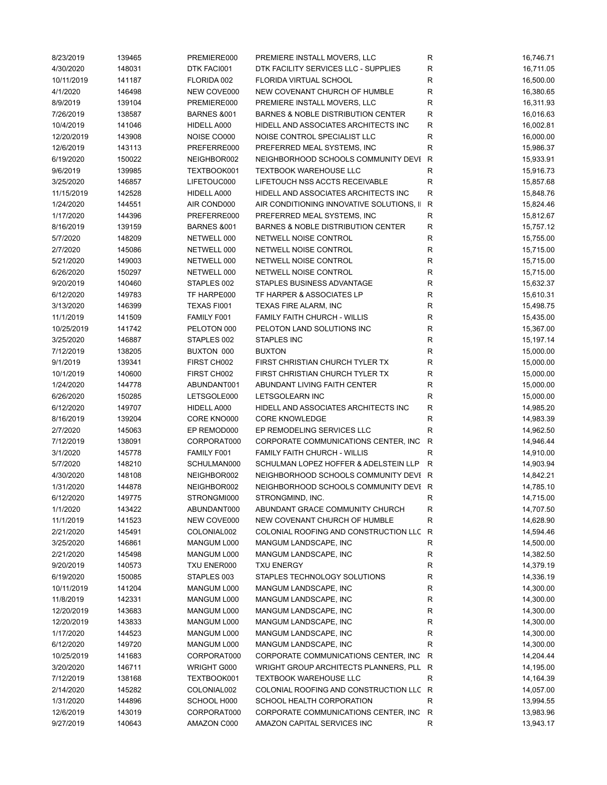| 8/23/2019  | 139465 | PREMIERE000            | PREMIERE INSTALL MOVERS, LLC                  | R            | 16,746.71 |
|------------|--------|------------------------|-----------------------------------------------|--------------|-----------|
| 4/30/2020  | 148031 | DTK FACI001            | DTK FACILITY SERVICES LLC - SUPPLIES          | $\mathsf{R}$ | 16,711.05 |
| 10/11/2019 | 141187 | FLORIDA 002            | FLORIDA VIRTUAL SCHOOL                        | R            | 16,500.00 |
| 4/1/2020   | 146498 | NEW COVE000            | NEW COVENANT CHURCH OF HUMBLE                 | $\mathsf{R}$ | 16,380.65 |
| 8/9/2019   | 139104 | PREMIERE000            | PREMIERE INSTALL MOVERS, LLC                  | R            | 16,311.93 |
| 7/26/2019  | 138587 | <b>BARNES &amp;001</b> | BARNES & NOBLE DISTRIBUTION CENTER            | $\mathsf{R}$ | 16,016.63 |
| 10/4/2019  | 141046 | HIDELL A000            | HIDELL AND ASSOCIATES ARCHITECTS INC          | $\mathsf{R}$ | 16,002.81 |
| 12/20/2019 | 143908 | NOISE CO000            | NOISE CONTROL SPECIALIST LLC                  | $\mathsf{R}$ | 16,000.00 |
| 12/6/2019  | 143113 | PREFERRE000            | PREFERRED MEAL SYSTEMS, INC                   | $\mathsf{R}$ | 15,986.37 |
| 6/19/2020  | 150022 | NEIGHBOR002            | NEIGHBORHOOD SCHOOLS COMMUNITY DEVI R         |              | 15,933.91 |
| 9/6/2019   | 139985 | TEXTBOOK001            | <b>TEXTBOOK WAREHOUSE LLC</b>                 | $\mathsf{R}$ | 15,916.73 |
| 3/25/2020  | 146857 | LIFETOUC000            | LIFETOUCH NSS ACCTS RECEIVABLE                | $\mathsf{R}$ | 15,857.68 |
| 11/15/2019 | 142528 | HIDELL A000            | HIDELL AND ASSOCIATES ARCHITECTS INC          | $\mathsf{R}$ | 15,848.76 |
| 1/24/2020  | 144551 | AIR COND000            | AIR CONDITIONING INNOVATIVE SOLUTIONS, II     | R            | 15,824.46 |
| 1/17/2020  | 144396 | PREFERRE000            | PREFERRED MEAL SYSTEMS, INC                   | R            | 15,812.67 |
| 8/16/2019  | 139159 | <b>BARNES &amp;001</b> | <b>BARNES &amp; NOBLE DISTRIBUTION CENTER</b> | R            | 15,757.12 |
| 5/7/2020   | 148209 | NETWELL 000            | NETWELL NOISE CONTROL                         | $\mathsf{R}$ | 15,755.00 |
|            |        |                        |                                               |              |           |
| 2/7/2020   | 145086 | NETWELL 000            | NETWELL NOISE CONTROL                         | $\mathsf{R}$ | 15,715.00 |
| 5/21/2020  | 149003 | NETWELL 000            | NETWELL NOISE CONTROL                         | $\mathsf{R}$ | 15,715.00 |
| 6/26/2020  | 150297 | NETWELL 000            | NETWELL NOISE CONTROL                         | $\mathsf{R}$ | 15,715.00 |
| 9/20/2019  | 140460 | STAPLES 002            | STAPLES BUSINESS ADVANTAGE                    | $\mathsf{R}$ | 15,632.37 |
| 6/12/2020  | 149783 | TF HARPE000            | TF HARPER & ASSOCIATES LP                     | R            | 15,610.31 |
| 3/13/2020  | 146399 | TEXAS FI001            | TEXAS FIRE ALARM, INC                         | $\mathsf{R}$ | 15,498.75 |
| 11/1/2019  | 141509 | FAMILY F001            | <b>FAMILY FAITH CHURCH - WILLIS</b>           | R            | 15,435.00 |
| 10/25/2019 | 141742 | PELOTON 000            | PELOTON LAND SOLUTIONS INC                    | $\mathsf{R}$ | 15,367.00 |
| 3/25/2020  | 146887 | STAPLES 002            | <b>STAPLES INC</b>                            | $\mathsf{R}$ | 15,197.14 |
| 7/12/2019  | 138205 | BUXTON 000             | <b>BUXTON</b>                                 | $\mathsf{R}$ | 15,000.00 |
| 9/1/2019   | 139341 | FIRST CH002            | FIRST CHRISTIAN CHURCH TYLER TX               | $\mathsf{R}$ | 15,000.00 |
| 10/1/2019  | 140600 | FIRST CH002            | FIRST CHRISTIAN CHURCH TYLER TX               | $\mathsf{R}$ | 15,000.00 |
| 1/24/2020  | 144778 | ABUNDANT001            | ABUNDANT LIVING FAITH CENTER                  | $\mathsf{R}$ | 15,000.00 |
| 6/26/2020  | 150285 | LETSGOLE000            | <b>LETSGOLEARN INC</b>                        | $\mathsf{R}$ | 15,000.00 |
| 6/12/2020  | 149707 | HIDELL A000            | HIDELL AND ASSOCIATES ARCHITECTS INC          | R            | 14,985.20 |
| 8/16/2019  | 139204 | CORE KNO000            | <b>CORE KNOWLEDGE</b>                         | R            | 14,983.39 |
| 2/7/2020   | 145063 | EP REMOD000            | EP REMODELING SERVICES LLC                    | $\mathsf{R}$ | 14,962.50 |
| 7/12/2019  | 138091 | CORPORAT000            | CORPORATE COMMUNICATIONS CENTER, INC.         | $\mathsf{R}$ | 14,946.44 |
| 3/1/2020   | 145778 | FAMILY F001            | <b>FAMILY FAITH CHURCH - WILLIS</b>           | $\mathsf{R}$ | 14,910.00 |
| 5/7/2020   | 148210 | SCHULMAN000            | SCHULMAN LOPEZ HOFFER & ADELSTEIN LLP         | R            | 14,903.94 |
| 4/30/2020  | 148108 | NEIGHBOR002            | NEIGHBORHOOD SCHOOLS COMMUNITY DEVI R         |              | 14,842.21 |
| 1/31/2020  | 144878 | NEIGHBOR002            | NEIGHBORHOOD SCHOOLS COMMUNITY DEVI R         |              | 14,785.10 |
| 6/12/2020  | 149775 | STRONGMI000            | STRONGMIND, INC.                              | R            | 14,715.00 |
| 1/1/2020   | 143422 | ABUNDANT000            | ABUNDANT GRACE COMMUNITY CHURCH               | R            | 14,707.50 |
| 11/1/2019  | 141523 | NEW COVE000            | NEW COVENANT CHURCH OF HUMBLE                 | R            | 14,628.90 |
| 2/21/2020  | 145491 | COLONIAL002            | COLONIAL ROOFING AND CONSTRUCTION LLC         | $\mathsf{R}$ | 14,594.46 |
| 3/25/2020  | 146861 | MANGUM L000            | MANGUM LANDSCAPE, INC                         | R            | 14,500.00 |
| 2/21/2020  | 145498 | MANGUM L000            | MANGUM LANDSCAPE, INC                         | R            | 14,382.50 |
| 9/20/2019  | 140573 | TXU ENER000            | <b>TXU ENERGY</b>                             | R            | 14,379.19 |
| 6/19/2020  | 150085 | STAPLES 003            | STAPLES TECHNOLOGY SOLUTIONS                  | $\mathsf{R}$ | 14,336.19 |
| 10/11/2019 | 141204 | MANGUM L000            | MANGUM LANDSCAPE, INC                         | $\mathsf{R}$ | 14,300.00 |
| 11/8/2019  |        | MANGUM L000            | MANGUM LANDSCAPE, INC                         | R            | 14,300.00 |
|            | 142331 |                        |                                               |              |           |
| 12/20/2019 | 143683 | MANGUM L000            | MANGUM LANDSCAPE, INC                         | R            | 14,300.00 |
| 12/20/2019 | 143833 | MANGUM L000            | MANGUM LANDSCAPE, INC                         | R            | 14,300.00 |
| 1/17/2020  | 144523 | MANGUM L000            | MANGUM LANDSCAPE, INC                         | R            | 14,300.00 |
| 6/12/2020  | 149720 | MANGUM L000            | MANGUM LANDSCAPE, INC                         | R            | 14,300.00 |
| 10/25/2019 | 141683 | CORPORAT000            | CORPORATE COMMUNICATIONS CENTER, INC.         | R            | 14,204.44 |
| 3/20/2020  | 146711 | WRIGHT G000            | WRIGHT GROUP ARCHITECTS PLANNERS, PLL R       |              | 14,195.00 |
| 7/12/2019  | 138168 | TEXTBOOK001            | <b>TEXTBOOK WAREHOUSE LLC</b>                 | R            | 14,164.39 |
| 2/14/2020  | 145282 | COLONIAL002            | COLONIAL ROOFING AND CONSTRUCTION LLC R       |              | 14,057.00 |
| 1/31/2020  | 144896 | SCHOOL H000            | SCHOOL HEALTH CORPORATION                     | R            | 13,994.55 |
| 12/6/2019  | 143019 | CORPORAT000            | CORPORATE COMMUNICATIONS CENTER, INC          | R            | 13,983.96 |
| 9/27/2019  | 140643 | AMAZON C000            | AMAZON CAPITAL SERVICES INC                   | R            | 13,943.17 |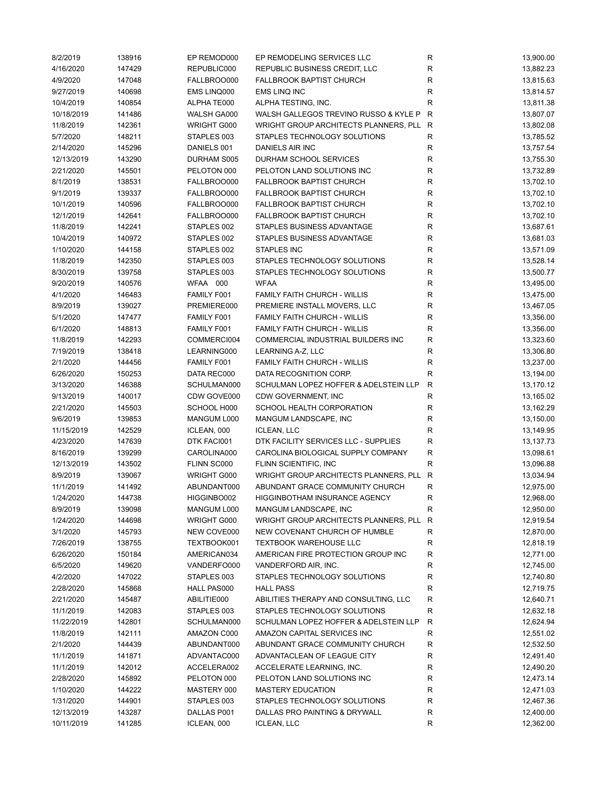| 8/2/2019   | 138916 | EP REMOD000 | EP REMODELING SERVICES LLC            | R            | 13,900.00 |
|------------|--------|-------------|---------------------------------------|--------------|-----------|
| 4/16/2020  | 147429 | REPUBLIC000 | REPUBLIC BUSINESS CREDIT, LLC         | ${\sf R}$    | 13,882.23 |
| 4/9/2020   | 147048 | FALLBROO000 | <b>FALLBROOK BAPTIST CHURCH</b>       | R            | 13,815.63 |
| 9/27/2019  | 140698 | EMS LINQ000 | EMS LINQ INC                          | $\mathsf R$  | 13,814.57 |
| 10/4/2019  | 140854 | ALPHA TE000 | ALPHA TESTING, INC.                   | $\mathsf R$  | 13,811.38 |
| 10/18/2019 | 141486 | WALSH GA000 | WALSH GALLEGOS TREVINO RUSSO & KYLE P | R            | 13,807.07 |
| 11/8/2019  | 142361 | WRIGHT G000 | WRIGHT GROUP ARCHITECTS PLANNERS, PLL | R            | 13,802.08 |
| 5/7/2020   | 148211 | STAPLES 003 | STAPLES TECHNOLOGY SOLUTIONS          | ${\sf R}$    | 13,785.52 |
| 2/14/2020  | 145296 | DANIELS 001 | DANIELS AIR INC                       | $\mathsf{R}$ | 13,757.54 |
| 12/13/2019 | 143290 | DURHAM S005 | DURHAM SCHOOL SERVICES                | $\mathsf R$  | 13,755.30 |
| 2/21/2020  | 145501 | PELOTON 000 | PELOTON LAND SOLUTIONS INC            | $\mathsf R$  | 13,732.89 |
| 8/1/2019   | 138531 | FALLBROO000 | <b>FALLBROOK BAPTIST CHURCH</b>       | $\mathsf R$  | 13,702.10 |
| 9/1/2019   | 139337 | FALLBROO000 | FALLBROOK BAPTIST CHURCH              | $\mathsf R$  | 13,702.10 |
| 10/1/2019  | 140596 | FALLBROO000 | <b>FALLBROOK BAPTIST CHURCH</b>       | R            | 13,702.10 |
| 12/1/2019  | 142641 | FALLBROO000 | <b>FALLBROOK BAPTIST CHURCH</b>       | $\mathsf R$  | 13,702.10 |
| 11/8/2019  | 142241 | STAPLES 002 | STAPLES BUSINESS ADVANTAGE            | $\mathsf R$  | 13,687.61 |
|            |        |             |                                       | $\mathsf R$  |           |
| 10/4/2019  | 140972 | STAPLES 002 | STAPLES BUSINESS ADVANTAGE            |              | 13,681.03 |
| 1/10/2020  | 144158 | STAPLES 002 | <b>STAPLES INC</b>                    | $\mathsf R$  | 13,571.09 |
| 11/8/2019  | 142350 | STAPLES 003 | STAPLES TECHNOLOGY SOLUTIONS          | $\mathsf R$  | 13,528.14 |
| 8/30/2019  | 139758 | STAPLES 003 | STAPLES TECHNOLOGY SOLUTIONS          | ${\sf R}$    | 13,500.77 |
| 9/20/2019  | 140576 | WFAA 000    | <b>WFAA</b>                           | $\mathsf R$  | 13,495.00 |
| 4/1/2020   | 146483 | FAMILY F001 | FAMILY FAITH CHURCH - WILLIS          | R            | 13,475.00 |
| 8/9/2019   | 139027 | PREMIERE000 | PREMIERE INSTALL MOVERS, LLC          | $\mathsf R$  | 13,467.05 |
| 5/1/2020   | 147477 | FAMILY F001 | FAMILY FAITH CHURCH - WILLIS          | ${\sf R}$    | 13,356.00 |
| 6/1/2020   | 148813 | FAMILY F001 | <b>FAMILY FAITH CHURCH - WILLIS</b>   | ${\sf R}$    | 13,356.00 |
| 11/8/2019  | 142293 | COMMERCI004 | COMMERCIAL INDUSTRIAL BUILDERS INC    | $\mathsf R$  | 13,323.60 |
| 7/19/2019  | 138418 | LEARNING000 | LEARNING A-Z, LLC                     | $\mathsf R$  | 13,306.80 |
| 2/1/2020   | 144456 | FAMILY F001 | <b>FAMILY FAITH CHURCH - WILLIS</b>   | ${\sf R}$    | 13,237.00 |
| 6/26/2020  | 150253 | DATA REC000 | DATA RECOGNITION CORP.                | $\mathsf R$  | 13,194.00 |
| 3/13/2020  | 146388 | SCHULMAN000 | SCHULMAN LOPEZ HOFFER & ADELSTEIN LLP | ${\sf R}$    | 13,170.12 |
| 9/13/2019  | 140017 | CDW GOVE000 | CDW GOVERNMENT, INC                   | $\mathsf R$  | 13,165.02 |
| 2/21/2020  | 145503 | SCHOOL H000 | SCHOOL HEALTH CORPORATION             | R            | 13,162.29 |
| 9/6/2019   | 139853 | MANGUM L000 | MANGUM LANDSCAPE, INC                 | R            | 13,150.00 |
| 11/15/2019 | 142529 | ICLEAN, 000 | <b>ICLEAN, LLC</b>                    | R            | 13,149.95 |
| 4/23/2020  | 147639 | DTK FACI001 | DTK FACILITY SERVICES LLC - SUPPLIES  | ${\sf R}$    | 13,137.73 |
| 8/16/2019  | 139299 | CAROLINA000 | CAROLINA BIOLOGICAL SUPPLY COMPANY    | $\mathsf{R}$ | 13,098.61 |
| 12/13/2019 | 143502 | FLINN SC000 | FLINN SCIENTIFIC, INC                 | ${\sf R}$    | 13,096.88 |
| 8/9/2019   | 139067 | WRIGHT G000 | WRIGHT GROUP ARCHITECTS PLANNERS, PLL | $\mathsf{R}$ | 13,034.94 |
| 11/1/2019  | 141492 | ABUNDANT000 | ABUNDANT GRACE COMMUNITY CHURCH       | R            | 12,975.00 |
| 1/24/2020  | 144738 | HIGGINBO002 | HIGGINBOTHAM INSURANCE AGENCY         | R            | 12,968.00 |
| 8/9/2019   | 139098 | MANGUM L000 | MANGUM LANDSCAPE, INC                 | R            | 12,950.00 |
| 1/24/2020  | 144698 | WRIGHT G000 | WRIGHT GROUP ARCHITECTS PLANNERS, PLL | R            | 12,919.54 |
| 3/1/2020   | 145793 | NEW COVE000 | NEW COVENANT CHURCH OF HUMBLE         | $\mathsf R$  | 12,870.00 |
| 7/26/2019  | 138755 | TEXTBOOK001 | <b>TEXTBOOK WAREHOUSE LLC</b>         | R            | 12,818.19 |
| 6/26/2020  | 150184 | AMERICAN034 | AMERICAN FIRE PROTECTION GROUP INC    | R            | 12,771.00 |
| 6/5/2020   | 149620 | VANDERFO000 | VANDERFORD AIR, INC.                  | R            | 12,745.00 |
| 4/2/2020   | 147022 | STAPLES 003 | STAPLES TECHNOLOGY SOLUTIONS          | ${\sf R}$    | 12,740.80 |
| 2/28/2020  | 145868 | HALL PAS000 | <b>HALL PASS</b>                      | ${\sf R}$    | 12,719.75 |
| 2/21/2020  | 145487 | ABILITIE000 | ABILITIES THERAPY AND CONSULTING, LLC | R            | 12,640.71 |
|            |        | STAPLES 003 | STAPLES TECHNOLOGY SOLUTIONS          |              |           |
| 11/1/2019  | 142083 |             |                                       | ${\sf R}$    | 12,632.18 |
| 11/22/2019 | 142801 | SCHULMAN000 | SCHULMAN LOPEZ HOFFER & ADELSTEIN LLP | $\mathsf{R}$ | 12,624.94 |
| 11/8/2019  | 142111 | AMAZON C000 | AMAZON CAPITAL SERVICES INC           | ${\sf R}$    | 12,551.02 |
| 2/1/2020   | 144439 | ABUNDANT000 | ABUNDANT GRACE COMMUNITY CHURCH       | R            | 12,532.50 |
| 11/1/2019  | 141871 | ADVANTAC000 | ADVANTACLEAN OF LEAGUE CITY           | R            | 12,491.40 |
| 11/1/2019  | 142012 | ACCELERA002 | ACCELERATE LEARNING, INC.             | R            | 12,490.20 |
| 2/28/2020  | 145892 | PELOTON 000 | PELOTON LAND SOLUTIONS INC            | R            | 12,473.14 |
| 1/10/2020  | 144222 | MASTERY 000 | <b>MASTERY EDUCATION</b>              | ${\sf R}$    | 12,471.03 |
| 1/31/2020  | 144901 | STAPLES 003 | STAPLES TECHNOLOGY SOLUTIONS          | R            | 12,467.36 |
| 12/13/2019 | 143287 | DALLAS P001 | DALLAS PRO PAINTING & DRYWALL         | R            | 12,400.00 |
| 10/11/2019 | 141285 | ICLEAN, 000 | <b>ICLEAN, LLC</b>                    | R            | 12,362.00 |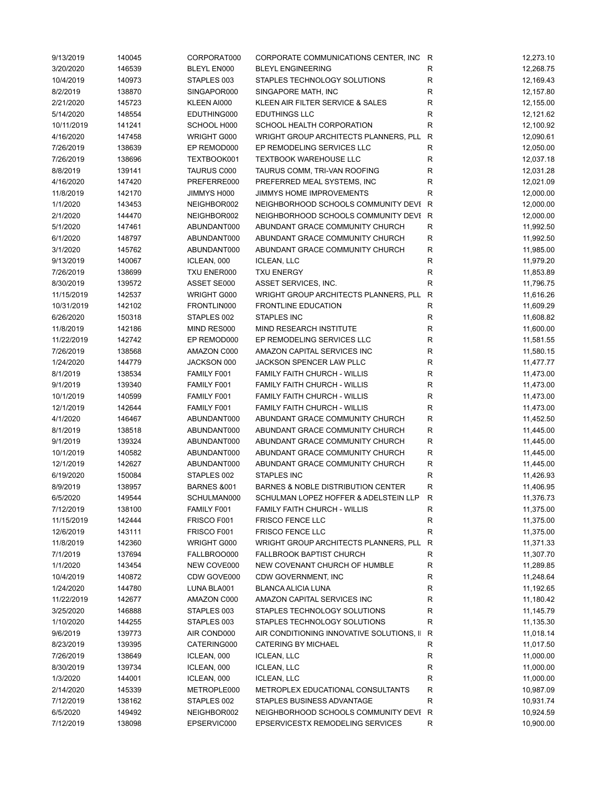| 9/13/2019  | 140045 | CORPORAT000            | CORPORATE COMMUNICATIONS CENTER, INC R    |              | 12,273.10 |
|------------|--------|------------------------|-------------------------------------------|--------------|-----------|
| 3/20/2020  | 146539 | <b>BLEYL EN000</b>     | <b>BLEYL ENGINEERING</b>                  | R            | 12,268.75 |
| 10/4/2019  | 140973 | STAPLES 003            | STAPLES TECHNOLOGY SOLUTIONS              | R            | 12,169.43 |
| 8/2/2019   | 138870 | SINGAPOR000            | SINGAPORE MATH, INC                       | R            | 12,157.80 |
| 2/21/2020  | 145723 | KLEEN AI000            | KLEEN AIR FILTER SERVICE & SALES          | $\mathsf R$  | 12,155.00 |
| 5/14/2020  | 148554 | EDUTHING000            | <b>EDUTHINGS LLC</b>                      | $\mathsf R$  | 12,121.62 |
| 10/11/2019 | 141241 | SCHOOL H000            | SCHOOL HEALTH CORPORATION                 | $\mathsf R$  | 12,100.92 |
| 4/16/2020  | 147458 | WRIGHT G000            | WRIGHT GROUP ARCHITECTS PLANNERS, PLL     | $\mathsf{R}$ | 12,090.61 |
| 7/26/2019  | 138639 | EP REMOD000            | EP REMODELING SERVICES LLC                | $\mathsf R$  | 12,050.00 |
| 7/26/2019  | 138696 | TEXTBOOK001            | <b>TEXTBOOK WAREHOUSE LLC</b>             | R            | 12,037.18 |
| 8/8/2019   | 139141 | <b>TAURUS C000</b>     | TAURUS COMM, TRI-VAN ROOFING              | ${\sf R}$    | 12,031.28 |
| 4/16/2020  | 147420 | PREFERRE000            | PREFERRED MEAL SYSTEMS, INC               | $\mathsf R$  | 12,021.09 |
| 11/8/2019  | 142170 | JIMMYS H000            | JIMMYS HOME IMPROVEMENTS                  | R            | 12,000.00 |
| 1/1/2020   | 143453 | NEIGHBOR002            | NEIGHBORHOOD SCHOOLS COMMUNITY DEVI R     |              | 12,000.00 |
| 2/1/2020   | 144470 | NEIGHBOR002            | NEIGHBORHOOD SCHOOLS COMMUNITY DEVI R     |              | 12,000.00 |
|            |        |                        | ABUNDANT GRACE COMMUNITY CHURCH           |              |           |
| 5/1/2020   | 147461 | ABUNDANT000            |                                           | R            | 11,992.50 |
| 6/1/2020   | 148797 | ABUNDANT000            | ABUNDANT GRACE COMMUNITY CHURCH           | R            | 11,992.50 |
| 3/1/2020   | 145762 | ABUNDANT000            | ABUNDANT GRACE COMMUNITY CHURCH           | $\mathsf R$  | 11,985.00 |
| 9/13/2019  | 140067 | ICLEAN, 000            | <b>ICLEAN, LLC</b>                        | R            | 11,979.20 |
| 7/26/2019  | 138699 | TXU ENER000            | <b>TXU ENERGY</b>                         | $\mathsf R$  | 11,853.89 |
| 8/30/2019  | 139572 | ASSET SE000            | ASSET SERVICES, INC.                      | $\mathsf R$  | 11,796.75 |
| 11/15/2019 | 142537 | WRIGHT G000            | WRIGHT GROUP ARCHITECTS PLANNERS, PLL     | R            | 11,616.26 |
| 10/31/2019 | 142102 | FRONTLIN000            | <b>FRONTLINE EDUCATION</b>                | ${\sf R}$    | 11,609.29 |
| 6/26/2020  | 150318 | STAPLES 002            | <b>STAPLES INC</b>                        | $\mathsf R$  | 11,608.82 |
| 11/8/2019  | 142186 | MIND RES000            | MIND RESEARCH INSTITUTE                   | R            | 11,600.00 |
| 11/22/2019 | 142742 | EP REMOD000            | EP REMODELING SERVICES LLC                | ${\sf R}$    | 11,581.55 |
| 7/26/2019  | 138568 | AMAZON C000            | AMAZON CAPITAL SERVICES INC               | ${\sf R}$    | 11,580.15 |
| 1/24/2020  | 144779 | JACKSON 000            | JACKSON SPENCER LAW PLLC                  | ${\sf R}$    | 11,477.77 |
| 8/1/2019   | 138534 | FAMILY F001            | <b>FAMILY FAITH CHURCH - WILLIS</b>       | $\mathsf R$  | 11,473.00 |
| 9/1/2019   | 139340 | FAMILY F001            | <b>FAMILY FAITH CHURCH - WILLIS</b>       | R            | 11,473.00 |
| 10/1/2019  | 140599 | FAMILY F001            | <b>FAMILY FAITH CHURCH - WILLIS</b>       | R            | 11,473.00 |
| 12/1/2019  | 142644 | FAMILY F001            | <b>FAMILY FAITH CHURCH - WILLIS</b>       | R            | 11,473.00 |
| 4/1/2020   | 146467 | ABUNDANT000            | ABUNDANT GRACE COMMUNITY CHURCH           | $\mathsf R$  | 11,452.50 |
| 8/1/2019   | 138518 | ABUNDANT000            | ABUNDANT GRACE COMMUNITY CHURCH           | R            | 11,445.00 |
| 9/1/2019   | 139324 | ABUNDANT000            | ABUNDANT GRACE COMMUNITY CHURCH           | R            | 11,445.00 |
| 10/1/2019  | 140582 | ABUNDANT000            | ABUNDANT GRACE COMMUNITY CHURCH           | $\mathsf R$  | 11,445.00 |
| 12/1/2019  | 142627 | ABUNDANT000            | ABUNDANT GRACE COMMUNITY CHURCH           | ${\sf R}$    | 11,445.00 |
| 6/19/2020  | 150084 | STAPLES 002            | STAPLES INC                               | $\mathsf R$  | 11,426.93 |
| 8/9/2019   | 138957 | <b>BARNES &amp;001</b> | BARNES & NOBLE DISTRIBUTION CENTER        | R            | 11,406.95 |
| 6/5/2020   | 149544 | SCHULMAN000            | SCHULMAN LOPEZ HOFFER & ADELSTEIN LLP     | $\mathsf{R}$ | 11,376.73 |
|            |        |                        |                                           |              |           |
| 7/12/2019  | 138100 | FAMILY F001            | <b>FAMILY FAITH CHURCH - WILLIS</b>       | R            | 11,375.00 |
| 11/15/2019 | 142444 | FRISCO F001            | <b>FRISCO FENCE LLC</b>                   | R            | 11,375.00 |
| 12/6/2019  | 143111 | FRISCO F001            | <b>FRISCO FENCE LLC</b>                   | $\mathsf R$  | 11,375.00 |
| 11/8/2019  | 142360 | WRIGHT G000            | WRIGHT GROUP ARCHITECTS PLANNERS, PLL     | R            | 11,371.33 |
| 7/1/2019   | 137694 | FALLBROO000            | <b>FALLBROOK BAPTIST CHURCH</b>           | R            | 11,307.70 |
| 1/1/2020   | 143454 | NEW COVE000            | NEW COVENANT CHURCH OF HUMBLE             | ${\sf R}$    | 11,289.85 |
| 10/4/2019  | 140872 | CDW GOVE000            | CDW GOVERNMENT, INC                       | $\mathsf R$  | 11,248.64 |
| 1/24/2020  | 144780 | LUNA BLA001            | <b>BLANCA ALICIA LUNA</b>                 | ${\sf R}$    | 11,192.65 |
| 11/22/2019 | 142677 | AMAZON C000            | AMAZON CAPITAL SERVICES INC               | ${\sf R}$    | 11,180.42 |
| 3/25/2020  | 146888 | STAPLES 003            | STAPLES TECHNOLOGY SOLUTIONS              | R            | 11,145.79 |
| 1/10/2020  | 144255 | STAPLES 003            | STAPLES TECHNOLOGY SOLUTIONS              | $\mathsf R$  | 11,135.30 |
| 9/6/2019   | 139773 | AIR COND000            | AIR CONDITIONING INNOVATIVE SOLUTIONS, II | R            | 11,018.14 |
| 8/23/2019  | 139395 | CATERING000            | CATERING BY MICHAEL                       | R            | 11,017.50 |
| 7/26/2019  | 138649 | ICLEAN, 000            | <b>ICLEAN, LLC</b>                        | R            | 11,000.00 |
| 8/30/2019  | 139734 | ICLEAN, 000            | <b>ICLEAN, LLC</b>                        | ${\sf R}$    | 11,000.00 |
| 1/3/2020   | 144001 | ICLEAN, 000            | <b>ICLEAN, LLC</b>                        | $\mathsf R$  | 11,000.00 |
| 2/14/2020  | 145339 | METROPLE000            | METROPLEX EDUCATIONAL CONSULTANTS         | R            | 10,987.09 |
| 7/12/2019  | 138162 | STAPLES 002            | STAPLES BUSINESS ADVANTAGE                | $\mathsf R$  | 10,931.74 |
| 6/5/2020   | 149492 | NEIGHBOR002            | NEIGHBORHOOD SCHOOLS COMMUNITY DEVI R     |              | 10,924.59 |
| 7/12/2019  | 138098 | EPSERVIC000            | EPSERVICESTX REMODELING SERVICES          | R            | 10,900.00 |
|            |        |                        |                                           |              |           |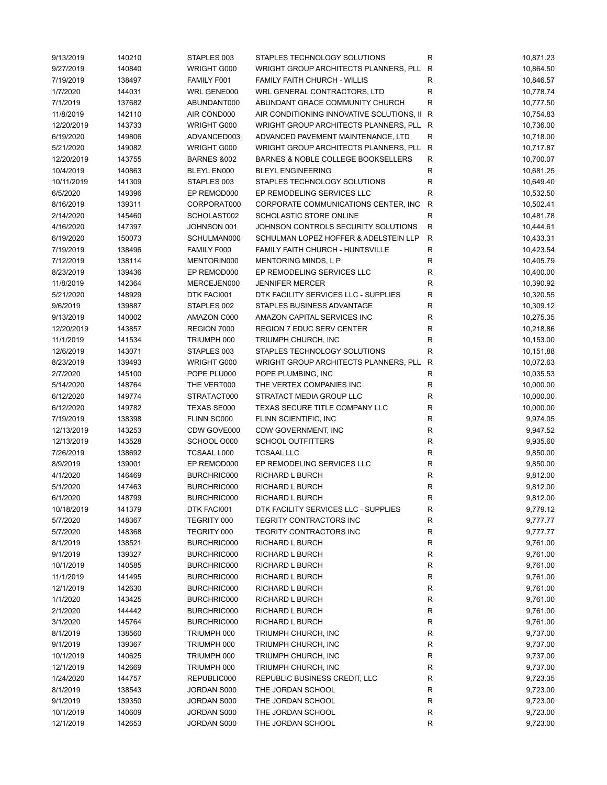| 9/13/2019  | 140210 | STAPLES 003                | STAPLES TECHNOLOGY SOLUTIONS              | R            | 10,871.23 |
|------------|--------|----------------------------|-------------------------------------------|--------------|-----------|
| 9/27/2019  | 140840 | WRIGHT G000                | WRIGHT GROUP ARCHITECTS PLANNERS, PLL     | R            | 10,864.50 |
| 7/19/2019  | 138497 | FAMILY F001                | <b>FAMILY FAITH CHURCH - WILLIS</b>       | ${\sf R}$    | 10,846.57 |
| 1/7/2020   | 144031 | WRL GENE000                | WRL GENERAL CONTRACTORS, LTD              | R            | 10,778.74 |
| 7/1/2019   | 137682 | ABUNDANT000                | ABUNDANT GRACE COMMUNITY CHURCH           | R            | 10,777.50 |
| 11/8/2019  | 142110 | AIR COND000                | AIR CONDITIONING INNOVATIVE SOLUTIONS, II | R            | 10,754.83 |
| 12/20/2019 | 143733 | WRIGHT G000                | WRIGHT GROUP ARCHITECTS PLANNERS, PLL R   |              | 10,736.00 |
| 6/19/2020  | 149806 | ADVANCED003                | ADVANCED PAVEMENT MAINTENANCE, LTD        | $\mathsf{R}$ | 10,718.00 |
| 5/21/2020  | 149082 | WRIGHT G000                | WRIGHT GROUP ARCHITECTS PLANNERS, PLL R   |              | 10,717.87 |
| 12/20/2019 | 143755 | <b>BARNES &amp;002</b>     | BARNES & NOBLE COLLEGE BOOKSELLERS        | R            | 10,700.07 |
| 10/4/2019  | 140863 | <b>BLEYL EN000</b>         | <b>BLEYL ENGINEERING</b>                  | $\mathsf{R}$ | 10,681.25 |
| 10/11/2019 | 141309 | STAPLES 003                | STAPLES TECHNOLOGY SOLUTIONS              | R            | 10,649.40 |
| 6/5/2020   | 149396 | EP REMOD000                | EP REMODELING SERVICES LLC                | $\mathsf R$  | 10,532.50 |
| 8/16/2019  | 139311 | CORPORAT000                | CORPORATE COMMUNICATIONS CENTER, INC      | $\mathsf{R}$ | 10,502.41 |
| 2/14/2020  | 145460 | SCHOLAST002                | <b>SCHOLASTIC STORE ONLINE</b>            | $\mathsf R$  | 10,481.78 |
| 4/16/2020  | 147397 | JOHNSON 001                | JOHNSON CONTROLS SECURITY SOLUTIONS       | $\mathsf{R}$ | 10,444.61 |
|            | 150073 | SCHULMAN000                | SCHULMAN LOPEZ HOFFER & ADELSTEIN LLP     | ${\sf R}$    | 10,433.31 |
| 6/19/2020  |        |                            |                                           |              |           |
| 7/19/2019  | 138496 | FAMILY F000                | FAMILY FAITH CHURCH - HUNTSVILLE          | $\mathsf R$  | 10,423.54 |
| 7/12/2019  | 138114 | MENTORIN000                | MENTORING MINDS, L P                      | R            | 10,405.79 |
| 8/23/2019  | 139436 | EP REMOD000                | EP REMODELING SERVICES LLC                | ${\sf R}$    | 10,400.00 |
| 11/8/2019  | 142364 | MERCEJEN000                | <b>JENNIFER MERCER</b>                    | $\mathsf R$  | 10,390.92 |
| 5/21/2020  | 148929 | DTK FACI001                | DTK FACILITY SERVICES LLC - SUPPLIES      | R            | 10,320.55 |
| 9/6/2019   | 139887 | STAPLES 002                | STAPLES BUSINESS ADVANTAGE                | $\mathsf R$  | 10,309.12 |
| 9/13/2019  | 140002 | AMAZON C000                | AMAZON CAPITAL SERVICES INC               | R            | 10,275.35 |
| 12/20/2019 | 143857 | REGION 7000                | REGION 7 EDUC SERV CENTER                 | ${\sf R}$    | 10,218.86 |
| 11/1/2019  | 141534 | TRIUMPH 000                | TRIUMPH CHURCH, INC                       | $\mathsf R$  | 10,153.00 |
| 12/6/2019  | 143071 | STAPLES 003                | STAPLES TECHNOLOGY SOLUTIONS              | ${\sf R}$    | 10,151.88 |
| 8/23/2019  | 139493 | WRIGHT G000                | WRIGHT GROUP ARCHITECTS PLANNERS, PLL     | $\mathsf{R}$ | 10,072.63 |
| 2/7/2020   | 145100 | POPE PLU000                | POPE PLUMBING, INC                        | R            | 10,035.53 |
| 5/14/2020  | 148764 | THE VERT000                | THE VERTEX COMPANIES INC                  | ${\sf R}$    | 10,000.00 |
| 6/12/2020  | 149774 | STRATACT000                | STRATACT MEDIA GROUP LLC                  | $\mathsf R$  | 10,000.00 |
| 6/12/2020  | 149782 | TEXAS SE000                | TEXAS SECURE TITLE COMPANY LLC            | R            | 10,000.00 |
| 7/19/2019  | 138398 | FLINN SC000                | FLINN SCIENTIFIC, INC                     | R            | 9,974.05  |
| 12/13/2019 | 143253 | CDW GOVE000                | CDW GOVERNMENT, INC                       | R            | 9,947.52  |
| 12/13/2019 | 143528 | SCHOOL O000                | <b>SCHOOL OUTFITTERS</b>                  | ${\sf R}$    | 9,935.60  |
| 7/26/2019  | 138692 | TCSAAL L000                | <b>TCSAAL LLC</b>                         | ${\sf R}$    | 9,850.00  |
| 8/9/2019   | 139001 | EP REMOD000                | EP REMODELING SERVICES LLC                | ${\sf R}$    | 9,850.00  |
| 4/1/2020   | 146469 | BURCHRIC000                | RICHARD L BURCH                           | ${\sf R}$    | 9,812.00  |
| 5/1/2020   | 147463 | BURCHRIC000                | <b>RICHARD L BURCH</b>                    | R            | 9,812.00  |
| 6/1/2020   | 148799 | BURCHRIC000                | RICHARD L BURCH                           | R            | 9,812.00  |
| 10/18/2019 | 141379 | DTK FACI001                | DTK FACILITY SERVICES LLC - SUPPLIES      | R            | 9,779.12  |
| 5/7/2020   | 148367 | TEGRITY 000                | TEGRITY CONTRACTORS INC                   | R            | 9,777.77  |
| 5/7/2020   | 148368 | TEGRITY 000                | TEGRITY CONTRACTORS INC                   | R            | 9,777.77  |
| 8/1/2019   | 138521 | BURCHRIC000                | RICHARD L BURCH                           | R            | 9,761.00  |
| 9/1/2019   | 139327 | BURCHRIC000                | RICHARD L BURCH                           | R            | 9,761.00  |
| 10/1/2019  | 140585 | BURCHRIC000                | RICHARD L BURCH                           | ${\sf R}$    | 9,761.00  |
| 11/1/2019  | 141495 | BURCHRIC000                | RICHARD L BURCH                           | ${\sf R}$    | 9,761.00  |
| 12/1/2019  | 142630 | BURCHRIC000                | RICHARD L BURCH                           | ${\sf R}$    | 9,761.00  |
| 1/1/2020   | 143425 | BURCHRIC000                | RICHARD L BURCH                           | R            | 9,761.00  |
| 2/1/2020   |        |                            |                                           |              |           |
|            | 144442 | BURCHRIC000<br>BURCHRIC000 | RICHARD L BURCH                           | ${\sf R}$    | 9,761.00  |
| 3/1/2020   | 145764 |                            | RICHARD L BURCH                           | ${\sf R}$    | 9,761.00  |
| 8/1/2019   | 138560 | TRIUMPH 000                | TRIUMPH CHURCH, INC                       | ${\sf R}$    | 9,737.00  |
| 9/1/2019   | 139367 | TRIUMPH 000                | TRIUMPH CHURCH, INC                       | R            | 9,737.00  |
| 10/1/2019  | 140625 | TRIUMPH 000                | TRIUMPH CHURCH, INC                       | R            | 9,737.00  |
| 12/1/2019  | 142669 | TRIUMPH 000                | TRIUMPH CHURCH, INC                       | R            | 9,737.00  |
| 1/24/2020  | 144757 | REPUBLIC000                | REPUBLIC BUSINESS CREDIT, LLC             | R            | 9,723.35  |
| 8/1/2019   | 138543 | JORDAN S000                | THE JORDAN SCHOOL                         | ${\sf R}$    | 9,723.00  |
| 9/1/2019   | 139350 | JORDAN S000                | THE JORDAN SCHOOL                         | R            | 9,723.00  |
| 10/1/2019  | 140609 | JORDAN S000                | THE JORDAN SCHOOL                         | R            | 9,723.00  |
| 12/1/2019  | 142653 | JORDAN S000                | THE JORDAN SCHOOL                         | ${\sf R}$    | 9,723.00  |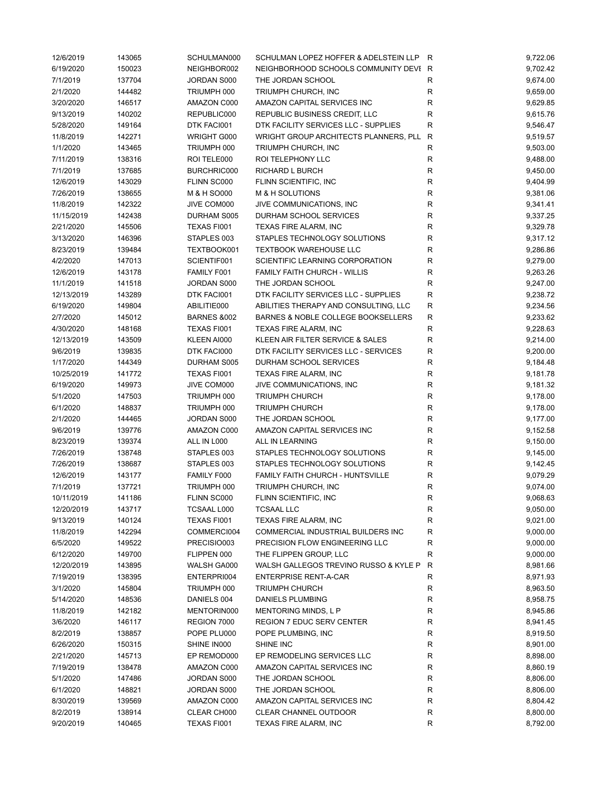| 12/6/2019  | 143065 | SCHULMAN000            | SCHULMAN LOPEZ HOFFER & ADELSTEIN LLP R |              | 9,722.06 |
|------------|--------|------------------------|-----------------------------------------|--------------|----------|
| 6/19/2020  | 150023 | NEIGHBOR002            | NEIGHBORHOOD SCHOOLS COMMUNITY DEVI R   |              | 9,702.42 |
| 7/1/2019   | 137704 | JORDAN S000            | THE JORDAN SCHOOL                       | R            | 9,674.00 |
| 2/1/2020   | 144482 | TRIUMPH 000            | TRIUMPH CHURCH, INC                     | $\mathsf{R}$ | 9,659.00 |
| 3/20/2020  | 146517 | AMAZON C000            | AMAZON CAPITAL SERVICES INC             | R            | 9,629.85 |
| 9/13/2019  | 140202 | REPUBLIC000            | REPUBLIC BUSINESS CREDIT, LLC           | $\mathsf R$  | 9,615.76 |
| 5/28/2020  | 149164 | DTK FACI001            | DTK FACILITY SERVICES LLC - SUPPLIES    | $\mathsf R$  | 9,546.47 |
| 11/8/2019  | 142271 | WRIGHT G000            | WRIGHT GROUP ARCHITECTS PLANNERS, PLL   | $\mathsf{R}$ | 9,519.57 |
| 1/1/2020   | 143465 | TRIUMPH 000            | TRIUMPH CHURCH, INC                     | $\mathsf R$  | 9,503.00 |
| 7/11/2019  | 138316 | ROI TELE000            | ROI TELEPHONY LLC                       | R            | 9,488.00 |
| 7/1/2019   | 137685 | BURCHRIC000            | RICHARD L BURCH                         | $\mathsf R$  | 9,450.00 |
| 12/6/2019  | 143029 | FLINN SC000            | FLINN SCIENTIFIC, INC                   | $\mathsf R$  | 9,404.99 |
| 7/26/2019  | 138655 | M & H SO000            | M & H SOLUTIONS                         | $\mathsf R$  | 9,381.06 |
| 11/8/2019  | 142322 | JIVE COM000            | JIVE COMMUNICATIONS, INC                | R            | 9,341.41 |
| 11/15/2019 | 142438 | DURHAM S005            | DURHAM SCHOOL SERVICES                  | R            | 9,337.25 |
|            |        |                        |                                         |              |          |
| 2/21/2020  | 145506 | TEXAS FI001            | TEXAS FIRE ALARM, INC                   | ${\sf R}$    | 9,329.78 |
| 3/13/2020  | 146396 | STAPLES 003            | STAPLES TECHNOLOGY SOLUTIONS            | $\mathsf R$  | 9,317.12 |
| 8/23/2019  | 139484 | TEXTBOOK001            | <b>TEXTBOOK WAREHOUSE LLC</b>           | $\mathsf R$  | 9,286.86 |
| 4/2/2020   | 147013 | SCIENTIF001            | SCIENTIFIC LEARNING CORPORATION         | $\mathsf R$  | 9,279.00 |
| 12/6/2019  | 143178 | FAMILY F001            | <b>FAMILY FAITH CHURCH - WILLIS</b>     | R            | 9,263.26 |
| 11/1/2019  | 141518 | JORDAN S000            | THE JORDAN SCHOOL                       | ${\sf R}$    | 9,247.00 |
| 12/13/2019 | 143289 | DTK FACI001            | DTK FACILITY SERVICES LLC - SUPPLIES    | $\mathsf R$  | 9,238.72 |
| 6/19/2020  | 149804 | ABILITIE000            | ABILITIES THERAPY AND CONSULTING, LLC   | R            | 9,234.56 |
| 2/7/2020   | 145012 | <b>BARNES &amp;002</b> | BARNES & NOBLE COLLEGE BOOKSELLERS      | R            | 9,233.62 |
| 4/30/2020  | 148168 | TEXAS FI001            | TEXAS FIRE ALARM, INC                   | R            | 9,228.63 |
| 12/13/2019 | 143509 | KLEEN AI000            | KLEEN AIR FILTER SERVICE & SALES        | ${\sf R}$    | 9,214.00 |
| 9/6/2019   | 139835 | DTK FACI000            | DTK FACILITY SERVICES LLC - SERVICES    | $\mathsf R$  | 9,200.00 |
| 1/17/2020  | 144349 | DURHAM S005            | DURHAM SCHOOL SERVICES                  | $\mathsf R$  | 9,184.48 |
| 10/25/2019 | 141772 | TEXAS FI001            | TEXAS FIRE ALARM, INC                   | ${\sf R}$    | 9,181.78 |
| 6/19/2020  | 149973 | JIVE COM000            | JIVE COMMUNICATIONS, INC                | R            | 9,181.32 |
| 5/1/2020   | 147503 | TRIUMPH 000            | <b>TRIUMPH CHURCH</b>                   | $\mathsf R$  | 9,178.00 |
| 6/1/2020   | 148837 | TRIUMPH 000            | <b>TRIUMPH CHURCH</b>                   | R            | 9,178.00 |
| 2/1/2020   | 144465 | JORDAN S000            | THE JORDAN SCHOOL                       | $\mathsf R$  | 9,177.00 |
| 9/6/2019   | 139776 | AMAZON C000            | AMAZON CAPITAL SERVICES INC             | R            | 9,152.58 |
| 8/23/2019  | 139374 | ALL IN L000            | ALL IN LEARNING                         | R            | 9,150.00 |
| 7/26/2019  | 138748 | STAPLES 003            | STAPLES TECHNOLOGY SOLUTIONS            | $\mathsf R$  | 9,145.00 |
| 7/26/2019  | 138687 | STAPLES 003            | STAPLES TECHNOLOGY SOLUTIONS            | R            | 9,142.45 |
|            |        | FAMILY F000            |                                         |              |          |
| 12/6/2019  | 143177 |                        | FAMILY FAITH CHURCH - HUNTSVILLE        | ${\sf R}$    | 9,079.29 |
| 7/1/2019   | 137721 | TRIUMPH 000            | TRIUMPH CHURCH, INC                     | R            | 9,074.00 |
| 10/11/2019 | 141186 | FLINN SC000            | FLINN SCIENTIFIC, INC                   | R            | 9,068.63 |
| 12/20/2019 | 143717 | <b>TCSAAL L000</b>     | <b>TCSAAL LLC</b>                       | R            | 9,050.00 |
| 9/13/2019  | 140124 | TEXAS FI001            | TEXAS FIRE ALARM, INC                   | R            | 9,021.00 |
| 11/8/2019  | 142294 | COMMERCI004            | COMMERCIAL INDUSTRIAL BUILDERS INC      | ${\sf R}$    | 9,000.00 |
| 6/5/2020   | 149522 | PRECISIO003            | PRECISION FLOW ENGINEERING LLC          | R            | 9,000.00 |
| 6/12/2020  | 149700 | FLIPPEN 000            | THE FLIPPEN GROUP, LLC                  | R            | 9,000.00 |
| 12/20/2019 | 143895 | WALSH GA000            | WALSH GALLEGOS TREVINO RUSSO & KYLE P   | R            | 8,981.66 |
| 7/19/2019  | 138395 | ENTERPRI004            | <b>ENTERPRISE RENT-A-CAR</b>            | R            | 8,971.93 |
| 3/1/2020   | 145804 | TRIUMPH 000            | <b>TRIUMPH CHURCH</b>                   | R            | 8,963.50 |
| 5/14/2020  | 148536 | DANIELS 004            | DANIELS PLUMBING                        | R            | 8,958.75 |
| 11/8/2019  | 142182 | MENTORIN000            | MENTORING MINDS, L P                    | R            | 8,945.86 |
| 3/6/2020   | 146117 | REGION 7000            | REGION 7 EDUC SERV CENTER               | R            | 8,941.45 |
| 8/2/2019   | 138857 | POPE PLU000            | POPE PLUMBING, INC                      | R            | 8,919.50 |
| 6/26/2020  | 150315 | SHINE IN000            | SHINE INC                               | R            | 8,901.00 |
| 2/21/2020  | 145713 | EP REMOD000            | EP REMODELING SERVICES LLC              | R            | 8,898.00 |
| 7/19/2019  | 138478 | AMAZON C000            | AMAZON CAPITAL SERVICES INC             | R            | 8,860.19 |
| 5/1/2020   | 147486 | JORDAN S000            | THE JORDAN SCHOOL                       | R            | 8,806.00 |
| 6/1/2020   | 148821 | JORDAN S000            | THE JORDAN SCHOOL                       | $\mathsf R$  | 8,806.00 |
| 8/30/2019  | 139569 | AMAZON C000            | AMAZON CAPITAL SERVICES INC             | R            | 8,804.42 |
| 8/2/2019   | 138914 | CLEAR CH000            | CLEAR CHANNEL OUTDOOR                   | R            | 8,800.00 |
| 9/20/2019  | 140465 | TEXAS FI001            | TEXAS FIRE ALARM, INC                   | R            | 8,792.00 |
|            |        |                        |                                         |              |          |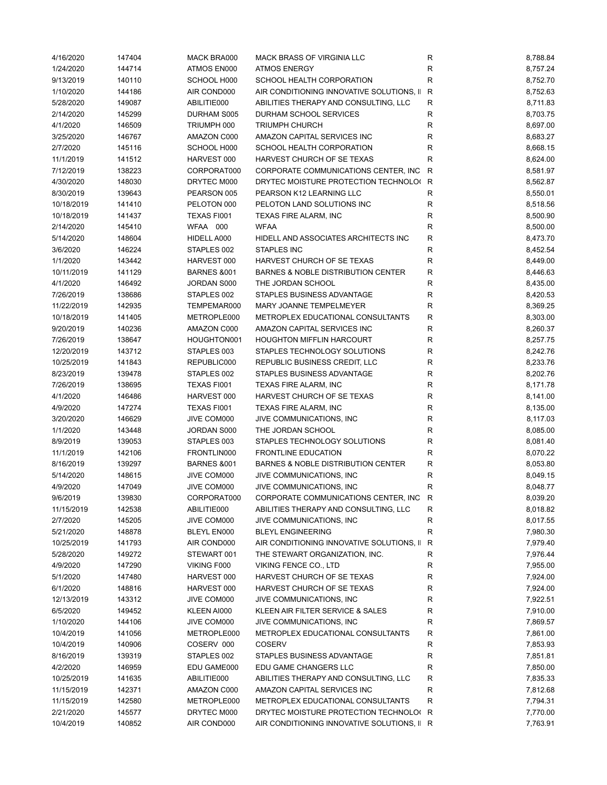| 4/16/2020  | 147404 | MACK BRA000            | MACK BRASS OF VIRGINIA LLC                  | R            | 8,788.84 |
|------------|--------|------------------------|---------------------------------------------|--------------|----------|
| 1/24/2020  | 144714 | ATMOS EN000            | <b>ATMOS ENERGY</b>                         | ${\sf R}$    | 8,757.24 |
| 9/13/2019  | 140110 | SCHOOL H000            | SCHOOL HEALTH CORPORATION                   | $\mathsf R$  | 8,752.70 |
| 1/10/2020  | 144186 | AIR COND000            | AIR CONDITIONING INNOVATIVE SOLUTIONS, II   | $\mathsf{R}$ | 8,752.63 |
| 5/28/2020  | 149087 | ABILITIE000            | ABILITIES THERAPY AND CONSULTING, LLC       | R            | 8,711.83 |
| 2/14/2020  | 145299 | DURHAM S005            | DURHAM SCHOOL SERVICES                      | R            | 8,703.75 |
| 4/1/2020   | 146509 | TRIUMPH 000            | <b>TRIUMPH CHURCH</b>                       | ${\sf R}$    | 8,697.00 |
| 3/25/2020  | 146767 | AMAZON C000            | AMAZON CAPITAL SERVICES INC                 | ${\sf R}$    | 8,683.27 |
| 2/7/2020   | 145116 | SCHOOL H000            | SCHOOL HEALTH CORPORATION                   | $\mathsf R$  | 8,668.15 |
|            |        | HARVEST 000            |                                             | $\mathsf R$  |          |
| 11/1/2019  | 141512 |                        | HARVEST CHURCH OF SE TEXAS                  |              | 8,624.00 |
| 7/12/2019  | 138223 | CORPORAT000            | CORPORATE COMMUNICATIONS CENTER, INC.       | R            | 8,581.97 |
| 4/30/2020  | 148030 | DRYTEC M000            | DRYTEC MOISTURE PROTECTION TECHNOLO(R       |              | 8,562.87 |
| 8/30/2019  | 139643 | PEARSON 005            | PEARSON K12 LEARNING LLC                    | $\mathsf R$  | 8,550.01 |
| 10/18/2019 | 141410 | PELOTON 000            | PELOTON LAND SOLUTIONS INC                  | R            | 8,518.56 |
| 10/18/2019 | 141437 | TEXAS FI001            | TEXAS FIRE ALARM, INC                       | R            | 8,500.90 |
| 2/14/2020  | 145410 | WFAA 000               | <b>WFAA</b>                                 | R            | 8,500.00 |
| 5/14/2020  | 148604 | HIDELL A000            | HIDELL AND ASSOCIATES ARCHITECTS INC        | $\mathsf R$  | 8,473.70 |
| 3/6/2020   | 146224 | STAPLES 002            | <b>STAPLES INC</b>                          | ${\sf R}$    | 8,452.54 |
| 1/1/2020   | 143442 | HARVEST 000            | HARVEST CHURCH OF SE TEXAS                  | ${\sf R}$    | 8,449.00 |
| 10/11/2019 | 141129 | <b>BARNES &amp;001</b> | BARNES & NOBLE DISTRIBUTION CENTER          | R            | 8,446.63 |
| 4/1/2020   | 146492 | JORDAN S000            | THE JORDAN SCHOOL                           | R            | 8,435.00 |
| 7/26/2019  | 138686 | STAPLES 002            | STAPLES BUSINESS ADVANTAGE                  | R            | 8,420.53 |
| 11/22/2019 | 142935 | TEMPEMAR000            | MARY JOANNE TEMPELMEYER                     | ${\sf R}$    | 8,369.25 |
| 10/18/2019 | 141405 | METROPLE000            | METROPLEX EDUCATIONAL CONSULTANTS           | ${\sf R}$    | 8,303.00 |
| 9/20/2019  | 140236 | AMAZON C000            | AMAZON CAPITAL SERVICES INC                 | R            | 8,260.37 |
| 7/26/2019  | 138647 | HOUGHTON001            | <b>HOUGHTON MIFFLIN HARCOURT</b>            | R            | 8,257.75 |
| 12/20/2019 | 143712 | STAPLES 003            | STAPLES TECHNOLOGY SOLUTIONS                | ${\sf R}$    | 8,242.76 |
|            |        |                        |                                             | $\mathsf R$  |          |
| 10/25/2019 | 141843 | REPUBLIC000            | REPUBLIC BUSINESS CREDIT, LLC               |              | 8,233.76 |
| 8/23/2019  | 139478 | STAPLES 002            | STAPLES BUSINESS ADVANTAGE                  | $\mathsf R$  | 8,202.76 |
| 7/26/2019  | 138695 | TEXAS FI001            | TEXAS FIRE ALARM, INC                       | R            | 8,171.78 |
| 4/1/2020   | 146486 | HARVEST 000            | HARVEST CHURCH OF SE TEXAS                  | R            | 8,141.00 |
| 4/9/2020   | 147274 | TEXAS FI001            | TEXAS FIRE ALARM, INC                       | $\mathsf R$  | 8,135.00 |
| 3/20/2020  | 146629 | JIVE COM000            | JIVE COMMUNICATIONS, INC                    | R            | 8,117.03 |
| 1/1/2020   | 143448 | JORDAN S000            | THE JORDAN SCHOOL                           | R            | 8,085.00 |
| 8/9/2019   | 139053 | STAPLES 003            | STAPLES TECHNOLOGY SOLUTIONS                | R            | 8,081.40 |
| 11/1/2019  | 142106 | FRONTLIN000            | <b>FRONTLINE EDUCATION</b>                  | ${\sf R}$    | 8,070.22 |
| 8/16/2019  | 139297 | <b>BARNES &amp;001</b> | BARNES & NOBLE DISTRIBUTION CENTER          | $\mathsf R$  | 8,053.80 |
| 5/14/2020  | 148615 | JIVE COM000            | JIVE COMMUNICATIONS, INC                    | R            | 8,049.15 |
| 4/9/2020   | 147049 | JIVE COM000            | JIVE COMMUNICATIONS, INC                    | $\mathsf R$  | 8,048.77 |
| 9/6/2019   | 139830 | CORPORAT000            | CORPORATE COMMUNICATIONS CENTER, INC        | $\mathsf{R}$ | 8,039.20 |
| 11/15/2019 | 142538 | ABILITIE000            | ABILITIES THERAPY AND CONSULTING, LLC       | R            | 8,018.82 |
| 2/7/2020   | 145205 | JIVE COM000            | JIVE COMMUNICATIONS, INC                    | R            | 8,017.55 |
| 5/21/2020  | 148878 | BLEYL EN000            | <b>BLEYL ENGINEERING</b>                    | R            | 7,980.30 |
| 10/25/2019 | 141793 | AIR COND000            | AIR CONDITIONING INNOVATIVE SOLUTIONS, II   | R            | 7,979.40 |
| 5/28/2020  | 149272 | STEWART 001            | THE STEWART ORGANIZATION, INC.              | R            | 7,976.44 |
| 4/9/2020   | 147290 | VIKING F000            | VIKING FENCE CO., LTD                       | R            | 7,955.00 |
|            |        |                        |                                             |              |          |
| 5/1/2020   | 147480 | HARVEST 000            | HARVEST CHURCH OF SE TEXAS                  | R            | 7,924.00 |
| 6/1/2020   | 148816 | HARVEST 000            | HARVEST CHURCH OF SE TEXAS                  | R            | 7,924.00 |
| 12/13/2019 | 143312 | JIVE COM000            | JIVE COMMUNICATIONS, INC                    | R            | 7,922.51 |
| 6/5/2020   | 149452 | KLEEN AI000            | KLEEN AIR FILTER SERVICE & SALES            | R            | 7,910.00 |
| 1/10/2020  | 144106 | JIVE COM000            | JIVE COMMUNICATIONS, INC                    | R            | 7,869.57 |
| 10/4/2019  | 141056 | METROPLE000            | METROPLEX EDUCATIONAL CONSULTANTS           | R            | 7,861.00 |
| 10/4/2019  | 140906 | COSERV 000             | <b>COSERV</b>                               | R            | 7,853.93 |
| 8/16/2019  | 139319 | STAPLES 002            | STAPLES BUSINESS ADVANTAGE                  | R            | 7,851.81 |
| 4/2/2020   | 146959 | EDU GAME000            | EDU GAME CHANGERS LLC                       | R            | 7,850.00 |
| 10/25/2019 | 141635 | ABILITIE000            | ABILITIES THERAPY AND CONSULTING, LLC       | R            | 7,835.33 |
| 11/15/2019 | 142371 | AMAZON C000            | AMAZON CAPITAL SERVICES INC                 | R            | 7,812.68 |
| 11/15/2019 | 142580 | METROPLE000            | METROPLEX EDUCATIONAL CONSULTANTS           | $\mathsf R$  | 7,794.31 |
| 2/21/2020  | 145577 | DRYTEC M000            | DRYTEC MOISTURE PROTECTION TECHNOLO(R       |              | 7,770.00 |
| 10/4/2019  | 140852 | AIR COND000            | AIR CONDITIONING INNOVATIVE SOLUTIONS, II R |              | 7,763.91 |
|            |        |                        |                                             |              |          |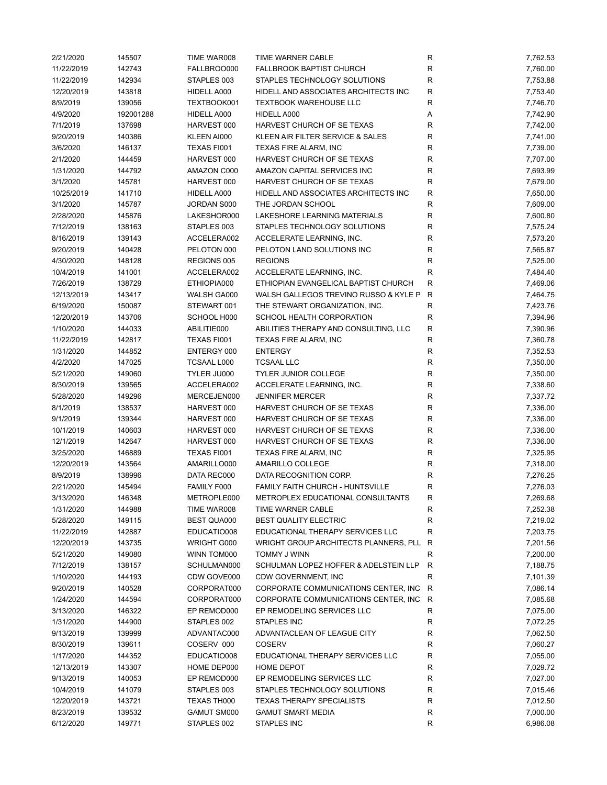| 2/21/2020  | 145507    | TIME WAR008                | TIME WARNER CABLE                     | R            | 7,762.53 |
|------------|-----------|----------------------------|---------------------------------------|--------------|----------|
| 11/22/2019 | 142743    | FALLBROO000                | <b>FALLBROOK BAPTIST CHURCH</b>       | R            | 7,760.00 |
| 11/22/2019 | 142934    | STAPLES 003                | STAPLES TECHNOLOGY SOLUTIONS          | R            | 7,753.88 |
| 12/20/2019 | 143818    | HIDELL A000                | HIDELL AND ASSOCIATES ARCHITECTS INC  | $\mathsf R$  | 7,753.40 |
| 8/9/2019   | 139056    | TEXTBOOK001                | <b>TEXTBOOK WAREHOUSE LLC</b>         | R            | 7,746.70 |
| 4/9/2020   | 192001288 | HIDELL A000                | HIDELL A000                           | Α            | 7,742.90 |
| 7/1/2019   | 137698    | HARVEST 000                | HARVEST CHURCH OF SE TEXAS            | R            | 7,742.00 |
| 9/20/2019  | 140386    | KLEEN AI000                | KLEEN AIR FILTER SERVICE & SALES      | $\mathsf R$  | 7,741.00 |
| 3/6/2020   | 146137    | TEXAS FI001                | TEXAS FIRE ALARM, INC                 | R            | 7,739.00 |
| 2/1/2020   | 144459    | HARVEST 000                | HARVEST CHURCH OF SE TEXAS            | R            | 7,707.00 |
| 1/31/2020  | 144792    | AMAZON C000                | AMAZON CAPITAL SERVICES INC           | R            | 7,693.99 |
| 3/1/2020   | 145781    | HARVEST 000                | HARVEST CHURCH OF SE TEXAS            | R            | 7,679.00 |
| 10/25/2019 | 141710    | HIDELL A000                | HIDELL AND ASSOCIATES ARCHITECTS INC  | R            | 7,650.00 |
| 3/1/2020   | 145787    | JORDAN S000                | THE JORDAN SCHOOL                     | R            | 7,609.00 |
| 2/28/2020  | 145876    | LAKESHOR000                | LAKESHORE LEARNING MATERIALS          | R            | 7,600.80 |
| 7/12/2019  | 138163    | STAPLES 003                | STAPLES TECHNOLOGY SOLUTIONS          | R            | 7,575.24 |
|            | 139143    | ACCELERA002                | ACCELERATE LEARNING, INC.             | R            | 7,573.20 |
| 8/16/2019  |           |                            |                                       |              |          |
| 9/20/2019  | 140428    | PELOTON 000                | PELOTON LAND SOLUTIONS INC            | $\mathsf R$  | 7,565.87 |
| 4/30/2020  | 148128    | REGIONS 005                | <b>REGIONS</b>                        | $\mathsf{R}$ | 7,525.00 |
| 10/4/2019  | 141001    | ACCELERA002                | ACCELERATE LEARNING, INC.             | R            | 7,484.40 |
| 7/26/2019  | 138729    | ETHIOPIA000                | ETHIOPIAN EVANGELICAL BAPTIST CHURCH  | $\mathsf R$  | 7,469.06 |
| 12/13/2019 | 143417    | WALSH GA000                | WALSH GALLEGOS TREVINO RUSSO & KYLE P | $\mathsf{R}$ | 7,464.75 |
| 6/19/2020  | 150087    | STEWART 001                | THE STEWART ORGANIZATION, INC.        | ${\sf R}$    | 7,423.76 |
| 12/20/2019 | 143706    | SCHOOL H000                | SCHOOL HEALTH CORPORATION             | R            | 7,394.96 |
| 1/10/2020  | 144033    | ABILITIE000                | ABILITIES THERAPY AND CONSULTING, LLC | $\mathsf{R}$ | 7,390.96 |
| 11/22/2019 | 142817    | TEXAS FI001                | TEXAS FIRE ALARM, INC                 | $\mathsf R$  | 7,360.78 |
| 1/31/2020  | 144852    | ENTERGY 000                | <b>ENTERGY</b>                        | R            | 7,352.53 |
| 4/2/2020   | 147025    | <b>TCSAAL L000</b>         | <b>TCSAAL LLC</b>                     | $\mathsf R$  | 7,350.00 |
| 5/21/2020  | 149060    | TYLER JU000                | <b>TYLER JUNIOR COLLEGE</b>           | $\mathsf{R}$ | 7,350.00 |
| 8/30/2019  | 139565    | ACCELERA002                | ACCELERATE LEARNING, INC.             | $\mathsf R$  | 7,338.60 |
| 5/28/2020  | 149296    | MERCEJEN000                | <b>JENNIFER MERCER</b>                | R            | 7,337.72 |
| 8/1/2019   | 138537    | HARVEST 000                | HARVEST CHURCH OF SE TEXAS            | R            | 7,336.00 |
| 9/1/2019   | 139344    | HARVEST 000                | HARVEST CHURCH OF SE TEXAS            | R            | 7,336.00 |
| 10/1/2019  | 140603    | HARVEST 000                | HARVEST CHURCH OF SE TEXAS            | R            | 7,336.00 |
| 12/1/2019  | 142647    | HARVEST 000                | HARVEST CHURCH OF SE TEXAS            | $\mathsf R$  | 7,336.00 |
| 3/25/2020  | 146889    | TEXAS FI001                | TEXAS FIRE ALARM, INC                 | $\mathsf{R}$ | 7,325.95 |
| 12/20/2019 | 143564    | AMARILLO000                | AMARILLO COLLEGE                      | R            | 7,318.00 |
| 8/9/2019   | 138996    | DATA REC000                | DATA RECOGNITION CORP.                | R            | 7,276.25 |
| 2/21/2020  | 145494    | FAMILY F000                | FAMILY FAITH CHURCH - HUNTSVILLE      | R            | 7,276.03 |
| 3/13/2020  | 146348    | METROPLE000                | METROPLEX EDUCATIONAL CONSULTANTS     | R            | 7,269.68 |
| 1/31/2020  | 144988    | TIME WAR008                | TIME WARNER CABLE                     | R            | 7,252.38 |
| 5/28/2020  | 149115    | <b>BEST QUA000</b>         | <b>BEST QUALITY ELECTRIC</b>          | R            | 7,219.02 |
| 11/22/2019 | 142887    | EDUCATIO008                | EDUCATIONAL THERAPY SERVICES LLC      | R            | 7,203.75 |
| 12/20/2019 | 143735    | WRIGHT G000                | WRIGHT GROUP ARCHITECTS PLANNERS, PLL | R            | 7,201.56 |
| 5/21/2020  | 149080    | WINN TOM000                | TOMMY J WINN                          | R            | 7,200.00 |
| 7/12/2019  | 138157    | SCHULMAN000                | SCHULMAN LOPEZ HOFFER & ADELSTEIN LLP | R            | 7,188.75 |
| 1/10/2020  | 144193    | CDW GOVE000                | CDW GOVERNMENT, INC                   | $\mathsf{R}$ | 7,101.39 |
| 9/20/2019  | 140528    | CORPORAT000                | CORPORATE COMMUNICATIONS CENTER, INC  | R            | 7,086.14 |
| 1/24/2020  | 144594    | CORPORAT000                | CORPORATE COMMUNICATIONS CENTER, INC  | R            | 7,085.68 |
|            |           |                            |                                       |              |          |
| 3/13/2020  | 146322    | EP REMOD000<br>STAPLES 002 | EP REMODELING SERVICES LLC            | ${\sf R}$    | 7,075.00 |
| 1/31/2020  | 144900    |                            | <b>STAPLES INC</b>                    | R            | 7,072.25 |
| 9/13/2019  | 139999    | ADVANTAC000                | ADVANTACLEAN OF LEAGUE CITY           | R            | 7,062.50 |
| 8/30/2019  | 139611    | COSERV 000                 | <b>COSERV</b>                         | R            | 7,060.27 |
| 1/17/2020  | 144352    | EDUCATIO008                | EDUCATIONAL THERAPY SERVICES LLC      | R            | 7,055.00 |
| 12/13/2019 | 143307    | HOME DEP000                | <b>HOME DEPOT</b>                     | R            | 7,029.72 |
| 9/13/2019  | 140053    | EP REMOD000                | EP REMODELING SERVICES LLC            | R            | 7,027.00 |
| 10/4/2019  | 141079    | STAPLES 003                | STAPLES TECHNOLOGY SOLUTIONS          | R            | 7,015.46 |
| 12/20/2019 | 143721    | TEXAS TH000                | <b>TEXAS THERAPY SPECIALISTS</b>      | R            | 7,012.50 |
| 8/23/2019  | 139532    | GAMUT SM000                | <b>GAMUT SMART MEDIA</b>              | R            | 7,000.00 |
| 6/12/2020  | 149771    | STAPLES 002                | STAPLES INC                           | R            | 6,986.08 |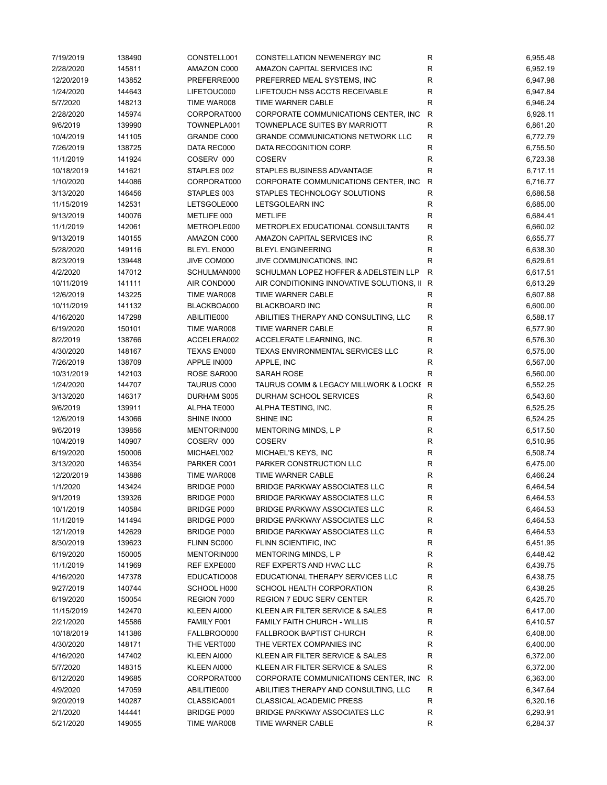| 7/19/2019  | 138490 | CONSTELL001        | CONSTELLATION NEWENERGY INC                 | R           | 6,955.48 |
|------------|--------|--------------------|---------------------------------------------|-------------|----------|
| 2/28/2020  | 145811 | AMAZON C000        | AMAZON CAPITAL SERVICES INC                 | R           | 6,952.19 |
| 12/20/2019 | 143852 | PREFERRE000        | PREFERRED MEAL SYSTEMS, INC                 | R           | 6,947.98 |
| 1/24/2020  | 144643 | LIFETOUC000        | LIFETOUCH NSS ACCTS RECEIVABLE              | R           | 6,947.84 |
| 5/7/2020   | 148213 | TIME WAR008        | TIME WARNER CABLE                           | R           | 6,946.24 |
| 2/28/2020  | 145974 | CORPORAT000        | CORPORATE COMMUNICATIONS CENTER, INC        | ${\sf R}$   | 6,928.11 |
| 9/6/2019   | 139990 | TOWNEPLA001        | TOWNEPLACE SUITES BY MARRIOTT               | ${\sf R}$   | 6,861.20 |
| 10/4/2019  | 141105 | GRANDE C000        | <b>GRANDE COMMUNICATIONS NETWORK LLC</b>    | $\mathsf R$ | 6,772.79 |
| 7/26/2019  | 138725 | DATA REC000        | DATA RECOGNITION CORP.                      | $\mathsf R$ | 6,755.50 |
| 11/1/2019  | 141924 | COSERV 000         | <b>COSERV</b>                               | R           | 6,723.38 |
| 10/18/2019 | 141621 | STAPLES 002        | STAPLES BUSINESS ADVANTAGE                  | $\mathsf R$ | 6,717.11 |
| 1/10/2020  | 144086 | CORPORAT000        | CORPORATE COMMUNICATIONS CENTER, INC.       | R           | 6,716.77 |
| 3/13/2020  | 146456 | STAPLES 003        | STAPLES TECHNOLOGY SOLUTIONS                | $\mathsf R$ | 6,686.58 |
| 11/15/2019 | 142531 | LETSGOLE000        | LETSGOLEARN INC                             | R           | 6,685.00 |
|            |        |                    | <b>METLIFE</b>                              |             |          |
| 9/13/2019  | 140076 | METLIFE 000        |                                             | R           | 6,684.41 |
| 11/1/2019  | 142061 | METROPLE000        | METROPLEX EDUCATIONAL CONSULTANTS           | $\mathsf R$ | 6,660.02 |
| 9/13/2019  | 140155 | AMAZON C000        | AMAZON CAPITAL SERVICES INC                 | $\mathsf R$ | 6,655.77 |
| 5/28/2020  | 149116 | <b>BLEYL EN000</b> | <b>BLEYL ENGINEERING</b>                    | R           | 6,638.30 |
| 8/23/2019  | 139448 | JIVE COM000        | JIVE COMMUNICATIONS, INC                    | R           | 6,629.61 |
| 4/2/2020   | 147012 | SCHULMAN000        | SCHULMAN LOPEZ HOFFER & ADELSTEIN LLP       | R           | 6,617.51 |
| 10/11/2019 | 141111 | AIR COND000        | AIR CONDITIONING INNOVATIVE SOLUTIONS, II R |             | 6,613.29 |
| 12/6/2019  | 143225 | TIME WAR008        | TIME WARNER CABLE                           | R           | 6,607.88 |
| 10/11/2019 | 141132 | BLACKBOA000        | <b>BLACKBOARD INC</b>                       | R           | 6,600.00 |
| 4/16/2020  | 147298 | ABILITIE000        | ABILITIES THERAPY AND CONSULTING, LLC       | ${\sf R}$   | 6,588.17 |
| 6/19/2020  | 150101 | TIME WAR008        | TIME WARNER CABLE                           | R           | 6,577.90 |
| 8/2/2019   | 138766 | ACCELERA002        | ACCELERATE LEARNING, INC.                   | ${\sf R}$   | 6,576.30 |
| 4/30/2020  | 148167 | TEXAS EN000        | TEXAS ENVIRONMENTAL SERVICES LLC            | R           | 6,575.00 |
| 7/26/2019  | 138709 | APPLE IN000        | APPLE, INC                                  | $\mathsf R$ | 6,567.00 |
| 10/31/2019 | 142103 | ROSE SAR000        | <b>SARAH ROSE</b>                           | $\mathsf R$ | 6,560.00 |
| 1/24/2020  | 144707 | <b>TAURUS C000</b> | TAURUS COMM & LEGACY MILLWORK & LOCKE R     |             | 6,552.25 |
| 3/13/2020  | 146317 | DURHAM S005        | DURHAM SCHOOL SERVICES                      | ${\sf R}$   | 6,543.60 |
| 9/6/2019   | 139911 | ALPHA TE000        | ALPHA TESTING, INC.                         | R           | 6,525.25 |
| 12/6/2019  | 143066 | SHINE IN000        | SHINE INC                                   | R           | 6,524.25 |
| 9/6/2019   | 139856 | MENTORIN000        | MENTORING MINDS, L P                        | R           | 6,517.50 |
| 10/4/2019  | 140907 | COSERV 000         | <b>COSERV</b>                               | R           | 6,510.95 |
| 6/19/2020  | 150006 | MICHAEL'002        | MICHAEL'S KEYS, INC                         | $\mathsf R$ | 6,508.74 |
| 3/13/2020  | 146354 | PARKER C001        | PARKER CONSTRUCTION LLC                     | R           | 6,475.00 |
| 12/20/2019 | 143886 | TIME WAR008        | TIME WARNER CABLE                           | ${\sf R}$   | 6,466.24 |
| 1/1/2020   | 143424 | <b>BRIDGE P000</b> | <b>BRIDGE PARKWAY ASSOCIATES LLC</b>        | R           | 6,464.54 |
| 9/1/2019   | 139326 | <b>BRIDGE P000</b> | <b>BRIDGE PARKWAY ASSOCIATES LLC</b>        | R           | 6,464.53 |
| 10/1/2019  | 140584 | <b>BRIDGE P000</b> | <b>BRIDGE PARKWAY ASSOCIATES LLC</b>        | R           | 6,464.53 |
| 11/1/2019  | 141494 | <b>BRIDGE P000</b> | <b>BRIDGE PARKWAY ASSOCIATES LLC</b>        | R           | 6,464.53 |
| 12/1/2019  | 142629 | BRIDGE P000        | <b>BRIDGE PARKWAY ASSOCIATES LLC</b>        | R           | 6,464.53 |
|            | 139623 | FLINN SC000        | FLINN SCIENTIFIC, INC                       | R           |          |
| 8/30/2019  |        |                    |                                             |             | 6,451.95 |
| 6/19/2020  | 150005 | MENTORIN000        | MENTORING MINDS, L P                        | R           | 6,448.42 |
| 11/1/2019  | 141969 | REF EXPE000        | REF EXPERTS AND HVAC LLC                    | R           | 6,439.75 |
| 4/16/2020  | 147378 | EDUCATIO008        | EDUCATIONAL THERAPY SERVICES LLC            | R           | 6,438.75 |
| 9/27/2019  | 140744 | SCHOOL H000        | SCHOOL HEALTH CORPORATION                   | R           | 6,438.25 |
| 6/19/2020  | 150054 | REGION 7000        | REGION 7 EDUC SERV CENTER                   | R           | 6,425.70 |
| 11/15/2019 | 142470 | KLEEN AI000        | KLEEN AIR FILTER SERVICE & SALES            | R           | 6,417.00 |
| 2/21/2020  | 145586 | FAMILY F001        | <b>FAMILY FAITH CHURCH - WILLIS</b>         | R           | 6,410.57 |
| 10/18/2019 | 141386 | FALLBROO000        | <b>FALLBROOK BAPTIST CHURCH</b>             | R           | 6,408.00 |
| 4/30/2020  | 148171 | THE VERT000        | THE VERTEX COMPANIES INC                    | R           | 6,400.00 |
| 4/16/2020  | 147402 | KLEEN AI000        | KLEEN AIR FILTER SERVICE & SALES            | R           | 6,372.00 |
| 5/7/2020   | 148315 | KLEEN AI000        | KLEEN AIR FILTER SERVICE & SALES            | R           | 6,372.00 |
| 6/12/2020  | 149685 | CORPORAT000        | CORPORATE COMMUNICATIONS CENTER, INC.       | R           | 6,363.00 |
| 4/9/2020   | 147059 | ABILITIE000        | ABILITIES THERAPY AND CONSULTING, LLC       | R           | 6,347.64 |
| 9/20/2019  | 140287 | CLASSICA001        | <b>CLASSICAL ACADEMIC PRESS</b>             | R           | 6,320.16 |
| 2/1/2020   | 144441 | BRIDGE P000        | <b>BRIDGE PARKWAY ASSOCIATES LLC</b>        | R           | 6,293.91 |
|            |        | TIME WAR008        | TIME WARNER CABLE                           | R           | 6,284.37 |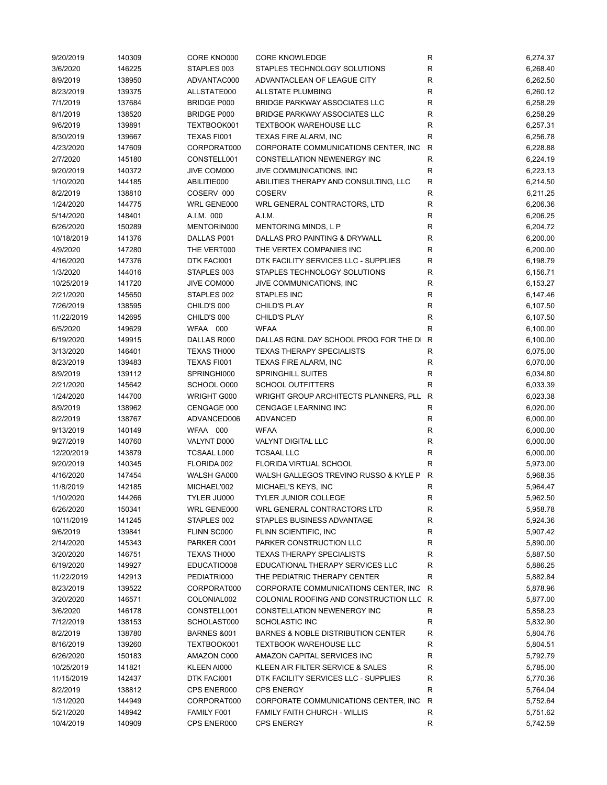| 9/20/2019  | 140309 | CORE KNO000            | <b>CORE KNOWLEDGE</b>                   | R            | 6,274.37 |
|------------|--------|------------------------|-----------------------------------------|--------------|----------|
| 3/6/2020   | 146225 | STAPLES 003            | STAPLES TECHNOLOGY SOLUTIONS            | R            | 6,268.40 |
| 8/9/2019   | 138950 | ADVANTAC000            | ADVANTACLEAN OF LEAGUE CITY             | R            | 6,262.50 |
| 8/23/2019  | 139375 | ALLSTATE000            | <b>ALLSTATE PLUMBING</b>                | $\mathsf R$  | 6,260.12 |
| 7/1/2019   | 137684 | <b>BRIDGE P000</b>     | <b>BRIDGE PARKWAY ASSOCIATES LLC</b>    | R            | 6,258.29 |
| 8/1/2019   | 138520 | <b>BRIDGE P000</b>     | <b>BRIDGE PARKWAY ASSOCIATES LLC</b>    | $\mathsf R$  | 6,258.29 |
| 9/6/2019   | 139891 | TEXTBOOK001            | <b>TEXTBOOK WAREHOUSE LLC</b>           | ${\sf R}$    | 6,257.31 |
| 8/30/2019  | 139667 | <b>TEXAS FI001</b>     | TEXAS FIRE ALARM, INC                   | ${\sf R}$    | 6,256.78 |
| 4/23/2020  | 147609 | CORPORAT000            | CORPORATE COMMUNICATIONS CENTER, INC    | R            | 6,228.88 |
| 2/7/2020   | 145180 | CONSTELL001            | CONSTELLATION NEWENERGY INC             | $\mathsf R$  | 6,224.19 |
| 9/20/2019  | 140372 | JIVE COM000            | JIVE COMMUNICATIONS, INC                | ${\sf R}$    | 6,223.13 |
| 1/10/2020  | 144185 | ABILITIE000            | ABILITIES THERAPY AND CONSULTING, LLC   | $\mathsf{R}$ | 6,214.50 |
| 8/2/2019   | 138810 | COSERV 000             | <b>COSERV</b>                           | $\mathsf R$  | 6,211.25 |
| 1/24/2020  | 144775 | WRL GENE000            | WRL GENERAL CONTRACTORS, LTD            | R            | 6,206.36 |
|            |        |                        |                                         |              |          |
| 5/14/2020  | 148401 | A.I.M. 000             | A.I.M.                                  | R            | 6,206.25 |
| 6/26/2020  | 150289 | MENTORIN000            | MENTORING MINDS, L P                    | $\mathsf R$  | 6,204.72 |
| 10/18/2019 | 141376 | DALLAS P001            | DALLAS PRO PAINTING & DRYWALL           | $\mathsf R$  | 6,200.00 |
| 4/9/2020   | 147280 | THE VERT000            | THE VERTEX COMPANIES INC                | $\mathsf R$  | 6,200.00 |
| 4/16/2020  | 147376 | DTK FACI001            | DTK FACILITY SERVICES LLC - SUPPLIES    | R            | 6,198.79 |
| 1/3/2020   | 144016 | STAPLES 003            | STAPLES TECHNOLOGY SOLUTIONS            | $\mathsf R$  | 6,156.71 |
| 10/25/2019 | 141720 | JIVE COM000            | JIVE COMMUNICATIONS, INC                | $\mathsf R$  | 6,153.27 |
| 2/21/2020  | 145650 | STAPLES 002            | <b>STAPLES INC</b>                      | R            | 6,147.46 |
| 7/26/2019  | 138595 | CHILD'S 000            | <b>CHILD'S PLAY</b>                     | $\mathsf R$  | 6,107.50 |
| 11/22/2019 | 142695 | CHILD'S 000            | <b>CHILD'S PLAY</b>                     | $\mathsf R$  | 6,107.50 |
| 6/5/2020   | 149629 | WFAA 000               | <b>WFAA</b>                             | R            | 6,100.00 |
| 6/19/2020  | 149915 | DALLAS R000            | DALLAS RGNL DAY SCHOOL PROG FOR THE DI  | R            | 6,100.00 |
| 3/13/2020  | 146401 | TEXAS TH000            | <b>TEXAS THERAPY SPECIALISTS</b>        | R            | 6,075.00 |
| 8/23/2019  | 139483 | TEXAS FI001            | TEXAS FIRE ALARM, INC                   | R            | 6,070.00 |
| 8/9/2019   | 139112 | SPRINGHI000            | <b>SPRINGHILL SUITES</b>                | R            | 6,034.80 |
| 2/21/2020  | 145642 | SCHOOL O000            | <b>SCHOOL OUTFITTERS</b>                | ${\sf R}$    | 6,033.39 |
| 1/24/2020  | 144700 | WRIGHT G000            | WRIGHT GROUP ARCHITECTS PLANNERS, PLL   | R            | 6,023.38 |
| 8/9/2019   | 138962 | CENGAGE 000            | CENGAGE LEARNING INC                    | R            | 6,020.00 |
| 8/2/2019   | 138767 | ADVANCED006            | <b>ADVANCED</b>                         | R            | 6,000.00 |
| 9/13/2019  | 140149 | WFAA 000               | <b>WFAA</b>                             | R            | 6,000.00 |
| 9/27/2019  | 140760 | VALYNT D000            | VALYNT DIGITAL LLC                      | $\mathsf R$  | 6,000.00 |
| 12/20/2019 | 143879 | <b>TCSAAL L000</b>     | <b>TCSAAL LLC</b>                       | $\mathsf R$  | 6,000.00 |
| 9/20/2019  | 140345 | FLORIDA 002            | FLORIDA VIRTUAL SCHOOL                  | $\mathsf R$  | 5,973.00 |
| 4/16/2020  | 147454 | WALSH GA000            | WALSH GALLEGOS TREVINO RUSSO & KYLE P   | $\mathsf{R}$ | 5,968.35 |
| 11/8/2019  | 142185 | MICHAEL'002            | MICHAEL'S KEYS, INC                     | R            | 5,964.47 |
| 1/10/2020  | 144266 | TYLER JU000            | TYLER JUNIOR COLLEGE                    | R            | 5,962.50 |
|            |        |                        |                                         |              |          |
| 6/26/2020  | 150341 | WRL GENE000            | WRL GENERAL CONTRACTORS LTD             | R            | 5,958.78 |
| 10/11/2019 | 141245 | STAPLES 002            | STAPLES BUSINESS ADVANTAGE              | R            | 5,924.36 |
| 9/6/2019   | 139841 | FLINN SC000            | FLINN SCIENTIFIC, INC                   | R            | 5,907.42 |
| 2/14/2020  | 145343 | PARKER C001            | PARKER CONSTRUCTION LLC                 | R            | 5,890.00 |
| 3/20/2020  | 146751 | TEXAS TH000            | <b>TEXAS THERAPY SPECIALISTS</b>        | R            | 5,887.50 |
| 6/19/2020  | 149927 | EDUCATIO008            | EDUCATIONAL THERAPY SERVICES LLC        | R            | 5,886.25 |
| 11/22/2019 | 142913 | PEDIATRI000            | THE PEDIATRIC THERAPY CENTER            | $\mathsf R$  | 5,882.84 |
| 8/23/2019  | 139522 | CORPORAT000            | CORPORATE COMMUNICATIONS CENTER, INC    | R            | 5,878.96 |
| 3/20/2020  | 146571 | COLONIAL002            | COLONIAL ROOFING AND CONSTRUCTION LLC R |              | 5,877.00 |
| 3/6/2020   | 146178 | CONSTELL001            | CONSTELLATION NEWENERGY INC             | R            | 5,858.23 |
| 7/12/2019  | 138153 | SCHOLAST000            | <b>SCHOLASTIC INC</b>                   | R            | 5,832.90 |
| 8/2/2019   | 138780 | <b>BARNES &amp;001</b> | BARNES & NOBLE DISTRIBUTION CENTER      | ${\sf R}$    | 5,804.76 |
| 8/16/2019  | 139260 | TEXTBOOK001            | <b>TEXTBOOK WAREHOUSE LLC</b>           | R            | 5,804.51 |
| 6/26/2020  | 150183 | AMAZON C000            | AMAZON CAPITAL SERVICES INC             | R            | 5,792.79 |
| 10/25/2019 | 141821 | KLEEN AI000            | KLEEN AIR FILTER SERVICE & SALES        | R            | 5,785.00 |
| 11/15/2019 | 142437 | DTK FACI001            | DTK FACILITY SERVICES LLC - SUPPLIES    | R            | 5,770.36 |
| 8/2/2019   | 138812 | CPS ENER000            | <b>CPS ENERGY</b>                       | $\mathsf{R}$ | 5,764.04 |
| 1/31/2020  | 144949 | CORPORAT000            | CORPORATE COMMUNICATIONS CENTER, INC.   | R            | 5,752.64 |
| 5/21/2020  | 148942 | FAMILY F001            | <b>FAMILY FAITH CHURCH - WILLIS</b>     | R            | 5,751.62 |
| 10/4/2019  | 140909 | CPS ENER000            | <b>CPS ENERGY</b>                       | R            | 5,742.59 |
|            |        |                        |                                         |              |          |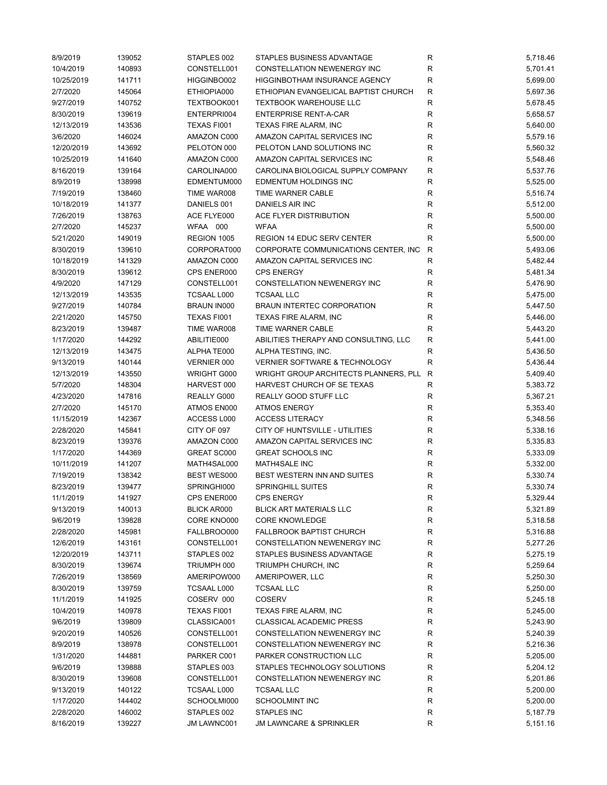| 8/9/2019   | 139052 | STAPLES 002        | STAPLES BUSINESS ADVANTAGE            | R            | 5,718.46 |
|------------|--------|--------------------|---------------------------------------|--------------|----------|
| 10/4/2019  | 140893 | CONSTELL001        | <b>CONSTELLATION NEWENERGY INC</b>    | $\mathsf R$  | 5,701.41 |
| 10/25/2019 | 141711 | HIGGINBO002        | HIGGINBOTHAM INSURANCE AGENCY         | R            | 5,699.00 |
| 2/7/2020   | 145064 | ETHIOPIA000        | ETHIOPIAN EVANGELICAL BAPTIST CHURCH  | ${\sf R}$    | 5,697.36 |
| 9/27/2019  | 140752 | TEXTBOOK001        | <b>TEXTBOOK WAREHOUSE LLC</b>         | R            | 5,678.45 |
| 8/30/2019  | 139619 | ENTERPRI004        | <b>ENTERPRISE RENT-A-CAR</b>          | $\mathsf R$  | 5,658.57 |
| 12/13/2019 | 143536 | TEXAS FI001        | TEXAS FIRE ALARM, INC                 | $\mathsf R$  | 5,640.00 |
| 3/6/2020   | 146024 | AMAZON C000        | AMAZON CAPITAL SERVICES INC           | $\mathsf R$  | 5,579.16 |
| 12/20/2019 | 143692 | PELOTON 000        | PELOTON LAND SOLUTIONS INC            | $\mathsf R$  | 5,560.32 |
| 10/25/2019 | 141640 | AMAZON C000        | AMAZON CAPITAL SERVICES INC           | R            | 5,548.46 |
| 8/16/2019  | 139164 | CAROLINA000        | CAROLINA BIOLOGICAL SUPPLY COMPANY    | $\mathsf R$  | 5,537.76 |
| 8/9/2019   | 138998 | EDMENTUM000        | <b>EDMENTUM HOLDINGS INC</b>          | $\mathsf R$  | 5,525.00 |
| 7/19/2019  | 138460 | TIME WAR008        | TIME WARNER CABLE                     | R            | 5,516.74 |
| 10/18/2019 | 141377 | DANIELS 001        | DANIELS AIR INC                       | R            | 5,512.00 |
| 7/26/2019  | 138763 | ACE FLYE000        | ACE FLYER DISTRIBUTION                | R            | 5,500.00 |
|            |        |                    |                                       |              |          |
| 2/7/2020   | 145237 | WFAA 000           | <b>WFAA</b>                           | $\mathsf R$  | 5,500.00 |
| 5/21/2020  | 149019 | REGION 1005        | REGION 14 EDUC SERV CENTER            | $\mathsf{R}$ | 5,500.00 |
| 8/30/2019  | 139610 | CORPORAT000        | CORPORATE COMMUNICATIONS CENTER, INC  | $\mathsf{R}$ | 5,493.06 |
| 10/18/2019 | 141329 | AMAZON C000        | AMAZON CAPITAL SERVICES INC           | $\mathsf R$  | 5,482.44 |
| 8/30/2019  | 139612 | CPS ENER000        | <b>CPS ENERGY</b>                     | R            | 5,481.34 |
| 4/9/2020   | 147129 | CONSTELL001        | CONSTELLATION NEWENERGY INC           | ${\sf R}$    | 5,476.90 |
| 12/13/2019 | 143535 | <b>TCSAAL L000</b> | <b>TCSAAL LLC</b>                     | $\mathsf R$  | 5,475.00 |
| 9/27/2019  | 140784 | <b>BRAUN IN000</b> | BRAUN INTERTEC CORPORATION            | $\mathsf R$  | 5,447.50 |
| 2/21/2020  | 145750 | TEXAS FI001        | TEXAS FIRE ALARM, INC                 | R            | 5,446.00 |
| 8/23/2019  | 139487 | TIME WAR008        | TIME WARNER CABLE                     | R            | 5,443.20 |
| 1/17/2020  | 144292 | ABILITIE000        | ABILITIES THERAPY AND CONSULTING, LLC | ${\sf R}$    | 5,441.00 |
| 12/13/2019 | 143475 | ALPHATE000         | ALPHA TESTING, INC.                   | $\mathsf R$  | 5,436.50 |
| 9/13/2019  | 140144 | VERNIER 000        | VERNIER SOFTWARE & TECHNOLOGY         | $\mathsf{R}$ | 5,436.44 |
| 12/13/2019 | 143550 | WRIGHT G000        | WRIGHT GROUP ARCHITECTS PLANNERS, PLL | R            | 5,409.40 |
| 5/7/2020   | 148304 | HARVEST 000        | HARVEST CHURCH OF SE TEXAS            | R            | 5,383.72 |
| 4/23/2020  | 147816 | REALLY G000        | REALLY GOOD STUFF LLC                 | $\mathsf R$  | 5,367.21 |
| 2/7/2020   | 145170 | ATMOS EN000        | <b>ATMOS ENERGY</b>                   | R            | 5,353.40 |
| 11/15/2019 | 142367 | ACCESS L000        | <b>ACCESS LITERACY</b>                | $\mathsf R$  | 5,348.56 |
| 2/28/2020  | 145841 | CITY OF 097        | CITY OF HUNTSVILLE - UTILITIES        | R            | 5,338.16 |
| 8/23/2019  | 139376 | AMAZON C000        | AMAZON CAPITAL SERVICES INC           | R            | 5,335.83 |
| 1/17/2020  | 144369 | GREAT SC000        | <b>GREAT SCHOOLS INC</b>              | R            | 5,333.09 |
| 10/11/2019 | 141207 | MATH4SAL000        | MATH4SALE INC                         | R            | 5,332.00 |
| 7/19/2019  | 138342 | BEST WES000        | BEST WESTERN INN AND SUITES           | ${\sf R}$    | 5,330.74 |
| 8/23/2019  | 139477 | SPRINGHI000        | <b>SPRINGHILL SUITES</b>              |              |          |
|            |        |                    |                                       | R            | 5,330.74 |
| 11/1/2019  | 141927 | CPS ENER000        | CPS ENERGY                            | R            | 5,329.44 |
| 9/13/2019  | 140013 | <b>BLICK AR000</b> | <b>BLICK ART MATERIALS LLC</b>        | R            | 5,321.89 |
| 9/6/2019   | 139828 | CORE KNO000        | <b>CORE KNOWLEDGE</b>                 | R            | 5,318.58 |
| 2/28/2020  | 145981 | FALLBROO000        | <b>FALLBROOK BAPTIST CHURCH</b>       | ${\sf R}$    | 5,316.88 |
| 12/6/2019  | 143161 | CONSTELL001        | <b>CONSTELLATION NEWENERGY INC</b>    | R            | 5,277.26 |
| 12/20/2019 | 143711 | STAPLES 002        | STAPLES BUSINESS ADVANTAGE            | R            | 5,275.19 |
| 8/30/2019  | 139674 | TRIUMPH 000        | TRIUMPH CHURCH, INC                   | R            | 5,259.64 |
| 7/26/2019  | 138569 | AMERIPOW000        | AMERIPOWER, LLC                       | ${\sf R}$    | 5,250.30 |
| 8/30/2019  | 139759 | TCSAAL L000        | <b>TCSAAL LLC</b>                     | ${\sf R}$    | 5,250.00 |
| 11/1/2019  | 141925 | COSERV 000         | <b>COSERV</b>                         | R            | 5,245.18 |
| 10/4/2019  | 140978 | TEXAS FI001        | TEXAS FIRE ALARM, INC                 | R            | 5,245.00 |
| 9/6/2019   | 139809 | CLASSICA001        | <b>CLASSICAL ACADEMIC PRESS</b>       | R            | 5,243.90 |
| 9/20/2019  | 140526 | CONSTELL001        | CONSTELLATION NEWENERGY INC           | R            | 5,240.39 |
| 8/9/2019   | 138978 | CONSTELL001        | CONSTELLATION NEWENERGY INC           | ${\sf R}$    | 5,216.36 |
| 1/31/2020  | 144881 | PARKER C001        | PARKER CONSTRUCTION LLC               | R            | 5,205.00 |
| 9/6/2019   | 139888 | STAPLES 003        | STAPLES TECHNOLOGY SOLUTIONS          | R            | 5,204.12 |
| 8/30/2019  | 139608 | CONSTELL001        | CONSTELLATION NEWENERGY INC           | R            | 5,201.86 |
| 9/13/2019  | 140122 | TCSAAL L000        | <b>TCSAAL LLC</b>                     | $\mathsf R$  | 5,200.00 |
| 1/17/2020  | 144402 | SCHOOLMI000        | <b>SCHOOLMINT INC</b>                 | R            | 5,200.00 |
| 2/28/2020  | 146002 | STAPLES 002        | STAPLES INC                           | R            | 5,187.79 |
| 8/16/2019  | 139227 | JM LAWNC001        | <b>JM LAWNCARE &amp; SPRINKLER</b>    | ${\sf R}$    | 5,151.16 |
|            |        |                    |                                       |              |          |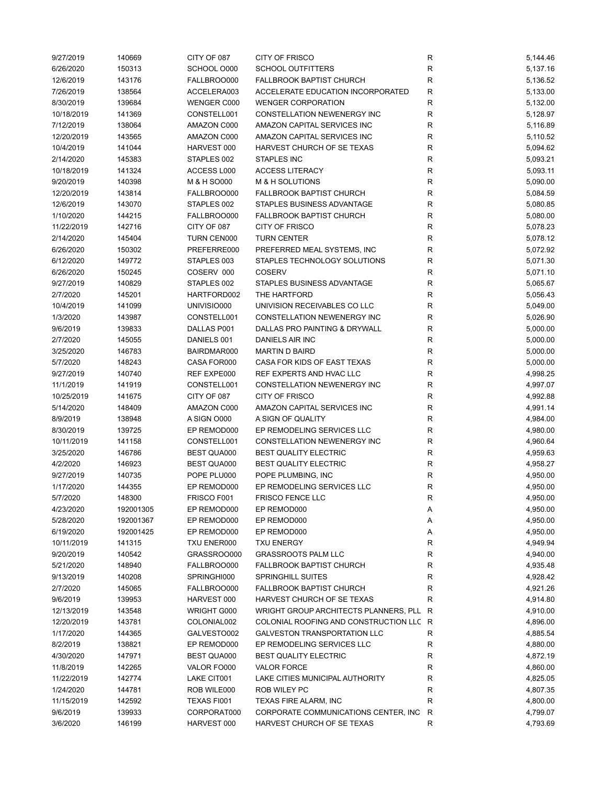| 9/27/2019  | 140669    | CITY OF 087        | <b>CITY OF FRISCO</b>                   | R            | 5,144.46 |
|------------|-----------|--------------------|-----------------------------------------|--------------|----------|
| 6/26/2020  | 150313    | SCHOOL O000        | <b>SCHOOL OUTFITTERS</b>                | R            | 5,137.16 |
| 12/6/2019  | 143176    | FALLBROO000        | <b>FALLBROOK BAPTIST CHURCH</b>         | R            | 5,136.52 |
| 7/26/2019  | 138564    | ACCELERA003        | ACCELERATE EDUCATION INCORPORATED       | R            | 5,133.00 |
| 8/30/2019  | 139684    | WENGER C000        | <b>WENGER CORPORATION</b>               | R            | 5,132.00 |
| 10/18/2019 | 141369    | CONSTELL001        | CONSTELLATION NEWENERGY INC             | $\mathsf{R}$ | 5,128.97 |
| 7/12/2019  | 138064    | AMAZON C000        | AMAZON CAPITAL SERVICES INC             | $\mathsf{R}$ | 5,116.89 |
| 12/20/2019 | 143565    | AMAZON C000        | AMAZON CAPITAL SERVICES INC             | R            | 5,110.52 |
| 10/4/2019  | 141044    | HARVEST 000        | HARVEST CHURCH OF SE TEXAS              | R            | 5,094.62 |
| 2/14/2020  | 145383    | STAPLES 002        | <b>STAPLES INC</b>                      | R            | 5,093.21 |
| 10/18/2019 | 141324    | ACCESS L000        | <b>ACCESS LITERACY</b>                  | R            | 5,093.11 |
| 9/20/2019  | 140398    | M & H SO000        | M & H SOLUTIONS                         | R            | 5,090.00 |
| 12/20/2019 | 143814    | FALLBROO000        | <b>FALLBROOK BAPTIST CHURCH</b>         | R            | 5,084.59 |
| 12/6/2019  | 143070    | STAPLES 002        | STAPLES BUSINESS ADVANTAGE              | R            | 5,080.85 |
| 1/10/2020  | 144215    | FALLBROO000        | <b>FALLBROOK BAPTIST CHURCH</b>         | R            | 5,080.00 |
| 11/22/2019 | 142716    | CITY OF 087        | <b>CITY OF FRISCO</b>                   | R            | 5,078.23 |
| 2/14/2020  | 145404    | TURN CEN000        | <b>TURN CENTER</b>                      | $\mathsf{R}$ | 5,078.12 |
|            |           |                    |                                         |              |          |
| 6/26/2020  | 150302    | PREFERRE000        | PREFERRED MEAL SYSTEMS, INC             | R            | 5,072.92 |
| 6/12/2020  | 149772    | STAPLES 003        | STAPLES TECHNOLOGY SOLUTIONS            | R            | 5,071.30 |
| 6/26/2020  | 150245    | COSERV 000         | <b>COSERV</b>                           | R            | 5,071.10 |
| 9/27/2019  | 140829    | STAPLES 002        | STAPLES BUSINESS ADVANTAGE              | R            | 5,065.67 |
| 2/7/2020   | 145201    | HARTFORD002        | THE HARTFORD                            | R            | 5,056.43 |
| 10/4/2019  | 141099    | UNIVISIO000        | UNIVISION RECEIVABLES CO LLC            | R            | 5,049.00 |
| 1/3/2020   | 143987    | CONSTELL001        | CONSTELLATION NEWENERGY INC             | R            | 5,026.90 |
| 9/6/2019   | 139833    | DALLAS P001        | DALLAS PRO PAINTING & DRYWALL           | R            | 5,000.00 |
| 2/7/2020   | 145055    | DANIELS 001        | DANIELS AIR INC                         | R            | 5,000.00 |
| 3/25/2020  | 146783    | BAIRDMAR000        | <b>MARTIN D BAIRD</b>                   | $\mathsf{R}$ | 5,000.00 |
| 5/7/2020   | 148243    | CASA FOR000        | CASA FOR KIDS OF EAST TEXAS             | R            | 5,000.00 |
| 9/27/2019  | 140740    | REF EXPE000        | REF EXPERTS AND HVAC LLC                | R            | 4,998.25 |
| 11/1/2019  | 141919    | CONSTELL001        | CONSTELLATION NEWENERGY INC             | R            | 4,997.07 |
| 10/25/2019 | 141675    | CITY OF 087        | <b>CITY OF FRISCO</b>                   | R            | 4,992.88 |
| 5/14/2020  | 148409    | AMAZON C000        | AMAZON CAPITAL SERVICES INC             | R            | 4,991.14 |
| 8/9/2019   | 138948    | A SIGN O000        | A SIGN OF QUALITY                       | R            | 4,984.00 |
| 8/30/2019  | 139725    | EP REMOD000        | EP REMODELING SERVICES LLC              | R            | 4,980.00 |
| 10/11/2019 | 141158    | CONSTELL001        | CONSTELLATION NEWENERGY INC             | R            | 4,960.64 |
| 3/25/2020  | 146786    | <b>BEST QUA000</b> | <b>BEST QUALITY ELECTRIC</b>            | R            | 4,959.63 |
| 4/2/2020   | 146923    | BEST QUA000        | <b>BEST QUALITY ELECTRIC</b>            | $\mathsf{R}$ | 4,958.27 |
| 9/27/2019  | 140735    | POPE PLU000        | POPE PLUMBING, INC                      | R            | 4,950.00 |
| 1/17/2020  | 144355    | EP REMOD000        | EP REMODELING SERVICES LLC              | R            | 4,950.00 |
| 5/7/2020   | 148300    | FRISCO F001        | FRISCO FENCE LLC                        | R            | 4,950.00 |
| 4/23/2020  | 192001305 | EP REMOD000        | EP REMOD000                             | Α            | 4,950.00 |
| 5/28/2020  | 192001367 | EP REMOD000        | EP REMOD000                             | Α            | 4,950.00 |
| 6/19/2020  | 192001425 | EP REMOD000        | EP REMOD000                             | Α            | 4,950.00 |
| 10/11/2019 | 141315    | TXU ENER000        | <b>TXU ENERGY</b>                       | R            | 4,949.94 |
| 9/20/2019  | 140542    | GRASSROO000        | <b>GRASSROOTS PALM LLC</b>              | R            | 4,940.00 |
| 5/21/2020  | 148940    | FALLBROO000        | <b>FALLBROOK BAPTIST CHURCH</b>         | R            | 4,935.48 |
| 9/13/2019  | 140208    | SPRINGHI000        | <b>SPRINGHILL SUITES</b>                | $\mathsf{R}$ | 4,928.42 |
|            |           |                    |                                         |              |          |
| 2/7/2020   | 145065    | FALLBROO000        | <b>FALLBROOK BAPTIST CHURCH</b>         | $\mathsf{R}$ | 4,921.26 |
| 9/6/2019   | 139953    | HARVEST 000        | HARVEST CHURCH OF SE TEXAS              | R            | 4,914.80 |
| 12/13/2019 | 143548    | WRIGHT G000        | WRIGHT GROUP ARCHITECTS PLANNERS, PLL R |              | 4,910.00 |
| 12/20/2019 | 143781    | COLONIAL002        | COLONIAL ROOFING AND CONSTRUCTION LLC R |              | 4,896.00 |
| 1/17/2020  | 144365    | GALVESTO002        | <b>GALVESTON TRANSPORTATION LLC</b>     | R            | 4,885.54 |
| 8/2/2019   | 138821    | EP REMOD000        | EP REMODELING SERVICES LLC              | R            | 4,880.00 |
| 4/30/2020  | 147971    | <b>BEST QUA000</b> | <b>BEST QUALITY ELECTRIC</b>            | R            | 4,872.19 |
| 11/8/2019  | 142265    | VALOR FO000        | <b>VALOR FORCE</b>                      | R            | 4,860.00 |
| 11/22/2019 | 142774    | LAKE CIT001        | LAKE CITIES MUNICIPAL AUTHORITY         | R            | 4,825.05 |
| 1/24/2020  | 144781    | ROB WILE000        | ROB WILEY PC                            | R            | 4,807.35 |
| 11/15/2019 | 142592    | TEXAS FI001        | TEXAS FIRE ALARM, INC                   | $\mathsf{R}$ | 4,800.00 |
| 9/6/2019   | 139933    | CORPORAT000        | CORPORATE COMMUNICATIONS CENTER, INC    | R            | 4,799.07 |
| 3/6/2020   | 146199    | HARVEST 000        | HARVEST CHURCH OF SE TEXAS              | R            | 4,793.69 |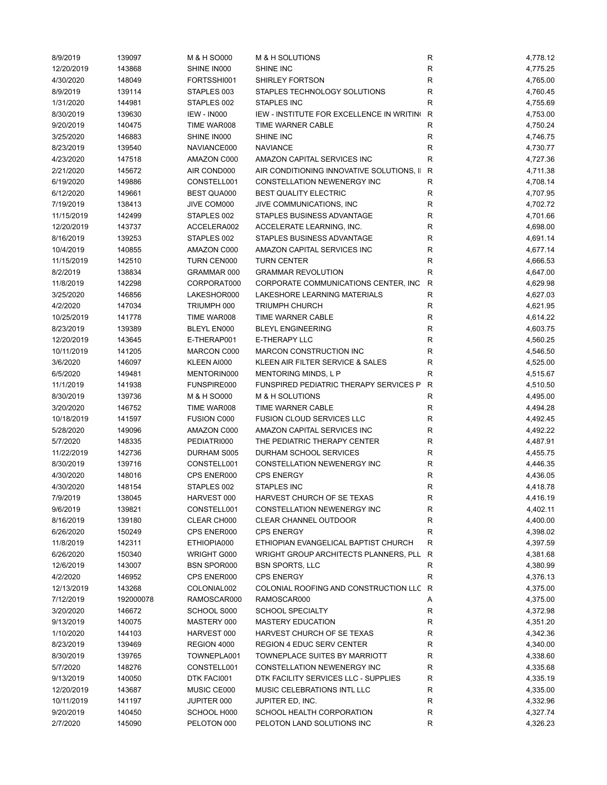| 8/9/2019   | 139097    | M & H SO000        | M & H SOLUTIONS                                  | R            | 4,778.12 |
|------------|-----------|--------------------|--------------------------------------------------|--------------|----------|
| 12/20/2019 | 143868    | SHINE IN000        | SHINE INC                                        | R            | 4,775.25 |
| 4/30/2020  | 148049    | FORTSSHI001        | SHIRLEY FORTSON                                  | R            | 4,765.00 |
| 8/9/2019   | 139114    | STAPLES 003        | STAPLES TECHNOLOGY SOLUTIONS                     | R            | 4,760.45 |
| 1/31/2020  | 144981    | STAPLES 002        | <b>STAPLES INC</b>                               | R            | 4,755.69 |
| 8/30/2019  | 139630    | <b>IEW - IN000</b> | <b>IEW - INSTITUTE FOR EXCELLENCE IN WRITING</b> | R            | 4,753.00 |
| 9/20/2019  | 140475    | TIME WAR008        | <b>TIME WARNER CABLE</b>                         | R            | 4,750.24 |
| 3/25/2020  | 146883    | SHINE IN000        | SHINE INC                                        | R            | 4,746.75 |
| 8/23/2019  | 139540    | NAVIANCE000        | <b>NAVIANCE</b>                                  | $\mathsf R$  | 4,730.77 |
| 4/23/2020  | 147518    | AMAZON C000        | AMAZON CAPITAL SERVICES INC                      | $\mathsf R$  | 4,727.36 |
| 2/21/2020  | 145672    | AIR COND000        | AIR CONDITIONING INNOVATIVE SOLUTIONS, II        | R            | 4,711.38 |
| 6/19/2020  | 149886    | CONSTELL001        | CONSTELLATION NEWENERGY INC                      | R            | 4,708.14 |
| 6/12/2020  | 149661    | <b>BEST QUA000</b> | <b>BEST QUALITY ELECTRIC</b>                     | R            | 4,707.95 |
| 7/19/2019  | 138413    | JIVE COM000        | JIVE COMMUNICATIONS, INC                         | R            | 4,702.72 |
| 11/15/2019 | 142499    | STAPLES 002        | STAPLES BUSINESS ADVANTAGE                       | R            | 4,701.66 |
|            |           |                    |                                                  |              |          |
| 12/20/2019 | 143737    | ACCELERA002        | ACCELERATE LEARNING, INC.                        | R            | 4,698.00 |
| 8/16/2019  | 139253    | STAPLES 002        | STAPLES BUSINESS ADVANTAGE                       | R            | 4,691.14 |
| 10/4/2019  | 140855    | AMAZON C000        | AMAZON CAPITAL SERVICES INC                      | $\mathsf R$  | 4,677.14 |
| 11/15/2019 | 142510    | TURN CEN000        | <b>TURN CENTER</b>                               | R            | 4,666.53 |
| 8/2/2019   | 138834    | GRAMMAR 000        | <b>GRAMMAR REVOLUTION</b>                        | R            | 4,647.00 |
| 11/8/2019  | 142298    | CORPORAT000        | CORPORATE COMMUNICATIONS CENTER, INC.            | R            | 4,629.98 |
| 3/25/2020  | 146856    | LAKESHOR000        | LAKESHORE LEARNING MATERIALS                     | ${\sf R}$    | 4,627.03 |
| 4/2/2020   | 147034    | TRIUMPH 000        | <b>TRIUMPH CHURCH</b>                            | R            | 4,621.95 |
| 10/25/2019 | 141778    | TIME WAR008        | <b>TIME WARNER CABLE</b>                         | R            | 4,614.22 |
| 8/23/2019  | 139389    | BLEYL EN000        | <b>BLEYL ENGINEERING</b>                         | R            | 4,603.75 |
| 12/20/2019 | 143645    | E-THERAP001        | E-THERAPY LLC                                    | R            | 4,560.25 |
| 10/11/2019 | 141205    | MARCON C000        | MARCON CONSTRUCTION INC                          | R            | 4,546.50 |
| 3/6/2020   | 146097    | KLEEN AI000        | KLEEN AIR FILTER SERVICE & SALES                 | $\mathsf R$  | 4,525.00 |
| 6/5/2020   | 149481    | MENTORIN000        | MENTORING MINDS, L P                             | $\mathsf R$  | 4,515.67 |
| 11/1/2019  | 141938    | FUNSPIRE000        | FUNSPIRED PEDIATRIC THERAPY SERVICES P           | R            | 4,510.50 |
| 8/30/2019  | 139736    | M & H SO000        | M & H SOLUTIONS                                  | $\mathsf R$  | 4,495.00 |
| 3/20/2020  | 146752    | TIME WAR008        | TIME WARNER CABLE                                | R            | 4,494.28 |
| 10/18/2019 | 141597    | <b>FUSION C000</b> | <b>FUSION CLOUD SERVICES LLC</b>                 | R            | 4,492.45 |
| 5/28/2020  | 149096    | AMAZON C000        | AMAZON CAPITAL SERVICES INC                      | R            | 4,492.22 |
| 5/7/2020   | 148335    | PEDIATRI000        | THE PEDIATRIC THERAPY CENTER                     | R            | 4,487.91 |
| 11/22/2019 | 142736    | DURHAM S005        | DURHAM SCHOOL SERVICES                           | R            | 4,455.75 |
| 8/30/2019  | 139716    | CONSTELL001        | <b>CONSTELLATION NEWENERGY INC</b>               | R            | 4,446.35 |
| 4/30/2020  | 148016    | CPS ENER000        | <b>CPS ENERGY</b>                                | ${\sf R}$    | 4,436.05 |
| 4/30/2020  | 148154    | STAPLES 002        | <b>STAPLES INC</b>                               | R            | 4,418.78 |
| 7/9/2019   | 138045    | HARVEST 000        | HARVEST CHURCH OF SE TEXAS                       | R            | 4,416.19 |
| 9/6/2019   |           | CONSTELL001        | CONSTELLATION NEWENERGY INC                      |              |          |
|            | 139821    |                    |                                                  | R            | 4,402.11 |
| 8/16/2019  | 139180    | CLEAR CH000        | CLEAR CHANNEL OUTDOOR                            | R            | 4,400.00 |
| 6/26/2020  | 150249    | CPS ENER000        | <b>CPS ENERGY</b>                                | R            | 4,398.02 |
| 11/8/2019  | 142311    | ETHIOPIA000        | ETHIOPIAN EVANGELICAL BAPTIST CHURCH             | R            | 4,397.59 |
| 6/26/2020  | 150340    | WRIGHT G000        | WRIGHT GROUP ARCHITECTS PLANNERS, PLL            | R            | 4,381.68 |
| 12/6/2019  | 143007    | BSN SPOR000        | <b>BSN SPORTS, LLC</b>                           | R            | 4,380.99 |
| 4/2/2020   | 146952    | CPS ENER000        | <b>CPS ENERGY</b>                                | $\mathsf R$  | 4,376.13 |
| 12/13/2019 | 143268    | COLONIAL002        | COLONIAL ROOFING AND CONSTRUCTION LLC            | $\mathsf{R}$ | 4,375.00 |
| 7/12/2019  | 192000078 | RAMOSCAR000        | RAMOSCAR000                                      | Α            | 4,375.00 |
| 3/20/2020  | 146672    | SCHOOL S000        | <b>SCHOOL SPECIALTY</b>                          | R            | 4,372.98 |
| 9/13/2019  | 140075    | MASTERY 000        | <b>MASTERY EDUCATION</b>                         | R            | 4,351.20 |
| 1/10/2020  | 144103    | HARVEST 000        | HARVEST CHURCH OF SE TEXAS                       | R            | 4,342.36 |
| 8/23/2019  | 139469    | REGION 4000        | <b>REGION 4 EDUC SERV CENTER</b>                 | R            | 4,340.00 |
| 8/30/2019  | 139765    | TOWNEPLA001        | TOWNEPLACE SUITES BY MARRIOTT                    | R            | 4,338.60 |
| 5/7/2020   | 148276    | CONSTELL001        | CONSTELLATION NEWENERGY INC                      | R            | 4,335.68 |
| 9/13/2019  | 140050    | DTK FACI001        | DTK FACILITY SERVICES LLC - SUPPLIES             | R            | 4,335.19 |
| 12/20/2019 | 143687    | MUSIC CE000        | MUSIC CELEBRATIONS INTL LLC                      | R            | 4,335.00 |
| 10/11/2019 | 141197    | JUPITER 000        | JUPITER ED, INC.                                 | R            | 4,332.96 |
| 9/20/2019  | 140450    | SCHOOL H000        | SCHOOL HEALTH CORPORATION                        | R            | 4,327.74 |
| 2/7/2020   | 145090    | PELOTON 000        | PELOTON LAND SOLUTIONS INC                       | R            | 4,326.23 |
|            |           |                    |                                                  |              |          |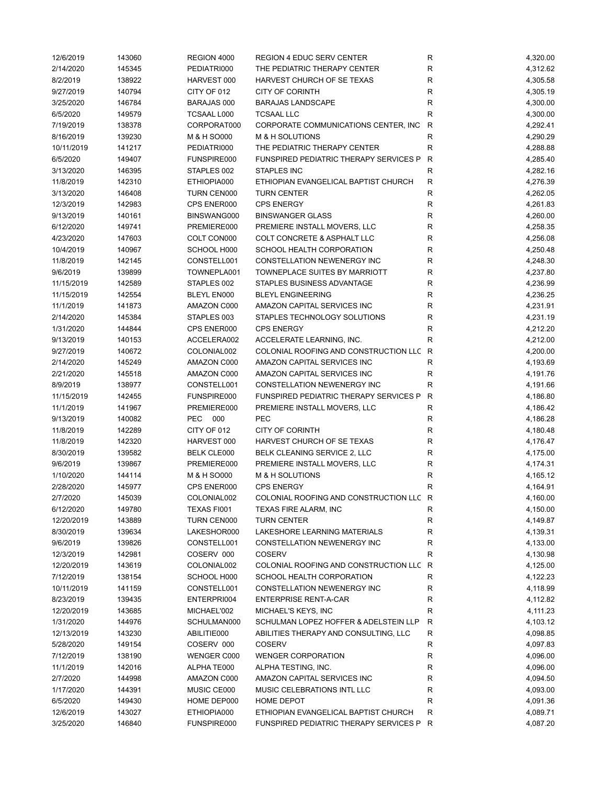| 12/6/2019  | 143060 | REGION 4000        | <b>REGION 4 EDUC SERV CENTER</b>         | R            | 4,320.00 |
|------------|--------|--------------------|------------------------------------------|--------------|----------|
| 2/14/2020  | 145345 | PEDIATRI000        | THE PEDIATRIC THERAPY CENTER             | R            | 4,312.62 |
| 8/2/2019   | 138922 | HARVEST 000        | HARVEST CHURCH OF SE TEXAS               | R            | 4,305.58 |
| 9/27/2019  | 140794 | CITY OF 012        | <b>CITY OF CORINTH</b>                   | R            | 4,305.19 |
| 3/25/2020  | 146784 | BARAJAS 000        | <b>BARAJAS LANDSCAPE</b>                 | R            | 4,300.00 |
| 6/5/2020   | 149579 | TCSAAL L000        | <b>TCSAAL LLC</b>                        | $\mathsf R$  | 4,300.00 |
| 7/19/2019  | 138378 | CORPORAT000        | CORPORATE COMMUNICATIONS CENTER, INC     | ${\sf R}$    | 4,292.41 |
| 8/16/2019  | 139230 | M & H SO000        | M & H SOLUTIONS                          | ${\sf R}$    | 4,290.29 |
| 10/11/2019 | 141217 | PEDIATRI000        | THE PEDIATRIC THERAPY CENTER             | $\mathsf R$  | 4,288.88 |
| 6/5/2020   | 149407 | FUNSPIRE000        | FUNSPIRED PEDIATRIC THERAPY SERVICES P   | R            | 4,285.40 |
| 3/13/2020  | 146395 | STAPLES 002        | <b>STAPLES INC</b>                       | $\mathsf R$  | 4,282.16 |
| 11/8/2019  | 142310 | ETHIOPIA000        | ETHIOPIAN EVANGELICAL BAPTIST CHURCH     | R            | 4,276.39 |
| 3/13/2020  | 146408 | TURN CEN000        | <b>TURN CENTER</b>                       | $\mathsf R$  | 4,262.05 |
| 12/3/2019  | 142983 | CPS ENER000        | <b>CPS ENERGY</b>                        | R            | 4,261.83 |
| 9/13/2019  | 140161 | BINSWANG000        | <b>BINSWANGER GLASS</b>                  | R            | 4,260.00 |
| 6/12/2020  | 149741 | PREMIERE000        | PREMIERE INSTALL MOVERS, LLC             | R            | 4,258.35 |
|            |        |                    |                                          |              |          |
| 4/23/2020  | 147603 | COLT CON000        | COLT CONCRETE & ASPHALT LLC              | R            | 4,256.08 |
| 10/4/2019  | 140967 | SCHOOL H000        | SCHOOL HEALTH CORPORATION                | ${\sf R}$    | 4,250.48 |
| 11/8/2019  | 142145 | CONSTELL001        | <b>CONSTELLATION NEWENERGY INC</b>       | R            | 4,248.30 |
| 9/6/2019   | 139899 | TOWNEPLA001        | <b>TOWNEPLACE SUITES BY MARRIOTT</b>     | R            | 4,237.80 |
| 11/15/2019 | 142589 | STAPLES 002        | STAPLES BUSINESS ADVANTAGE               | R            | 4,236.99 |
| 11/15/2019 | 142554 | BLEYL EN000        | <b>BLEYL ENGINEERING</b>                 | R            | 4,236.25 |
| 11/1/2019  | 141873 | AMAZON C000        | AMAZON CAPITAL SERVICES INC              | R            | 4,231.91 |
| 2/14/2020  | 145384 | STAPLES 003        | STAPLES TECHNOLOGY SOLUTIONS             | R            | 4,231.19 |
| 1/31/2020  | 144844 | CPS ENER000        | <b>CPS ENERGY</b>                        | $\mathsf R$  | 4,212.20 |
| 9/13/2019  | 140153 | ACCELERA002        | ACCELERATE LEARNING, INC.                | R            | 4,212.00 |
| 9/27/2019  | 140672 | COLONIAL002        | COLONIAL ROOFING AND CONSTRUCTION LLC    | $\mathsf{R}$ | 4,200.00 |
| 2/14/2020  | 145249 | AMAZON C000        | AMAZON CAPITAL SERVICES INC              | R            | 4,193.69 |
| 2/21/2020  | 145518 | AMAZON C000        | AMAZON CAPITAL SERVICES INC              | R            | 4,191.76 |
| 8/9/2019   | 138977 | CONSTELL001        | CONSTELLATION NEWENERGY INC              | $\mathsf R$  | 4,191.66 |
| 11/15/2019 | 142455 | FUNSPIRE000        | FUNSPIRED PEDIATRIC THERAPY SERVICES P   | $\mathsf{R}$ | 4,186.80 |
| 11/1/2019  | 141967 | PREMIERE000        | PREMIERE INSTALL MOVERS, LLC             | R            | 4,186.42 |
| 9/13/2019  | 140082 | PEC 000            | <b>PEC</b>                               | R            | 4,186.28 |
| 11/8/2019  | 142289 | CITY OF 012        | <b>CITY OF CORINTH</b>                   | R            | 4,180.48 |
| 11/8/2019  | 142320 | HARVEST 000        | HARVEST CHURCH OF SE TEXAS               | R            | 4,176.47 |
| 8/30/2019  | 139582 | <b>BELK CLE000</b> | BELK CLEANING SERVICE 2, LLC             | R            | 4,175.00 |
| 9/6/2019   | 139867 | PREMIERE000        | PREMIERE INSTALL MOVERS, LLC             | R            | 4,174.31 |
| 1/10/2020  | 144114 | M & H SO000        | M & H SOLUTIONS                          | R            | 4,165.12 |
| 2/28/2020  | 145977 | CPS ENER000        | <b>CPS ENERGY</b>                        | R            | 4,164.91 |
| 2/7/2020   | 145039 | COLONIAL002        | COLONIAL ROOFING AND CONSTRUCTION LLC R  |              | 4,160.00 |
| 6/12/2020  | 149780 | TEXAS FI001        | TEXAS FIRE ALARM, INC                    | R            | 4,150.00 |
| 12/20/2019 | 143889 | TURN CEN000        | <b>TURN CENTER</b>                       | R            | 4,149.87 |
| 8/30/2019  | 139634 | LAKESHOR000        | LAKESHORE LEARNING MATERIALS             | R            | 4,139.31 |
| 9/6/2019   | 139826 | CONSTELL001        | CONSTELLATION NEWENERGY INC              | R            | 4,133.00 |
|            |        |                    | <b>COSERV</b>                            |              |          |
| 12/3/2019  | 142981 | COSERV 000         |                                          | R            | 4,130.98 |
| 12/20/2019 | 143619 | COLONIAL002        | COLONIAL ROOFING AND CONSTRUCTION LLC    | R            | 4,125.00 |
| 7/12/2019  | 138154 | SCHOOL H000        | SCHOOL HEALTH CORPORATION                | $\mathsf R$  | 4,122.23 |
| 10/11/2019 | 141159 | CONSTELL001        | CONSTELLATION NEWENERGY INC              | R            | 4,118.99 |
| 8/23/2019  | 139435 | ENTERPRI004        | <b>ENTERPRISE RENT-A-CAR</b>             | R            | 4,112.82 |
| 12/20/2019 | 143685 | MICHAEL'002        | MICHAEL'S KEYS, INC                      | ${\sf R}$    | 4,111.23 |
| 1/31/2020  | 144976 | SCHULMAN000        | SCHULMAN LOPEZ HOFFER & ADELSTEIN LLP    | ${\sf R}$    | 4,103.12 |
| 12/13/2019 | 143230 | ABILITIE000        | ABILITIES THERAPY AND CONSULTING, LLC    | ${\sf R}$    | 4,098.85 |
| 5/28/2020  | 149154 | COSERV 000         | <b>COSERV</b>                            | R            | 4,097.83 |
| 7/12/2019  | 138190 | WENGER C000        | <b>WENGER CORPORATION</b>                | R            | 4,096.00 |
| 11/1/2019  | 142016 | ALPHA TE000        | ALPHA TESTING, INC.                      | R            | 4,096.00 |
| 2/7/2020   | 144998 | AMAZON C000        | AMAZON CAPITAL SERVICES INC              | R            | 4,094.50 |
| 1/17/2020  | 144391 | MUSIC CE000        | MUSIC CELEBRATIONS INTL LLC              | R            | 4,093.00 |
| 6/5/2020   | 149430 | HOME DEP000        | HOME DEPOT                               | R            | 4,091.36 |
| 12/6/2019  | 143027 | ETHIOPIA000        | ETHIOPIAN EVANGELICAL BAPTIST CHURCH     | R            | 4,089.71 |
|            |        |                    | FUNSPIRED PEDIATRIC THERAPY SERVICES P R |              | 4,087.20 |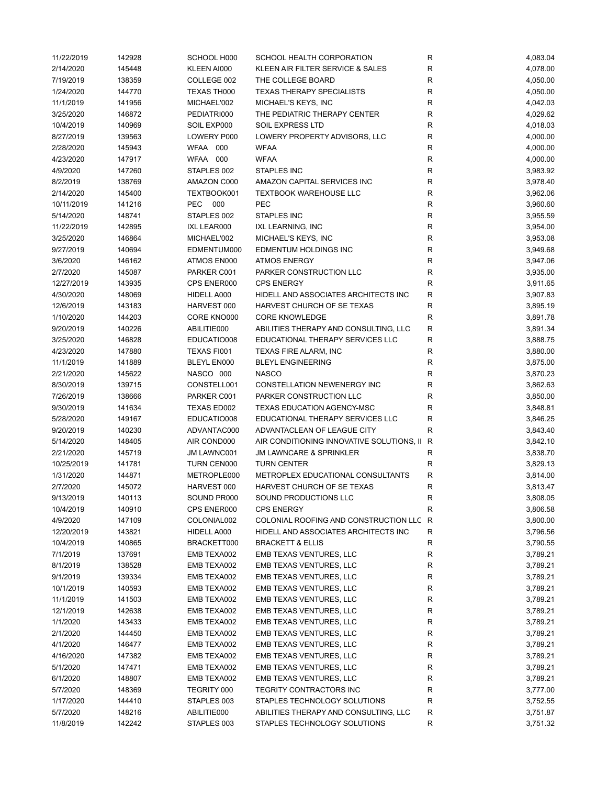| 11/22/2019 | 142928 | SCHOOL H000 | SCHOOL HEALTH CORPORATION                 | R           | 4,083.04 |
|------------|--------|-------------|-------------------------------------------|-------------|----------|
| 2/14/2020  | 145448 | KLEEN AI000 | KLEEN AIR FILTER SERVICE & SALES          | R           | 4,078.00 |
| 7/19/2019  | 138359 | COLLEGE 002 | THE COLLEGE BOARD                         | R           | 4,050.00 |
| 1/24/2020  | 144770 | TEXAS TH000 | <b>TEXAS THERAPY SPECIALISTS</b>          | $\mathsf R$ | 4,050.00 |
| 11/1/2019  | 141956 | MICHAEL'002 | MICHAEL'S KEYS, INC                       | R           | 4,042.03 |
| 3/25/2020  | 146872 | PEDIATRI000 | THE PEDIATRIC THERAPY CENTER              | ${\sf R}$   | 4,029.62 |
| 10/4/2019  | 140969 | SOIL EXP000 | <b>SOIL EXPRESS LTD</b>                   | ${\sf R}$   | 4,018.03 |
| 8/27/2019  | 139563 | LOWERY P000 | LOWERY PROPERTY ADVISORS, LLC             | $\mathsf R$ | 4,000.00 |
| 2/28/2020  | 145943 | WFAA 000    | <b>WFAA</b>                               | R           | 4,000.00 |
| 4/23/2020  | 147917 | WFAA 000    | <b>WFAA</b>                               | R           | 4,000.00 |
| 4/9/2020   | 147260 | STAPLES 002 | <b>STAPLES INC</b>                        | R           | 3,983.92 |
| 8/2/2019   | 138769 | AMAZON C000 | AMAZON CAPITAL SERVICES INC               | R           | 3,978.40 |
| 2/14/2020  | 145400 | TEXTBOOK001 | <b>TEXTBOOK WAREHOUSE LLC</b>             | R           | 3,962.06 |
| 10/11/2019 | 141216 | PEC 000     | PEC                                       | R           | 3,960.60 |
| 5/14/2020  | 148741 | STAPLES 002 | STAPLES INC                               | R           | 3,955.59 |
| 11/22/2019 | 142895 | IXL LEAR000 | IXL LEARNING, INC                         | $\mathsf R$ | 3,954.00 |
| 3/25/2020  |        |             | MICHAEL'S KEYS, INC                       | $\mathsf R$ |          |
|            | 146864 | MICHAEL'002 |                                           |             | 3,953.08 |
| 9/27/2019  | 140694 | EDMENTUM000 | EDMENTUM HOLDINGS INC                     | ${\sf R}$   | 3,949.68 |
| 3/6/2020   | 146162 | ATMOS EN000 | <b>ATMOS ENERGY</b>                       | R           | 3,947.06 |
| 2/7/2020   | 145087 | PARKER C001 | PARKER CONSTRUCTION LLC                   | $\mathsf R$ | 3,935.00 |
| 12/27/2019 | 143935 | CPS ENER000 | <b>CPS ENERGY</b>                         | $\mathsf R$ | 3,911.65 |
| 4/30/2020  | 148069 | HIDELL A000 | HIDELL AND ASSOCIATES ARCHITECTS INC      | R           | 3,907.83 |
| 12/6/2019  | 143183 | HARVEST 000 | HARVEST CHURCH OF SE TEXAS                | ${\sf R}$   | 3,895.19 |
| 1/10/2020  | 144203 | CORE KNO000 | <b>CORE KNOWLEDGE</b>                     | R           | 3,891.78 |
| 9/20/2019  | 140226 | ABILITIE000 | ABILITIES THERAPY AND CONSULTING, LLC     | ${\sf R}$   | 3,891.34 |
| 3/25/2020  | 146828 | EDUCATIO008 | EDUCATIONAL THERAPY SERVICES LLC          | R           | 3,888.75 |
| 4/23/2020  | 147880 | TEXAS FI001 | TEXAS FIRE ALARM, INC                     | R           | 3,880.00 |
| 11/1/2019  | 141889 | BLEYL EN000 | <b>BLEYL ENGINEERING</b>                  | R           | 3,875.00 |
| 2/21/2020  | 145622 | NASCO 000   | <b>NASCO</b>                              | R           | 3,870.23 |
| 8/30/2019  | 139715 | CONSTELL001 | CONSTELLATION NEWENERGY INC               | R           | 3,862.63 |
| 7/26/2019  | 138666 | PARKER C001 | PARKER CONSTRUCTION LLC                   | R           | 3,850.00 |
| 9/30/2019  | 141634 | TEXAS ED002 | TEXAS EDUCATION AGENCY-MSC                | R           | 3,848.81 |
| 5/28/2020  | 149167 | EDUCATIO008 | EDUCATIONAL THERAPY SERVICES LLC          | R           | 3,846.25 |
| 9/20/2019  | 140230 | ADVANTAC000 | ADVANTACLEAN OF LEAGUE CITY               | R           | 3,843.40 |
| 5/14/2020  | 148405 | AIR COND000 | AIR CONDITIONING INNOVATIVE SOLUTIONS, II | R           | 3,842.10 |
| 2/21/2020  | 145719 | JM LAWNC001 | <b>JM LAWNCARE &amp; SPRINKLER</b>        | R           | 3,838.70 |
| 10/25/2019 | 141781 | TURN CEN000 | <b>TURN CENTER</b>                        | ${\sf R}$   | 3,829.13 |
| 1/31/2020  | 144871 | METROPLE000 | METROPLEX EDUCATIONAL CONSULTANTS         | ${\sf R}$   | 3,814.00 |
| 2/7/2020   | 145072 | HARVEST 000 | HARVEST CHURCH OF SE TEXAS                | R           | 3,813.47 |
| 9/13/2019  | 140113 | SOUND PR000 | SOUND PRODUCTIONS LLC                     | R           | 3,808.05 |
| 10/4/2019  | 140910 | CPS ENER000 | <b>CPS ENERGY</b>                         | R           | 3,806.58 |
| 4/9/2020   | 147109 | COLONIAL002 | COLONIAL ROOFING AND CONSTRUCTION LLC     | R           | 3,800.00 |
| 12/20/2019 | 143821 | HIDELL A000 | HIDELL AND ASSOCIATES ARCHITECTS INC      | R           | 3,796.56 |
| 10/4/2019  | 140865 | BRACKETT000 | <b>BRACKETT &amp; ELLIS</b>               | R           | 3,790.55 |
| 7/1/2019   | 137691 | EMB TEXA002 | EMB TEXAS VENTURES, LLC                   | R           | 3,789.21 |
| 8/1/2019   | 138528 | EMB TEXA002 | EMB TEXAS VENTURES, LLC                   | R           | 3,789.21 |
| 9/1/2019   | 139334 | EMB TEXA002 | EMB TEXAS VENTURES, LLC                   | R           | 3,789.21 |
| 10/1/2019  | 140593 | EMB TEXA002 | EMB TEXAS VENTURES, LLC                   | R           | 3,789.21 |
| 11/1/2019  | 141503 | EMB TEXA002 | EMB TEXAS VENTURES, LLC                   | R           | 3,789.21 |
| 12/1/2019  | 142638 | EMB TEXA002 | EMB TEXAS VENTURES, LLC                   | R           | 3,789.21 |
| 1/1/2020   |        |             |                                           |             |          |
|            | 143433 | EMB TEXA002 | EMB TEXAS VENTURES, LLC                   | R           | 3,789.21 |
| 2/1/2020   | 144450 | EMB TEXA002 | EMB TEXAS VENTURES, LLC                   | R           | 3,789.21 |
| 4/1/2020   | 146477 | EMB TEXA002 | EMB TEXAS VENTURES, LLC                   | R           | 3,789.21 |
| 4/16/2020  | 147382 | EMB TEXA002 | EMB TEXAS VENTURES, LLC                   | R           | 3,789.21 |
| 5/1/2020   | 147471 | EMB TEXA002 | EMB TEXAS VENTURES, LLC                   | R           | 3,789.21 |
| 6/1/2020   | 148807 | EMB TEXA002 | EMB TEXAS VENTURES, LLC                   | R           | 3,789.21 |
| 5/7/2020   | 148369 | TEGRITY 000 | TEGRITY CONTRACTORS INC                   | R           | 3,777.00 |
| 1/17/2020  | 144410 | STAPLES 003 | STAPLES TECHNOLOGY SOLUTIONS              | R           | 3,752.55 |
| 5/7/2020   | 148216 | ABILITIE000 | ABILITIES THERAPY AND CONSULTING, LLC     | R           | 3,751.87 |
| 11/8/2019  | 142242 | STAPLES 003 | STAPLES TECHNOLOGY SOLUTIONS              | R           | 3,751.32 |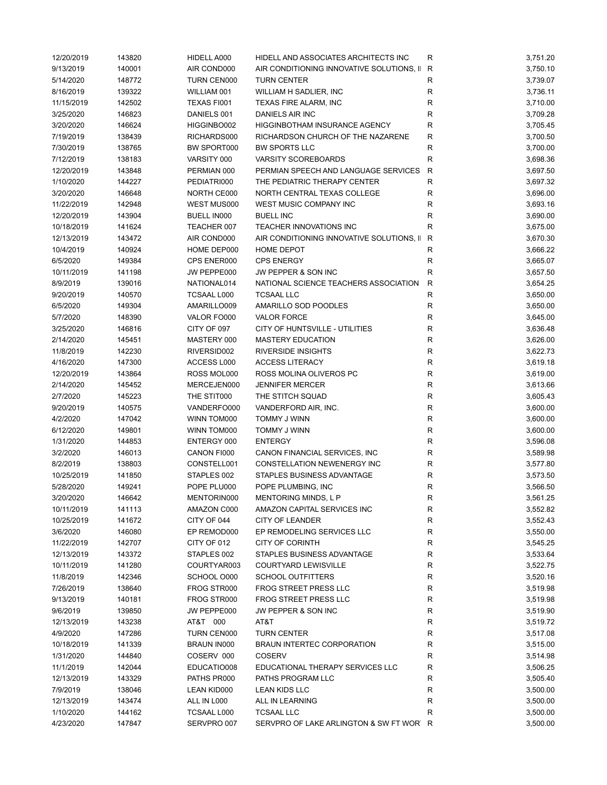| 12/20/2019 | 143820 | HIDELL A000        | HIDELL AND ASSOCIATES ARCHITECTS INC      | R            | 3,751.20 |
|------------|--------|--------------------|-------------------------------------------|--------------|----------|
| 9/13/2019  | 140001 | AIR COND000        | AIR CONDITIONING INNOVATIVE SOLUTIONS, II | R            | 3,750.10 |
| 5/14/2020  | 148772 | <b>TURN CEN000</b> | <b>TURN CENTER</b>                        | ${\sf R}$    | 3,739.07 |
| 8/16/2019  | 139322 | WILLIAM 001        | WILLIAM H SADLIER, INC                    | R            | 3,736.11 |
| 11/15/2019 | 142502 | TEXAS FI001        | TEXAS FIRE ALARM, INC                     | R            | 3,710.00 |
| 3/25/2020  | 146823 | DANIELS 001        | <b>DANIELS AIR INC</b>                    | R            | 3,709.28 |
| 3/20/2020  | 146624 | HIGGINBO002        | HIGGINBOTHAM INSURANCE AGENCY             | R            | 3,705.45 |
| 7/19/2019  | 138439 | RICHARDS000        | RICHARDSON CHURCH OF THE NAZARENE         | R            | 3,700.50 |
| 7/30/2019  | 138765 | BW SPORT000        | <b>BW SPORTS LLC</b>                      | R            | 3,700.00 |
| 7/12/2019  | 138183 | VARSITY 000        | <b>VARSITY SCOREBOARDS</b>                | R            | 3,698.36 |
| 12/20/2019 | 143848 | PERMIAN 000        | PERMIAN SPEECH AND LANGUAGE SERVICES      | R            | 3,697.50 |
| 1/10/2020  | 144227 | PEDIATRI000        | THE PEDIATRIC THERAPY CENTER              | R            | 3,697.32 |
| 3/20/2020  | 146648 | NORTH CE000        | NORTH CENTRAL TEXAS COLLEGE               | R            | 3,696.00 |
| 11/22/2019 | 142948 | WEST MUS000        | WEST MUSIC COMPANY INC                    | R            | 3,693.16 |
| 12/20/2019 | 143904 | <b>BUELL IN000</b> | <b>BUELL INC</b>                          | R            | 3,690.00 |
|            | 141624 |                    | TEACHER INNOVATIONS INC                   | R            |          |
| 10/18/2019 |        | TEACHER 007        |                                           |              | 3,675.00 |
| 12/13/2019 | 143472 | AIR COND000        | AIR CONDITIONING INNOVATIVE SOLUTIONS, II | R            | 3,670.30 |
| 10/4/2019  | 140924 | HOME DEP000        | <b>HOME DEPOT</b>                         | $\mathsf R$  | 3,666.22 |
| 6/5/2020   | 149384 | CPS ENER000        | <b>CPS ENERGY</b>                         | R            | 3,665.07 |
| 10/11/2019 | 141198 | JW PEPPE000        | JW PEPPER & SON INC                       | R            | 3,657.50 |
| 8/9/2019   | 139016 | NATIONAL014        | NATIONAL SCIENCE TEACHERS ASSOCIATION     | $\mathsf{R}$ | 3,654.25 |
| 9/20/2019  | 140570 | <b>TCSAAL L000</b> | <b>TCSAAL LLC</b>                         | $\mathsf R$  | 3,650.00 |
| 6/5/2020   | 149304 | AMARILLO009        | AMARILLO SOD POODLES                      | $\mathsf{R}$ | 3,650.00 |
| 5/7/2020   | 148390 | VALOR FO000        | <b>VALOR FORCE</b>                        | R            | 3,645.00 |
| 3/25/2020  | 146816 | CITY OF 097        | CITY OF HUNTSVILLE - UTILITIES            | $\mathsf R$  | 3,636.48 |
| 2/14/2020  | 145451 | MASTERY 000        | <b>MASTERY EDUCATION</b>                  | $\mathsf R$  | 3,626.00 |
| 11/8/2019  | 142230 | RIVERSID002        | <b>RIVERSIDE INSIGHTS</b>                 | R            | 3,622.73 |
| 4/16/2020  | 147300 | ACCESS L000        | <b>ACCESS LITERACY</b>                    | $\mathsf R$  | 3,619.18 |
| 12/20/2019 | 143864 | ROSS MOL000        | ROSS MOLINA OLIVEROS PC                   | R            | 3,619.00 |
| 2/14/2020  | 145452 | MERCEJEN000        | <b>JENNIFER MERCER</b>                    | $\mathsf R$  | 3,613.66 |
| 2/7/2020   | 145223 | THE STIT000        | THE STITCH SQUAD                          | R            | 3,605.43 |
| 9/20/2019  | 140575 | VANDERFO000        | VANDERFORD AIR, INC.                      | R            | 3,600.00 |
| 4/2/2020   | 147042 | WINN TOM000        | TOMMY J WINN                              | R            | 3,600.00 |
| 6/12/2020  | 149801 | WINN TOM000        | TOMMY J WINN                              | R            | 3,600.00 |
| 1/31/2020  | 144853 | ENTERGY 000        | <b>ENTERGY</b>                            | R            | 3,596.08 |
| 3/2/2020   | 146013 | CANON FI000        | CANON FINANCIAL SERVICES, INC             | R            | 3,589.98 |
| 8/2/2019   | 138803 | CONSTELL001        | <b>CONSTELLATION NEWENERGY INC</b>        | R            | 3,577.80 |
| 10/25/2019 | 141850 | STAPLES 002        | STAPLES BUSINESS ADVANTAGE                | R            | 3,573.50 |
| 5/28/2020  | 149241 | POPE PLU000        | POPE PLUMBING, INC                        | R            | 3,566.50 |
| 3/20/2020  | 146642 | MENTORIN000        | MENTORING MINDS, L P                      | R            | 3,561.25 |
| 10/11/2019 | 141113 | AMAZON C000        | AMAZON CAPITAL SERVICES INC               | R            | 3,552.82 |
| 10/25/2019 | 141672 | CITY OF 044        | <b>CITY OF LEANDER</b>                    | R            | 3,552.43 |
| 3/6/2020   | 146080 | EP REMOD000        | EP REMODELING SERVICES LLC                | R            | 3,550.00 |
| 11/22/2019 | 142707 | CITY OF 012        | <b>CITY OF CORINTH</b>                    | R            | 3,545.25 |
| 12/13/2019 | 143372 | STAPLES 002        | STAPLES BUSINESS ADVANTAGE                | R            | 3,533.64 |
| 10/11/2019 | 141280 | COURTYAR003        | COURTYARD LEWISVILLE                      | R            | 3,522.75 |
|            | 142346 | SCHOOL O000        | <b>SCHOOL OUTFITTERS</b>                  | ${\sf R}$    | 3,520.16 |
| 11/8/2019  |        | FROG STR000        | FROG STREET PRESS LLC                     |              |          |
| 7/26/2019  | 138640 |                    |                                           | R            | 3,519.98 |
| 9/13/2019  | 140181 | FROG STR000        | FROG STREET PRESS LLC                     | R            | 3,519.98 |
| 9/6/2019   | 139850 | JW PEPPE000        | JW PEPPER & SON INC                       | R            | 3,519.90 |
| 12/13/2019 | 143238 | AT&T 000           | AT&T                                      | R            | 3,519.72 |
| 4/9/2020   | 147286 | TURN CEN000        | <b>TURN CENTER</b>                        | R            | 3,517.08 |
| 10/18/2019 | 141339 | <b>BRAUN IN000</b> | <b>BRAUN INTERTEC CORPORATION</b>         | R            | 3,515.00 |
| 1/31/2020  | 144840 | COSERV 000         | <b>COSERV</b>                             | R            | 3,514.98 |
| 11/1/2019  | 142044 | EDUCATIO008        | EDUCATIONAL THERAPY SERVICES LLC          | R            | 3,506.25 |
| 12/13/2019 | 143329 | PATHS PR000        | PATHS PROGRAM LLC                         | R            | 3,505.40 |
| 7/9/2019   | 138046 | LEAN KID000        | LEAN KIDS LLC                             | R            | 3,500.00 |
| 12/13/2019 | 143474 | ALL IN L000        | ALL IN LEARNING                           | R            | 3,500.00 |
| 1/10/2020  | 144162 | <b>TCSAAL L000</b> | <b>TCSAAL LLC</b>                         | R            | 3,500.00 |
| 4/23/2020  | 147847 | SERVPRO 007        | SERVPRO OF LAKE ARLINGTON & SW FT WOR R   |              | 3,500.00 |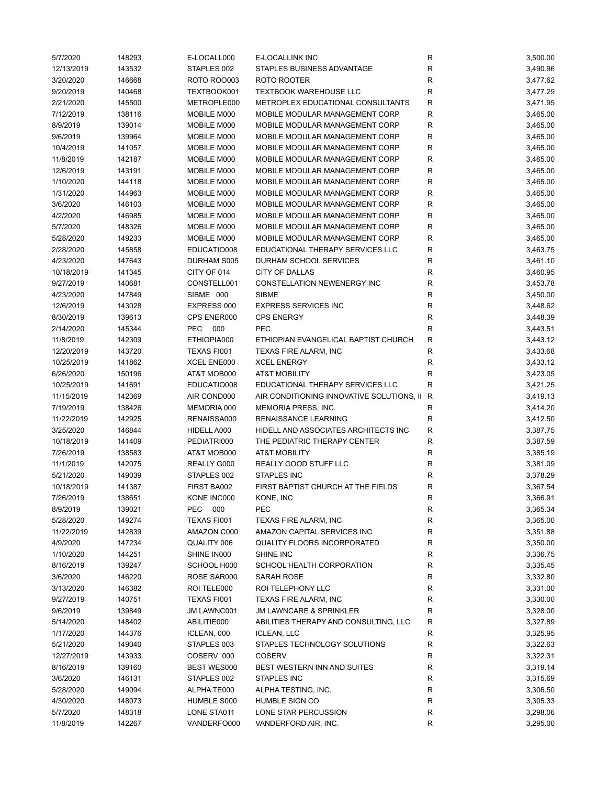| 5/7/2020   | 148293 | E-LOCALL000 | E-LOCALLINK INC                           | R           | 3,500.00 |
|------------|--------|-------------|-------------------------------------------|-------------|----------|
| 12/13/2019 | 143532 | STAPLES 002 | STAPLES BUSINESS ADVANTAGE                | R           | 3,490.96 |
| 3/20/2020  | 146668 | ROTO ROO003 | ROTO ROOTER                               | R           | 3,477.62 |
| 9/20/2019  | 140468 | TEXTBOOK001 | <b>TEXTBOOK WAREHOUSE LLC</b>             | R           | 3,477.29 |
| 2/21/2020  | 145500 | METROPLE000 | METROPLEX EDUCATIONAL CONSULTANTS         | R           | 3,471.95 |
| 7/12/2019  | 138116 | MOBILE M000 | MOBILE MODULAR MANAGEMENT CORP            | R           | 3,465.00 |
| 8/9/2019   | 139014 | MOBILE M000 | MOBILE MODULAR MANAGEMENT CORP            | R           | 3,465.00 |
| 9/6/2019   | 139964 | MOBILE M000 | MOBILE MODULAR MANAGEMENT CORP            | $\mathsf R$ | 3,465.00 |
| 10/4/2019  | 141057 | MOBILE M000 | MOBILE MODULAR MANAGEMENT CORP            | R           | 3,465.00 |
| 11/8/2019  | 142187 | MOBILE M000 | MOBILE MODULAR MANAGEMENT CORP            | R           | 3,465.00 |
|            |        |             | MOBILE MODULAR MANAGEMENT CORP            |             |          |
| 12/6/2019  | 143191 | MOBILE M000 |                                           | R           | 3,465.00 |
| 1/10/2020  | 144118 | MOBILE M000 | MOBILE MODULAR MANAGEMENT CORP            | R           | 3,465.00 |
| 1/31/2020  | 144963 | MOBILE M000 | MOBILE MODULAR MANAGEMENT CORP            | R           | 3,465.00 |
| 3/6/2020   | 146103 | MOBILE M000 | MOBILE MODULAR MANAGEMENT CORP            | R           | 3,465.00 |
| 4/2/2020   | 146985 | MOBILE M000 | MOBILE MODULAR MANAGEMENT CORP            | R           | 3,465.00 |
| 5/7/2020   | 148326 | MOBILE M000 | MOBILE MODULAR MANAGEMENT CORP            | R           | 3,465.00 |
| 5/28/2020  | 149233 | MOBILE M000 | MOBILE MODULAR MANAGEMENT CORP            | R           | 3,465.00 |
| 2/28/2020  | 145858 | EDUCATIO008 | EDUCATIONAL THERAPY SERVICES LLC          | R           | 3,463.75 |
| 4/23/2020  | 147643 | DURHAM S005 | DURHAM SCHOOL SERVICES                    | R           | 3,461.10 |
| 10/18/2019 | 141345 | CITY OF 014 | <b>CITY OF DALLAS</b>                     | R           | 3,460.95 |
| 9/27/2019  | 140681 | CONSTELL001 | CONSTELLATION NEWENERGY INC               | R           | 3,453.78 |
| 4/23/2020  | 147849 | SIBME 000   | <b>SIBME</b>                              | R           | 3,450.00 |
| 12/6/2019  | 143028 | EXPRESS 000 | <b>EXPRESS SERVICES INC</b>               | R           | 3,448.62 |
| 8/30/2019  | 139613 | CPS ENER000 | <b>CPS ENERGY</b>                         | R           | 3,448.39 |
| 2/14/2020  | 145344 | PEC<br>000  | PEC                                       | R           | 3,443.51 |
| 11/8/2019  | 142309 | ETHIOPIA000 | ETHIOPIAN EVANGELICAL BAPTIST CHURCH      | ${\sf R}$   | 3,443.12 |
| 12/20/2019 | 143720 | TEXAS FI001 | TEXAS FIRE ALARM, INC                     | R           | 3,433.68 |
|            |        |             | <b>XCEL ENERGY</b>                        | R           |          |
| 10/25/2019 | 141862 | XCEL ENE000 |                                           |             | 3,433.12 |
| 6/26/2020  | 150196 | AT&T MOB000 | <b>AT&amp;T MOBILITY</b>                  | R           | 3,423.05 |
| 10/25/2019 | 141691 | EDUCATIO008 | EDUCATIONAL THERAPY SERVICES LLC          | R           | 3,421.25 |
| 11/15/2019 | 142369 | AIR COND000 | AIR CONDITIONING INNOVATIVE SOLUTIONS, II | R           | 3,419.13 |
| 7/19/2019  | 138426 | MEMORIA 000 | MEMORIA PRESS, INC.                       | R           | 3,414.20 |
| 11/22/2019 | 142925 | RENAISSA000 | RENAISSANCE LEARNING                      | R           | 3,412.50 |
| 3/25/2020  | 146844 | HIDELL A000 | HIDELL AND ASSOCIATES ARCHITECTS INC      | R           | 3,387.75 |
| 10/18/2019 | 141409 | PEDIATRI000 | THE PEDIATRIC THERAPY CENTER              | R           | 3,387.59 |
| 7/26/2019  | 138583 | AT&T MOB000 | <b>AT&amp;T MOBILITY</b>                  | R           | 3,385.19 |
| 11/1/2019  | 142075 | REALLY G000 | REALLY GOOD STUFF LLC                     | R           | 3,381.09 |
| 5/21/2020  | 149039 | STAPLES 002 | <b>STAPLES INC</b>                        | R           | 3,378.29 |
| 10/18/2019 | 141387 | FIRST BA002 | FIRST BAPTIST CHURCH AT THE FIELDS        | R           | 3,367.54 |
| 7/26/2019  | 138651 | KONE INC000 | KONE, INC                                 | R           | 3,366.91 |
| 8/9/2019   | 139021 | PEC 000     | PEC                                       | R           | 3,365.34 |
| 5/28/2020  | 149274 | TEXAS FI001 | TEXAS FIRE ALARM, INC                     | R           | 3,365.00 |
|            |        |             |                                           |             |          |
| 11/22/2019 | 142839 | AMAZON C000 | AMAZON CAPITAL SERVICES INC               | R           | 3,351.88 |
| 4/9/2020   | 147234 | QUALITY 006 | <b>QUALITY FLOORS INCORPORATED</b>        | R           | 3,350.00 |
| 1/10/2020  | 144251 | SHINE IN000 | SHINE INC                                 | R           | 3,336.75 |
| 8/16/2019  | 139247 | SCHOOL H000 | SCHOOL HEALTH CORPORATION                 | R           | 3,335.45 |
| 3/6/2020   | 146220 | ROSE SAR000 | SARAH ROSE                                | R           | 3,332.80 |
| 3/13/2020  | 146382 | ROI TELE000 | ROI TELEPHONY LLC                         | R           | 3,331.00 |
| 9/27/2019  | 140751 | TEXAS FI001 | TEXAS FIRE ALARM, INC                     | R           | 3,330.00 |
| 9/6/2019   | 139849 | JM LAWNC001 | <b>JM LAWNCARE &amp; SPRINKLER</b>        | R           | 3,328.00 |
| 5/14/2020  | 148402 | ABILITIE000 | ABILITIES THERAPY AND CONSULTING, LLC     | R           | 3,327.89 |
| 1/17/2020  | 144376 | ICLEAN, 000 | <b>ICLEAN, LLC</b>                        | R           | 3,325.95 |
| 5/21/2020  | 149040 | STAPLES 003 | STAPLES TECHNOLOGY SOLUTIONS              | ${\sf R}$   | 3,322.63 |
| 12/27/2019 | 143933 | COSERV 000  | <b>COSERV</b>                             | R           | 3,322.31 |
| 8/16/2019  | 139160 | BEST WES000 | BEST WESTERN INN AND SUITES               | R           | 3,319.14 |
| 3/6/2020   | 146131 | STAPLES 002 | <b>STAPLES INC</b>                        | R           | 3,315.69 |
| 5/28/2020  | 149094 | ALPHA TE000 | ALPHA TESTING, INC.                       | R           | 3,306.50 |
| 4/30/2020  | 148073 | HUMBLE S000 | HUMBLE SIGN CO                            | R           | 3,305.33 |
| 5/7/2020   |        | LONE STA011 | LONE STAR PERCUSSION                      | R           | 3,298.06 |
|            | 148318 |             |                                           |             |          |
| 11/8/2019  | 142267 | VANDERFO000 | VANDERFORD AIR, INC.                      | R           | 3,295.00 |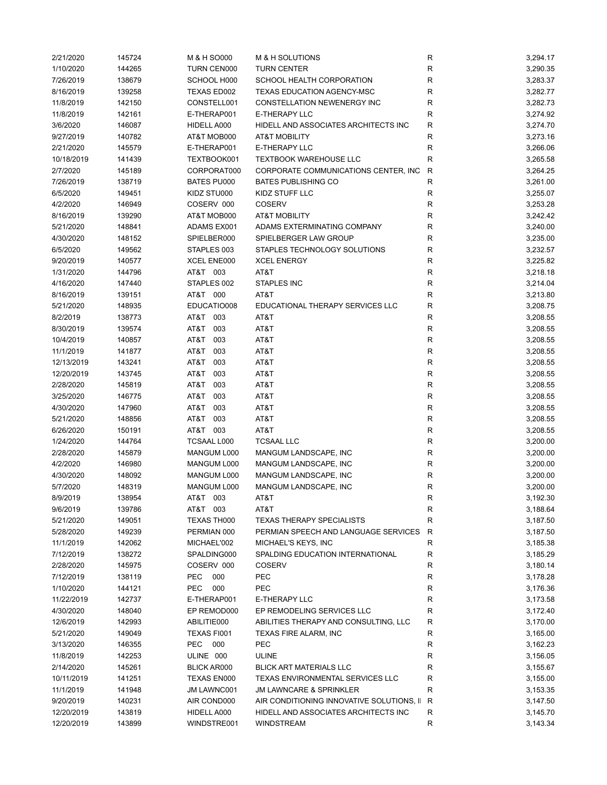| 2/21/2020  | 145724 | M & H SO000        | M & H SOLUTIONS                           | R           | 3,294.17 |
|------------|--------|--------------------|-------------------------------------------|-------------|----------|
| 1/10/2020  | 144265 | TURN CEN000        | <b>TURN CENTER</b>                        | R           | 3,290.35 |
| 7/26/2019  | 138679 | SCHOOL H000        | SCHOOL HEALTH CORPORATION                 | R           | 3,283.37 |
| 8/16/2019  | 139258 | TEXAS ED002        | TEXAS EDUCATION AGENCY-MSC                | R           | 3,282.77 |
| 11/8/2019  | 142150 | CONSTELL001        | CONSTELLATION NEWENERGY INC               | R           | 3,282.73 |
| 11/8/2019  | 142161 | E-THERAP001        | E-THERAPY LLC                             | R           | 3,274.92 |
| 3/6/2020   | 146087 | HIDELL A000        | HIDELL AND ASSOCIATES ARCHITECTS INC      | R           | 3,274.70 |
| 9/27/2019  | 140782 | AT&T MOB000        | <b>AT&amp;T MOBILITY</b>                  | R           | 3,273.16 |
| 2/21/2020  | 145579 | E-THERAP001        | E-THERAPY LLC                             | R           | 3,266.06 |
| 10/18/2019 |        | TEXTBOOK001        | <b>TEXTBOOK WAREHOUSE LLC</b>             | R           | 3,265.58 |
|            | 141439 | CORPORAT000        |                                           |             |          |
| 2/7/2020   | 145189 |                    | CORPORATE COMMUNICATIONS CENTER, INC.     | R           | 3,264.25 |
| 7/26/2019  | 138719 | <b>BATES PU000</b> | <b>BATES PUBLISHING CO</b>                | R           | 3,261.00 |
| 6/5/2020   | 149451 | KIDZ STU000        | KIDZ STUFF LLC                            | R           | 3,255.07 |
| 4/2/2020   | 146949 | COSERV 000         | <b>COSERV</b>                             | R           | 3,253.28 |
| 8/16/2019  | 139290 | AT&T MOB000        | <b>AT&amp;T MOBILITY</b>                  | R           | 3,242.42 |
| 5/21/2020  | 148841 | ADAMS EX001        | ADAMS EXTERMINATING COMPANY               | R           | 3,240.00 |
| 4/30/2020  | 148152 | SPIELBER000        | SPIELBERGER LAW GROUP                     | R           | 3,235.00 |
| 6/5/2020   | 149562 | STAPLES 003        | STAPLES TECHNOLOGY SOLUTIONS              | ${\sf R}$   | 3,232.57 |
| 9/20/2019  | 140577 | XCEL ENE000        | <b>XCEL ENERGY</b>                        | R           | 3,225.82 |
| 1/31/2020  | 144796 | AT&T 003           | AT&T                                      | R           | 3,218.18 |
| 4/16/2020  | 147440 | STAPLES 002        | STAPLES INC                               | R           | 3,214.04 |
| 8/16/2019  | 139151 | AT&T 000           | AT&T                                      | R           | 3,213.80 |
| 5/21/2020  | 148935 | EDUCATIO008        | EDUCATIONAL THERAPY SERVICES LLC          | R           | 3,208.75 |
| 8/2/2019   | 138773 | AT&T 003           | AT&T                                      | R           | 3,208.55 |
| 8/30/2019  | 139574 | AT&T 003           | AT&T                                      | R           | 3,208.55 |
| 10/4/2019  | 140857 | AT&T<br>003        | AT&T                                      | R           | 3,208.55 |
| 11/1/2019  | 141877 | AT&T<br>003        | AT&T                                      | R           | 3,208.55 |
|            |        | AT&T               |                                           | $\mathsf R$ |          |
| 12/13/2019 | 143241 | 003                | AT&T                                      |             | 3,208.55 |
| 12/20/2019 | 143745 | AT&T<br>003        | AT&T                                      | R           | 3,208.55 |
| 2/28/2020  | 145819 | AT&T<br>003        | AT&T                                      | R           | 3,208.55 |
| 3/25/2020  | 146775 | AT&T<br>003        | AT&T                                      | R           | 3,208.55 |
| 4/30/2020  | 147960 | AT&T<br>003        | AT&T                                      | R           | 3,208.55 |
| 5/21/2020  | 148856 | AT&T<br>003        | AT&T                                      | R           | 3,208.55 |
| 6/26/2020  | 150191 | AT&T 003           | AT&T                                      | R           | 3,208.55 |
| 1/24/2020  | 144764 | <b>TCSAAL L000</b> | <b>TCSAAL LLC</b>                         | R           | 3,200.00 |
| 2/28/2020  | 145879 | MANGUM L000        | MANGUM LANDSCAPE, INC                     | R           | 3,200.00 |
| 4/2/2020   | 146980 | MANGUM L000        | MANGUM LANDSCAPE, INC                     | R           | 3,200.00 |
| 4/30/2020  | 148092 | MANGUM L000        | MANGUM LANDSCAPE, INC                     | R           | 3,200.00 |
| 5/7/2020   | 148319 | MANGUM L000        | MANGUM LANDSCAPE, INC                     | R           | 3,200.00 |
| 8/9/2019   | 138954 | AT&T 003           | AT&T                                      | R           | 3,192.30 |
| 9/6/2019   | 139786 | AT&T 003           | AT&T                                      | R           | 3,188.64 |
| 5/21/2020  | 149051 | TEXAS TH000        | <b>TEXAS THERAPY SPECIALISTS</b>          | R           | 3,187.50 |
|            |        |                    | PERMIAN SPEECH AND LANGUAGE SERVICES      |             |          |
| 5/28/2020  | 149239 | PERMIAN 000        |                                           | R           | 3,187.50 |
| 11/1/2019  | 142062 | MICHAEL'002        | MICHAEL'S KEYS, INC                       | R           | 3,185.38 |
| 7/12/2019  | 138272 | SPALDING000        | SPALDING EDUCATION INTERNATIONAL          | R           | 3,185.29 |
| 2/28/2020  | 145975 | COSERV 000         | <b>COSERV</b>                             | R           | 3,180.14 |
| 7/12/2019  | 138119 | PEC<br>000         | PEC                                       | ${\sf R}$   | 3,178.28 |
| 1/10/2020  | 144121 | PEC<br>000         | PEC                                       | R           | 3,176.36 |
| 11/22/2019 | 142737 | E-THERAP001        | E-THERAPY LLC                             | R           | 3,173.58 |
| 4/30/2020  | 148040 | EP REMOD000        | EP REMODELING SERVICES LLC                | R           | 3,172.40 |
| 12/6/2019  | 142993 | ABILITIE000        | ABILITIES THERAPY AND CONSULTING, LLC     | R           | 3,170.00 |
| 5/21/2020  | 149049 | TEXAS FI001        | TEXAS FIRE ALARM, INC                     | R           | 3,165.00 |
| 3/13/2020  | 146355 | PEC<br>000         | PEC                                       | R           | 3,162.23 |
| 11/8/2019  | 142253 | ULINE 000          | <b>ULINE</b>                              | R           | 3,156.05 |
| 2/14/2020  | 145261 | <b>BLICK AR000</b> | <b>BLICK ART MATERIALS LLC</b>            | R           | 3,155.67 |
| 10/11/2019 | 141251 | TEXAS EN000        | TEXAS ENVIRONMENTAL SERVICES LLC          | R           | 3,155.00 |
| 11/1/2019  | 141948 | JM LAWNC001        | <b>JM LAWNCARE &amp; SPRINKLER</b>        | $\mathsf R$ | 3,153.35 |
| 9/20/2019  |        |                    | AIR CONDITIONING INNOVATIVE SOLUTIONS, II |             |          |
|            | 140231 | AIR COND000        |                                           | R           | 3,147.50 |
| 12/20/2019 | 143819 | HIDELL A000        | HIDELL AND ASSOCIATES ARCHITECTS INC      | R           | 3,145.70 |
| 12/20/2019 | 143899 | WINDSTRE001        | <b>WINDSTREAM</b>                         | R           | 3,143.34 |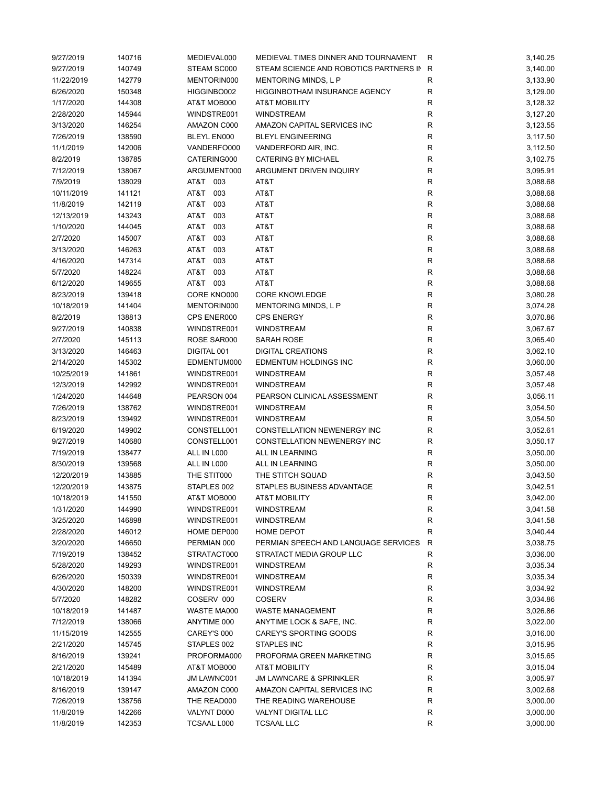| 9/27/2019  | 140716 | MEDIEVAL000 | MEDIEVAL TIMES DINNER AND TOURNAMENT   | R           | 3,140.25 |
|------------|--------|-------------|----------------------------------------|-------------|----------|
| 9/27/2019  | 140749 | STEAM SC000 | STEAM SCIENCE AND ROBOTICS PARTNERS IN | R           | 3,140.00 |
| 11/22/2019 | 142779 | MENTORIN000 | <b>MENTORING MINDS, L P</b>            | R           | 3,133.90 |
| 6/26/2020  | 150348 | HIGGINBO002 | HIGGINBOTHAM INSURANCE AGENCY          | R           | 3,129.00 |
| 1/17/2020  | 144308 | AT&T MOB000 | <b>AT&amp;T MOBILITY</b>               | R           | 3,128.32 |
| 2/28/2020  | 145944 | WINDSTRE001 | <b>WINDSTREAM</b>                      | R           | 3,127.20 |
| 3/13/2020  | 146254 | AMAZON C000 | AMAZON CAPITAL SERVICES INC            | ${\sf R}$   | 3,123.55 |
| 7/26/2019  | 138590 | BLEYL EN000 | <b>BLEYL ENGINEERING</b>               | ${\sf R}$   | 3,117.50 |
| 11/1/2019  | 142006 | VANDERFO000 | VANDERFORD AIR, INC.                   | $\mathsf R$ | 3,112.50 |
| 8/2/2019   | 138785 | CATERING000 | <b>CATERING BY MICHAEL</b>             | R           | 3,102.75 |
| 7/12/2019  | 138067 | ARGUMENT000 | ARGUMENT DRIVEN INQUIRY                | R           | 3,095.91 |
| 7/9/2019   | 138029 | AT&T 003    | AT&T                                   | ${\sf R}$   | 3,088.68 |
| 10/11/2019 | 141121 | AT&T<br>003 | AT&T                                   | R           | 3,088.68 |
| 11/8/2019  | 142119 | AT&T<br>003 | AT&T                                   | R           | 3,088.68 |
|            |        | AT&T        |                                        |             |          |
| 12/13/2019 | 143243 | 003         | AT&T                                   | R           | 3,088.68 |
| 1/10/2020  | 144045 | AT&T 003    | AT&T                                   | R           | 3,088.68 |
| 2/7/2020   | 145007 | AT&T<br>003 | AT&T                                   | R           | 3,088.68 |
| 3/13/2020  | 146263 | AT&T<br>003 | AT&T                                   | ${\sf R}$   | 3,088.68 |
| 4/16/2020  | 147314 | AT&T<br>003 | AT&T                                   | ${\sf R}$   | 3,088.68 |
| 5/7/2020   | 148224 | AT&T<br>003 | AT&T                                   | $\mathsf R$ | 3,088.68 |
| 6/12/2020  | 149655 | AT&T 003    | AT&T                                   | $\mathsf R$ | 3,088.68 |
| 8/23/2019  | 139418 | CORE KNO000 | <b>CORE KNOWLEDGE</b>                  | R           | 3,080.28 |
| 10/18/2019 | 141404 | MENTORIN000 | MENTORING MINDS, L P                   | R           | 3,074.28 |
| 8/2/2019   | 138813 | CPS ENER000 | <b>CPS ENERGY</b>                      | ${\sf R}$   | 3,070.86 |
| 9/27/2019  | 140838 | WINDSTRE001 | <b>WINDSTREAM</b>                      | R           | 3,067.67 |
| 2/7/2020   | 145113 | ROSE SAR000 | SARAH ROSE                             | R           | 3,065.40 |
| 3/13/2020  | 146463 | DIGITAL 001 | <b>DIGITAL CREATIONS</b>               | ${\sf R}$   | 3,062.10 |
| 2/14/2020  | 145302 | EDMENTUM000 | EDMENTUM HOLDINGS INC                  | $\mathsf R$ | 3,060.00 |
| 10/25/2019 | 141861 | WINDSTRE001 | <b>WINDSTREAM</b>                      | $\mathsf R$ | 3,057.48 |
| 12/3/2019  | 142992 | WINDSTRE001 | <b>WINDSTREAM</b>                      | R           | 3,057.48 |
| 1/24/2020  | 144648 | PEARSON 004 | PEARSON CLINICAL ASSESSMENT            | R           | 3,056.11 |
| 7/26/2019  | 138762 | WINDSTRE001 | <b>WINDSTREAM</b>                      | R           | 3,054.50 |
| 8/23/2019  | 139492 | WINDSTRE001 | WINDSTREAM                             | R           | 3,054.50 |
| 6/19/2020  | 149902 | CONSTELL001 | CONSTELLATION NEWENERGY INC            | R           | 3,052.61 |
| 9/27/2019  | 140680 | CONSTELL001 | <b>CONSTELLATION NEWENERGY INC</b>     | R           | 3,050.17 |
| 7/19/2019  | 138477 | ALL IN L000 | <b>ALL IN LEARNING</b>                 | R           | 3,050.00 |
| 8/30/2019  | 139568 | ALL IN L000 | ALL IN LEARNING                        | R           | 3,050.00 |
| 12/20/2019 | 143885 | THE STIT000 | THE STITCH SQUAD                       | R           | 3,043.50 |
| 12/20/2019 | 143875 | STAPLES 002 | STAPLES BUSINESS ADVANTAGE             | R           | 3,042.51 |
| 10/18/2019 | 141550 | AT&T MOB000 | AT&T MOBILITY                          | R           | 3,042.00 |
| 1/31/2020  | 144990 | WINDSTRE001 | <b>WINDSTREAM</b>                      | R           |          |
|            |        | WINDSTRE001 | <b>WINDSTREAM</b>                      |             | 3,041.58 |
| 3/25/2020  | 146898 |             |                                        | R           | 3,041.58 |
| 2/28/2020  | 146012 | HOME DEP000 | HOME DEPOT                             | R           | 3,040.44 |
| 3/20/2020  | 146650 | PERMIAN 000 | PERMIAN SPEECH AND LANGUAGE SERVICES   | R           | 3,038.75 |
| 7/19/2019  | 138452 | STRATACT000 | STRATACT MEDIA GROUP LLC               | R           | 3,036.00 |
| 5/28/2020  | 149293 | WINDSTRE001 | <b>WINDSTREAM</b>                      | R           | 3,035.34 |
| 6/26/2020  | 150339 | WINDSTRE001 | WINDSTREAM                             | R           | 3,035.34 |
| 4/30/2020  | 148200 | WINDSTRE001 | WINDSTREAM                             | R           | 3,034.92 |
| 5/7/2020   | 148282 | COSERV 000  | <b>COSERV</b>                          | R           | 3,034.86 |
| 10/18/2019 | 141487 | WASTE MA000 | <b>WASTE MANAGEMENT</b>                | R           | 3,026.86 |
| 7/12/2019  | 138066 | ANYTIME 000 | ANYTIME LOCK & SAFE, INC.              | R           | 3,022.00 |
| 11/15/2019 | 142555 | CAREY'S 000 | CAREY'S SPORTING GOODS                 | R           | 3,016.00 |
| 2/21/2020  | 145745 | STAPLES 002 | <b>STAPLES INC</b>                     | R           | 3,015.95 |
| 8/16/2019  | 139241 | PROFORMA000 | PROFORMA GREEN MARKETING               | R           | 3,015.65 |
| 2/21/2020  | 145489 | AT&T MOB000 | <b>AT&amp;T MOBILITY</b>               | R           | 3,015.04 |
| 10/18/2019 | 141394 | JM LAWNC001 | <b>JM LAWNCARE &amp; SPRINKLER</b>     | R           | 3,005.97 |
| 8/16/2019  | 139147 | AMAZON C000 | AMAZON CAPITAL SERVICES INC            | R           | 3,002.68 |
| 7/26/2019  | 138756 | THE READ000 | THE READING WAREHOUSE                  | R           | 3,000.00 |
| 11/8/2019  | 142266 | VALYNT D000 | <b>VALYNT DIGITAL LLC</b>              | R           | 3,000.00 |
| 11/8/2019  | 142353 | TCSAAL L000 | <b>TCSAAL LLC</b>                      | R           | 3,000.00 |
|            |        |             |                                        |             |          |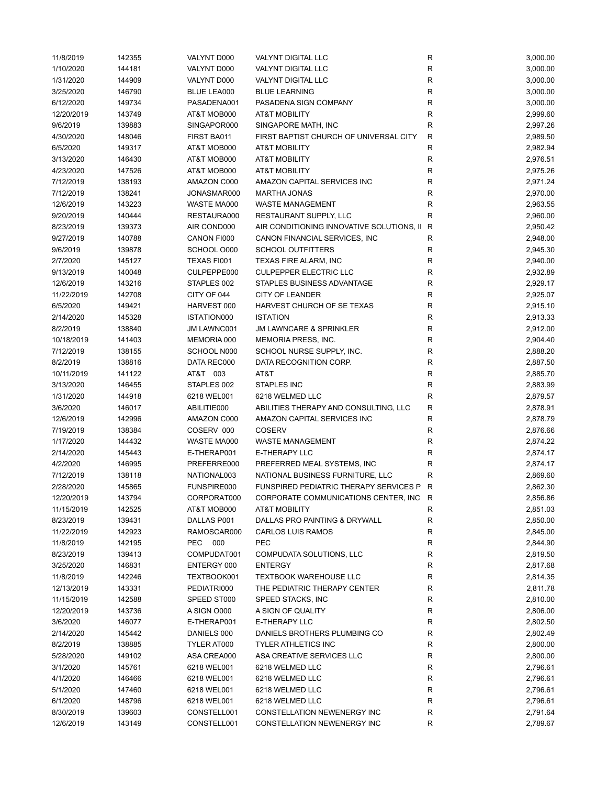| 11/8/2019  | 142355 | VALYNT D000        | VALYNT DIGITAL LLC                        | ${\sf R}$    | 3,000.00 |
|------------|--------|--------------------|-------------------------------------------|--------------|----------|
| 1/10/2020  | 144181 | VALYNT D000        | <b>VALYNT DIGITAL LLC</b>                 | R            | 3,000.00 |
| 1/31/2020  | 144909 | VALYNT D000        | VALYNT DIGITAL LLC                        | R            | 3,000.00 |
| 3/25/2020  | 146790 | <b>BLUE LEA000</b> | <b>BLUE LEARNING</b>                      | $\mathsf{R}$ | 3,000.00 |
| 6/12/2020  | 149734 | PASADENA001        | PASADENA SIGN COMPANY                     | R            | 3,000.00 |
| 12/20/2019 | 143749 | AT&T MOB000        | <b>AT&amp;T MOBILITY</b>                  | $\mathsf{R}$ | 2,999.60 |
| 9/6/2019   | 139883 | SINGAPOR000        | SINGAPORE MATH, INC                       | $\mathsf R$  | 2,997.26 |
| 4/30/2020  | 148046 | FIRST BA011        | FIRST BAPTIST CHURCH OF UNIVERSAL CITY    | $\mathsf R$  | 2,989.50 |
| 6/5/2020   | 149317 | AT&T MOB000        | <b>AT&amp;T MOBILITY</b>                  | $\mathsf R$  | 2,982.94 |
| 3/13/2020  | 146430 | AT&T MOB000        | <b>AT&amp;T MOBILITY</b>                  | R            | 2,976.51 |
| 4/23/2020  | 147526 | AT&T MOB000        | <b>AT&amp;T MOBILITY</b>                  | R            | 2,975.26 |
| 7/12/2019  | 138193 | AMAZON C000        | AMAZON CAPITAL SERVICES INC               | R            | 2,971.24 |
| 7/12/2019  | 138241 | JONASMAR000        | <b>MARTHA JONAS</b>                       | R            | 2,970.00 |
| 12/6/2019  | 143223 | WASTE MA000        | WASTE MANAGEMENT                          | R            | 2,963.55 |
|            |        |                    |                                           |              |          |
| 9/20/2019  | 140444 | RESTAURA000        | RESTAURANT SUPPLY, LLC                    | R            | 2,960.00 |
| 8/23/2019  | 139373 | AIR COND000        | AIR CONDITIONING INNOVATIVE SOLUTIONS, II | $\mathsf{R}$ | 2,950.42 |
| 9/27/2019  | 140788 | CANON FI000        | CANON FINANCIAL SERVICES, INC             | R            | 2,948.00 |
| 9/6/2019   | 139878 | SCHOOL O000        | <b>SCHOOL OUTFITTERS</b>                  | R            | 2,945.30 |
| 2/7/2020   | 145127 | TEXAS FI001        | TEXAS FIRE ALARM, INC                     | $\mathsf R$  | 2,940.00 |
| 9/13/2019  | 140048 | CULPEPPE000        | <b>CULPEPPER ELECTRIC LLC</b>             | R            | 2,932.89 |
| 12/6/2019  | 143216 | STAPLES 002        | <b>STAPLES BUSINESS ADVANTAGE</b>         | R            | 2,929.17 |
| 11/22/2019 | 142708 | CITY OF 044        | <b>CITY OF LEANDER</b>                    | R            | 2,925.07 |
| 6/5/2020   | 149421 | HARVEST 000        | HARVEST CHURCH OF SE TEXAS                | R            | 2,915.10 |
| 2/14/2020  | 145328 | ISTATION000        | <b>ISTATION</b>                           | R            | 2,913.33 |
| 8/2/2019   | 138840 | JM LAWNC001        | <b>JM LAWNCARE &amp; SPRINKLER</b>        | R            | 2,912.00 |
| 10/18/2019 | 141403 | MEMORIA 000        | MEMORIA PRESS, INC.                       | $\mathsf R$  | 2,904.40 |
| 7/12/2019  | 138155 | SCHOOL N000        | SCHOOL NURSE SUPPLY, INC.                 | ${\sf R}$    | 2,888.20 |
| 8/2/2019   | 138816 | DATA REC000        | DATA RECOGNITION CORP.                    | ${\sf R}$    | 2,887.50 |
| 10/11/2019 | 141122 | AT&T 003           | AT&T                                      | $\mathsf R$  | 2,885.70 |
| 3/13/2020  | 146455 | STAPLES 002        | STAPLES INC                               | R            | 2,883.99 |
| 1/31/2020  | 144918 | 6218 WEL001        | 6218 WELMED LLC                           | R            | 2,879.57 |
| 3/6/2020   | 146017 | ABILITIE000        | ABILITIES THERAPY AND CONSULTING, LLC     | $\mathsf{R}$ | 2,878.91 |
| 12/6/2019  | 142996 | AMAZON C000        | AMAZON CAPITAL SERVICES INC               | R            | 2,878.79 |
| 7/19/2019  | 138384 | COSERV 000         | <b>COSERV</b>                             | R            | 2,876.66 |
| 1/17/2020  | 144432 | WASTE MA000        | <b>WASTE MANAGEMENT</b>                   | R            | 2,874.22 |
| 2/14/2020  | 145443 | E-THERAP001        | <b>E-THERAPY LLC</b>                      | R            | 2,874.17 |
|            |        | PREFERRE000        | PREFERRED MEAL SYSTEMS, INC               | R            |          |
| 4/2/2020   | 146995 |                    | NATIONAL BUSINESS FURNITURE, LLC          | ${\sf R}$    | 2,874.17 |
| 7/12/2019  | 138118 | NATIONAL003        |                                           |              | 2,869.60 |
| 2/28/2020  | 145865 | FUNSPIRE000        | FUNSPIRED PEDIATRIC THERAPY SERVICES P R  |              | 2,862.30 |
| 12/20/2019 | 143794 | CORPORAT000        | CORPORATE COMMUNICATIONS CENTER, INC R    |              | 2,856.86 |
| 11/15/2019 | 142525 | AT&T MOB000        | AT&T MOBILITY                             | R            | 2,851.03 |
| 8/23/2019  | 139431 | DALLAS P001        | DALLAS PRO PAINTING & DRYWALL             | R            | 2,850.00 |
| 11/22/2019 | 142923 | RAMOSCAR000        | <b>CARLOS LUIS RAMOS</b>                  | R            | 2,845.00 |
| 11/8/2019  | 142195 | PEC 000            | PEC                                       | R            | 2,844.90 |
| 8/23/2019  | 139413 | COMPUDAT001        | COMPUDATA SOLUTIONS, LLC                  | R            | 2,819.50 |
| 3/25/2020  | 146831 | ENTERGY 000        | <b>ENTERGY</b>                            | R            | 2,817.68 |
| 11/8/2019  | 142246 | TEXTBOOK001        | <b>TEXTBOOK WAREHOUSE LLC</b>             | R            | 2,814.35 |
| 12/13/2019 | 143331 | PEDIATRI000        | THE PEDIATRIC THERAPY CENTER              | ${\sf R}$    | 2,811.78 |
| 11/15/2019 | 142588 | SPEED ST000        | SPEED STACKS, INC                         | R            | 2,810.00 |
| 12/20/2019 | 143736 | A SIGN O000        | A SIGN OF QUALITY                         | R            | 2,806.00 |
| 3/6/2020   | 146077 | E-THERAP001        | <b>E-THERAPY LLC</b>                      | R            | 2,802.50 |
| 2/14/2020  | 145442 | DANIELS 000        | DANIELS BROTHERS PLUMBING CO              | R            | 2,802.49 |
| 8/2/2019   | 138885 | TYLER AT000        | <b>TYLER ATHLETICS INC</b>                | R            | 2,800.00 |
| 5/28/2020  | 149102 | ASA CREA000        | ASA CREATIVE SERVICES LLC                 | R            | 2,800.00 |
| 3/1/2020   | 145761 | 6218 WEL001        | 6218 WELMED LLC                           | R            | 2,796.61 |
| 4/1/2020   | 146466 | 6218 WEL001        | 6218 WELMED LLC                           | R            | 2,796.61 |
| 5/1/2020   | 147460 | 6218 WEL001        | 6218 WELMED LLC                           | R            | 2,796.61 |
| 6/1/2020   | 148796 | 6218 WEL001        | 6218 WELMED LLC                           | R            | 2,796.61 |
| 8/30/2019  | 139603 | CONSTELL001        | CONSTELLATION NEWENERGY INC               | R            | 2,791.64 |
| 12/6/2019  | 143149 | CONSTELL001        | CONSTELLATION NEWENERGY INC               | R            | 2,789.67 |
|            |        |                    |                                           |              |          |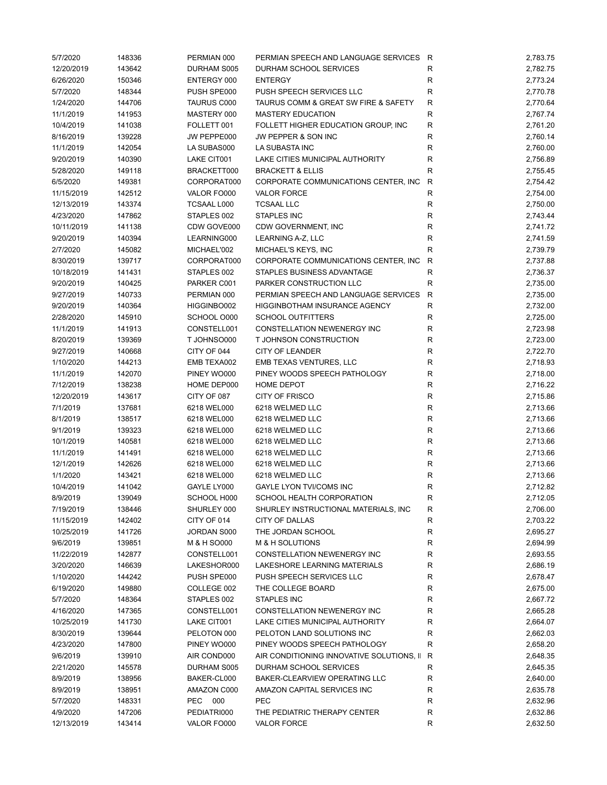| 5/7/2020   | 148336 | PERMIAN 000 | PERMIAN SPEECH AND LANGUAGE SERVICES R    |              | 2,783.75 |
|------------|--------|-------------|-------------------------------------------|--------------|----------|
| 12/20/2019 | 143642 | DURHAM S005 | DURHAM SCHOOL SERVICES                    | R            | 2,782.75 |
| 6/26/2020  | 150346 | ENTERGY 000 | <b>ENTERGY</b>                            | R            | 2,773.24 |
| 5/7/2020   | 148344 | PUSH SPE000 | PUSH SPEECH SERVICES LLC                  | ${\sf R}$    | 2,770.78 |
| 1/24/2020  | 144706 | TAURUS C000 | TAURUS COMM & GREAT SW FIRE & SAFETY      | ${\sf R}$    | 2,770.64 |
| 11/1/2019  | 141953 | MASTERY 000 | <b>MASTERY EDUCATION</b>                  | R            | 2,767.74 |
| 10/4/2019  | 141038 | FOLLETT 001 | FOLLETT HIGHER EDUCATION GROUP, INC       | ${\sf R}$    | 2,761.20 |
| 8/16/2019  | 139228 | JW PEPPE000 | JW PEPPER & SON INC                       | ${\sf R}$    | 2,760.14 |
| 11/1/2019  | 142054 | LA SUBAS000 | LA SUBASTA INC                            | ${\sf R}$    | 2,760.00 |
| 9/20/2019  | 140390 | LAKE CIT001 | LAKE CITIES MUNICIPAL AUTHORITY           | $\mathsf R$  | 2,756.89 |
| 5/28/2020  | 149118 | BRACKETT000 | <b>BRACKETT &amp; ELLIS</b>               | R            | 2,755.45 |
| 6/5/2020   | 149381 | CORPORAT000 | CORPORATE COMMUNICATIONS CENTER, INC.     | R            | 2,754.42 |
| 11/15/2019 | 142512 | VALOR FO000 | <b>VALOR FORCE</b>                        | ${\sf R}$    | 2,754.00 |
| 12/13/2019 | 143374 | TCSAAL L000 | <b>TCSAAL LLC</b>                         | $\mathsf R$  | 2,750.00 |
|            |        |             |                                           |              |          |
| 4/23/2020  | 147862 | STAPLES 002 | STAPLES INC                               | R            | 2,743.44 |
| 10/11/2019 | 141138 | CDW GOVE000 | CDW GOVERNMENT, INC                       | R            | 2,741.72 |
| 9/20/2019  | 140394 | LEARNING000 | LEARNING A-Z, LLC                         | R            | 2,741.59 |
| 2/7/2020   | 145082 | MICHAEL'002 | MICHAEL'S KEYS, INC                       | $\mathsf R$  | 2,739.79 |
| 8/30/2019  | 139717 | CORPORAT000 | CORPORATE COMMUNICATIONS CENTER, INC.     | $\mathsf R$  | 2,737.88 |
| 10/18/2019 | 141431 | STAPLES 002 | STAPLES BUSINESS ADVANTAGE                | R            | 2,736.37 |
| 9/20/2019  | 140425 | PARKER C001 | PARKER CONSTRUCTION LLC                   | R            | 2,735.00 |
| 9/27/2019  | 140733 | PERMIAN 000 | PERMIAN SPEECH AND LANGUAGE SERVICES      | $\mathsf{R}$ | 2,735.00 |
| 9/20/2019  | 140364 | HIGGINBO002 | HIGGINBOTHAM INSURANCE AGENCY             | $\mathsf R$  | 2,732.00 |
| 2/28/2020  | 145910 | SCHOOL O000 | <b>SCHOOL OUTFITTERS</b>                  | ${\sf R}$    | 2,725.00 |
| 11/1/2019  | 141913 | CONSTELL001 | CONSTELLATION NEWENERGY INC               | R            | 2,723.98 |
| 8/20/2019  | 139369 | T JOHNSO000 | T JOHNSON CONSTRUCTION                    | R            | 2,723.00 |
| 9/27/2019  | 140668 | CITY OF 044 | <b>CITY OF LEANDER</b>                    | $\mathsf R$  | 2,722.70 |
| 1/10/2020  | 144213 | EMB TEXA002 | EMB TEXAS VENTURES, LLC                   | $\mathsf R$  | 2,718.93 |
| 11/1/2019  | 142070 | PINEY WO000 | PINEY WOODS SPEECH PATHOLOGY              | $\mathsf R$  | 2,718.00 |
| 7/12/2019  | 138238 | HOME DEP000 | HOME DEPOT                                | $\mathsf R$  | 2,716.22 |
| 12/20/2019 | 143617 | CITY OF 087 | <b>CITY OF FRISCO</b>                     | R            | 2,715.86 |
| 7/1/2019   | 137681 | 6218 WEL000 | 6218 WELMED LLC                           | R            | 2,713.66 |
| 8/1/2019   | 138517 | 6218 WEL000 | 6218 WELMED LLC                           | R            | 2,713.66 |
| 9/1/2019   | 139323 | 6218 WEL000 | 6218 WELMED LLC                           | ${\sf R}$    | 2,713.66 |
| 10/1/2019  | 140581 | 6218 WEL000 | 6218 WELMED LLC                           | R            | 2,713.66 |
| 11/1/2019  |        | 6218 WEL000 |                                           |              |          |
|            | 141491 |             | 6218 WELMED LLC                           | ${\sf R}$    | 2,713.66 |
| 12/1/2019  | 142626 | 6218 WEL000 | 6218 WELMED LLC                           | R            | 2,713.66 |
| 1/1/2020   | 143421 | 6218 WEL000 | 6218 WELMED LLC                           | ${\sf R}$    | 2,713.66 |
| 10/4/2019  | 141042 | GAYLE LY000 | GAYLE LYON TVI/COMS INC                   | $\mathsf R$  | 2,712.82 |
| 8/9/2019   | 139049 | SCHOOL H000 | SCHOOL HEALTH CORPORATION                 | R            | 2,712.05 |
| 7/19/2019  | 138446 | SHURLEY 000 | SHURLEY INSTRUCTIONAL MATERIALS, INC      | R            | 2,706.00 |
| 11/15/2019 | 142402 | CITY OF 014 | CITY OF DALLAS                            | R            | 2,703.22 |
| 10/25/2019 | 141726 | JORDAN S000 | THE JORDAN SCHOOL                         | R            | 2,695.27 |
| 9/6/2019   | 139851 | M & H SO000 | M & H SOLUTIONS                           | R            | 2,694.99 |
| 11/22/2019 | 142877 | CONSTELL001 | <b>CONSTELLATION NEWENERGY INC</b>        | R            | 2,693.55 |
| 3/20/2020  | 146639 | LAKESHOR000 | LAKESHORE LEARNING MATERIALS              | R            | 2,686.19 |
| 1/10/2020  | 144242 | PUSH SPE000 | PUSH SPEECH SERVICES LLC                  | R            | 2,678.47 |
| 6/19/2020  | 149880 | COLLEGE 002 | THE COLLEGE BOARD                         | R            | 2,675.00 |
| 5/7/2020   | 148364 | STAPLES 002 | STAPLES INC                               | R            | 2,667.72 |
| 4/16/2020  | 147365 | CONSTELL001 | CONSTELLATION NEWENERGY INC               | R            | 2,665.28 |
| 10/25/2019 | 141730 | LAKE CIT001 | LAKE CITIES MUNICIPAL AUTHORITY           | R            | 2,664.07 |
| 8/30/2019  | 139644 | PELOTON 000 | PELOTON LAND SOLUTIONS INC                | R            | 2,662.03 |
| 4/23/2020  | 147800 | PINEY WO000 | PINEY WOODS SPEECH PATHOLOGY              | $\mathsf R$  | 2,658.20 |
| 9/6/2019   | 139910 | AIR COND000 | AIR CONDITIONING INNOVATIVE SOLUTIONS, II | R            | 2,648.35 |
| 2/21/2020  | 145578 | DURHAM S005 | DURHAM SCHOOL SERVICES                    | R            | 2,645.35 |
| 8/9/2019   | 138956 | BAKER-CL000 | BAKER-CLEARVIEW OPERATING LLC             | R            | 2,640.00 |
| 8/9/2019   | 138951 | AMAZON C000 | AMAZON CAPITAL SERVICES INC               | R            | 2,635.78 |
| 5/7/2020   | 148331 | PEC 000     | PEC                                       | ${\sf R}$    |          |
|            |        |             |                                           |              | 2,632.96 |
| 4/9/2020   | 147206 | PEDIATRI000 | THE PEDIATRIC THERAPY CENTER              | R            | 2,632.86 |
| 12/13/2019 | 143414 | VALOR FO000 | <b>VALOR FORCE</b>                        | R            | 2,632.50 |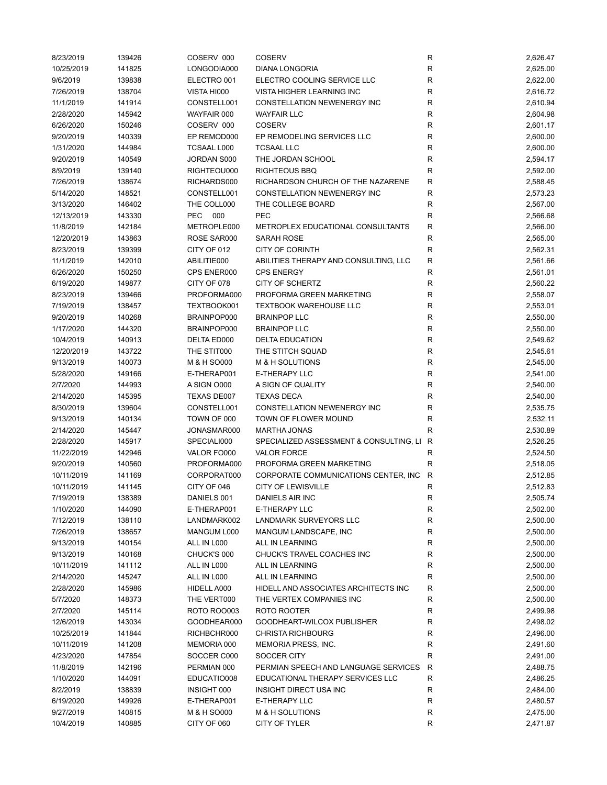| 8/23/2019  | 139426 | COSERV 000         | <b>COSERV</b>                           | R            | 2,626.47 |
|------------|--------|--------------------|-----------------------------------------|--------------|----------|
| 10/25/2019 | 141825 | LONGODIA000        | <b>DIANA LONGORIA</b>                   | R            | 2,625.00 |
| 9/6/2019   | 139838 | ELECTRO 001        | ELECTRO COOLING SERVICE LLC             | R            | 2,622.00 |
| 7/26/2019  | 138704 | VISTA HI000        | VISTA HIGHER LEARNING INC               | R            | 2,616.72 |
| 11/1/2019  | 141914 | CONSTELL001        | CONSTELLATION NEWENERGY INC             | R            | 2,610.94 |
| 2/28/2020  | 145942 | WAYFAIR 000        | <b>WAYFAIR LLC</b>                      | R            | 2,604.98 |
| 6/26/2020  | 150246 | COSERV 000         | <b>COSERV</b>                           | $\mathsf{R}$ | 2,601.17 |
| 9/20/2019  | 140339 | EP REMOD000        | EP REMODELING SERVICES LLC              | $\mathsf{R}$ | 2,600.00 |
| 1/31/2020  | 144984 | <b>TCSAAL L000</b> | <b>TCSAAL LLC</b>                       | R            | 2,600.00 |
| 9/20/2019  | 140549 | JORDAN S000        | THE JORDAN SCHOOL                       | R            | 2,594.17 |
| 8/9/2019   | 139140 | RIGHTEOU000        | <b>RIGHTEOUS BBQ</b>                    | R            | 2,592.00 |
| 7/26/2019  | 138674 | RICHARDS000        | RICHARDSON CHURCH OF THE NAZARENE       | R            | 2,588.45 |
| 5/14/2020  | 148521 | CONSTELL001        | CONSTELLATION NEWENERGY INC             | $\mathsf{R}$ | 2,573.23 |
| 3/13/2020  | 146402 | THE COLL000        | THE COLLEGE BOARD                       | R            | 2,567.00 |
| 12/13/2019 | 143330 | PEC 000            | <b>PEC</b>                              | R            | 2,566.68 |
| 11/8/2019  | 142184 | METROPLE000        | METROPLEX EDUCATIONAL CONSULTANTS       | R            | 2,566.00 |
|            |        |                    | <b>SARAH ROSE</b>                       | R            |          |
| 12/20/2019 | 143863 | ROSE SAR000        |                                         |              | 2,565.00 |
| 8/23/2019  | 139399 | CITY OF 012        | <b>CITY OF CORINTH</b>                  | $\mathsf{R}$ | 2,562.31 |
| 11/1/2019  | 142010 | ABILITIE000        | ABILITIES THERAPY AND CONSULTING, LLC   | R            | 2,561.66 |
| 6/26/2020  | 150250 | CPS ENER000        | <b>CPS ENERGY</b>                       | R            | 2,561.01 |
| 6/19/2020  | 149877 | CITY OF 078        | CITY OF SCHERTZ                         | $\mathsf{R}$ | 2,560.22 |
| 8/23/2019  | 139466 | PROFORMA000        | PROFORMA GREEN MARKETING                | R            | 2,558.07 |
| 7/19/2019  | 138457 | TEXTBOOK001        | <b>TEXTBOOK WAREHOUSE LLC</b>           | R            | 2,553.01 |
| 9/20/2019  | 140268 | BRAINPOP000        | <b>BRAINPOP LLC</b>                     | R            | 2,550.00 |
| 1/17/2020  | 144320 | BRAINPOP000        | <b>BRAINPOP LLC</b>                     | R            | 2,550.00 |
| 10/4/2019  | 140913 | DELTA ED000        | <b>DELTA EDUCATION</b>                  | $\mathsf{R}$ | 2,549.62 |
| 12/20/2019 | 143722 | THE STIT000        | THE STITCH SQUAD                        | $\mathsf{R}$ | 2,545.61 |
| 9/13/2019  | 140073 | M & H SO000        | M & H SOLUTIONS                         | $\mathsf{R}$ | 2,545.00 |
| 5/28/2020  | 149166 | E-THERAP001        | <b>E-THERAPY LLC</b>                    | R            | 2,541.00 |
| 2/7/2020   | 144993 | A SIGN O000        | A SIGN OF QUALITY                       | $\mathsf{R}$ | 2,540.00 |
| 2/14/2020  | 145395 | TEXAS DE007        | <b>TEXAS DECA</b>                       | $\mathsf{R}$ | 2,540.00 |
| 8/30/2019  | 139604 | CONSTELL001        | CONSTELLATION NEWENERGY INC             | R            | 2,535.75 |
| 9/13/2019  | 140134 | TOWN OF 000        | TOWN OF FLOWER MOUND                    | R            | 2,532.11 |
| 2/14/2020  | 145447 | JONASMAR000        | <b>MARTHA JONAS</b>                     | R            | 2,530.89 |
| 2/28/2020  | 145917 | SPECIALI000        | SPECIALIZED ASSESSMENT & CONSULTING, LI | R            | 2,526.25 |
| 11/22/2019 | 142946 | VALOR FO000        | <b>VALOR FORCE</b>                      | R            | 2,524.50 |
| 9/20/2019  | 140560 | PROFORMA000        | PROFORMA GREEN MARKETING                | $\mathsf{R}$ | 2,518.05 |
| 10/11/2019 | 141169 | CORPORAT000        | CORPORATE COMMUNICATIONS CENTER, INC.   | $\mathsf{R}$ | 2,512.85 |
| 10/11/2019 | 141145 | CITY OF 046        | <b>CITY OF LEWISVILLE</b>               | R            | 2,512.83 |
| 7/19/2019  | 138389 | DANIELS 001        | DANIELS AIR INC                         | R            | 2,505.74 |
| 1/10/2020  | 144090 | E-THERAP001        | E-THERAPY LLC                           | R            | 2,502.00 |
| 7/12/2019  | 138110 | LANDMARK002        | LANDMARK SURVEYORS LLC                  | R            | 2,500.00 |
| 7/26/2019  | 138657 | MANGUM L000        | MANGUM LANDSCAPE, INC                   | R            | 2,500.00 |
| 9/13/2019  | 140154 | ALL IN L000        | ALL IN LEARNING                         | R            | 2,500.00 |
| 9/13/2019  | 140168 | CHUCK'S 000        | CHUCK'S TRAVEL COACHES INC              | R            | 2,500.00 |
| 10/11/2019 | 141112 | ALL IN L000        | ALL IN LEARNING                         | R            | 2,500.00 |
| 2/14/2020  | 145247 | ALL IN L000        | ALL IN LEARNING                         | $\mathsf{R}$ | 2,500.00 |
| 2/28/2020  | 145986 | HIDELL A000        | HIDELL AND ASSOCIATES ARCHITECTS INC    | $\mathsf{R}$ | 2,500.00 |
|            |        |                    | THE VERTEX COMPANIES INC                |              |          |
| 5/7/2020   | 148373 | THE VERT000        |                                         | R            | 2,500.00 |
| 2/7/2020   | 145114 | ROTO ROO003        | ROTO ROOTER                             | R            | 2,499.98 |
| 12/6/2019  | 143034 | GOODHEAR000        | GOODHEART-WILCOX PUBLISHER              | R            | 2,498.02 |
| 10/25/2019 | 141844 | RICHBCHR000        | <b>CHRISTA RICHBOURG</b>                | R            | 2,496.00 |
| 10/11/2019 | 141208 | MEMORIA 000        | MEMORIA PRESS, INC.                     | R            | 2,491.60 |
| 4/23/2020  | 147854 | SOCCER C000        | SOCCER CITY                             | R            | 2,491.00 |
| 11/8/2019  | 142196 | PERMIAN 000        | PERMIAN SPEECH AND LANGUAGE SERVICES    | R            | 2,488.75 |
| 1/10/2020  | 144091 | EDUCATIO008        | EDUCATIONAL THERAPY SERVICES LLC        | R            | 2,486.25 |
| 8/2/2019   | 138839 | INSIGHT 000        | INSIGHT DIRECT USA INC                  | $\mathsf{R}$ | 2,484.00 |
| 6/19/2020  | 149926 | E-THERAP001        | E-THERAPY LLC                           | R            | 2,480.57 |
| 9/27/2019  | 140815 | M & H SO000        | M & H SOLUTIONS                         | R            | 2,475.00 |
| 10/4/2019  | 140885 | CITY OF 060        | CITY OF TYLER                           | R            | 2,471.87 |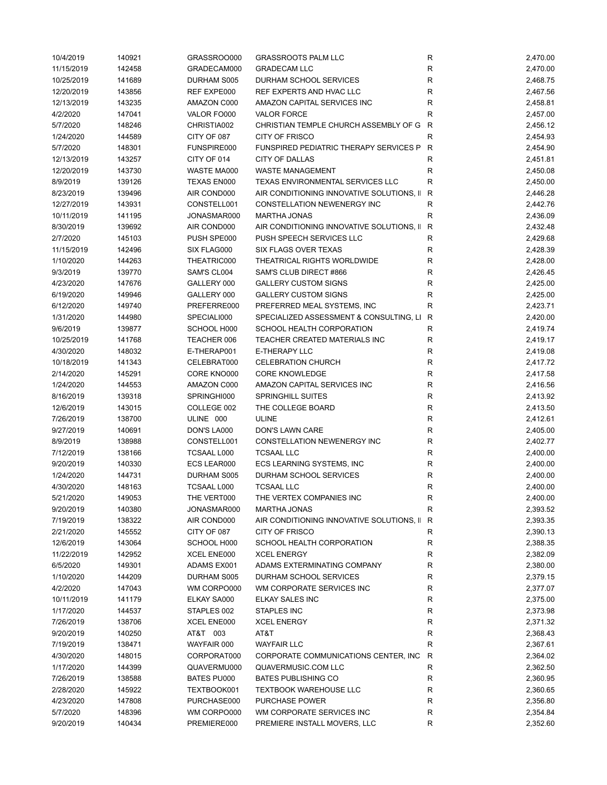| 10/4/2019  | 140921 | GRASSROO000        | <b>GRASSROOTS PALM LLC</b>                  | R            | 2,470.00 |
|------------|--------|--------------------|---------------------------------------------|--------------|----------|
| 11/15/2019 | 142458 | GRADECAM000        | <b>GRADECAM LLC</b>                         | R            | 2,470.00 |
| 10/25/2019 | 141689 | DURHAM S005        | DURHAM SCHOOL SERVICES                      | R            | 2,468.75 |
| 12/20/2019 | 143856 | REF EXPE000        | REF EXPERTS AND HVAC LLC                    | R            | 2,467.56 |
| 12/13/2019 | 143235 | AMAZON C000        | AMAZON CAPITAL SERVICES INC                 | R            | 2,458.81 |
| 4/2/2020   | 147041 | VALOR FO000        | <b>VALOR FORCE</b>                          | $\mathsf R$  | 2,457.00 |
| 5/7/2020   | 148246 | CHRISTIA002        | CHRISTIAN TEMPLE CHURCH ASSEMBLY OF G       | $\mathsf{R}$ | 2,456.12 |
| 1/24/2020  | 144589 | CITY OF 087        | <b>CITY OF FRISCO</b>                       | $\mathsf R$  | 2,454.93 |
| 5/7/2020   | 148301 | FUNSPIRE000        | FUNSPIRED PEDIATRIC THERAPY SERVICES P      | R            | 2,454.90 |
| 12/13/2019 | 143257 | CITY OF 014        | <b>CITY OF DALLAS</b>                       | R            | 2,451.81 |
| 12/20/2019 | 143730 | WASTE MA000        | <b>WASTE MANAGEMENT</b>                     | R            | 2,450.08 |
| 8/9/2019   | 139126 | TEXAS EN000        | TEXAS ENVIRONMENTAL SERVICES LLC            | R            | 2,450.00 |
| 8/23/2019  | 139496 | AIR COND000        | AIR CONDITIONING INNOVATIVE SOLUTIONS, II   | R            | 2,446.28 |
| 12/27/2019 | 143931 | CONSTELL001        | CONSTELLATION NEWENERGY INC                 | R            | 2,442.76 |
| 10/11/2019 | 141195 | JONASMAR000        | <b>MARTHA JONAS</b>                         | R            | 2,436.09 |
| 8/30/2019  | 139692 | AIR COND000        | AIR CONDITIONING INNOVATIVE SOLUTIONS, II   | R            | 2,432.48 |
| 2/7/2020   | 145103 | PUSH SPE000        | PUSH SPEECH SERVICES LLC                    | $\mathsf R$  | 2,429.68 |
|            |        |                    |                                             |              |          |
| 11/15/2019 | 142496 | SIX FLAG000        | <b>SIX FLAGS OVER TEXAS</b>                 | R            | 2,428.39 |
| 1/10/2020  | 144263 | THEATRIC000        | THEATRICAL RIGHTS WORLDWIDE                 | R            | 2,428.00 |
| 9/3/2019   | 139770 | SAM'S CL004        | SAM'S CLUB DIRECT #866                      | R            | 2,426.45 |
| 4/23/2020  | 147676 | GALLERY 000        | <b>GALLERY CUSTOM SIGNS</b>                 | R            | 2,425.00 |
| 6/19/2020  | 149946 | GALLERY 000        | <b>GALLERY CUSTOM SIGNS</b>                 | R            | 2,425.00 |
| 6/12/2020  | 149740 | PREFERRE000        | PREFERRED MEAL SYSTEMS, INC                 | R            | 2,423.71 |
| 1/31/2020  | 144980 | SPECIALI000        | SPECIALIZED ASSESSMENT & CONSULTING, LI     | R            | 2,420.00 |
| 9/6/2019   | 139877 | SCHOOL H000        | <b>SCHOOL HEALTH CORPORATION</b>            | R            | 2,419.74 |
| 10/25/2019 | 141768 | TEACHER 006        | TEACHER CREATED MATERIALS INC               | R            | 2,419.17 |
| 4/30/2020  | 148032 | E-THERAP001        | E-THERAPY LLC                               | $\mathsf R$  | 2,419.08 |
| 10/18/2019 | 141343 | CELEBRAT000        | <b>CELEBRATION CHURCH</b>                   | R            | 2,417.72 |
| 2/14/2020  | 145291 | CORE KNO000        | <b>CORE KNOWLEDGE</b>                       | R            | 2,417.58 |
| 1/24/2020  | 144553 | AMAZON C000        | AMAZON CAPITAL SERVICES INC                 | R            | 2,416.56 |
| 8/16/2019  | 139318 | SPRINGHI000        | <b>SPRINGHILL SUITES</b>                    | R            | 2,413.92 |
| 12/6/2019  | 143015 | COLLEGE 002        | THE COLLEGE BOARD                           | R            | 2,413.50 |
| 7/26/2019  | 138700 | ULINE 000          | <b>ULINE</b>                                | R            | 2,412.61 |
| 9/27/2019  | 140691 | DON'S LA000        | DON'S LAWN CARE                             | R            | 2,405.00 |
| 8/9/2019   | 138988 | CONSTELL001        | <b>CONSTELLATION NEWENERGY INC</b>          | R            | 2,402.77 |
| 7/12/2019  | 138166 | TCSAAL L000        | <b>TCSAAL LLC</b>                           | R            | 2,400.00 |
| 9/20/2019  | 140330 | ECS LEAR000        | ECS LEARNING SYSTEMS, INC                   | ${\sf R}$    | 2,400.00 |
| 1/24/2020  | 144731 | DURHAM S005        | DURHAM SCHOOL SERVICES                      | R            | 2,400.00 |
| 4/30/2020  | 148163 | <b>TCSAAL L000</b> | <b>TCSAAL LLC</b>                           | $\mathsf R$  | 2,400.00 |
| 5/21/2020  | 149053 | THE VERT000        | THE VERTEX COMPANIES INC                    | R            | 2,400.00 |
| 9/20/2019  | 140380 | JONASMAR000        | <b>MARTHA JONAS</b>                         | R            | 2,393.52 |
| 7/19/2019  | 138322 | AIR COND000        | AIR CONDITIONING INNOVATIVE SOLUTIONS, II R |              | 2,393.35 |
| 2/21/2020  | 145552 | CITY OF 087        | CITY OF FRISCO                              | R            | 2,390.13 |
| 12/6/2019  | 143064 | SCHOOL H000        | SCHOOL HEALTH CORPORATION                   | R            | 2,388.35 |
| 11/22/2019 | 142952 | XCEL ENE000        | <b>XCEL ENERGY</b>                          | R            | 2,382.09 |
| 6/5/2020   | 149301 | ADAMS EX001        | ADAMS EXTERMINATING COMPANY                 | ${\sf R}$    | 2,380.00 |
| 1/10/2020  | 144209 | DURHAM S005        | DURHAM SCHOOL SERVICES                      | R            | 2,379.15 |
| 4/2/2020   | 147043 | WM CORPO000        | WM CORPORATE SERVICES INC                   | R            | 2,377.07 |
|            |        |                    |                                             |              |          |
| 10/11/2019 | 141179 | ELKAY SA000        | ELKAY SALES INC                             | R            | 2,375.00 |
| 1/17/2020  | 144537 | STAPLES 002        | <b>STAPLES INC</b>                          | R            | 2,373.98 |
| 7/26/2019  | 138706 | XCEL ENE000        | <b>XCEL ENERGY</b>                          | R            | 2,371.32 |
| 9/20/2019  | 140250 | AT&T 003           | AT&T                                        | R            | 2,368.43 |
| 7/19/2019  | 138471 | WAYFAIR 000        | <b>WAYFAIR LLC</b>                          | R            | 2,367.61 |
| 4/30/2020  | 148015 | CORPORAT000        | CORPORATE COMMUNICATIONS CENTER, INC        | R            | 2,364.02 |
| 1/17/2020  | 144399 | QUAVERMU000        | QUAVERMUSIC.COM LLC                         | R            | 2,362.50 |
| 7/26/2019  | 138588 | BATES PU000        | <b>BATES PUBLISHING CO</b>                  | R            | 2,360.95 |
| 2/28/2020  | 145922 | TEXTBOOK001        | <b>TEXTBOOK WAREHOUSE LLC</b>               | R            | 2,360.65 |
| 4/23/2020  | 147808 | PURCHASE000        | <b>PURCHASE POWER</b>                       | R            | 2,356.80 |
| 5/7/2020   | 148396 | WM CORPO000        | WM CORPORATE SERVICES INC                   | R            | 2,354.84 |
| 9/20/2019  | 140434 | PREMIERE000        | PREMIERE INSTALL MOVERS, LLC                | R            | 2,352.60 |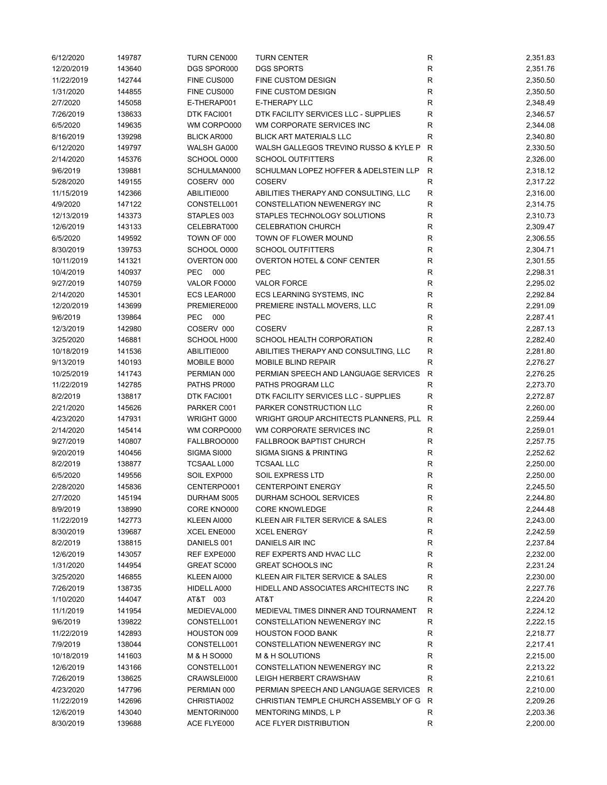| 6/12/2020  | 149787 | <b>TURN CEN000</b> | <b>TURN CENTER</b>                      | R            | 2,351.83 |
|------------|--------|--------------------|-----------------------------------------|--------------|----------|
| 12/20/2019 | 143640 | DGS SPOR000        | <b>DGS SPORTS</b>                       | R            | 2,351.76 |
| 11/22/2019 | 142744 | FINE CUS000        | FINE CUSTOM DESIGN                      | R            | 2,350.50 |
| 1/31/2020  | 144855 | FINE CUS000        | FINE CUSTOM DESIGN                      | ${\sf R}$    | 2,350.50 |
| 2/7/2020   | 145058 | E-THERAP001        | <b>E-THERAPY LLC</b>                    | R            | 2,348.49 |
| 7/26/2019  | 138633 | DTK FACI001        | DTK FACILITY SERVICES LLC - SUPPLIES    | R            | 2,346.57 |
| 6/5/2020   | 149635 | WM CORPO000        | WM CORPORATE SERVICES INC               | $\mathsf R$  | 2,344.08 |
| 8/16/2019  | 139298 | <b>BLICK AR000</b> | <b>BLICK ART MATERIALS LLC</b>          | ${\sf R}$    | 2,340.80 |
| 6/12/2020  | 149797 | WALSH GA000        | WALSH GALLEGOS TREVINO RUSSO & KYLE P   | $\mathsf{R}$ | 2,330.50 |
| 2/14/2020  | 145376 | SCHOOL O000        | <b>SCHOOL OUTFITTERS</b>                | R            | 2,326.00 |
| 9/6/2019   | 139881 | SCHULMAN000        | SCHULMAN LOPEZ HOFFER & ADELSTEIN LLP   | $\mathsf{R}$ | 2,318.12 |
| 5/28/2020  | 149155 | COSERV 000         | <b>COSERV</b>                           | $\mathsf R$  | 2,317.22 |
| 11/15/2019 | 142366 | ABILITIE000        | ABILITIES THERAPY AND CONSULTING, LLC   | R            | 2,316.00 |
| 4/9/2020   | 147122 | CONSTELL001        | CONSTELLATION NEWENERGY INC             | R            | 2,314.75 |
|            |        |                    |                                         |              |          |
| 12/13/2019 | 143373 | STAPLES 003        | STAPLES TECHNOLOGY SOLUTIONS            | R            | 2,310.73 |
| 12/6/2019  | 143133 | CELEBRAT000        | <b>CELEBRATION CHURCH</b>               | R            | 2,309.47 |
| 6/5/2020   | 149592 | TOWN OF 000        | TOWN OF FLOWER MOUND                    | R            | 2,306.55 |
| 8/30/2019  | 139753 | SCHOOL O000        | <b>SCHOOL OUTFITTERS</b>                | $\mathsf R$  | 2,304.71 |
| 10/11/2019 | 141321 | OVERTON 000        | OVERTON HOTEL & CONF CENTER             | $\mathsf R$  | 2,301.55 |
| 10/4/2019  | 140937 | PEC 000            | PEC                                     | R            | 2,298.31 |
| 9/27/2019  | 140759 | VALOR FO000        | <b>VALOR FORCE</b>                      | ${\sf R}$    | 2,295.02 |
| 2/14/2020  | 145301 | ECS LEAR000        | ECS LEARNING SYSTEMS, INC               | R            | 2,292.84 |
| 12/20/2019 | 143699 | PREMIERE000        | PREMIERE INSTALL MOVERS, LLC            | R            | 2,291.09 |
| 9/6/2019   | 139864 | <b>PEC</b><br>000  | <b>PEC</b>                              | R            | 2,287.41 |
| 12/3/2019  | 142980 | COSERV 000         | <b>COSERV</b>                           | R            | 2,287.13 |
| 3/25/2020  | 146881 | SCHOOL H000        | <b>SCHOOL HEALTH CORPORATION</b>        | ${\sf R}$    | 2,282.40 |
| 10/18/2019 | 141536 | ABILITIE000        | ABILITIES THERAPY AND CONSULTING, LLC   | $\mathsf R$  | 2,281.80 |
| 9/13/2019  | 140193 | MOBILE B000        | MOBILE BLIND REPAIR                     | $\mathsf{R}$ | 2,276.27 |
| 10/25/2019 | 141743 | PERMIAN 000        | PERMIAN SPEECH AND LANGUAGE SERVICES    | $\mathsf{R}$ | 2,276.25 |
| 11/22/2019 | 142785 | PATHS PR000        | PATHS PROGRAM LLC                       | R            | 2,273.70 |
| 8/2/2019   | 138817 | DTK FACI001        | DTK FACILITY SERVICES LLC - SUPPLIES    | R            | 2,272.87 |
| 2/21/2020  | 145626 | PARKER C001        | PARKER CONSTRUCTION LLC                 | $\mathsf R$  | 2,260.00 |
| 4/23/2020  | 147931 | WRIGHT G000        | WRIGHT GROUP ARCHITECTS PLANNERS, PLL   | R            | 2,259.44 |
| 2/14/2020  | 145414 | WM CORPO000        | WM CORPORATE SERVICES INC               | R            | 2,259.01 |
| 9/27/2019  | 140807 | FALLBROO000        | <b>FALLBROOK BAPTIST CHURCH</b>         | R            | 2,257.75 |
| 9/20/2019  | 140456 | SIGMA SI000        | <b>SIGMA SIGNS &amp; PRINTING</b>       | R            | 2,252.62 |
|            |        |                    |                                         |              |          |
| 8/2/2019   | 138877 | TCSAAL L000        | <b>TCSAAL LLC</b>                       | R            | 2,250.00 |
| 6/5/2020   | 149556 | SOIL EXP000        | SOIL EXPRESS LTD                        | ${\sf R}$    | 2,250.00 |
| 2/28/2020  | 145836 | CENTERPO001        | <b>CENTERPOINT ENERGY</b>               | R            | 2,245.50 |
| 2/7/2020   | 145194 | DURHAM S005        | DURHAM SCHOOL SERVICES                  | R            | 2,244.80 |
| 8/9/2019   | 138990 | CORE KNO000        | <b>CORE KNOWLEDGE</b>                   | R            | 2,244.48 |
| 11/22/2019 | 142773 | KLEEN AI000        | KLEEN AIR FILTER SERVICE & SALES        | R            | 2,243.00 |
| 8/30/2019  | 139687 | XCEL ENE000        | <b>XCEL ENERGY</b>                      | ${\sf R}$    | 2,242.59 |
| 8/2/2019   | 138815 | DANIELS 001        | DANIELS AIR INC                         | R            | 2,237.84 |
| 12/6/2019  | 143057 | REF EXPE000        | REF EXPERTS AND HVAC LLC                | R            | 2,232.00 |
| 1/31/2020  | 144954 | GREAT SC000        | <b>GREAT SCHOOLS INC</b>                | R            | 2,231.24 |
| 3/25/2020  | 146855 | KLEEN AI000        | KLEEN AIR FILTER SERVICE & SALES        | R            | 2,230.00 |
| 7/26/2019  | 138735 | HIDELL A000        | HIDELL AND ASSOCIATES ARCHITECTS INC    | ${\sf R}$    | 2,227.76 |
| 1/10/2020  | 144047 | AT&T 003           | AT&T                                    | R            | 2,224.20 |
| 11/1/2019  | 141954 | MEDIEVAL000        | MEDIEVAL TIMES DINNER AND TOURNAMENT    | R            | 2,224.12 |
| 9/6/2019   | 139822 | CONSTELL001        | CONSTELLATION NEWENERGY INC             | R            | 2,222.15 |
| 11/22/2019 | 142893 | HOUSTON 009        | <b>HOUSTON FOOD BANK</b>                | R            | 2,218.77 |
| 7/9/2019   | 138044 | CONSTELL001        | CONSTELLATION NEWENERGY INC             | R            | 2,217.41 |
| 10/18/2019 | 141603 | M & H SO000        | M & H SOLUTIONS                         | R            | 2,215.00 |
| 12/6/2019  | 143166 | CONSTELL001        | CONSTELLATION NEWENERGY INC             | R            | 2,213.22 |
| 7/26/2019  | 138625 | CRAWSLEI000        | LEIGH HERBERT CRAWSHAW                  | R            | 2,210.61 |
| 4/23/2020  | 147796 | PERMIAN 000        | PERMIAN SPEECH AND LANGUAGE SERVICES    | R            | 2,210.00 |
| 11/22/2019 | 142696 | CHRISTIA002        | CHRISTIAN TEMPLE CHURCH ASSEMBLY OF G R |              | 2,209.26 |
| 12/6/2019  | 143040 | MENTORIN000        | MENTORING MINDS, L P                    | R            | 2,203.36 |
|            |        |                    |                                         |              |          |
| 8/30/2019  | 139688 | ACE FLYE000        | ACE FLYER DISTRIBUTION                  | R            | 2,200.00 |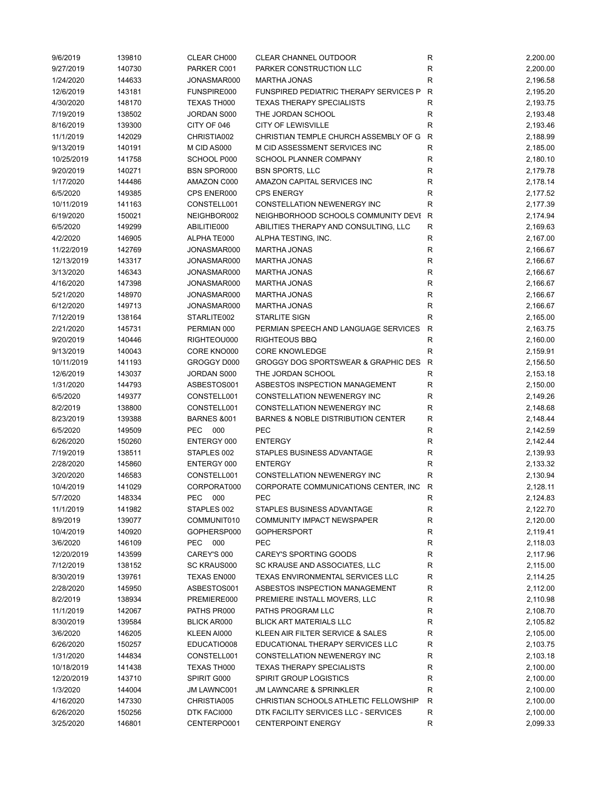| 9/6/2019   | 139810 | CLEAR CH000            | CLEAR CHANNEL OUTDOOR                         | R            | 2,200.00 |
|------------|--------|------------------------|-----------------------------------------------|--------------|----------|
| 9/27/2019  | 140730 | PARKER C001            | PARKER CONSTRUCTION LLC                       | R            | 2,200.00 |
| 1/24/2020  | 144633 | JONASMAR000            | <b>MARTHA JONAS</b>                           | R            | 2,196.58 |
| 12/6/2019  | 143181 | FUNSPIRE000            | FUNSPIRED PEDIATRIC THERAPY SERVICES P        | $\mathsf{R}$ | 2,195.20 |
| 4/30/2020  | 148170 | TEXAS TH000            | <b>TEXAS THERAPY SPECIALISTS</b>              | R            | 2,193.75 |
| 7/19/2019  | 138502 | JORDAN S000            | THE JORDAN SCHOOL                             | ${\sf R}$    | 2,193.48 |
| 8/16/2019  | 139300 | CITY OF 046            | <b>CITY OF LEWISVILLE</b>                     | $\mathsf R$  | 2,193.46 |
| 11/1/2019  | 142029 | CHRISTIA002            | CHRISTIAN TEMPLE CHURCH ASSEMBLY OF G         | $\mathsf{R}$ | 2,188.99 |
| 9/13/2019  | 140191 | M CID AS000            | M CID ASSESSMENT SERVICES INC                 | $\mathsf R$  | 2,185.00 |
| 10/25/2019 | 141758 | SCHOOL P000            | <b>SCHOOL PLANNER COMPANY</b>                 | R            |          |
|            |        |                        | <b>BSN SPORTS, LLC</b>                        |              | 2,180.10 |
| 9/20/2019  | 140271 | <b>BSN SPOR000</b>     |                                               | R            | 2,179.78 |
| 1/17/2020  | 144486 | AMAZON C000            | AMAZON CAPITAL SERVICES INC                   | R            | 2,178.14 |
| 6/5/2020   | 149385 | CPS ENER000            | <b>CPS ENERGY</b>                             | R            | 2,177.52 |
| 10/11/2019 | 141163 | CONSTELL001            | CONSTELLATION NEWENERGY INC                   | $\mathsf R$  | 2,177.39 |
| 6/19/2020  | 150021 | NEIGHBOR002            | NEIGHBORHOOD SCHOOLS COMMUNITY DEVI R         |              | 2,174.94 |
| 6/5/2020   | 149299 | ABILITIE000            | ABILITIES THERAPY AND CONSULTING, LLC         | R            | 2,169.63 |
| 4/2/2020   | 146905 | ALPHA TE000            | ALPHA TESTING, INC.                           | R            | 2,167.00 |
| 11/22/2019 | 142769 | JONASMAR000            | <b>MARTHA JONAS</b>                           | $\mathsf R$  | 2,166.67 |
| 12/13/2019 | 143317 | JONASMAR000            | <b>MARTHA JONAS</b>                           | R            | 2,166.67 |
| 3/13/2020  | 146343 | JONASMAR000            | <b>MARTHA JONAS</b>                           | R            | 2,166.67 |
| 4/16/2020  | 147398 | JONASMAR000            | <b>MARTHA JONAS</b>                           | ${\sf R}$    | 2,166.67 |
| 5/21/2020  | 148970 | JONASMAR000            | MARTHA JONAS                                  | R            | 2,166.67 |
| 6/12/2020  | 149713 | JONASMAR000            | <b>MARTHA JONAS</b>                           | R            | 2,166.67 |
| 7/12/2019  | 138164 | STARLITE002            | <b>STARLITE SIGN</b>                          | R            | 2,165.00 |
| 2/21/2020  | 145731 | PERMIAN 000            | PERMIAN SPEECH AND LANGUAGE SERVICES          | R            | 2,163.75 |
| 9/20/2019  | 140446 | RIGHTEOU000            | <b>RIGHTEOUS BBQ</b>                          | ${\sf R}$    | 2,160.00 |
| 9/13/2019  | 140043 | CORE KNO000            | <b>CORE KNOWLEDGE</b>                         | $\mathsf R$  | 2,159.91 |
| 10/11/2019 | 141193 | GROGGY D000            | GROGGY DOG SPORTSWEAR & GRAPHIC DES           | $\mathsf{R}$ | 2,156.50 |
| 12/6/2019  | 143037 | JORDAN S000            | THE JORDAN SCHOOL                             | R            | 2,153.18 |
| 1/31/2020  | 144793 | ASBESTOS001            | ASBESTOS INSPECTION MANAGEMENT                | R            | 2,150.00 |
| 6/5/2020   | 149377 | CONSTELL001            | CONSTELLATION NEWENERGY INC                   | R            | 2,149.26 |
| 8/2/2019   | 138800 | CONSTELL001            | CONSTELLATION NEWENERGY INC                   | R            | 2,148.68 |
|            |        |                        |                                               |              |          |
| 8/23/2019  | 139388 | <b>BARNES &amp;001</b> | <b>BARNES &amp; NOBLE DISTRIBUTION CENTER</b> | R            | 2,148.44 |
| 6/5/2020   | 149509 | PEC 000                | <b>PEC</b>                                    | R            | 2,142.59 |
| 6/26/2020  | 150260 | ENTERGY 000            | <b>ENTERGY</b>                                | R            | 2,142.44 |
| 7/19/2019  | 138511 | STAPLES 002            | STAPLES BUSINESS ADVANTAGE                    | R            | 2,139.93 |
| 2/28/2020  | 145860 | ENTERGY 000            | <b>ENTERGY</b>                                | R            | 2,133.32 |
| 3/20/2020  | 146583 | CONSTELL001            | CONSTELLATION NEWENERGY INC                   | $\mathsf R$  | 2,130.94 |
| 10/4/2019  | 141029 | CORPORAT000            | CORPORATE COMMUNICATIONS CENTER, INC          | R            | 2,128.11 |
| 5/7/2020   | 148334 | PEC 000                | PEC                                           | R            | 2,124.83 |
| 11/1/2019  | 141982 | STAPLES 002            | STAPLES BUSINESS ADVANTAGE                    | R            | 2,122.70 |
| 8/9/2019   | 139077 | COMMUNIT010            | <b>COMMUNITY IMPACT NEWSPAPER</b>             | R            | 2,120.00 |
| 10/4/2019  | 140920 | GOPHERSP000            | <b>GOPHERSPORT</b>                            | ${\sf R}$    | 2,119.41 |
| 3/6/2020   | 146109 | PEC 000                | PEC                                           | R            | 2,118.03 |
| 12/20/2019 | 143599 | CAREY'S 000            | CAREY'S SPORTING GOODS                        | R            | 2,117.96 |
| 7/12/2019  | 138152 | SC KRAUS000            | SC KRAUSE AND ASSOCIATES, LLC                 | R            | 2,115.00 |
| 8/30/2019  | 139761 | TEXAS EN000            | TEXAS ENVIRONMENTAL SERVICES LLC              | R            | 2,114.25 |
| 2/28/2020  | 145950 | ASBESTOS001            | ASBESTOS INSPECTION MANAGEMENT                | R            | 2,112.00 |
| 8/2/2019   | 138934 | PREMIERE000            | PREMIERE INSTALL MOVERS, LLC                  | R            | 2,110.98 |
| 11/1/2019  | 142067 | PATHS PR000            | PATHS PROGRAM LLC                             | R            | 2,108.70 |
| 8/30/2019  | 139584 | <b>BLICK AR000</b>     | <b>BLICK ART MATERIALS LLC</b>                | R            | 2,105.82 |
| 3/6/2020   | 146205 | KLEEN AI000            | KLEEN AIR FILTER SERVICE & SALES              | R            | 2,105.00 |
| 6/26/2020  | 150257 | EDUCATIO008            | EDUCATIONAL THERAPY SERVICES LLC              | ${\sf R}$    | 2,103.75 |
| 1/31/2020  | 144834 | CONSTELL001            | CONSTELLATION NEWENERGY INC                   | R            | 2,103.18 |
| 10/18/2019 | 141438 | TEXAS TH000            | <b>TEXAS THERAPY SPECIALISTS</b>              | R            | 2,100.00 |
| 12/20/2019 | 143710 | SPIRIT G000            | <b>SPIRIT GROUP LOGISTICS</b>                 | R            | 2,100.00 |
|            |        |                        |                                               | $\mathsf R$  |          |
| 1/3/2020   | 144004 | <b>JM LAWNC001</b>     | <b>JM LAWNCARE &amp; SPRINKLER</b>            |              | 2,100.00 |
| 4/16/2020  | 147330 | CHRISTIA005            | CHRISTIAN SCHOOLS ATHLETIC FELLOWSHIP         | R            | 2,100.00 |
| 6/26/2020  | 150256 | DTK FACI000            | DTK FACILITY SERVICES LLC - SERVICES          | R            | 2,100.00 |
| 3/25/2020  | 146801 | CENTERPO001            | <b>CENTERPOINT ENERGY</b>                     | R            | 2,099.33 |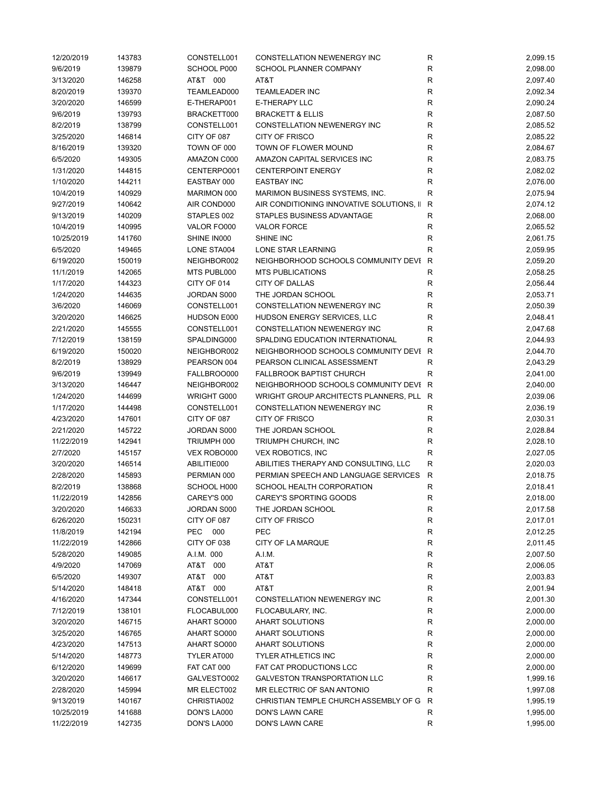| 12/20/2019 | 143783 | CONSTELL001        | CONSTELLATION NEWENERGY INC               | R            | 2,099.15 |
|------------|--------|--------------------|-------------------------------------------|--------------|----------|
| 9/6/2019   | 139879 | SCHOOL P000        | <b>SCHOOL PLANNER COMPANY</b>             | R            | 2,098.00 |
| 3/13/2020  | 146258 | AT&T 000           | AT&T                                      | R            | 2,097.40 |
| 8/20/2019  | 139370 | TEAMLEAD000        | <b>TEAMLEADER INC</b>                     | R            | 2,092.34 |
| 3/20/2020  | 146599 | E-THERAP001        | <b>E-THERAPY LLC</b>                      | R            | 2,090.24 |
| 9/6/2019   | 139793 | BRACKETT000        | <b>BRACKETT &amp; ELLIS</b>               | R            | 2,087.50 |
| 8/2/2019   | 138799 | CONSTELL001        | <b>CONSTELLATION NEWENERGY INC</b>        | R            | 2,085.52 |
| 3/25/2020  | 146814 | CITY OF 087        | <b>CITY OF FRISCO</b>                     | R            | 2,085.22 |
| 8/16/2019  | 139320 | TOWN OF 000        | TOWN OF FLOWER MOUND                      | R            | 2,084.67 |
| 6/5/2020   | 149305 | AMAZON C000        | AMAZON CAPITAL SERVICES INC               | R            | 2,083.75 |
| 1/31/2020  | 144815 | CENTERPO001        | <b>CENTERPOINT ENERGY</b>                 | R            | 2,082.02 |
| 1/10/2020  | 144211 | EASTBAY 000        | <b>EASTBAY INC</b>                        | R            | 2,076.00 |
| 10/4/2019  | 140929 | MARIMON 000        | MARIMON BUSINESS SYSTEMS, INC.            | R            | 2,075.94 |
| 9/27/2019  | 140642 | AIR COND000        | AIR CONDITIONING INNOVATIVE SOLUTIONS, II | R            | 2,074.12 |
| 9/13/2019  | 140209 | STAPLES 002        | STAPLES BUSINESS ADVANTAGE                | R            | 2,068.00 |
| 10/4/2019  | 140995 | VALOR FO000        | <b>VALOR FORCE</b>                        | R            | 2,065.52 |
| 10/25/2019 | 141760 | SHINE IN000        | SHINE INC                                 | $\mathsf{R}$ | 2,061.75 |
| 6/5/2020   | 149465 | LONE STA004        | <b>LONE STAR LEARNING</b>                 | R            | 2,059.95 |
| 6/19/2020  | 150019 | NEIGHBOR002        | NEIGHBORHOOD SCHOOLS COMMUNITY DEVI R     |              | 2,059.20 |
| 11/1/2019  | 142065 | MTS PUBL000        | <b>MTS PUBLICATIONS</b>                   | R            | 2,058.25 |
| 1/17/2020  | 144323 | CITY OF 014        | <b>CITY OF DALLAS</b>                     | R            | 2,056.44 |
| 1/24/2020  | 144635 | JORDAN S000        | THE JORDAN SCHOOL                         | R            | 2,053.71 |
| 3/6/2020   | 146069 | CONSTELL001        | CONSTELLATION NEWENERGY INC               | R            | 2,050.39 |
| 3/20/2020  | 146625 | HUDSON E000        | HUDSON ENERGY SERVICES, LLC               | R            | 2,048.41 |
| 2/21/2020  | 145555 | CONSTELL001        | CONSTELLATION NEWENERGY INC               | R            | 2,047.68 |
| 7/12/2019  | 138159 | SPALDING000        | SPALDING EDUCATION INTERNATIONAL          | R            | 2,044.93 |
| 6/19/2020  | 150020 | NEIGHBOR002        | NEIGHBORHOOD SCHOOLS COMMUNITY DEVI R     |              | 2,044.70 |
| 8/2/2019   | 138929 | PEARSON 004        | PEARSON CLINICAL ASSESSMENT               | $\mathsf R$  | 2,043.29 |
| 9/6/2019   | 139949 | FALLBROO000        | <b>FALLBROOK BAPTIST CHURCH</b>           | R            | 2,041.00 |
| 3/13/2020  | 146447 | NEIGHBOR002        | NEIGHBORHOOD SCHOOLS COMMUNITY DEVI R     |              | 2,040.00 |
| 1/24/2020  | 144699 | <b>WRIGHT G000</b> | WRIGHT GROUP ARCHITECTS PLANNERS, PLL R   |              | 2,039.06 |
| 1/17/2020  | 144498 | CONSTELL001        | CONSTELLATION NEWENERGY INC               | R            | 2,036.19 |
| 4/23/2020  | 147601 | CITY OF 087        | <b>CITY OF FRISCO</b>                     | $\mathsf{R}$ | 2,030.31 |
| 2/21/2020  | 145722 | JORDAN S000        | THE JORDAN SCHOOL                         | R            | 2,028.84 |
| 11/22/2019 | 142941 | TRIUMPH 000        | TRIUMPH CHURCH, INC                       | R            | 2,028.10 |
| 2/7/2020   | 145157 | VEX ROBO000        | <b>VEX ROBOTICS, INC</b>                  | R            | 2,027.05 |
| 3/20/2020  | 146514 | ABILITIE000        | ABILITIES THERAPY AND CONSULTING, LLC     | $\mathsf{R}$ | 2,020.03 |
| 2/28/2020  | 145893 | PERMIAN 000        | PERMIAN SPEECH AND LANGUAGE SERVICES      | ${\sf R}$    | 2,018.75 |
| 8/2/2019   | 138868 | SCHOOL H000        | <b>SCHOOL HEALTH CORPORATION</b>          | R            | 2,018.41 |
| 11/22/2019 | 142856 | CAREY'S 000        | <b>CAREY'S SPORTING GOODS</b>             | R            | 2,018.00 |
| 3/20/2020  | 146633 | JORDAN S000        | THE JORDAN SCHOOL                         | R            | 2,017.58 |
| 6/26/2020  | 150231 | CITY OF 087        | CITY OF FRISCO                            | R            | 2,017.01 |
| 11/8/2019  | 142194 | PEC<br>000         | <b>PEC</b>                                | $\mathsf{R}$ | 2,012.25 |
| 11/22/2019 | 142866 | CITY OF 038        | CITY OF LA MARQUE                         | R            | 2,011.45 |
| 5/28/2020  | 149085 | A.I.M. 000         | A.I.M.                                    | R            | 2,007.50 |
| 4/9/2020   | 147069 | AT&T 000           | AT&T                                      | R            | 2,006.05 |
| 6/5/2020   | 149307 | AT&T<br>000        | AT&T                                      | R            | 2,003.83 |
| 5/14/2020  | 148418 | AT&T 000           | AT&T                                      | R            | 2,001.94 |
| 4/16/2020  | 147344 | CONSTELL001        | CONSTELLATION NEWENERGY INC               | R            | 2,001.30 |
| 7/12/2019  | 138101 | FLOCABUL000        | FLOCABULARY, INC.                         | R            | 2,000.00 |
| 3/20/2020  | 146715 | AHART SO000        | <b>AHART SOLUTIONS</b>                    | R            | 2,000.00 |
| 3/25/2020  | 146765 | AHART SO000        | AHART SOLUTIONS                           | R            | 2,000.00 |
| 4/23/2020  | 147513 | AHART SO000        | <b>AHART SOLUTIONS</b>                    | R            | 2,000.00 |
| 5/14/2020  | 148773 | TYLER AT000        | <b>TYLER ATHLETICS INC</b>                | R            | 2,000.00 |
| 6/12/2020  | 149699 | FAT CAT 000        | FAT CAT PRODUCTIONS LCC                   | R            | 2,000.00 |
| 3/20/2020  | 146617 | GALVESTO002        | <b>GALVESTON TRANSPORTATION LLC</b>       | R            | 1,999.16 |
| 2/28/2020  | 145994 | MR ELECT002        | MR ELECTRIC OF SAN ANTONIO                | R            | 1,997.08 |
| 9/13/2019  | 140167 | CHRISTIA002        | CHRISTIAN TEMPLE CHURCH ASSEMBLY OF G     | R            | 1,995.19 |
| 10/25/2019 | 141688 | DON'S LA000        | DON'S LAWN CARE                           | R            | 1,995.00 |
| 11/22/2019 | 142735 | DON'S LA000        | DON'S LAWN CARE                           | R            | 1,995.00 |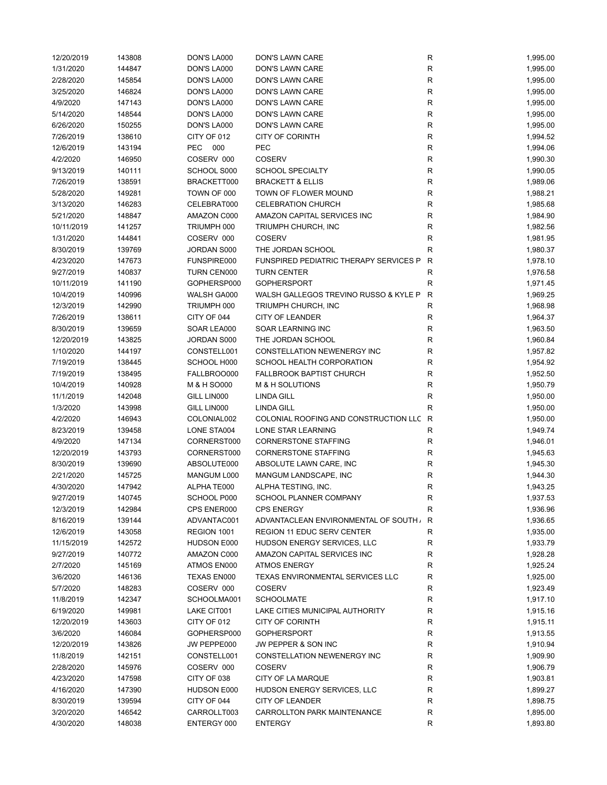| 12/20/2019 | 143808 | DON'S LA000 | DON'S LAWN CARE                         | R            | 1,995.00 |
|------------|--------|-------------|-----------------------------------------|--------------|----------|
| 1/31/2020  | 144847 | DON'S LA000 | DON'S LAWN CARE                         | R            | 1,995.00 |
| 2/28/2020  | 145854 | DON'S LA000 | DON'S LAWN CARE                         | R            | 1,995.00 |
| 3/25/2020  | 146824 | DON'S LA000 | DON'S LAWN CARE                         | R            | 1,995.00 |
| 4/9/2020   | 147143 | DON'S LA000 | DON'S LAWN CARE                         | ${\sf R}$    | 1,995.00 |
| 5/14/2020  | 148544 | DON'S LA000 | DON'S LAWN CARE                         | ${\sf R}$    | 1,995.00 |
| 6/26/2020  | 150255 | DON'S LA000 | DON'S LAWN CARE                         | ${\sf R}$    | 1,995.00 |
| 7/26/2019  | 138610 | CITY OF 012 | <b>CITY OF CORINTH</b>                  | $\mathsf R$  | 1,994.52 |
| 12/6/2019  | 143194 | PEC 000     | PEC                                     | R            | 1,994.06 |
| 4/2/2020   | 146950 | COSERV 000  | <b>COSERV</b>                           | ${\sf R}$    | 1,990.30 |
| 9/13/2019  | 140111 | SCHOOL S000 | <b>SCHOOL SPECIALTY</b>                 | R            | 1,990.05 |
| 7/26/2019  | 138591 | BRACKETT000 | <b>BRACKETT &amp; ELLIS</b>             | R            | 1,989.06 |
| 5/28/2020  | 149281 | TOWN OF 000 | TOWN OF FLOWER MOUND                    | R            | 1,988.21 |
| 3/13/2020  | 146283 | CELEBRAT000 | <b>CELEBRATION CHURCH</b>               | R            | 1,985.68 |
| 5/21/2020  | 148847 | AMAZON C000 | AMAZON CAPITAL SERVICES INC             | R            | 1,984.90 |
| 10/11/2019 | 141257 | TRIUMPH 000 | TRIUMPH CHURCH, INC                     | ${\sf R}$    | 1,982.56 |
| 1/31/2020  | 144841 | COSERV 000  | <b>COSERV</b>                           | $\mathsf R$  |          |
|            |        |             |                                         | $\mathsf R$  | 1,981.95 |
| 8/30/2019  | 139769 | JORDAN S000 | THE JORDAN SCHOOL                       |              | 1,980.37 |
| 4/23/2020  | 147673 | FUNSPIRE000 | FUNSPIRED PEDIATRIC THERAPY SERVICES P  | $\mathsf{R}$ | 1,978.10 |
| 9/27/2019  | 140837 | TURN CEN000 | <b>TURN CENTER</b>                      | ${\sf R}$    | 1,976.58 |
| 10/11/2019 | 141190 | GOPHERSP000 | <b>GOPHERSPORT</b>                      | $\mathsf R$  | 1,971.45 |
| 10/4/2019  | 140996 | WALSH GA000 | WALSH GALLEGOS TREVINO RUSSO & KYLE P   | $\mathsf{R}$ | 1,969.25 |
| 12/3/2019  | 142990 | TRIUMPH 000 | TRIUMPH CHURCH, INC                     | R            | 1,968.98 |
| 7/26/2019  | 138611 | CITY OF 044 | <b>CITY OF LEANDER</b>                  | R            | 1,964.37 |
| 8/30/2019  | 139659 | SOAR LEA000 | SOAR LEARNING INC                       | ${\sf R}$    | 1,963.50 |
| 12/20/2019 | 143825 | JORDAN S000 | THE JORDAN SCHOOL                       | ${\sf R}$    | 1,960.84 |
| 1/10/2020  | 144197 | CONSTELL001 | CONSTELLATION NEWENERGY INC             | ${\sf R}$    | 1,957.82 |
| 7/19/2019  | 138445 | SCHOOL H000 | SCHOOL HEALTH CORPORATION               | R            | 1,954.92 |
| 7/19/2019  | 138495 | FALLBROO000 | <b>FALLBROOK BAPTIST CHURCH</b>         | R            | 1,952.50 |
| 10/4/2019  | 140928 | M & H SO000 | M & H SOLUTIONS                         | R            | 1,950.79 |
| 11/1/2019  | 142048 | GILL LIN000 | <b>LINDA GILL</b>                       | R            | 1,950.00 |
| 1/3/2020   | 143998 | GILL LIN000 | <b>LINDA GILL</b>                       | $\mathsf R$  | 1,950.00 |
| 4/2/2020   | 146943 | COLONIAL002 | COLONIAL ROOFING AND CONSTRUCTION LLC R |              | 1,950.00 |
| 8/23/2019  | 139458 | LONE STA004 | LONE STAR LEARNING                      | R            | 1,949.74 |
| 4/9/2020   | 147134 | CORNERST000 | <b>CORNERSTONE STAFFING</b>             | R            | 1,946.01 |
| 12/20/2019 | 143793 | CORNERST000 | <b>CORNERSTONE STAFFING</b>             | R            | 1,945.63 |
| 8/30/2019  | 139690 | ABSOLUTE000 | ABSOLUTE LAWN CARE, INC                 | ${\sf R}$    | 1,945.30 |
| 2/21/2020  | 145725 | MANGUM L000 | MANGUM LANDSCAPE, INC                   | R            | 1,944.30 |
| 4/30/2020  | 147942 | ALPHATE000  | ALPHA TESTING, INC.                     | $\mathsf R$  | 1,943.25 |
| 9/27/2019  | 140745 | SCHOOL P000 | SCHOOL PLANNER COMPANY                  | R            | 1,937.53 |
| 12/3/2019  | 142984 | CPS ENER000 | <b>CPS ENERGY</b>                       | R            | 1,936.96 |
| 8/16/2019  | 139144 | ADVANTAC001 | ADVANTACLEAN ENVIRONMENTAL OF SOUTH,    | R            | 1,936.65 |
| 12/6/2019  | 143058 | REGION 1001 | REGION 11 EDUC SERV CENTER              | R            | 1,935.00 |
| 11/15/2019 | 142572 | HUDSON E000 | HUDSON ENERGY SERVICES, LLC             | R            | 1,933.79 |
| 9/27/2019  | 140772 | AMAZON C000 | AMAZON CAPITAL SERVICES INC             | R            | 1,928.28 |
| 2/7/2020   | 145169 | ATMOS EN000 | <b>ATMOS ENERGY</b>                     | R            | 1,925.24 |
| 3/6/2020   | 146136 | TEXAS EN000 | TEXAS ENVIRONMENTAL SERVICES LLC        | R            | 1,925.00 |
| 5/7/2020   | 148283 | COSERV 000  | <b>COSERV</b>                           | R            | 1,923.49 |
| 11/8/2019  | 142347 | SCHOOLMA001 | <b>SCHOOLMATE</b>                       | ${\sf R}$    | 1,917.10 |
| 6/19/2020  | 149981 | LAKE CIT001 | LAKE CITIES MUNICIPAL AUTHORITY         | ${\sf R}$    | 1,915.16 |
| 12/20/2019 | 143603 | CITY OF 012 | <b>CITY OF CORINTH</b>                  | R            | 1,915.11 |
| 3/6/2020   | 146084 | GOPHERSP000 | <b>GOPHERSPORT</b>                      | R            | 1,913.55 |
|            |        |             |                                         |              |          |
| 12/20/2019 | 143826 | JW PEPPE000 | JW PEPPER & SON INC                     | R            | 1,910.94 |
| 11/8/2019  | 142151 | CONSTELL001 | CONSTELLATION NEWENERGY INC             | R            | 1,909.90 |
| 2/28/2020  | 145976 | COSERV 000  | <b>COSERV</b>                           | R            | 1,906.79 |
| 4/23/2020  | 147598 | CITY OF 038 | CITY OF LA MARQUE                       | ${\sf R}$    | 1,903.81 |
| 4/16/2020  | 147390 | HUDSON E000 | HUDSON ENERGY SERVICES, LLC             | R            | 1,899.27 |
| 8/30/2019  | 139594 | CITY OF 044 | <b>CITY OF LEANDER</b>                  | R            | 1,898.75 |
| 3/20/2020  | 146542 | CARROLLT003 | <b>CARROLLTON PARK MAINTENANCE</b>      | R            | 1,895.00 |
| 4/30/2020  | 148038 | ENTERGY 000 | <b>ENTERGY</b>                          | R            | 1,893.80 |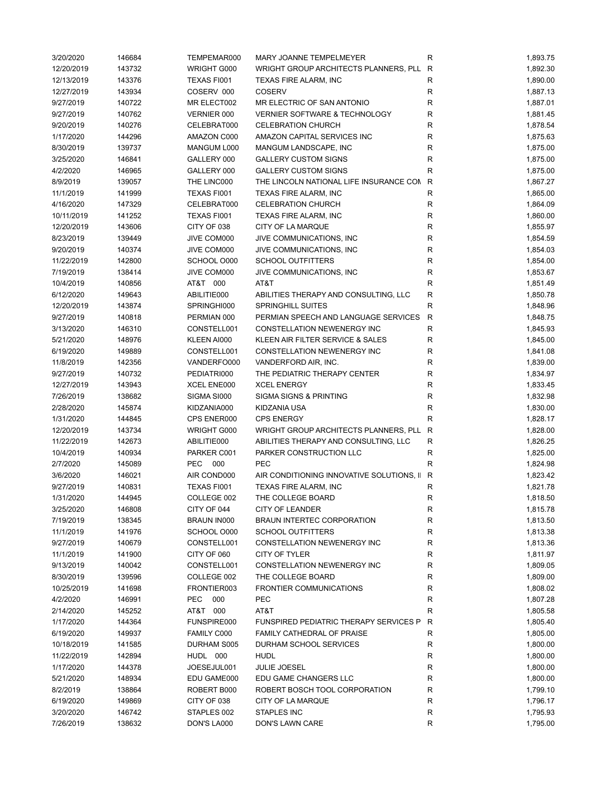| 3/20/2020  | 146684 | TEMPEMAR000        | <b>MARY JOANNE TEMPELMEYER</b>            | R            | 1,893.75 |
|------------|--------|--------------------|-------------------------------------------|--------------|----------|
| 12/20/2019 | 143732 | WRIGHT G000        | WRIGHT GROUP ARCHITECTS PLANNERS, PLL     | R            | 1,892.30 |
| 12/13/2019 | 143376 | TEXAS FI001        | TEXAS FIRE ALARM, INC                     | R            | 1,890.00 |
| 12/27/2019 | 143934 | COSERV 000         | <b>COSERV</b>                             | ${\sf R}$    | 1,887.13 |
| 9/27/2019  | 140722 | MR ELECT002        | MR ELECTRIC OF SAN ANTONIO                | R            | 1,887.01 |
| 9/27/2019  | 140762 | VERNIER 000        | <b>VERNIER SOFTWARE &amp; TECHNOLOGY</b>  | ${\sf R}$    | 1,881.45 |
| 9/20/2019  | 140276 | CELEBRAT000        | <b>CELEBRATION CHURCH</b>                 | R            | 1,878.54 |
| 1/17/2020  | 144296 | AMAZON C000        | AMAZON CAPITAL SERVICES INC               | R            | 1,875.63 |
| 8/30/2019  | 139737 | MANGUM L000        | MANGUM LANDSCAPE, INC                     | $\mathsf R$  | 1,875.00 |
| 3/25/2020  | 146841 | GALLERY 000        | <b>GALLERY CUSTOM SIGNS</b>               | R            | 1,875.00 |
| 4/2/2020   | 146965 | GALLERY 000        | <b>GALLERY CUSTOM SIGNS</b>               | $\mathsf R$  | 1,875.00 |
| 8/9/2019   | 139057 | THE LINC000        | THE LINCOLN NATIONAL LIFE INSURANCE CON   | R            | 1,867.27 |
| 11/1/2019  | 141999 | TEXAS FI001        | TEXAS FIRE ALARM, INC                     | R            | 1,865.00 |
| 4/16/2020  | 147329 | CELEBRAT000        | <b>CELEBRATION CHURCH</b>                 | R            | 1,864.09 |
| 10/11/2019 | 141252 | TEXAS FI001        | TEXAS FIRE ALARM, INC                     | R            | 1,860.00 |
|            |        |                    |                                           |              |          |
| 12/20/2019 | 143606 | CITY OF 038        | CITY OF LA MARQUE                         | R            | 1,855.97 |
| 8/23/2019  | 139449 | JIVE COM000        | JIVE COMMUNICATIONS, INC                  | R            | 1,854.59 |
| 9/20/2019  | 140374 | JIVE COM000        | JIVE COMMUNICATIONS, INC                  | R            | 1,854.03 |
| 11/22/2019 | 142800 | SCHOOL O000        | <b>SCHOOL OUTFITTERS</b>                  | $\mathsf R$  | 1,854.00 |
| 7/19/2019  | 138414 | JIVE COM000        | JIVE COMMUNICATIONS, INC                  | R            | 1,853.67 |
| 10/4/2019  | 140856 | AT&T 000           | AT&T                                      | ${\sf R}$    | 1,851.49 |
| 6/12/2020  | 149643 | ABILITIE000        | ABILITIES THERAPY AND CONSULTING, LLC     | $\mathsf{R}$ | 1,850.78 |
| 12/20/2019 | 143874 | SPRINGHI000        | <b>SPRINGHILL SUITES</b>                  | $\mathsf R$  | 1,848.96 |
| 9/27/2019  | 140818 | PERMIAN 000        | PERMIAN SPEECH AND LANGUAGE SERVICES      | $\mathsf{R}$ | 1,848.75 |
| 3/13/2020  | 146310 | CONSTELL001        | <b>CONSTELLATION NEWENERGY INC</b>        | R            | 1,845.93 |
| 5/21/2020  | 148976 | KLEEN AI000        | KLEEN AIR FILTER SERVICE & SALES          | $\mathsf R$  | 1,845.00 |
| 6/19/2020  | 149889 | CONSTELL001        | CONSTELLATION NEWENERGY INC               | ${\sf R}$    | 1,841.08 |
| 11/8/2019  | 142356 | VANDERFO000        | VANDERFORD AIR, INC.                      | $\mathsf R$  | 1,839.00 |
| 9/27/2019  | 140732 | PEDIATRI000        | THE PEDIATRIC THERAPY CENTER              | R            | 1,834.97 |
| 12/27/2019 | 143943 | XCEL ENE000        | <b>XCEL ENERGY</b>                        | R            | 1,833.45 |
| 7/26/2019  | 138682 | SIGMA SI000        | SIGMA SIGNS & PRINTING                    | R            | 1,832.98 |
| 2/28/2020  | 145874 | KIDZANIA000        | KIDZANIA USA                              | $\mathsf{R}$ | 1,830.00 |
| 1/31/2020  | 144845 | CPS ENER000        | <b>CPS ENERGY</b>                         | R            | 1,828.17 |
| 12/20/2019 | 143734 | WRIGHT G000        | WRIGHT GROUP ARCHITECTS PLANNERS, PLL     | R            | 1,828.00 |
| 11/22/2019 | 142673 | ABILITIE000        | ABILITIES THERAPY AND CONSULTING, LLC     | R            | 1,826.25 |
| 10/4/2019  | 140934 | PARKER C001        | PARKER CONSTRUCTION LLC                   | R            | 1,825.00 |
| 2/7/2020   | 145089 | PEC<br>000         | PEC                                       | $\mathsf{R}$ | 1,824.98 |
| 3/6/2020   | 146021 | AIR COND000        | AIR CONDITIONING INNOVATIVE SOLUTIONS, II | $\mathsf{R}$ | 1,823.42 |
| 9/27/2019  | 140831 | TEXAS FI001        |                                           |              |          |
|            |        |                    | TEXAS FIRE ALARM, INC                     | R            | 1,821.78 |
| 1/31/2020  | 144945 | COLLEGE 002        | THE COLLEGE BOARD                         | R            | 1,818.50 |
| 3/25/2020  | 146808 | CITY OF 044        | <b>CITY OF LEANDER</b>                    | R            | 1,815.78 |
| 7/19/2019  | 138345 | <b>BRAUN IN000</b> | <b>BRAUN INTERTEC CORPORATION</b>         | R            | 1,813.50 |
| 11/1/2019  | 141976 | SCHOOL O000        | <b>SCHOOL OUTFITTERS</b>                  | R            | 1,813.38 |
| 9/27/2019  | 140679 | CONSTELL001        | CONSTELLATION NEWENERGY INC               | R            | 1,813.36 |
| 11/1/2019  | 141900 | CITY OF 060        | <b>CITY OF TYLER</b>                      | R            | 1,811.97 |
| 9/13/2019  | 140042 | CONSTELL001        | <b>CONSTELLATION NEWENERGY INC</b>        | R            | 1,809.05 |
| 8/30/2019  | 139596 | COLLEGE 002        | THE COLLEGE BOARD                         | R            | 1,809.00 |
| 10/25/2019 | 141698 | FRONTIER003        | FRONTIER COMMUNICATIONS                   | R            | 1,808.02 |
| 4/2/2020   | 146991 | <b>PEC</b><br>000  | PEC                                       | R            | 1,807.28 |
| 2/14/2020  | 145252 | AT&T 000           | AT&T                                      | R            | 1,805.58 |
| 1/17/2020  | 144364 | FUNSPIRE000        | FUNSPIRED PEDIATRIC THERAPY SERVICES P    | $\mathsf{R}$ | 1,805.40 |
| 6/19/2020  | 149937 | <b>FAMILY C000</b> | FAMILY CATHEDRAL OF PRAISE                | R            | 1,805.00 |
| 10/18/2019 | 141585 | DURHAM S005        | DURHAM SCHOOL SERVICES                    | $\mathsf{R}$ | 1,800.00 |
| 11/22/2019 | 142894 | HUDL 000           | <b>HUDL</b>                               | R            | 1,800.00 |
| 1/17/2020  | 144378 | JOESEJUL001        | <b>JULIE JOESEL</b>                       | R            | 1,800.00 |
| 5/21/2020  | 148934 | EDU GAME000        | EDU GAME CHANGERS LLC                     | R            | 1,800.00 |
| 8/2/2019   | 138864 | ROBERT B000        | ROBERT BOSCH TOOL CORPORATION             | R            | 1,799.10 |
| 6/19/2020  | 149869 | CITY OF 038        | CITY OF LA MARQUE                         | R            | 1,796.17 |
| 3/20/2020  | 146742 | STAPLES 002        | <b>STAPLES INC</b>                        | R            | 1,795.93 |
| 7/26/2019  | 138632 | DON'S LA000        | DON'S LAWN CARE                           | R            | 1,795.00 |
|            |        |                    |                                           |              |          |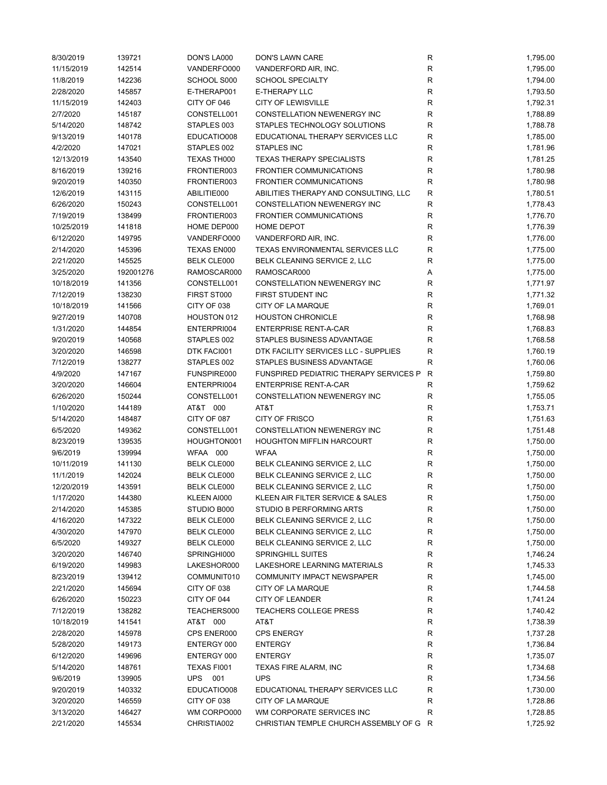| 8/30/2019  | 139721    | DON'S LA000        | DON'S LAWN CARE                         | R           | 1,795.00 |
|------------|-----------|--------------------|-----------------------------------------|-------------|----------|
| 11/15/2019 | 142514    | VANDERFO000        | VANDERFORD AIR, INC.                    | R           | 1,795.00 |
| 11/8/2019  | 142236    | SCHOOL S000        | SCHOOL SPECIALTY                        | ${\sf R}$   | 1,794.00 |
| 2/28/2020  | 145857    | E-THERAP001        | <b>E-THERAPY LLC</b>                    | ${\sf R}$   | 1,793.50 |
| 11/15/2019 | 142403    | CITY OF 046        | <b>CITY OF LEWISVILLE</b>               | R           | 1,792.31 |
| 2/7/2020   | 145187    | CONSTELL001        | CONSTELLATION NEWENERGY INC             | R           | 1,788.89 |
| 5/14/2020  | 148742    | STAPLES 003        | STAPLES TECHNOLOGY SOLUTIONS            | ${\sf R}$   | 1,788.78 |
| 9/13/2019  | 140178    | EDUCATIO008        | EDUCATIONAL THERAPY SERVICES LLC        | ${\sf R}$   | 1,785.00 |
| 4/2/2020   | 147021    | STAPLES 002        | <b>STAPLES INC</b>                      | R           | 1,781.96 |
| 12/13/2019 | 143540    | TEXAS TH000        | <b>TEXAS THERAPY SPECIALISTS</b>        | R           | 1,781.25 |
| 8/16/2019  | 139216    | FRONTIER003        | <b>FRONTIER COMMUNICATIONS</b>          | R           | 1,780.98 |
| 9/20/2019  | 140350    | FRONTIER003        | <b>FRONTIER COMMUNICATIONS</b>          | ${\sf R}$   | 1,780.98 |
| 12/6/2019  | 143115    | ABILITIE000        | ABILITIES THERAPY AND CONSULTING, LLC   | ${\sf R}$   | 1,780.51 |
| 6/26/2020  | 150243    | CONSTELL001        | CONSTELLATION NEWENERGY INC             | R           | 1,778.43 |
| 7/19/2019  | 138499    | FRONTIER003        | <b>FRONTIER COMMUNICATIONS</b>          | R           | 1,776.70 |
| 10/25/2019 | 141818    | HOME DEP000        | HOME DEPOT                              | R           | 1,776.39 |
|            |           |                    | VANDERFORD AIR, INC.                    | $\mathsf R$ |          |
| 6/12/2020  | 149795    | VANDERFO000        |                                         | $\mathsf R$ | 1,776.00 |
| 2/14/2020  | 145396    | TEXAS EN000        | TEXAS ENVIRONMENTAL SERVICES LLC        |             | 1,775.00 |
| 2/21/2020  | 145525    | <b>BELK CLE000</b> | BELK CLEANING SERVICE 2, LLC            | R           | 1,775.00 |
| 3/25/2020  | 192001276 | RAMOSCAR000        | RAMOSCAR000                             | Α           | 1,775.00 |
| 10/18/2019 | 141356    | CONSTELL001        | CONSTELLATION NEWENERGY INC             | R           | 1,771.97 |
| 7/12/2019  | 138230    | FIRST ST000        | FIRST STUDENT INC                       | R           | 1,771.32 |
| 10/18/2019 | 141566    | CITY OF 038        | CITY OF LA MARQUE                       | R           | 1,769.01 |
| 9/27/2019  | 140708    | HOUSTON 012        | <b>HOUSTON CHRONICLE</b>                | R           | 1,768.98 |
| 1/31/2020  | 144854    | ENTERPRI004        | <b>ENTERPRISE RENT-A-CAR</b>            | R           | 1,768.83 |
| 9/20/2019  | 140568    | STAPLES 002        | STAPLES BUSINESS ADVANTAGE              | $\mathsf R$ | 1,768.58 |
| 3/20/2020  | 146598    | DTK FACI001        | DTK FACILITY SERVICES LLC - SUPPLIES    | $\mathsf R$ | 1,760.19 |
| 7/12/2019  | 138277    | STAPLES 002        | STAPLES BUSINESS ADVANTAGE              | $\mathsf R$ | 1,760.06 |
| 4/9/2020   | 147167    | FUNSPIRE000        | FUNSPIRED PEDIATRIC THERAPY SERVICES P  | R           | 1,759.80 |
| 3/20/2020  | 146604    | ENTERPRI004        | <b>ENTERPRISE RENT-A-CAR</b>            | ${\sf R}$   | 1,759.62 |
| 6/26/2020  | 150244    | CONSTELL001        | CONSTELLATION NEWENERGY INC             | ${\sf R}$   | 1,755.05 |
| 1/10/2020  | 144189    | AT&T 000           | AT&T                                    | R           | 1,753.71 |
| 5/14/2020  | 148487    | CITY OF 087        | <b>CITY OF FRISCO</b>                   | R           | 1,751.63 |
| 6/5/2020   | 149362    | CONSTELL001        | CONSTELLATION NEWENERGY INC             | R           | 1,751.48 |
| 8/23/2019  | 139535    | HOUGHTON001        | <b>HOUGHTON MIFFLIN HARCOURT</b>        | R           | 1,750.00 |
| 9/6/2019   | 139994    | WFAA 000           | <b>WFAA</b>                             | R           | 1,750.00 |
| 10/11/2019 | 141130    | <b>BELK CLE000</b> | BELK CLEANING SERVICE 2, LLC            | R           | 1,750.00 |
| 11/1/2019  | 142024    | <b>BELK CLE000</b> | BELK CLEANING SERVICE 2, LLC            | R           | 1,750.00 |
| 12/20/2019 | 143591    | <b>BELK CLE000</b> | BELK CLEANING SERVICE 2, LLC            | R           | 1,750.00 |
| 1/17/2020  | 144380    | KLEEN AI000        | KLEEN AIR FILTER SERVICE & SALES        | R           | 1,750.00 |
| 2/14/2020  | 145385    | STUDIO B000        | STUDIO B PERFORMING ARTS                | R           | 1,750.00 |
| 4/16/2020  | 147322    | <b>BELK CLE000</b> | BELK CLEANING SERVICE 2, LLC            | R           | 1,750.00 |
| 4/30/2020  | 147970    | <b>BELK CLE000</b> | BELK CLEANING SERVICE 2, LLC            | R           | 1,750.00 |
| 6/5/2020   | 149327    | BELK CLE000        | BELK CLEANING SERVICE 2, LLC            | R           | 1,750.00 |
| 3/20/2020  | 146740    | SPRINGHI000        | <b>SPRINGHILL SUITES</b>                | R           | 1,746.24 |
| 6/19/2020  | 149983    | LAKESHOR000        | LAKESHORE LEARNING MATERIALS            | R           | 1,745.33 |
| 8/23/2019  | 139412    | COMMUNIT010        | COMMUNITY IMPACT NEWSPAPER              | ${\sf R}$   | 1,745.00 |
| 2/21/2020  | 145694    | CITY OF 038        | <b>CITY OF LA MARQUE</b>                | R           | 1,744.58 |
| 6/26/2020  | 150223    | CITY OF 044        | <b>CITY OF LEANDER</b>                  | R           | 1,741.24 |
|            |           |                    |                                         |             |          |
| 7/12/2019  | 138282    | TEACHERS000        | <b>TEACHERS COLLEGE PRESS</b>           | R           | 1,740.42 |
| 10/18/2019 | 141541    | AT&T 000           | AT&T                                    | R           | 1,738.39 |
| 2/28/2020  | 145978    | CPS ENER000        | <b>CPS ENERGY</b>                       | R           | 1,737.28 |
| 5/28/2020  | 149173    | ENTERGY 000        | <b>ENTERGY</b>                          | R           | 1,736.84 |
| 6/12/2020  | 149696    | ENTERGY 000        | <b>ENTERGY</b>                          | R           | 1,735.07 |
| 5/14/2020  | 148761    | TEXAS FI001        | TEXAS FIRE ALARM, INC                   | R           | 1,734.68 |
| 9/6/2019   | 139905    | UPS 001            | <b>UPS</b>                              | R           | 1,734.56 |
| 9/20/2019  | 140332    | EDUCATIO008        | EDUCATIONAL THERAPY SERVICES LLC        | $\mathsf R$ | 1,730.00 |
| 3/20/2020  | 146559    | CITY OF 038        | CITY OF LA MARQUE                       | R           | 1,728.86 |
| 3/13/2020  | 146427    | WM CORPO000        | WM CORPORATE SERVICES INC               | R           | 1,728.85 |
| 2/21/2020  | 145534    | CHRISTIA002        | CHRISTIAN TEMPLE CHURCH ASSEMBLY OF G R |             | 1,725.92 |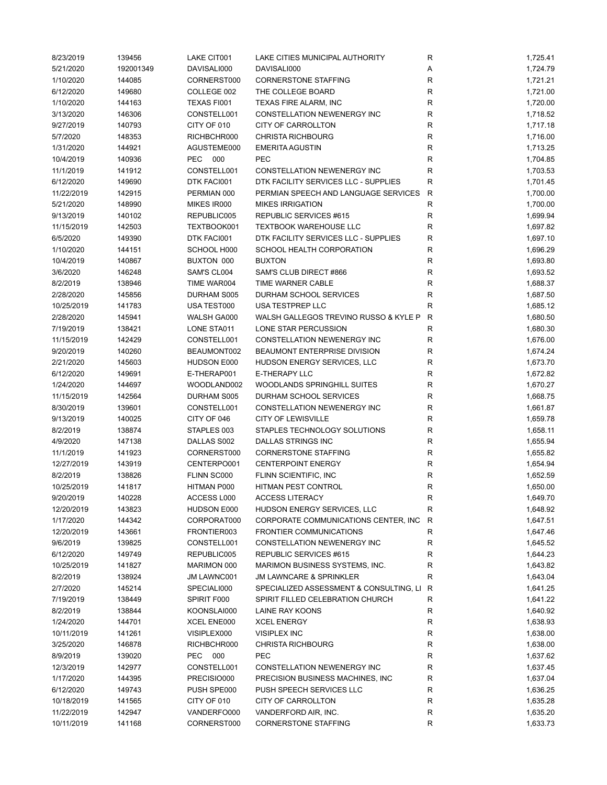| 8/23/2019  | 139456    | LAKE CIT001        | LAKE CITIES MUNICIPAL AUTHORITY           | R            | 1,725.41 |
|------------|-----------|--------------------|-------------------------------------------|--------------|----------|
| 5/21/2020  | 192001349 | DAVISALI000        | DAVISALI000                               | Α            | 1,724.79 |
| 1/10/2020  | 144085    | CORNERST000        | <b>CORNERSTONE STAFFING</b>               | R            | 1,721.21 |
| 6/12/2020  | 149680    | COLLEGE 002        | THE COLLEGE BOARD                         | ${\sf R}$    | 1,721.00 |
| 1/10/2020  | 144163    | TEXAS FI001        | TEXAS FIRE ALARM, INC                     | R            | 1,720.00 |
| 3/13/2020  | 146306    | CONSTELL001        | CONSTELLATION NEWENERGY INC               | R            | 1,718.52 |
| 9/27/2019  | 140793    | CITY OF 010        | CITY OF CARROLLTON                        | $\mathsf R$  | 1,717.18 |
| 5/7/2020   | 148353    | RICHBCHR000        | <b>CHRISTA RICHBOURG</b>                  | ${\sf R}$    | 1,716.00 |
| 1/31/2020  | 144921    | AGUSTEME000        | <b>EMERITA AGUSTIN</b>                    | $\mathsf R$  | 1,713.25 |
| 10/4/2019  | 140936    | PEC 000            | <b>PEC</b>                                | R            | 1,704.85 |
| 11/1/2019  | 141912    | CONSTELL001        | CONSTELLATION NEWENERGY INC               | ${\sf R}$    | 1,703.53 |
| 6/12/2020  | 149690    | DTK FACI001        | DTK FACILITY SERVICES LLC - SUPPLIES      | $\mathsf R$  | 1,701.45 |
| 11/22/2019 | 142915    | PERMIAN 000        | PERMIAN SPEECH AND LANGUAGE SERVICES      | $\mathsf{R}$ | 1,700.00 |
| 5/21/2020  | 148990    | MIKES IR000        | <b>MIKES IRRIGATION</b>                   | $\mathsf R$  | 1,700.00 |
| 9/13/2019  | 140102    | REPUBLIC005        | REPUBLIC SERVICES #615                    | R            | 1,699.94 |
|            |           |                    |                                           |              |          |
| 11/15/2019 | 142503    | TEXTBOOK001        | <b>TEXTBOOK WAREHOUSE LLC</b>             | ${\sf R}$    | 1,697.82 |
| 6/5/2020   | 149390    | DTK FACI001        | DTK FACILITY SERVICES LLC - SUPPLIES      | $\mathsf R$  | 1,697.10 |
| 1/10/2020  | 144151    | SCHOOL H000        | SCHOOL HEALTH CORPORATION                 | $\mathsf R$  | 1,696.29 |
| 10/4/2019  | 140867    | BUXTON 000         | <b>BUXTON</b>                             | R            | 1,693.80 |
| 3/6/2020   | 146248    | SAM'S CL004        | SAM'S CLUB DIRECT #866                    | R            | 1,693.52 |
| 8/2/2019   | 138946    | TIME WAR004        | TIME WARNER CABLE                         | ${\sf R}$    | 1,688.37 |
| 2/28/2020  | 145856    | DURHAM S005        | DURHAM SCHOOL SERVICES                    | R            | 1,687.50 |
| 10/25/2019 | 141783    | USA TEST000        | USA TESTPREP LLC                          | R            | 1,685.12 |
| 2/28/2020  | 145941    | WALSH GA000        | WALSH GALLEGOS TREVINO RUSSO & KYLE P     | $\mathsf{R}$ | 1,680.50 |
| 7/19/2019  | 138421    | LONE STA011        | LONE STAR PERCUSSION                      | R            | 1,680.30 |
| 11/15/2019 | 142429    | CONSTELL001        | <b>CONSTELLATION NEWENERGY INC</b>        | R            | 1,676.00 |
| 9/20/2019  | 140260    | BEAUMONT002        | BEAUMONT ENTERPRISE DIVISION              | $\mathsf R$  | 1,674.24 |
| 2/21/2020  | 145603    | HUDSON E000        | HUDSON ENERGY SERVICES, LLC               | ${\sf R}$    | 1,673.70 |
| 6/12/2020  | 149691    | E-THERAP001        | <b>E-THERAPY LLC</b>                      | R            | 1,672.82 |
| 1/24/2020  | 144697    | WOODLAND002        | WOODLANDS SPRINGHILL SUITES               | R            | 1,670.27 |
| 11/15/2019 | 142564    | DURHAM S005        | DURHAM SCHOOL SERVICES                    | $\mathsf R$  | 1,668.75 |
| 8/30/2019  | 139601    | CONSTELL001        | CONSTELLATION NEWENERGY INC               | R            | 1,661.87 |
| 9/13/2019  | 140025    | CITY OF 046        | <b>CITY OF LEWISVILLE</b>                 | R            | 1,659.78 |
| 8/2/2019   | 138874    | STAPLES 003        | STAPLES TECHNOLOGY SOLUTIONS              | R            | 1,658.11 |
| 4/9/2020   | 147138    | DALLAS S002        | DALLAS STRINGS INC                        | R            | 1,655.94 |
| 11/1/2019  | 141923    | CORNERST000        | <b>CORNERSTONE STAFFING</b>               | R            | 1,655.82 |
| 12/27/2019 | 143919    | CENTERPO001        | <b>CENTERPOINT ENERGY</b>                 | R            | 1,654.94 |
| 8/2/2019   | 138826    | FLINN SC000        | FLINN SCIENTIFIC, INC                     | ${\sf R}$    | 1,652.59 |
| 10/25/2019 | 141817    | HITMAN P000        | HITMAN PEST CONTROL                       | R            | 1,650.00 |
|            |           |                    |                                           |              |          |
| 9/20/2019  | 140228    | ACCESS L000        | ACCESS LITERACY                           | R            | 1,649.70 |
| 12/20/2019 | 143823    | HUDSON E000        | HUDSON ENERGY SERVICES, LLC               | R            | 1,648.92 |
| 1/17/2020  | 144342    | CORPORAT000        | CORPORATE COMMUNICATIONS CENTER, INC.     | R            | 1,647.51 |
| 12/20/2019 | 143661    | FRONTIER003        | <b>FRONTIER COMMUNICATIONS</b>            | ${\sf R}$    | 1,647.46 |
| 9/6/2019   | 139825    | CONSTELL001        | CONSTELLATION NEWENERGY INC               | R            | 1,645.52 |
| 6/12/2020  | 149749    | REPUBLIC005        | REPUBLIC SERVICES #615                    | R            | 1,644.23 |
| 10/25/2019 | 141827    | MARIMON 000        | <b>MARIMON BUSINESS SYSTEMS, INC.</b>     | R            | 1,643.82 |
| 8/2/2019   | 138924    | <b>JM LAWNC001</b> | <b>JM LAWNCARE &amp; SPRINKLER</b>        | R            | 1,643.04 |
| 2/7/2020   | 145214    | SPECIALI000        | SPECIALIZED ASSESSMENT & CONSULTING, LI R |              | 1,641.25 |
| 7/19/2019  | 138449    | SPIRIT F000        | SPIRIT FILLED CELEBRATION CHURCH          | R            | 1,641.22 |
| 8/2/2019   | 138844    | KOONSLAI000        | <b>LAINE RAY KOONS</b>                    | R            | 1,640.92 |
| 1/24/2020  | 144701    | XCEL ENE000        | <b>XCEL ENERGY</b>                        | R            | 1,638.93 |
| 10/11/2019 | 141261    | VISIPLEX000        | <b>VISIPLEX INC</b>                       | R            | 1,638.00 |
| 3/25/2020  | 146878    | RICHBCHR000        | <b>CHRISTA RICHBOURG</b>                  | R            | 1,638.00 |
| 8/9/2019   | 139020    | PEC 000            | <b>PEC</b>                                | R            | 1,637.62 |
| 12/3/2019  | 142977    | CONSTELL001        | CONSTELLATION NEWENERGY INC               | R            | 1,637.45 |
| 1/17/2020  | 144395    | PRECISIO000        | PRECISION BUSINESS MACHINES, INC.         | ${\sf R}$    | 1,637.04 |
| 6/12/2020  | 149743    | PUSH SPE000        | PUSH SPEECH SERVICES LLC                  | $\mathsf R$  | 1,636.25 |
| 10/18/2019 | 141565    | CITY OF 010        | CITY OF CARROLLTON                        | R            | 1,635.28 |
| 11/22/2019 | 142947    | VANDERFO000        | VANDERFORD AIR, INC.                      | R            | 1,635.20 |
| 10/11/2019 | 141168    | CORNERST000        | <b>CORNERSTONE STAFFING</b>               | R            | 1,633.73 |
|            |           |                    |                                           |              |          |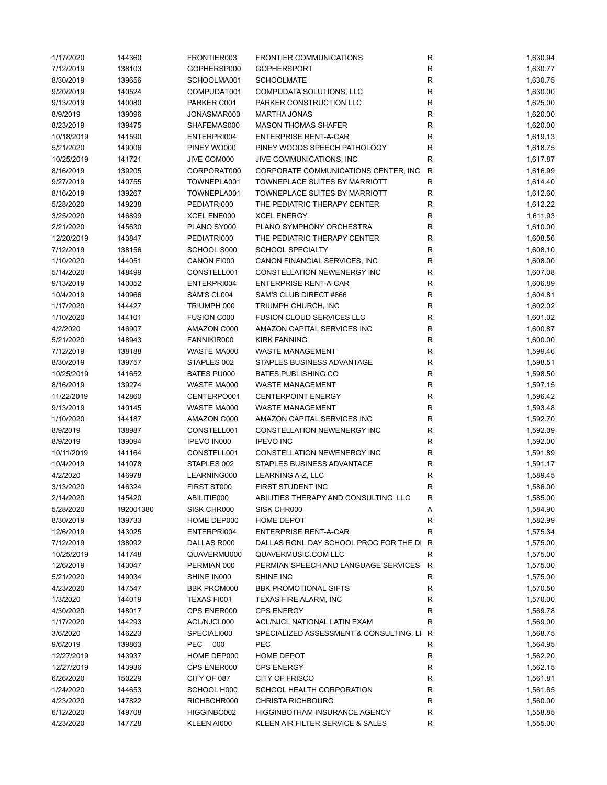| 1/17/2020  | 144360    | FRONTIER003        | <b>FRONTIER COMMUNICATIONS</b>          | R           | 1,630.94 |
|------------|-----------|--------------------|-----------------------------------------|-------------|----------|
| 7/12/2019  | 138103    | GOPHERSP000        | <b>GOPHERSPORT</b>                      | R           | 1,630.77 |
| 8/30/2019  | 139656    | SCHOOLMA001        | <b>SCHOOLMATE</b>                       | R           | 1,630.75 |
| 9/20/2019  | 140524    | COMPUDAT001        | COMPUDATA SOLUTIONS, LLC                | R           | 1,630.00 |
| 9/13/2019  | 140080    | PARKER C001        | PARKER CONSTRUCTION LLC                 | R           | 1,625.00 |
| 8/9/2019   | 139096    | JONASMAR000        | <b>MARTHA JONAS</b>                     | ${\sf R}$   | 1,620.00 |
| 8/23/2019  | 139475    | SHAFEMAS000        | <b>MASON THOMAS SHAFER</b>              | R           | 1,620.00 |
| 10/18/2019 | 141590    | ENTERPRI004        | <b>ENTERPRISE RENT-A-CAR</b>            | R           | 1,619.13 |
| 5/21/2020  | 149006    | PINEY WO000        | PINEY WOODS SPEECH PATHOLOGY            | R           | 1,618.75 |
| 10/25/2019 | 141721    | JIVE COM000        | JIVE COMMUNICATIONS, INC                | ${\sf R}$   | 1,617.87 |
| 8/16/2019  | 139205    | CORPORAT000        | CORPORATE COMMUNICATIONS CENTER, INC    | ${\sf R}$   | 1,616.99 |
| 9/27/2019  | 140755    | TOWNEPLA001        | <b>TOWNEPLACE SUITES BY MARRIOTT</b>    | $\mathsf R$ | 1,614.40 |
| 8/16/2019  | 139267    | TOWNEPLA001        | TOWNEPLACE SUITES BY MARRIOTT           | R           | 1,612.60 |
| 5/28/2020  | 149238    | PEDIATRI000        | THE PEDIATRIC THERAPY CENTER            | R           | 1,612.22 |
| 3/25/2020  | 146899    | XCEL ENE000        | <b>XCEL ENERGY</b>                      | R           | 1,611.93 |
|            |           |                    | PLANO SYMPHONY ORCHESTRA                | $\mathsf R$ |          |
| 2/21/2020  | 145630    | PLANO SY000        |                                         |             | 1,610.00 |
| 12/20/2019 | 143847    | PEDIATRI000        | THE PEDIATRIC THERAPY CENTER            | R           | 1,608.56 |
| 7/12/2019  | 138156    | SCHOOL S000        | <b>SCHOOL SPECIALTY</b>                 | R           | 1,608.10 |
| 1/10/2020  | 144051    | CANON FI000        | CANON FINANCIAL SERVICES, INC           | $\mathsf R$ | 1,608.00 |
| 5/14/2020  | 148499    | CONSTELL001        | CONSTELLATION NEWENERGY INC             | R           | 1,607.08 |
| 9/13/2019  | 140052    | ENTERPRI004        | <b>ENTERPRISE RENT-A-CAR</b>            | ${\sf R}$   | 1,606.89 |
| 10/4/2019  | 140966    | SAM'S CL004        | SAM'S CLUB DIRECT #866                  | R           | 1,604.81 |
| 1/17/2020  | 144427    | TRIUMPH 000        | TRIUMPH CHURCH, INC                     | R           | 1,602.02 |
| 1/10/2020  | 144101    | <b>FUSION C000</b> | FUSION CLOUD SERVICES LLC               | R           | 1,601.02 |
| 4/2/2020   | 146907    | AMAZON C000        | AMAZON CAPITAL SERVICES INC             | R           | 1,600.87 |
| 5/21/2020  | 148943    | FANNIKIR000        | <b>KIRK FANNING</b>                     | ${\sf R}$   | 1,600.00 |
| 7/12/2019  | 138188    | WASTE MA000        | WASTE MANAGEMENT                        | R           | 1,599.46 |
| 8/30/2019  | 139757    | STAPLES 002        | STAPLES BUSINESS ADVANTAGE              | R           | 1,598.51 |
| 10/25/2019 | 141652    | BATES PU000        | <b>BATES PUBLISHING CO</b>              | $\mathsf R$ | 1,598.50 |
| 8/16/2019  | 139274    | WASTE MA000        | <b>WASTE MANAGEMENT</b>                 | R           | 1,597.15 |
| 11/22/2019 | 142860    | CENTERPO001        | <b>CENTERPOINT ENERGY</b>               | R           | 1,596.42 |
| 9/13/2019  | 140145    | WASTE MA000        | <b>WASTE MANAGEMENT</b>                 | R           | 1,593.48 |
| 1/10/2020  | 144187    | AMAZON C000        | AMAZON CAPITAL SERVICES INC             | R           | 1,592.70 |
| 8/9/2019   | 138987    | CONSTELL001        | CONSTELLATION NEWENERGY INC             | R           | 1,592.09 |
| 8/9/2019   | 139094    | IPEVO IN000        | <b>IPEVO INC</b>                        | R           | 1,592.00 |
| 10/11/2019 | 141164    | CONSTELL001        | <b>CONSTELLATION NEWENERGY INC</b>      | R           | 1,591.89 |
| 10/4/2019  | 141078    | STAPLES 002        | STAPLES BUSINESS ADVANTAGE              | R           | 1,591.17 |
| 4/2/2020   | 146978    | LEARNING000        | LEARNING A-Z, LLC                       | R           | 1,589.45 |
| 3/13/2020  | 146324    | FIRST ST000        | FIRST STUDENT INC                       | R           | 1,586.00 |
| 2/14/2020  | 145420    | ABILITIE000        | ABILITIES THERAPY AND CONSULTING, LLC   |             | 1,585.00 |
| 5/28/2020  | 192001380 | SISK CHR000        | SISK CHR000                             |             | 1,584.90 |
|            |           |                    |                                         | A           |          |
| 8/30/2019  | 139733    | HOME DEP000        | <b>HOME DEPOT</b>                       | R           | 1,582.99 |
| 12/6/2019  | 143025    | ENTERPRI004        | <b>ENTERPRISE RENT-A-CAR</b>            | R           | 1,575.34 |
| 7/12/2019  | 138092    | DALLAS R000        | DALLAS RGNL DAY SCHOOL PROG FOR THE DI  | R           | 1,575.00 |
| 10/25/2019 | 141748    | QUAVERMU000        | QUAVERMUSIC.COM LLC                     | R           | 1,575.00 |
| 12/6/2019  | 143047    | PERMIAN 000        | PERMIAN SPEECH AND LANGUAGE SERVICES    | R           | 1,575.00 |
| 5/21/2020  | 149034    | SHINE IN000        | SHINE INC                               | R           | 1,575.00 |
| 4/23/2020  | 147547    | <b>BBK PROM000</b> | <b>BBK PROMOTIONAL GIFTS</b>            | R           | 1,570.50 |
| 1/3/2020   | 144019    | TEXAS FI001        | TEXAS FIRE ALARM, INC                   | R           | 1,570.00 |
| 4/30/2020  | 148017    | CPS ENER000        | <b>CPS ENERGY</b>                       | R           | 1,569.78 |
| 1/17/2020  | 144293    | ACL/NJCL000        | ACL/NJCL NATIONAL LATIN EXAM            | R           | 1,569.00 |
| 3/6/2020   | 146223    | SPECIALI000        | SPECIALIZED ASSESSMENT & CONSULTING, LI | R           | 1,568.75 |
| 9/6/2019   | 139863    | PEC 000            | <b>PEC</b>                              | R           | 1,564.95 |
| 12/27/2019 | 143937    | HOME DEP000        | <b>HOME DEPOT</b>                       | R           | 1,562.20 |
| 12/27/2019 | 143936    | CPS ENER000        | <b>CPS ENERGY</b>                       | R           | 1,562.15 |
| 6/26/2020  | 150229    | CITY OF 087        | <b>CITY OF FRISCO</b>                   | R           | 1,561.81 |
| 1/24/2020  | 144653    | SCHOOL H000        | SCHOOL HEALTH CORPORATION               | R           | 1,561.65 |
| 4/23/2020  | 147822    | RICHBCHR000        | <b>CHRISTA RICHBOURG</b>                | R           | 1,560.00 |
| 6/12/2020  | 149708    | HIGGINBO002        | <b>HIGGINBOTHAM INSURANCE AGENCY</b>    | R           | 1,558.85 |
| 4/23/2020  | 147728    | KLEEN AI000        | KLEEN AIR FILTER SERVICE & SALES        | R           | 1,555.00 |
|            |           |                    |                                         |             |          |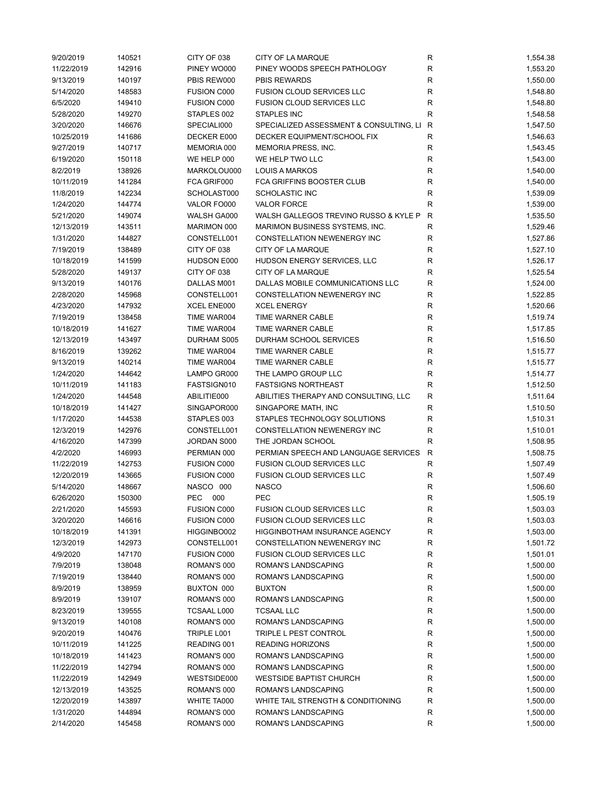| 9/20/2019  | 140521 | CITY OF 038        | CITY OF LA MARQUE                       | R            | 1,554.38 |
|------------|--------|--------------------|-----------------------------------------|--------------|----------|
| 11/22/2019 | 142916 | PINEY WO000        | PINEY WOODS SPEECH PATHOLOGY            | ${\sf R}$    | 1,553.20 |
| 9/13/2019  | 140197 | PBIS REW000        | <b>PBIS REWARDS</b>                     | $\mathsf R$  | 1,550.00 |
| 5/14/2020  | 148583 | <b>FUSION C000</b> | FUSION CLOUD SERVICES LLC               | $\mathsf R$  | 1,548.80 |
| 6/5/2020   | 149410 | <b>FUSION C000</b> | <b>FUSION CLOUD SERVICES LLC</b>        | R            | 1,548.80 |
| 5/28/2020  | 149270 | STAPLES 002        | <b>STAPLES INC</b>                      | $\mathsf R$  | 1,548.58 |
| 3/20/2020  | 146676 | SPECIALI000        | SPECIALIZED ASSESSMENT & CONSULTING, LI | R            | 1,547.50 |
| 10/25/2019 | 141686 | DECKER E000        | DECKER EQUIPMENT/SCHOOL FIX             | $\mathsf R$  | 1,546.63 |
| 9/27/2019  | 140717 | MEMORIA 000        | MEMORIA PRESS, INC.                     | R            | 1,543.45 |
| 6/19/2020  | 150118 | WE HELP 000        | WE HELP TWO LLC                         | R            | 1,543.00 |
| 8/2/2019   | 138926 | MARKOLOU000        | <b>LOUIS A MARKOS</b>                   | $\mathsf R$  | 1,540.00 |
| 10/11/2019 | 141284 | FCA GRIF000        | FCA GRIFFINS BOOSTER CLUB               | ${\sf R}$    | 1,540.00 |
| 11/8/2019  | 142234 | SCHOLAST000        | SCHOLASTIC INC                          | $\mathsf R$  | 1,539.09 |
| 1/24/2020  | 144774 | VALOR FO000        | <b>VALOR FORCE</b>                      | R            | 1,539.00 |
| 5/21/2020  | 149074 | WALSH GA000        | WALSH GALLEGOS TREVINO RUSSO & KYLE P   | $\mathsf{R}$ | 1,535.50 |
| 12/13/2019 | 143511 | MARIMON 000        | MARIMON BUSINESS SYSTEMS, INC.          | R            | 1,529.46 |
| 1/31/2020  | 144827 | CONSTELL001        | CONSTELLATION NEWENERGY INC             | R            |          |
|            |        |                    |                                         | $\mathsf R$  | 1,527.86 |
| 7/19/2019  | 138489 | CITY OF 038        | CITY OF LA MARQUE                       |              | 1,527.10 |
| 10/18/2019 | 141599 | HUDSON E000        | HUDSON ENERGY SERVICES, LLC             | R            | 1,526.17 |
| 5/28/2020  | 149137 | CITY OF 038        | CITY OF LA MARQUE                       | $\mathsf R$  | 1,525.54 |
| 9/13/2019  | 140176 | DALLAS M001        | DALLAS MOBILE COMMUNICATIONS LLC        | $\mathsf R$  | 1,524.00 |
| 2/28/2020  | 145968 | CONSTELL001        | CONSTELLATION NEWENERGY INC             | R            | 1,522.85 |
| 4/23/2020  | 147932 | XCEL ENE000        | <b>XCEL ENERGY</b>                      | $\mathsf R$  | 1,520.66 |
| 7/19/2019  | 138458 | TIME WAR004        | TIME WARNER CABLE                       | R            | 1,519.74 |
| 10/18/2019 | 141627 | TIME WAR004        | TIME WARNER CABLE                       | R            | 1,517.85 |
| 12/13/2019 | 143497 | DURHAM S005        | DURHAM SCHOOL SERVICES                  | $\mathsf R$  | 1,516.50 |
| 8/16/2019  | 139262 | TIME WAR004        | TIME WARNER CABLE                       | $\mathsf R$  | 1,515.77 |
| 9/13/2019  | 140214 | TIME WAR004        | TIME WARNER CABLE                       | $\mathsf R$  | 1,515.77 |
| 1/24/2020  | 144642 | LAMPO GR000        | THE LAMPO GROUP LLC                     | R            | 1,514.77 |
| 10/11/2019 | 141183 | FASTSIGN010        | <b>FASTSIGNS NORTHEAST</b>              | $\mathsf R$  | 1,512.50 |
| 1/24/2020  | 144548 | ABILITIE000        | ABILITIES THERAPY AND CONSULTING, LLC   | R            | 1,511.64 |
| 10/18/2019 | 141427 | SINGAPOR000        | SINGAPORE MATH, INC                     | R            | 1,510.50 |
| 1/17/2020  | 144538 | STAPLES 003        | STAPLES TECHNOLOGY SOLUTIONS            | R            | 1,510.31 |
| 12/3/2019  | 142976 | CONSTELL001        | CONSTELLATION NEWENERGY INC             | R            | 1,510.01 |
| 4/16/2020  | 147399 | JORDAN S000        | THE JORDAN SCHOOL                       | $\mathsf R$  | 1,508.95 |
| 4/2/2020   | 146993 | PERMIAN 000        | PERMIAN SPEECH AND LANGUAGE SERVICES    | R            | 1,508.75 |
| 11/22/2019 | 142753 | <b>FUSION C000</b> | <b>FUSION CLOUD SERVICES LLC</b>        | R            | 1,507.49 |
| 12/20/2019 | 143665 | <b>FUSION C000</b> | <b>FUSION CLOUD SERVICES LLC</b>        | R            | 1,507.49 |
| 5/14/2020  | 148667 | NASCO 000          | <b>NASCO</b>                            | R            | 1,506.60 |
| 6/26/2020  | 150300 | PEC 000            | <b>PEC</b>                              | R            | 1,505.19 |
| 2/21/2020  | 145593 | <b>FUSION C000</b> | <b>FUSION CLOUD SERVICES LLC</b>        | R            | 1,503.03 |
| 3/20/2020  | 146616 | <b>FUSION C000</b> | <b>FUSION CLOUD SERVICES LLC</b>        | R            | 1,503.03 |
| 10/18/2019 | 141391 | HIGGINBO002        | HIGGINBOTHAM INSURANCE AGENCY           | R            | 1,503.00 |
| 12/3/2019  | 142973 | CONSTELL001        | CONSTELLATION NEWENERGY INC             | R            | 1,501.72 |
| 4/9/2020   | 147170 | <b>FUSION C000</b> | <b>FUSION CLOUD SERVICES LLC</b>        | R            | 1,501.01 |
| 7/9/2019   | 138048 | ROMAN'S 000        | ROMAN'S LANDSCAPING                     | R            | 1,500.00 |
| 7/19/2019  | 138440 | ROMAN'S 000        | ROMAN'S LANDSCAPING                     | ${\sf R}$    | 1,500.00 |
| 8/9/2019   | 138959 | BUXTON 000         | <b>BUXTON</b>                           | ${\sf R}$    | 1,500.00 |
| 8/9/2019   | 139107 | ROMAN'S 000        | ROMAN'S LANDSCAPING                     | R            | 1,500.00 |
| 8/23/2019  |        | <b>TCSAAL L000</b> | <b>TCSAAL LLC</b>                       |              |          |
|            | 139555 |                    |                                         | ${\sf R}$    | 1,500.00 |
| 9/13/2019  | 140108 | ROMAN'S 000        | ROMAN'S LANDSCAPING                     | R            | 1,500.00 |
| 9/20/2019  | 140476 | TRIPLE L001        | TRIPLE L PEST CONTROL                   | ${\sf R}$    | 1,500.00 |
| 10/11/2019 | 141225 | READING 001        | <b>READING HORIZONS</b>                 | R            | 1,500.00 |
| 10/18/2019 | 141423 | ROMAN'S 000        | ROMAN'S LANDSCAPING                     | R            | 1,500.00 |
| 11/22/2019 | 142794 | ROMAN'S 000        | ROMAN'S LANDSCAPING                     | R            | 1,500.00 |
| 11/22/2019 | 142949 | WESTSIDE000        | <b>WESTSIDE BAPTIST CHURCH</b>          | R            | 1,500.00 |
| 12/13/2019 | 143525 | ROMAN'S 000        | ROMAN'S LANDSCAPING                     | ${\sf R}$    | 1,500.00 |
| 12/20/2019 | 143897 | WHITE TA000        | WHITE TAIL STRENGTH & CONDITIONING      | R            | 1,500.00 |
| 1/31/2020  | 144894 | ROMAN'S 000        | ROMAN'S LANDSCAPING                     | R            | 1,500.00 |
| 2/14/2020  | 145458 | ROMAN'S 000        | ROMAN'S LANDSCAPING                     | R            | 1,500.00 |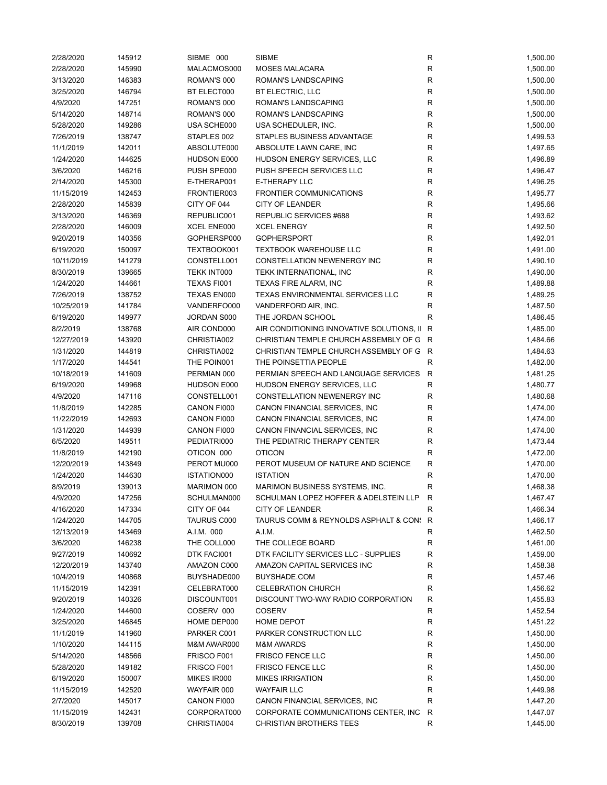| 2/28/2020  | 145912 | SIBME 000          | <b>SIBME</b>                                | R           | 1,500.00 |
|------------|--------|--------------------|---------------------------------------------|-------------|----------|
| 2/28/2020  | 145990 | MALACMOS000        | <b>MOSES MALACARA</b>                       | R           | 1,500.00 |
| 3/13/2020  | 146383 | ROMAN'S 000        | <b>ROMAN'S LANDSCAPING</b>                  | R           | 1,500.00 |
| 3/25/2020  | 146794 | BT ELECT000        | BT ELECTRIC, LLC                            | $\mathsf R$ | 1,500.00 |
| 4/9/2020   | 147251 | ROMAN'S 000        | ROMAN'S LANDSCAPING                         | ${\sf R}$   | 1,500.00 |
| 5/14/2020  | 148714 | ROMAN'S 000        | ROMAN'S LANDSCAPING                         | ${\sf R}$   | 1,500.00 |
| 5/28/2020  | 149286 | USA SCHE000        | USA SCHEDULER, INC.                         | $\mathsf R$ | 1,500.00 |
| 7/26/2019  | 138747 | STAPLES 002        | STAPLES BUSINESS ADVANTAGE                  | $\mathsf R$ | 1,499.53 |
| 11/1/2019  | 142011 | ABSOLUTE000        | ABSOLUTE LAWN CARE, INC                     | R           | 1,497.65 |
| 1/24/2020  | 144625 | HUDSON E000        | HUDSON ENERGY SERVICES, LLC                 | $\mathsf R$ | 1,496.89 |
| 3/6/2020   | 146216 | PUSH SPE000        | PUSH SPEECH SERVICES LLC                    | $\mathsf R$ | 1,496.47 |
| 2/14/2020  | 145300 | E-THERAP001        | <b>E-THERAPY LLC</b>                        | R           | 1,496.25 |
| 11/15/2019 | 142453 | FRONTIER003        | <b>FRONTIER COMMUNICATIONS</b>              | R           | 1,495.77 |
| 2/28/2020  | 145839 | CITY OF 044        | <b>CITY OF LEANDER</b>                      | R           | 1,495.66 |
| 3/13/2020  | 146369 | REPUBLIC001        | <b>REPUBLIC SERVICES #688</b>               | ${\sf R}$   | 1,493.62 |
| 2/28/2020  | 146009 | XCEL ENE000        | <b>XCEL ENERGY</b>                          | $\mathsf R$ | 1,492.50 |
| 9/20/2019  |        | GOPHERSP000        | <b>GOPHERSPORT</b>                          | $\mathsf R$ |          |
|            | 140356 |                    |                                             |             | 1,492.01 |
| 6/19/2020  | 150097 | TEXTBOOK001        | <b>TEXTBOOK WAREHOUSE LLC</b>               | $\mathsf R$ | 1,491.00 |
| 10/11/2019 | 141279 | CONSTELL001        | CONSTELLATION NEWENERGY INC                 | R           | 1,490.10 |
| 8/30/2019  | 139665 | TEKK INT000        | TEKK INTERNATIONAL, INC                     | $\mathsf R$ | 1,490.00 |
| 1/24/2020  | 144661 | TEXAS FI001        | TEXAS FIRE ALARM, INC                       | $\mathsf R$ | 1,489.88 |
| 7/26/2019  | 138752 | <b>TEXAS EN000</b> | TEXAS ENVIRONMENTAL SERVICES LLC            | $\mathsf R$ | 1,489.25 |
| 10/25/2019 | 141784 | VANDERFO000        | VANDERFORD AIR, INC.                        | R           | 1,487.50 |
| 6/19/2020  | 149977 | JORDAN S000        | THE JORDAN SCHOOL                           | R           | 1,486.45 |
| 8/2/2019   | 138768 | AIR COND000        | AIR CONDITIONING INNOVATIVE SOLUTIONS, II R |             | 1,485.00 |
| 12/27/2019 | 143920 | CHRISTIA002        | CHRISTIAN TEMPLE CHURCH ASSEMBLY OF G R     |             | 1,484.66 |
| 1/31/2020  | 144819 | CHRISTIA002        | CHRISTIAN TEMPLE CHURCH ASSEMBLY OF G R     |             | 1,484.63 |
| 1/17/2020  | 144541 | THE POIN001        | THE POINSETTIA PEOPLE                       | R           | 1,482.00 |
| 10/18/2019 | 141609 | PERMIAN 000        | PERMIAN SPEECH AND LANGUAGE SERVICES        | R           | 1,481.25 |
| 6/19/2020  | 149968 | HUDSON E000        | HUDSON ENERGY SERVICES, LLC                 | $\mathsf R$ | 1,480.77 |
| 4/9/2020   | 147116 | CONSTELL001        | CONSTELLATION NEWENERGY INC                 | R           | 1,480.68 |
| 11/8/2019  | 142285 | CANON FI000        | CANON FINANCIAL SERVICES, INC               | $\mathsf R$ | 1,474.00 |
| 11/22/2019 | 142693 | CANON FI000        | CANON FINANCIAL SERVICES, INC               | R           | 1,474.00 |
| 1/31/2020  | 144939 | CANON FI000        | CANON FINANCIAL SERVICES, INC               | R           | 1,474.00 |
| 6/5/2020   | 149511 | PEDIATRI000        | THE PEDIATRIC THERAPY CENTER                | R           | 1,473.44 |
| 11/8/2019  | 142190 | OTICON 000         | <b>OTICON</b>                               | ${\sf R}$   | 1,472.00 |
| 12/20/2019 | 143849 | PEROT MU000        | PEROT MUSEUM OF NATURE AND SCIENCE          | ${\sf R}$   | 1,470.00 |
| 1/24/2020  | 144630 | ISTATION000        | <b>ISTATION</b>                             | $\mathsf R$ | 1,470.00 |
| 8/9/2019   | 139013 | <b>MARIMON 000</b> | MARIMON BUSINESS SYSTEMS, INC.              | $\mathsf R$ | 1,468.38 |
| 4/9/2020   | 147256 | SCHULMAN000        | SCHULMAN LOPEZ HOFFER & ADELSTEIN LLP       | R           | 1,467.47 |
| 4/16/2020  | 147334 | CITY OF 044        | <b>CITY OF LEANDER</b>                      | R           | 1,466.34 |
| 1/24/2020  | 144705 | TAURUS C000        | TAURUS COMM & REYNOLDS ASPHALT & CON: R     |             | 1,466.17 |
| 12/13/2019 | 143469 | A.I.M. 000         | A.I.M.                                      | R           |          |
|            |        |                    |                                             |             | 1,462.50 |
| 3/6/2020   | 146238 | THE COLL000        | THE COLLEGE BOARD                           | R           | 1,461.00 |
| 9/27/2019  | 140692 | DTK FACI001        | DTK FACILITY SERVICES LLC - SUPPLIES        | R           | 1,459.00 |
| 12/20/2019 | 143740 | AMAZON C000        | AMAZON CAPITAL SERVICES INC                 | R           | 1,458.38 |
| 10/4/2019  | 140868 | BUYSHADE000        | BUYSHADE.COM                                | R           | 1,457.46 |
| 11/15/2019 | 142391 | CELEBRAT000        | <b>CELEBRATION CHURCH</b>                   | R           | 1,456.62 |
| 9/20/2019  | 140326 | DISCOUNT001        | DISCOUNT TWO-WAY RADIO CORPORATION          | R           | 1,455.83 |
| 1/24/2020  | 144600 | COSERV 000         | <b>COSERV</b>                               | R           | 1,452.54 |
| 3/25/2020  | 146845 | HOME DEP000        | HOME DEPOT                                  | R           | 1,451.22 |
| 11/1/2019  | 141960 | PARKER C001        | PARKER CONSTRUCTION LLC                     | R           | 1,450.00 |
| 1/10/2020  | 144115 | M&M AWAR000        | <b>M&amp;M AWARDS</b>                       | R           | 1,450.00 |
| 5/14/2020  | 148566 | FRISCO F001        | <b>FRISCO FENCE LLC</b>                     | R           | 1,450.00 |
| 5/28/2020  | 149182 | FRISCO F001        | <b>FRISCO FENCE LLC</b>                     | R           | 1,450.00 |
| 6/19/2020  | 150007 | MIKES IR000        | <b>MIKES IRRIGATION</b>                     | R           | 1,450.00 |
| 11/15/2019 | 142520 | WAYFAIR 000        | <b>WAYFAIR LLC</b>                          | R           | 1,449.98 |
| 2/7/2020   | 145017 | CANON FI000        | CANON FINANCIAL SERVICES, INC               | $\mathsf R$ | 1,447.20 |
| 11/15/2019 | 142431 | CORPORAT000        | CORPORATE COMMUNICATIONS CENTER, INC        | R           | 1,447.07 |
| 8/30/2019  | 139708 | CHRISTIA004        | <b>CHRISTIAN BROTHERS TEES</b>              | R           | 1,445.00 |
|            |        |                    |                                             |             |          |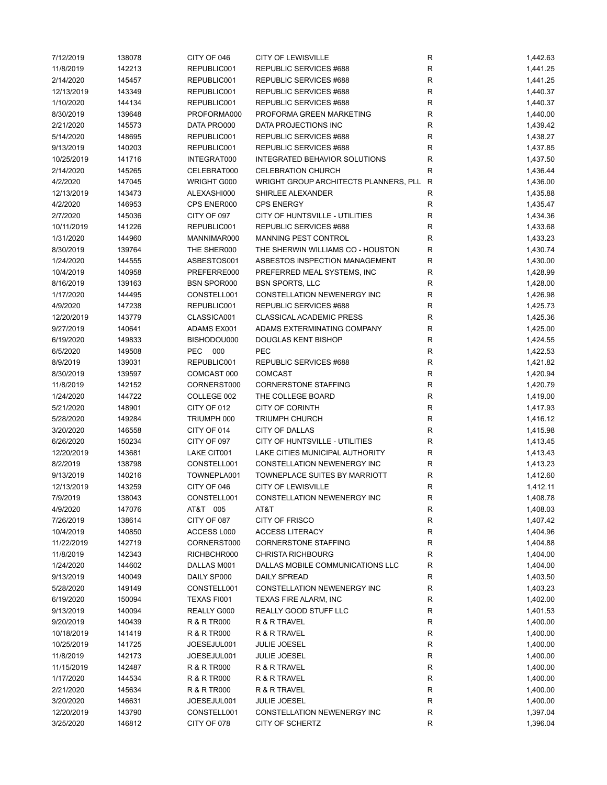| 7/12/2019  | 138078 | CITY OF 046            | <b>CITY OF LEWISVILLE</b>             | R            | 1,442.63 |
|------------|--------|------------------------|---------------------------------------|--------------|----------|
| 11/8/2019  | 142213 | REPUBLIC001            | REPUBLIC SERVICES #688                | $\mathsf{R}$ | 1,441.25 |
| 2/14/2020  | 145457 | REPUBLIC001            | REPUBLIC SERVICES #688                | R            | 1,441.25 |
| 12/13/2019 | 143349 | REPUBLIC001            | REPUBLIC SERVICES #688                | R            | 1,440.37 |
| 1/10/2020  | 144134 | REPUBLIC001            | REPUBLIC SERVICES #688                | R            | 1,440.37 |
| 8/30/2019  | 139648 | PROFORMA000            | PROFORMA GREEN MARKETING              | R            | 1,440.00 |
| 2/21/2020  | 145573 | DATA PRO000            | DATA PROJECTIONS INC                  | $\mathsf{R}$ | 1,439.42 |
| 5/14/2020  | 148695 | REPUBLIC001            | REPUBLIC SERVICES #688                | R            | 1,438.27 |
| 9/13/2019  | 140203 | REPUBLIC001            | REPUBLIC SERVICES #688                | R            | 1,437.85 |
| 10/25/2019 | 141716 | INTEGRAT000            | <b>INTEGRATED BEHAVIOR SOLUTIONS</b>  | $\mathsf{R}$ | 1,437.50 |
| 2/14/2020  | 145265 | CELEBRAT000            | <b>CELEBRATION CHURCH</b>             | $\mathsf{R}$ | 1,436.44 |
| 4/2/2020   | 147045 | WRIGHT G000            | WRIGHT GROUP ARCHITECTS PLANNERS, PLL | R            | 1,436.00 |
| 12/13/2019 | 143473 | ALEXASHI000            | SHIRLEE ALEXANDER                     | R            | 1,435.88 |
| 4/2/2020   | 146953 | CPS ENER000            | <b>CPS ENERGY</b>                     | R            | 1,435.47 |
|            |        |                        | CITY OF HUNTSVILLE - UTILITIES        |              |          |
| 2/7/2020   | 145036 | CITY OF 097            |                                       | R            | 1,434.36 |
| 10/11/2019 | 141226 | REPUBLIC001            | REPUBLIC SERVICES #688                | R            | 1,433.68 |
| 1/31/2020  | 144960 | MANNIMAR000            | MANNING PEST CONTROL                  | $\mathsf{R}$ | 1,433.23 |
| 8/30/2019  | 139764 | THE SHER000            | THE SHERWIN WILLIAMS CO - HOUSTON     | R            | 1,430.74 |
| 1/24/2020  | 144555 | ASBESTOS001            | ASBESTOS INSPECTION MANAGEMENT        | R            | 1,430.00 |
| 10/4/2019  | 140958 | PREFERRE000            | PREFERRED MEAL SYSTEMS, INC           | R            | 1,428.99 |
| 8/16/2019  | 139163 | <b>BSN SPOR000</b>     | <b>BSN SPORTS, LLC</b>                | R            | 1,428.00 |
| 1/17/2020  | 144495 | CONSTELL001            | CONSTELLATION NEWENERGY INC           | R            | 1,426.98 |
| 4/9/2020   | 147238 | REPUBLIC001            | REPUBLIC SERVICES #688                | R            | 1,425.73 |
| 12/20/2019 | 143779 | CLASSICA001            | <b>CLASSICAL ACADEMIC PRESS</b>       | R            | 1,425.36 |
| 9/27/2019  | 140641 | ADAMS EX001            | ADAMS EXTERMINATING COMPANY           | R            | 1,425.00 |
| 6/19/2020  | 149833 | BISHODOU000            | <b>DOUGLAS KENT BISHOP</b>            | $\mathsf{R}$ | 1,424.55 |
| 6/5/2020   | 149508 | PEC 000                | PEC                                   | $\mathsf{R}$ | 1,422.53 |
| 8/9/2019   | 139031 | REPUBLIC001            | REPUBLIC SERVICES #688                | R            | 1,421.82 |
| 8/30/2019  | 139597 | COMCAST 000            | <b>COMCAST</b>                        | R            | 1,420.94 |
| 11/8/2019  | 142152 | CORNERST000            | <b>CORNERSTONE STAFFING</b>           | R            | 1,420.79 |
| 1/24/2020  | 144722 | COLLEGE 002            | THE COLLEGE BOARD                     | R            | 1,419.00 |
| 5/21/2020  | 148901 | CITY OF 012            | <b>CITY OF CORINTH</b>                | $\mathsf{R}$ | 1,417.93 |
| 5/28/2020  | 149284 | TRIUMPH 000            | <b>TRIUMPH CHURCH</b>                 | R            | 1,416.12 |
| 3/20/2020  | 146558 | CITY OF 014            | <b>CITY OF DALLAS</b>                 | R            | 1,415.98 |
| 6/26/2020  | 150234 | CITY OF 097            | CITY OF HUNTSVILLE - UTILITIES        | R            | 1,413.45 |
| 12/20/2019 | 143681 | LAKE CIT001            | LAKE CITIES MUNICIPAL AUTHORITY       | R            | 1,413.43 |
| 8/2/2019   | 138798 | CONSTELL001            | CONSTELLATION NEWENERGY INC           | $\mathsf{R}$ | 1,413.23 |
| 9/13/2019  | 140216 | TOWNEPLA001            | TOWNEPLACE SUITES BY MARRIOTT         | R            | 1,412.60 |
| 12/13/2019 | 143259 | CITY OF 046            | <b>CITY OF LEWISVILLE</b>             | R            | 1,412.11 |
|            |        |                        | CONSTELLATION NEWENERGY INC           |              |          |
| 7/9/2019   | 138043 | CONSTELL001            |                                       | R            | 1,408.78 |
| 4/9/2020   | 147076 | AT&T 005               | AT&T                                  | R            | 1,408.03 |
| 7/26/2019  | 138614 | CITY OF 087            | <b>CITY OF FRISCO</b>                 | $\mathsf{R}$ | 1,407.42 |
| 10/4/2019  | 140850 | ACCESS L000            | <b>ACCESS LITERACY</b>                | R            | 1,404.96 |
| 11/22/2019 | 142719 | CORNERST000            | <b>CORNERSTONE STAFFING</b>           | R            | 1,404.88 |
| 11/8/2019  | 142343 | RICHBCHR000            | <b>CHRISTA RICHBOURG</b>              | R            | 1,404.00 |
| 1/24/2020  | 144602 | DALLAS M001            | DALLAS MOBILE COMMUNICATIONS LLC      | $\mathsf{R}$ | 1,404.00 |
| 9/13/2019  | 140049 | DAILY SP000            | <b>DAILY SPREAD</b>                   | R            | 1,403.50 |
| 5/28/2020  | 149149 | CONSTELL001            | CONSTELLATION NEWENERGY INC           | $\mathsf{R}$ | 1,403.23 |
| 6/19/2020  | 150094 | TEXAS FI001            | TEXAS FIRE ALARM, INC                 | R            | 1,402.00 |
| 9/13/2019  | 140094 | REALLY G000            | REALLY GOOD STUFF LLC                 | R            | 1,401.53 |
| 9/20/2019  | 140439 | R & R TR000            | R & R TRAVEL                          | R            | 1,400.00 |
| 10/18/2019 | 141419 | R & R TR000            | R & R TRAVEL                          | $\mathsf{R}$ | 1,400.00 |
| 10/25/2019 | 141725 | JOESEJUL001            | <b>JULIE JOESEL</b>                   | R            | 1,400.00 |
| 11/8/2019  | 142173 | JOESEJUL001            | <b>JULIE JOESEL</b>                   | R            | 1,400.00 |
| 11/15/2019 | 142487 | <b>R &amp; R TR000</b> | R & R TRAVEL                          | R            | 1,400.00 |
| 1/17/2020  | 144534 | R & R TR000            | R & R TRAVEL                          | $\mathsf{R}$ | 1,400.00 |
| 2/21/2020  | 145634 | R & R TR000            | R & R TRAVEL                          | R            | 1,400.00 |
| 3/20/2020  | 146631 | JOESEJUL001            | <b>JULIE JOESEL</b>                   | R            | 1,400.00 |
| 12/20/2019 | 143790 | CONSTELL001            | CONSTELLATION NEWENERGY INC           | R            | 1,397.04 |
| 3/25/2020  | 146812 | CITY OF 078            | CITY OF SCHERTZ                       | R            | 1,396.04 |
|            |        |                        |                                       |              |          |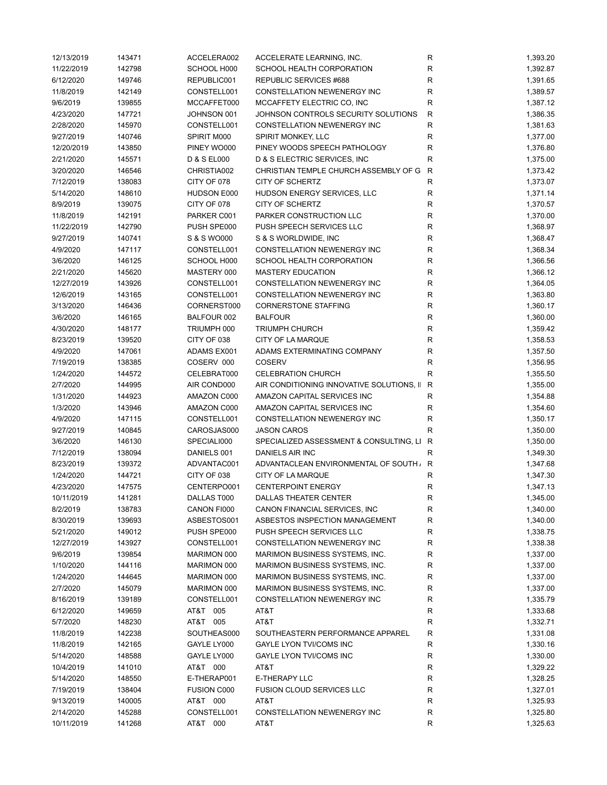| 12/13/2019 | 143471 | ACCELERA002            | ACCELERATE LEARNING, INC.                 | R           | 1,393.20 |
|------------|--------|------------------------|-------------------------------------------|-------------|----------|
| 11/22/2019 | 142798 | SCHOOL H000            | SCHOOL HEALTH CORPORATION                 | ${\sf R}$   | 1,392.87 |
| 6/12/2020  | 149746 | REPUBLIC001            | REPUBLIC SERVICES #688                    | R           | 1,391.65 |
| 11/8/2019  | 142149 | CONSTELL001            | CONSTELLATION NEWENERGY INC               | ${\sf R}$   | 1,389.57 |
| 9/6/2019   | 139855 | MCCAFFET000            | MCCAFFETY ELECTRIC CO, INC                | R           | 1,387.12 |
| 4/23/2020  | 147721 | JOHNSON 001            | JOHNSON CONTROLS SECURITY SOLUTIONS       | ${\sf R}$   | 1,386.35 |
| 2/28/2020  | 145970 | CONSTELL001            | CONSTELLATION NEWENERGY INC               | ${\sf R}$   | 1,381.63 |
| 9/27/2019  | 140746 | SPIRIT M000            | SPIRIT MONKEY, LLC                        | ${\sf R}$   | 1,377.00 |
| 12/20/2019 | 143850 | PINEY WO000            | PINEY WOODS SPEECH PATHOLOGY              | $\mathsf R$ | 1,376.80 |
| 2/21/2020  | 145571 | <b>D &amp; S EL000</b> | D & S ELECTRIC SERVICES, INC.             | $\mathsf R$ | 1,375.00 |
| 3/20/2020  | 146546 | CHRISTIA002            | CHRISTIAN TEMPLE CHURCH ASSEMBLY OF G     | R           | 1,373.42 |
| 7/12/2019  | 138083 | CITY OF 078            | <b>CITY OF SCHERTZ</b>                    | ${\sf R}$   | 1,373.07 |
| 5/14/2020  | 148610 | HUDSON E000            | HUDSON ENERGY SERVICES, LLC               | ${\sf R}$   | 1,371.14 |
| 8/9/2019   | 139075 | CITY OF 078            | <b>CITY OF SCHERTZ</b>                    | R           | 1,370.57 |
| 11/8/2019  | 142191 | PARKER C001            | PARKER CONSTRUCTION LLC                   | R           | 1,370.00 |
| 11/22/2019 | 142790 | PUSH SPE000            | PUSH SPEECH SERVICES LLC                  | ${\sf R}$   | 1,368.97 |
| 9/27/2019  | 140741 | S & S WO000            | S & S WORLDWIDE, INC                      | $\mathsf R$ | 1,368.47 |
| 4/9/2020   | 147117 | CONSTELL001            | CONSTELLATION NEWENERGY INC               | ${\sf R}$   | 1,368.34 |
| 3/6/2020   | 146125 | SCHOOL H000            | SCHOOL HEALTH CORPORATION                 | $\mathsf R$ | 1,366.56 |
| 2/21/2020  | 145620 | MASTERY 000            | <b>MASTERY EDUCATION</b>                  | ${\sf R}$   | 1,366.12 |
| 12/27/2019 | 143926 | CONSTELL001            | CONSTELLATION NEWENERGY INC               | $\mathsf R$ | 1,364.05 |
| 12/6/2019  | 143165 | CONSTELL001            | CONSTELLATION NEWENERGY INC               | $\mathsf R$ | 1,363.80 |
| 3/13/2020  | 146436 | CORNERST000            | <b>CORNERSTONE STAFFING</b>               | $\mathsf R$ | 1,360.17 |
| 3/6/2020   | 146165 | BALFOUR 002            | <b>BALFOUR</b>                            | R           | 1,360.00 |
| 4/30/2020  | 148177 | TRIUMPH 000            | <b>TRIUMPH CHURCH</b>                     | ${\sf R}$   | 1,359.42 |
| 8/23/2019  | 139520 | CITY OF 038            | CITY OF LA MARQUE                         | $\mathsf R$ | 1,358.53 |
| 4/9/2020   | 147061 | ADAMS EX001            | ADAMS EXTERMINATING COMPANY               | $\mathsf R$ | 1,357.50 |
| 7/19/2019  | 138385 | COSERV 000             | <b>COSERV</b>                             | ${\sf R}$   | 1,356.95 |
| 1/24/2020  | 144572 | CELEBRAT000            | <b>CELEBRATION CHURCH</b>                 | $\mathsf R$ | 1,355.50 |
| 2/7/2020   | 144995 | AIR COND000            | AIR CONDITIONING INNOVATIVE SOLUTIONS, II | R           | 1,355.00 |
| 1/31/2020  | 144923 | AMAZON C000            | AMAZON CAPITAL SERVICES INC               | R           | 1,354.88 |
| 1/3/2020   | 143946 | AMAZON C000            | AMAZON CAPITAL SERVICES INC               | R           | 1,354.60 |
| 4/9/2020   | 147115 | CONSTELL001            | CONSTELLATION NEWENERGY INC               | R           | 1,350.17 |
| 9/27/2019  | 140845 | CAROSJAS000            | <b>JASON CAROS</b>                        | R           | 1,350.00 |
| 3/6/2020   | 146130 | SPECIALI000            | SPECIALIZED ASSESSMENT & CONSULTING, LI R |             | 1,350.00 |
| 7/12/2019  | 138094 | DANIELS 001            | DANIELS AIR INC                           | R           | 1,349.30 |
| 8/23/2019  | 139372 | ADVANTAC001            | ADVANTACLEAN ENVIRONMENTAL OF SOUTH / R   |             | 1,347.68 |
| 1/24/2020  | 144721 | CITY OF 038            | CITY OF LA MARQUE                         | R           | 1,347.30 |
| 4/23/2020  | 147575 | CENTERPO001            | <b>CENTERPOINT ENERGY</b>                 | R           | 1,347.13 |
|            |        | DALLAS T000            | DALLAS THEATER CENTER                     | R           |          |
| 10/11/2019 | 141281 |                        |                                           |             | 1,345.00 |
| 8/2/2019   | 138783 | CANON FI000            | CANON FINANCIAL SERVICES, INC             | R           | 1,340.00 |
| 8/30/2019  | 139693 | ASBESTOS001            | ASBESTOS INSPECTION MANAGEMENT            | R           | 1,340.00 |
| 5/21/2020  | 149012 | PUSH SPE000            | PUSH SPEECH SERVICES LLC                  | R           | 1,338.75 |
| 12/27/2019 | 143927 | CONSTELL001            | CONSTELLATION NEWENERGY INC               | R           | 1,338.38 |
| 9/6/2019   | 139854 | MARIMON 000            | MARIMON BUSINESS SYSTEMS, INC.            | R           | 1,337.00 |
| 1/10/2020  | 144116 | MARIMON 000            | MARIMON BUSINESS SYSTEMS, INC.            | R           | 1,337.00 |
| 1/24/2020  | 144645 | MARIMON 000            | MARIMON BUSINESS SYSTEMS, INC.            | ${\sf R}$   | 1,337.00 |
| 2/7/2020   | 145079 | MARIMON 000            | MARIMON BUSINESS SYSTEMS, INC.            | R           | 1,337.00 |
| 8/16/2019  | 139189 | CONSTELL001            | CONSTELLATION NEWENERGY INC               | R           | 1,335.79 |
| 6/12/2020  | 149659 | AT&T 005               | AT&T                                      | R           | 1,333.68 |
| 5/7/2020   | 148230 | AT&T 005               | AT&T                                      | ${\sf R}$   | 1,332.71 |
| 11/8/2019  | 142238 | SOUTHEAS000            | SOUTHEASTERN PERFORMANCE APPAREL          | ${\sf R}$   | 1,331.08 |
| 11/8/2019  | 142165 | GAYLE LY000            | <b>GAYLE LYON TVI/COMS INC</b>            | R           | 1,330.16 |
| 5/14/2020  | 148588 | GAYLE LY000            | GAYLE LYON TVI/COMS INC                   | R           | 1,330.00 |
| 10/4/2019  | 141010 | AT&T 000               | AT&T                                      | R           | 1,329.22 |
| 5/14/2020  | 148550 | E-THERAP001            | E-THERAPY LLC                             | R           | 1,328.25 |
| 7/19/2019  | 138404 | <b>FUSION C000</b>     | <b>FUSION CLOUD SERVICES LLC</b>          | ${\sf R}$   | 1,327.01 |
| 9/13/2019  | 140005 | AT&T 000               | AT&T                                      | R           | 1,325.93 |
| 2/14/2020  | 145288 | CONSTELL001            | CONSTELLATION NEWENERGY INC               | R           | 1,325.80 |
| 10/11/2019 | 141268 | AT&T 000               | AT&T                                      | R           | 1,325.63 |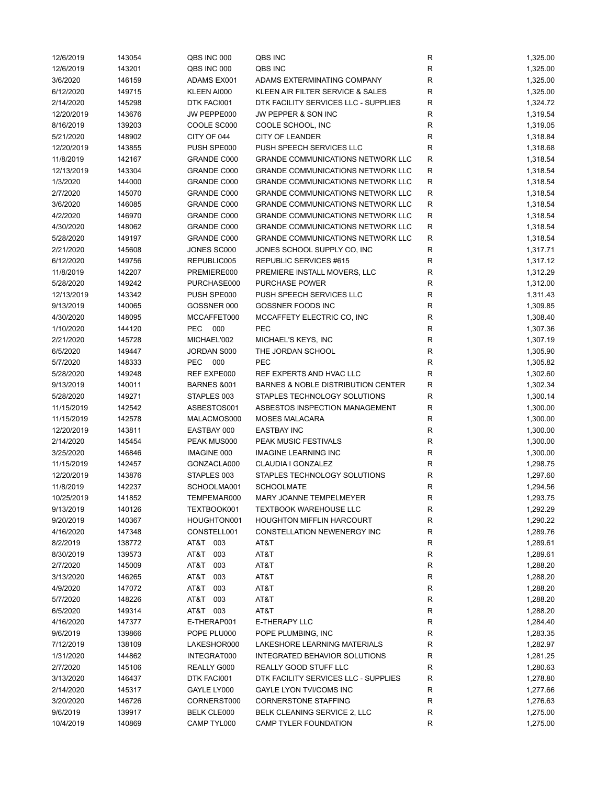| 12/6/2019  | 143054 | QBS INC 000             | QBS INC                                       | R            | 1,325.00 |
|------------|--------|-------------------------|-----------------------------------------------|--------------|----------|
| 12/6/2019  | 143201 | QBS INC 000             | QBS INC                                       | R            | 1,325.00 |
| 3/6/2020   | 146159 | ADAMS EX001             | ADAMS EXTERMINATING COMPANY                   | R            | 1,325.00 |
| 6/12/2020  | 149715 | KLEEN AI000             | KLEEN AIR FILTER SERVICE & SALES              | R            | 1,325.00 |
| 2/14/2020  | 145298 | DTK FACI001             | DTK FACILITY SERVICES LLC - SUPPLIES          | R            | 1,324.72 |
| 12/20/2019 | 143676 | JW PEPPE000             | JW PEPPER & SON INC                           | R            | 1,319.54 |
| 8/16/2019  | 139203 | COOLE SC000             | COOLE SCHOOL, INC                             | $\mathsf{R}$ | 1,319.05 |
| 5/21/2020  | 148902 | CITY OF 044             | <b>CITY OF LEANDER</b>                        | R            | 1,318.84 |
| 12/20/2019 | 143855 | PUSH SPE000             | PUSH SPEECH SERVICES LLC                      | $\mathsf{R}$ | 1,318.68 |
| 11/8/2019  | 142167 | <b>GRANDE C000</b>      | <b>GRANDE COMMUNICATIONS NETWORK LLC</b>      | R            | 1,318.54 |
| 12/13/2019 | 143304 | GRANDE C000             | <b>GRANDE COMMUNICATIONS NETWORK LLC</b>      | R            | 1,318.54 |
| 1/3/2020   | 144000 | <b>GRANDE C000</b>      | <b>GRANDE COMMUNICATIONS NETWORK LLC</b>      | R            | 1,318.54 |
| 2/7/2020   | 145070 | GRANDE C000             | <b>GRANDE COMMUNICATIONS NETWORK LLC</b>      | R            | 1,318.54 |
| 3/6/2020   | 146085 | GRANDE C000             | <b>GRANDE COMMUNICATIONS NETWORK LLC</b>      | R            | 1,318.54 |
| 4/2/2020   | 146970 | <b>GRANDE C000</b>      | <b>GRANDE COMMUNICATIONS NETWORK LLC</b>      | R            | 1,318.54 |
| 4/30/2020  | 148062 | GRANDE C000             | <b>GRANDE COMMUNICATIONS NETWORK LLC</b>      | R            | 1,318.54 |
| 5/28/2020  | 149197 | GRANDE C000             | <b>GRANDE COMMUNICATIONS NETWORK LLC</b>      | R            | 1,318.54 |
| 2/21/2020  | 145608 | JONES SC000             | JONES SCHOOL SUPPLY CO, INC                   | R            |          |
|            |        | REPUBLIC005             |                                               |              | 1,317.71 |
| 6/12/2020  | 149756 |                         | REPUBLIC SERVICES #615                        | R            | 1,317.12 |
| 11/8/2019  | 142207 | PREMIERE000             | PREMIERE INSTALL MOVERS, LLC                  | R            | 1,312.29 |
| 5/28/2020  | 149242 | PURCHASE000             | <b>PURCHASE POWER</b>                         | R            | 1,312.00 |
| 12/13/2019 | 143342 | PUSH SPE000             | PUSH SPEECH SERVICES LLC                      | R            | 1,311.43 |
| 9/13/2019  | 140065 | GOSSNER 000             | <b>GOSSNER FOODS INC</b>                      | R            | 1,309.85 |
| 4/30/2020  | 148095 | MCCAFFET000             | MCCAFFETY ELECTRIC CO, INC                    | R            | 1,308.40 |
| 1/10/2020  | 144120 | PEC 000                 | <b>PEC</b>                                    | R            | 1,307.36 |
| 2/21/2020  | 145728 | MICHAEL'002             | MICHAEL'S KEYS, INC                           | R            | 1,307.19 |
| 6/5/2020   | 149447 | JORDAN S000             | THE JORDAN SCHOOL                             | R            | 1,305.90 |
| 5/7/2020   | 148333 | PEC 000                 | PEC                                           | R            | 1,305.82 |
| 5/28/2020  | 149248 | REF EXPE000             | REF EXPERTS AND HVAC LLC                      | $\mathsf{R}$ | 1,302.60 |
| 9/13/2019  | 140011 | <b>BARNES &amp;001</b>  | <b>BARNES &amp; NOBLE DISTRIBUTION CENTER</b> | R            | 1,302.34 |
| 5/28/2020  | 149271 | STAPLES 003             | STAPLES TECHNOLOGY SOLUTIONS                  | R            | 1,300.14 |
| 11/15/2019 | 142542 | ASBESTOS001             | ASBESTOS INSPECTION MANAGEMENT                | R            | 1,300.00 |
| 11/15/2019 | 142578 | MALACMOS000             | <b>MOSES MALACARA</b>                         | R            | 1,300.00 |
| 12/20/2019 | 143811 | EASTBAY 000             | <b>EASTBAY INC</b>                            | R            | 1,300.00 |
| 2/14/2020  | 145454 | PEAK MUS000             | PEAK MUSIC FESTIVALS                          | R            | 1,300.00 |
| 3/25/2020  | 146846 | IMAGINE 000             | <b>IMAGINE LEARNING INC</b>                   | $\mathsf{R}$ | 1,300.00 |
| 11/15/2019 | 142457 | GONZACLA000             | CLAUDIA I GONZALEZ                            | R            | 1,298.75 |
| 12/20/2019 | 143876 | STAPLES 003             | STAPLES TECHNOLOGY SOLUTIONS                  | R            | 1,297.60 |
| 11/8/2019  | 142237 | SCHOOLMA001             | <b>SCHOOLMATE</b>                             | R            | 1,294.56 |
| 10/25/2019 | 141852 | TEMPEMAR000             | MARY JOANNE TEMPELMEYER                       | R            | 1,293.75 |
| 9/13/2019  | 140126 | TEXTBOOK001             | <b>TEXTBOOK WAREHOUSE LLC</b>                 | R            | 1,292.29 |
| 9/20/2019  | 140367 | HOUGHTON001             | <b>HOUGHTON MIFFLIN HARCOURT</b>              | R            | 1,290.22 |
| 4/16/2020  | 147348 | CONSTELL001             | CONSTELLATION NEWENERGY INC                   | R            | 1,289.76 |
| 8/2/2019   | 138772 | AT&T 003                | AT&T                                          | R            | 1,289.61 |
| 8/30/2019  | 139573 | AT&T<br>003             | AT&T                                          | R            | 1,289.61 |
| 2/7/2020   | 145009 | AT&T<br>003             | AT&T                                          | $\mathsf{R}$ | 1,288.20 |
| 3/13/2020  | 146265 | AT&T<br>003             | AT&T                                          | $\mathsf{R}$ | 1,288.20 |
| 4/9/2020   | 147072 | T&TA<br>003             | AT&T                                          | $\mathsf{R}$ | 1,288.20 |
| 5/7/2020   | 148226 | AT&T<br>003             | AT&T                                          | R            | 1,288.20 |
|            |        |                         | AT&T                                          |              |          |
| 6/5/2020   | 149314 | AT&T 003<br>E-THERAP001 | E-THERAPY LLC                                 | R            | 1,288.20 |
| 4/16/2020  | 147377 |                         |                                               | $\mathsf{R}$ | 1,284.40 |
| 9/6/2019   | 139866 | POPE PLU000             | POPE PLUMBING, INC                            | R            | 1,283.35 |
| 7/12/2019  | 138109 | LAKESHOR000             | LAKESHORE LEARNING MATERIALS                  | R            | 1,282.97 |
| 1/31/2020  | 144862 | INTEGRAT000             | INTEGRATED BEHAVIOR SOLUTIONS                 | R            | 1,281.25 |
| 2/7/2020   | 145106 | REALLY G000             | REALLY GOOD STUFF LLC                         | R            | 1,280.63 |
| 3/13/2020  | 146437 | DTK FACI001             | DTK FACILITY SERVICES LLC - SUPPLIES          | $\mathsf{R}$ | 1,278.80 |
| 2/14/2020  | 145317 | GAYLE LY000             | GAYLE LYON TVI/COMS INC                       | R            | 1,277.66 |
| 3/20/2020  | 146726 | CORNERST000             | <b>CORNERSTONE STAFFING</b>                   | R            | 1,276.63 |
| 9/6/2019   | 139917 | <b>BELK CLE000</b>      | BELK CLEANING SERVICE 2, LLC                  | R            | 1,275.00 |
| 10/4/2019  | 140869 | CAMP TYL000             | CAMP TYLER FOUNDATION                         | $\mathsf{R}$ | 1,275.00 |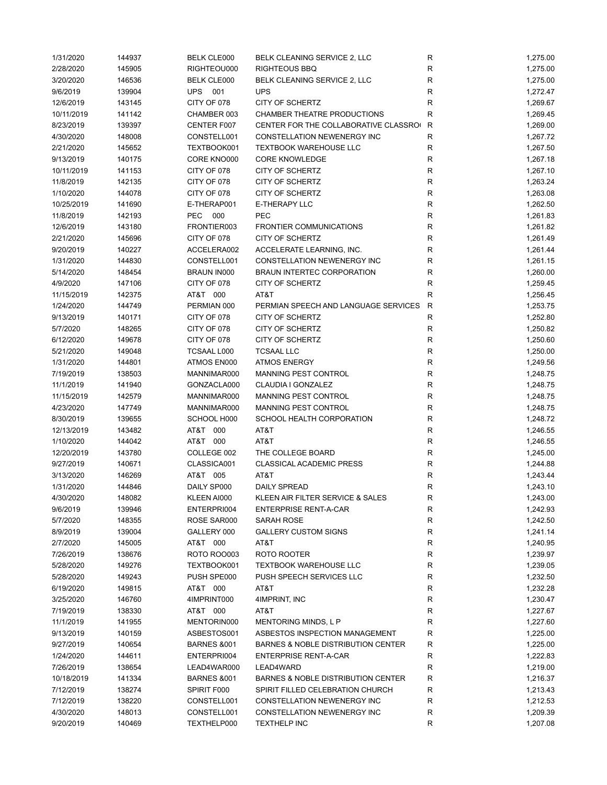| 1/31/2020  | 144937 | <b>BELK CLE000</b>     | BELK CLEANING SERVICE 2, LLC         | R            | 1,275.00             |
|------------|--------|------------------------|--------------------------------------|--------------|----------------------|
| 2/28/2020  | 145905 | RIGHTEOU000            | <b>RIGHTEOUS BBQ</b>                 | R            | 1,275.00             |
| 3/20/2020  | 146536 | <b>BELK CLE000</b>     | BELK CLEANING SERVICE 2, LLC         | ${\sf R}$    | 1,275.00             |
| 9/6/2019   | 139904 | UPS 001                | <b>UPS</b>                           | ${\sf R}$    | 1,272.47             |
| 12/6/2019  | 143145 | CITY OF 078            | CITY OF SCHERTZ                      | R            | 1,269.67             |
| 10/11/2019 | 141142 | CHAMBER 003            | CHAMBER THEATRE PRODUCTIONS          | $\mathsf R$  | 1,269.45             |
| 8/23/2019  | 139397 | CENTER F007            | CENTER FOR THE COLLABORATIVE CLASSRO | R            | 1,269.00             |
| 4/30/2020  | 148008 | CONSTELL001            | CONSTELLATION NEWENERGY INC          | R            | 1,267.72             |
| 2/21/2020  | 145652 | TEXTBOOK001            | <b>TEXTBOOK WAREHOUSE LLC</b>        | R            | 1,267.50             |
| 9/13/2019  | 140175 | CORE KNO000            | <b>CORE KNOWLEDGE</b>                | R            | 1,267.18             |
| 10/11/2019 | 141153 | CITY OF 078            | CITY OF SCHERTZ                      | ${\sf R}$    | 1,267.10             |
| 11/8/2019  | 142135 | CITY OF 078            | <b>CITY OF SCHERTZ</b>               | ${\sf R}$    | 1,263.24             |
| 1/10/2020  | 144078 | CITY OF 078            | CITY OF SCHERTZ                      | ${\sf R}$    | 1,263.08             |
| 10/25/2019 | 141690 | E-THERAP001            | E-THERAPY LLC                        | R            | 1,262.50             |
|            |        | PEC 000                | PEC                                  |              |                      |
| 11/8/2019  | 142193 |                        |                                      | R            | 1,261.83             |
| 12/6/2019  | 143180 | FRONTIER003            | <b>FRONTIER COMMUNICATIONS</b>       | ${\sf R}$    | 1,261.82             |
| 2/21/2020  | 145696 | CITY OF 078            | CITY OF SCHERTZ                      | ${\sf R}$    | 1,261.49             |
| 9/20/2019  | 140227 | ACCELERA002            | ACCELERATE LEARNING, INC.            | $\mathsf R$  | 1,261.44             |
| 1/31/2020  | 144830 | CONSTELL001            | <b>CONSTELLATION NEWENERGY INC</b>   | $\mathsf R$  | 1,261.15             |
| 5/14/2020  | 148454 | <b>BRAUN IN000</b>     | BRAUN INTERTEC CORPORATION           | R            | 1,260.00             |
| 4/9/2020   | 147106 | CITY OF 078            | CITY OF SCHERTZ                      | R            | 1,259.45             |
| 11/15/2019 | 142375 | AT&T 000               | AT&T                                 | $\mathsf R$  | 1,256.45             |
| 1/24/2020  | 144749 | PERMIAN 000            | PERMIAN SPEECH AND LANGUAGE SERVICES | $\mathsf{R}$ | 1,253.75             |
| 9/13/2019  | 140171 | CITY OF 078            | CITY OF SCHERTZ                      | R            | 1,252.80             |
| 5/7/2020   | 148265 | CITY OF 078            | <b>CITY OF SCHERTZ</b>               | R            | 1,250.82             |
| 6/12/2020  | 149678 | CITY OF 078            | <b>CITY OF SCHERTZ</b>               | ${\sf R}$    | 1,250.60             |
| 5/21/2020  | 149048 | TCSAAL L000            | <b>TCSAAL LLC</b>                    | ${\sf R}$    | 1,250.00             |
| 1/31/2020  | 144801 | ATMOS EN000            | <b>ATMOS ENERGY</b>                  | ${\sf R}$    | 1,249.56             |
| 7/19/2019  | 138503 | MANNIMAR000            | MANNING PEST CONTROL                 | ${\sf R}$    | 1,248.75             |
| 11/1/2019  | 141940 | GONZACLA000            | CLAUDIA I GONZALEZ                   | R            | 1,248.75             |
| 11/15/2019 | 142579 | MANNIMAR000            | MANNING PEST CONTROL                 | $\mathsf R$  | 1,248.75             |
| 4/23/2020  | 147749 | MANNIMAR000            | <b>MANNING PEST CONTROL</b>          | R            | 1,248.75             |
| 8/30/2019  | 139655 | SCHOOL H000            | SCHOOL HEALTH CORPORATION            | ${\sf R}$    | 1,248.72             |
| 12/13/2019 | 143482 | AT&T 000               | AT&T                                 | R            | 1,246.55             |
| 1/10/2020  | 144042 | AT&T 000               | AT&T                                 | R            | 1,246.55             |
| 12/20/2019 | 143780 | COLLEGE 002            | THE COLLEGE BOARD                    | R            | 1,245.00             |
| 9/27/2019  | 140671 | CLASSICA001            | <b>CLASSICAL ACADEMIC PRESS</b>      | R            | 1,244.88             |
| 3/13/2020  |        | AT&T 005               | AT&T                                 |              |                      |
|            | 146269 |                        |                                      | ${\sf R}$    | 1,243.44<br>1,243.10 |
| 1/31/2020  | 144846 | DAILY SP000            | <b>DAILY SPREAD</b>                  | R            |                      |
| 4/30/2020  | 148082 | KLEEN AI000            | KLEEN AIR FILTER SERVICE & SALES     | R            | 1,243.00             |
| 9/6/2019   | 139946 | ENTERPRI004            | <b>ENTERPRISE RENT-A-CAR</b>         | R            | 1,242.93             |
| 5/7/2020   | 148355 | ROSE SAR000            | SARAH ROSE                           | R            | 1,242.50             |
| 8/9/2019   | 139004 | GALLERY 000            | <b>GALLERY CUSTOM SIGNS</b>          | ${\sf R}$    | 1,241.14             |
| 2/7/2020   | 145005 | AT&T 000               | AT&T                                 | R            | 1,240.95             |
| 7/26/2019  | 138676 | ROTO ROO003            | ROTO ROOTER                          | R            | 1,239.97             |
| 5/28/2020  | 149276 | TEXTBOOK001            | <b>TEXTBOOK WAREHOUSE LLC</b>        | R            | 1,239.05             |
| 5/28/2020  | 149243 | PUSH SPE000            | PUSH SPEECH SERVICES LLC             | ${\sf R}$    | 1,232.50             |
| 6/19/2020  | 149815 | AT&T 000               | AT&T                                 | ${\sf R}$    | 1,232.28             |
| 3/25/2020  | 146760 | 4IMPRINT000            | 4IMPRINT, INC                        | R            | 1,230.47             |
| 7/19/2019  | 138330 | AT&T 000               | AT&T                                 | R            | 1,227.67             |
| 11/1/2019  | 141955 | MENTORIN000            | <b>MENTORING MINDS, L P</b>          | R            | 1,227.60             |
| 9/13/2019  | 140159 | ASBESTOS001            | ASBESTOS INSPECTION MANAGEMENT       | ${\sf R}$    | 1,225.00             |
| 9/27/2019  | 140654 | <b>BARNES &amp;001</b> | BARNES & NOBLE DISTRIBUTION CENTER   | R            | 1,225.00             |
| 1/24/2020  | 144611 | ENTERPRI004            | <b>ENTERPRISE RENT-A-CAR</b>         | R            | 1,222.83             |
| 7/26/2019  | 138654 | LEAD4WAR000            | LEAD4WARD                            | R            | 1,219.00             |
| 10/18/2019 | 141334 | <b>BARNES &amp;001</b> | BARNES & NOBLE DISTRIBUTION CENTER   | R            | 1,216.37             |
| 7/12/2019  | 138274 | SPIRIT F000            | SPIRIT FILLED CELEBRATION CHURCH     | ${\sf R}$    | 1,213.43             |
| 7/12/2019  | 138220 | CONSTELL001            | CONSTELLATION NEWENERGY INC          | R            | 1,212.53             |
| 4/30/2020  | 148013 | CONSTELL001            | CONSTELLATION NEWENERGY INC          | R            | 1,209.39             |
| 9/20/2019  | 140469 | TEXTHELP000            | <b>TEXTHELP INC</b>                  | R            | 1,207.08             |
|            |        |                        |                                      |              |                      |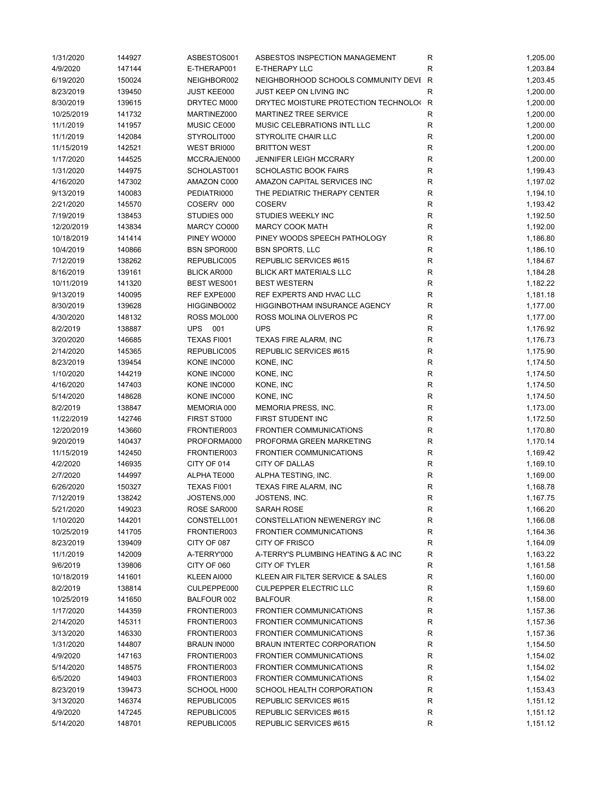| 1/31/2020  | 144927 | ASBESTOS001        | ASBESTOS INSPECTION MANAGEMENT         | R           | 1,205.00 |
|------------|--------|--------------------|----------------------------------------|-------------|----------|
| 4/9/2020   | 147144 | E-THERAP001        | <b>E-THERAPY LLC</b>                   | R           | 1,203.84 |
| 6/19/2020  | 150024 | NEIGHBOR002        | NEIGHBORHOOD SCHOOLS COMMUNITY DEVI R  |             | 1,203.45 |
| 8/23/2019  | 139450 | <b>JUST KEE000</b> | JUST KEEP ON LIVING INC                | $\mathsf R$ | 1,200.00 |
| 8/30/2019  | 139615 | DRYTEC M000        | DRYTEC MOISTURE PROTECTION TECHNOLO( R |             | 1,200.00 |
| 10/25/2019 | 141732 | MARTINEZ000        | <b>MARTINEZ TREE SERVICE</b>           | R           | 1,200.00 |
| 11/1/2019  | 141957 | MUSIC CE000        | MUSIC CELEBRATIONS INTL LLC            | R           | 1,200.00 |
| 11/1/2019  | 142084 | STYROLIT000        | <b>STYROLITE CHAIR LLC</b>             | ${\sf R}$   | 1,200.00 |
| 11/15/2019 | 142521 | WEST BRI000        | <b>BRITTON WEST</b>                    | $\mathsf R$ | 1,200.00 |
| 1/17/2020  | 144525 | MCCRAJEN000        | <b>JENNIFER LEIGH MCCRARY</b>          | $\mathsf R$ | 1,200.00 |
| 1/31/2020  | 144975 | SCHOLAST001        | <b>SCHOLASTIC BOOK FAIRS</b>           | $\mathsf R$ | 1,199.43 |
| 4/16/2020  | 147302 | AMAZON C000        | AMAZON CAPITAL SERVICES INC            | $\mathsf R$ | 1,197.02 |
| 9/13/2019  | 140083 | PEDIATRI000        | THE PEDIATRIC THERAPY CENTER           | $\mathsf R$ | 1,194.10 |
|            |        |                    |                                        |             |          |
| 2/21/2020  | 145570 | COSERV 000         | <b>COSERV</b>                          | R           | 1,193.42 |
| 7/19/2019  | 138453 | STUDIES 000        | STUDIES WEEKLY INC                     | ${\sf R}$   | 1,192.50 |
| 12/20/2019 | 143834 | MARCY CO000        | <b>MARCY COOK MATH</b>                 | R           | 1,192.00 |
| 10/18/2019 | 141414 | PINEY WO000        | PINEY WOODS SPEECH PATHOLOGY           | $\mathsf R$ | 1,186.80 |
| 10/4/2019  | 140866 | <b>BSN SPOR000</b> | <b>BSN SPORTS, LLC</b>                 | $\mathsf R$ | 1,186.10 |
| 7/12/2019  | 138262 | REPUBLIC005        | REPUBLIC SERVICES #615                 | $\mathsf R$ | 1,184.67 |
| 8/16/2019  | 139161 | <b>BLICK AR000</b> | <b>BLICK ART MATERIALS LLC</b>         | $\mathsf R$ | 1,184.28 |
| 10/11/2019 | 141320 | BEST WES001        | <b>BEST WESTERN</b>                    | $\mathsf R$ | 1,182.22 |
| 9/13/2019  | 140095 | REF EXPE000        | REF EXPERTS AND HVAC LLC               | $\mathsf R$ | 1,181.18 |
| 8/30/2019  | 139628 | HIGGINBO002        | <b>HIGGINBOTHAM INSURANCE AGENCY</b>   | ${\sf R}$   | 1,177.00 |
| 4/30/2020  | 148132 | ROSS MOL000        | ROSS MOLINA OLIVEROS PC                | R           | 1,177.00 |
| 8/2/2019   | 138887 | UPS 001            | <b>UPS</b>                             | R           | 1,176.92 |
| 3/20/2020  | 146685 | TEXAS FI001        | TEXAS FIRE ALARM, INC                  | R           | 1,176.73 |
| 2/14/2020  | 145365 | REPUBLIC005        | REPUBLIC SERVICES #615                 | ${\sf R}$   | 1,175.90 |
| 8/23/2019  | 139454 | KONE INC000        | KONE, INC                              | ${\sf R}$   | 1,174.50 |
| 1/10/2020  | 144219 | KONE INC000        | KONE, INC                              | $\mathsf R$ | 1,174.50 |
| 4/16/2020  | 147403 | KONE INC000        | KONE, INC                              | $\mathsf R$ | 1,174.50 |
| 5/14/2020  | 148628 | KONE INC000        | KONE, INC                              | ${\sf R}$   | 1,174.50 |
| 8/2/2019   | 138847 | MEMORIA 000        | MEMORIA PRESS, INC.                    | ${\sf R}$   | 1,173.00 |
| 11/22/2019 | 142746 | FIRST ST000        | FIRST STUDENT INC                      | $\mathsf R$ | 1,172.50 |
| 12/20/2019 | 143660 | FRONTIER003        | FRONTIER COMMUNICATIONS                | R           | 1,170.80 |
| 9/20/2019  | 140437 | PROFORMA000        | PROFORMA GREEN MARKETING               | R           | 1,170.14 |
|            |        | FRONTIER003        | <b>FRONTIER COMMUNICATIONS</b>         |             |          |
| 11/15/2019 | 142450 |                    |                                        | R           | 1,169.42 |
| 4/2/2020   | 146935 | CITY OF 014        | <b>CITY OF DALLAS</b>                  | ${\sf R}$   | 1,169.10 |
| 2/7/2020   | 144997 | ALPHATE000         | ALPHA TESTING, INC.                    | R           | 1,169.00 |
| 6/26/2020  | 150327 | TEXAS FI001        | TEXAS FIRE ALARM, INC                  | R           | 1,168.78 |
| 7/12/2019  | 138242 | JOSTENS,000        | JOSTENS, INC.                          | к           | 1,167.75 |
| 5/21/2020  | 149023 | ROSE SAR000        | SARAH ROSE                             | R           | 1,166.20 |
| 1/10/2020  | 144201 | CONSTELL001        | CONSTELLATION NEWENERGY INC            | R           | 1,166.08 |
| 10/25/2019 | 141705 | FRONTIER003        | <b>FRONTIER COMMUNICATIONS</b>         | R           | 1,164.36 |
| 8/23/2019  | 139409 | CITY OF 087        | <b>CITY OF FRISCO</b>                  | R           | 1,164.09 |
| 11/1/2019  | 142009 | A-TERRY'000        | A-TERRY'S PLUMBING HEATING & AC INC    | R           | 1,163.22 |
| 9/6/2019   | 139806 | CITY OF 060        | CITY OF TYLER                          | R           | 1,161.58 |
| 10/18/2019 | 141601 | KLEEN AI000        | KLEEN AIR FILTER SERVICE & SALES       | R           | 1,160.00 |
| 8/2/2019   | 138814 | CULPEPPE000        | <b>CULPEPPER ELECTRIC LLC</b>          | R           | 1,159.60 |
| 10/25/2019 | 141650 | BALFOUR 002        | <b>BALFOUR</b>                         | ${\sf R}$   | 1,158.00 |
| 1/17/2020  | 144359 | FRONTIER003        | <b>FRONTIER COMMUNICATIONS</b>         | R           | 1,157.36 |
| 2/14/2020  | 145311 | FRONTIER003        | <b>FRONTIER COMMUNICATIONS</b>         | R           | 1,157.36 |
| 3/13/2020  | 146330 | FRONTIER003        | <b>FRONTIER COMMUNICATIONS</b>         | R           | 1,157.36 |
| 1/31/2020  | 144807 | <b>BRAUN IN000</b> | BRAUN INTERTEC CORPORATION             | R           | 1,154.50 |
| 4/9/2020   | 147163 | FRONTIER003        | FRONTIER COMMUNICATIONS                | R           | 1,154.02 |
| 5/14/2020  | 148575 | FRONTIER003        | FRONTIER COMMUNICATIONS                | R           | 1,154.02 |
| 6/5/2020   | 149403 | FRONTIER003        | <b>FRONTIER COMMUNICATIONS</b>         | R           | 1,154.02 |
| 8/23/2019  | 139473 | SCHOOL H000        | SCHOOL HEALTH CORPORATION              | R           | 1,153.43 |
| 3/13/2020  | 146374 | REPUBLIC005        | REPUBLIC SERVICES #615                 | R           | 1,151.12 |
|            |        |                    |                                        |             |          |
| 4/9/2020   | 147245 | REPUBLIC005        | REPUBLIC SERVICES #615                 | ${\sf R}$   | 1,151.12 |
| 5/14/2020  | 148701 | REPUBLIC005        | REPUBLIC SERVICES #615                 | R           | 1,151.12 |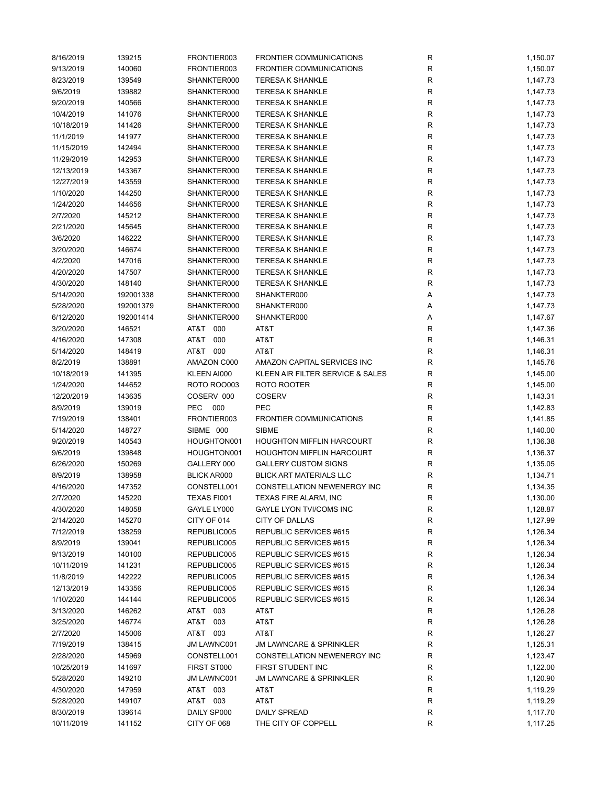| 8/16/2019  | 139215    | FRONTIER003        | <b>FRONTIER COMMUNICATIONS</b>     | ${\sf R}$   | 1,150.07 |
|------------|-----------|--------------------|------------------------------------|-------------|----------|
| 9/13/2019  | 140060    | FRONTIER003        | <b>FRONTIER COMMUNICATIONS</b>     | ${\sf R}$   | 1,150.07 |
| 8/23/2019  | 139549    | SHANKTER000        | <b>TERESA K SHANKLE</b>            | R           | 1,147.73 |
| 9/6/2019   | 139882    | SHANKTER000        | <b>TERESA K SHANKLE</b>            | ${\sf R}$   | 1,147.73 |
| 9/20/2019  | 140566    | SHANKTER000        | <b>TERESA K SHANKLE</b>            | R           | 1,147.73 |
| 10/4/2019  | 141076    | SHANKTER000        | <b>TERESA K SHANKLE</b>            | ${\sf R}$   | 1,147.73 |
| 10/18/2019 | 141426    | SHANKTER000        | <b>TERESA K SHANKLE</b>            | R           | 1,147.73 |
| 11/1/2019  | 141977    | SHANKTER000        | <b>TERESA K SHANKLE</b>            | ${\sf R}$   | 1,147.73 |
| 11/15/2019 | 142494    | SHANKTER000        | <b>TERESA K SHANKLE</b>            | ${\sf R}$   | 1,147.73 |
| 11/29/2019 | 142953    | SHANKTER000        | <b>TERESA K SHANKLE</b>            | $\mathsf R$ | 1,147.73 |
| 12/13/2019 |           | SHANKTER000        | <b>TERESA K SHANKLE</b>            | $\mathsf R$ | 1,147.73 |
|            | 143367    |                    |                                    |             |          |
| 12/27/2019 | 143559    | SHANKTER000        | <b>TERESA K SHANKLE</b>            | R           | 1,147.73 |
| 1/10/2020  | 144250    | SHANKTER000        | <b>TERESA K SHANKLE</b>            | R           | 1,147.73 |
| 1/24/2020  | 144656    | SHANKTER000        | <b>TERESA K SHANKLE</b>            | ${\sf R}$   | 1,147.73 |
| 2/7/2020   | 145212    | SHANKTER000        | <b>TERESA K SHANKLE</b>            | R           | 1,147.73 |
| 2/21/2020  | 145645    | SHANKTER000        | <b>TERESA K SHANKLE</b>            | ${\sf R}$   | 1,147.73 |
| 3/6/2020   | 146222    | SHANKTER000        | <b>TERESA K SHANKLE</b>            | R           | 1,147.73 |
| 3/20/2020  | 146674    | SHANKTER000        | <b>TERESA K SHANKLE</b>            | ${\sf R}$   | 1,147.73 |
| 4/2/2020   | 147016    | SHANKTER000        | <b>TERESA K SHANKLE</b>            | ${\sf R}$   | 1,147.73 |
| 4/20/2020  | 147507    | SHANKTER000        | <b>TERESA K SHANKLE</b>            | ${\sf R}$   | 1,147.73 |
| 4/30/2020  | 148140    | SHANKTER000        | <b>TERESA K SHANKLE</b>            | ${\sf R}$   | 1,147.73 |
| 5/14/2020  | 192001338 | SHANKTER000        | SHANKTER000                        | Α           | 1,147.73 |
| 5/28/2020  | 192001379 | SHANKTER000        | SHANKTER000                        | Α           | 1,147.73 |
| 6/12/2020  | 192001414 | SHANKTER000        | SHANKTER000                        | Α           | 1,147.67 |
| 3/20/2020  | 146521    | AT&T 000           | AT&T                               | R           | 1,147.36 |
| 4/16/2020  | 147308    | AT&T<br>000        | AT&T                               | ${\sf R}$   | 1,146.31 |
| 5/14/2020  | 148419    | AT&T 000           | AT&T                               | ${\sf R}$   | 1,146.31 |
|            | 138891    | AMAZON C000        | AMAZON CAPITAL SERVICES INC        | R           |          |
| 8/2/2019   |           |                    |                                    |             | 1,145.76 |
| 10/18/2019 | 141395    | KLEEN AI000        | KLEEN AIR FILTER SERVICE & SALES   | R           | 1,145.00 |
| 1/24/2020  | 144652    | ROTO ROO003        | ROTO ROOTER                        | R           | 1,145.00 |
| 12/20/2019 | 143635    | COSERV 000         | <b>COSERV</b>                      | $\mathsf R$ | 1,143.31 |
| 8/9/2019   | 139019    | PEC<br>000         | <b>PEC</b>                         | R           | 1,142.83 |
| 7/19/2019  | 138401    | FRONTIER003        | FRONTIER COMMUNICATIONS            | R           | 1,141.85 |
| 5/14/2020  | 148727    | SIBME 000          | <b>SIBME</b>                       | R           | 1,140.00 |
| 9/20/2019  | 140543    | HOUGHTON001        | <b>HOUGHTON MIFFLIN HARCOURT</b>   | R           | 1,136.38 |
| 9/6/2019   | 139848    | HOUGHTON001        | <b>HOUGHTON MIFFLIN HARCOURT</b>   | R           | 1,136.37 |
| 6/26/2020  | 150269    | GALLERY 000        | <b>GALLERY CUSTOM SIGNS</b>        | R           | 1,135.05 |
| 8/9/2019   | 138958    | <b>BLICK AR000</b> | <b>BLICK ART MATERIALS LLC</b>     | ${\sf R}$   | 1,134.71 |
| 4/16/2020  | 147352    | CONSTELL001        | <b>CONSTELLATION NEWENERGY INC</b> | R           | 1,134.35 |
| 2/7/2020   | 145220    | TEXAS FI001        | TEXAS FIRE ALARM, INC              | R           | 1,130.00 |
| 4/30/2020  | 148058    | GAYLE LY000        | <b>GAYLE LYON TVI/COMS INC</b>     | R           | 1,128.87 |
| 2/14/2020  | 145270    | CITY OF 014        | CITY OF DALLAS                     | R           | 1,127.99 |
| 7/12/2019  | 138259    | REPUBLIC005        | REPUBLIC SERVICES #615             | ${\sf R}$   | 1,126.34 |
| 8/9/2019   | 139041    | REPUBLIC005        | REPUBLIC SERVICES #615             | R           | 1,126.34 |
| 9/13/2019  | 140100    | REPUBLIC005        | REPUBLIC SERVICES #615             | R           | 1,126.34 |
| 10/11/2019 |           |                    |                                    |             |          |
|            | 141231    | REPUBLIC005        | REPUBLIC SERVICES #615             | R           | 1,126.34 |
| 11/8/2019  | 142222    | REPUBLIC005        | REPUBLIC SERVICES #615             | R           | 1,126.34 |
| 12/13/2019 | 143356    | REPUBLIC005        | REPUBLIC SERVICES #615             | ${\sf R}$   | 1,126.34 |
| 1/10/2020  | 144144    | REPUBLIC005        | REPUBLIC SERVICES #615             | R           | 1,126.34 |
| 3/13/2020  | 146262    | AT&T 003           | AT&T                               | ${\sf R}$   | 1,126.28 |
| 3/25/2020  | 146774    | AT&T 003           | AT&T                               | R           | 1,126.28 |
| 2/7/2020   | 145006    | AT&T 003           | AT&T                               | ${\sf R}$   | 1,126.27 |
| 7/19/2019  | 138415    | JM LAWNC001        | <b>JM LAWNCARE &amp; SPRINKLER</b> | ${\sf R}$   | 1,125.31 |
| 2/28/2020  | 145969    | CONSTELL001        | CONSTELLATION NEWENERGY INC        | R           | 1,123.47 |
| 10/25/2019 | 141697    | FIRST ST000        | FIRST STUDENT INC                  | R           | 1,122.00 |
| 5/28/2020  | 149210    | JM LAWNC001        | <b>JM LAWNCARE &amp; SPRINKLER</b> | R           | 1,120.90 |
| 4/30/2020  | 147959    | AT&T 003           | AT&T                               | R           | 1,119.29 |
| 5/28/2020  | 149107    | AT&T 003           | AT&T                               | ${\sf R}$   | 1,119.29 |
| 8/30/2019  | 139614    | DAILY SP000        | <b>DAILY SPREAD</b>                | R           | 1,117.70 |
|            |           |                    |                                    | $\mathsf R$ |          |
| 10/11/2019 | 141152    | CITY OF 068        | THE CITY OF COPPELL                |             | 1,117.25 |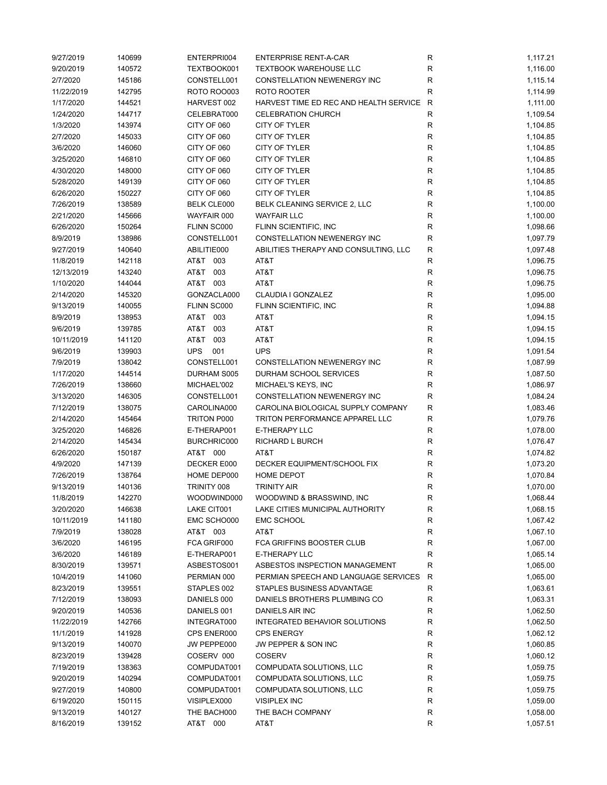| 9/27/2019  | 140699 | ENTERPRI004        | <b>ENTERPRISE RENT-A-CAR</b>           | R            | 1,117.21 |
|------------|--------|--------------------|----------------------------------------|--------------|----------|
| 9/20/2019  | 140572 | TEXTBOOK001        | <b>TEXTBOOK WAREHOUSE LLC</b>          | R            | 1,116.00 |
| 2/7/2020   | 145186 | CONSTELL001        | CONSTELLATION NEWENERGY INC            | R            | 1,115.14 |
| 11/22/2019 | 142795 | ROTO ROO003        | ROTO ROOTER                            | R            | 1,114.99 |
| 1/17/2020  | 144521 | HARVEST 002        | HARVEST TIME ED REC AND HEALTH SERVICE | $\mathsf{R}$ | 1,111.00 |
| 1/24/2020  | 144717 | CELEBRAT000        | <b>CELEBRATION CHURCH</b>              | R            | 1,109.54 |
| 1/3/2020   | 143974 | CITY OF 060        | CITY OF TYLER                          | R            | 1,104.85 |
| 2/7/2020   | 145033 | CITY OF 060        | CITY OF TYLER                          | R            | 1,104.85 |
| 3/6/2020   | 146060 | CITY OF 060        | CITY OF TYLER                          | $\mathsf{R}$ | 1,104.85 |
| 3/25/2020  | 146810 | CITY OF 060        | CITY OF TYLER                          | ${\sf R}$    | 1,104.85 |
|            |        |                    | CITY OF TYLER                          |              |          |
| 4/30/2020  | 148000 | CITY OF 060        |                                        | R            | 1,104.85 |
| 5/28/2020  | 149139 | CITY OF 060        | CITY OF TYLER                          | R            | 1,104.85 |
| 6/26/2020  | 150227 | CITY OF 060        | <b>CITY OF TYLER</b>                   | R            | 1,104.85 |
| 7/26/2019  | 138589 | <b>BELK CLE000</b> | BELK CLEANING SERVICE 2, LLC           | R            | 1,100.00 |
| 2/21/2020  | 145666 | WAYFAIR 000        | <b>WAYFAIR LLC</b>                     | R            | 1,100.00 |
| 6/26/2020  | 150264 | FLINN SC000        | FLINN SCIENTIFIC, INC                  | R            | 1,098.66 |
| 8/9/2019   | 138986 | CONSTELL001        | CONSTELLATION NEWENERGY INC            | R            | 1,097.79 |
| 9/27/2019  | 140640 | ABILITIE000        | ABILITIES THERAPY AND CONSULTING, LLC  | R            | 1,097.48 |
| 11/8/2019  | 142118 | AT&T 003           | AT&T                                   | R            | 1,096.75 |
| 12/13/2019 | 143240 | AT&T<br>003        | AT&T                                   | R            | 1,096.75 |
| 1/10/2020  | 144044 | AT&T 003           | AT&T                                   | R            | 1,096.75 |
| 2/14/2020  | 145320 | GONZACLA000        | CLAUDIA I GONZALEZ                     | R            | 1,095.00 |
| 9/13/2019  | 140055 | FLINN SC000        | FLINN SCIENTIFIC, INC                  | R            | 1,094.88 |
| 8/9/2019   | 138953 | AT&T 003           | AT&T                                   | R            | 1,094.15 |
| 9/6/2019   | 139785 | AT&T<br>003        | AT&T                                   | R            | 1,094.15 |
| 10/11/2019 | 141120 | AT&T<br>003        | AT&T                                   | $\mathsf{R}$ | 1,094.15 |
| 9/6/2019   | 139903 | <b>UPS</b><br>001  | <b>UPS</b>                             | $\mathsf{R}$ | 1,091.54 |
| 7/9/2019   | 138042 | CONSTELL001        | CONSTELLATION NEWENERGY INC            | R            | 1,087.99 |
| 1/17/2020  | 144514 | DURHAM S005        | DURHAM SCHOOL SERVICES                 | R            | 1,087.50 |
| 7/26/2019  | 138660 | MICHAEL'002        | MICHAEL'S KEYS, INC                    | R            | 1,086.97 |
|            |        |                    |                                        |              |          |
| 3/13/2020  | 146305 | CONSTELL001        | CONSTELLATION NEWENERGY INC            | R            | 1,084.24 |
| 7/12/2019  | 138075 | CAROLINA000        | CAROLINA BIOLOGICAL SUPPLY COMPANY     | R            | 1,083.46 |
| 2/14/2020  | 145464 | TRITON P000        | TRITON PERFORMANCE APPAREL LLC         | R            | 1,079.76 |
| 3/25/2020  | 146826 | E-THERAP001        | <b>E-THERAPY LLC</b>                   | R            | 1,078.00 |
| 2/14/2020  | 145434 | BURCHRIC000        | RICHARD L BURCH                        | R            | 1,076.47 |
| 6/26/2020  | 150187 | AT&T 000           | AT&T                                   | R            | 1,074.82 |
| 4/9/2020   | 147139 | DECKER E000        | DECKER EQUIPMENT/SCHOOL FIX            | ${\sf R}$    | 1,073.20 |
| 7/26/2019  | 138764 | HOME DEP000        | <b>HOME DEPOT</b>                      | $\mathsf{R}$ | 1,070.84 |
| 9/13/2019  | 140136 | TRINITY 008        | <b>TRINITY AIR</b>                     | R            | 1,070.00 |
| 11/8/2019  | 142270 | WOODWIND000        | WOODWIND & BRASSWIND, INC              | к            | 1,068.44 |
| 3/20/2020  | 146638 | LAKE CIT001        | LAKE CITIES MUNICIPAL AUTHORITY        | R            | 1,068.15 |
| 10/11/2019 | 141180 | EMC SCHO000        | <b>EMC SCHOOL</b>                      | R            | 1,067.42 |
| 7/9/2019   | 138028 | AT&T 003           | AT&T                                   | R            | 1,067.10 |
| 3/6/2020   | 146195 | FCA GRIF000        | FCA GRIFFINS BOOSTER CLUB              | R            | 1,067.00 |
| 3/6/2020   | 146189 | E-THERAP001        | E-THERAPY LLC                          | R            | 1,065.14 |
| 8/30/2019  | 139571 | ASBESTOS001        | ASBESTOS INSPECTION MANAGEMENT         | R            | 1,065.00 |
| 10/4/2019  | 141060 | PERMIAN 000        | PERMIAN SPEECH AND LANGUAGE SERVICES   | R            | 1,065.00 |
| 8/23/2019  | 139551 | STAPLES 002        | STAPLES BUSINESS ADVANTAGE             | R            | 1,063.61 |
| 7/12/2019  | 138093 | DANIELS 000        | DANIELS BROTHERS PLUMBING CO           | ${\sf R}$    | 1,063.31 |
| 9/20/2019  | 140536 | DANIELS 001        | DANIELS AIR INC                        | R            | 1,062.50 |
| 11/22/2019 | 142766 | INTEGRAT000        | INTEGRATED BEHAVIOR SOLUTIONS          | R            | 1,062.50 |
|            |        |                    |                                        |              |          |
| 11/1/2019  | 141928 | CPS ENER000        | <b>CPS ENERGY</b>                      | R            | 1,062.12 |
| 9/13/2019  | 140070 | JW PEPPE000        | JW PEPPER & SON INC                    | R            | 1,060.85 |
| 8/23/2019  | 139428 | COSERV 000         | <b>COSERV</b>                          | R            | 1,060.12 |
| 7/19/2019  | 138363 | COMPUDAT001        | COMPUDATA SOLUTIONS, LLC               | R            | 1,059.75 |
| 9/20/2019  | 140294 | COMPUDAT001        | COMPUDATA SOLUTIONS, LLC               | R            | 1,059.75 |
| 9/27/2019  | 140800 | COMPUDAT001        | COMPUDATA SOLUTIONS, LLC               | R            | 1,059.75 |
| 6/19/2020  | 150115 | VISIPLEX000        | <b>VISIPLEX INC</b>                    | R            | 1,059.00 |
| 9/13/2019  | 140127 | THE BACH000        | THE BACH COMPANY                       | ${\sf R}$    | 1,058.00 |
| 8/16/2019  | 139152 | AT&T 000           | AT&T                                   | R            | 1,057.51 |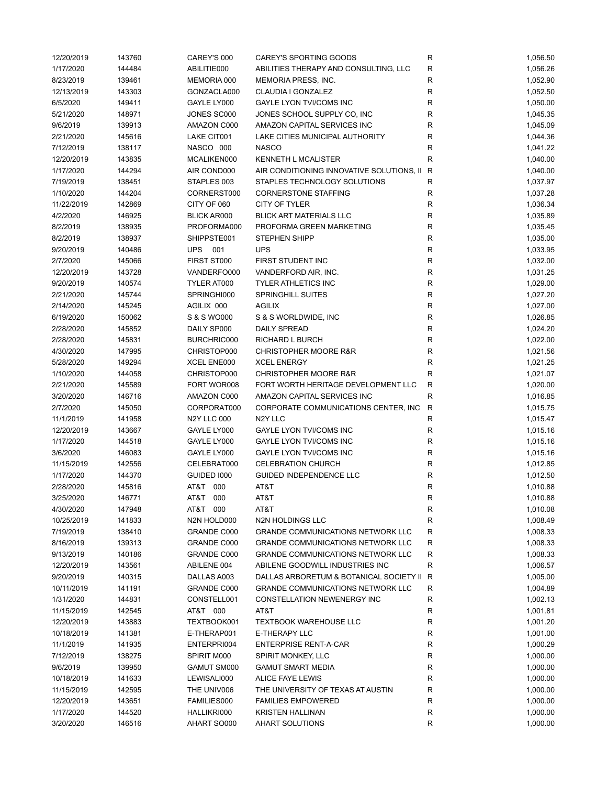| 12/20/2019 | 143760 | CAREY'S 000        | CAREY'S SPORTING GOODS                    | R            | 1,056.50 |
|------------|--------|--------------------|-------------------------------------------|--------------|----------|
| 1/17/2020  | 144484 | ABILITIE000        | ABILITIES THERAPY AND CONSULTING, LLC     | R            | 1,056.26 |
| 8/23/2019  | 139461 | MEMORIA 000        | MEMORIA PRESS, INC.                       | R            | 1,052.90 |
| 12/13/2019 | 143303 | GONZACLA000        | CLAUDIA I GONZALEZ                        | R            | 1,052.50 |
| 6/5/2020   | 149411 | GAYLE LY000        | <b>GAYLE LYON TVI/COMS INC</b>            | R            | 1,050.00 |
| 5/21/2020  | 148971 | JONES SC000        | JONES SCHOOL SUPPLY CO, INC               | R            | 1,045.35 |
| 9/6/2019   | 139913 | AMAZON C000        | AMAZON CAPITAL SERVICES INC               | $\mathsf R$  | 1,045.09 |
| 2/21/2020  | 145616 | LAKE CIT001        | LAKE CITIES MUNICIPAL AUTHORITY           | $\mathsf R$  | 1,044.36 |
| 7/12/2019  | 138117 | NASCO 000          | <b>NASCO</b>                              | R            | 1,041.22 |
| 12/20/2019 | 143835 | MCALIKEN000        | <b>KENNETH L MCALISTER</b>                | $\mathsf R$  | 1,040.00 |
| 1/17/2020  | 144294 | AIR COND000        | AIR CONDITIONING INNOVATIVE SOLUTIONS, II | R            | 1,040.00 |
|            |        |                    |                                           |              |          |
| 7/19/2019  | 138451 | STAPLES 003        | STAPLES TECHNOLOGY SOLUTIONS              | R            | 1,037.97 |
| 1/10/2020  | 144204 | CORNERST000        | <b>CORNERSTONE STAFFING</b>               | R            | 1,037.28 |
| 11/22/2019 | 142869 | CITY OF 060        | CITY OF TYLER                             | R            | 1,036.34 |
| 4/2/2020   | 146925 | <b>BLICK AR000</b> | <b>BLICK ART MATERIALS LLC</b>            | ${\sf R}$    | 1,035.89 |
| 8/2/2019   | 138935 | PROFORMA000        | PROFORMA GREEN MARKETING                  | ${\sf R}$    | 1,035.45 |
| 8/2/2019   | 138937 | SHIPPSTE001        | <b>STEPHEN SHIPP</b>                      | $\mathsf R$  | 1,035.00 |
| 9/20/2019  | 140486 | UPS 001            | <b>UPS</b>                                | $\mathsf R$  | 1,033.95 |
| 2/7/2020   | 145066 | FIRST ST000        | FIRST STUDENT INC                         | R            | 1,032.00 |
| 12/20/2019 | 143728 | VANDERFO000        | VANDERFORD AIR, INC.                      | ${\sf R}$    | 1,031.25 |
| 9/20/2019  | 140574 | TYLER AT000        | <b>TYLER ATHLETICS INC</b>                | R            | 1,029.00 |
| 2/21/2020  | 145744 | SPRINGHI000        | <b>SPRINGHILL SUITES</b>                  | $\mathsf R$  | 1,027.20 |
| 2/14/2020  | 145245 | AGILIX 000         | <b>AGILIX</b>                             | R            | 1,027.00 |
| 6/19/2020  | 150062 | S & S WO000        | S & S WORLDWIDE, INC                      | R            | 1,026.85 |
| 2/28/2020  | 145852 | DAILY SP000        | <b>DAILY SPREAD</b>                       | $\mathsf R$  | 1,024.20 |
| 2/28/2020  | 145831 | BURCHRIC000        | RICHARD L BURCH                           | $\mathsf R$  | 1,022.00 |
| 4/30/2020  | 147995 | CHRISTOP000        | <b>CHRISTOPHER MOORE R&amp;R</b>          | ${\sf R}$    | 1,021.56 |
| 5/28/2020  | 149294 | XCEL ENE000        | <b>XCEL ENERGY</b>                        | R            | 1,021.25 |
|            |        |                    |                                           |              |          |
| 1/10/2020  | 144058 | CHRISTOP000        | <b>CHRISTOPHER MOORE R&amp;R</b>          | R            | 1,021.07 |
| 2/21/2020  | 145589 | FORT WOR008        | FORT WORTH HERITAGE DEVELOPMENT LLC       | $\mathsf{R}$ | 1,020.00 |
| 3/20/2020  | 146716 | AMAZON C000        | AMAZON CAPITAL SERVICES INC               | $\mathsf{R}$ | 1,016.85 |
| 2/7/2020   | 145050 | CORPORAT000        | CORPORATE COMMUNICATIONS CENTER, INC      | $\mathsf R$  | 1,015.75 |
| 11/1/2019  | 141958 | <b>N2Y LLC 000</b> | N <sub>2</sub> Y LLC                      | R            | 1,015.47 |
| 12/20/2019 | 143667 | GAYLE LY000        | <b>GAYLE LYON TVI/COMS INC</b>            | R            | 1,015.16 |
| 1/17/2020  | 144518 | GAYLE LY000        | <b>GAYLE LYON TVI/COMS INC</b>            | R            | 1,015.16 |
| 3/6/2020   | 146083 | GAYLE LY000        | GAYLE LYON TVI/COMS INC                   | R            | 1,015.16 |
| 11/15/2019 | 142556 | CELEBRAT000        | <b>CELEBRATION CHURCH</b>                 | ${\sf R}$    | 1,012.85 |
| 1/17/2020  | 144370 | GUIDED 1000        | GUIDED INDEPENDENCE LLC                   | R            | 1,012.50 |
| 2/28/2020  | 145816 | AT&T 000           | AT&T                                      | $\mathsf R$  | 1,010.88 |
| 3/25/2020  | 146771 | AT&T 000           | AT&T                                      | R            | 1,010.88 |
| 4/30/2020  | 147948 | AT&T 000           | AT&T                                      | R            | 1,010.08 |
| 10/25/2019 | 141833 | N2N HOLD000        | <b>N2N HOLDINGS LLC</b>                   | R            | 1,008.49 |
| 7/19/2019  | 138410 | <b>GRANDE C000</b> | <b>GRANDE COMMUNICATIONS NETWORK LLC</b>  | R            | 1,008.33 |
| 8/16/2019  | 139313 | GRANDE C000        | <b>GRANDE COMMUNICATIONS NETWORK LLC</b>  | R            | 1,008.33 |
| 9/13/2019  | 140186 | GRANDE C000        | <b>GRANDE COMMUNICATIONS NETWORK LLC</b>  | R            | 1,008.33 |
| 12/20/2019 | 143561 | ABILENE 004        | ABILENE GOODWILL INDUSTRIES INC           | R            | 1,006.57 |
|            |        |                    |                                           |              |          |
| 9/20/2019  | 140315 | DALLAS A003        | DALLAS ARBORETUM & BOTANICAL SOCIETY II   | R            | 1,005.00 |
| 10/11/2019 | 141191 | GRANDE C000        | <b>GRANDE COMMUNICATIONS NETWORK LLC</b>  | R            | 1,004.89 |
| 1/31/2020  | 144831 | CONSTELL001        | CONSTELLATION NEWENERGY INC               | R            | 1,002.13 |
| 11/15/2019 | 142545 | AT&T 000           | AT&T                                      | R            | 1,001.81 |
| 12/20/2019 | 143883 | TEXTBOOK001        | <b>TEXTBOOK WAREHOUSE LLC</b>             | R            | 1,001.20 |
| 10/18/2019 | 141381 | E-THERAP001        | <b>E-THERAPY LLC</b>                      | R            | 1,001.00 |
| 11/1/2019  | 141935 | ENTERPRI004        | <b>ENTERPRISE RENT-A-CAR</b>              | R            | 1,000.29 |
| 7/12/2019  | 138275 | SPIRIT M000        | SPIRIT MONKEY, LLC                        | R            | 1,000.00 |
| 9/6/2019   | 139950 | GAMUT SM000        | <b>GAMUT SMART MEDIA</b>                  | R            | 1,000.00 |
| 10/18/2019 | 141633 | LEWISALI000        | ALICE FAYE LEWIS                          | R            | 1,000.00 |
| 11/15/2019 | 142595 | THE UNIV006        | THE UNIVERSITY OF TEXAS AT AUSTIN         | R            | 1,000.00 |
| 12/20/2019 | 143651 | FAMILIES000        | <b>FAMILIES EMPOWERED</b>                 | R            | 1,000.00 |
| 1/17/2020  | 144520 | HALLIKRI000        | <b>KRISTEN HALLINAN</b>                   | R            | 1,000.00 |
| 3/20/2020  | 146516 | AHART SO000        | AHART SOLUTIONS                           | R            | 1,000.00 |
|            |        |                    |                                           |              |          |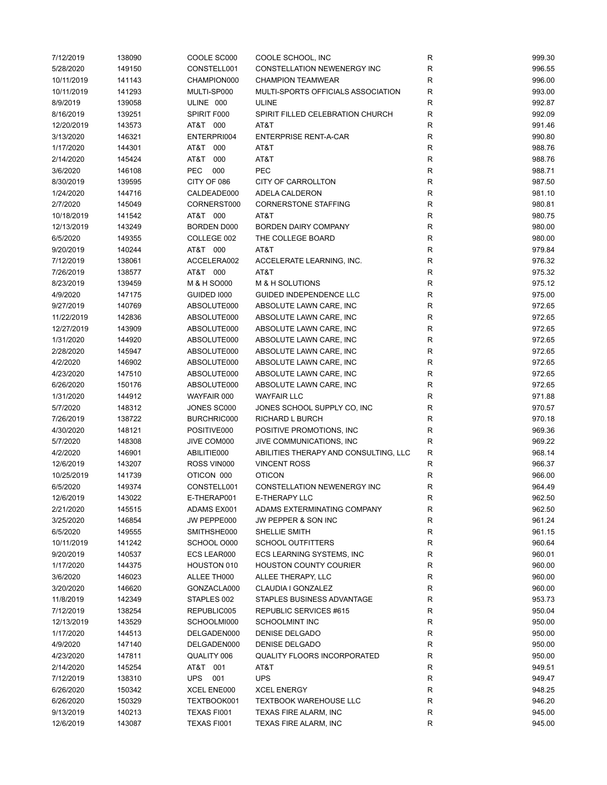| 7/12/2019  | 138090 | COOLE SC000        | COOLE SCHOOL, INC                     | R            | 999.30 |
|------------|--------|--------------------|---------------------------------------|--------------|--------|
| 5/28/2020  | 149150 | CONSTELL001        | <b>CONSTELLATION NEWENERGY INC</b>    | $\mathsf{R}$ | 996.55 |
| 10/11/2019 | 141143 | CHAMPION000        | <b>CHAMPION TEAMWEAR</b>              | R            | 996.00 |
| 10/11/2019 | 141293 | MULTI-SP000        | MULTI-SPORTS OFFICIALS ASSOCIATION    | R            | 993.00 |
| 8/9/2019   | 139058 | ULINE 000          | <b>ULINE</b>                          | R            | 992.87 |
| 8/16/2019  | 139251 | SPIRIT F000        | SPIRIT FILLED CELEBRATION CHURCH      | $\mathsf{R}$ | 992.09 |
| 12/20/2019 | 143573 | AT&T 000           | AT&T                                  | $\mathsf{R}$ | 991.46 |
| 3/13/2020  | 146321 | ENTERPRI004        | <b>ENTERPRISE RENT-A-CAR</b>          | $\mathsf{R}$ | 990.80 |
| 1/17/2020  | 144301 | AT&T<br>000        | AT&T                                  | $\mathsf{R}$ | 988.76 |
| 2/14/2020  | 145424 | AT&T<br>000        | AT&T                                  | $\mathsf{R}$ | 988.76 |
| 3/6/2020   | 146108 | <b>PEC</b><br>000  | PEC                                   | $\mathsf{R}$ | 988.71 |
| 8/30/2019  | 139595 | CITY OF 086        | CITY OF CARROLLTON                    | $\mathsf{R}$ | 987.50 |
| 1/24/2020  | 144716 | CALDEADE000        | ADELA CALDERON                        | R            | 981.10 |
| 2/7/2020   | 145049 | CORNERST000        | <b>CORNERSTONE STAFFING</b>           | R            | 980.81 |
| 10/18/2019 |        | AT&T 000           | AT&T                                  |              | 980.75 |
|            | 141542 |                    |                                       | R            |        |
| 12/13/2019 | 143249 | <b>BORDEN D000</b> | <b>BORDEN DAIRY COMPANY</b>           | $\mathsf{R}$ | 980.00 |
| 6/5/2020   | 149355 | COLLEGE 002        | THE COLLEGE BOARD                     | R            | 980.00 |
| 9/20/2019  | 140244 | AT&T 000           | AT&T                                  | $\mathsf{R}$ | 979.84 |
| 7/12/2019  | 138061 | ACCELERA002        | ACCELERATE LEARNING, INC.             | $\mathsf{R}$ | 976.32 |
| 7/26/2019  | 138577 | AT&T 000           | AT&T                                  | $\mathsf{R}$ | 975.32 |
| 8/23/2019  | 139459 | M & H SO000        | M & H SOLUTIONS                       | $\mathsf{R}$ | 975.12 |
| 4/9/2020   | 147175 | GUIDED 1000        | GUIDED INDEPENDENCE LLC               | R            | 975.00 |
| 9/27/2019  | 140769 | ABSOLUTE000        | ABSOLUTE LAWN CARE, INC               | $\mathsf{R}$ | 972.65 |
| 11/22/2019 | 142836 | ABSOLUTE000        | ABSOLUTE LAWN CARE, INC               | R            | 972.65 |
| 12/27/2019 | 143909 | ABSOLUTE000        | ABSOLUTE LAWN CARE, INC               | R            | 972.65 |
| 1/31/2020  | 144920 | ABSOLUTE000        | ABSOLUTE LAWN CARE, INC               | $\mathsf{R}$ | 972.65 |
| 2/28/2020  | 145947 | ABSOLUTE000        | ABSOLUTE LAWN CARE, INC               | $\mathsf{R}$ | 972.65 |
| 4/2/2020   | 146902 | ABSOLUTE000        | ABSOLUTE LAWN CARE, INC               | $\mathsf{R}$ | 972.65 |
| 4/23/2020  | 147510 | ABSOLUTE000        | ABSOLUTE LAWN CARE, INC               | $\mathsf{R}$ | 972.65 |
| 6/26/2020  | 150176 | ABSOLUTE000        | ABSOLUTE LAWN CARE, INC               | $\mathsf{R}$ | 972.65 |
| 1/31/2020  | 144912 | WAYFAIR 000        | <b>WAYFAIR LLC</b>                    | R            | 971.88 |
| 5/7/2020   | 148312 | JONES SC000        | JONES SCHOOL SUPPLY CO, INC           | R            | 970.57 |
| 7/26/2019  | 138722 | BURCHRIC000        | RICHARD L BURCH                       | R            | 970.18 |
| 4/30/2020  | 148121 | POSITIVE000        | POSITIVE PROMOTIONS, INC.             | R            | 969.36 |
| 5/7/2020   | 148308 | JIVE COM000        | JIVE COMMUNICATIONS, INC              | $\mathsf{R}$ | 969.22 |
| 4/2/2020   | 146901 | ABILITIE000        | ABILITIES THERAPY AND CONSULTING, LLC | $\mathsf{R}$ | 968.14 |
| 12/6/2019  | 143207 | ROSS VIN000        | <b>VINCENT ROSS</b>                   | $\mathsf{R}$ | 966.37 |
| 10/25/2019 | 141739 | OTICON 000         | <b>OTICON</b>                         | R            | 966.00 |
| 6/5/2020   | 149374 | CONSTELL001        | CONSTELLATION NEWENERGY INC           | R            | 964.49 |
| 12/6/2019  | 143022 | E-THERAP001        | E-THERAPY LLC                         | R            | 962.50 |
| 2/21/2020  | 145515 | ADAMS EX001        | ADAMS EXTERMINATING COMPANY           | R            | 962.50 |
| 3/25/2020  | 146854 | JW PEPPE000        |                                       | R            | 961.24 |
| 6/5/2020   | 149555 | SMITHSHE000        | JW PEPPER & SON INC<br>SHELLIE SMITH  | $\mathsf{R}$ | 961.15 |
| 10/11/2019 |        |                    |                                       |              |        |
|            | 141242 | SCHOOL O000        | <b>SCHOOL OUTFITTERS</b>              | R            | 960.64 |
| 9/20/2019  | 140537 | ECS LEAR000        | ECS LEARNING SYSTEMS, INC             | R            | 960.01 |
| 1/17/2020  | 144375 | HOUSTON 010        | <b>HOUSTON COUNTY COURIER</b>         | R            | 960.00 |
| 3/6/2020   | 146023 | ALLEE TH000        | ALLEE THERAPY, LLC                    | $\mathsf{R}$ | 960.00 |
| 3/20/2020  | 146620 | GONZACLA000        | CLAUDIA I GONZALEZ                    | $\mathsf{R}$ | 960.00 |
| 11/8/2019  | 142349 | STAPLES 002        | STAPLES BUSINESS ADVANTAGE            | R            | 953.73 |
| 7/12/2019  | 138254 | REPUBLIC005        | REPUBLIC SERVICES #615                | $\mathsf{R}$ | 950.04 |
| 12/13/2019 | 143529 | SCHOOLMI000        | <b>SCHOOLMINT INC</b>                 | R            | 950.00 |
| 1/17/2020  | 144513 | DELGADEN000        | DENISE DELGADO                        | $\mathsf{R}$ | 950.00 |
| 4/9/2020   | 147140 | DELGADEN000        | DENISE DELGADO                        | $\mathsf{R}$ | 950.00 |
| 4/23/2020  | 147811 | QUALITY 006        | <b>QUALITY FLOORS INCORPORATED</b>    | R            | 950.00 |
| 2/14/2020  | 145254 | AT&T 001           | AT&T                                  | R            | 949.51 |
| 7/12/2019  | 138310 | UPS 001            | <b>UPS</b>                            | R            | 949.47 |
| 6/26/2020  | 150342 | XCEL ENE000        | <b>XCEL ENERGY</b>                    | $\mathsf{R}$ | 948.25 |
| 6/26/2020  | 150329 | TEXTBOOK001        | <b>TEXTBOOK WAREHOUSE LLC</b>         | R            | 946.20 |
| 9/13/2019  | 140213 | TEXAS FI001        | TEXAS FIRE ALARM, INC                 | R            | 945.00 |
| 12/6/2019  | 143087 | TEXAS FI001        | TEXAS FIRE ALARM, INC                 | R            | 945.00 |
|            |        |                    |                                       |              |        |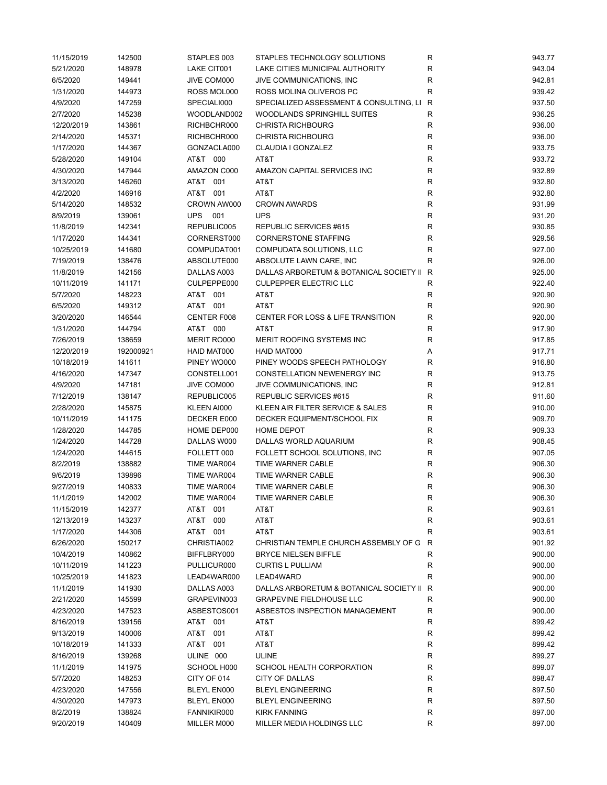| 11/15/2019 | 142500    | STAPLES 003 | STAPLES TECHNOLOGY SOLUTIONS            | R            | 943.77 |
|------------|-----------|-------------|-----------------------------------------|--------------|--------|
| 5/21/2020  | 148978    | LAKE CIT001 | LAKE CITIES MUNICIPAL AUTHORITY         | R            | 943.04 |
| 6/5/2020   | 149441    | JIVE COM000 | JIVE COMMUNICATIONS, INC                | $\mathsf R$  | 942.81 |
| 1/31/2020  | 144973    | ROSS MOL000 | ROSS MOLINA OLIVEROS PC                 | R            | 939.42 |
| 4/9/2020   | 147259    | SPECIALI000 | SPECIALIZED ASSESSMENT & CONSULTING, LI | R            | 937.50 |
| 2/7/2020   | 145238    | WOODLAND002 | WOODLANDS SPRINGHILL SUITES             | R            | 936.25 |
| 12/20/2019 | 143861    | RICHBCHR000 | <b>CHRISTA RICHBOURG</b>                | R            | 936.00 |
| 2/14/2020  | 145371    | RICHBCHR000 | <b>CHRISTA RICHBOURG</b>                | $\mathsf R$  | 936.00 |
| 1/17/2020  | 144367    | GONZACLA000 | CLAUDIA I GONZALEZ                      | $\mathsf R$  | 933.75 |
| 5/28/2020  | 149104    | AT&T 000    | AT&T                                    | R            | 933.72 |
|            | 147944    | AMAZON C000 | AMAZON CAPITAL SERVICES INC             | R            | 932.89 |
| 4/30/2020  |           |             |                                         |              |        |
| 3/13/2020  | 146260    | AT&T 001    | AT&T                                    | R            | 932.80 |
| 4/2/2020   | 146916    | AT&T 001    | AT&T                                    | $\mathsf R$  | 932.80 |
| 5/14/2020  | 148532    | CROWN AW000 | <b>CROWN AWARDS</b>                     | R            | 931.99 |
| 8/9/2019   | 139061    | UPS 001     | <b>UPS</b>                              | R            | 931.20 |
| 11/8/2019  | 142341    | REPUBLIC005 | REPUBLIC SERVICES #615                  | $\mathsf R$  | 930.85 |
| 1/17/2020  | 144341    | CORNERST000 | <b>CORNERSTONE STAFFING</b>             | $\mathsf R$  | 929.56 |
| 10/25/2019 | 141680    | COMPUDAT001 | COMPUDATA SOLUTIONS, LLC                | $\mathsf R$  | 927.00 |
| 7/19/2019  | 138476    | ABSOLUTE000 | ABSOLUTE LAWN CARE, INC                 | R            | 926.00 |
| 11/8/2019  | 142156    | DALLAS A003 | DALLAS ARBORETUM & BOTANICAL SOCIETY II | $\mathsf{R}$ | 925.00 |
| 10/11/2019 | 141171    | CULPEPPE000 | <b>CULPEPPER ELECTRIC LLC</b>           | $\mathsf R$  | 922.40 |
| 5/7/2020   | 148223    | AT&T 001    | AT&T                                    | R            | 920.90 |
| 6/5/2020   | 149312    | AT&T 001    | AT&T                                    | $\mathsf R$  | 920.90 |
| 3/20/2020  | 146544    | CENTER F008 | CENTER FOR LOSS & LIFE TRANSITION       | $\mathsf R$  | 920.00 |
| 1/31/2020  | 144794    | AT&T 000    | AT&T                                    | $\mathsf R$  | 917.90 |
| 7/26/2019  | 138659    | MERIT RO000 | MERIT ROOFING SYSTEMS INC               | R            | 917.85 |
| 12/20/2019 | 192000921 | HAID MAT000 | HAID MAT000                             | Α            | 917.71 |
|            | 141611    | PINEY WO000 | PINEY WOODS SPEECH PATHOLOGY            | $\mathsf R$  | 916.80 |
| 10/18/2019 |           |             |                                         |              |        |
| 4/16/2020  | 147347    | CONSTELL001 | CONSTELLATION NEWENERGY INC             | R            | 913.75 |
| 4/9/2020   | 147181    | JIVE COM000 | JIVE COMMUNICATIONS, INC                | $\mathsf R$  | 912.81 |
| 7/12/2019  | 138147    | REPUBLIC005 | REPUBLIC SERVICES #615                  | $\mathsf R$  | 911.60 |
| 2/28/2020  | 145875    | KLEEN AI000 | KLEEN AIR FILTER SERVICE & SALES        | R            | 910.00 |
| 10/11/2019 | 141175    | DECKER E000 | DECKER EQUIPMENT/SCHOOL FIX             | R            | 909.70 |
| 1/28/2020  | 144785    | HOME DEP000 | HOME DEPOT                              | R            | 909.33 |
| 1/24/2020  | 144728    | DALLAS W000 | DALLAS WORLD AQUARIUM                   | R            | 908.45 |
| 1/24/2020  | 144615    | FOLLETT 000 | FOLLETT SCHOOL SOLUTIONS, INC           | R            | 907.05 |
| 8/2/2019   | 138882    | TIME WAR004 | TIME WARNER CABLE                       | $\mathsf R$  | 906.30 |
| 9/6/2019   | 139896    | TIME WAR004 | <b>TIME WARNER CABLE</b>                | R            | 906.30 |
| 9/27/2019  | 140833    | TIME WAR004 | TIME WARNER CABLE                       | R            | 906.30 |
| 11/1/2019  | 142002    | TIME WAR004 | TIME WARNER CABLE                       | R            | 906.30 |
| 11/15/2019 | 142377    | AT&T 001    | AT&T                                    | R            | 903.61 |
| 12/13/2019 | 143237    | AT&T<br>000 | AT&T                                    | R            | 903.61 |
| 1/17/2020  | 144306    | AT&T 001    | AT&T                                    | R            | 903.61 |
|            |           |             |                                         | R            | 901.92 |
| 6/26/2020  | 150217    | CHRISTIA002 | CHRISTIAN TEMPLE CHURCH ASSEMBLY OF G   |              |        |
| 10/4/2019  | 140862    | BIFFLBRY000 | <b>BRYCE NIELSEN BIFFLE</b>             | R            | 900.00 |
| 10/11/2019 | 141223    | PULLICUR000 | <b>CURTIS L PULLIAM</b>                 | R            | 900.00 |
| 10/25/2019 | 141823    | LEAD4WAR000 | LEAD4WARD                               | $\mathsf R$  | 900.00 |
| 11/1/2019  | 141930    | DALLAS A003 | DALLAS ARBORETUM & BOTANICAL SOCIETY II | $\mathsf{R}$ | 900.00 |
| 2/21/2020  | 145599    | GRAPEVIN003 | <b>GRAPEVINE FIELDHOUSE LLC</b>         | R            | 900.00 |
| 4/23/2020  | 147523    | ASBESTOS001 | ASBESTOS INSPECTION MANAGEMENT          | R            | 900.00 |
| 8/16/2019  | 139156    | AT&T 001    | AT&T                                    | R            | 899.42 |
| 9/13/2019  | 140006    | AT&T<br>001 | AT&T                                    | ${\sf R}$    | 899.42 |
| 10/18/2019 | 141333    | AT&T 001    | AT&T                                    | R            | 899.42 |
| 8/16/2019  | 139268    | ULINE 000   | <b>ULINE</b>                            | R            | 899.27 |
| 11/1/2019  | 141975    | SCHOOL H000 | SCHOOL HEALTH CORPORATION               | R            | 899.07 |
| 5/7/2020   | 148253    | CITY OF 014 | <b>CITY OF DALLAS</b>                   | R            | 898.47 |
| 4/23/2020  | 147556    | BLEYL EN000 | <b>BLEYL ENGINEERING</b>                | ${\sf R}$    | 897.50 |
| 4/30/2020  | 147973    | BLEYL EN000 | <b>BLEYL ENGINEERING</b>                | R            | 897.50 |
| 8/2/2019   | 138824    | FANNIKIR000 | <b>KIRK FANNING</b>                     | R            | 897.00 |
|            |           |             |                                         |              | 897.00 |
| 9/20/2019  | 140409    | MILLER M000 | MILLER MEDIA HOLDINGS LLC               | ${\sf R}$    |        |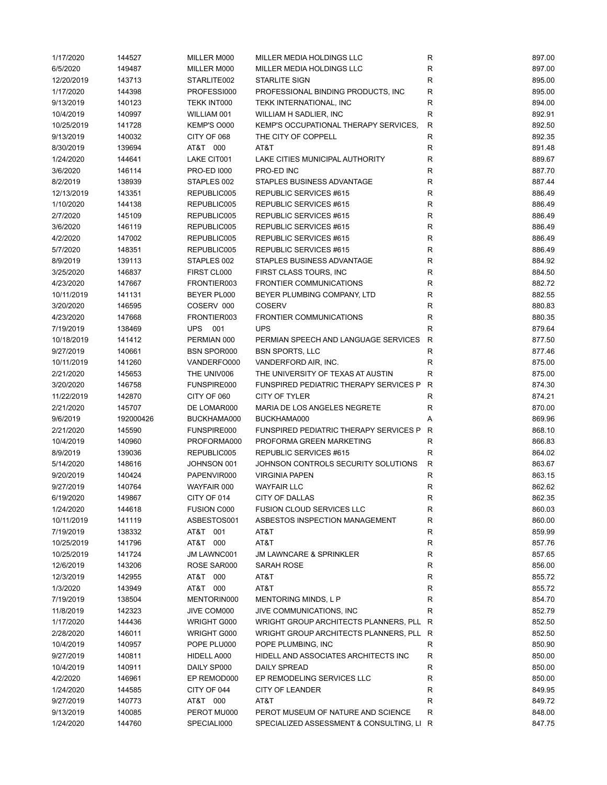| 1/17/2020              | 144527           | MILLER M000                | MILLER MEDIA HOLDINGS LLC                                                       | R                | 897.00           |
|------------------------|------------------|----------------------------|---------------------------------------------------------------------------------|------------------|------------------|
| 6/5/2020               | 149487           | MILLER M000                | MILLER MEDIA HOLDINGS LLC                                                       | ${\sf R}$        | 897.00           |
| 12/20/2019             | 143713           | STARLITE002                | <b>STARLITE SIGN</b>                                                            | R                | 895.00           |
| 1/17/2020              | 144398           | PROFESSI000                | PROFESSIONAL BINDING PRODUCTS, INC.                                             | R                | 895.00           |
| 9/13/2019              | 140123           | TEKK INT000                | TEKK INTERNATIONAL, INC                                                         | $\mathsf R$      | 894.00           |
| 10/4/2019              | 140997           | WILLIAM 001                | WILLIAM H SADLIER, INC                                                          | ${\sf R}$        | 892.91           |
| 10/25/2019             | 141728           | KEMP'S O000                | KEMP'S OCCUPATIONAL THERAPY SERVICES,                                           | $\mathsf{R}$     | 892.50           |
| 9/13/2019              | 140032           | CITY OF 068                | THE CITY OF COPPELL                                                             | $\mathsf R$      | 892.35           |
| 8/30/2019              | 139694           | AT&T 000                   | AT&T                                                                            | $\mathsf R$      | 891.48           |
| 1/24/2020              | 144641           | LAKE CIT001                | LAKE CITIES MUNICIPAL AUTHORITY                                                 | R                | 889.67           |
| 3/6/2020               | 146114           | <b>PRO-ED 1000</b>         | PRO-ED INC                                                                      | R                | 887.70           |
| 8/2/2019               | 138939           | STAPLES 002                | STAPLES BUSINESS ADVANTAGE                                                      | $\mathsf R$      | 887.44           |
| 12/13/2019             | 143351           | REPUBLIC005                | REPUBLIC SERVICES #615                                                          | R                | 886.49           |
| 1/10/2020              | 144138           | REPUBLIC005                | REPUBLIC SERVICES #615                                                          | $\mathsf R$      | 886.49           |
| 2/7/2020               | 145109           | REPUBLIC005                | REPUBLIC SERVICES #615                                                          | $\mathsf R$      | 886.49           |
| 3/6/2020               | 146119           | REPUBLIC005                | REPUBLIC SERVICES #615                                                          | $\mathsf R$      | 886.49           |
| 4/2/2020               | 147002           | REPUBLIC005                | REPUBLIC SERVICES #615                                                          | $\mathsf R$      | 886.49           |
|                        | 148351           | REPUBLIC005                | REPUBLIC SERVICES #615                                                          |                  | 886.49           |
| 5/7/2020               |                  |                            |                                                                                 | R<br>$\mathsf R$ |                  |
| 8/9/2019               | 139113           | STAPLES 002<br>FIRST CL000 | STAPLES BUSINESS ADVANTAGE                                                      |                  | 884.92           |
| 3/25/2020              | 146837           |                            | FIRST CLASS TOURS, INC.                                                         | R                | 884.50           |
| 4/23/2020              | 147667           | FRONTIER003                | FRONTIER COMMUNICATIONS                                                         | $\mathsf R$      | 882.72           |
| 10/11/2019             | 141131           | BEYER PL000                | BEYER PLUMBING COMPANY, LTD                                                     | R                | 882.55           |
| 3/20/2020              | 146595           | COSERV 000                 | <b>COSERV</b>                                                                   | R                | 880.83           |
| 4/23/2020              | 147668           | FRONTIER003                | <b>FRONTIER COMMUNICATIONS</b>                                                  | $\mathsf R$      | 880.35           |
| 7/19/2019              | 138469           | UPS 001                    | <b>UPS</b>                                                                      | $\mathsf{R}$     | 879.64           |
| 10/18/2019             | 141412           | PERMIAN 000                | PERMIAN SPEECH AND LANGUAGE SERVICES                                            | $\mathsf{R}$     | 877.50           |
| 9/27/2019              | 140661           | <b>BSN SPOR000</b>         | <b>BSN SPORTS, LLC</b>                                                          | $\mathsf R$      | 877.46           |
| 10/11/2019             | 141260           | VANDERFO000                | VANDERFORD AIR, INC.                                                            | R                | 875.00           |
| 2/21/2020              | 145653           | THE UNIV006                | THE UNIVERSITY OF TEXAS AT AUSTIN                                               | $\mathsf R$      | 875.00           |
| 3/20/2020              | 146758           | FUNSPIRE000                | FUNSPIRED PEDIATRIC THERAPY SERVICES P                                          | $\mathsf{R}$     | 874.30           |
| 11/22/2019             | 142870           | CITY OF 060                | CITY OF TYLER                                                                   | R                | 874.21           |
| 2/21/2020              | 145707           | DE LOMAR000                | MARIA DE LOS ANGELES NEGRETE                                                    | R                | 870.00           |
| 9/6/2019               | 192000426        | BUCKHAMA000                | BUCKHAMA000                                                                     | Α                | 869.96           |
| 2/21/2020              | 145590           | FUNSPIRE000                | FUNSPIRED PEDIATRIC THERAPY SERVICES P                                          | $\mathsf{R}$     | 868.10           |
| 10/4/2019              | 140960           | PROFORMA000                | PROFORMA GREEN MARKETING                                                        | R                | 866.83           |
| 8/9/2019               | 139036           | REPUBLIC005                | REPUBLIC SERVICES #615                                                          | $\mathsf{R}$     | 864.02           |
| 5/14/2020              | 148616           | JOHNSON 001                | JOHNSON CONTROLS SECURITY SOLUTIONS                                             | $\mathsf{R}$     | 863.67           |
| 9/20/2019              | 140424           | PAPENVIR000                | <b>VIRGINIA PAPEN</b>                                                           | $\mathsf R$      | 863.15           |
| 9/27/2019              | 140764           | WAYFAIR 000                | <b>WAYFAIR LLC</b>                                                              | $\mathsf R$      | 862.62           |
| 6/19/2020              | 149867           | CITY OF 014                | <b>CITY OF DALLAS</b>                                                           | R                | 862.35           |
| 1/24/2020              | 144618           | <b>FUSION C000</b>         | <b>FUSION CLOUD SERVICES LLC</b>                                                | R                | 860.03           |
| 10/11/2019             | 141119           | ASBESTOS001                | ASBESTOS INSPECTION MANAGEMENT                                                  | R                | 860.00           |
| 7/19/2019              | 138332           | AT&T 001                   | AT&T                                                                            | R                | 859.99           |
| 10/25/2019             |                  |                            |                                                                                 |                  |                  |
|                        |                  | AT&T 000                   | AT&T                                                                            |                  |                  |
|                        | 141796           |                            |                                                                                 | R                | 857.76           |
| 10/25/2019             | 141724           | <b>JM LAWNC001</b>         | <b>JM LAWNCARE &amp; SPRINKLER</b>                                              | R                | 857.65           |
| 12/6/2019              | 143206           | ROSE SAR000                | SARAH ROSE                                                                      | ${\sf R}$        | 856.00           |
| 12/3/2019              | 142955           | AT&T 000                   | AT&T                                                                            | R                | 855.72           |
| 1/3/2020               | 143949           | AT&T 000                   | AT&T                                                                            | R                | 855.72           |
| 7/19/2019              | 138504           | MENTORIN000                | MENTORING MINDS, L P                                                            | R                | 854.70           |
| 11/8/2019              | 142323           | JIVE COM000                | JIVE COMMUNICATIONS, INC                                                        | R                | 852.79           |
| 1/17/2020              | 144436           | WRIGHT G000                | WRIGHT GROUP ARCHITECTS PLANNERS, PLL R                                         |                  | 852.50           |
| 2/28/2020              | 146011           | WRIGHT G000                | WRIGHT GROUP ARCHITECTS PLANNERS, PLL R                                         |                  | 852.50           |
| 10/4/2019              | 140957           | POPE PLU000                | POPE PLUMBING, INC                                                              | R                | 850.90           |
| 9/27/2019              | 140811           | HIDELL A000                | HIDELL AND ASSOCIATES ARCHITECTS INC                                            | R                | 850.00           |
| 10/4/2019              | 140911           | DAILY SP000                | DAILY SPREAD                                                                    | $\mathsf R$      | 850.00           |
| 4/2/2020               | 146961           | EP REMOD000                | EP REMODELING SERVICES LLC                                                      | ${\sf R}$        | 850.00           |
| 1/24/2020              | 144585           | CITY OF 044                | <b>CITY OF LEANDER</b>                                                          | R                | 849.95           |
| 9/27/2019              | 140773           | AT&T 000                   | AT&T                                                                            | R                | 849.72           |
| 9/13/2019<br>1/24/2020 | 140085<br>144760 | PEROT MU000<br>SPECIALI000 | PEROT MUSEUM OF NATURE AND SCIENCE<br>SPECIALIZED ASSESSMENT & CONSULTING, LI R | R                | 848.00<br>847.75 |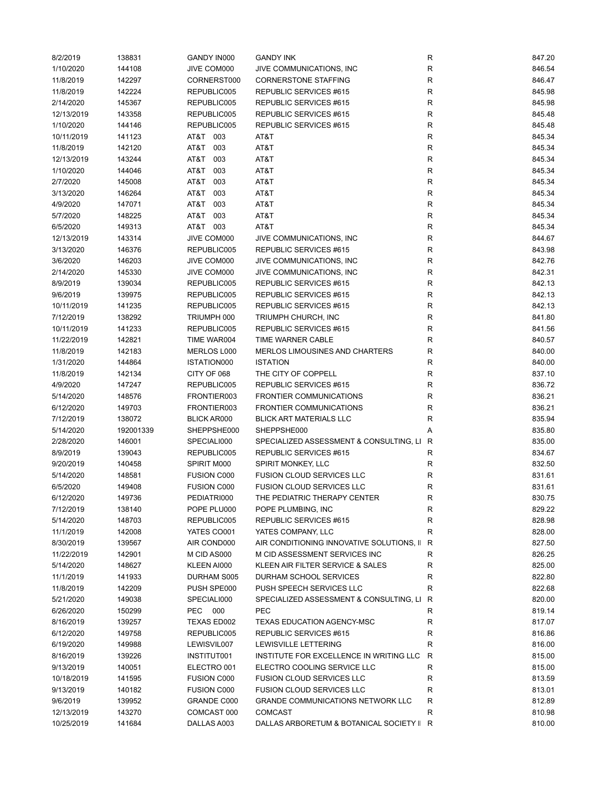| 8/2/2019   | 138831    | GANDY IN000        | <b>GANDY INK</b>                          | R            | 847.20 |
|------------|-----------|--------------------|-------------------------------------------|--------------|--------|
| 1/10/2020  | 144108    | JIVE COM000        | JIVE COMMUNICATIONS, INC                  | R            | 846.54 |
| 11/8/2019  | 142297    | CORNERST000        | <b>CORNERSTONE STAFFING</b>               | R            | 846.47 |
| 11/8/2019  | 142224    | REPUBLIC005        | REPUBLIC SERVICES #615                    | R            | 845.98 |
| 2/14/2020  | 145367    | REPUBLIC005        | REPUBLIC SERVICES #615                    | R            | 845.98 |
| 12/13/2019 | 143358    | REPUBLIC005        | REPUBLIC SERVICES #615                    | R            | 845.48 |
| 1/10/2020  | 144146    | REPUBLIC005        | REPUBLIC SERVICES #615                    | R            | 845.48 |
| 10/11/2019 | 141123    | AT&T 003           | AT&T                                      | R            | 845.34 |
| 11/8/2019  | 142120    | AT&T<br>003        | AT&T                                      | R            | 845.34 |
| 12/13/2019 | 143244    | AT&T<br>003        | AT&T                                      | R            | 845.34 |
| 1/10/2020  | 144046    | AT&T<br>003        | AT&T                                      | R            | 845.34 |
| 2/7/2020   | 145008    | AT&T<br>003        | AT&T                                      | R            | 845.34 |
| 3/13/2020  | 146264    | AT&T<br>003        | AT&T                                      | R            | 845.34 |
| 4/9/2020   | 147071    | AT&T<br>003        | AT&T                                      | R            | 845.34 |
| 5/7/2020   | 148225    | AT&T<br>003        | AT&T                                      | R            | 845.34 |
| 6/5/2020   | 149313    | AT&T 003           | AT&T                                      | R            | 845.34 |
| 12/13/2019 | 143314    | JIVE COM000        | JIVE COMMUNICATIONS, INC                  | R            | 844.67 |
| 3/13/2020  | 146376    | REPUBLIC005        | REPUBLIC SERVICES #615                    | R            | 843.98 |
| 3/6/2020   | 146203    | JIVE COM000        | JIVE COMMUNICATIONS, INC.                 | R            | 842.76 |
| 2/14/2020  |           | JIVE COM000        |                                           |              | 842.31 |
|            | 145330    |                    | JIVE COMMUNICATIONS, INC.                 | R            |        |
| 8/9/2019   | 139034    | REPUBLIC005        | REPUBLIC SERVICES #615                    | R            | 842.13 |
| 9/6/2019   | 139975    | REPUBLIC005        | REPUBLIC SERVICES #615                    | R            | 842.13 |
| 10/11/2019 | 141235    | REPUBLIC005        | <b>REPUBLIC SERVICES #615</b>             | R            | 842.13 |
| 7/12/2019  | 138292    | TRIUMPH 000        | TRIUMPH CHURCH, INC                       | R            | 841.80 |
| 10/11/2019 | 141233    | REPUBLIC005        | REPUBLIC SERVICES #615                    | R            | 841.56 |
| 11/22/2019 | 142821    | TIME WAR004        | TIME WARNER CABLE                         | R            | 840.57 |
| 11/8/2019  | 142183    | MERLOS L000        | MERLOS LIMOUSINES AND CHARTERS            | R            | 840.00 |
| 1/31/2020  | 144864    | ISTATION000        | <b>ISTATION</b>                           | R            | 840.00 |
| 11/8/2019  | 142134    | CITY OF 068        | THE CITY OF COPPELL                       | R            | 837.10 |
| 4/9/2020   | 147247    | REPUBLIC005        | REPUBLIC SERVICES #615                    | R            | 836.72 |
| 5/14/2020  | 148576    | FRONTIER003        | <b>FRONTIER COMMUNICATIONS</b>            | R            | 836.21 |
| 6/12/2020  | 149703    | FRONTIER003        | <b>FRONTIER COMMUNICATIONS</b>            | R            | 836.21 |
| 7/12/2019  | 138072    | <b>BLICK AR000</b> | <b>BLICK ART MATERIALS LLC</b>            | R            | 835.94 |
| 5/14/2020  | 192001339 | SHEPPSHE000        | SHEPPSHE000                               | Α            | 835.80 |
| 2/28/2020  | 146001    | SPECIALI000        | SPECIALIZED ASSESSMENT & CONSULTING, LI   | R            | 835.00 |
| 8/9/2019   | 139043    | REPUBLIC005        | REPUBLIC SERVICES #615                    | R            | 834.67 |
| 9/20/2019  | 140458    | SPIRIT M000        | SPIRIT MONKEY, LLC                        | R            | 832.50 |
| 5/14/2020  | 148581    | FUSION C000        | <b>FUSION CLOUD SERVICES LLC</b>          | R            | 831.61 |
| 6/5/2020   | 149408    | <b>FUSION C000</b> | <b>FUSION CLOUD SERVICES LLC</b>          | R            | 831.61 |
| 6/12/2020  | 149736    | PEDIATRI000        | THE PEDIATRIC THERAPY CENTER              | R            | 830.75 |
| 7/12/2019  | 138140    | POPE PLU000        | POPE PLUMBING, INC                        | R            | 829.22 |
| 5/14/2020  | 148703    | REPUBLIC005        | REPUBLIC SERVICES #615                    | R            | 828.98 |
| 11/1/2019  | 142008    | YATES CO001        | YATES COMPANY, LLC                        | R            | 828.00 |
| 8/30/2019  | 139567    | AIR COND000        | AIR CONDITIONING INNOVATIVE SOLUTIONS, II | R            | 827.50 |
| 11/22/2019 | 142901    | M CID AS000        | M CID ASSESSMENT SERVICES INC             | R            | 826.25 |
| 5/14/2020  | 148627    | KLEEN AI000        | KLEEN AIR FILTER SERVICE & SALES          | R            | 825.00 |
| 11/1/2019  | 141933    | DURHAM S005        | DURHAM SCHOOL SERVICES                    | R            | 822.80 |
| 11/8/2019  | 142209    | PUSH SPE000        | PUSH SPEECH SERVICES LLC                  | R            | 822.68 |
| 5/21/2020  | 149038    | SPECIALI000        | SPECIALIZED ASSESSMENT & CONSULTING, LI   | R            | 820.00 |
| 6/26/2020  | 150299    | PEC 000            | <b>PEC</b>                                | R            | 819.14 |
| 8/16/2019  | 139257    | TEXAS ED002        | TEXAS EDUCATION AGENCY-MSC                | $\mathsf{R}$ | 817.07 |
| 6/12/2020  | 149758    | REPUBLIC005        | REPUBLIC SERVICES #615                    | R            | 816.86 |
| 6/19/2020  | 149988    | LEWISVIL007        | LEWISVILLE LETTERING                      | R            | 816.00 |
| 8/16/2019  | 139226    | INSTITUT001        | INSTITUTE FOR EXCELLENCE IN WRITING LLC   | R            | 815.00 |
| 9/13/2019  | 140051    | ELECTRO 001        | ELECTRO COOLING SERVICE LLC               | R            | 815.00 |
|            |           |                    |                                           |              |        |
| 10/18/2019 | 141595    | FUSION C000        | <b>FUSION CLOUD SERVICES LLC</b>          | R            | 813.59 |
| 9/13/2019  | 140182    | FUSION C000        | <b>FUSION CLOUD SERVICES LLC</b>          | R            | 813.01 |
| 9/6/2019   | 139952    | GRANDE C000        | <b>GRANDE COMMUNICATIONS NETWORK LLC</b>  | R            | 812.89 |
| 12/13/2019 | 143270    | COMCAST 000        | <b>COMCAST</b>                            | $\mathsf{R}$ | 810.98 |
| 10/25/2019 | 141684    | DALLAS A003        | DALLAS ARBORETUM & BOTANICAL SOCIETY II R |              | 810.00 |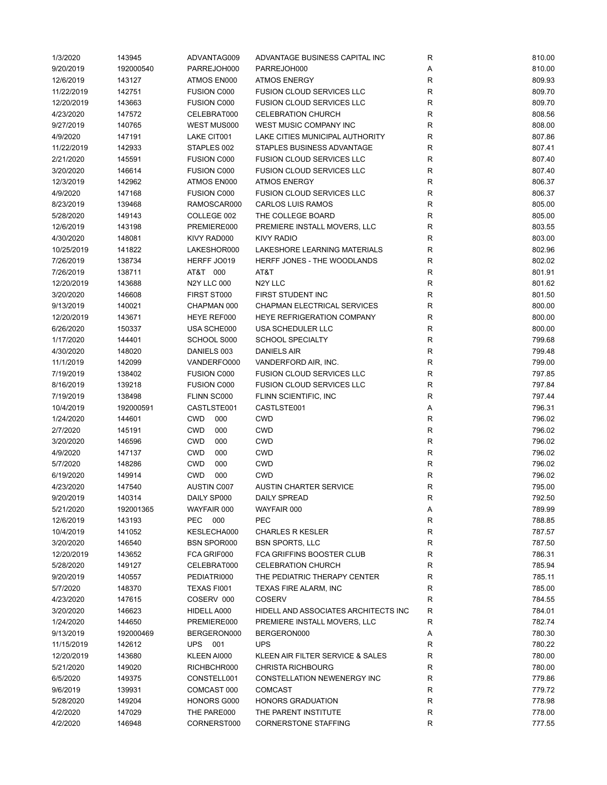| 1/3/2020   | 143945    | ADVANTAG009        | ADVANTAGE BUSINESS CAPITAL INC       | R           | 810.00 |
|------------|-----------|--------------------|--------------------------------------|-------------|--------|
| 9/20/2019  | 192000540 | PARREJOH000        | PARREJOH000                          | Α           | 810.00 |
| 12/6/2019  | 143127    | ATMOS EN000        | <b>ATMOS ENERGY</b>                  | R           | 809.93 |
| 11/22/2019 | 142751    | <b>FUSION C000</b> | <b>FUSION CLOUD SERVICES LLC</b>     | R           | 809.70 |
| 12/20/2019 | 143663    | <b>FUSION C000</b> | <b>FUSION CLOUD SERVICES LLC</b>     | $\mathsf R$ | 809.70 |
| 4/23/2020  | 147572    | CELEBRAT000        | <b>CELEBRATION CHURCH</b>            | R           | 808.56 |
| 9/27/2019  | 140765    | WEST MUS000        | WEST MUSIC COMPANY INC               | $\mathsf R$ | 808.00 |
| 4/9/2020   | 147191    | LAKE CIT001        | LAKE CITIES MUNICIPAL AUTHORITY      | $\mathsf R$ | 807.86 |
| 11/22/2019 | 142933    | STAPLES 002        | STAPLES BUSINESS ADVANTAGE           | ${\sf R}$   | 807.41 |
| 2/21/2020  | 145591    | <b>FUSION C000</b> | <b>FUSION CLOUD SERVICES LLC</b>     | $\mathsf R$ | 807.40 |
| 3/20/2020  | 146614    | FUSION C000        | <b>FUSION CLOUD SERVICES LLC</b>     | R           | 807.40 |
|            |           |                    |                                      |             |        |
| 12/3/2019  | 142962    | ATMOS EN000        | <b>ATMOS ENERGY</b>                  | $\mathsf R$ | 806.37 |
| 4/9/2020   | 147168    | <b>FUSION C000</b> | <b>FUSION CLOUD SERVICES LLC</b>     | R           | 806.37 |
| 8/23/2019  | 139468    | RAMOSCAR000        | <b>CARLOS LUIS RAMOS</b>             | $\mathsf R$ | 805.00 |
| 5/28/2020  | 149143    | COLLEGE 002        | THE COLLEGE BOARD                    | R           | 805.00 |
| 12/6/2019  | 143198    | PREMIERE000        | PREMIERE INSTALL MOVERS, LLC         | R           | 803.55 |
| 4/30/2020  | 148081    | KIVY RAD000        | <b>KIVY RADIO</b>                    | $\mathsf R$ | 803.00 |
| 10/25/2019 | 141822    | LAKESHOR000        | LAKESHORE LEARNING MATERIALS         | $\mathsf R$ | 802.96 |
| 7/26/2019  | 138734    | HERFF JO019        | HERFF JONES - THE WOODLANDS          | $\mathsf R$ | 802.02 |
| 7/26/2019  | 138711    | AT&T 000           | AT&T                                 | $\mathsf R$ | 801.91 |
| 12/20/2019 | 143688    | <b>N2Y LLC 000</b> | N2Y LLC                              | $\mathsf R$ | 801.62 |
| 3/20/2020  | 146608    | FIRST ST000        | FIRST STUDENT INC                    | $\mathsf R$ | 801.50 |
| 9/13/2019  | 140021    | CHAPMAN 000        | CHAPMAN ELECTRICAL SERVICES          | R           | 800.00 |
| 12/20/2019 | 143671    | HEYE REF000        | HEYE REFRIGERATION COMPANY           | $\mathsf R$ | 800.00 |
| 6/26/2020  | 150337    | USA SCHE000        | USA SCHEDULER LLC                    | R           | 800.00 |
| 1/17/2020  | 144401    | SCHOOL S000        | <b>SCHOOL SPECIALTY</b>              | R           | 799.68 |
| 4/30/2020  | 148020    | DANIELS 003        | <b>DANIELS AIR</b>                   | ${\sf R}$   | 799.48 |
| 11/1/2019  | 142099    | VANDERFO000        | VANDERFORD AIR, INC.                 | ${\sf R}$   | 799.00 |
| 7/19/2019  | 138402    | <b>FUSION C000</b> | <b>FUSION CLOUD SERVICES LLC</b>     | ${\sf R}$   | 797.85 |
| 8/16/2019  | 139218    | <b>FUSION C000</b> | <b>FUSION CLOUD SERVICES LLC</b>     | $\mathsf R$ | 797.84 |
|            |           |                    |                                      |             |        |
| 7/19/2019  | 138498    | FLINN SC000        | FLINN SCIENTIFIC, INC                | R           | 797.44 |
| 10/4/2019  | 192000591 | CASTLSTE001        | CASTLSTE001                          | Α           | 796.31 |
| 1/24/2020  | 144601    | CWD<br>000         | <b>CWD</b>                           | R           | 796.02 |
| 2/7/2020   | 145191    | <b>CWD</b><br>000  | <b>CWD</b>                           | $\mathsf R$ | 796.02 |
| 3/20/2020  | 146596    | <b>CWD</b><br>000  | <b>CWD</b>                           | R           | 796.02 |
| 4/9/2020   | 147137    | <b>CWD</b><br>000  | <b>CWD</b>                           | $\mathsf R$ | 796.02 |
| 5/7/2020   | 148286    | <b>CWD</b><br>000  | <b>CWD</b>                           | $\mathsf R$ | 796.02 |
| 6/19/2020  | 149914    | <b>CWD</b><br>000  | <b>CWD</b>                           | R           | 796.02 |
| 4/23/2020  | 147540    | AUSTIN C007        | <b>AUSTIN CHARTER SERVICE</b>        | R           | 795.00 |
| 9/20/2019  | 140314    | DAILY SP000        | <b>DAILY SPREAD</b>                  | R           | 792.50 |
| 5/21/2020  | 192001365 | WAYFAIR 000        | WAYFAIR 000                          | Α           | 789.99 |
| 12/6/2019  | 143193    | PEC 000            | <b>PEC</b>                           | R           | 788.85 |
| 10/4/2019  | 141052    | KESLECHA000        | <b>CHARLES R KESLER</b>              | R           | 787.57 |
| 3/20/2020  | 146540    | <b>BSN SPOR000</b> | <b>BSN SPORTS, LLC</b>               | R           | 787.50 |
| 12/20/2019 | 143652    | FCA GRIF000        | FCA GRIFFINS BOOSTER CLUB            | R           | 786.31 |
| 5/28/2020  | 149127    | CELEBRAT000        | <b>CELEBRATION CHURCH</b>            | R           | 785.94 |
| 9/20/2019  | 140557    | PEDIATRI000        | THE PEDIATRIC THERAPY CENTER         | R           | 785.11 |
| 5/7/2020   | 148370    | TEXAS FI001        | TEXAS FIRE ALARM, INC                | $\mathsf R$ | 785.00 |
| 4/23/2020  | 147615    | COSERV 000         | <b>COSERV</b>                        | R           | 784.55 |
| 3/20/2020  | 146623    | HIDELL A000        | HIDELL AND ASSOCIATES ARCHITECTS INC | R           | 784.01 |
| 1/24/2020  | 144650    | PREMIERE000        | PREMIERE INSTALL MOVERS, LLC         | R           | 782.74 |
|            |           |                    | BERGERON000                          |             | 780.30 |
| 9/13/2019  | 192000469 | BERGERON000        |                                      | Α           |        |
| 11/15/2019 | 142612    | UPS 001            | <b>UPS</b>                           | R           | 780.22 |
| 12/20/2019 | 143680    | KLEEN AI000        | KLEEN AIR FILTER SERVICE & SALES     | R           | 780.00 |
| 5/21/2020  | 149020    | RICHBCHR000        | <b>CHRISTA RICHBOURG</b>             | R           | 780.00 |
| 6/5/2020   | 149375    | CONSTELL001        | CONSTELLATION NEWENERGY INC          | R           | 779.86 |
| 9/6/2019   | 139931    | COMCAST 000        | <b>COMCAST</b>                       | R           | 779.72 |
| 5/28/2020  | 149204    | HONORS G000        | HONORS GRADUATION                    | ${\sf R}$   | 778.98 |
| 4/2/2020   | 147029    | THE PARE000        | THE PARENT INSTITUTE                 | R           | 778.00 |
| 4/2/2020   | 146948    | CORNERST000        | <b>CORNERSTONE STAFFING</b>          | R           | 777.55 |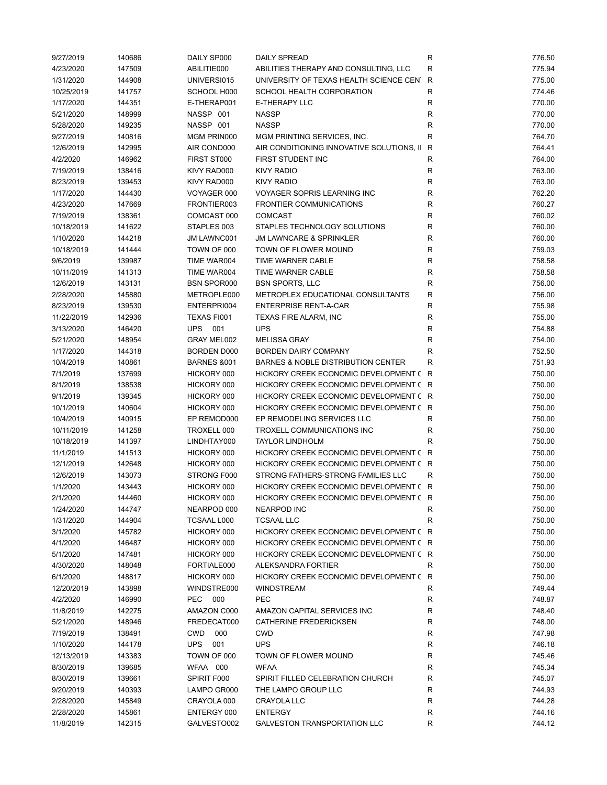| 9/27/2019  | 140686 | DAILY SP000            | <b>DAILY SPREAD</b>                           | R            | 776.50 |
|------------|--------|------------------------|-----------------------------------------------|--------------|--------|
| 4/23/2020  | 147509 | ABILITIE000            | ABILITIES THERAPY AND CONSULTING, LLC         | R            | 775.94 |
| 1/31/2020  | 144908 | UNIVERSI015            | UNIVERSITY OF TEXAS HEALTH SCIENCE CENT       | R            | 775.00 |
| 10/25/2019 | 141757 | SCHOOL H000            | SCHOOL HEALTH CORPORATION                     | $\mathsf R$  | 774.46 |
| 1/17/2020  | 144351 | E-THERAP001            | <b>E-THERAPY LLC</b>                          | ${\sf R}$    | 770.00 |
| 5/21/2020  | 148999 | NASSP 001              | <b>NASSP</b>                                  | R            | 770.00 |
| 5/28/2020  | 149235 | NASSP 001              | <b>NASSP</b>                                  | R            | 770.00 |
| 9/27/2019  | 140816 | MGM PRIN000            | MGM PRINTING SERVICES, INC.                   | $\mathsf R$  | 764.70 |
| 12/6/2019  | 142995 | AIR COND000            | AIR CONDITIONING INNOVATIVE SOLUTIONS, II     | $\mathsf{R}$ | 764.41 |
| 4/2/2020   | 146962 | FIRST ST000            | FIRST STUDENT INC                             | $\mathsf R$  | 764.00 |
| 7/19/2019  | 138416 | KIVY RAD000            | <b>KIVY RADIO</b>                             | R            | 763.00 |
| 8/23/2019  | 139453 | KIVY RAD000            | <b>KIVY RADIO</b>                             | R            | 763.00 |
| 1/17/2020  | 144430 | VOYAGER 000            | VOYAGER SOPRIS LEARNING INC                   | R            | 762.20 |
|            |        |                        |                                               |              |        |
| 4/23/2020  | 147669 | FRONTIER003            | <b>FRONTIER COMMUNICATIONS</b>                | R            | 760.27 |
| 7/19/2019  | 138361 | COMCAST 000            | <b>COMCAST</b>                                | $\mathsf R$  | 760.02 |
| 10/18/2019 | 141622 | STAPLES 003            | STAPLES TECHNOLOGY SOLUTIONS                  | R            | 760.00 |
| 1/10/2020  | 144218 | JM LAWNC001            | <b>JM LAWNCARE &amp; SPRINKLER</b>            | R            | 760.00 |
| 10/18/2019 | 141444 | TOWN OF 000            | TOWN OF FLOWER MOUND                          | R            | 759.03 |
| 9/6/2019   | 139987 | TIME WAR004            | TIME WARNER CABLE                             | $\mathsf R$  | 758.58 |
| 10/11/2019 | 141313 | TIME WAR004            | <b>TIME WARNER CABLE</b>                      | $\mathsf R$  | 758.58 |
| 12/6/2019  | 143131 | <b>BSN SPOR000</b>     | <b>BSN SPORTS, LLC</b>                        | R            | 756.00 |
| 2/28/2020  | 145880 | METROPLE000            | METROPLEX EDUCATIONAL CONSULTANTS             | $\mathsf R$  | 756.00 |
| 8/23/2019  | 139530 | ENTERPRI004            | <b>ENTERPRISE RENT-A-CAR</b>                  | $\mathsf R$  | 755.98 |
| 11/22/2019 | 142936 | TEXAS FI001            | TEXAS FIRE ALARM, INC                         | R            | 755.00 |
| 3/13/2020  | 146420 | <b>UPS</b><br>001      | <b>UPS</b>                                    | R            | 754.88 |
| 5/21/2020  | 148954 | GRAY MEL002            | <b>MELISSA GRAY</b>                           | R            | 754.00 |
| 1/17/2020  | 144318 | <b>BORDEN D000</b>     | <b>BORDEN DAIRY COMPANY</b>                   | $\mathsf R$  | 752.50 |
| 10/4/2019  | 140861 | <b>BARNES &amp;001</b> | <b>BARNES &amp; NOBLE DISTRIBUTION CENTER</b> | R            | 751.93 |
| 7/1/2019   | 137699 | HICKORY 000            | HICKORY CREEK ECONOMIC DEVELOPMENT ( R        |              | 750.00 |
| 8/1/2019   | 138538 | HICKORY 000            | HICKORY CREEK ECONOMIC DEVELOPMENT (R         |              | 750.00 |
| 9/1/2019   | 139345 | HICKORY 000            | HICKORY CREEK ECONOMIC DEVELOPMENT (R         |              | 750.00 |
| 10/1/2019  | 140604 | HICKORY 000            | HICKORY CREEK ECONOMIC DEVELOPMENT (R         |              | 750.00 |
| 10/4/2019  | 140915 | EP REMOD000            | EP REMODELING SERVICES LLC                    | R            | 750.00 |
| 10/11/2019 | 141258 | TROXELL 000            | TROXELL COMMUNICATIONS INC                    | R            | 750.00 |
| 10/18/2019 | 141397 | LINDHTAY000            | <b>TAYLOR LINDHOLM</b>                        | R            | 750.00 |
|            |        |                        |                                               |              |        |
| 11/1/2019  | 141513 | HICKORY 000            | HICKORY CREEK ECONOMIC DEVELOPMENT (R         |              | 750.00 |
| 12/1/2019  | 142648 | HICKORY 000            | HICKORY CREEK ECONOMIC DEVELOPMENT ( R        |              | 750.00 |
| 12/6/2019  | 143073 | STRONG F000            | STRONG FATHERS-STRONG FAMILIES LLC            | R            | 750.00 |
| 1/1/2020   | 143443 | HICKORY 000            | HICKORY CREEK ECONOMIC DEVELOPMENT ( R        |              | 750.00 |
| 2/1/2020   | 144460 | HICKORY 000            | HICKORY CREEK ECONOMIC DEVELOPMENT ( R        |              | 750.00 |
| 1/24/2020  | 144747 | NEARPOD 000            | NEARPOD INC                                   | R            | 750.00 |
| 1/31/2020  | 144904 | <b>TCSAAL L000</b>     | <b>TCSAAL LLC</b>                             | $\mathsf R$  | 750.00 |
| 3/1/2020   | 145782 | HICKORY 000            | HICKORY CREEK ECONOMIC DEVELOPMENT (R         |              | 750.00 |
| 4/1/2020   | 146487 | HICKORY 000            | HICKORY CREEK ECONOMIC DEVELOPMENT (R         |              | 750.00 |
| 5/1/2020   | 147481 | HICKORY 000            | HICKORY CREEK ECONOMIC DEVELOPMENT (R         |              | 750.00 |
| 4/30/2020  | 148048 | FORTIALE000            | ALEKSANDRA FORTIER                            | R            | 750.00 |
| 6/1/2020   | 148817 | HICKORY 000            | HICKORY CREEK ECONOMIC DEVELOPMENT (R         |              | 750.00 |
| 12/20/2019 | 143898 | WINDSTRE000            | <b>WINDSTREAM</b>                             | R            | 749.44 |
| 4/2/2020   | 146990 | PEC 000                | <b>PEC</b>                                    | R            | 748.87 |
| 11/8/2019  | 142275 | AMAZON C000            | AMAZON CAPITAL SERVICES INC                   | $\mathsf R$  | 748.40 |
| 5/21/2020  | 148946 | FREDECAT000            | CATHERINE FREDERICKSEN                        | R            | 748.00 |
| 7/19/2019  | 138491 | <b>CWD</b><br>000      | <b>CWD</b>                                    | R            | 747.98 |
| 1/10/2020  | 144178 | <b>UPS</b><br>001      | <b>UPS</b>                                    | R            | 746.18 |
| 12/13/2019 | 143383 | TOWN OF 000            | TOWN OF FLOWER MOUND                          | R            | 745.46 |
| 8/30/2019  | 139685 | WFAA 000               | <b>WFAA</b>                                   | R            | 745.34 |
| 8/30/2019  | 139661 | SPIRIT F000            | SPIRIT FILLED CELEBRATION CHURCH              | R            | 745.07 |
| 9/20/2019  | 140393 | LAMPO GR000            | THE LAMPO GROUP LLC                           | R            | 744.93 |
|            |        |                        |                                               | $\mathsf R$  | 744.28 |
| 2/28/2020  | 145849 | CRAYOLA 000            | CRAYOLA LLC                                   |              |        |
| 2/28/2020  | 145861 | ENTERGY 000            | <b>ENTERGY</b>                                | ${\sf R}$    | 744.16 |
| 11/8/2019  | 142315 | GALVESTO002            | <b>GALVESTON TRANSPORTATION LLC</b>           | R            | 744.12 |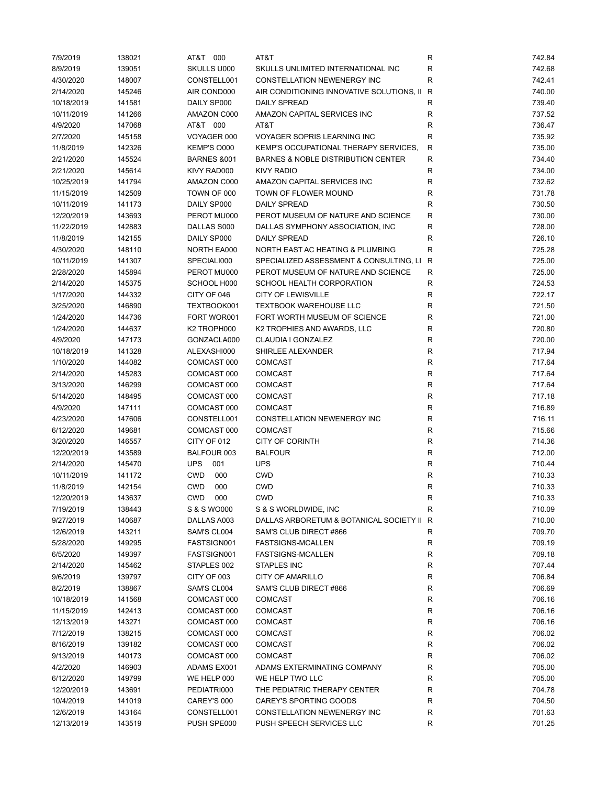| 7/9/2019   | 138021 | AT&T 000               | AT&T                                      | R            | 742.84 |
|------------|--------|------------------------|-------------------------------------------|--------------|--------|
| 8/9/2019   | 139051 | SKULLS U000            | SKULLS UNLIMITED INTERNATIONAL INC        | R            | 742.68 |
| 4/30/2020  | 148007 | CONSTELL001            | CONSTELLATION NEWENERGY INC               | R            | 742.41 |
| 2/14/2020  | 145246 | AIR COND000            | AIR CONDITIONING INNOVATIVE SOLUTIONS, II | $\mathsf{R}$ | 740.00 |
| 10/18/2019 | 141581 | DAILY SP000            | <b>DAILY SPREAD</b>                       | R            | 739.40 |
| 10/11/2019 | 141266 | AMAZON C000            | AMAZON CAPITAL SERVICES INC               | $\mathsf R$  | 737.52 |
| 4/9/2020   | 147068 | AT&T 000               | AT&T                                      | $\mathsf R$  | 736.47 |
| 2/7/2020   | 145158 | VOYAGER 000            | <b>VOYAGER SOPRIS LEARNING INC</b>        | ${\sf R}$    | 735.92 |
| 11/8/2019  | 142326 | KEMP'S O000            | KEMP'S OCCUPATIONAL THERAPY SERVICES,     | R            | 735.00 |
| 2/21/2020  | 145524 | <b>BARNES &amp;001</b> | BARNES & NOBLE DISTRIBUTION CENTER        | $\mathsf R$  | 734.40 |
| 2/21/2020  | 145614 | KIVY RAD000            | <b>KIVY RADIO</b>                         | $\mathsf R$  | 734.00 |
| 10/25/2019 | 141794 | AMAZON C000            | AMAZON CAPITAL SERVICES INC               | R            | 732.62 |
| 11/15/2019 | 142509 | TOWN OF 000            | TOWN OF FLOWER MOUND                      | R            | 731.78 |
| 10/11/2019 | 141173 | DAILY SP000            | <b>DAILY SPREAD</b>                       | R            | 730.50 |
| 12/20/2019 | 143693 | PEROT MU000            | PEROT MUSEUM OF NATURE AND SCIENCE        | R            | 730.00 |
| 11/22/2019 | 142883 | DALLAS S000            | DALLAS SYMPHONY ASSOCIATION, INC          | R            | 728.00 |
|            |        | DAILY SP000            | <b>DAILY SPREAD</b>                       | R            | 726.10 |
| 11/8/2019  | 142155 |                        |                                           |              |        |
| 4/30/2020  | 148110 | NORTH EA000            | NORTH EAST AC HEATING & PLUMBING          | $\mathsf R$  | 725.28 |
| 10/11/2019 | 141307 | SPECIALI000            | SPECIALIZED ASSESSMENT & CONSULTING, LI   | R            | 725.00 |
| 2/28/2020  | 145894 | PEROT MU000            | PEROT MUSEUM OF NATURE AND SCIENCE        | $\mathsf R$  | 725.00 |
| 2/14/2020  | 145375 | SCHOOL H000            | SCHOOL HEALTH CORPORATION                 | $\mathsf R$  | 724.53 |
| 1/17/2020  | 144332 | CITY OF 046            | <b>CITY OF LEWISVILLE</b>                 | R            | 722.17 |
| 3/25/2020  | 146890 | TEXTBOOK001            | <b>TEXTBOOK WAREHOUSE LLC</b>             | R            | 721.50 |
| 1/24/2020  | 144736 | FORT WOR001            | FORT WORTH MUSEUM OF SCIENCE              | R            | 721.00 |
| 1/24/2020  | 144637 | K2 TROPH000            | K2 TROPHIES AND AWARDS, LLC               | $\mathsf R$  | 720.80 |
| 4/9/2020   | 147173 | GONZACLA000            | CLAUDIA I GONZALEZ                        | $\mathsf R$  | 720.00 |
| 10/18/2019 | 141328 | ALEXASHI000            | SHIRLEE ALEXANDER                         | R            | 717.94 |
| 1/10/2020  | 144082 | COMCAST 000            | <b>COMCAST</b>                            | $\mathsf R$  | 717.64 |
| 2/14/2020  | 145283 | COMCAST 000            | <b>COMCAST</b>                            | $\mathsf R$  | 717.64 |
| 3/13/2020  | 146299 | COMCAST 000            | <b>COMCAST</b>                            | $\mathsf R$  | 717.64 |
| 5/14/2020  | 148495 | COMCAST 000            | <b>COMCAST</b>                            | R            | 717.18 |
| 4/9/2020   | 147111 | COMCAST 000            | <b>COMCAST</b>                            | R            | 716.89 |
| 4/23/2020  | 147606 | CONSTELL001            | CONSTELLATION NEWENERGY INC               | R            | 716.11 |
| 6/12/2020  | 149681 | COMCAST 000            | <b>COMCAST</b>                            | R            | 715.66 |
| 3/20/2020  | 146557 | CITY OF 012            | <b>CITY OF CORINTH</b>                    | $\mathsf R$  | 714.36 |
| 12/20/2019 | 143589 | BALFOUR 003            | <b>BALFOUR</b>                            | $\mathsf R$  | 712.00 |
| 2/14/2020  | 145470 | <b>UPS</b><br>001      | <b>UPS</b>                                | $\mathsf R$  | 710.44 |
| 10/11/2019 | 141172 | <b>CWD</b><br>000      | <b>CWD</b>                                | R            | 710.33 |
| 11/8/2019  | 142154 | <b>CWD</b><br>000      | <b>CWD</b>                                | R            | 710.33 |
| 12/20/2019 | 143637 | CWD 000                | <b>CWD</b>                                | R            | 710.33 |
| 7/19/2019  | 138443 | S & S WO000            | S & S WORLDWIDE, INC                      | R            | 710.09 |
| 9/27/2019  | 140687 | DALLAS A003            | DALLAS ARBORETUM & BOTANICAL SOCIETY II   | R            | 710.00 |
| 12/6/2019  | 143211 | SAM'S CL004            | SAM'S CLUB DIRECT #866                    | $\mathsf R$  | 709.70 |
| 5/28/2020  | 149295 | FASTSIGN001            | <b>FASTSIGNS-MCALLEN</b>                  | R            | 709.19 |
| 6/5/2020   | 149397 | FASTSIGN001            | <b>FASTSIGNS-MCALLEN</b>                  | R            | 709.18 |
| 2/14/2020  | 145462 | STAPLES 002            | STAPLES INC                               | R            | 707.44 |
| 9/6/2019   | 139797 | CITY OF 003            | <b>CITY OF AMARILLO</b>                   | ${\sf R}$    | 706.84 |
|            |        | SAM'S CL004            | SAM'S CLUB DIRECT #866                    |              |        |
| 8/2/2019   | 138867 | COMCAST 000            |                                           | ${\sf R}$    | 706.69 |
| 10/18/2019 | 141568 |                        | <b>COMCAST</b>                            | R            | 706.16 |
| 11/15/2019 | 142413 | COMCAST 000            | <b>COMCAST</b>                            | ${\sf R}$    | 706.16 |
| 12/13/2019 | 143271 | COMCAST 000            | <b>COMCAST</b>                            | R            | 706.16 |
| 7/12/2019  | 138215 | COMCAST 000            | <b>COMCAST</b>                            | R            | 706.02 |
| 8/16/2019  | 139182 | COMCAST 000            | <b>COMCAST</b>                            | R            | 706.02 |
| 9/13/2019  | 140173 | COMCAST 000            | <b>COMCAST</b>                            | R            | 706.02 |
| 4/2/2020   | 146903 | ADAMS EX001            | ADAMS EXTERMINATING COMPANY               | R            | 705.00 |
| 6/12/2020  | 149799 | WE HELP 000            | WE HELP TWO LLC                           | R            | 705.00 |
| 12/20/2019 | 143691 | PEDIATRI000            | THE PEDIATRIC THERAPY CENTER              | R            | 704.78 |
| 10/4/2019  | 141019 | CAREY'S 000            | CAREY'S SPORTING GOODS                    | R            | 704.50 |
| 12/6/2019  | 143164 | CONSTELL001            | CONSTELLATION NEWENERGY INC               | R            | 701.63 |
| 12/13/2019 | 143519 | PUSH SPE000            | PUSH SPEECH SERVICES LLC                  | R            | 701.25 |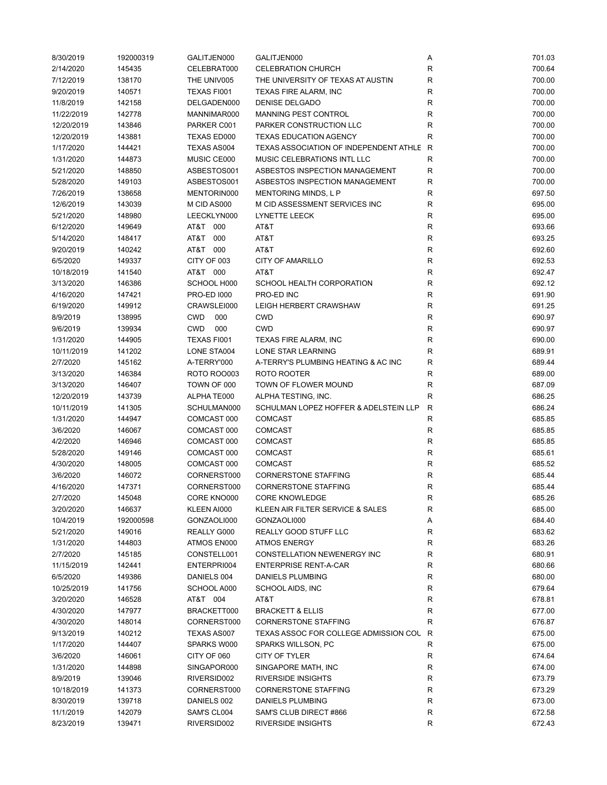| 8/30/2019  | 192000319        | GALITJEN000        | GALITJEN000                            | Α            | 701.03 |
|------------|------------------|--------------------|----------------------------------------|--------------|--------|
| 2/14/2020  | 145435           | CELEBRAT000        | <b>CELEBRATION CHURCH</b>              | R            | 700.64 |
| 7/12/2019  | 138170           | THE UNIV005        | THE UNIVERSITY OF TEXAS AT AUSTIN      | R            | 700.00 |
| 9/20/2019  | 140571           | TEXAS FI001        | TEXAS FIRE ALARM, INC                  | R            | 700.00 |
| 11/8/2019  | 142158           | DELGADEN000        | <b>DENISE DELGADO</b>                  | R            | 700.00 |
| 11/22/2019 | 142778           | MANNIMAR000        | <b>MANNING PEST CONTROL</b>            | R            | 700.00 |
| 12/20/2019 | 143846           | PARKER C001        | PARKER CONSTRUCTION LLC                | R            | 700.00 |
| 12/20/2019 | 143881           | TEXAS ED000        | <b>TEXAS EDUCATION AGENCY</b>          | R            | 700.00 |
| 1/17/2020  | 144421           | TEXAS AS004        | TEXAS ASSOCIATION OF INDEPENDENT ATHLE | $\mathsf{R}$ | 700.00 |
| 1/31/2020  | 144873           | MUSIC CE000        | MUSIC CELEBRATIONS INTL LLC            | R            | 700.00 |
| 5/21/2020  | 148850           | ASBESTOS001        | ASBESTOS INSPECTION MANAGEMENT         | R            | 700.00 |
| 5/28/2020  | 149103           | ASBESTOS001        | ASBESTOS INSPECTION MANAGEMENT         | R            | 700.00 |
| 7/26/2019  | 138658           | MENTORIN000        | MENTORING MINDS, L P                   | R            | 697.50 |
| 12/6/2019  | 143039           | M CID AS000        | M CID ASSESSMENT SERVICES INC          | R            | 695.00 |
| 5/21/2020  | 148980           | LEECKLYN000        | LYNETTE LEECK                          | R            | 695.00 |
| 6/12/2020  | 149649           | AT&T 000           | AT&T                                   | R            | 693.66 |
| 5/14/2020  | 148417           | AT&T<br>000        | AT&T                                   | $\mathsf{R}$ | 693.25 |
| 9/20/2019  | 140242           | AT&T 000           | AT&T                                   | R            | 692.60 |
| 6/5/2020   | 149337           | CITY OF 003        | <b>CITY OF AMARILLO</b>                | R            | 692.53 |
| 10/18/2019 | 141540           | AT&T 000           | AT&T                                   | R            | 692.47 |
|            |                  |                    |                                        |              | 692.12 |
| 3/13/2020  | 146386<br>147421 | SCHOOL H000        | SCHOOL HEALTH CORPORATION              | R            |        |
| 4/16/2020  |                  | <b>PRO-ED 1000</b> | PRO-ED INC                             | R            | 691.90 |
| 6/19/2020  | 149912           | CRAWSLEI000        | LEIGH HERBERT CRAWSHAW                 | R            | 691.25 |
| 8/9/2019   | 138995           | <b>CWD</b><br>000  | <b>CWD</b>                             | R            | 690.97 |
| 9/6/2019   | 139934           | <b>CWD</b><br>000  | <b>CWD</b>                             | R            | 690.97 |
| 1/31/2020  | 144905           | TEXAS FI001        | TEXAS FIRE ALARM, INC                  | $\mathsf R$  | 690.00 |
| 10/11/2019 | 141202           | LONE STA004        | LONE STAR LEARNING                     | R            | 689.91 |
| 2/7/2020   | 145162           | A-TERRY'000        | A-TERRY'S PLUMBING HEATING & AC INC    | R            | 689.44 |
| 3/13/2020  | 146384           | <b>ROTO ROO003</b> | ROTO ROOTER                            | R            | 689.00 |
| 3/13/2020  | 146407           | TOWN OF 000        | TOWN OF FLOWER MOUND                   | R            | 687.09 |
| 12/20/2019 | 143739           | ALPHATE000         | ALPHA TESTING, INC.                    | $\mathsf R$  | 686.25 |
| 10/11/2019 | 141305           | SCHULMAN000        | SCHULMAN LOPEZ HOFFER & ADELSTEIN LLP  | $\mathsf{R}$ | 686.24 |
| 1/31/2020  | 144947           | COMCAST 000        | <b>COMCAST</b>                         | $\mathsf{R}$ | 685.85 |
| 3/6/2020   | 146067           | COMCAST 000        | <b>COMCAST</b>                         | R            | 685.85 |
| 4/2/2020   | 146946           | COMCAST 000        | <b>COMCAST</b>                         | R            | 685.85 |
| 5/28/2020  | 149146           | COMCAST 000        | <b>COMCAST</b>                         | R            | 685.61 |
| 4/30/2020  | 148005           | COMCAST 000        | <b>COMCAST</b>                         | $\mathsf{R}$ | 685.52 |
| 3/6/2020   | 146072           | CORNERST000        | <b>CORNERSTONE STAFFING</b>            | R            | 685.44 |
| 4/16/2020  | 147371           | CORNERST000        | <b>CORNERSTONE STAFFING</b>            | R            | 685.44 |
| 2/7/2020   | 145048           | CORE KNO000        | <b>CORE KNOWLEDGE</b>                  | R            | 685.26 |
| 3/20/2020  | 146637           | KLEEN AI000        | KLEEN AIR FILTER SERVICE & SALES       | R            | 685.00 |
| 10/4/2019  | 192000598        | GONZAOLI000        | GONZAOLI000                            | Α            | 684.40 |
| 5/21/2020  | 149016           | REALLY G000        | REALLY GOOD STUFF LLC                  | R            | 683.62 |
| 1/31/2020  | 144803           | ATMOS EN000        | <b>ATMOS ENERGY</b>                    | R            | 683.26 |
| 2/7/2020   | 145185           | CONSTELL001        | CONSTELLATION NEWENERGY INC            | R            | 680.91 |
| 11/15/2019 | 142441           | ENTERPRI004        | <b>ENTERPRISE RENT-A-CAR</b>           | R            | 680.66 |
| 6/5/2020   | 149386           | DANIELS 004        | DANIELS PLUMBING                       | R            | 680.00 |
| 10/25/2019 | 141756           | SCHOOL A000        | SCHOOL AIDS, INC                       | ${\sf R}$    | 679.64 |
| 3/20/2020  | 146528           | AT&T 004           | AT&T                                   | R            | 678.81 |
| 4/30/2020  | 147977           | BRACKETT000        | <b>BRACKETT &amp; ELLIS</b>            | R            | 677.00 |
| 4/30/2020  | 148014           | CORNERST000        | <b>CORNERSTONE STAFFING</b>            | $\mathsf R$  | 676.87 |
| 9/13/2019  | 140212           | TEXAS AS007        | TEXAS ASSOC FOR COLLEGE ADMISSION COU  | $\mathsf{R}$ | 675.00 |
| 1/17/2020  | 144407           | SPARKS W000        | SPARKS WILLSON, PC                     | ${\sf R}$    | 675.00 |
| 3/6/2020   | 146061           | CITY OF 060        | CITY OF TYLER                          | R            | 674.64 |
| 1/31/2020  | 144898           | SINGAPOR000        | SINGAPORE MATH, INC                    | R            | 674.00 |
| 8/9/2019   | 139046           | RIVERSID002        | <b>RIVERSIDE INSIGHTS</b>              | R            | 673.79 |
| 10/18/2019 | 141373           | CORNERST000        | <b>CORNERSTONE STAFFING</b>            | R            | 673.29 |
| 8/30/2019  | 139718           | DANIELS 002        | DANIELS PLUMBING                       | $\mathsf R$  | 673.00 |
| 11/1/2019  | 142079           | SAM'S CL004        | SAM'S CLUB DIRECT #866                 | R            | 672.58 |
| 8/23/2019  | 139471           | RIVERSID002        | <b>RIVERSIDE INSIGHTS</b>              | R            | 672.43 |
|            |                  |                    |                                        |              |        |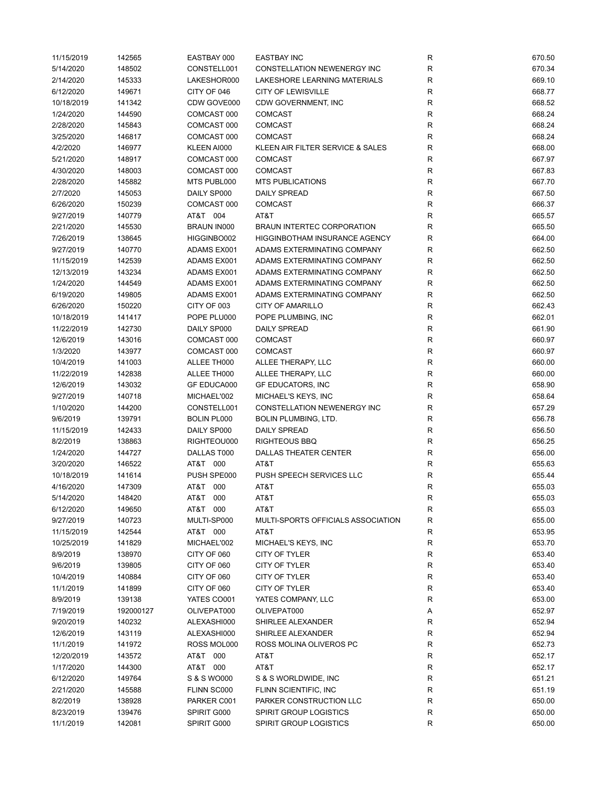| 11/15/2019 | 142565    | EASTBAY 000                       | <b>EASTBAY INC</b>                   | R            | 670.50 |
|------------|-----------|-----------------------------------|--------------------------------------|--------------|--------|
| 5/14/2020  | 148502    | CONSTELL001                       | CONSTELLATION NEWENERGY INC          | R            | 670.34 |
| 2/14/2020  | 145333    | LAKESHOR000                       | LAKESHORE LEARNING MATERIALS         | R            | 669.10 |
| 6/12/2020  | 149671    | CITY OF 046                       | <b>CITY OF LEWISVILLE</b>            | R            | 668.77 |
| 10/18/2019 | 141342    | CDW GOVE000                       | CDW GOVERNMENT, INC                  | R            | 668.52 |
| 1/24/2020  | 144590    | COMCAST 000                       | <b>COMCAST</b>                       | R            | 668.24 |
| 2/28/2020  | 145843    | COMCAST 000                       | <b>COMCAST</b>                       | $\mathsf R$  | 668.24 |
| 3/25/2020  | 146817    | COMCAST 000                       | <b>COMCAST</b>                       | R            | 668.24 |
| 4/2/2020   | 146977    | KLEEN AI000                       | KLEEN AIR FILTER SERVICE & SALES     | R            | 668.00 |
| 5/21/2020  | 148917    | COMCAST 000                       | <b>COMCAST</b>                       | R            | 667.97 |
| 4/30/2020  | 148003    | COMCAST 000                       | <b>COMCAST</b>                       | R            | 667.83 |
| 2/28/2020  | 145882    | MTS PUBL000                       | <b>MTS PUBLICATIONS</b>              | R            | 667.70 |
| 2/7/2020   | 145053    | DAILY SP000                       | <b>DAILY SPREAD</b>                  | R            | 667.50 |
| 6/26/2020  | 150239    | COMCAST 000                       | <b>COMCAST</b>                       | R            | 666.37 |
| 9/27/2019  | 140779    | AT&T 004                          | AT&T                                 | R            | 665.57 |
| 2/21/2020  | 145530    | <b>BRAUN IN000</b>                | <b>BRAUN INTERTEC CORPORATION</b>    | R            | 665.50 |
| 7/26/2019  | 138645    | HIGGINBO002                       | <b>HIGGINBOTHAM INSURANCE AGENCY</b> | $\mathsf R$  | 664.00 |
| 9/27/2019  | 140770    | ADAMS EX001                       | ADAMS EXTERMINATING COMPANY          | R            | 662.50 |
| 11/15/2019 | 142539    | ADAMS EX001                       | ADAMS EXTERMINATING COMPANY          | R            | 662.50 |
| 12/13/2019 | 143234    | ADAMS EX001                       | ADAMS EXTERMINATING COMPANY          | R            | 662.50 |
|            |           |                                   |                                      |              | 662.50 |
| 1/24/2020  | 144549    | ADAMS EX001<br><b>ADAMS EX001</b> | ADAMS EXTERMINATING COMPANY          | R            |        |
| 6/19/2020  | 149805    |                                   | ADAMS EXTERMINATING COMPANY          | R            | 662.50 |
| 6/26/2020  | 150220    | CITY OF 003                       | <b>CITY OF AMARILLO</b>              | R            | 662.43 |
| 10/18/2019 | 141417    | POPE PLU000                       | POPE PLUMBING, INC                   | R            | 662.01 |
| 11/22/2019 | 142730    | DAILY SP000                       | <b>DAILY SPREAD</b>                  | $\mathsf{R}$ | 661.90 |
| 12/6/2019  | 143016    | COMCAST 000                       | <b>COMCAST</b>                       | R            | 660.97 |
| 1/3/2020   | 143977    | COMCAST 000                       | <b>COMCAST</b>                       | R            | 660.97 |
| 10/4/2019  | 141003    | ALLEE TH000                       | ALLEE THERAPY, LLC                   | R            | 660.00 |
| 11/22/2019 | 142838    | ALLEE TH000                       | ALLEE THERAPY, LLC                   | R            | 660.00 |
| 12/6/2019  | 143032    | <b>GF EDUCA000</b>                | <b>GF EDUCATORS, INC</b>             | R            | 658.90 |
| 9/27/2019  | 140718    | MICHAEL'002                       | MICHAEL'S KEYS, INC                  | R            | 658.64 |
| 1/10/2020  | 144200    | CONSTELL001                       | CONSTELLATION NEWENERGY INC          | R            | 657.29 |
| 9/6/2019   | 139791    | <b>BOLIN PL000</b>                | BOLIN PLUMBING, LTD.                 | R            | 656.78 |
| 11/15/2019 | 142433    | DAILY SP000                       | <b>DAILY SPREAD</b>                  | R            | 656.50 |
| 8/2/2019   | 138863    | RIGHTEOU000                       | <b>RIGHTEOUS BBQ</b>                 | R            | 656.25 |
| 1/24/2020  | 144727    | DALLAS T000                       | DALLAS THEATER CENTER                | $\mathsf R$  | 656.00 |
| 3/20/2020  | 146522    | AT&T 000                          | AT&T                                 | R            | 655.63 |
| 10/18/2019 | 141614    | PUSH SPE000                       | PUSH SPEECH SERVICES LLC             | R            | 655.44 |
| 4/16/2020  | 147309    | AT&T 000                          | AT&T                                 | R            | 655.03 |
| 5/14/2020  | 148420    | AT&T 000                          | AT&T                                 | R            | 655.03 |
| 6/12/2020  | 149650    | AT&T 000                          | AT&T                                 | R            | 655.03 |
| 9/27/2019  | 140723    | MULTI-SP000                       | MULTI-SPORTS OFFICIALS ASSOCIATION   | R            | 655.00 |
| 11/15/2019 | 142544    | AT&T 000                          | AT&T                                 | R            | 653.95 |
| 10/25/2019 | 141829    | MICHAEL'002                       | MICHAEL'S KEYS, INC                  | $\mathsf{R}$ | 653.70 |
| 8/9/2019   | 138970    | CITY OF 060                       | CITY OF TYLER                        | $\mathsf{R}$ | 653.40 |
| 9/6/2019   | 139805    | CITY OF 060                       | CITY OF TYLER                        | $\mathsf{R}$ | 653.40 |
| 10/4/2019  | 140884    | CITY OF 060                       | CITY OF TYLER                        | R            | 653.40 |
| 11/1/2019  | 141899    | CITY OF 060                       | CITY OF TYLER                        | R            | 653.40 |
| 8/9/2019   | 139138    | YATES CO001                       | YATES COMPANY, LLC                   | R            | 653.00 |
| 7/19/2019  | 192000127 | OLIVEPAT000                       | OLIVEPAT000                          | Α            | 652.97 |
| 9/20/2019  | 140232    | ALEXASHI000                       | SHIRLEE ALEXANDER                    | $\mathsf{R}$ | 652.94 |
| 12/6/2019  | 143119    | ALEXASHI000                       | SHIRLEE ALEXANDER                    | R            | 652.94 |
| 11/1/2019  | 141972    | ROSS MOL000                       | ROSS MOLINA OLIVEROS PC              | R            | 652.73 |
| 12/20/2019 | 143572    | AT&T 000                          | AT&T                                 | R            | 652.17 |
| 1/17/2020  | 144300    | AT&T 000                          | AT&T                                 | R            | 652.17 |
| 6/12/2020  | 149764    | S & S WO000                       | S & S WORLDWIDE, INC                 | R            | 651.21 |
| 2/21/2020  | 145588    | FLINN SC000                       | FLINN SCIENTIFIC, INC                | R            | 651.19 |
| 8/2/2019   | 138928    | PARKER C001                       | PARKER CONSTRUCTION LLC              | R            | 650.00 |
| 8/23/2019  | 139476    | SPIRIT G000                       | <b>SPIRIT GROUP LOGISTICS</b>        | R            | 650.00 |
| 11/1/2019  | 142081    | SPIRIT G000                       | <b>SPIRIT GROUP LOGISTICS</b>        | $\mathsf R$  | 650.00 |
|            |           |                                   |                                      |              |        |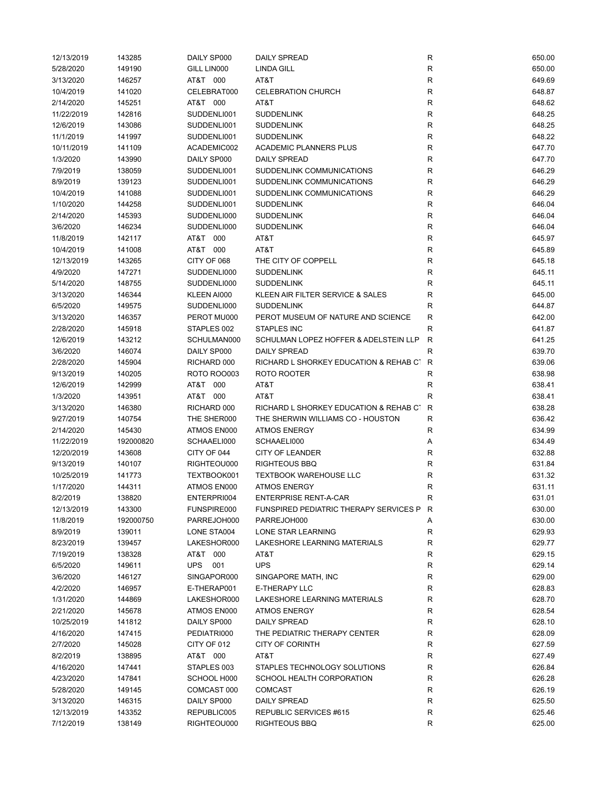| 12/13/2019 | 143285    | DAILY SP000        | <b>DAILY SPREAD</b>                      | ${\sf R}$    | 650.00 |
|------------|-----------|--------------------|------------------------------------------|--------------|--------|
| 5/28/2020  | 149190    | GILL LIN000        | <b>LINDA GILL</b>                        | R            | 650.00 |
| 3/13/2020  | 146257    | AT&T 000           | AT&T                                     | R            | 649.69 |
| 10/4/2019  | 141020    | CELEBRAT000        | <b>CELEBRATION CHURCH</b>                | R            | 648.87 |
| 2/14/2020  | 145251    | AT&T 000           | AT&T                                     | R            | 648.62 |
| 11/22/2019 | 142816    | SUDDENLI001        | <b>SUDDENLINK</b>                        | R            | 648.25 |
| 12/6/2019  | 143086    | SUDDENLI001        | <b>SUDDENLINK</b>                        | R            | 648.25 |
| 11/1/2019  | 141997    | SUDDENLI001        | <b>SUDDENLINK</b>                        | R            | 648.22 |
| 10/11/2019 | 141109    | ACADEMIC002        | <b>ACADEMIC PLANNERS PLUS</b>            | R            | 647.70 |
| 1/3/2020   | 143990    | DAILY SP000        | <b>DAILY SPREAD</b>                      | R            | 647.70 |
| 7/9/2019   | 138059    | SUDDENLI001        | SUDDENLINK COMMUNICATIONS                | R            | 646.29 |
| 8/9/2019   | 139123    | SUDDENLI001        | SUDDENLINK COMMUNICATIONS                | R            | 646.29 |
| 10/4/2019  | 141088    | SUDDENLI001        | SUDDENLINK COMMUNICATIONS                | R            | 646.29 |
| 1/10/2020  | 144258    | SUDDENLI001        | <b>SUDDENLINK</b>                        | R            | 646.04 |
| 2/14/2020  | 145393    | SUDDENLI000        | <b>SUDDENLINK</b>                        | R            | 646.04 |
|            |           |                    |                                          |              |        |
| 3/6/2020   | 146234    | SUDDENLI000        | <b>SUDDENLINK</b>                        | R            | 646.04 |
| 11/8/2019  | 142117    | AT&T 000           | AT&T                                     | R            | 645.97 |
| 10/4/2019  | 141008    | AT&T 000           | AT&T                                     | R            | 645.89 |
| 12/13/2019 | 143265    | CITY OF 068        | THE CITY OF COPPELL                      | R            | 645.18 |
| 4/9/2020   | 147271    | SUDDENLI000        | <b>SUDDENLINK</b>                        | R            | 645.11 |
| 5/14/2020  | 148755    | SUDDENLI000        | <b>SUDDENLINK</b>                        | R            | 645.11 |
| 3/13/2020  | 146344    | KLEEN AI000        | KLEEN AIR FILTER SERVICE & SALES         | R            | 645.00 |
| 6/5/2020   | 149575    | SUDDENLI000        | <b>SUDDENLINK</b>                        | R            | 644.87 |
| 3/13/2020  | 146357    | PEROT MU000        | PEROT MUSEUM OF NATURE AND SCIENCE       | R            | 642.00 |
| 2/28/2020  | 145918    | STAPLES 002        | <b>STAPLES INC</b>                       | R            | 641.87 |
| 12/6/2019  | 143212    | SCHULMAN000        | SCHULMAN LOPEZ HOFFER & ADELSTEIN LLP    | R            | 641.25 |
| 3/6/2020   | 146074    | DAILY SP000        | <b>DAILY SPREAD</b>                      | R            | 639.70 |
| 2/28/2020  | 145904    | RICHARD 000        | RICHARD L SHORKEY EDUCATION & REHAB CT   | $\mathsf{R}$ | 639.06 |
| 9/13/2019  | 140205    | <b>ROTO ROO003</b> | ROTO ROOTER                              | R            | 638.98 |
| 12/6/2019  | 142999    | AT&T 000           | AT&T                                     | R            | 638.41 |
| 1/3/2020   | 143951    | AT&T 000           | AT&T                                     | R            | 638.41 |
| 3/13/2020  | 146380    | RICHARD 000        | RICHARD L SHORKEY EDUCATION & REHAB CT   | $\mathsf{R}$ | 638.28 |
| 9/27/2019  | 140754    | THE SHER000        | THE SHERWIN WILLIAMS CO - HOUSTON        | R            | 636.42 |
| 2/14/2020  | 145430    | ATMOS EN000        | <b>ATMOS ENERGY</b>                      | R            | 634.99 |
| 11/22/2019 | 192000820 | SCHAAELI000        | SCHAAELI000                              | Α            | 634.49 |
| 12/20/2019 | 143608    | CITY OF 044        | <b>CITY OF LEANDER</b>                   | R            | 632.88 |
| 9/13/2019  | 140107    | RIGHTEOU000        | <b>RIGHTEOUS BBQ</b>                     | R            | 631.84 |
| 10/25/2019 | 141773    | TEXTBOOK001        | <b>TEXTBOOK WAREHOUSE LLC</b>            | R            | 631.32 |
| 1/17/2020  | 144311    | ATMOS EN000        | <b>ATMOS ENERGY</b>                      | R            | 631.11 |
| 8/2/2019   | 138820    | ENTERPRI004        | <b>ENTERPRISE RENT-A-CAR</b>             |              | 631.01 |
|            |           |                    | FUNSPIRED PEDIATRIC THERAPY SERVICES P R |              | 630.00 |
| 12/13/2019 | 143300    | FUNSPIRE000        |                                          |              |        |
| 11/8/2019  | 192000750 | PARREJOH000        | PARREJOH000                              | Α            | 630.00 |
| 8/9/2019   | 139011    | LONE STA004        | LONE STAR LEARNING                       | $\mathsf R$  | 629.93 |
| 8/23/2019  | 139457    | LAKESHOR000        | LAKESHORE LEARNING MATERIALS             | R            | 629.77 |
| 7/19/2019  | 138328    | AT&T 000           | AT&T                                     | R            | 629.15 |
| 6/5/2020   | 149611    | <b>UPS</b><br>001  | <b>UPS</b>                               | R            | 629.14 |
| 3/6/2020   | 146127    | SINGAPOR000        | SINGAPORE MATH, INC                      | $\mathsf R$  | 629.00 |
| 4/2/2020   | 146957    | E-THERAP001        | <b>E-THERAPY LLC</b>                     | $\mathsf R$  | 628.83 |
| 1/31/2020  | 144869    | LAKESHOR000        | <b>LAKESHORE LEARNING MATERIALS</b>      | R            | 628.70 |
| 2/21/2020  | 145678    | ATMOS EN000        | <b>ATMOS ENERGY</b>                      | R            | 628.54 |
| 10/25/2019 | 141812    | DAILY SP000        | <b>DAILY SPREAD</b>                      | R            | 628.10 |
| 4/16/2020  | 147415    | PEDIATRI000        | THE PEDIATRIC THERAPY CENTER             | R            | 628.09 |
| 2/7/2020   | 145028    | CITY OF 012        | <b>CITY OF CORINTH</b>                   | ${\sf R}$    | 627.59 |
| 8/2/2019   | 138895    | AT&T 000           | AT&T                                     | R            | 627.49 |
| 4/16/2020  | 147441    | STAPLES 003        | STAPLES TECHNOLOGY SOLUTIONS             | R            | 626.84 |
| 4/23/2020  | 147841    | SCHOOL H000        | SCHOOL HEALTH CORPORATION                | R            | 626.28 |
| 5/28/2020  | 149145    | COMCAST 000        | <b>COMCAST</b>                           | R            | 626.19 |
| 3/13/2020  | 146315    | DAILY SP000        | <b>DAILY SPREAD</b>                      | $\mathsf R$  | 625.50 |
| 12/13/2019 | 143352    | REPUBLIC005        | REPUBLIC SERVICES #615                   | R            | 625.46 |
| 7/12/2019  | 138149    | RIGHTEOU000        | RIGHTEOUS BBQ                            | R            | 625.00 |
|            |           |                    |                                          |              |        |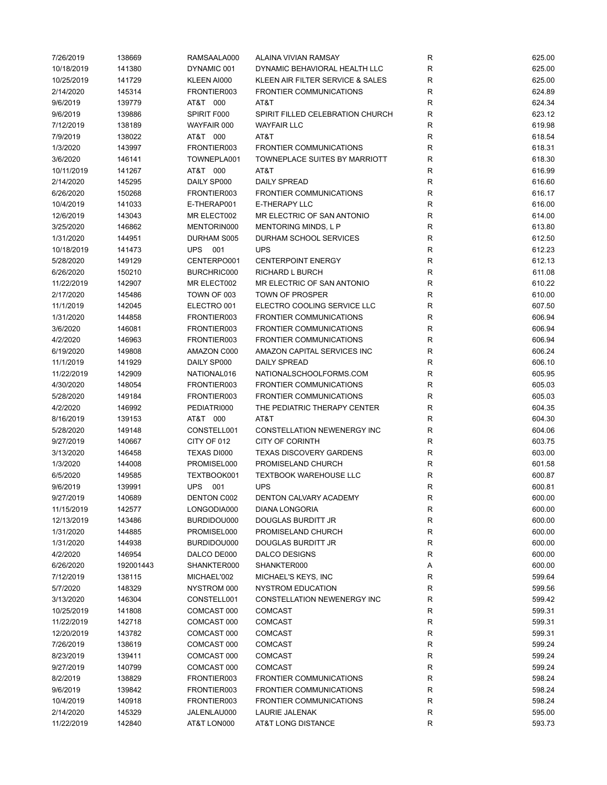| 7/26/2019  | 138669    | RAMSAALA000    | ALAINA VIVIAN RAMSAY             | R           | 625.00 |
|------------|-----------|----------------|----------------------------------|-------------|--------|
| 10/18/2019 | 141380    | DYNAMIC 001    | DYNAMIC BEHAVIORAL HEALTH LLC    | R           | 625.00 |
| 10/25/2019 | 141729    | KLEEN AI000    | KLEEN AIR FILTER SERVICE & SALES | R           | 625.00 |
| 2/14/2020  | 145314    | FRONTIER003    | <b>FRONTIER COMMUNICATIONS</b>   | $\mathsf R$ | 624.89 |
| 9/6/2019   | 139779    | AT&T 000       | AT&T                             | R           | 624.34 |
| 9/6/2019   | 139886    | SPIRIT F000    | SPIRIT FILLED CELEBRATION CHURCH | R           | 623.12 |
| 7/12/2019  | 138189    | WAYFAIR 000    | <b>WAYFAIR LLC</b>               | $\mathsf R$ | 619.98 |
| 7/9/2019   | 138022    | AT&T 000       | AT&T                             | ${\sf R}$   | 618.54 |
| 1/3/2020   | 143997    | FRONTIER003    | <b>FRONTIER COMMUNICATIONS</b>   | $\mathsf R$ | 618.31 |
| 3/6/2020   | 146141    | TOWNEPLA001    | TOWNEPLACE SUITES BY MARRIOTT    | $\mathsf R$ | 618.30 |
| 10/11/2019 | 141267    | AT&T 000       | AT&T                             | $\mathsf R$ | 616.99 |
| 2/14/2020  | 145295    | DAILY SP000    | <b>DAILY SPREAD</b>              | R           | 616.60 |
| 6/26/2020  | 150268    | FRONTIER003    | <b>FRONTIER COMMUNICATIONS</b>   | R           | 616.17 |
| 10/4/2019  | 141033    | E-THERAP001    | <b>E-THERAPY LLC</b>             | R           | 616.00 |
| 12/6/2019  | 143043    | MR ELECT002    | MR ELECTRIC OF SAN ANTONIO       | R           | 614.00 |
| 3/25/2020  | 146862    | MENTORIN000    | MENTORING MINDS, L P             | $\mathsf R$ |        |
|            |           |                |                                  | $\mathsf R$ | 613.80 |
| 1/31/2020  | 144951    | DURHAM S005    | DURHAM SCHOOL SERVICES           |             | 612.50 |
| 10/18/2019 | 141473    | <b>UPS 001</b> | <b>UPS</b>                       | R           | 612.23 |
| 5/28/2020  | 149129    | CENTERPO001    | <b>CENTERPOINT ENERGY</b>        | R           | 612.13 |
| 6/26/2020  | 150210    | BURCHRIC000    | RICHARD L BURCH                  | R           | 611.08 |
| 11/22/2019 | 142907    | MR ELECT002    | MR ELECTRIC OF SAN ANTONIO       | $\mathsf R$ | 610.22 |
| 2/17/2020  | 145486    | TOWN OF 003    | <b>TOWN OF PROSPER</b>           | R           | 610.00 |
| 11/1/2019  | 142045    | ELECTRO 001    | ELECTRO COOLING SERVICE LLC      | R           | 607.50 |
| 1/31/2020  | 144858    | FRONTIER003    | <b>FRONTIER COMMUNICATIONS</b>   | R           | 606.94 |
| 3/6/2020   | 146081    | FRONTIER003    | <b>FRONTIER COMMUNICATIONS</b>   | R           | 606.94 |
| 4/2/2020   | 146963    | FRONTIER003    | <b>FRONTIER COMMUNICATIONS</b>   | ${\sf R}$   | 606.94 |
| 6/19/2020  | 149808    | AMAZON C000    | AMAZON CAPITAL SERVICES INC      | ${\sf R}$   | 606.24 |
| 11/1/2019  | 141929    | DAILY SP000    | <b>DAILY SPREAD</b>              | ${\sf R}$   | 606.10 |
| 11/22/2019 | 142909    | NATIONAL016    | NATIONALSCHOOLFORMS.COM          | R           | 605.95 |
| 4/30/2020  | 148054    | FRONTIER003    | <b>FRONTIER COMMUNICATIONS</b>   | R           | 605.03 |
| 5/28/2020  | 149184    | FRONTIER003    | <b>FRONTIER COMMUNICATIONS</b>   | $\mathsf R$ | 605.03 |
| 4/2/2020   | 146992    | PEDIATRI000    | THE PEDIATRIC THERAPY CENTER     | R           | 604.35 |
| 8/16/2019  | 139153    | AT&T 000       | AT&T                             | $\mathsf R$ | 604.30 |
| 5/28/2020  | 149148    | CONSTELL001    | CONSTELLATION NEWENERGY INC      | R           | 604.06 |
| 9/27/2019  | 140667    | CITY OF 012    | <b>CITY OF CORINTH</b>           | R           | 603.75 |
| 3/13/2020  | 146458    | TEXAS DI000    | <b>TEXAS DISCOVERY GARDENS</b>   | $\mathsf R$ | 603.00 |
| 1/3/2020   | 144008    | PROMISEL000    | PROMISELAND CHURCH               | ${\sf R}$   | 601.58 |
| 6/5/2020   | 149585    | TEXTBOOK001    | <b>TEXTBOOK WAREHOUSE LLC</b>    | ${\sf R}$   | 600.87 |
| 9/6/2019   | 139991    | <b>UPS 001</b> | <b>UPS</b>                       | R           | 600.81 |
| 9/27/2019  | 140689    | DENTON C002    | DENTON CALVARY ACADEMY           | R           | 600.00 |
| 11/15/2019 | 142577    | LONGODIA000    | DIANA LONGORIA                   | R           | 600.00 |
| 12/13/2019 | 143486    | BURDIDOU000    | DOUGLAS BURDITT JR               | R           | 600.00 |
| 1/31/2020  | 144885    | PROMISEL000    | PROMISELAND CHURCH               | ${\sf R}$   | 600.00 |
| 1/31/2020  | 144938    | BURDIDOU000    | DOUGLAS BURDITT JR               | R           | 600.00 |
| 4/2/2020   | 146954    | DALCO DE000    | <b>DALCO DESIGNS</b>             | R           | 600.00 |
| 6/26/2020  | 192001443 | SHANKTER000    | SHANKTER000                      | Α           | 600.00 |
| 7/12/2019  | 138115    | MICHAEL'002    | MICHAEL'S KEYS, INC              | R           | 599.64 |
|            |           |                | <b>NYSTROM EDUCATION</b>         |             |        |
| 5/7/2020   | 148329    | NYSTROM 000    |                                  | ${\sf R}$   | 599.56 |
| 3/13/2020  | 146304    | CONSTELL001    | CONSTELLATION NEWENERGY INC      | R           | 599.42 |
| 10/25/2019 | 141808    | COMCAST 000    | <b>COMCAST</b>                   | R           | 599.31 |
| 11/22/2019 | 142718    | COMCAST 000    | <b>COMCAST</b>                   | R           | 599.31 |
| 12/20/2019 | 143782    | COMCAST 000    | <b>COMCAST</b>                   | R           | 599.31 |
| 7/26/2019  | 138619    | COMCAST 000    | <b>COMCAST</b>                   | R           | 599.24 |
| 8/23/2019  | 139411    | COMCAST 000    | <b>COMCAST</b>                   | R           | 599.24 |
| 9/27/2019  | 140799    | COMCAST 000    | <b>COMCAST</b>                   | R           | 599.24 |
| 8/2/2019   | 138829    | FRONTIER003    | <b>FRONTIER COMMUNICATIONS</b>   | R           | 598.24 |
| 9/6/2019   | 139842    | FRONTIER003    | FRONTIER COMMUNICATIONS          | R           | 598.24 |
| 10/4/2019  | 140918    | FRONTIER003    | FRONTIER COMMUNICATIONS          | R           | 598.24 |
| 2/14/2020  | 145329    | JALENLAU000    | LAURIE JALENAK                   | R           | 595.00 |
| 11/22/2019 | 142840    | AT&T LON000    | AT&T LONG DISTANCE               | R           | 593.73 |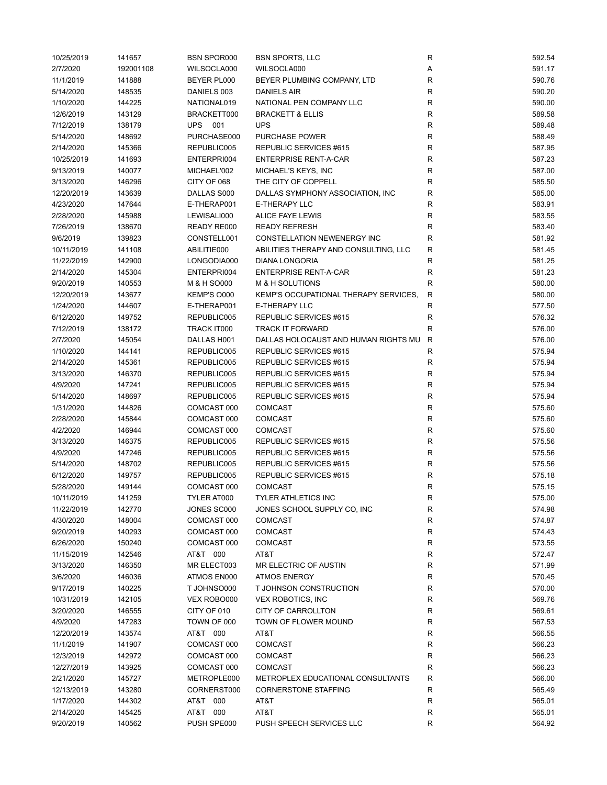| 10/25/2019 | 141657    | <b>BSN SPOR000</b> | <b>BSN SPORTS, LLC</b>                | R            | 592.54           |
|------------|-----------|--------------------|---------------------------------------|--------------|------------------|
| 2/7/2020   | 192001108 | WILSOCLA000        | WILSOCLA000                           | Α            | 591.17           |
| 11/1/2019  | 141888    | BEYER PL000        | BEYER PLUMBING COMPANY, LTD           | R            | 590.76           |
| 5/14/2020  | 148535    | DANIELS 003        | <b>DANIELS AIR</b>                    | $\mathsf R$  | 590.20           |
| 1/10/2020  | 144225    | NATIONAL019        | NATIONAL PEN COMPANY LLC              | R            | 590.00           |
| 12/6/2019  | 143129    | BRACKETT000        | <b>BRACKETT &amp; ELLIS</b>           | $\mathsf R$  | 589.58           |
| 7/12/2019  | 138179    | UPS 001            | <b>UPS</b>                            | ${\sf R}$    | 589.48           |
| 5/14/2020  | 148692    | PURCHASE000        | <b>PURCHASE POWER</b>                 | $\mathsf R$  | 588.49           |
| 2/14/2020  | 145366    | REPUBLIC005        | REPUBLIC SERVICES #615                | R            | 587.95           |
| 10/25/2019 | 141693    | ENTERPRI004        | <b>ENTERPRISE RENT-A-CAR</b>          | R            | 587.23           |
| 9/13/2019  | 140077    | MICHAEL'002        | MICHAEL'S KEYS, INC                   | R            | 587.00           |
| 3/13/2020  | 146296    | CITY OF 068        | THE CITY OF COPPELL                   | R            | 585.50           |
| 12/20/2019 | 143639    | DALLAS S000        | DALLAS SYMPHONY ASSOCIATION, INC      | R            | 585.00           |
| 4/23/2020  | 147644    | E-THERAP001        | <b>E-THERAPY LLC</b>                  | R            | 583.91           |
| 2/28/2020  | 145988    | LEWISALI000        | <b>ALICE FAYE LEWIS</b>               | R            | 583.55           |
| 7/26/2019  | 138670    | READY RE000        | <b>READY REFRESH</b>                  | R            | 583.40           |
|            |           |                    | CONSTELLATION NEWENERGY INC           | R            |                  |
| 9/6/2019   | 139823    | CONSTELL001        |                                       |              | 581.92<br>581.45 |
| 10/11/2019 | 141108    | ABILITIE000        | ABILITIES THERAPY AND CONSULTING, LLC | $\mathsf R$  |                  |
| 11/22/2019 | 142900    | LONGODIA000        | <b>DIANA LONGORIA</b>                 | R            | 581.25           |
| 2/14/2020  | 145304    | ENTERPRI004        | <b>ENTERPRISE RENT-A-CAR</b>          | $\mathsf R$  | 581.23           |
| 9/20/2019  | 140553    | M & H SO000        | M & H SOLUTIONS                       | R            | 580.00           |
| 12/20/2019 | 143677    | KEMP'S O000        | KEMP'S OCCUPATIONAL THERAPY SERVICES. | $\mathsf{R}$ | 580.00           |
| 1/24/2020  | 144607    | E-THERAP001        | E-THERAPY LLC                         | ${\sf R}$    | 577.50           |
| 6/12/2020  | 149752    | REPUBLIC005        | REPUBLIC SERVICES #615                | R            | 576.32           |
| 7/12/2019  | 138172    | TRACK IT000        | <b>TRACK IT FORWARD</b>               | R            | 576.00           |
| 2/7/2020   | 145054    | DALLAS H001        | DALLAS HOLOCAUST AND HUMAN RIGHTS MU  | $\mathsf{R}$ | 576.00           |
| 1/10/2020  | 144141    | REPUBLIC005        | REPUBLIC SERVICES #615                | R            | 575.94           |
| 2/14/2020  | 145361    | REPUBLIC005        | REPUBLIC SERVICES #615                | R            | 575.94           |
| 3/13/2020  | 146370    | REPUBLIC005        | REPUBLIC SERVICES #615                | R            | 575.94           |
| 4/9/2020   | 147241    | REPUBLIC005        | REPUBLIC SERVICES #615                | $\mathsf R$  | 575.94           |
| 5/14/2020  | 148697    | REPUBLIC005        | REPUBLIC SERVICES #615                | R            | 575.94           |
| 1/31/2020  | 144826    | COMCAST 000        | <b>COMCAST</b>                        | R            | 575.60           |
| 2/28/2020  | 145844    | COMCAST 000        | <b>COMCAST</b>                        | R            | 575.60           |
| 4/2/2020   | 146944    | COMCAST 000        | <b>COMCAST</b>                        | R            | 575.60           |
| 3/13/2020  | 146375    | REPUBLIC005        | REPUBLIC SERVICES #615                | R            | 575.56           |
| 4/9/2020   | 147246    | REPUBLIC005        | REPUBLIC SERVICES #615                | R            | 575.56           |
| 5/14/2020  | 148702    | REPUBLIC005        | REPUBLIC SERVICES #615                | R            | 575.56           |
| 6/12/2020  | 149757    | REPUBLIC005        | REPUBLIC SERVICES #615                | R            | 575.18           |
| 5/28/2020  | 149144    | COMCAST 000        | <b>COMCAST</b>                        | R            | 575.15           |
| 10/11/2019 | 141259    | TYLER AT000        | TYLER ATHLETICS INC                   | R            | 575.00           |
| 11/22/2019 | 142770    | JONES SC000        | JONES SCHOOL SUPPLY CO, INC           | R            | 574.98           |
| 4/30/2020  | 148004    | COMCAST 000        | <b>COMCAST</b>                        | R            | 574.87           |
| 9/20/2019  | 140293    | COMCAST 000        | <b>COMCAST</b>                        | R            | 574.43           |
| 6/26/2020  | 150240    | COMCAST 000        | <b>COMCAST</b>                        | R            | 573.55           |
| 11/15/2019 | 142546    | AT&T 000           | AT&T                                  | R            | 572.47           |
| 3/13/2020  | 146350    | MR ELECT003        | MR ELECTRIC OF AUSTIN                 | R            | 571.99           |
| 3/6/2020   | 146036    | ATMOS EN000        | <b>ATMOS ENERGY</b>                   | $\mathsf R$  | 570.45           |
| 9/17/2019  | 140225    | T JOHNSO000        | T JOHNSON CONSTRUCTION                | ${\sf R}$    | 570.00           |
| 10/31/2019 | 142105    | VEX ROBO000        | <b>VEX ROBOTICS, INC</b>              | R            | 569.76           |
| 3/20/2020  | 146555    | CITY OF 010        | CITY OF CARROLLTON                    | ${\sf R}$    | 569.61           |
| 4/9/2020   | 147283    | TOWN OF 000        | TOWN OF FLOWER MOUND                  |              | 567.53           |
|            |           |                    |                                       | R            |                  |
| 12/20/2019 | 143574    | AT&T 000           | AT&T                                  | ${\sf R}$    | 566.55           |
| 11/1/2019  | 141907    | COMCAST 000        | COMCAST                               | R            | 566.23           |
| 12/3/2019  | 142972    | COMCAST 000        | <b>COMCAST</b>                        | R            | 566.23           |
| 12/27/2019 | 143925    | COMCAST 000        | <b>COMCAST</b>                        | R            | 566.23           |
| 2/21/2020  | 145727    | METROPLE000        | METROPLEX EDUCATIONAL CONSULTANTS     | R            | 566.00           |
| 12/13/2019 | 143280    | CORNERST000        | <b>CORNERSTONE STAFFING</b>           | ${\sf R}$    | 565.49           |
| 1/17/2020  | 144302    | AT&T 000           | AT&T                                  | R            | 565.01           |
| 2/14/2020  | 145425    | AT&T 000           | AT&T                                  | R            | 565.01           |
| 9/20/2019  | 140562    | PUSH SPE000        | PUSH SPEECH SERVICES LLC              | R            | 564.92           |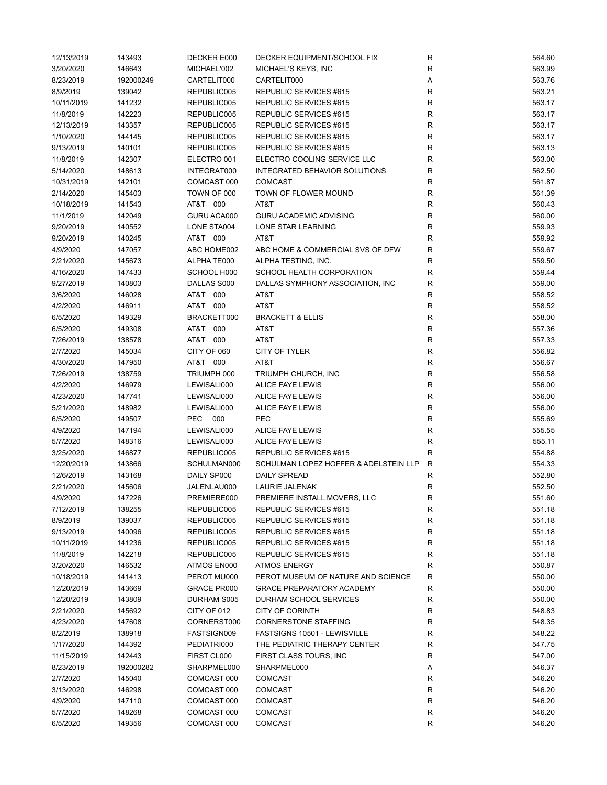| 12/13/2019 | 143493    | DECKER E000 | DECKER EQUIPMENT/SCHOOL FIX           | R            | 564.60 |
|------------|-----------|-------------|---------------------------------------|--------------|--------|
| 3/20/2020  | 146643    | MICHAEL'002 | MICHAEL'S KEYS, INC                   | R            | 563.99 |
| 8/23/2019  | 192000249 | CARTELIT000 | CARTELIT000                           | Α            | 563.76 |
| 8/9/2019   | 139042    | REPUBLIC005 | REPUBLIC SERVICES #615                | R            | 563.21 |
| 10/11/2019 | 141232    | REPUBLIC005 | REPUBLIC SERVICES #615                | $\mathsf R$  | 563.17 |
| 11/8/2019  | 142223    | REPUBLIC005 | REPUBLIC SERVICES #615                | ${\sf R}$    | 563.17 |
| 12/13/2019 | 143357    | REPUBLIC005 | REPUBLIC SERVICES #615                | $\mathsf R$  | 563.17 |
| 1/10/2020  | 144145    | REPUBLIC005 | REPUBLIC SERVICES #615                | $\mathsf R$  | 563.17 |
| 9/13/2019  | 140101    | REPUBLIC005 | REPUBLIC SERVICES #615                | R            | 563.13 |
| 11/8/2019  | 142307    | ELECTRO 001 | ELECTRO COOLING SERVICE LLC           | $\mathsf R$  | 563.00 |
| 5/14/2020  | 148613    | INTEGRAT000 | <b>INTEGRATED BEHAVIOR SOLUTIONS</b>  | R            | 562.50 |
| 10/31/2019 | 142101    | COMCAST 000 | <b>COMCAST</b>                        | R            | 561.87 |
| 2/14/2020  | 145403    | TOWN OF 000 | TOWN OF FLOWER MOUND                  | R            | 561.39 |
| 10/18/2019 | 141543    | AT&T 000    | AT&T                                  | R            | 560.43 |
| 11/1/2019  | 142049    | GURU ACA000 | <b>GURU ACADEMIC ADVISING</b>         | ${\sf R}$    | 560.00 |
| 9/20/2019  | 140552    | LONE STA004 | LONE STAR LEARNING                    | $\mathsf R$  | 559.93 |
| 9/20/2019  | 140245    | AT&T 000    | AT&T                                  | $\mathsf R$  | 559.92 |
|            |           |             | ABC HOME & COMMERCIAL SVS OF DFW      | $\mathsf R$  | 559.67 |
| 4/9/2020   | 147057    | ABC HOME002 |                                       |              |        |
| 2/21/2020  | 145673    | ALPHA TE000 | ALPHA TESTING, INC.                   | R            | 559.50 |
| 4/16/2020  | 147433    | SCHOOL H000 | SCHOOL HEALTH CORPORATION             | R            | 559.44 |
| 9/27/2019  | 140803    | DALLAS S000 | DALLAS SYMPHONY ASSOCIATION, INC      | $\mathsf R$  | 559.00 |
| 3/6/2020   | 146028    | AT&T 000    | AT&T                                  | $\mathsf R$  | 558.52 |
| 4/2/2020   | 146911    | AT&T 000    | AT&T                                  | R            | 558.52 |
| 6/5/2020   | 149329    | BRACKETT000 | <b>BRACKETT &amp; ELLIS</b>           | R            | 558.00 |
| 6/5/2020   | 149308    | AT&T 000    | AT&T                                  | $\mathsf R$  | 557.36 |
| 7/26/2019  | 138578    | AT&T 000    | AT&T                                  | $\mathsf{R}$ | 557.33 |
| 2/7/2020   | 145034    | CITY OF 060 | CITY OF TYLER                         | $\mathsf R$  | 556.82 |
| 4/30/2020  | 147950    | AT&T 000    | AT&T                                  | $\mathsf R$  | 556.67 |
| 7/26/2019  | 138759    | TRIUMPH 000 | TRIUMPH CHURCH, INC                   | R            | 556.58 |
| 4/2/2020   | 146979    | LEWISALI000 | ALICE FAYE LEWIS                      | $\mathsf R$  | 556.00 |
| 4/23/2020  | 147741    | LEWISALI000 | ALICE FAYE LEWIS                      | $\mathsf R$  | 556.00 |
| 5/21/2020  | 148982    | LEWISALI000 | ALICE FAYE LEWIS                      | $\mathsf R$  | 556.00 |
| 6/5/2020   | 149507    | PEC 000     | PEC                                   | R            | 555.69 |
| 4/9/2020   | 147194    | LEWISALI000 | ALICE FAYE LEWIS                      | R            | 555.55 |
| 5/7/2020   | 148316    | LEWISALI000 | ALICE FAYE LEWIS                      | $\mathsf R$  | 555.11 |
| 3/25/2020  | 146877    | REPUBLIC005 | REPUBLIC SERVICES #615                | $\mathsf R$  | 554.88 |
| 12/20/2019 | 143866    | SCHULMAN000 | SCHULMAN LOPEZ HOFFER & ADELSTEIN LLP | $\mathsf{R}$ | 554.33 |
| 12/6/2019  | 143168    | DAILY SP000 | <b>DAILY SPREAD</b>                   | R            | 552.80 |
| 2/21/2020  | 145606    | JALENLAU000 | LAURIE JALENAK                        | R            | 552.50 |
| 4/9/2020   | 147226    | PREMIERE000 | PREMIERE INSTALL MOVERS, LLC          | R            | 551.60 |
| 7/12/2019  | 138255    | REPUBLIC005 | REPUBLIC SERVICES #615                | R            | 551.18 |
| 8/9/2019   | 139037    | REPUBLIC005 | REPUBLIC SERVICES #615                | ${\sf R}$    | 551.18 |
| 9/13/2019  | 140096    | REPUBLIC005 | REPUBLIC SERVICES #615                | R            | 551.18 |
| 10/11/2019 | 141236    | REPUBLIC005 | REPUBLIC SERVICES #615                | R            | 551.18 |
| 11/8/2019  | 142218    | REPUBLIC005 | REPUBLIC SERVICES #615                | R            | 551.18 |
| 3/20/2020  | 146532    | ATMOS EN000 | <b>ATMOS ENERGY</b>                   | ${\sf R}$    | 550.87 |
| 10/18/2019 | 141413    | PEROT MU000 | PEROT MUSEUM OF NATURE AND SCIENCE    | ${\sf R}$    | 550.00 |
| 12/20/2019 | 143669    | GRACE PR000 | <b>GRACE PREPARATORY ACADEMY</b>      | R            | 550.00 |
| 12/20/2019 |           |             |                                       | R            | 550.00 |
|            | 143809    | DURHAM S005 | DURHAM SCHOOL SERVICES                |              |        |
| 2/21/2020  | 145692    | CITY OF 012 | <b>CITY OF CORINTH</b>                | R            | 548.83 |
| 4/23/2020  | 147608    | CORNERST000 | <b>CORNERSTONE STAFFING</b>           | R            | 548.35 |
| 8/2/2019   | 138918    | FASTSIGN009 | FASTSIGNS 10501 - LEWISVILLE          | R            | 548.22 |
| 1/17/2020  | 144392    | PEDIATRI000 | THE PEDIATRIC THERAPY CENTER          | R            | 547.75 |
| 11/15/2019 | 142443    | FIRST CL000 | FIRST CLASS TOURS, INC                | R            | 547.00 |
| 8/23/2019  | 192000282 | SHARPMEL000 | SHARPMEL000                           | Α            | 546.37 |
| 2/7/2020   | 145040    | COMCAST 000 | <b>COMCAST</b>                        | R            | 546.20 |
| 3/13/2020  | 146298    | COMCAST 000 | <b>COMCAST</b>                        | R            | 546.20 |
| 4/9/2020   | 147110    | COMCAST 000 | <b>COMCAST</b>                        | R            | 546.20 |
| 5/7/2020   | 148268    | COMCAST 000 | <b>COMCAST</b>                        | R            | 546.20 |
| 6/5/2020   | 149356    | COMCAST 000 | <b>COMCAST</b>                        | R            | 546.20 |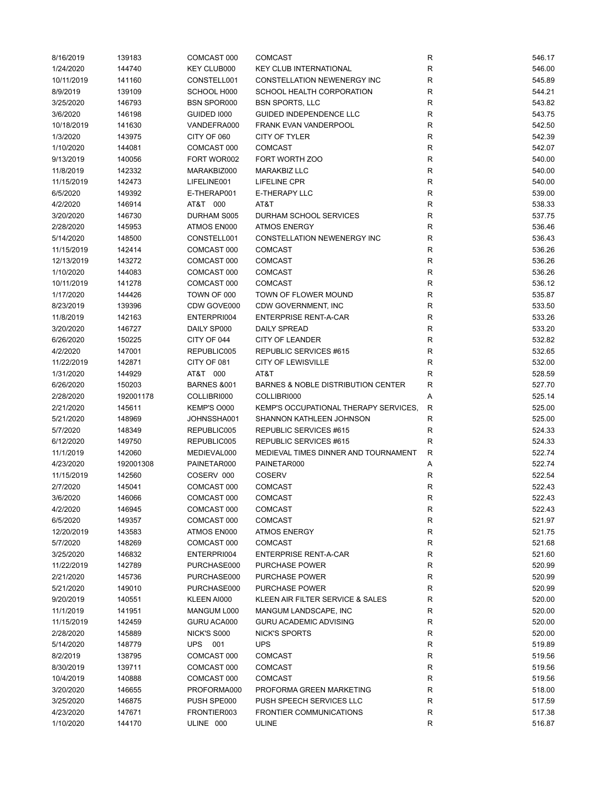| 8/16/2019  | 139183    | COMCAST 000            | <b>COMCAST</b>                        | R           | 546.17 |
|------------|-----------|------------------------|---------------------------------------|-------------|--------|
| 1/24/2020  | 144740    | <b>KEY CLUB000</b>     | <b>KEY CLUB INTERNATIONAL</b>         | ${\sf R}$   | 546.00 |
| 10/11/2019 | 141160    | CONSTELL001            | CONSTELLATION NEWENERGY INC           | $\mathsf R$ | 545.89 |
| 8/9/2019   | 139109    | SCHOOL H000            | SCHOOL HEALTH CORPORATION             | $\mathsf R$ | 544.21 |
| 3/25/2020  | 146793    | <b>BSN SPOR000</b>     | <b>BSN SPORTS, LLC</b>                | R           | 543.82 |
| 3/6/2020   | 146198    | GUIDED 1000            | GUIDED INDEPENDENCE LLC               | $\mathsf R$ | 543.75 |
| 10/18/2019 | 141630    | VANDEFRA000            | <b>FRANK EVAN VANDERPOOL</b>          | $\mathsf R$ | 542.50 |
| 1/3/2020   | 143975    | CITY OF 060            | CITY OF TYLER                         | ${\sf R}$   | 542.39 |
| 1/10/2020  | 144081    | COMCAST 000            | <b>COMCAST</b>                        | $\mathsf R$ | 542.07 |
| 9/13/2019  | 140056    | FORT WOR002            | FORT WORTH ZOO                        | R           | 540.00 |
| 11/8/2019  | 142332    | MARAKBIZ000            | <b>MARAKBIZ LLC</b>                   | $\mathsf R$ | 540.00 |
| 11/15/2019 | 142473    | LIFELINE001            | LIFELINE CPR                          | $\mathsf R$ | 540.00 |
| 6/5/2020   | 149392    | E-THERAP001            | <b>E-THERAPY LLC</b>                  | $\mathsf R$ | 539.00 |
| 4/2/2020   | 146914    | AT&T 000               | AT&T                                  | R           | 538.33 |
|            |           |                        |                                       |             |        |
| 3/20/2020  | 146730    | DURHAM S005            | DURHAM SCHOOL SERVICES                | R           | 537.75 |
| 2/28/2020  | 145953    | ATMOS EN000            | <b>ATMOS ENERGY</b>                   | $\mathsf R$ | 536.46 |
| 5/14/2020  | 148500    | CONSTELL001            | CONSTELLATION NEWENERGY INC           | $\mathsf R$ | 536.43 |
| 11/15/2019 | 142414    | COMCAST 000            | <b>COMCAST</b>                        | $\mathsf R$ | 536.26 |
| 12/13/2019 | 143272    | COMCAST 000            | <b>COMCAST</b>                        | R           | 536.26 |
| 1/10/2020  | 144083    | COMCAST 000            | <b>COMCAST</b>                        | $\mathsf R$ | 536.26 |
| 10/11/2019 | 141278    | COMCAST 000            | <b>COMCAST</b>                        | $\mathsf R$ | 536.12 |
| 1/17/2020  | 144426    | TOWN OF 000            | TOWN OF FLOWER MOUND                  | R           | 535.87 |
| 8/23/2019  | 139396    | CDW GOVE000            | CDW GOVERNMENT, INC                   | $\mathsf R$ | 533.50 |
| 11/8/2019  | 142163    | ENTERPRI004            | <b>ENTERPRISE RENT-A-CAR</b>          | R           | 533.26 |
| 3/20/2020  | 146727    | DAILY SP000            | <b>DAILY SPREAD</b>                   | $\mathsf R$ | 533.20 |
| 6/26/2020  | 150225    | CITY OF 044            | <b>CITY OF LEANDER</b>                | $\mathsf R$ | 532.82 |
| 4/2/2020   | 147001    | REPUBLIC005            | REPUBLIC SERVICES #615                | $\mathsf R$ | 532.65 |
| 11/22/2019 | 142871    | CITY OF 081            | <b>CITY OF LEWISVILLE</b>             | $\mathsf R$ | 532.00 |
| 1/31/2020  | 144929    | AT&T 000               | AT&T                                  | $\mathsf R$ | 528.59 |
| 6/26/2020  | 150203    | <b>BARNES &amp;001</b> | BARNES & NOBLE DISTRIBUTION CENTER    | $\mathsf R$ | 527.70 |
| 2/28/2020  | 192001178 | COLLIBRI000            | COLLIBRI000                           | Α           | 525.14 |
| 2/21/2020  | 145611    | KEMP'S O000            | KEMP'S OCCUPATIONAL THERAPY SERVICES, | R           | 525.00 |
| 5/21/2020  | 148969    | JOHNSSHA001            | SHANNON KATHLEEN JOHNSON              | $\mathsf R$ | 525.00 |
| 5/7/2020   | 148349    | REPUBLIC005            | REPUBLIC SERVICES #615                | R           | 524.33 |
| 6/12/2020  | 149750    | REPUBLIC005            | REPUBLIC SERVICES #615                | $\mathsf R$ | 524.33 |
| 11/1/2019  | 142060    | MEDIEVAL000            | MEDIEVAL TIMES DINNER AND TOURNAMENT  | R           | 522.74 |
| 4/23/2020  | 192001308 | PAINETAR000            | PAINETAR000                           | Α           | 522.74 |
| 11/15/2019 | 142560    | COSERV 000             | <b>COSERV</b>                         | R           | 522.54 |
| 2/7/2020   | 145041    | COMCAST 000            | <b>COMCAST</b>                        | R           | 522.43 |
| 3/6/2020   | 146066    | COMCAST 000            | COMCAST                               | R           | 522.43 |
| 4/2/2020   | 146945    | COMCAST 000            | <b>COMCAST</b>                        | R           | 522.43 |
| 6/5/2020   | 149357    | COMCAST 000            | <b>COMCAST</b>                        | ${\sf R}$   | 521.97 |
| 12/20/2019 | 143583    | ATMOS EN000            | <b>ATMOS ENERGY</b>                   | ${\sf R}$   | 521.75 |
| 5/7/2020   |           | COMCAST 000            | <b>COMCAST</b>                        |             | 521.68 |
|            | 148269    |                        |                                       | R           |        |
| 3/25/2020  | 146832    | ENTERPRI004            | <b>ENTERPRISE RENT-A-CAR</b>          | R           | 521.60 |
| 11/22/2019 | 142789    | PURCHASE000            | PURCHASE POWER                        | R           | 520.99 |
| 2/21/2020  | 145736    | PURCHASE000            | PURCHASE POWER                        | ${\sf R}$   | 520.99 |
| 5/21/2020  | 149010    | PURCHASE000            | <b>PURCHASE POWER</b>                 | ${\sf R}$   | 520.99 |
| 9/20/2019  | 140551    | KLEEN AI000            | KLEEN AIR FILTER SERVICE & SALES      | R           | 520.00 |
| 11/1/2019  | 141951    | MANGUM L000            | MANGUM LANDSCAPE, INC                 | R           | 520.00 |
| 11/15/2019 | 142459    | GURU ACA000            | GURU ACADEMIC ADVISING                | R           | 520.00 |
| 2/28/2020  | 145889    | NICK'S S000            | <b>NICK'S SPORTS</b>                  | ${\sf R}$   | 520.00 |
| 5/14/2020  | 148779    | UPS 001                | <b>UPS</b>                            | R           | 519.89 |
| 8/2/2019   | 138795    | COMCAST 000            | <b>COMCAST</b>                        | R           | 519.56 |
| 8/30/2019  | 139711    | COMCAST 000            | <b>COMCAST</b>                        | R           | 519.56 |
| 10/4/2019  | 140888    | COMCAST 000            | <b>COMCAST</b>                        | R           | 519.56 |
| 3/20/2020  | 146655    | PROFORMA000            | PROFORMA GREEN MARKETING              | ${\sf R}$   | 518.00 |
| 3/25/2020  | 146875    | PUSH SPE000            | PUSH SPEECH SERVICES LLC              | R           | 517.59 |
| 4/23/2020  | 147671    | FRONTIER003            | <b>FRONTIER COMMUNICATIONS</b>        | R           | 517.38 |
| 1/10/2020  | 144170    | ULINE 000              | <b>ULINE</b>                          | R           | 516.87 |
|            |           |                        |                                       |             |        |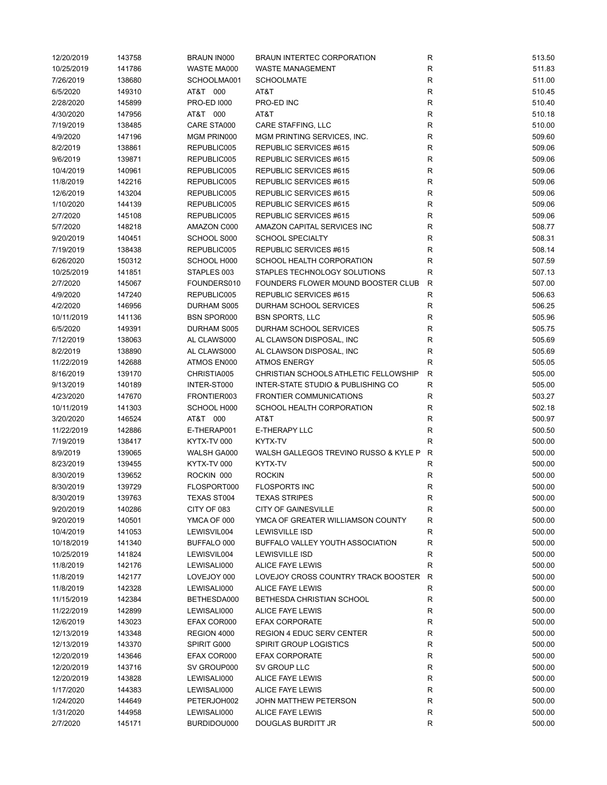| 12/20/2019 | 143758 | <b>BRAUN IN000</b> | BRAUN INTERTEC CORPORATION            | R            | 513.50 |
|------------|--------|--------------------|---------------------------------------|--------------|--------|
| 10/25/2019 | 141786 | WASTE MA000        | <b>WASTE MANAGEMENT</b>               | $\mathsf{R}$ | 511.83 |
| 7/26/2019  | 138680 | SCHOOLMA001        | <b>SCHOOLMATE</b>                     | R            | 511.00 |
| 6/5/2020   | 149310 | AT&T 000           | AT&T                                  | R            | 510.45 |
| 2/28/2020  | 145899 | <b>PRO-ED 1000</b> | PRO-ED INC                            | R            | 510.40 |
| 4/30/2020  | 147956 | AT&T 000           | AT&T                                  | $\mathsf{R}$ | 510.18 |
| 7/19/2019  | 138485 | CARE STA000        | CARE STAFFING, LLC                    | $\mathsf{R}$ | 510.00 |
| 4/9/2020   | 147196 | MGM PRIN000        | MGM PRINTING SERVICES, INC.           | $\mathsf{R}$ | 509.60 |
| 8/2/2019   | 138861 | REPUBLIC005        | REPUBLIC SERVICES #615                | $\mathsf{R}$ | 509.06 |
| 9/6/2019   | 139871 | REPUBLIC005        | REPUBLIC SERVICES #615                | R            | 509.06 |
| 10/4/2019  | 140961 | REPUBLIC005        | REPUBLIC SERVICES #615                | $\mathsf{R}$ | 509.06 |
| 11/8/2019  | 142216 | REPUBLIC005        | REPUBLIC SERVICES #615                | R            | 509.06 |
| 12/6/2019  | 143204 | REPUBLIC005        | REPUBLIC SERVICES #615                | $\mathsf{R}$ | 509.06 |
| 1/10/2020  | 144139 | REPUBLIC005        | REPUBLIC SERVICES #615                | R            | 509.06 |
| 2/7/2020   | 145108 | REPUBLIC005        | REPUBLIC SERVICES #615                | R            | 509.06 |
| 5/7/2020   | 148218 | AMAZON C000        | AMAZON CAPITAL SERVICES INC           | $\mathsf{R}$ | 508.77 |
|            |        |                    |                                       | $\mathsf{R}$ |        |
| 9/20/2019  | 140451 | SCHOOL S000        | <b>SCHOOL SPECIALTY</b>               |              | 508.31 |
| 7/19/2019  | 138438 | REPUBLIC005        | REPUBLIC SERVICES #615                | $\mathsf{R}$ | 508.14 |
| 6/26/2020  | 150312 | SCHOOL H000        | SCHOOL HEALTH CORPORATION             | $\mathsf{R}$ | 507.59 |
| 10/25/2019 | 141851 | STAPLES 003        | STAPLES TECHNOLOGY SOLUTIONS          | $\mathsf{R}$ | 507.13 |
| 2/7/2020   | 145067 | FOUNDERS010        | FOUNDERS FLOWER MOUND BOOSTER CLUB    | $\mathsf{R}$ | 507.00 |
| 4/9/2020   | 147240 | REPUBLIC005        | REPUBLIC SERVICES #615                | $\mathsf{R}$ | 506.63 |
| 4/2/2020   | 146956 | DURHAM S005        | DURHAM SCHOOL SERVICES                | $\mathsf{R}$ | 506.25 |
| 10/11/2019 | 141136 | <b>BSN SPOR000</b> | <b>BSN SPORTS, LLC</b>                | R            | 505.96 |
| 6/5/2020   | 149391 | DURHAM S005        | DURHAM SCHOOL SERVICES                | $\mathsf{R}$ | 505.75 |
| 7/12/2019  | 138063 | AL CLAWS000        | AL CLAWSON DISPOSAL, INC              | $\mathsf{R}$ | 505.69 |
| 8/2/2019   | 138890 | AL CLAWS000        | AL CLAWSON DISPOSAL, INC              | $\mathsf{R}$ | 505.69 |
| 11/22/2019 | 142688 | ATMOS EN000        | <b>ATMOS ENERGY</b>                   | $\mathsf{R}$ | 505.05 |
| 8/16/2019  | 139170 | CHRISTIA005        | CHRISTIAN SCHOOLS ATHLETIC FELLOWSHIP | $\mathsf{R}$ | 505.00 |
| 9/13/2019  | 140189 | INTER-ST000        | INTER-STATE STUDIO & PUBLISHING CO    | $\mathsf{R}$ | 505.00 |
| 4/23/2020  | 147670 | FRONTIER003        | <b>FRONTIER COMMUNICATIONS</b>        | R            | 503.27 |
| 10/11/2019 | 141303 | SCHOOL H000        | SCHOOL HEALTH CORPORATION             | R            | 502.18 |
| 3/20/2020  | 146524 | AT&T 000           | AT&T                                  | R            | 500.97 |
| 11/22/2019 | 142886 | E-THERAP001        | <b>E-THERAPY LLC</b>                  | R            | 500.50 |
| 7/19/2019  | 138417 | KYTX-TV 000        | KYTX-TV                               | $\mathsf{R}$ | 500.00 |
| 8/9/2019   | 139065 | WALSH GA000        | WALSH GALLEGOS TREVINO RUSSO & KYLE P | R            | 500.00 |
| 8/23/2019  | 139455 | KYTX-TV 000        | KYTX-TV                               | R            | 500.00 |
| 8/30/2019  | 139652 | ROCKIN 000         | <b>ROCKIN</b>                         | $\mathsf{R}$ | 500.00 |
| 8/30/2019  | 139729 | FLOSPORT000        | <b>FLOSPORTS INC</b>                  | R            | 500.00 |
| 8/30/2019  | 139763 | TEXAS ST004        | <b>TEXAS STRIPES</b>                  | R            | 500.00 |
| 9/20/2019  | 140286 | CITY OF 083        | <b>CITY OF GAINESVILLE</b>            | R            | 500.00 |
| 9/20/2019  | 140501 | YMCA OF 000        | YMCA OF GREATER WILLIAMSON COUNTY     | R            | 500.00 |
| 10/4/2019  | 141053 | LEWISVIL004        | <b>LEWISVILLE ISD</b>                 | $\mathsf{R}$ | 500.00 |
| 10/18/2019 | 141340 | BUFFALO 000        | BUFFALO VALLEY YOUTH ASSOCIATION      | R            | 500.00 |
|            |        |                    | <b>LEWISVILLE ISD</b>                 |              |        |
| 10/25/2019 | 141824 | LEWISVIL004        |                                       | R            | 500.00 |
| 11/8/2019  | 142176 | LEWISALI000        | <b>ALICE FAYE LEWIS</b>               | R            | 500.00 |
| 11/8/2019  | 142177 | LOVEJOY 000        | LOVEJOY CROSS COUNTRY TRACK BOOSTER   | $\mathsf{R}$ | 500.00 |
| 11/8/2019  | 142328 | LEWISALI000        | <b>ALICE FAYE LEWIS</b>               | $\mathsf{R}$ | 500.00 |
| 11/15/2019 | 142384 | BETHESDA000        | BETHESDA CHRISTIAN SCHOOL             | R            | 500.00 |
| 11/22/2019 | 142899 | LEWISALI000        | <b>ALICE FAYE LEWIS</b>               | R            | 500.00 |
| 12/6/2019  | 143023 | EFAX COR000        | <b>EFAX CORPORATE</b>                 | R            | 500.00 |
| 12/13/2019 | 143348 | REGION 4000        | REGION 4 EDUC SERV CENTER             | $\mathsf{R}$ | 500.00 |
| 12/13/2019 | 143370 | SPIRIT G000        | <b>SPIRIT GROUP LOGISTICS</b>         | R            | 500.00 |
| 12/20/2019 | 143646 | EFAX COR000        | <b>EFAX CORPORATE</b>                 | R            | 500.00 |
| 12/20/2019 | 143716 | SV GROUP000        | SV GROUP LLC                          | R            | 500.00 |
| 12/20/2019 | 143828 | LEWISALI000        | <b>ALICE FAYE LEWIS</b>               | R            | 500.00 |
| 1/17/2020  | 144383 | LEWISALI000        | ALICE FAYE LEWIS                      | $\mathsf{R}$ | 500.00 |
| 1/24/2020  | 144649 | PETERJOH002        | JOHN MATTHEW PETERSON                 | R            | 500.00 |
| 1/31/2020  | 144958 | LEWISALI000        | ALICE FAYE LEWIS                      | R            | 500.00 |
| 2/7/2020   | 145171 | BURDIDOU000        | DOUGLAS BURDITT JR                    | R            | 500.00 |
|            |        |                    |                                       |              |        |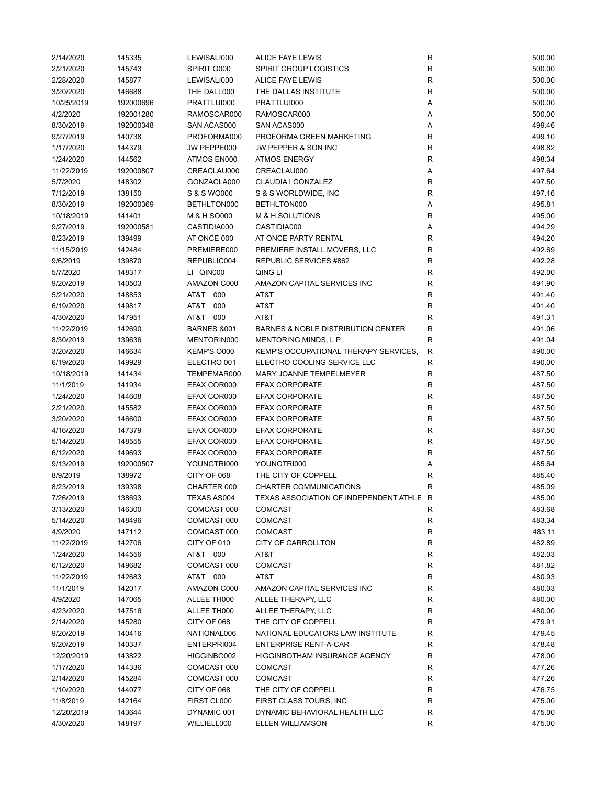| 2/14/2020  | 145335    | LEWISALI000            | ALICE FAYE LEWIS                              | ${\sf R}$    | 500.00 |
|------------|-----------|------------------------|-----------------------------------------------|--------------|--------|
| 2/21/2020  | 145743    | SPIRIT G000            | <b>SPIRIT GROUP LOGISTICS</b>                 | R            | 500.00 |
| 2/28/2020  | 145877    | LEWISALI000            | <b>ALICE FAYE LEWIS</b>                       | R            | 500.00 |
| 3/20/2020  | 146688    | THE DALL000            | THE DALLAS INSTITUTE                          | R            | 500.00 |
| 10/25/2019 | 192000696 | PRATTLUI000            | PRATTLUI000                                   | Α            | 500.00 |
| 4/2/2020   | 192001280 | RAMOSCAR000            | RAMOSCAR000                                   | Α            | 500.00 |
| 8/30/2019  | 192000348 | SAN ACAS000            | SAN ACAS000                                   | Α            | 499.46 |
| 9/27/2019  | 140738    | PROFORMA000            | PROFORMA GREEN MARKETING                      | R            | 499.10 |
| 1/17/2020  | 144379    | JW PEPPE000            | JW PEPPER & SON INC                           | R            | 498.82 |
| 1/24/2020  | 144562    | ATMOS EN000            | <b>ATMOS ENERGY</b>                           | R            | 498.34 |
| 11/22/2019 | 192000807 | CREACLAU000            | CREACLAU000                                   | Α            | 497.64 |
| 5/7/2020   | 148302    | GONZACLA000            | CLAUDIA I GONZALEZ                            | R            | 497.50 |
| 7/12/2019  | 138150    | S & S WO000            | S & S WORLDWIDE, INC                          | R            | 497.16 |
| 8/30/2019  | 192000369 | BETHLTON000            | BETHLTON000                                   | Α            | 495.81 |
| 10/18/2019 | 141401    | M & H SO000            | <b>M &amp; H SOLUTIONS</b>                    | R            | 495.00 |
| 9/27/2019  | 192000581 | CASTIDIA000            | CASTIDIA000                                   | Α            | 494.29 |
| 8/23/2019  | 139499    | AT ONCE 000            | AT ONCE PARTY RENTAL                          | R            | 494.20 |
| 11/15/2019 | 142484    | PREMIERE000            | PREMIERE INSTALL MOVERS, LLC                  | R            | 492.69 |
| 9/6/2019   | 139870    | REPUBLIC004            | REPUBLIC SERVICES #862                        | R            | 492.28 |
| 5/7/2020   | 148317    | LI QIN000              | QING LI                                       | R            | 492.00 |
|            |           | AMAZON C000            |                                               | R            |        |
| 9/20/2019  | 140503    |                        | AMAZON CAPITAL SERVICES INC                   |              | 491.90 |
| 5/21/2020  | 148853    | AT&T 000               | AT&T                                          | R            | 491.40 |
| 6/19/2020  | 149817    | AT&T<br>000            | AT&T                                          | R            | 491.40 |
| 4/30/2020  | 147951    | AT&T 000               | AT&T                                          | R            | 491.31 |
| 11/22/2019 | 142690    | <b>BARNES &amp;001</b> | <b>BARNES &amp; NOBLE DISTRIBUTION CENTER</b> | R            | 491.06 |
| 8/30/2019  | 139636    | MENTORIN000            | <b>MENTORING MINDS, L P</b>                   | $\mathsf{R}$ | 491.04 |
| 3/20/2020  | 146634    | KEMP'S O000            | KEMP'S OCCUPATIONAL THERAPY SERVICES,         | $\mathsf{R}$ | 490.00 |
| 6/19/2020  | 149929    | ELECTRO 001            | ELECTRO COOLING SERVICE LLC                   | ${\sf R}$    | 490.00 |
| 10/18/2019 | 141434    | TEMPEMAR000            | MARY JOANNE TEMPELMEYER                       | R            | 487.50 |
| 11/1/2019  | 141934    | EFAX COR000            | <b>EFAX CORPORATE</b>                         | R            | 487.50 |
| 1/24/2020  | 144608    | EFAX COR000            | <b>EFAX CORPORATE</b>                         | R            | 487.50 |
| 2/21/2020  | 145582    | EFAX COR000            | <b>EFAX CORPORATE</b>                         | R            | 487.50 |
| 3/20/2020  | 146600    | EFAX COR000            | <b>EFAX CORPORATE</b>                         | R            | 487.50 |
| 4/16/2020  | 147379    | EFAX COR000            | <b>EFAX CORPORATE</b>                         | R            | 487.50 |
| 5/14/2020  | 148555    | EFAX COR000            | <b>EFAX CORPORATE</b>                         | R            | 487.50 |
| 6/12/2020  | 149693    | EFAX COR000            | <b>EFAX CORPORATE</b>                         | R            | 487.50 |
| 9/13/2019  | 192000507 | YOUNGTRI000            | YOUNGTRI000                                   | Α            | 485.64 |
| 8/9/2019   | 138972    | CITY OF 068            | THE CITY OF COPPELL                           | R            | 485.40 |
| 8/23/2019  | 139398    | CHARTER 000            | CHARTER COMMUNICATIONS                        | R            | 485.09 |
| 7/26/2019  | 138693    | TEXAS AS004            | TEXAS ASSOCIATION OF INDEPENDENT ATHLE R      |              | 485.00 |
| 3/13/2020  | 146300    | COMCAST 000            | <b>COMCAST</b>                                | R            | 483.68 |
| 5/14/2020  | 148496    | COMCAST 000            | <b>COMCAST</b>                                | R            | 483.34 |
| 4/9/2020   | 147112    | COMCAST 000            | <b>COMCAST</b>                                | ${\sf R}$    | 483.11 |
| 11/22/2019 | 142706    | CITY OF 010            | CITY OF CARROLLTON                            | R            | 482.89 |
| 1/24/2020  | 144556    | AT&T 000               | AT&T                                          | R            | 482.03 |
| 6/12/2020  | 149682    | COMCAST 000            | <b>COMCAST</b>                                | ${\sf R}$    | 481.82 |
| 11/22/2019 | 142683    | AT&T 000               | AT&T                                          | $\mathsf R$  | 480.93 |
| 11/1/2019  | 142017    | AMAZON C000            | AMAZON CAPITAL SERVICES INC                   | ${\sf R}$    | 480.03 |
| 4/9/2020   | 147065    | ALLEE TH000            | ALLEE THERAPY, LLC                            | R            | 480.00 |
| 4/23/2020  | 147516    | ALLEE TH000            | ALLEE THERAPY, LLC                            | R            | 480.00 |
| 2/14/2020  | 145280    | CITY OF 068            | THE CITY OF COPPELL                           | R            | 479.91 |
| 9/20/2019  | 140416    | NATIONAL006            | NATIONAL EDUCATORS LAW INSTITUTE              | R            | 479.45 |
| 9/20/2019  | 140337    | ENTERPRI004            | <b>ENTERPRISE RENT-A-CAR</b>                  | R            | 478.48 |
| 12/20/2019 | 143822    | HIGGINBO002            | <b>HIGGINBOTHAM INSURANCE AGENCY</b>          | R            | 478.00 |
| 1/17/2020  | 144336    | COMCAST 000            | <b>COMCAST</b>                                | R            | 477.26 |
| 2/14/2020  | 145284    | COMCAST 000            | <b>COMCAST</b>                                | R            | 477.26 |
| 1/10/2020  | 144077    | CITY OF 068            | THE CITY OF COPPELL                           | R            | 476.75 |
| 11/8/2019  | 142164    | FIRST CL000            | FIRST CLASS TOURS, INC                        | $\mathsf R$  | 475.00 |
| 12/20/2019 | 143644    | DYNAMIC 001            | DYNAMIC BEHAVIORAL HEALTH LLC                 | R            | 475.00 |
| 4/30/2020  | 148197    | WILLIELL000            | ELLEN WILLIAMSON                              | ${\sf R}$    | 475.00 |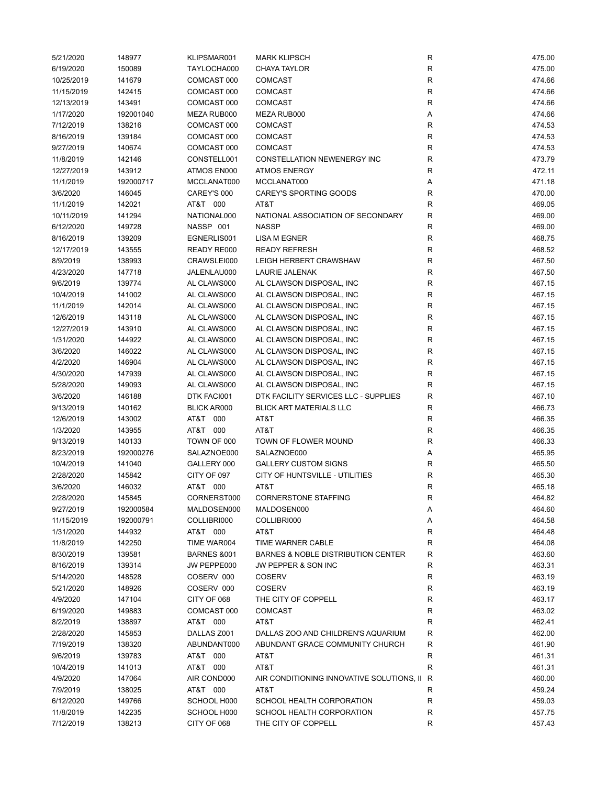| 5/21/2020  | 148977    | KLIPSMAR001            | <b>MARK KLIPSCH</b>                           | R           | 475.00 |
|------------|-----------|------------------------|-----------------------------------------------|-------------|--------|
| 6/19/2020  | 150089    | TAYLOCHA000            | <b>CHAYA TAYLOR</b>                           | ${\sf R}$   | 475.00 |
| 10/25/2019 | 141679    | COMCAST 000            | <b>COMCAST</b>                                | R           | 474.66 |
| 11/15/2019 | 142415    | COMCAST 000            | <b>COMCAST</b>                                | R           | 474.66 |
| 12/13/2019 | 143491    | COMCAST 000            | <b>COMCAST</b>                                | $\mathsf R$ | 474.66 |
| 1/17/2020  | 192001040 | MEZA RUB000            | MEZA RUB000                                   | Α           | 474.66 |
| 7/12/2019  | 138216    | COMCAST 000            | <b>COMCAST</b>                                | ${\sf R}$   | 474.53 |
| 8/16/2019  | 139184    | COMCAST 000            | <b>COMCAST</b>                                | ${\sf R}$   | 474.53 |
| 9/27/2019  | 140674    | COMCAST 000            | <b>COMCAST</b>                                | ${\sf R}$   | 474.53 |
| 11/8/2019  | 142146    | CONSTELL001            | CONSTELLATION NEWENERGY INC                   | R           | 473.79 |
| 12/27/2019 | 143912    | ATMOS EN000            | <b>ATMOS ENERGY</b>                           | R           | 472.11 |
|            |           |                        |                                               |             |        |
| 11/1/2019  | 192000717 | MCCLANAT000            | MCCLANAT000                                   | Α           | 471.18 |
| 3/6/2020   | 146045    | CAREY'S 000            | <b>CAREY'S SPORTING GOODS</b>                 | R           | 470.00 |
| 11/1/2019  | 142021    | AT&T 000               | AT&T                                          | $\mathsf R$ | 469.05 |
| 10/11/2019 | 141294    | NATIONAL000            | NATIONAL ASSOCIATION OF SECONDARY             | R           | 469.00 |
| 6/12/2020  | 149728    | NASSP 001              | <b>NASSP</b>                                  | R           | 469.00 |
| 8/16/2019  | 139209    | EGNERLIS001            | <b>LISA M EGNER</b>                           | $\mathsf R$ | 468.75 |
| 12/17/2019 | 143555    | READY RE000            | <b>READY REFRESH</b>                          | ${\sf R}$   | 468.52 |
| 8/9/2019   | 138993    | CRAWSLEI000            | LEIGH HERBERT CRAWSHAW                        | ${\sf R}$   | 467.50 |
| 4/23/2020  | 147718    | JALENLAU000            | <b>LAURIE JALENAK</b>                         | $\mathsf R$ | 467.50 |
| 9/6/2019   | 139774    | AL CLAWS000            | AL CLAWSON DISPOSAL, INC                      | $\mathsf R$ | 467.15 |
| 10/4/2019  | 141002    | AL CLAWS000            | AL CLAWSON DISPOSAL, INC                      | R           | 467.15 |
| 11/1/2019  | 142014    | AL CLAWS000            | AL CLAWSON DISPOSAL, INC                      | ${\sf R}$   | 467.15 |
| 12/6/2019  | 143118    | AL CLAWS000            | AL CLAWSON DISPOSAL, INC                      | ${\sf R}$   | 467.15 |
| 12/27/2019 | 143910    | AL CLAWS000            | AL CLAWSON DISPOSAL, INC                      | R           | 467.15 |
| 1/31/2020  | 144922    | AL CLAWS000            | AL CLAWSON DISPOSAL, INC                      | R           | 467.15 |
| 3/6/2020   | 146022    | AL CLAWS000            | AL CLAWSON DISPOSAL, INC                      | ${\sf R}$   | 467.15 |
| 4/2/2020   | 146904    | AL CLAWS000            | AL CLAWSON DISPOSAL, INC                      | $\mathsf R$ | 467.15 |
| 4/30/2020  | 147939    | AL CLAWS000            | AL CLAWSON DISPOSAL, INC                      | $\mathsf R$ | 467.15 |
| 5/28/2020  | 149093    | AL CLAWS000            | AL CLAWSON DISPOSAL, INC                      | R           | 467.15 |
| 3/6/2020   | 146188    | DTK FACI001            | DTK FACILITY SERVICES LLC - SUPPLIES          | R           | 467.10 |
|            |           |                        |                                               |             |        |
| 9/13/2019  | 140162    | <b>BLICK AR000</b>     | <b>BLICK ART MATERIALS LLC</b>                | $\mathsf R$ | 466.73 |
| 12/6/2019  | 143002    | AT&T 000               | AT&T                                          | $\mathsf R$ | 466.35 |
| 1/3/2020   | 143955    | AT&T 000               | AT&T                                          | $\mathsf R$ | 466.35 |
| 9/13/2019  | 140133    | TOWN OF 000            | TOWN OF FLOWER MOUND                          | R           | 466.33 |
| 8/23/2019  | 192000276 | SALAZNOE000            | SALAZNOE000                                   | Α           | 465.95 |
| 10/4/2019  | 141040    | GALLERY 000            | <b>GALLERY CUSTOM SIGNS</b>                   | R           | 465.50 |
| 2/28/2020  | 145842    | CITY OF 097            | CITY OF HUNTSVILLE - UTILITIES                | R           | 465.30 |
| 3/6/2020   | 146032    | AT&T 000               | AT&T                                          | R           | 465.18 |
| 2/28/2020  | 145845    | CORNERST000            | <b>CORNERSTONE STAFFING</b>                   | R           | 464.82 |
| 9/27/2019  | 192000584 | MALDOSEN000            | MALDOSEN000                                   | Α           | 464.60 |
| 11/15/2019 | 192000791 | COLLIBRI000            | COLLIBRI000                                   | Α           | 464.58 |
| 1/31/2020  | 144932    | AT&T 000               | AT&T                                          | R           | 464.48 |
| 11/8/2019  | 142250    | TIME WAR004            | TIME WARNER CABLE                             | R           | 464.08 |
| 8/30/2019  | 139581    | <b>BARNES &amp;001</b> | <b>BARNES &amp; NOBLE DISTRIBUTION CENTER</b> | R           | 463.60 |
| 8/16/2019  | 139314    | JW PEPPE000            | JW PEPPER & SON INC                           | R           | 463.31 |
| 5/14/2020  | 148528    | COSERV 000             | <b>COSERV</b>                                 | R           | 463.19 |
| 5/21/2020  | 148926    | COSERV 000             | <b>COSERV</b>                                 | R           | 463.19 |
| 4/9/2020   | 147104    | CITY OF 068            | THE CITY OF COPPELL                           | R           | 463.17 |
| 6/19/2020  | 149883    | COMCAST 000            | <b>COMCAST</b>                                | R           | 463.02 |
| 8/2/2019   | 138897    | AT&T 000               | AT&T                                          | R           | 462.41 |
| 2/28/2020  | 145853    | DALLAS Z001            | DALLAS ZOO AND CHILDREN'S AQUARIUM            | R           | 462.00 |
| 7/19/2019  | 138320    | ABUNDANT000            | ABUNDANT GRACE COMMUNITY CHURCH               | R           | 461.90 |
| 9/6/2019   | 139783    | AT&T 000               | AT&T                                          | R           | 461.31 |
|            |           |                        |                                               |             |        |
| 10/4/2019  | 141013    | AT&T 000               | AT&T                                          | R           | 461.31 |
| 4/9/2020   | 147064    | AIR COND000            | AIR CONDITIONING INNOVATIVE SOLUTIONS, II     | R           | 460.00 |
| 7/9/2019   | 138025    | AT&T 000               | AT&T                                          | R           | 459.24 |
| 6/12/2020  | 149766    | SCHOOL H000            | SCHOOL HEALTH CORPORATION                     | ${\sf R}$   | 459.03 |
| 11/8/2019  | 142235    | SCHOOL H000            | SCHOOL HEALTH CORPORATION                     | R           | 457.75 |
| 7/12/2019  | 138213    | CITY OF 068            | THE CITY OF COPPELL                           | R           | 457.43 |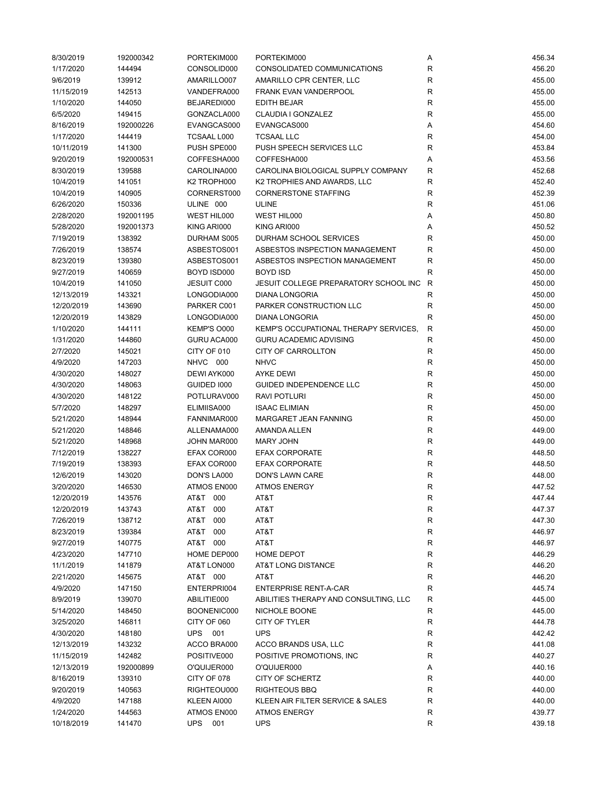| 8/30/2019  | 192000342 | PORTEKIM000        | PORTEKIM000                           | Α            | 456.34 |
|------------|-----------|--------------------|---------------------------------------|--------------|--------|
| 1/17/2020  | 144494    | CONSOLID000        | CONSOLIDATED COMMUNICATIONS           | R            | 456.20 |
| 9/6/2019   | 139912    | AMARILLO007        | AMARILLO CPR CENTER, LLC              | R            | 455.00 |
| 11/15/2019 | 142513    | VANDEFRA000        | FRANK EVAN VANDERPOOL                 | $\mathsf{R}$ | 455.00 |
| 1/10/2020  | 144050    | BEJAREDI000        | <b>EDITH BEJAR</b>                    | R            | 455.00 |
| 6/5/2020   | 149415    | GONZACLA000        | <b>CLAUDIA I GONZALEZ</b>             | $\mathsf{R}$ | 455.00 |
| 8/16/2019  | 192000226 | EVANGCAS000        | EVANGCAS000                           | Α            | 454.60 |
| 1/17/2020  | 144419    | TCSAAL L000        | <b>TCSAAL LLC</b>                     | $\mathsf{R}$ | 454.00 |
| 10/11/2019 | 141300    | PUSH SPE000        | PUSH SPEECH SERVICES LLC              | R            | 453.84 |
| 9/20/2019  | 192000531 | COFFESHA000        | COFFESHA000                           | Α            | 453.56 |
| 8/30/2019  | 139588    | CAROLINA000        | CAROLINA BIOLOGICAL SUPPLY COMPANY    | R            | 452.68 |
| 10/4/2019  | 141051    | K2 TROPH000        | K2 TROPHIES AND AWARDS, LLC           | R            | 452.40 |
| 10/4/2019  | 140905    | CORNERST000        | <b>CORNERSTONE STAFFING</b>           | R            | 452.39 |
| 6/26/2020  | 150336    | ULINE 000          | <b>ULINE</b>                          | R            | 451.06 |
| 2/28/2020  | 192001195 | WEST HIL000        | WEST HIL000                           |              | 450.80 |
|            |           |                    |                                       | Α            |        |
| 5/28/2020  | 192001373 | KING ARI000        | KING ARI000                           | Α            | 450.52 |
| 7/19/2019  | 138392    | DURHAM S005        | DURHAM SCHOOL SERVICES                | R            | 450.00 |
| 7/26/2019  | 138574    | ASBESTOS001        | ASBESTOS INSPECTION MANAGEMENT        | R            | 450.00 |
| 8/23/2019  | 139380    | ASBESTOS001        | ASBESTOS INSPECTION MANAGEMENT        | R            | 450.00 |
| 9/27/2019  | 140659    | BOYD ISD000        | <b>BOYD ISD</b>                       | R            | 450.00 |
| 10/4/2019  | 141050    | <b>JESUIT C000</b> | JESUIT COLLEGE PREPARATORY SCHOOL INC | $\mathsf R$  | 450.00 |
| 12/13/2019 | 143321    | LONGODIA000        | <b>DIANA LONGORIA</b>                 | $\mathsf{R}$ | 450.00 |
| 12/20/2019 | 143690    | PARKER C001        | PARKER CONSTRUCTION LLC               | R            | 450.00 |
| 12/20/2019 | 143829    | LONGODIA000        | <b>DIANA LONGORIA</b>                 | $\mathsf{R}$ | 450.00 |
| 1/10/2020  | 144111    | KEMP'S O000        | KEMP'S OCCUPATIONAL THERAPY SERVICES, | R            | 450.00 |
| 1/31/2020  | 144860    | GURU ACA000        | <b>GURU ACADEMIC ADVISING</b>         | R            | 450.00 |
| 2/7/2020   | 145021    | CITY OF 010        | <b>CITY OF CARROLLTON</b>             | $\mathsf{R}$ | 450.00 |
| 4/9/2020   | 147203    | NHVC 000           | <b>NHVC</b>                           | ${\sf R}$    | 450.00 |
| 4/30/2020  | 148027    | DEWI AYK000        | <b>AYKE DEWI</b>                      | $\mathsf{R}$ | 450.00 |
| 4/30/2020  | 148063    | GUIDED 1000        | GUIDED INDEPENDENCE LLC               | R            | 450.00 |
| 4/30/2020  | 148122    | POTLURAV000        | RAVI POTLURI                          | $\mathsf{R}$ | 450.00 |
| 5/7/2020   | 148297    | ELIMIISA000        | <b>ISAAC ELIMIAN</b>                  | $\mathsf{R}$ | 450.00 |
| 5/21/2020  | 148944    | FANNIMAR000        | MARGARET JEAN FANNING                 | $\mathsf{R}$ | 450.00 |
| 5/21/2020  | 148846    | ALLENAMA000        | AMANDA ALLEN                          | R            | 449.00 |
| 5/21/2020  | 148968    | JOHN MAR000        | <b>MARY JOHN</b>                      | R            | 449.00 |
| 7/12/2019  | 138227    | EFAX COR000        | <b>EFAX CORPORATE</b>                 | $\mathsf{R}$ | 448.50 |
| 7/19/2019  | 138393    | EFAX COR000        | <b>EFAX CORPORATE</b>                 | $\mathsf{R}$ | 448.50 |
| 12/6/2019  | 143020    | DON'S LA000        | DON'S LAWN CARE                       | $\mathsf{R}$ | 448.00 |
| 3/20/2020  | 146530    | ATMOS EN000        | <b>ATMOS ENERGY</b>                   | $\mathsf{R}$ | 447.52 |
| 12/20/2019 | 143576    | AT&T 000           | AT&T                                  | R            | 447.44 |
|            |           |                    |                                       |              | 447.37 |
| 12/20/2019 | 143743    | AT&T<br>000        | AT&T                                  | R            |        |
| 7/26/2019  | 138712    | AT&T<br>000        | AT&T                                  | $\mathsf{R}$ | 447.30 |
| 8/23/2019  | 139384    | AT&T<br>000        | AT&T                                  | $\mathsf{R}$ | 446.97 |
| 9/27/2019  | 140775    | AT&T 000           | AT&T                                  | R            | 446.97 |
| 4/23/2020  | 147710    | HOME DEP000        | <b>HOME DEPOT</b>                     | R            | 446.29 |
| 11/1/2019  | 141879    | AT&T LON000        | AT&T LONG DISTANCE                    | R            | 446.20 |
| 2/21/2020  | 145675    | AT&T 000           | AT&T                                  | R            | 446.20 |
| 4/9/2020   | 147150    | ENTERPRI004        | <b>ENTERPRISE RENT-A-CAR</b>          | $\mathsf{R}$ | 445.74 |
| 8/9/2019   | 139070    | ABILITIE000        | ABILITIES THERAPY AND CONSULTING, LLC | R            | 445.00 |
| 5/14/2020  | 148450    | BOONENIC000        | NICHOLE BOONE                         | R            | 445.00 |
| 3/25/2020  | 146811    | CITY OF 060        | CITY OF TYLER                         | R            | 444.78 |
| 4/30/2020  | 148180    | UPS 001            | <b>UPS</b>                            | R            | 442.42 |
| 12/13/2019 | 143232    | ACCO BRA000        | ACCO BRANDS USA, LLC                  | $\mathsf{R}$ | 441.08 |
| 11/15/2019 | 142482    | POSITIVE000        | POSITIVE PROMOTIONS, INC              | R            | 440.27 |
| 12/13/2019 | 192000899 | O'QUIJER000        | O'QUIJER000                           | Α            | 440.16 |
| 8/16/2019  | 139310    | CITY OF 078        | <b>CITY OF SCHERTZ</b>                | R            | 440.00 |
| 9/20/2019  | 140563    | RIGHTEOU000        | RIGHTEOUS BBQ                         | $\mathsf{R}$ | 440.00 |
| 4/9/2020   | 147188    | KLEEN AI000        | KLEEN AIR FILTER SERVICE & SALES      | R            | 440.00 |
| 1/24/2020  | 144563    | ATMOS EN000        | <b>ATMOS ENERGY</b>                   | R            | 439.77 |
| 10/18/2019 | 141470    | <b>UPS</b><br>001  | <b>UPS</b>                            | R            | 439.18 |
|            |           |                    |                                       |              |        |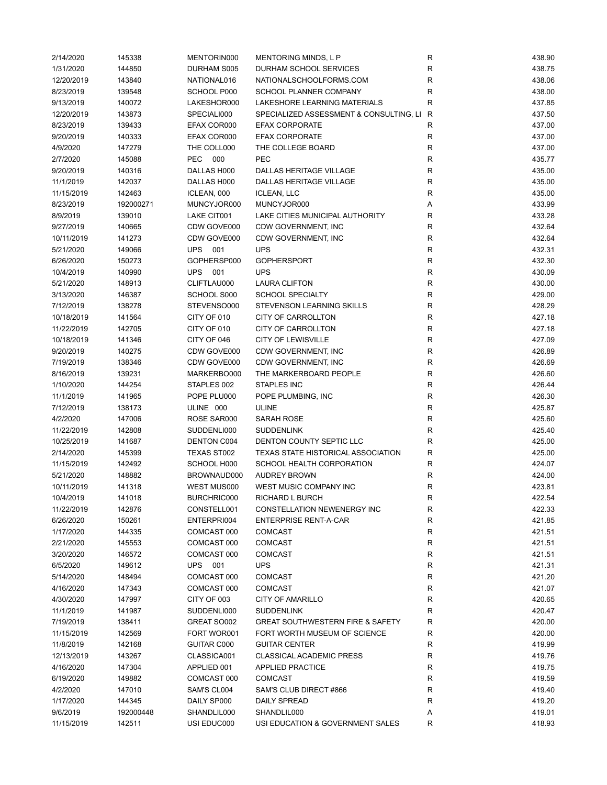| 2/14/2020  | 145338    | MENTORIN000       | MENTORING MINDS, L P                        | R            | 438.90 |
|------------|-----------|-------------------|---------------------------------------------|--------------|--------|
| 1/31/2020  | 144850    | DURHAM S005       | DURHAM SCHOOL SERVICES                      | R            | 438.75 |
| 12/20/2019 | 143840    | NATIONAL016       | NATIONALSCHOOLFORMS.COM                     | R            | 438.06 |
| 8/23/2019  | 139548    | SCHOOL P000       | SCHOOL PLANNER COMPANY                      | R            | 438.00 |
| 9/13/2019  | 140072    | LAKESHOR000       | LAKESHORE LEARNING MATERIALS                | R            | 437.85 |
| 12/20/2019 | 143873    | SPECIALI000       | SPECIALIZED ASSESSMENT & CONSULTING, LI     | $\mathsf{R}$ | 437.50 |
| 8/23/2019  | 139433    | EFAX COR000       | <b>EFAX CORPORATE</b>                       | $\mathsf R$  | 437.00 |
| 9/20/2019  | 140333    | EFAX COR000       | <b>EFAX CORPORATE</b>                       | R            | 437.00 |
| 4/9/2020   | 147279    | THE COLL000       | THE COLLEGE BOARD                           | R            | 437.00 |
| 2/7/2020   | 145088    | PEC<br>000        | <b>PEC</b>                                  | R            | 435.77 |
| 9/20/2019  | 140316    | DALLAS H000       | DALLAS HERITAGE VILLAGE                     | R            | 435.00 |
| 11/1/2019  | 142037    | DALLAS H000       | <b>DALLAS HERITAGE VILLAGE</b>              | $\mathsf R$  | 435.00 |
| 11/15/2019 | 142463    | ICLEAN, 000       | <b>ICLEAN, LLC</b>                          | R            | 435.00 |
| 8/23/2019  | 192000271 | MUNCYJOR000       | MUNCYJOR000                                 | Α            | 433.99 |
| 8/9/2019   | 139010    | LAKE CIT001       | LAKE CITIES MUNICIPAL AUTHORITY             | R            | 433.28 |
|            |           |                   |                                             | R            |        |
| 9/27/2019  | 140665    | CDW GOVE000       | CDW GOVERNMENT, INC                         |              | 432.64 |
| 10/11/2019 | 141273    | CDW GOVE000       | CDW GOVERNMENT, INC                         | R            | 432.64 |
| 5/21/2020  | 149066    | UPS 001           | <b>UPS</b>                                  | R            | 432.31 |
| 6/26/2020  | 150273    | GOPHERSP000       | <b>GOPHERSPORT</b>                          | $\mathsf R$  | 432.30 |
| 10/4/2019  | 140990    | <b>UPS</b><br>001 | <b>UPS</b>                                  | R            | 430.09 |
| 5/21/2020  | 148913    | CLIFTLAU000       | <b>LAURA CLIFTON</b>                        | R            | 430.00 |
| 3/13/2020  | 146387    | SCHOOL S000       | <b>SCHOOL SPECIALTY</b>                     | R            | 429.00 |
| 7/12/2019  | 138278    | STEVENSO000       | STEVENSON LEARNING SKILLS                   | R            | 428.29 |
| 10/18/2019 | 141564    | CITY OF 010       | <b>CITY OF CARROLLTON</b>                   | ${\sf R}$    | 427.18 |
| 11/22/2019 | 142705    | CITY OF 010       | CITY OF CARROLLTON                          | ${\sf R}$    | 427.18 |
| 10/18/2019 | 141346    | CITY OF 046       | <b>CITY OF LEWISVILLE</b>                   | $\mathsf R$  | 427.09 |
| 9/20/2019  | 140275    | CDW GOVE000       | CDW GOVERNMENT, INC                         | R            | 426.89 |
| 7/19/2019  | 138346    | CDW GOVE000       | CDW GOVERNMENT, INC                         | R            | 426.69 |
| 8/16/2019  | 139231    | MARKERBO000       | THE MARKERBOARD PEOPLE                      | R            | 426.60 |
| 1/10/2020  | 144254    | STAPLES 002       | <b>STAPLES INC</b>                          | R            | 426.44 |
| 11/1/2019  | 141965    | POPE PLU000       | POPE PLUMBING, INC                          | R            | 426.30 |
| 7/12/2019  | 138173    | ULINE 000         | <b>ULINE</b>                                | R            | 425.87 |
| 4/2/2020   | 147006    | ROSE SAR000       | <b>SARAH ROSE</b>                           | R            | 425.60 |
| 11/22/2019 | 142808    | SUDDENLI000       | <b>SUDDENLINK</b>                           | ${\sf R}$    | 425.40 |
| 10/25/2019 | 141687    | DENTON C004       | DENTON COUNTY SEPTIC LLC                    | $\mathsf R$  | 425.00 |
| 2/14/2020  | 145399    | TEXAS ST002       | TEXAS STATE HISTORICAL ASSOCIATION          | ${\sf R}$    | 425.00 |
| 11/15/2019 | 142492    | SCHOOL H000       | SCHOOL HEALTH CORPORATION                   | R            | 424.07 |
| 5/21/2020  | 148882    | BROWNAUD000       | <b>AUDREY BROWN</b>                         | R            | 424.00 |
| 10/11/2019 | 141318    | WEST MUS000       | WEST MUSIC COMPANY INC                      | R            | 423.81 |
| 10/4/2019  | 141018    | BURCHRIC000       | RICHARD L BURCH                             | R            | 422.54 |
| 11/22/2019 |           |                   |                                             |              | 422.33 |
|            | 142876    | CONSTELL001       | CONSTELLATION NEWENERGY INC                 | R            |        |
| 6/26/2020  | 150261    | ENTERPRI004       | <b>ENTERPRISE RENT-A-CAR</b>                | R            | 421.85 |
| 1/17/2020  | 144335    | COMCAST 000       | <b>COMCAST</b>                              | R            | 421.51 |
| 2/21/2020  | 145553    | COMCAST 000       | <b>COMCAST</b>                              | R            | 421.51 |
| 3/20/2020  | 146572    | COMCAST 000       | COMCAST                                     | R            | 421.51 |
| 6/5/2020   | 149612    | UPS 001           | <b>UPS</b>                                  | ${\sf R}$    | 421.31 |
| 5/14/2020  | 148494    | COMCAST 000       | <b>COMCAST</b>                              | R            | 421.20 |
| 4/16/2020  | 147343    | COMCAST 000       | <b>COMCAST</b>                              | R            | 421.07 |
| 4/30/2020  | 147997    | CITY OF 003       | <b>CITY OF AMARILLO</b>                     | R            | 420.65 |
| 11/1/2019  | 141987    | SUDDENLI000       | <b>SUDDENLINK</b>                           | R            | 420.47 |
| 7/19/2019  | 138411    | GREAT SO002       | <b>GREAT SOUTHWESTERN FIRE &amp; SAFETY</b> | R            | 420.00 |
| 11/15/2019 | 142569    | FORT WOR001       | FORT WORTH MUSEUM OF SCIENCE                | R            | 420.00 |
| 11/8/2019  | 142168    | GUITAR C000       | <b>GUITAR CENTER</b>                        | R            | 419.99 |
| 12/13/2019 | 143267    | CLASSICA001       | <b>CLASSICAL ACADEMIC PRESS</b>             | R            | 419.76 |
| 4/16/2020  | 147304    | APPLIED 001       | <b>APPLIED PRACTICE</b>                     | R            | 419.75 |
| 6/19/2020  | 149882    | COMCAST 000       | <b>COMCAST</b>                              | R            | 419.59 |
| 4/2/2020   | 147010    | SAM'S CL004       | SAM'S CLUB DIRECT #866                      | R            | 419.40 |
| 1/17/2020  | 144345    | DAILY SP000       | DAILY SPREAD                                | R            | 419.20 |
| 9/6/2019   | 192000448 | SHANDLIL000       | SHANDLIL000                                 | Α            | 419.01 |
| 11/15/2019 | 142511    | USI EDUC000       | USI EDUCATION & GOVERNMENT SALES            | R            | 418.93 |
|            |           |                   |                                             |              |        |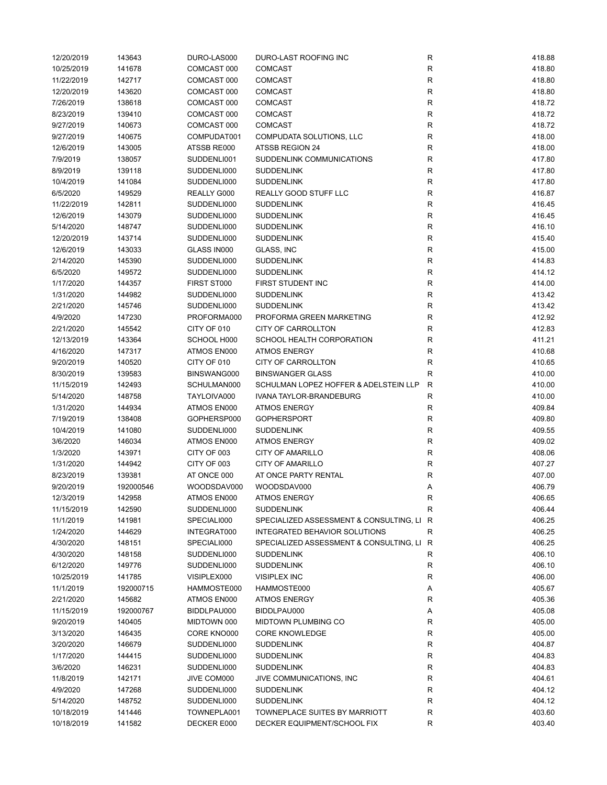| 12/20/2019 | 143643    | DURO-LAS000 | DURO-LAST ROOFING INC                     | R            | 418.88 |
|------------|-----------|-------------|-------------------------------------------|--------------|--------|
| 10/25/2019 | 141678    | COMCAST 000 | <b>COMCAST</b>                            | R            | 418.80 |
| 11/22/2019 | 142717    | COMCAST 000 | <b>COMCAST</b>                            | R            | 418.80 |
| 12/20/2019 | 143620    | COMCAST 000 | <b>COMCAST</b>                            | R            | 418.80 |
| 7/26/2019  | 138618    | COMCAST 000 | <b>COMCAST</b>                            | $\mathsf{R}$ | 418.72 |
| 8/23/2019  | 139410    | COMCAST 000 | COMCAST                                   | $\mathsf{R}$ | 418.72 |
| 9/27/2019  | 140673    | COMCAST 000 | <b>COMCAST</b>                            | $\mathsf{R}$ | 418.72 |
| 9/27/2019  | 140675    | COMPUDAT001 | COMPUDATA SOLUTIONS, LLC                  | $\mathsf{R}$ | 418.00 |
| 12/6/2019  | 143005    | ATSSB RE000 | ATSSB REGION 24                           | R            | 418.00 |
| 7/9/2019   | 138057    | SUDDENLI001 | SUDDENLINK COMMUNICATIONS                 | $\mathsf{R}$ | 417.80 |
| 8/9/2019   | 139118    | SUDDENLI000 | <b>SUDDENLINK</b>                         | R            | 417.80 |
| 10/4/2019  | 141084    | SUDDENLI000 | <b>SUDDENLINK</b>                         | R            | 417.80 |
| 6/5/2020   | 149529    | REALLY G000 | REALLY GOOD STUFF LLC                     | R            | 416.87 |
| 11/22/2019 | 142811    | SUDDENLI000 | <b>SUDDENLINK</b>                         | R            | 416.45 |
| 12/6/2019  | 143079    | SUDDENLI000 | <b>SUDDENLINK</b>                         | R            | 416.45 |
| 5/14/2020  | 148747    | SUDDENLI000 | <b>SUDDENLINK</b>                         | $\mathsf{R}$ | 416.10 |
| 12/20/2019 | 143714    | SUDDENLI000 | <b>SUDDENLINK</b>                         | $\mathsf{R}$ | 415.40 |
|            |           | GLASS IN000 | <b>GLASS, INC</b>                         |              |        |
| 12/6/2019  | 143033    |             |                                           | $\mathsf{R}$ | 415.00 |
| 2/14/2020  | 145390    | SUDDENLI000 | <b>SUDDENLINK</b>                         | $\mathsf{R}$ | 414.83 |
| 6/5/2020   | 149572    | SUDDENLI000 | <b>SUDDENLINK</b>                         | $\mathsf{R}$ | 414.12 |
| 1/17/2020  | 144357    | FIRST ST000 | FIRST STUDENT INC                         | $\mathsf{R}$ | 414.00 |
| 1/31/2020  | 144982    | SUDDENLI000 | <b>SUDDENLINK</b>                         | $\mathsf{R}$ | 413.42 |
| 2/21/2020  | 145746    | SUDDENLI000 | <b>SUDDENLINK</b>                         | R            | 413.42 |
| 4/9/2020   | 147230    | PROFORMA000 | PROFORMA GREEN MARKETING                  | R            | 412.92 |
| 2/21/2020  | 145542    | CITY OF 010 | <b>CITY OF CARROLLTON</b>                 | R            | 412.83 |
| 12/13/2019 | 143364    | SCHOOL H000 | SCHOOL HEALTH CORPORATION                 | $\mathsf{R}$ | 411.21 |
| 4/16/2020  | 147317    | ATMOS EN000 | <b>ATMOS ENERGY</b>                       | $\mathsf{R}$ | 410.68 |
| 9/20/2019  | 140520    | CITY OF 010 | <b>CITY OF CARROLLTON</b>                 | $\mathsf{R}$ | 410.65 |
| 8/30/2019  | 139583    | BINSWANG000 | <b>BINSWANGER GLASS</b>                   | $\mathsf{R}$ | 410.00 |
| 11/15/2019 | 142493    | SCHULMAN000 | SCHULMAN LOPEZ HOFFER & ADELSTEIN LLP     | $\mathsf{R}$ | 410.00 |
| 5/14/2020  | 148758    | TAYLOIVA000 | IVANA TAYLOR-BRANDEBURG                   | R            | 410.00 |
| 1/31/2020  | 144934    | ATMOS EN000 | <b>ATMOS ENERGY</b>                       | R            | 409.84 |
| 7/19/2019  | 138408    | GOPHERSP000 | <b>GOPHERSPORT</b>                        | R            | 409.80 |
| 10/4/2019  | 141080    | SUDDENLI000 | <b>SUDDENLINK</b>                         | R            | 409.55 |
| 3/6/2020   | 146034    | ATMOS EN000 | <b>ATMOS ENERGY</b>                       | R            | 409.02 |
| 1/3/2020   | 143971    | CITY OF 003 | CITY OF AMARILLO                          | $\mathsf{R}$ | 408.06 |
| 1/31/2020  | 144942    | CITY OF 003 | <b>CITY OF AMARILLO</b>                   | $\mathsf{R}$ | 407.27 |
| 8/23/2019  | 139381    | AT ONCE 000 | AT ONCE PARTY RENTAL                      | R            | 407.00 |
| 9/20/2019  | 192000546 | WOODSDAV000 | WOODSDAV000                               | Α            | 406.79 |
| 12/3/2019  | 142958    | ATMOS EN000 | <b>ATMOS ENERGY</b>                       | R            | 406.65 |
| 11/15/2019 | 142590    | SUDDENLI000 | <b>SUDDENLINK</b>                         | R            | 406.44 |
| 11/1/2019  | 141981    | SPECIALI000 | SPECIALIZED ASSESSMENT & CONSULTING, LI R |              | 406.25 |
| 1/24/2020  | 144629    | INTEGRAT000 | INTEGRATED BEHAVIOR SOLUTIONS             | R            | 406.25 |
| 4/30/2020  | 148151    | SPECIALI000 | SPECIALIZED ASSESSMENT & CONSULTING, LI R |              | 406.25 |
| 4/30/2020  | 148158    | SUDDENLI000 | <b>SUDDENLINK</b>                         | R            | 406.10 |
| 6/12/2020  | 149776    | SUDDENLI000 | <b>SUDDENLINK</b>                         | R            | 406.10 |
| 10/25/2019 | 141785    | VISIPLEX000 | <b>VISIPLEX INC</b>                       | $\mathsf{R}$ | 406.00 |
| 11/1/2019  | 192000715 | HAMMOSTE000 | HAMMOSTE000                               | Α            | 405.67 |
| 2/21/2020  | 145682    | ATMOS EN000 | <b>ATMOS ENERGY</b>                       | R            | 405.36 |
| 11/15/2019 |           | BIDDLPAU000 | BIDDLPAU000                               |              | 405.08 |
| 9/20/2019  | 192000767 | MIDTOWN 000 | MIDTOWN PLUMBING CO                       | Α            | 405.00 |
|            | 140405    |             |                                           | R            |        |
| 3/13/2020  | 146435    | CORE KNO000 | <b>CORE KNOWLEDGE</b>                     | R            | 405.00 |
| 3/20/2020  | 146679    | SUDDENLI000 | <b>SUDDENLINK</b>                         | R            | 404.87 |
| 1/17/2020  | 144415    | SUDDENLI000 | <b>SUDDENLINK</b>                         | R            | 404.83 |
| 3/6/2020   | 146231    | SUDDENLI000 | <b>SUDDENLINK</b>                         | R            | 404.83 |
| 11/8/2019  | 142171    | JIVE COM000 | JIVE COMMUNICATIONS, INC                  | R            | 404.61 |
| 4/9/2020   | 147268    | SUDDENLI000 | <b>SUDDENLINK</b>                         | $\mathsf{R}$ | 404.12 |
| 5/14/2020  | 148752    | SUDDENLI000 | <b>SUDDENLINK</b>                         | R            | 404.12 |
| 10/18/2019 | 141446    | TOWNEPLA001 | TOWNEPLACE SUITES BY MARRIOTT             | R            | 403.60 |
| 10/18/2019 | 141582    | DECKER E000 | DECKER EQUIPMENT/SCHOOL FIX               | R            | 403.40 |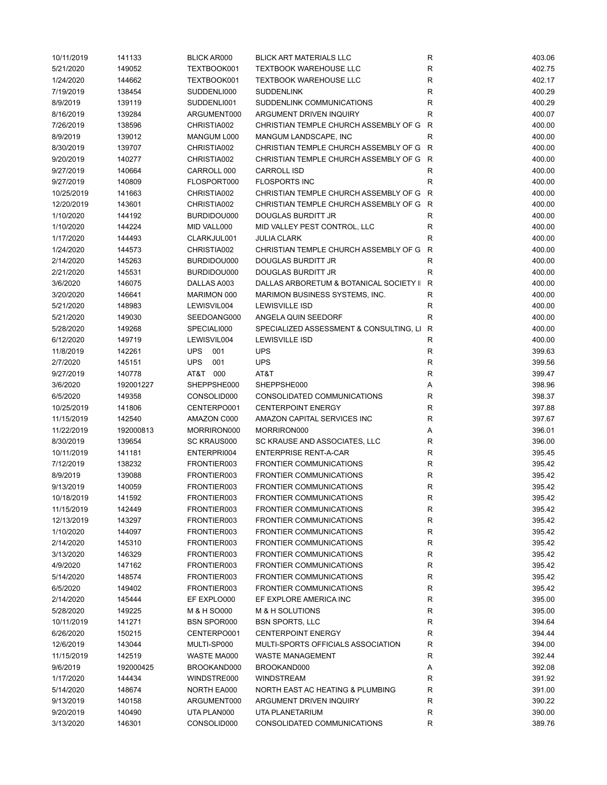| 10/11/2019 | 141133    | <b>BLICK AR000</b> | <b>BLICK ART MATERIALS LLC</b>          | R            | 403.06 |
|------------|-----------|--------------------|-----------------------------------------|--------------|--------|
| 5/21/2020  | 149052    | TEXTBOOK001        | <b>TEXTBOOK WAREHOUSE LLC</b>           | R            | 402.75 |
| 1/24/2020  | 144662    | TEXTBOOK001        | <b>TEXTBOOK WAREHOUSE LLC</b>           | R            | 402.17 |
| 7/19/2019  | 138454    | SUDDENLI000        | <b>SUDDENLINK</b>                       | R            | 400.29 |
| 8/9/2019   | 139119    | SUDDENLI001        | SUDDENLINK COMMUNICATIONS               | $\mathsf R$  | 400.29 |
| 8/16/2019  | 139284    | ARGUMENT000        | ARGUMENT DRIVEN INQUIRY                 | $\mathsf R$  | 400.07 |
| 7/26/2019  | 138596    | CHRISTIA002        | CHRISTIAN TEMPLE CHURCH ASSEMBLY OF G   | $\mathsf{R}$ | 400.00 |
| 8/9/2019   | 139012    | MANGUM L000        | MANGUM LANDSCAPE, INC                   | $\mathsf{R}$ | 400.00 |
| 8/30/2019  | 139707    | CHRISTIA002        | CHRISTIAN TEMPLE CHURCH ASSEMBLY OF G R |              | 400.00 |
| 9/20/2019  | 140277    | CHRISTIA002        | CHRISTIAN TEMPLE CHURCH ASSEMBLY OF G R |              | 400.00 |
| 9/27/2019  | 140664    | CARROLL 000        | <b>CARROLL ISD</b>                      | R            | 400.00 |
| 9/27/2019  | 140809    | FLOSPORT000        | <b>FLOSPORTS INC</b>                    | R            | 400.00 |
| 10/25/2019 | 141663    | CHRISTIA002        | CHRISTIAN TEMPLE CHURCH ASSEMBLY OF G R |              | 400.00 |
| 12/20/2019 | 143601    | CHRISTIA002        | CHRISTIAN TEMPLE CHURCH ASSEMBLY OF G   | R            | 400.00 |
| 1/10/2020  | 144192    | BURDIDOU000        | DOUGLAS BURDITT JR                      | R            | 400.00 |
| 1/10/2020  | 144224    | MID VALL000        | MID VALLEY PEST CONTROL, LLC            | R            | 400.00 |
| 1/17/2020  | 144493    | CLARKJUL001        | <b>JULIA CLARK</b>                      | $\mathsf R$  | 400.00 |
| 1/24/2020  | 144573    | CHRISTIA002        | CHRISTIAN TEMPLE CHURCH ASSEMBLY OF G   | $\mathsf{R}$ | 400.00 |
| 2/14/2020  | 145263    | BURDIDOU000        | DOUGLAS BURDITT JR                      | R            | 400.00 |
| 2/21/2020  | 145531    | BURDIDOU000        | DOUGLAS BURDITT JR                      | $\mathsf R$  | 400.00 |
|            |           | DALLAS A003        |                                         | $\mathsf{R}$ |        |
| 3/6/2020   | 146075    |                    | DALLAS ARBORETUM & BOTANICAL SOCIETY II |              | 400.00 |
| 3/20/2020  | 146641    | MARIMON 000        | MARIMON BUSINESS SYSTEMS, INC.          | $\mathsf R$  | 400.00 |
| 5/21/2020  | 148983    | LEWISVIL004        | <b>LEWISVILLE ISD</b>                   | R            | 400.00 |
| 5/21/2020  | 149030    | SEEDOANG000        | ANGELA QUIN SEEDORF                     | R            | 400.00 |
| 5/28/2020  | 149268    | SPECIALI000        | SPECIALIZED ASSESSMENT & CONSULTING, LI | $\mathsf{R}$ | 400.00 |
| 6/12/2020  | 149719    | LEWISVIL004        | <b>LEWISVILLE ISD</b>                   | R            | 400.00 |
| 11/8/2019  | 142261    | <b>UPS</b><br>001  | <b>UPS</b>                              | ${\sf R}$    | 399.63 |
| 2/7/2020   | 145151    | <b>UPS</b><br>001  | <b>UPS</b>                              | R            | 399.56 |
| 9/27/2019  | 140778    | AT&T 000           | AT&T                                    | R            | 399.47 |
| 3/6/2020   | 192001227 | SHEPPSHE000        | SHEPPSHE000                             | Α            | 398.96 |
| 6/5/2020   | 149358    | CONSOLID000        | CONSOLIDATED COMMUNICATIONS             | R            | 398.37 |
| 10/25/2019 | 141806    | CENTERPO001        | <b>CENTERPOINT ENERGY</b>               | R            | 397.88 |
| 11/15/2019 | 142540    | AMAZON C000        | AMAZON CAPITAL SERVICES INC             | R            | 397.67 |
| 11/22/2019 | 192000813 | MORRIRON000        | MORRIRON000                             | Α            | 396.01 |
| 8/30/2019  | 139654    | <b>SC KRAUS000</b> | SC KRAUSE AND ASSOCIATES, LLC           | R            | 396.00 |
| 10/11/2019 | 141181    | ENTERPRI004        | <b>ENTERPRISE RENT-A-CAR</b>            | $\mathsf R$  | 395.45 |
| 7/12/2019  | 138232    | FRONTIER003        | <b>FRONTIER COMMUNICATIONS</b>          | ${\sf R}$    | 395.42 |
| 8/9/2019   | 139088    | FRONTIER003        | <b>FRONTIER COMMUNICATIONS</b>          | R            | 395.42 |
| 9/13/2019  | 140059    | FRONTIER003        | <b>FRONTIER COMMUNICATIONS</b>          | R            | 395.42 |
| 10/18/2019 | 141592    | FRONTIER003        | <b>FRONTIER COMMUNICATIONS</b>          | R            | 395.42 |
| 11/15/2019 | 142449    | FRONTIER003        | <b>FRONTIER COMMUNICATIONS</b>          | R            | 395.42 |
| 12/13/2019 | 143297    | FRONTIER003        | FRONTIER COMMUNICATIONS                 | R            | 395.42 |
| 1/10/2020  | 144097    | FRONTIER003        | <b>FRONTIER COMMUNICATIONS</b>          | R            | 395.42 |
| 2/14/2020  | 145310    | FRONTIER003        | <b>FRONTIER COMMUNICATIONS</b>          | R            | 395.42 |
| 3/13/2020  | 146329    | FRONTIER003        | <b>FRONTIER COMMUNICATIONS</b>          | R            | 395.42 |
| 4/9/2020   | 147162    | FRONTIER003        | FRONTIER COMMUNICATIONS                 | R            | 395.42 |
| 5/14/2020  | 148574    | FRONTIER003        | <b>FRONTIER COMMUNICATIONS</b>          | R            | 395.42 |
| 6/5/2020   | 149402    | FRONTIER003        | <b>FRONTIER COMMUNICATIONS</b>          | R            | 395.42 |
| 2/14/2020  | 145444    | EF EXPLO000        | EF EXPLORE AMERICA INC                  | R            | 395.00 |
| 5/28/2020  | 149225    | M & H SO000        | <b>M &amp; H SOLUTIONS</b>              | R            | 395.00 |
| 10/11/2019 | 141271    | <b>BSN SPOR000</b> | <b>BSN SPORTS, LLC</b>                  | R            | 394.64 |
| 6/26/2020  | 150215    | CENTERPO001        | <b>CENTERPOINT ENERGY</b>               | R            | 394.44 |
| 12/6/2019  | 143044    | MULTI-SP000        | MULTI-SPORTS OFFICIALS ASSOCIATION      | R            | 394.00 |
| 11/15/2019 | 142519    | WASTE MA000        | WASTE MANAGEMENT                        | R            | 392.44 |
| 9/6/2019   | 192000425 | BROOKAND000        | BROOKAND000                             |              | 392.08 |
|            |           |                    | <b>WINDSTREAM</b>                       | Α            |        |
| 1/17/2020  | 144434    | WINDSTRE000        |                                         | R            | 391.92 |
| 5/14/2020  | 148674    | NORTH EA000        | NORTH EAST AC HEATING & PLUMBING        | R            | 391.00 |
| 9/13/2019  | 140158    | ARGUMENT000        | ARGUMENT DRIVEN INQUIRY                 | R            | 390.22 |
| 9/20/2019  | 140490    | UTA PLAN000        | UTA PLANETARIUM                         | R            | 390.00 |
| 3/13/2020  | 146301    | CONSOLID000        | CONSOLIDATED COMMUNICATIONS             | R            | 389.76 |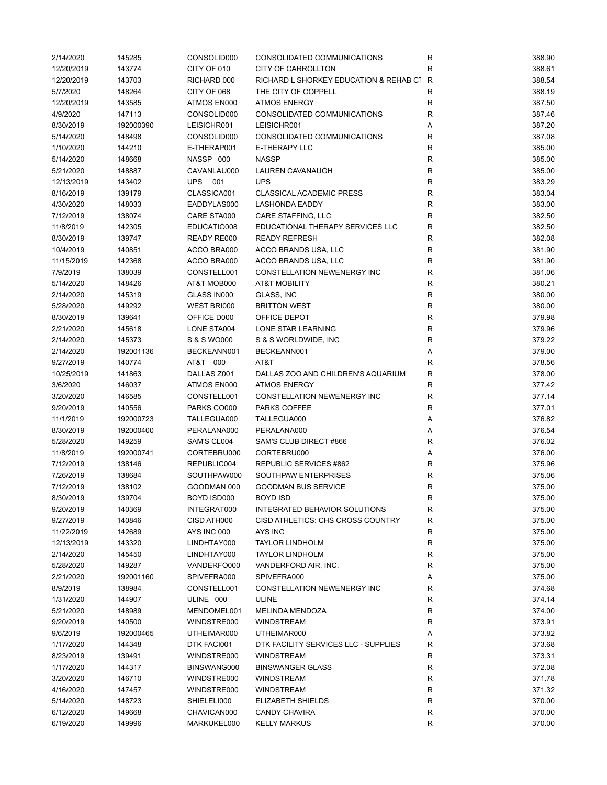| 2/14/2020  | 145285    | CONSOLID000    | CONSOLIDATED COMMUNICATIONS            | R           | 388.90 |
|------------|-----------|----------------|----------------------------------------|-------------|--------|
| 12/20/2019 | 143774    | CITY OF 010    | <b>CITY OF CARROLLTON</b>              | $\mathsf R$ | 388.61 |
| 12/20/2019 | 143703    | RICHARD 000    | RICHARD L SHORKEY EDUCATION & REHAB CT | R           | 388.54 |
| 5/7/2020   | 148264    | CITY OF 068    | THE CITY OF COPPELL                    | $\mathsf R$ | 388.19 |
| 12/20/2019 | 143585    | ATMOS EN000    | <b>ATMOS ENERGY</b>                    | $\mathsf R$ | 387.50 |
| 4/9/2020   | 147113    | CONSOLID000    | CONSOLIDATED COMMUNICATIONS            | R           | 387.46 |
| 8/30/2019  | 192000390 | LEISICHR001    | LEISICHR001                            | Α           | 387.20 |
| 5/14/2020  | 148498    | CONSOLID000    | CONSOLIDATED COMMUNICATIONS            | $\mathsf R$ | 387.08 |
| 1/10/2020  | 144210    | E-THERAP001    | <b>E-THERAPY LLC</b>                   | $\mathsf R$ | 385.00 |
| 5/14/2020  | 148668    | NASSP 000      | <b>NASSP</b>                           | $\mathsf R$ | 385.00 |
| 5/21/2020  | 148887    | CAVANLAU000    | LAUREN CAVANAUGH                       | R           | 385.00 |
| 12/13/2019 | 143402    | <b>UPS 001</b> | <b>UPS</b>                             | $\mathsf R$ | 383.29 |
| 8/16/2019  | 139179    | CLASSICA001    | <b>CLASSICAL ACADEMIC PRESS</b>        | R           | 383.04 |
| 4/30/2020  | 148033    | EADDYLAS000    | <b>LASHONDA EADDY</b>                  | $\mathsf R$ | 383.00 |
|            | 138074    | CARE STA000    | CARE STAFFING, LLC                     | $\mathsf R$ | 382.50 |
| 7/12/2019  |           |                |                                        |             |        |
| 11/8/2019  | 142305    | EDUCATIO008    | EDUCATIONAL THERAPY SERVICES LLC       | R           | 382.50 |
| 8/30/2019  | 139747    | READY RE000    | <b>READY REFRESH</b>                   | R           | 382.08 |
| 10/4/2019  | 140851    | ACCO BRA000    | ACCO BRANDS USA, LLC                   | $\mathsf R$ | 381.90 |
| 11/15/2019 | 142368    | ACCO BRA000    | ACCO BRANDS USA, LLC                   | $\mathsf R$ | 381.90 |
| 7/9/2019   | 138039    | CONSTELL001    | CONSTELLATION NEWENERGY INC            | $\mathsf R$ | 381.06 |
| 5/14/2020  | 148426    | AT&T MOB000    | <b>AT&amp;T MOBILITY</b>               | R           | 380.21 |
| 2/14/2020  | 145319    | GLASS IN000    | GLASS, INC                             | R           | 380.00 |
| 5/28/2020  | 149292    | WEST BRI000    | <b>BRITTON WEST</b>                    | $\mathsf R$ | 380.00 |
| 8/30/2019  | 139641    | OFFICE D000    | OFFICE DEPOT                           | $\mathsf R$ | 379.98 |
| 2/21/2020  | 145618    | LONE STA004    | LONE STAR LEARNING                     | R           | 379.96 |
| 2/14/2020  | 145373    | S & S WO000    | S & S WORLDWIDE, INC                   | R           | 379.22 |
| 2/14/2020  | 192001136 | BECKEANN001    | BECKEANN001                            | Α           | 379.00 |
| 9/27/2019  | 140774    | AT&T 000       | AT&T                                   | $\mathsf R$ | 378.56 |
| 10/25/2019 | 141863    | DALLAS Z001    | DALLAS ZOO AND CHILDREN'S AQUARIUM     | $\mathsf R$ | 378.00 |
| 3/6/2020   | 146037    | ATMOS EN000    | <b>ATMOS ENERGY</b>                    | R           | 377.42 |
| 3/20/2020  | 146585    | CONSTELL001    | CONSTELLATION NEWENERGY INC            | R           | 377.14 |
| 9/20/2019  | 140556    | PARKS CO000    | PARKS COFFEE                           | R           | 377.01 |
| 11/1/2019  | 192000723 | TALLEGUA000    | TALLEGUA000                            | Α           | 376.82 |
| 8/30/2019  | 192000400 | PERALANA000    | PERALANA000                            | Α           | 376.54 |
| 5/28/2020  | 149259    | SAM'S CL004    | SAM'S CLUB DIRECT #866                 | R           | 376.02 |
| 11/8/2019  | 192000741 | CORTEBRU000    | CORTEBRU000                            | Α           | 376.00 |
| 7/12/2019  | 138146    | REPUBLIC004    | REPUBLIC SERVICES #862                 | R           | 375.96 |
| 7/26/2019  | 138684    | SOUTHPAW000    | SOUTHPAW ENTERPRISES                   | R           | 375.06 |
| 7/12/2019  | 138102    | GOODMAN 000    | <b>GOODMAN BUS SERVICE</b>             | R           | 375.00 |
| 8/30/2019  | 139704    | BOYD ISD000    | <b>BOYD ISD</b>                        | ${\sf R}$   | 375.00 |
| 9/20/2019  | 140369    | INTEGRAT000    | INTEGRATED BEHAVIOR SOLUTIONS          | $\mathsf R$ | 375.00 |
|            |           | CISD ATH000    | CISD ATHLETICS: CHS CROSS COUNTRY      |             |        |
| 9/27/2019  | 140846    |                |                                        | R           | 375.00 |
| 11/22/2019 | 142689    | AYS INC 000    | AYS INC                                | ${\sf R}$   | 375.00 |
| 12/13/2019 | 143320    | LINDHTAY000    | <b>TAYLOR LINDHOLM</b>                 | R           | 375.00 |
| 2/14/2020  | 145450    | LINDHTAY000    | <b>TAYLOR LINDHOLM</b>                 | R           | 375.00 |
| 5/28/2020  | 149287    | VANDERFO000    | VANDERFORD AIR, INC.                   | R           | 375.00 |
| 2/21/2020  | 192001160 | SPIVEFRA000    | SPIVEFRA000                            | Α           | 375.00 |
| 8/9/2019   | 138984    | CONSTELL001    | CONSTELLATION NEWENERGY INC            | R           | 374.68 |
| 1/31/2020  | 144907    | ULINE 000      | <b>ULINE</b>                           | R           | 374.14 |
| 5/21/2020  | 148989    | MENDOMEL001    | <b>MELINDA MENDOZA</b>                 | R           | 374.00 |
| 9/20/2019  | 140500    | WINDSTRE000    | <b>WINDSTREAM</b>                      | R           | 373.91 |
| 9/6/2019   | 192000465 | UTHEIMAR000    | UTHEIMAR000                            | Α           | 373.82 |
| 1/17/2020  | 144348    | DTK FACI001    | DTK FACILITY SERVICES LLC - SUPPLIES   | R           | 373.68 |
| 8/23/2019  | 139491    | WINDSTRE000    | <b>WINDSTREAM</b>                      | R           | 373.31 |
| 1/17/2020  | 144317    | BINSWANG000    | <b>BINSWANGER GLASS</b>                | R           | 372.08 |
| 3/20/2020  | 146710    | WINDSTRE000    | <b>WINDSTREAM</b>                      | R           | 371.78 |
| 4/16/2020  | 147457    | WINDSTRE000    | <b>WINDSTREAM</b>                      | R           | 371.32 |
| 5/14/2020  | 148723    | SHIELELI000    | <b>ELIZABETH SHIELDS</b>               | ${\sf R}$   | 370.00 |
| 6/12/2020  | 149668    | CHAVICAN000    | <b>CANDY CHAVIRA</b>                   | R           | 370.00 |
| 6/19/2020  | 149996    | MARKUKEL000    | <b>KELLY MARKUS</b>                    | R           | 370.00 |
|            |           |                |                                        |             |        |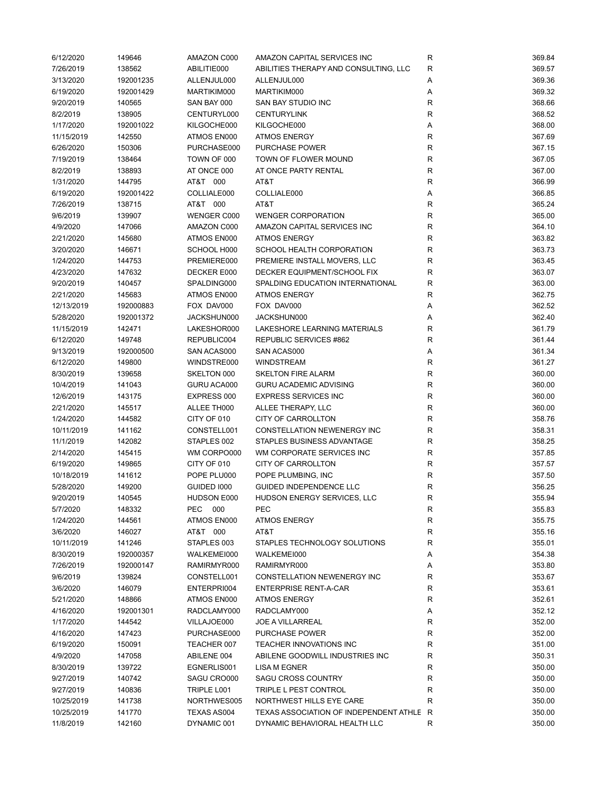| 6/12/2020  | 149646    | AMAZON C000        | AMAZON CAPITAL SERVICES INC              | R            | 369.84 |
|------------|-----------|--------------------|------------------------------------------|--------------|--------|
| 7/26/2019  | 138562    | ABILITIE000        | ABILITIES THERAPY AND CONSULTING, LLC    | $\mathsf R$  | 369.57 |
| 3/13/2020  | 192001235 | ALLENJUL000        | ALLENJUL000                              | Α            | 369.36 |
| 6/19/2020  | 192001429 | MARTIKIM000        | MARTIKIM000                              | Α            | 369.32 |
| 9/20/2019  | 140565    | SAN BAY 000        | <b>SAN BAY STUDIO INC</b>                | R            | 368.66 |
| 8/2/2019   | 138905    | CENTURYL000        | <b>CENTURYLINK</b>                       | R            | 368.52 |
| 1/17/2020  | 192001022 | KILGOCHE000        | KILGOCHE000                              | Α            | 368.00 |
| 11/15/2019 | 142550    | ATMOS EN000        | <b>ATMOS ENERGY</b>                      | $\mathsf{R}$ | 367.69 |
| 6/26/2020  | 150306    | PURCHASE000        | PURCHASE POWER                           | ${\sf R}$    | 367.15 |
| 7/19/2019  | 138464    | TOWN OF 000        | TOWN OF FLOWER MOUND                     | R            | 367.05 |
| 8/2/2019   |           | AT ONCE 000        | AT ONCE PARTY RENTAL                     | R            | 367.00 |
|            | 138893    |                    |                                          |              |        |
| 1/31/2020  | 144795    | AT&T 000           | AT&T                                     | R            | 366.99 |
| 6/19/2020  | 192001422 | COLLIALE000        | COLLIALE000                              | Α            | 366.85 |
| 7/26/2019  | 138715    | AT&T 000           | AT&T                                     | R            | 365.24 |
| 9/6/2019   | 139907    | WENGER C000        | <b>WENGER CORPORATION</b>                | R            | 365.00 |
| 4/9/2020   | 147066    | AMAZON C000        | AMAZON CAPITAL SERVICES INC              | R            | 364.10 |
| 2/21/2020  | 145680    | ATMOS EN000        | <b>ATMOS ENERGY</b>                      | R            | 363.82 |
| 3/20/2020  | 146671    | SCHOOL H000        | SCHOOL HEALTH CORPORATION                | R            | 363.73 |
| 1/24/2020  | 144753    | PREMIERE000        | PREMIERE INSTALL MOVERS, LLC             | $\mathsf R$  | 363.45 |
| 4/23/2020  | 147632    | DECKER E000        | <b>DECKER EQUIPMENT/SCHOOL FIX</b>       | R            | 363.07 |
| 9/20/2019  | 140457    | SPALDING000        | SPALDING EDUCATION INTERNATIONAL         | R            | 363.00 |
| 2/21/2020  | 145683    | ATMOS EN000        | <b>ATMOS ENERGY</b>                      | R            | 362.75 |
| 12/13/2019 | 192000883 | FOX DAV000         | FOX DAV000                               | Α            | 362.52 |
| 5/28/2020  | 192001372 | JACKSHUN000        | JACKSHUN000                              | Α            | 362.40 |
| 11/15/2019 | 142471    | LAKESHOR000        | LAKESHORE LEARNING MATERIALS             | R            | 361.79 |
| 6/12/2020  | 149748    | REPUBLIC004        | REPUBLIC SERVICES #862                   | R            | 361.44 |
| 9/13/2019  | 192000500 | SAN ACAS000        | SAN ACAS000                              | Α            | 361.34 |
| 6/12/2020  | 149800    | WINDSTRE000        | WINDSTREAM                               | R            | 361.27 |
| 8/30/2019  | 139658    | SKELTON 000        | <b>SKELTON FIRE ALARM</b>                | $\mathsf R$  | 360.00 |
| 10/4/2019  | 141043    | GURU ACA000        | <b>GURU ACADEMIC ADVISING</b>            | R            | 360.00 |
|            |           |                    |                                          |              |        |
| 12/6/2019  | 143175    | EXPRESS 000        | <b>EXPRESS SERVICES INC</b>              | R            | 360.00 |
| 2/21/2020  | 145517    | ALLEE TH000        | ALLEE THERAPY, LLC                       | R            | 360.00 |
| 1/24/2020  | 144582    | CITY OF 010        | CITY OF CARROLLTON                       | R            | 358.76 |
| 10/11/2019 | 141162    | CONSTELL001        | CONSTELLATION NEWENERGY INC              | R            | 358.31 |
| 11/1/2019  | 142082    | STAPLES 002        | STAPLES BUSINESS ADVANTAGE               | R            | 358.25 |
| 2/14/2020  | 145415    | WM CORPO000        | WM CORPORATE SERVICES INC                | R            | 357.85 |
| 6/19/2020  | 149865    | CITY OF 010        | <b>CITY OF CARROLLTON</b>                | $\mathsf R$  | 357.57 |
| 10/18/2019 | 141612    | POPE PLU000        | POPE PLUMBING, INC                       | R            | 357.50 |
| 5/28/2020  | 149200    | GUIDED 1000        | GUIDED INDEPENDENCE LLC                  | R            | 356.25 |
| 9/20/2019  | 140545    | HUDSON E000        | HUDSON ENERGY SERVICES, LLC              | R            | 355.94 |
| 5/7/2020   | 148332    | <b>PEC</b><br>000  | PEC                                      | R            | 355.83 |
| 1/24/2020  | 144561    | ATMOS EN000        | <b>ATMOS ENERGY</b>                      | R            | 355.75 |
| 3/6/2020   | 146027    | AT&T 000           | AT&T                                     | R            | 355.16 |
| 10/11/2019 | 141246    | STAPLES 003        | STAPLES TECHNOLOGY SOLUTIONS             | R            | 355.01 |
| 8/30/2019  | 192000357 | WALKEMEI000        | WALKEMEI000                              | Α            | 354.38 |
| 7/26/2019  | 192000147 | RAMIRMYR000        | RAMIRMYR000                              | Α            | 353.80 |
| 9/6/2019   | 139824    | CONSTELL001        | CONSTELLATION NEWENERGY INC              | R            | 353.67 |
| 3/6/2020   | 146079    | ENTERPRI004        | <b>ENTERPRISE RENT-A-CAR</b>             | R            | 353.61 |
| 5/21/2020  | 148866    | ATMOS EN000        | <b>ATMOS ENERGY</b>                      | R            | 352.61 |
| 4/16/2020  | 192001301 | RADCLAMY000        | RADCLAMY000                              | Α            | 352.12 |
| 1/17/2020  | 144542    | VILLAJOE000        | <b>JOE A VILLARREAL</b>                  | R            | 352.00 |
|            |           | PURCHASE000        | <b>PURCHASE POWER</b>                    |              | 352.00 |
| 4/16/2020  | 147423    |                    |                                          | R            | 351.00 |
| 6/19/2020  | 150091    | TEACHER 007        | TEACHER INNOVATIONS INC                  | R            |        |
| 4/9/2020   | 147058    | ABILENE 004        | ABILENE GOODWILL INDUSTRIES INC          | R            | 350.31 |
| 8/30/2019  | 139722    | EGNERLIS001        | LISA M EGNER                             | R            | 350.00 |
| 9/27/2019  | 140742    | SAGU CRO000        | <b>SAGU CROSS COUNTRY</b>                | R            | 350.00 |
| 9/27/2019  | 140836    | TRIPLE L001        | TRIPLE L PEST CONTROL                    | R            | 350.00 |
| 10/25/2019 | 141738    | NORTHWES005        | NORTHWEST HILLS EYE CARE                 | $\mathsf R$  | 350.00 |
| 10/25/2019 | 141770    | <b>TEXAS AS004</b> | TEXAS ASSOCIATION OF INDEPENDENT ATHLE R |              | 350.00 |
| 11/8/2019  | 142160    | DYNAMIC 001        | DYNAMIC BEHAVIORAL HEALTH LLC            | R            | 350.00 |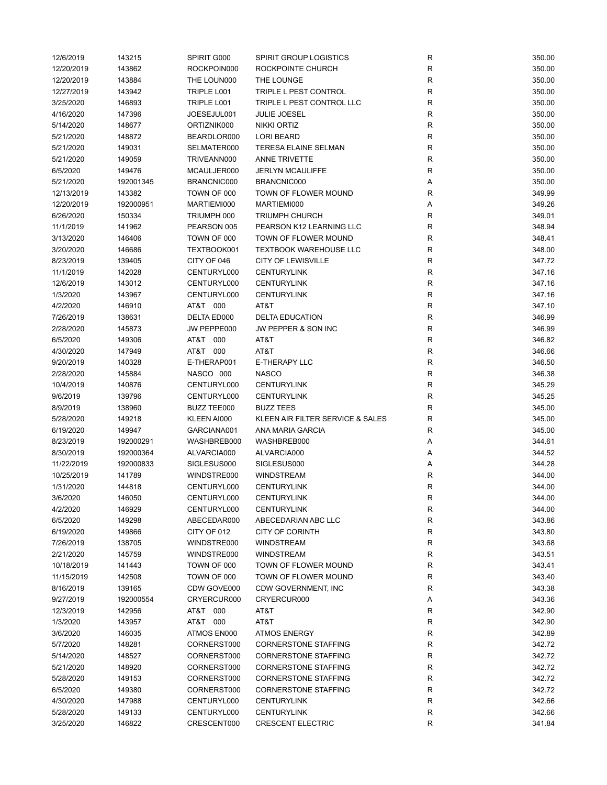| 12/6/2019              | 143215    | SPIRIT G000        | <b>SPIRIT GROUP LOGISTICS</b>    | R              | 350.00 |
|------------------------|-----------|--------------------|----------------------------------|----------------|--------|
| 12/20/2019             | 143862    | ROCKPOIN000        | ROCKPOINTE CHURCH                | $\mathsf{R}$   | 350.00 |
| 12/20/2019             | 143884    | THE LOUN000        | THE LOUNGE                       | R              | 350.00 |
| 12/27/2019             | 143942    | TRIPLE L001        | TRIPLE L PEST CONTROL            | $\mathsf{R}$   | 350.00 |
| 3/25/2020              | 146893    | TRIPLE L001        | TRIPLE L PEST CONTROL LLC        | $\mathsf{R}$   | 350.00 |
| 4/16/2020              | 147396    | JOESEJUL001        | JULIE JOESEL                     | ${\sf R}$      | 350.00 |
| 5/14/2020              | 148677    | ORTIZNIK000        | <b>NIKKI ORTIZ</b>               | R              | 350.00 |
| 5/21/2020              | 148872    | BEARDLOR000        | <b>LORI BEARD</b>                | R              | 350.00 |
| 5/21/2020              | 149031    | SELMATER000        | <b>TERESA ELAINE SELMAN</b>      | R              | 350.00 |
| 5/21/2020              | 149059    | TRIVEANN000        | ANNE TRIVETTE                    | R              | 350.00 |
| 6/5/2020               | 149476    | MCAULJER000        | <b>JERLYN MCAULIFFE</b>          | $\mathsf{R}$   | 350.00 |
| 5/21/2020              | 192001345 | BRANCNIC000        | BRANCNIC000                      | Α              | 350.00 |
| 12/13/2019             | 143382    | TOWN OF 000        | TOWN OF FLOWER MOUND             | R              | 349.99 |
| 12/20/2019             | 192000951 | MARTIEMI000        | MARTIEMI000                      | Α              | 349.26 |
| 6/26/2020              | 150334    | TRIUMPH 000        | <b>TRIUMPH CHURCH</b>            | R              | 349.01 |
| 11/1/2019              | 141962    | PEARSON 005        | PEARSON K12 LEARNING LLC         | $\mathsf{R}$   | 348.94 |
| 3/13/2020              | 146406    | TOWN OF 000        | TOWN OF FLOWER MOUND             | R              | 348.41 |
| 3/20/2020              |           | TEXTBOOK001        | <b>TEXTBOOK WAREHOUSE LLC</b>    | R              | 348.00 |
|                        | 146686    |                    | <b>CITY OF LEWISVILLE</b>        |                |        |
| 8/23/2019              | 139405    | CITY OF 046        |                                  | R              | 347.72 |
| 11/1/2019              | 142028    | CENTURYL000        | <b>CENTURYLINK</b>               | R              | 347.16 |
| 12/6/2019              | 143012    | CENTURYL000        | <b>CENTURYLINK</b>               | $\mathsf{R}$   | 347.16 |
| 1/3/2020               | 143967    | CENTURYL000        | <b>CENTURYLINK</b>               | R              | 347.16 |
| 4/2/2020               | 146910    | AT&T 000           | AT&T                             | R              | 347.10 |
| 7/26/2019              | 138631    | DELTA ED000        | <b>DELTA EDUCATION</b>           | $\mathsf{R}$   | 346.99 |
| 2/28/2020              | 145873    | JW PEPPE000        | JW PEPPER & SON INC              | $\mathsf{R}$   | 346.99 |
| 6/5/2020               | 149306    | AT&T 000           | AT&T                             | $\mathsf{R}$   | 346.82 |
| 4/30/2020              | 147949    | AT&T 000           | AT&T                             | $\mathsf{R}$   | 346.66 |
| 9/20/2019              | 140328    | E-THERAP001        | <b>E-THERAPY LLC</b>             | $\mathsf{R}$   | 346.50 |
| 2/28/2020              | 145884    | NASCO 000          | <b>NASCO</b>                     | R              | 346.38 |
| 10/4/2019              | 140876    | CENTURYL000        | <b>CENTURYLINK</b>               | R              | 345.29 |
| 9/6/2019               | 139796    | CENTURYL000        | <b>CENTURYLINK</b>               | $\mathsf{R}$   | 345.25 |
| 8/9/2019               | 138960    | <b>BUZZ TEE000</b> | <b>BUZZ TEES</b>                 | R              | 345.00 |
| 5/28/2020              | 149218    | KLEEN AI000        | KLEEN AIR FILTER SERVICE & SALES | $\mathsf{R}$   | 345.00 |
| 6/19/2020              | 149947    | GARCIANA001        | ANA MARIA GARCIA                 | R              | 345.00 |
| 8/23/2019              | 192000291 | WASHBREB000        | WASHBREB000                      | Α              | 344.61 |
| 8/30/2019              | 192000364 | ALVARCIA000        | ALVARCIA000                      | Α              | 344.52 |
| 11/22/2019             | 192000833 | SIGLESUS000        | SIGLESUS000                      | Α              | 344.28 |
| 10/25/2019             | 141789    | WINDSTRE000        | <b>WINDSTREAM</b>                | R              | 344.00 |
| 1/31/2020              | 144818    | CENTURYL000        | <b>CENTURYLINK</b>               | $\mathsf{R}$   | 344.00 |
| 3/6/2020               | 146050    | CENTURYL000        | <b>CENTURYLINK</b>               | R              | 344.00 |
| 4/2/2020               | 146929    | CENTURYL000        | <b>CENTURYLINK</b>               | R              | 344.00 |
| 6/5/2020               | 149298    | ABECEDAR000        | ABECEDARIAN ABC LLC              | R              | 343.86 |
| 6/19/2020              | 149866    | CITY OF 012        | <b>CITY OF CORINTH</b>           | R              | 343.80 |
| 7/26/2019              | 138705    | WINDSTRE000        | WINDSTREAM                       | R              | 343.68 |
| 2/21/2020              | 145759    | WINDSTRE000        | <b>WINDSTREAM</b>                | $\mathsf{R}$   | 343.51 |
| 10/18/2019             | 141443    | TOWN OF 000        | TOWN OF FLOWER MOUND             | R              | 343.41 |
| 11/15/2019             | 142508    | TOWN OF 000        | TOWN OF FLOWER MOUND             | R              | 343.40 |
| 8/16/2019              | 139165    | CDW GOVE000        | CDW GOVERNMENT, INC              | R              | 343.38 |
| 9/27/2019              | 192000554 | CRYERCUR000        | CRYERCUR000                      |                | 343.36 |
|                        |           | AT&T 000           |                                  | Α              |        |
| 12/3/2019              | 142956    |                    | AT&T                             | R              | 342.90 |
| 1/3/2020               | 143957    | AT&T 000           | AT&T                             | R              | 342.90 |
| 3/6/2020               | 146035    | ATMOS EN000        | <b>ATMOS ENERGY</b>              | R              | 342.89 |
| 5/7/2020               | 148281    | CORNERST000        | <b>CORNERSTONE STAFFING</b>      | R              | 342.72 |
| 5/14/2020              | 148527    | CORNERST000        | <b>CORNERSTONE STAFFING</b>      | R              | 342.72 |
| 5/21/2020              | 148920    | CORNERST000        | <b>CORNERSTONE STAFFING</b>      | $\mathsf{R}$   | 342.72 |
| 5/28/2020              | 149153    | CORNERST000        | <b>CORNERSTONE STAFFING</b>      | R              | 342.72 |
| 6/5/2020               | 149380    | CORNERST000        | <b>CORNERSTONE STAFFING</b>      | R              | 342.72 |
| 4/30/2020              | 147988    | CENTURYL000        | <b>CENTURYLINK</b>               | R              | 342.66 |
|                        |           |                    |                                  |                |        |
| 5/28/2020<br>3/25/2020 | 149133    | CENTURYL000        | <b>CENTURYLINK</b>               | R<br>${\sf R}$ | 342.66 |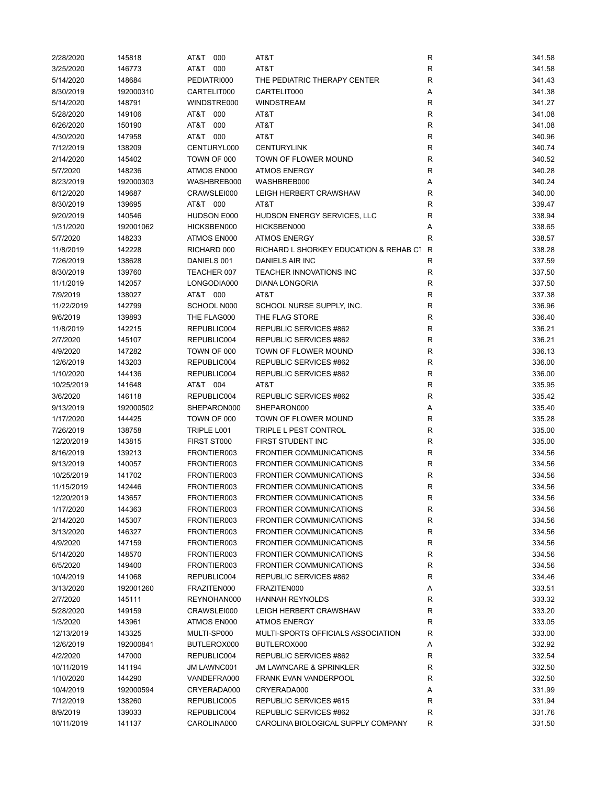| 2/28/2020  | 145818    | AT&T<br>000        | AT&T                                   | R            | 341.58 |
|------------|-----------|--------------------|----------------------------------------|--------------|--------|
| 3/25/2020  | 146773    | AT&T 000           | AT&T                                   | $\mathsf{R}$ | 341.58 |
| 5/14/2020  | 148684    | PEDIATRI000        | THE PEDIATRIC THERAPY CENTER           | R            | 341.43 |
| 8/30/2019  | 192000310 | CARTELIT000        | CARTELIT000                            | А            | 341.38 |
| 5/14/2020  | 148791    | WINDSTRE000        | <b>WINDSTREAM</b>                      | $\mathsf{R}$ | 341.27 |
| 5/28/2020  | 149106    | AT&T 000           | AT&T                                   | R            | 341.08 |
| 6/26/2020  | 150190    | AT&T 000           | AT&T                                   | R            | 341.08 |
| 4/30/2020  | 147958    | AT&T 000           | AT&T                                   | $\mathsf{R}$ | 340.96 |
|            |           |                    |                                        | $\mathsf{R}$ |        |
| 7/12/2019  | 138209    | CENTURYL000        | <b>CENTURYLINK</b>                     |              | 340.74 |
| 2/14/2020  | 145402    | TOWN OF 000        | TOWN OF FLOWER MOUND                   | $\mathsf{R}$ | 340.52 |
| 5/7/2020   | 148236    | ATMOS EN000        | <b>ATMOS ENERGY</b>                    | $\mathsf{R}$ | 340.28 |
| 8/23/2019  | 192000303 | WASHBREB000        | WASHBREB000                            | Α            | 340.24 |
| 6/12/2020  | 149687    | CRAWSLEI000        | LEIGH HERBERT CRAWSHAW                 | R            | 340.00 |
| 8/30/2019  | 139695    | AT&T 000           | AT&T                                   | R            | 339.47 |
| 9/20/2019  | 140546    | HUDSON E000        | HUDSON ENERGY SERVICES, LLC            | R            | 338.94 |
| 1/31/2020  | 192001062 | HICKSBEN000        | HICKSBEN000                            | Α            | 338.65 |
| 5/7/2020   | 148233    | ATMOS EN000        | <b>ATMOS ENERGY</b>                    | R            | 338.57 |
| 11/8/2019  | 142228    | RICHARD 000        | RICHARD L SHORKEY EDUCATION & REHAB CT | $\mathsf{R}$ | 338.28 |
| 7/26/2019  | 138628    | DANIELS 001        | <b>DANIELS AIR INC</b>                 | R            | 337.59 |
| 8/30/2019  | 139760    | TEACHER 007        | TEACHER INNOVATIONS INC                | R            | 337.50 |
| 11/1/2019  | 142057    | LONGODIA000        | <b>DIANA LONGORIA</b>                  | R            | 337.50 |
| 7/9/2019   | 138027    | AT&T 000           | AT&T                                   | $\mathsf{R}$ | 337.38 |
| 11/22/2019 | 142799    | SCHOOL N000        | SCHOOL NURSE SUPPLY, INC.              | R            | 336.96 |
| 9/6/2019   | 139893    | THE FLAG000        | THE FLAG STORE                         | R            | 336.40 |
| 11/8/2019  | 142215    | REPUBLIC004        | REPUBLIC SERVICES #862                 | R            | 336.21 |
| 2/7/2020   | 145107    | REPUBLIC004        | REPUBLIC SERVICES #862                 | R            | 336.21 |
|            |           | TOWN OF 000        | TOWN OF FLOWER MOUND                   |              | 336.13 |
| 4/9/2020   | 147282    |                    |                                        | R            |        |
| 12/6/2019  | 143203    | REPUBLIC004        | REPUBLIC SERVICES #862                 | R            | 336.00 |
| 1/10/2020  | 144136    | REPUBLIC004        | REPUBLIC SERVICES #862                 | $\mathsf{R}$ | 336.00 |
| 10/25/2019 | 141648    | AT&T 004           | AT&T                                   | $\mathsf{R}$ | 335.95 |
| 3/6/2020   | 146118    | REPUBLIC004        | REPUBLIC SERVICES #862                 | R            | 335.42 |
| 9/13/2019  | 192000502 | SHEPARON000        | SHEPARON000                            | Α            | 335.40 |
| 1/17/2020  | 144425    | TOWN OF 000        | TOWN OF FLOWER MOUND                   | R            | 335.28 |
| 7/26/2019  | 138758    | TRIPLE L001        | <b>TRIPLE L PEST CONTROL</b>           | R            | 335.00 |
| 12/20/2019 | 143815    | FIRST ST000        | FIRST STUDENT INC                      | R            | 335.00 |
| 8/16/2019  | 139213    | FRONTIER003        | <b>FRONTIER COMMUNICATIONS</b>         | R            | 334.56 |
| 9/13/2019  | 140057    | FRONTIER003        | <b>FRONTIER COMMUNICATIONS</b>         | R            | 334.56 |
| 10/25/2019 | 141702    | FRONTIER003        | <b>FRONTIER COMMUNICATIONS</b>         | R            | 334.56 |
| 11/15/2019 | 142446    | FRONTIER003        | <b>FRONTIER COMMUNICATIONS</b>         | $\mathsf{R}$ | 334.56 |
| 12/20/2019 | 143657    | FRONTIER003        | <b>FRONTIER COMMUNICATIONS</b>         | к            | 334.56 |
| 1/17/2020  | 144363    | FRONTIER003        | <b>FRONTIER COMMUNICATIONS</b>         | R            | 334.56 |
| 2/14/2020  | 145307    | FRONTIER003        | <b>FRONTIER COMMUNICATIONS</b>         | R            | 334.56 |
| 3/13/2020  | 146327    | FRONTIER003        | <b>FRONTIER COMMUNICATIONS</b>         | R            | 334.56 |
| 4/9/2020   | 147159    | FRONTIER003        | <b>FRONTIER COMMUNICATIONS</b>         | $\mathsf{R}$ | 334.56 |
| 5/14/2020  | 148570    | FRONTIER003        | <b>FRONTIER COMMUNICATIONS</b>         | R            | 334.56 |
|            |           |                    |                                        |              |        |
| 6/5/2020   | 149400    | FRONTIER003        | <b>FRONTIER COMMUNICATIONS</b>         | R            | 334.56 |
| 10/4/2019  | 141068    | REPUBLIC004        | REPUBLIC SERVICES #862                 | R            | 334.46 |
| 3/13/2020  | 192001260 | FRAZITEN000        | FRAZITEN000                            | Α            | 333.51 |
| 2/7/2020   | 145111    | REYNOHAN000        | <b>HANNAH REYNOLDS</b>                 | R            | 333.32 |
| 5/28/2020  | 149159    | CRAWSLEI000        | LEIGH HERBERT CRAWSHAW                 | R            | 333.20 |
| 1/3/2020   | 143961    | ATMOS EN000        | <b>ATMOS ENERGY</b>                    | R            | 333.05 |
| 12/13/2019 | 143325    | MULTI-SP000        | MULTI-SPORTS OFFICIALS ASSOCIATION     | R            | 333.00 |
| 12/6/2019  | 192000841 | BUTLEROX000        | BUTLEROX000                            | Α            | 332.92 |
| 4/2/2020   | 147000    | REPUBLIC004        | REPUBLIC SERVICES #862                 | R            | 332.54 |
| 10/11/2019 | 141194    | <b>JM LAWNC001</b> | <b>JM LAWNCARE &amp; SPRINKLER</b>     | R            | 332.50 |
| 1/10/2020  | 144290    | VANDEFRA000        | FRANK EVAN VANDERPOOL                  | R            | 332.50 |
| 10/4/2019  | 192000594 | CRYERADA000        | CRYERADA000                            | Α            | 331.99 |
| 7/12/2019  | 138260    | REPUBLIC005        | REPUBLIC SERVICES #615                 | R            | 331.94 |
| 8/9/2019   | 139033    | REPUBLIC004        | REPUBLIC SERVICES #862                 | $\mathsf{R}$ | 331.76 |
| 10/11/2019 | 141137    | CAROLINA000        | CAROLINA BIOLOGICAL SUPPLY COMPANY     | R            | 331.50 |
|            |           |                    |                                        |              |        |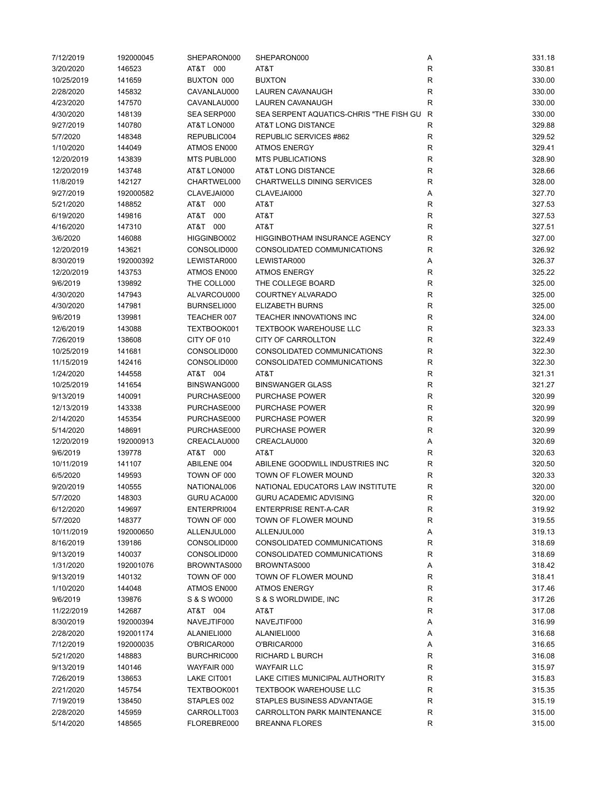| 7/12/2019  | 192000045 | SHEPARON000 | SHEPARON000                             | Α            | 331.18 |
|------------|-----------|-------------|-----------------------------------------|--------------|--------|
| 3/20/2020  | 146523    | AT&T 000    | AT&T                                    | $\mathsf{R}$ | 330.81 |
| 10/25/2019 | 141659    | BUXTON 000  | <b>BUXTON</b>                           | $\mathsf{R}$ | 330.00 |
| 2/28/2020  | 145832    | CAVANLAU000 | LAUREN CAVANAUGH                        | $\mathsf{R}$ | 330.00 |
| 4/23/2020  | 147570    | CAVANLAU000 | LAUREN CAVANAUGH                        | R            | 330.00 |
| 4/30/2020  | 148139    | SEA SERP000 | SEA SERPENT AQUATICS-CHRIS "THE FISH GU | R            | 330.00 |
| 9/27/2019  | 140780    | AT&T LON000 | AT&T LONG DISTANCE                      | R            | 329.88 |
| 5/7/2020   | 148348    | REPUBLIC004 | REPUBLIC SERVICES #862                  | R            | 329.52 |
| 1/10/2020  | 144049    | ATMOS EN000 | <b>ATMOS ENERGY</b>                     | $\mathsf{R}$ | 329.41 |
| 12/20/2019 | 143839    | MTS PUBL000 | <b>MTS PUBLICATIONS</b>                 | R            | 328.90 |
| 12/20/2019 | 143748    | AT&T LON000 | <b>AT&amp;T LONG DISTANCE</b>           | $\mathsf{R}$ | 328.66 |
| 11/8/2019  | 142127    | CHARTWEL000 | <b>CHARTWELLS DINING SERVICES</b>       | R            | 328.00 |
| 9/27/2019  | 192000582 | CLAVEJAI000 | CLAVEJAI000                             | Α            | 327.70 |
| 5/21/2020  | 148852    | AT&T 000    | AT&T                                    | R            | 327.53 |
| 6/19/2020  | 149816    | AT&T 000    | AT&T                                    | R            | 327.53 |
| 4/16/2020  | 147310    | AT&T 000    | AT&T                                    | R            | 327.51 |
| 3/6/2020   | 146088    | HIGGINBO002 | HIGGINBOTHAM INSURANCE AGENCY           | $\mathsf{R}$ | 327.00 |
| 12/20/2019 | 143621    | CONSOLID000 | CONSOLIDATED COMMUNICATIONS             | $\mathsf{R}$ | 326.92 |
| 8/30/2019  | 192000392 | LEWISTAR000 | LEWISTAR000                             | Α            | 326.37 |
| 12/20/2019 | 143753    | ATMOS EN000 | <b>ATMOS ENERGY</b>                     | R            | 325.22 |
|            |           | THE COLL000 | THE COLLEGE BOARD                       |              | 325.00 |
| 9/6/2019   | 139892    |             | <b>COURTNEY ALVARADO</b>                | R            |        |
| 4/30/2020  | 147943    | ALVARCOU000 |                                         | R            | 325.00 |
| 4/30/2020  | 147981    | BURNSELI000 | <b>ELIZABETH BURNS</b>                  | R            | 325.00 |
| 9/6/2019   | 139981    | TEACHER 007 | TEACHER INNOVATIONS INC                 | R            | 324.00 |
| 12/6/2019  | 143088    | TEXTBOOK001 | <b>TEXTBOOK WAREHOUSE LLC</b>           | R            | 323.33 |
| 7/26/2019  | 138608    | CITY OF 010 | <b>CITY OF CARROLLTON</b>               | R            | 322.49 |
| 10/25/2019 | 141681    | CONSOLID000 | CONSOLIDATED COMMUNICATIONS             | $\mathsf{R}$ | 322.30 |
| 11/15/2019 | 142416    | CONSOLID000 | CONSOLIDATED COMMUNICATIONS             | $\mathsf{R}$ | 322.30 |
| 1/24/2020  | 144558    | AT&T 004    | AT&T                                    | $\mathsf{R}$ | 321.31 |
| 10/25/2019 | 141654    | BINSWANG000 | <b>BINSWANGER GLASS</b>                 | R            | 321.27 |
| 9/13/2019  | 140091    | PURCHASE000 | <b>PURCHASE POWER</b>                   | R            | 320.99 |
| 12/13/2019 | 143338    | PURCHASE000 | PURCHASE POWER                          | R            | 320.99 |
| 2/14/2020  | 145354    | PURCHASE000 | PURCHASE POWER                          | $\mathsf{R}$ | 320.99 |
| 5/14/2020  | 148691    | PURCHASE000 | PURCHASE POWER                          | R            | 320.99 |
| 12/20/2019 | 192000913 | CREACLAU000 | CREACLAU000                             | Α            | 320.69 |
| 9/6/2019   | 139778    | AT&T 000    | AT&T                                    | R            | 320.63 |
| 10/11/2019 | 141107    | ABILENE 004 | ABILENE GOODWILL INDUSTRIES INC         | R            | 320.50 |
| 6/5/2020   | 149593    | TOWN OF 000 | TOWN OF FLOWER MOUND                    | $\mathsf{R}$ | 320.33 |
| 9/20/2019  | 140555    | NATIONAL006 | NATIONAL EDUCATORS LAW INSTITUTE        | R            | 320.00 |
| 5/7/2020   | 148303    | GURU ACA000 | <b>GURU ACADEMIC ADVISING</b>           | R            | 320.00 |
| 6/12/2020  | 149697    | ENTERPRI004 | <b>ENTERPRISE RENT-A-CAR</b>            | R            | 319.92 |
| 5/7/2020   | 148377    | TOWN OF 000 | TOWN OF FLOWER MOUND                    | $\mathsf{R}$ | 319.55 |
| 10/11/2019 | 192000650 | ALLENJUL000 | ALLENJUL000                             | Α            | 319.13 |
| 8/16/2019  | 139186    | CONSOLID000 | CONSOLIDATED COMMUNICATIONS             | R            | 318.69 |
| 9/13/2019  | 140037    | CONSOLID000 | CONSOLIDATED COMMUNICATIONS             | R            | 318.69 |
| 1/31/2020  | 192001076 | BROWNTAS000 | BROWNTAS000                             | Α            | 318.42 |
| 9/13/2019  | 140132    | TOWN OF 000 | TOWN OF FLOWER MOUND                    | R            | 318.41 |
| 1/10/2020  | 144048    | ATMOS EN000 | <b>ATMOS ENERGY</b>                     | $\mathsf{R}$ | 317.46 |
| 9/6/2019   | 139876    | S & S WO000 | S & S WORLDWIDE, INC                    | $\mathsf{R}$ | 317.26 |
| 11/22/2019 | 142687    | AT&T 004    | AT&T                                    | R            | 317.08 |
| 8/30/2019  | 192000394 | NAVEJTIF000 | NAVEJTIF000                             | Α            | 316.99 |
| 2/28/2020  | 192001174 | ALANIELI000 | ALANIELI000                             | Α            | 316.68 |
| 7/12/2019  | 192000035 | O'BRICAR000 | O'BRICAR000                             | Α            | 316.65 |
| 5/21/2020  | 148883    | BURCHRIC000 | RICHARD L BURCH                         | R            | 316.08 |
| 9/13/2019  | 140146    | WAYFAIR 000 | <b>WAYFAIR LLC</b>                      | R            | 315.97 |
| 7/26/2019  | 138653    | LAKE CIT001 | LAKE CITIES MUNICIPAL AUTHORITY         | R            | 315.83 |
| 2/21/2020  | 145754    | TEXTBOOK001 | <b>TEXTBOOK WAREHOUSE LLC</b>           | $\mathsf{R}$ | 315.35 |
| 7/19/2019  | 138450    | STAPLES 002 | STAPLES BUSINESS ADVANTAGE              | R            | 315.19 |
| 2/28/2020  | 145959    | CARROLLT003 | <b>CARROLLTON PARK MAINTENANCE</b>      | R            | 315.00 |
| 5/14/2020  | 148565    | FLOREBRE000 | <b>BREANNA FLORES</b>                   | R            | 315.00 |
|            |           |             |                                         |              |        |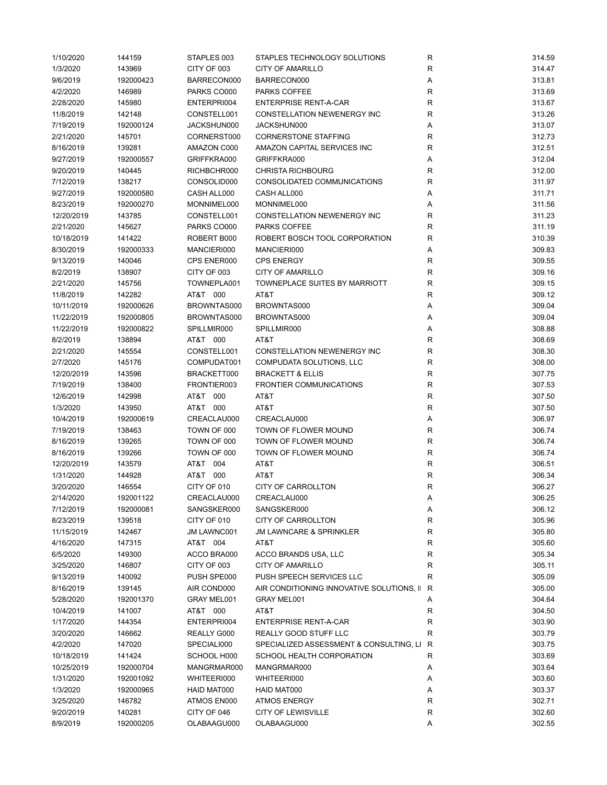| 1/10/2020  | 144159    | STAPLES 003 | STAPLES TECHNOLOGY SOLUTIONS              | R           | 314.59 |
|------------|-----------|-------------|-------------------------------------------|-------------|--------|
| 1/3/2020   | 143969    | CITY OF 003 | <b>CITY OF AMARILLO</b>                   | R           | 314.47 |
| 9/6/2019   | 192000423 | BARRECON000 | BARRECON000                               | Α           | 313.81 |
| 4/2/2020   | 146989    | PARKS CO000 | PARKS COFFEE                              | R           | 313.69 |
| 2/28/2020  | 145980    | ENTERPRI004 | <b>ENTERPRISE RENT-A-CAR</b>              | R           | 313.67 |
| 11/8/2019  | 142148    | CONSTELL001 | <b>CONSTELLATION NEWENERGY INC</b>        | R           | 313.26 |
| 7/19/2019  | 192000124 | JACKSHUN000 | JACKSHUN000                               | Α           | 313.07 |
| 2/21/2020  | 145701    | CORNERST000 | <b>CORNERSTONE STAFFING</b>               | R           | 312.73 |
| 8/16/2019  | 139281    | AMAZON C000 | AMAZON CAPITAL SERVICES INC               | R           | 312.51 |
| 9/27/2019  | 192000557 | GRIFFKRA000 | GRIFFKRA000                               | Α           | 312.04 |
| 9/20/2019  | 140445    | RICHBCHR000 | <b>CHRISTA RICHBOURG</b>                  | R           | 312.00 |
| 7/12/2019  | 138217    | CONSOLID000 | CONSOLIDATED COMMUNICATIONS               | R           | 311.97 |
| 9/27/2019  | 192000580 | CASH ALL000 | CASH ALL000                               | Α           | 311.71 |
| 8/23/2019  | 192000270 | MONNIMEL000 | MONNIMEL000                               | Α           | 311.56 |
| 12/20/2019 | 143785    | CONSTELL001 | CONSTELLATION NEWENERGY INC               | R           | 311.23 |
| 2/21/2020  | 145627    | PARKS CO000 | PARKS COFFEE                              | R           | 311.19 |
| 10/18/2019 | 141422    | ROBERT B000 | ROBERT BOSCH TOOL CORPORATION             | R           | 310.39 |
| 8/30/2019  | 192000333 | MANCIERI000 | MANCIERI000                               |             | 309.83 |
|            |           |             |                                           | Α           |        |
| 9/13/2019  | 140046    | CPS ENER000 | <b>CPS ENERGY</b>                         | R           | 309.55 |
| 8/2/2019   | 138907    | CITY OF 003 | <b>CITY OF AMARILLO</b>                   | R           | 309.16 |
| 2/21/2020  | 145756    | TOWNEPLA001 | TOWNEPLACE SUITES BY MARRIOTT             | R           | 309.15 |
| 11/8/2019  | 142282    | AT&T 000    | AT&T                                      | R           | 309.12 |
| 10/11/2019 | 192000626 | BROWNTAS000 | BROWNTAS000                               | Α           | 309.04 |
| 11/22/2019 | 192000805 | BROWNTAS000 | BROWNTAS000                               | Α           | 309.04 |
| 11/22/2019 | 192000822 | SPILLMIR000 | SPILLMIR000                               | Α           | 308.88 |
| 8/2/2019   | 138894    | AT&T 000    | AT&T                                      | R           | 308.69 |
| 2/21/2020  | 145554    | CONSTELL001 | CONSTELLATION NEWENERGY INC               | $\mathsf R$ | 308.30 |
| 2/7/2020   | 145176    | COMPUDAT001 | COMPUDATA SOLUTIONS, LLC                  | R           | 308.00 |
| 12/20/2019 | 143596    | BRACKETT000 | <b>BRACKETT &amp; ELLIS</b>               | R           | 307.75 |
| 7/19/2019  | 138400    | FRONTIER003 | <b>FRONTIER COMMUNICATIONS</b>            | R           | 307.53 |
| 12/6/2019  | 142998    | AT&T 000    | AT&T                                      | R           | 307.50 |
| 1/3/2020   | 143950    | AT&T 000    | AT&T                                      | R           | 307.50 |
| 10/4/2019  | 192000619 | CREACLAU000 | CREACLAU000                               | Α           | 306.97 |
| 7/19/2019  | 138463    | TOWN OF 000 | TOWN OF FLOWER MOUND                      | R           | 306.74 |
| 8/16/2019  | 139265    | TOWN OF 000 | TOWN OF FLOWER MOUND                      | R           | 306.74 |
| 8/16/2019  | 139266    | TOWN OF 000 | TOWN OF FLOWER MOUND                      | R           | 306.74 |
| 12/20/2019 | 143579    | AT&T 004    | AT&T                                      | R           | 306.51 |
| 1/31/2020  | 144928    | AT&T 000    | AT&T                                      | R           | 306.34 |
| 3/20/2020  | 146554    | CITY OF 010 | <b>CITY OF CARROLLTON</b>                 | R           | 306.27 |
| 2/14/2020  | 192001122 | CREACLAU000 | CREACLAU000                               | Α           | 306.25 |
| 7/12/2019  | 192000081 | SANGSKER000 | SANGSKER000                               | A           | 306.12 |
| 8/23/2019  | 139518    | CITY OF 010 | CITY OF CARROLLTON                        | R           | 305.96 |
| 11/15/2019 | 142467    | JM LAWNC001 | <b>JM LAWNCARE &amp; SPRINKLER</b>        | R           | 305.80 |
| 4/16/2020  | 147315    | AT&T 004    | AT&T                                      | R           | 305.60 |
| 6/5/2020   | 149300    | ACCO BRA000 | ACCO BRANDS USA, LLC                      |             | 305.34 |
|            |           |             |                                           | R           |        |
| 3/25/2020  | 146807    | CITY OF 003 | <b>CITY OF AMARILLO</b>                   | R           | 305.11 |
| 9/13/2019  | 140092    | PUSH SPE000 | PUSH SPEECH SERVICES LLC                  | R           | 305.09 |
| 8/16/2019  | 139145    | AIR COND000 | AIR CONDITIONING INNOVATIVE SOLUTIONS, II | R           | 305.00 |
| 5/28/2020  | 192001370 | GRAY MEL001 | GRAY MEL001                               | Α           | 304.64 |
| 10/4/2019  | 141007    | AT&T 000    | AT&T                                      | R           | 304.50 |
| 1/17/2020  | 144354    | ENTERPRI004 | <b>ENTERPRISE RENT-A-CAR</b>              | R           | 303.90 |
| 3/20/2020  | 146662    | REALLY G000 | REALLY GOOD STUFF LLC                     | R           | 303.79 |
| 4/2/2020   | 147020    | SPECIALI000 | SPECIALIZED ASSESSMENT & CONSULTING, LI   | R           | 303.75 |
| 10/18/2019 | 141424    | SCHOOL H000 | SCHOOL HEALTH CORPORATION                 | R           | 303.69 |
| 10/25/2019 | 192000704 | MANGRMAR000 | MANGRMAR000                               | Α           | 303.64 |
| 1/31/2020  | 192001092 | WHITEERI000 | WHITEERI000                               | Α           | 303.60 |
| 1/3/2020   | 192000965 | HAID MAT000 | HAID MAT000                               | Α           | 303.37 |
| 3/25/2020  | 146782    | ATMOS EN000 | ATMOS ENERGY                              | R           | 302.71 |
| 9/20/2019  | 140281    | CITY OF 046 | <b>CITY OF LEWISVILLE</b>                 | R           | 302.60 |
| 8/9/2019   | 192000205 | OLABAAGU000 | OLABAAGU000                               | Α           | 302.55 |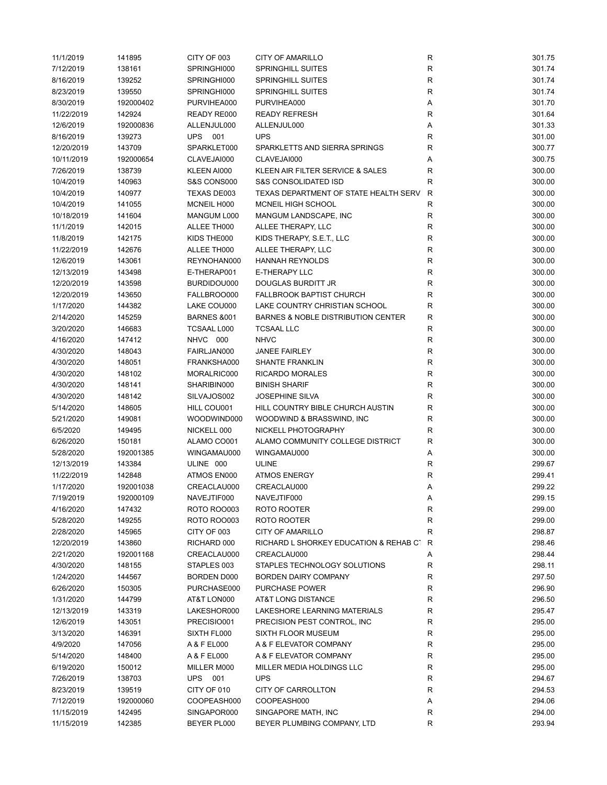| 11/1/2019  | 141895    | CITY OF 003            | <b>CITY OF AMARILLO</b>                       | R           | 301.75 |
|------------|-----------|------------------------|-----------------------------------------------|-------------|--------|
| 7/12/2019  | 138161    | SPRINGHI000            | <b>SPRINGHILL SUITES</b>                      | ${\sf R}$   | 301.74 |
| 8/16/2019  | 139252    | SPRINGHI000            | <b>SPRINGHILL SUITES</b>                      | $\mathsf R$ | 301.74 |
| 8/23/2019  | 139550    | SPRINGHI000            | <b>SPRINGHILL SUITES</b>                      | R           | 301.74 |
| 8/30/2019  | 192000402 | PURVIHEA000            | PURVIHEA000                                   | Α           | 301.70 |
| 11/22/2019 | 142924    | READY RE000            | <b>READY REFRESH</b>                          | R           | 301.64 |
| 12/6/2019  | 192000836 | ALLENJUL000            | ALLENJUL000                                   | Α           | 301.33 |
| 8/16/2019  | 139273    | UPS 001                | <b>UPS</b>                                    | R           | 301.00 |
| 12/20/2019 | 143709    | SPARKLET000            | SPARKLETTS AND SIERRA SPRINGS                 | R           | 300.77 |
| 10/11/2019 | 192000654 | CLAVEJAI000            | CLAVEJAI000                                   | Α           | 300.75 |
| 7/26/2019  | 138739    | KLEEN AI000            | KLEEN AIR FILTER SERVICE & SALES              | R           | 300.00 |
| 10/4/2019  | 140963    | S&S CONS000            | <b>S&amp;S CONSOLIDATED ISD</b>               | $\mathsf R$ | 300.00 |
| 10/4/2019  | 140977    | TEXAS DE003            | TEXAS DEPARTMENT OF STATE HEALTH SERV         | R           | 300.00 |
| 10/4/2019  | 141055    | MCNEIL H000            | MCNEIL HIGH SCHOOL                            | R           | 300.00 |
| 10/18/2019 | 141604    | MANGUM L000            | MANGUM LANDSCAPE, INC                         | R           | 300.00 |
| 11/1/2019  | 142015    | ALLEE TH000            | ALLEE THERAPY, LLC                            | $\mathsf R$ | 300.00 |
| 11/8/2019  | 142175    | KIDS THE000            | KIDS THERAPY, S.E.T., LLC                     | $\mathsf R$ | 300.00 |
| 11/22/2019 | 142676    | ALLEE TH000            | ALLEE THERAPY, LLC                            | R           | 300.00 |
| 12/6/2019  | 143061    | REYNOHAN000            | <b>HANNAH REYNOLDS</b>                        | ${\sf R}$   | 300.00 |
| 12/13/2019 | 143498    | E-THERAP001            | <b>E-THERAPY LLC</b>                          | R           | 300.00 |
| 12/20/2019 | 143598    | BURDIDOU000            | DOUGLAS BURDITT JR                            | R           | 300.00 |
| 12/20/2019 | 143650    | FALLBROO000            | <b>FALLBROOK BAPTIST CHURCH</b>               | R           | 300.00 |
|            |           |                        | LAKE COUNTRY CHRISTIAN SCHOOL                 |             |        |
| 1/17/2020  | 144382    | LAKE COU000            |                                               | R           | 300.00 |
| 2/14/2020  | 145259    | <b>BARNES &amp;001</b> | <b>BARNES &amp; NOBLE DISTRIBUTION CENTER</b> | ${\sf R}$   | 300.00 |
| 3/20/2020  | 146683    | <b>TCSAAL L000</b>     | <b>TCSAAL LLC</b>                             | R           | 300.00 |
| 4/16/2020  | 147412    | NHVC 000               | <b>NHVC</b>                                   | $\mathsf R$ | 300.00 |
| 4/30/2020  | 148043    | FAIRLJAN000            | <b>JANEE FAIRLEY</b>                          | R           | 300.00 |
| 4/30/2020  | 148051    | FRANKSHA000            | <b>SHANTE FRANKLIN</b>                        | R           | 300.00 |
| 4/30/2020  | 148102    | MORALRIC000            | <b>RICARDO MORALES</b>                        | $\mathsf R$ | 300.00 |
| 4/30/2020  | 148141    | SHARIBIN000            | <b>BINISH SHARIF</b>                          | R           | 300.00 |
| 4/30/2020  | 148142    | SILVAJOS002            | <b>JOSEPHINE SILVA</b>                        | R           | 300.00 |
| 5/14/2020  | 148605    | HILL COU001            | HILL COUNTRY BIBLE CHURCH AUSTIN              | R           | 300.00 |
| 5/21/2020  | 149081    | WOODWIND000            | WOODWIND & BRASSWIND, INC                     | R           | 300.00 |
| 6/5/2020   | 149495    | NICKELL 000            | NICKELL PHOTOGRAPHY                           | $\mathsf R$ | 300.00 |
| 6/26/2020  | 150181    | ALAMO CO001            | ALAMO COMMUNITY COLLEGE DISTRICT              | R           | 300.00 |
| 5/28/2020  | 192001385 | WINGAMAU000            | WINGAMAU000                                   | Α           | 300.00 |
| 12/13/2019 | 143384    | ULINE 000              | <b>ULINE</b>                                  | R           | 299.67 |
| 11/22/2019 | 142848    | ATMOS EN000            | <b>ATMOS ENERGY</b>                           | R           | 299.41 |
| 1/17/2020  | 192001038 | CREACLAU000            | CREACLAU000                                   | Α           | 299.22 |
| 7/19/2019  | 192000109 | NAVEJTIF000            | NAVEJTIF000                                   |             | 299.15 |
| 4/16/2020  | 147432    | ROTO ROO003            | ROTO ROOTER                                   | R           | 299.00 |
| 5/28/2020  | 149255    | ROTO ROO003            | ROTO ROOTER                                   | R           | 299.00 |
| 2/28/2020  | 145965    | CITY OF 003            | CITY OF AMARILLO                              | R           | 298.87 |
| 12/20/2019 | 143860    | RICHARD 000            | RICHARD L SHORKEY EDUCATION & REHAB CT        | R           | 298.46 |
| 2/21/2020  | 192001168 | CREACLAU000            | CREACLAU000                                   | Α           | 298.44 |
| 4/30/2020  | 148155    | STAPLES 003            | STAPLES TECHNOLOGY SOLUTIONS                  | R           | 298.11 |
| 1/24/2020  | 144567    | BORDEN D000            | <b>BORDEN DAIRY COMPANY</b>                   | R           | 297.50 |
| 6/26/2020  | 150305    | PURCHASE000            | <b>PURCHASE POWER</b>                         | R           | 296.90 |
| 1/31/2020  | 144799    | AT&T LON000            | AT&T LONG DISTANCE                            | R           | 296.50 |
| 12/13/2019 | 143319    | LAKESHOR000            | LAKESHORE LEARNING MATERIALS                  | R           | 295.47 |
| 12/6/2019  | 143051    | PRECISIO001            | PRECISION PEST CONTROL, INC                   | ${\sf R}$   | 295.00 |
| 3/13/2020  | 146391    | SIXTH FL000            | SIXTH FLOOR MUSEUM                            | R           | 295.00 |
| 4/9/2020   | 147056    | A & F EL000            | A & F ELEVATOR COMPANY                        | R           | 295.00 |
| 5/14/2020  | 148400    | A & F EL000            | A & F ELEVATOR COMPANY                        | R           | 295.00 |
| 6/19/2020  | 150012    | MILLER M000            | MILLER MEDIA HOLDINGS LLC                     | ${\sf R}$   | 295.00 |
| 7/26/2019  | 138703    | UPS 001                | <b>UPS</b>                                    | ${\sf R}$   | 294.67 |
| 8/23/2019  | 139519    | CITY OF 010            | CITY OF CARROLLTON                            | R           | 294.53 |
| 7/12/2019  | 192000060 | COOPEASH000            | COOPEASH000                                   | Α           | 294.06 |
| 11/15/2019 | 142495    | SINGAPOR000            | SINGAPORE MATH, INC                           | R           | 294.00 |
| 11/15/2019 | 142385    | BEYER PL000            | BEYER PLUMBING COMPANY, LTD                   | $\mathsf R$ | 293.94 |
|            |           |                        |                                               |             |        |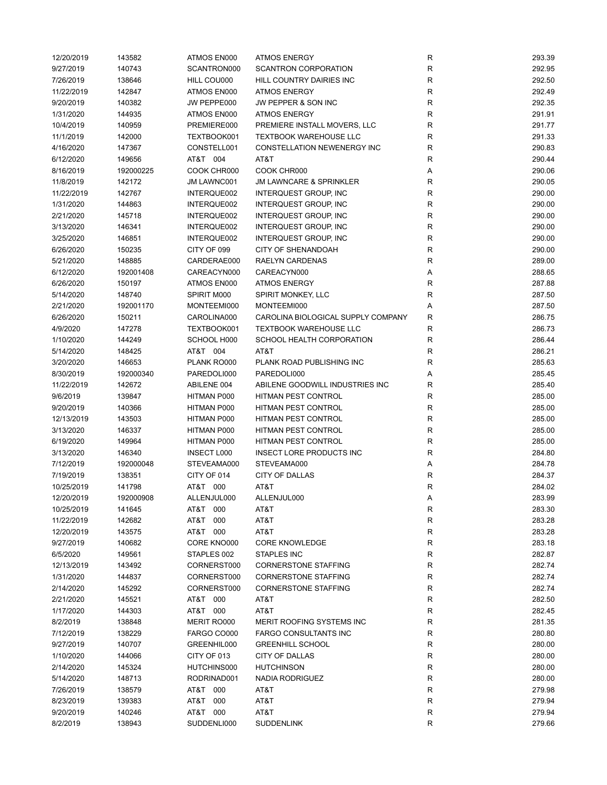| 12/20/2019 | 143582    | ATMOS EN000        | <b>ATMOS ENERGY</b>                | R           | 293.39 |
|------------|-----------|--------------------|------------------------------------|-------------|--------|
| 9/27/2019  | 140743    | SCANTRON000        | <b>SCANTRON CORPORATION</b>        | ${\sf R}$   | 292.95 |
| 7/26/2019  | 138646    | HILL COU000        | HILL COUNTRY DAIRIES INC           | ${\sf R}$   | 292.50 |
| 11/22/2019 | 142847    | ATMOS EN000        | <b>ATMOS ENERGY</b>                | R           | 292.49 |
| 9/20/2019  | 140382    | JW PEPPE000        | JW PEPPER & SON INC                | $\mathsf R$ | 292.35 |
| 1/31/2020  | 144935    | ATMOS EN000        | <b>ATMOS ENERGY</b>                | $\mathsf R$ | 291.91 |
| 10/4/2019  | 140959    | PREMIERE000        | PREMIERE INSTALL MOVERS, LLC       | $\mathsf R$ | 291.77 |
| 11/1/2019  | 142000    | TEXTBOOK001        | <b>TEXTBOOK WAREHOUSE LLC</b>      | $\mathsf R$ | 291.33 |
| 4/16/2020  | 147367    | CONSTELL001        | CONSTELLATION NEWENERGY INC        | R           | 290.83 |
| 6/12/2020  | 149656    | AT&T 004           | AT&T                               | $\mathsf R$ | 290.44 |
| 8/16/2019  | 192000225 | COOK CHR000        | COOK CHR000                        | Α           | 290.06 |
| 11/8/2019  | 142172    | JM LAWNC001        | <b>JM LAWNCARE &amp; SPRINKLER</b> | R           | 290.05 |
| 11/22/2019 | 142767    | INTERQUE002        | <b>INTERQUEST GROUP, INC</b>       | R           | 290.00 |
| 1/31/2020  | 144863    | INTERQUE002        | INTERQUEST GROUP, INC              | R           | 290.00 |
| 2/21/2020  | 145718    | INTERQUE002        | INTERQUEST GROUP, INC              | R           | 290.00 |
| 3/13/2020  | 146341    | INTERQUE002        | INTERQUEST GROUP, INC              | R           | 290.00 |
|            |           |                    |                                    | $\mathsf R$ |        |
| 3/25/2020  | 146851    | INTERQUE002        | INTERQUEST GROUP, INC              |             | 290.00 |
| 6/26/2020  | 150235    | CITY OF 099        | <b>CITY OF SHENANDOAH</b>          | $\mathsf R$ | 290.00 |
| 5/21/2020  | 148885    | CARDERAE000        | <b>RAELYN CARDENAS</b>             | R           | 289.00 |
| 6/12/2020  | 192001408 | CAREACYN000        | CAREACYN000                        | Α           | 288.65 |
| 6/26/2020  | 150197    | ATMOS EN000        | <b>ATMOS ENERGY</b>                | R           | 287.88 |
| 5/14/2020  | 148740    | SPIRIT M000        | SPIRIT MONKEY, LLC                 | $\mathsf R$ | 287.50 |
| 2/21/2020  | 192001170 | MONTEEMI000        | MONTEEMI000                        | Α           | 287.50 |
| 6/26/2020  | 150211    | CAROLINA000        | CAROLINA BIOLOGICAL SUPPLY COMPANY | R           | 286.75 |
| 4/9/2020   | 147278    | TEXTBOOK001        | <b>TEXTBOOK WAREHOUSE LLC</b>      | R           | 286.73 |
| 1/10/2020  | 144249    | SCHOOL H000        | SCHOOL HEALTH CORPORATION          | $\mathsf R$ | 286.44 |
| 5/14/2020  | 148425    | AT&T 004           | AT&T                               | ${\sf R}$   | 286.21 |
| 3/20/2020  | 146653    | PLANK RO000        | PLANK ROAD PUBLISHING INC          | $\mathsf R$ | 285.63 |
| 8/30/2019  | 192000340 | PAREDOLI000        | PAREDOLI000                        | Α           | 285.45 |
| 11/22/2019 | 142672    | ABILENE 004        | ABILENE GOODWILL INDUSTRIES INC    | R           | 285.40 |
| 9/6/2019   | 139847    | HITMAN P000        | <b>HITMAN PEST CONTROL</b>         | R           | 285.00 |
| 9/20/2019  | 140366    | HITMAN P000        | HITMAN PEST CONTROL                | $\mathsf R$ | 285.00 |
| 12/13/2019 | 143503    | HITMAN P000        | HITMAN PEST CONTROL                | R           | 285.00 |
| 3/13/2020  | 146337    | HITMAN P000        | <b>HITMAN PEST CONTROL</b>         | R           | 285.00 |
| 6/19/2020  | 149964    | HITMAN P000        | <b>HITMAN PEST CONTROL</b>         | R           | 285.00 |
| 3/13/2020  | 146340    | <b>INSECT L000</b> | <b>INSECT LORE PRODUCTS INC</b>    | R           | 284.80 |
| 7/12/2019  | 192000048 | STEVEAMA000        | STEVEAMA000                        | Α           | 284.78 |
| 7/19/2019  | 138351    | CITY OF 014        | <b>CITY OF DALLAS</b>              | R           | 284.37 |
| 10/25/2019 | 141798    | AT&T 000           | AT&T                               | $\mathsf R$ | 284.02 |
| 12/20/2019 | 192000908 | ALLENJUL000        | ALLENJUL000                        | Α           | 283.99 |
| 10/25/2019 | 141645    | AT&T 000           | AT&T                               | R           | 283.30 |
| 11/22/2019 | 142682    | AT&T<br>000        | AT&T                               | ${\sf R}$   | 283.28 |
| 12/20/2019 | 143575    | AT&T 000           | AT&T                               | R           | 283.28 |
| 9/27/2019  | 140682    | CORE KNO000        | <b>CORE KNOWLEDGE</b>              | R           | 283.18 |
| 6/5/2020   | 149561    | STAPLES 002        | <b>STAPLES INC</b>                 | R           | 282.87 |
| 12/13/2019 | 143492    | CORNERST000        | <b>CORNERSTONE STAFFING</b>        | ${\sf R}$   | 282.74 |
| 1/31/2020  |           |                    |                                    |             |        |
|            | 144837    | CORNERST000        | <b>CORNERSTONE STAFFING</b>        | ${\sf R}$   | 282.74 |
| 2/14/2020  | 145292    | CORNERST000        | <b>CORNERSTONE STAFFING</b>        | R           | 282.74 |
| 2/21/2020  | 145521    | AT&T 000           | AT&T                               | ${\sf R}$   | 282.50 |
| 1/17/2020  | 144303    | AT&T 000           | AT&T                               | R           | 282.45 |
| 8/2/2019   | 138848    | MERIT RO000        | MERIT ROOFING SYSTEMS INC          | R           | 281.35 |
| 7/12/2019  | 138229    | FARGO CO000        | <b>FARGO CONSULTANTS INC</b>       | R           | 280.80 |
| 9/27/2019  | 140707    | GREENHIL000        | <b>GREENHILL SCHOOL</b>            | R           | 280.00 |
| 1/10/2020  | 144066    | CITY OF 013        | <b>CITY OF DALLAS</b>              | R           | 280.00 |
| 2/14/2020  | 145324    | HUTCHINS000        | <b>HUTCHINSON</b>                  | R           | 280.00 |
| 5/14/2020  | 148713    | RODRINAD001        | NADIA RODRIGUEZ                    | R           | 280.00 |
| 7/26/2019  | 138579    | AT&T 000           | AT&T                               | ${\sf R}$   | 279.98 |
| 8/23/2019  | 139383    | AT&T 000           | AT&T                               | R           | 279.94 |
| 9/20/2019  | 140246    | AT&T 000           | AT&T                               | R           | 279.94 |
| 8/2/2019   | 138943    | SUDDENLI000        | <b>SUDDENLINK</b>                  | R           | 279.66 |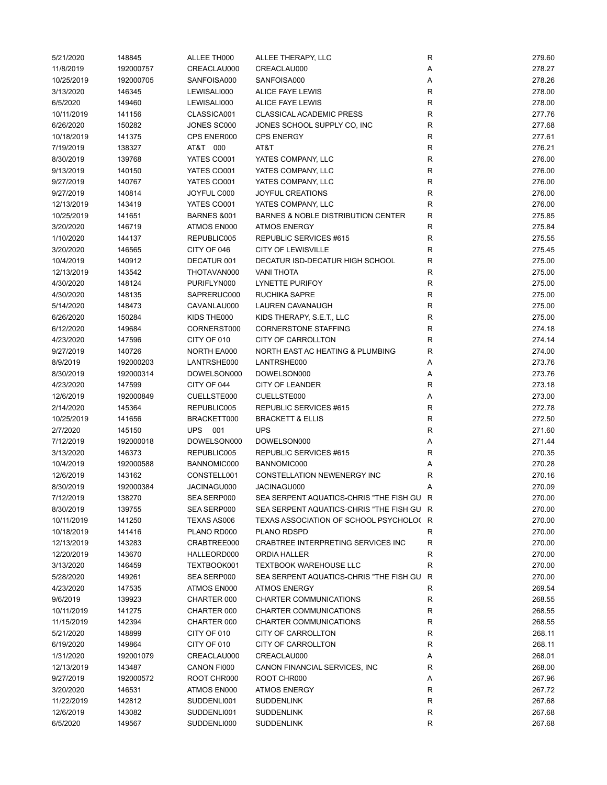| 5/21/2020  | 148845    | ALLEE TH000            | ALLEE THERAPY, LLC                                      | R            | 279.60 |
|------------|-----------|------------------------|---------------------------------------------------------|--------------|--------|
| 11/8/2019  | 192000757 | CREACLAU000            | CREACLAU000                                             | Α            | 278.27 |
| 10/25/2019 | 192000705 | SANFOISA000            | SANFOISA000                                             | Α            | 278.26 |
| 3/13/2020  | 146345    | LEWISALI000            | ALICE FAYE LEWIS                                        | R            | 278.00 |
| 6/5/2020   | 149460    | LEWISALI000            | ALICE FAYE LEWIS                                        | ${\sf R}$    | 278.00 |
| 10/11/2019 | 141156    | CLASSICA001            | <b>CLASSICAL ACADEMIC PRESS</b>                         | ${\sf R}$    | 277.76 |
| 6/26/2020  | 150282    | JONES SC000            | JONES SCHOOL SUPPLY CO, INC                             | R            | 277.68 |
| 10/18/2019 | 141375    | CPS ENER000            | <b>CPS ENERGY</b>                                       | $\mathsf R$  | 277.61 |
| 7/19/2019  | 138327    | AT&T 000               | AT&T                                                    | $\mathsf R$  | 276.21 |
| 8/30/2019  | 139768    | YATES CO001            | YATES COMPANY, LLC                                      | $\mathsf R$  | 276.00 |
| 9/13/2019  | 140150    | YATES CO001            | YATES COMPANY, LLC                                      | R            | 276.00 |
| 9/27/2019  | 140767    | YATES CO001            | YATES COMPANY, LLC                                      | R            | 276.00 |
| 9/27/2019  | 140814    | JOYFUL C000            | <b>JOYFUL CREATIONS</b>                                 | R            | 276.00 |
| 12/13/2019 | 143419    | YATES CO001            | YATES COMPANY, LLC                                      | R            | 276.00 |
| 10/25/2019 | 141651    | <b>BARNES &amp;001</b> | <b>BARNES &amp; NOBLE DISTRIBUTION CENTER</b>           | $\mathsf R$  | 275.85 |
| 3/20/2020  | 146719    | ATMOS EN000            | <b>ATMOS ENERGY</b>                                     | $\mathsf R$  | 275.84 |
| 1/10/2020  | 144137    | REPUBLIC005            | REPUBLIC SERVICES #615                                  | $\mathsf R$  | 275.55 |
|            |           |                        |                                                         | $\mathsf R$  |        |
| 3/20/2020  | 146565    | CITY OF 046            | <b>CITY OF LEWISVILLE</b>                               |              | 275.45 |
| 10/4/2019  | 140912    | DECATUR 001            | DECATUR ISD-DECATUR HIGH SCHOOL                         | $\mathsf R$  | 275.00 |
| 12/13/2019 | 143542    | THOTAVAN000            | <b>VANI THOTA</b>                                       | $\mathsf R$  | 275.00 |
| 4/30/2020  | 148124    | PURIFLYN000            | <b>LYNETTE PURIFOY</b>                                  | $\mathsf R$  | 275.00 |
| 4/30/2020  | 148135    | SAPRERUC000            | <b>RUCHIKA SAPRE</b>                                    | $\mathsf R$  | 275.00 |
| 5/14/2020  | 148473    | CAVANLAU000            | LAUREN CAVANAUGH                                        | R            | 275.00 |
| 6/26/2020  | 150284    | KIDS THE000            | KIDS THERAPY, S.E.T., LLC                               | R            | 275.00 |
| 6/12/2020  | 149684    | CORNERST000            | <b>CORNERSTONE STAFFING</b>                             | ${\sf R}$    | 274.18 |
| 4/23/2020  | 147596    | CITY OF 010            | CITY OF CARROLLTON                                      | $\mathsf{R}$ | 274.14 |
| 9/27/2019  | 140726    | NORTH EA000            | NORTH EAST AC HEATING & PLUMBING                        | $\mathsf R$  | 274.00 |
| 8/9/2019   | 192000203 | LANTRSHE000            | LANTRSHE000                                             | Α            | 273.76 |
| 8/30/2019  | 192000314 | DOWELSON000            | DOWELSON000                                             | Α            | 273.76 |
| 4/23/2020  | 147599    | CITY OF 044            | <b>CITY OF LEANDER</b>                                  | R            | 273.18 |
| 12/6/2019  | 192000849 | CUELLSTE000            | CUELLSTE000                                             | Α            | 273.00 |
| 2/14/2020  | 145364    | REPUBLIC005            | REPUBLIC SERVICES #615                                  | ${\sf R}$    | 272.78 |
| 10/25/2019 | 141656    | BRACKETT000            | <b>BRACKETT &amp; ELLIS</b>                             | R            | 272.50 |
| 2/7/2020   | 145150    | UPS 001                | <b>UPS</b>                                              | R            | 271.60 |
| 7/12/2019  | 192000018 | DOWELSON000            | DOWELSON000                                             | Α            | 271.44 |
| 3/13/2020  | 146373    | REPUBLIC005            | REPUBLIC SERVICES #615                                  | R            | 270.35 |
| 10/4/2019  | 192000588 | BANNOMIC000            | BANNOMIC000                                             | Α            | 270.28 |
| 12/6/2019  | 143162    | CONSTELL001            | CONSTELLATION NEWENERGY INC                             | R            | 270.16 |
| 8/30/2019  | 192000384 | JACINAGU000            | JACINAGU000                                             | Α            | 270.09 |
| 7/12/2019  | 138270    | SEA SERP000            | SEA SERPENT AQUATICS-CHRIS "THE FISH GU R               |              | 270.00 |
| 8/30/2019  | 139755    | SEA SERP000            | SEA SERPENT AQUATICS-CHRIS "THE FISH GU R               |              | 270.00 |
| 10/11/2019 | 141250    | TEXAS AS006            | TEXAS ASSOCIATION OF SCHOOL PSYCHOLO(R                  |              | 270.00 |
| 10/18/2019 | 141416    | PLANO RD000            | PLANO RDSPD                                             | R            | 270.00 |
| 12/13/2019 | 143283    | CRABTREE000            | CRABTREE INTERPRETING SERVICES INC                      | R            | 270.00 |
| 12/20/2019 | 143670    | HALLEORD000            | ORDIA HALLER                                            | R            | 270.00 |
| 3/13/2020  | 146459    | TEXTBOOK001            | <b>TEXTBOOK WAREHOUSE LLC</b>                           | $\mathsf R$  | 270.00 |
| 5/28/2020  | 149261    | SEA SERP000            | SEA SERPENT AQUATICS-CHRIS "THE FISH GU R               |              | 270.00 |
| 4/23/2020  |           | ATMOS EN000            | <b>ATMOS ENERGY</b>                                     | R            | 269.54 |
| 9/6/2019   | 147535    | CHARTER 000            |                                                         | R            | 268.55 |
|            | 139923    |                        | CHARTER COMMUNICATIONS<br><b>CHARTER COMMUNICATIONS</b> |              |        |
| 10/11/2019 | 141275    | CHARTER 000            |                                                         | ${\sf R}$    | 268.55 |
| 11/15/2019 | 142394    | CHARTER 000            | CHARTER COMMUNICATIONS                                  | R            | 268.55 |
| 5/21/2020  | 148899    | CITY OF 010            | CITY OF CARROLLTON                                      | R            | 268.11 |
| 6/19/2020  | 149864    | CITY OF 010            | CITY OF CARROLLTON                                      | R            | 268.11 |
| 1/31/2020  | 192001079 | CREACLAU000            | CREACLAU000                                             | Α            | 268.01 |
| 12/13/2019 | 143487    | CANON FI000            | CANON FINANCIAL SERVICES, INC                           | R            | 268.00 |
| 9/27/2019  | 192000572 | ROOT CHR000            | ROOT CHR000                                             | Α            | 267.96 |
| 3/20/2020  | 146531    | ATMOS EN000            | <b>ATMOS ENERGY</b>                                     | R            | 267.72 |
| 11/22/2019 | 142812    | SUDDENLI001            | <b>SUDDENLINK</b>                                       | R            | 267.68 |
| 12/6/2019  | 143082    | SUDDENLI001            | <b>SUDDENLINK</b>                                       | R            | 267.68 |
| 6/5/2020   | 149567    | SUDDENLI000            | <b>SUDDENLINK</b>                                       | R            | 267.68 |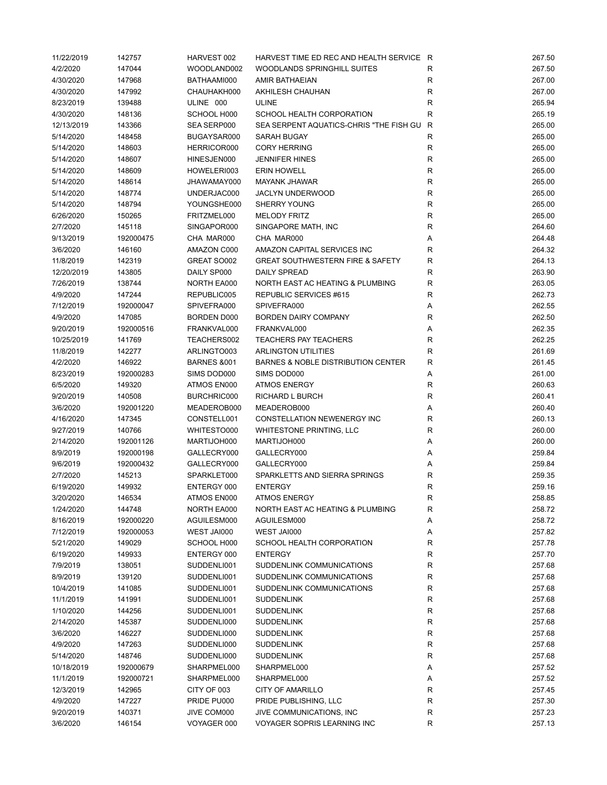| 11/22/2019 | 142757    | HARVEST 002            | HARVEST TIME ED REC AND HEALTH SERVICE R      |             | 267.50 |
|------------|-----------|------------------------|-----------------------------------------------|-------------|--------|
| 4/2/2020   | 147044    | WOODLAND002            | WOODLANDS SPRINGHILL SUITES                   | R           | 267.50 |
| 4/30/2020  | 147968    | BATHAAMI000            | <b>AMIR BATHAEIAN</b>                         | R           | 267.00 |
| 4/30/2020  | 147992    | CHAUHAKH000            | AKHILESH CHAUHAN                              | R           | 267.00 |
| 8/23/2019  | 139488    | ULINE 000              | <b>ULINE</b>                                  | R           | 265.94 |
| 4/30/2020  | 148136    | SCHOOL H000            | SCHOOL HEALTH CORPORATION                     | R           | 265.19 |
| 12/13/2019 | 143366    | SEA SERP000            | SEA SERPENT AQUATICS-CHRIS "THE FISH GU       | R           | 265.00 |
| 5/14/2020  | 148458    | BUGAYSAR000            | SARAH BUGAY                                   | R           | 265.00 |
| 5/14/2020  | 148603    | HERRICOR000            | <b>CORY HERRING</b>                           | $\mathsf R$ | 265.00 |
| 5/14/2020  | 148607    | HINESJEN000            | <b>JENNIFER HINES</b>                         | R           | 265.00 |
| 5/14/2020  | 148609    | HOWELERI003            | <b>ERIN HOWELL</b>                            | R           | 265.00 |
| 5/14/2020  | 148614    | JHAWAMAY000            | <b>MAYANK JHAWAR</b>                          | R           | 265.00 |
| 5/14/2020  | 148774    | UNDERJAC000            | <b>JACLYN UNDERWOOD</b>                       | R           | 265.00 |
| 5/14/2020  | 148794    | YOUNGSHE000            | <b>SHERRY YOUNG</b>                           | R           | 265.00 |
|            |           | FRITZMEL000            | <b>MELODY FRITZ</b>                           |             | 265.00 |
| 6/26/2020  | 150265    |                        |                                               | R           |        |
| 2/7/2020   | 145118    | SINGAPOR000            | SINGAPORE MATH, INC                           | R           | 264.60 |
| 9/13/2019  | 192000475 | CHA MAR000             | CHA MAR000                                    | Α           | 264.48 |
| 3/6/2020   | 146160    | AMAZON C000            | AMAZON CAPITAL SERVICES INC                   | R           | 264.32 |
| 11/8/2019  | 142319    | GREAT SO002            | <b>GREAT SOUTHWESTERN FIRE &amp; SAFETY</b>   | R           | 264.13 |
| 12/20/2019 | 143805    | DAILY SP000            | <b>DAILY SPREAD</b>                           | R           | 263.90 |
| 7/26/2019  | 138744    | NORTH EA000            | NORTH EAST AC HEATING & PLUMBING              | R           | 263.05 |
| 4/9/2020   | 147244    | REPUBLIC005            | REPUBLIC SERVICES #615                        | R           | 262.73 |
| 7/12/2019  | 192000047 | SPIVEFRA000            | SPIVEFRA000                                   | Α           | 262.55 |
| 4/9/2020   | 147085    | BORDEN D000            | <b>BORDEN DAIRY COMPANY</b>                   | R           | 262.50 |
| 9/20/2019  | 192000516 | FRANKVAL000            | FRANKVAL000                                   | Α           | 262.35 |
| 10/25/2019 | 141769    | TEACHERS002            | <b>TEACHERS PAY TEACHERS</b>                  | R           | 262.25 |
| 11/8/2019  | 142277    | ARLINGTO003            | <b>ARLINGTON UTILITIES</b>                    | R           | 261.69 |
| 4/2/2020   | 146922    | <b>BARNES &amp;001</b> | <b>BARNES &amp; NOBLE DISTRIBUTION CENTER</b> | R           | 261.45 |
| 8/23/2019  | 192000283 | SIMS DOD000            | SIMS DOD000                                   | Α           | 261.00 |
| 6/5/2020   | 149320    | ATMOS EN000            | ATMOS ENERGY                                  | R           | 260.63 |
| 9/20/2019  | 140508    | BURCHRIC000            | RICHARD L BURCH                               | R           | 260.41 |
| 3/6/2020   | 192001220 | MEADEROB000            | MEADEROB000                                   | Α           | 260.40 |
| 4/16/2020  | 147345    | CONSTELL001            | CONSTELLATION NEWENERGY INC                   | R           | 260.13 |
| 9/27/2019  | 140766    | WHITESTO000            | WHITESTONE PRINTING, LLC                      | R           | 260.00 |
| 2/14/2020  | 192001126 | MARTIJOH000            | MARTIJOH000                                   | Α           | 260.00 |
| 8/9/2019   | 192000198 | GALLECRY000            | GALLECRY000                                   | Α           | 259.84 |
| 9/6/2019   | 192000432 | GALLECRY000            | GALLECRY000                                   | Α           | 259.84 |
| 2/7/2020   | 145213    | SPARKLET000            | SPARKLETTS AND SIERRA SPRINGS                 | R           | 259.35 |
| 6/19/2020  | 149932    | ENTERGY 000            | <b>ENTERGY</b>                                | R           | 259.16 |
| 3/20/2020  | 146534    | ATMOS EN000            | ATMOS ENERGY                                  | R           | 258.85 |
|            |           | NORTH EA000            |                                               |             | 258.72 |
| 1/24/2020  | 144748    |                        | NORTH EAST AC HEATING & PLUMBING              | R           |        |
| 8/16/2019  | 192000220 | AGUILESM000            | AGUILESM000                                   | Α           | 258.72 |
| 7/12/2019  | 192000053 | WEST JAI000            | WEST JAI000                                   | Α           | 257.82 |
| 5/21/2020  | 149029    | SCHOOL H000            | SCHOOL HEALTH CORPORATION                     | R           | 257.78 |
| 6/19/2020  | 149933    | ENTERGY 000            | <b>ENTERGY</b>                                | R           | 257.70 |
| 7/9/2019   | 138051    | SUDDENLI001            | SUDDENLINK COMMUNICATIONS                     | R           | 257.68 |
| 8/9/2019   | 139120    | SUDDENLI001            | SUDDENLINK COMMUNICATIONS                     | R           | 257.68 |
| 10/4/2019  | 141085    | SUDDENLI001            | SUDDENLINK COMMUNICATIONS                     | ${\sf R}$   | 257.68 |
| 11/1/2019  | 141991    | SUDDENLI001            | <b>SUDDENLINK</b>                             | R           | 257.68 |
| 1/10/2020  | 144256    | SUDDENLI001            | <b>SUDDENLINK</b>                             | R           | 257.68 |
| 2/14/2020  | 145387    | SUDDENLI000            | <b>SUDDENLINK</b>                             | R           | 257.68 |
| 3/6/2020   | 146227    | SUDDENLI000            | <b>SUDDENLINK</b>                             | R           | 257.68 |
| 4/9/2020   | 147263    | SUDDENLI000            | <b>SUDDENLINK</b>                             | ${\sf R}$   | 257.68 |
| 5/14/2020  | 148746    | SUDDENLI000            | <b>SUDDENLINK</b>                             | R           | 257.68 |
| 10/18/2019 | 192000679 | SHARPMEL000            | SHARPMEL000                                   | Α           | 257.52 |
| 11/1/2019  | 192000721 | SHARPMEL000            | SHARPMEL000                                   | Α           | 257.52 |
| 12/3/2019  | 142965    | CITY OF 003            | <b>CITY OF AMARILLO</b>                       | R           | 257.45 |
| 4/9/2020   | 147227    | PRIDE PU000            | PRIDE PUBLISHING, LLC                         | R           | 257.30 |
| 9/20/2019  | 140371    | JIVE COM000            | JIVE COMMUNICATIONS, INC                      | R           | 257.23 |
| 3/6/2020   | 146154    | VOYAGER 000            | VOYAGER SOPRIS LEARNING INC                   | ${\sf R}$   | 257.13 |
|            |           |                        |                                               |             |        |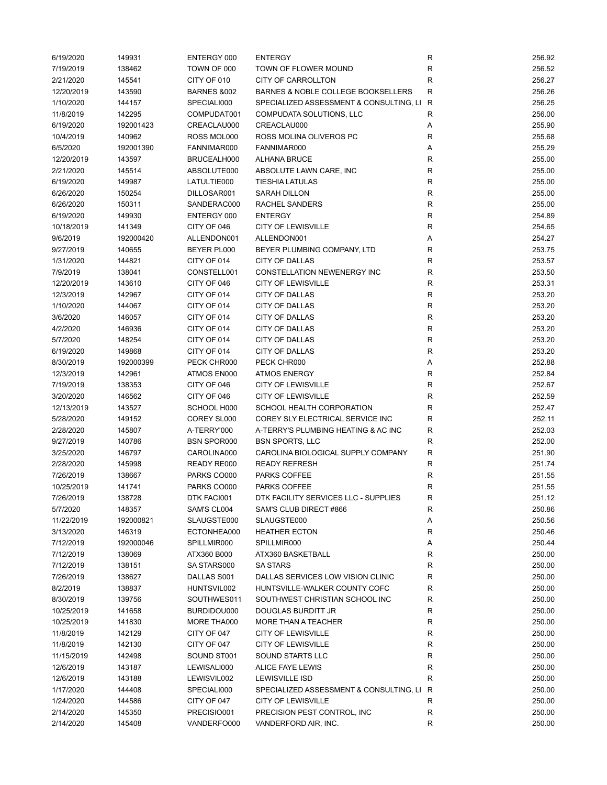| 6/19/2020  | 149931    | ENTERGY 000            | <b>ENTERGY</b>                          | R            | 256.92 |
|------------|-----------|------------------------|-----------------------------------------|--------------|--------|
| 7/19/2019  | 138462    | TOWN OF 000            | TOWN OF FLOWER MOUND                    | R            | 256.52 |
| 2/21/2020  | 145541    | CITY OF 010            | CITY OF CARROLLTON                      | R            | 256.27 |
| 12/20/2019 | 143590    | <b>BARNES &amp;002</b> | BARNES & NOBLE COLLEGE BOOKSELLERS      | $\mathsf R$  | 256.26 |
| 1/10/2020  | 144157    | SPECIALI000            | SPECIALIZED ASSESSMENT & CONSULTING, LI | R            | 256.25 |
| 11/8/2019  | 142295    | COMPUDAT001            | COMPUDATA SOLUTIONS, LLC                | R            | 256.00 |
| 6/19/2020  | 192001423 | CREACLAU000            | CREACLAU000                             | Α            | 255.90 |
| 10/4/2019  | 140962    | ROSS MOL000            | ROSS MOLINA OLIVEROS PC                 | $\mathsf R$  | 255.68 |
| 6/5/2020   | 192001390 | FANNIMAR000            | FANNIMAR000                             | Α            | 255.29 |
| 12/20/2019 | 143597    | BRUCEALH000            | <b>ALHANA BRUCE</b>                     | R            | 255.00 |
| 2/21/2020  | 145514    | ABSOLUTE000            | ABSOLUTE LAWN CARE, INC                 | $\mathsf R$  | 255.00 |
| 6/19/2020  | 149987    | LATULTIE000            | <b>TIESHIA LATULAS</b>                  | $\mathsf R$  | 255.00 |
| 6/26/2020  | 150254    | DILLOSAR001            | <b>SARAH DILLON</b>                     | $\mathsf R$  | 255.00 |
| 6/26/2020  | 150311    | SANDERAC000            | <b>RACHEL SANDERS</b>                   | R            | 255.00 |
| 6/19/2020  | 149930    | ENTERGY 000            | <b>ENTERGY</b>                          | R            | 254.89 |
| 10/18/2019 | 141349    | CITY OF 046            | <b>CITY OF LEWISVILLE</b>               | $\mathsf R$  | 254.65 |
| 9/6/2019   |           |                        |                                         | Α            | 254.27 |
|            | 192000420 | ALLENDON001            | ALLENDON001                             |              |        |
| 9/27/2019  | 140655    | BEYER PL000            | BEYER PLUMBING COMPANY, LTD             | $\mathsf R$  | 253.75 |
| 1/31/2020  | 144821    | CITY OF 014            | <b>CITY OF DALLAS</b>                   | R            | 253.57 |
| 7/9/2019   | 138041    | CONSTELL001            | CONSTELLATION NEWENERGY INC             | $\mathsf R$  | 253.50 |
| 12/20/2019 | 143610    | CITY OF 046            | <b>CITY OF LEWISVILLE</b>               | $\mathsf R$  | 253.31 |
| 12/3/2019  | 142967    | CITY OF 014            | <b>CITY OF DALLAS</b>                   | R            | 253.20 |
| 1/10/2020  | 144067    | CITY OF 014            | <b>CITY OF DALLAS</b>                   | $\mathsf R$  | 253.20 |
| 3/6/2020   | 146057    | CITY OF 014            | <b>CITY OF DALLAS</b>                   | R            | 253.20 |
| 4/2/2020   | 146936    | CITY OF 014            | <b>CITY OF DALLAS</b>                   | ${\sf R}$    | 253.20 |
| 5/7/2020   | 148254    | CITY OF 014            | <b>CITY OF DALLAS</b>                   | $\mathsf R$  | 253.20 |
| 6/19/2020  | 149868    | CITY OF 014            | <b>CITY OF DALLAS</b>                   | $\mathsf R$  | 253.20 |
| 8/30/2019  | 192000399 | PECK CHR000            | PECK CHR000                             | Α            | 252.88 |
| 12/3/2019  | 142961    | ATMOS EN000            | <b>ATMOS ENERGY</b>                     | R            | 252.84 |
| 7/19/2019  | 138353    | CITY OF 046            | <b>CITY OF LEWISVILLE</b>               | $\mathsf R$  | 252.67 |
| 3/20/2020  | 146562    | CITY OF 046            | <b>CITY OF LEWISVILLE</b>               | $\mathsf R$  | 252.59 |
| 12/13/2019 | 143527    | SCHOOL H000            | SCHOOL HEALTH CORPORATION               | R            | 252.47 |
| 5/28/2020  | 149152    | COREY SL000            | COREY SLY ELECTRICAL SERVICE INC        | R            | 252.11 |
| 2/28/2020  | 145807    | A-TERRY'000            | A-TERRY'S PLUMBING HEATING & AC INC     | R            | 252.03 |
| 9/27/2019  | 140786    | <b>BSN SPOR000</b>     | <b>BSN SPORTS, LLC</b>                  | $\mathsf R$  | 252.00 |
| 3/25/2020  | 146797    | CAROLINA000            | CAROLINA BIOLOGICAL SUPPLY COMPANY      | R            | 251.90 |
| 2/28/2020  | 145998    | READY RE000            | <b>READY REFRESH</b>                    | R            | 251.74 |
| 7/26/2019  | 138667    | PARKS CO000            | PARKS COFFEE                            | R            | 251.55 |
| 10/25/2019 | 141741    | PARKS CO000            | PARKS COFFEE                            | R            | 251.55 |
| 7/26/2019  | 138728    | DTK FACI001            | DTK FACILITY SERVICES LLC - SUPPLIES    | R            | 251.12 |
| 5/7/2020   | 148357    | SAM'S CL004            | SAM'S CLUB DIRECT #866                  | R            | 250.86 |
| 11/22/2019 | 192000821 | SLAUGSTE000            | SLAUGSTE000                             | Α            | 250.56 |
| 3/13/2020  | 146319    | ECTONHEA000            | <b>HEATHER ECTON</b>                    | R            | 250.46 |
| 7/12/2019  | 192000046 | SPILLMIR000            | SPILLMIR000                             | Α            | 250.44 |
| 7/12/2019  | 138069    | ATX360 B000            | ATX360 BASKETBALL                       | R            | 250.00 |
| 7/12/2019  | 138151    | SA STARS000            | <b>SA STARS</b>                         | R            | 250.00 |
| 7/26/2019  | 138627    | DALLAS S001            | DALLAS SERVICES LOW VISION CLINIC       | ${\sf R}$    | 250.00 |
| 8/2/2019   | 138837    | HUNTSVIL002            | HUNTSVILLE-WALKER COUNTY COFC           | ${\sf R}$    | 250.00 |
| 8/30/2019  | 139756    | SOUTHWES011            | SOUTHWEST CHRISTIAN SCHOOL INC          | R            | 250.00 |
| 10/25/2019 |           | BURDIDOU000            | DOUGLAS BURDITT JR                      | ${\sf R}$    | 250.00 |
| 10/25/2019 | 141658    | <b>MORE THA000</b>     | MORE THAN A TEACHER                     | R            | 250.00 |
|            | 141830    |                        |                                         |              |        |
| 11/8/2019  | 142129    | CITY OF 047            | <b>CITY OF LEWISVILLE</b>               | ${\sf R}$    | 250.00 |
| 11/8/2019  | 142130    | CITY OF 047            | <b>CITY OF LEWISVILLE</b>               | R            | 250.00 |
| 11/15/2019 | 142498    | SOUND ST001            | SOUND STARTS LLC                        | R            | 250.00 |
| 12/6/2019  | 143187    | LEWISALI000            | ALICE FAYE LEWIS                        | R            | 250.00 |
| 12/6/2019  | 143188    | LEWISVIL002            | <b>LEWISVILLE ISD</b>                   | $\mathsf R$  | 250.00 |
| 1/17/2020  | 144408    | SPECIALI000            | SPECIALIZED ASSESSMENT & CONSULTING, LI | $\mathsf{R}$ | 250.00 |
| 1/24/2020  | 144586    | CITY OF 047            | <b>CITY OF LEWISVILLE</b>               | R            | 250.00 |
| 2/14/2020  | 145350    | PRECISIO001            | PRECISION PEST CONTROL, INC             | R            | 250.00 |
| 2/14/2020  | 145408    | VANDERFO000            | VANDERFORD AIR, INC.                    | $\mathsf R$  | 250.00 |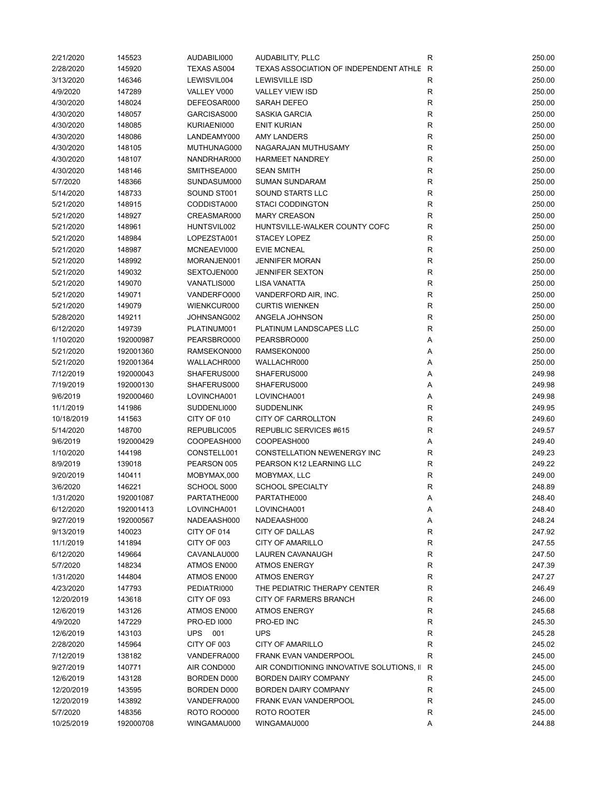| 2/21/2020  | 145523    | AUDABILI000        | AUDABILITY, PLLC                          | R           | 250.00 |
|------------|-----------|--------------------|-------------------------------------------|-------------|--------|
| 2/28/2020  | 145920    | <b>TEXAS AS004</b> | TEXAS ASSOCIATION OF INDEPENDENT ATHLE R  |             | 250.00 |
| 3/13/2020  | 146346    | LEWISVIL004        | <b>LEWISVILLE ISD</b>                     | R           | 250.00 |
| 4/9/2020   | 147289    | VALLEY V000        | <b>VALLEY VIEW ISD</b>                    | ${\sf R}$   | 250.00 |
| 4/30/2020  | 148024    | DEFEOSAR000        | SARAH DEFEO                               | R           | 250.00 |
| 4/30/2020  | 148057    | GARCISAS000        | SASKIA GARCIA                             | ${\sf R}$   | 250.00 |
| 4/30/2020  | 148085    | KURIAENI000        | <b>ENIT KURIAN</b>                        | ${\sf R}$   | 250.00 |
| 4/30/2020  | 148086    | LANDEAMY000        | <b>AMY LANDERS</b>                        | R           | 250.00 |
| 4/30/2020  | 148105    | MUTHUNAG000        | NAGARAJAN MUTHUSAMY                       | $\mathsf R$ | 250.00 |
| 4/30/2020  | 148107    | NANDRHAR000        | <b>HARMEET NANDREY</b>                    | R           | 250.00 |
| 4/30/2020  | 148146    | SMITHSEA000        | <b>SEAN SMITH</b>                         | $\mathsf R$ | 250.00 |
| 5/7/2020   | 148366    | SUNDASUM000        | <b>SUMAN SUNDARAM</b>                     | R           | 250.00 |
| 5/14/2020  | 148733    | SOUND ST001        | SOUND STARTS LLC                          | R           | 250.00 |
| 5/21/2020  | 148915    | CODDISTA000        | <b>STACI CODDINGTON</b>                   | R           | 250.00 |
|            |           | CREASMAR000        | <b>MARY CREASON</b>                       |             |        |
| 5/21/2020  | 148927    |                    |                                           | R           | 250.00 |
| 5/21/2020  | 148961    | HUNTSVIL002        | HUNTSVILLE-WALKER COUNTY COFC             | ${\sf R}$   | 250.00 |
| 5/21/2020  | 148984    | LOPEZSTA001        | <b>STACEY LOPEZ</b>                       | ${\sf R}$   | 250.00 |
| 5/21/2020  | 148987    | MCNEAEVI000        | <b>EVIE MCNEAL</b>                        | R           | 250.00 |
| 5/21/2020  | 148992    | MORANJEN001        | <b>JENNIFER MORAN</b>                     | $\mathsf R$ | 250.00 |
| 5/21/2020  | 149032    | SEXTOJEN000        | <b>JENNIFER SEXTON</b>                    | R           | 250.00 |
| 5/21/2020  | 149070    | VANATLIS000        | <b>LISA VANATTA</b>                       | ${\sf R}$   | 250.00 |
| 5/21/2020  | 149071    | VANDERFO000        | VANDERFORD AIR, INC.                      | R           | 250.00 |
| 5/21/2020  | 149079    | WIENKCUR000        | <b>CURTIS WIENKEN</b>                     | R           | 250.00 |
| 5/28/2020  | 149211    | JOHNSANG002        | ANGELA JOHNSON                            | R           | 250.00 |
| 6/12/2020  | 149739    | PLATINUM001        | PLATINUM LANDSCAPES LLC                   | R           | 250.00 |
| 1/10/2020  | 192000987 | PEARSBRO000        | PEARSBRO000                               | Α           | 250.00 |
| 5/21/2020  | 192001360 | RAMSEKON000        | RAMSEKON000                               | Α           | 250.00 |
| 5/21/2020  | 192001364 | WALLACHR000        | WALLACHR000                               | Α           | 250.00 |
| 7/12/2019  | 192000043 | SHAFERUS000        | SHAFERUS000                               | Α           | 249.98 |
| 7/19/2019  | 192000130 | SHAFERUS000        | SHAFERUS000                               | Α           | 249.98 |
| 9/6/2019   | 192000460 | LOVINCHA001        | LOVINCHA001                               | Α           | 249.98 |
| 11/1/2019  | 141986    | SUDDENLI000        | <b>SUDDENLINK</b>                         | R           | 249.95 |
| 10/18/2019 | 141563    | CITY OF 010        | CITY OF CARROLLTON                        | R           | 249.60 |
| 5/14/2020  | 148700    | REPUBLIC005        | REPUBLIC SERVICES #615                    | R           | 249.57 |
| 9/6/2019   | 192000429 | COOPEASH000        | COOPEASH000                               | Α           | 249.40 |
| 1/10/2020  | 144198    | CONSTELL001        | <b>CONSTELLATION NEWENERGY INC</b>        | R           | 249.23 |
| 8/9/2019   | 139018    | PEARSON 005        | PEARSON K12 LEARNING LLC                  | R           | 249.22 |
| 9/20/2019  |           |                    |                                           |             |        |
|            | 140411    | MOBYMAX,000        | MOBYMAX, LLC                              | ${\sf R}$   | 249.00 |
| 3/6/2020   | 146221    | SCHOOL S000        | <b>SCHOOL SPECIALTY</b>                   | R           | 248.89 |
| 1/31/2020  | 192001087 | PARTATHE000        | PARTATHE000                               | A           | 248.40 |
| 6/12/2020  | 192001413 | LOVINCHA001        | LOVINCHA001                               | Α           | 248.40 |
| 9/27/2019  | 192000567 | NADEAASH000        | NADEAASH000                               | Α           | 248.24 |
| 9/13/2019  | 140023    | CITY OF 014        | <b>CITY OF DALLAS</b>                     | R           | 247.92 |
| 11/1/2019  | 141894    | CITY OF 003        | <b>CITY OF AMARILLO</b>                   | R           | 247.55 |
| 6/12/2020  | 149664    | CAVANLAU000        | <b>LAUREN CAVANAUGH</b>                   | R           | 247.50 |
| 5/7/2020   | 148234    | ATMOS EN000        | <b>ATMOS ENERGY</b>                       | R           | 247.39 |
| 1/31/2020  | 144804    | ATMOS EN000        | <b>ATMOS ENERGY</b>                       | R           | 247.27 |
| 4/23/2020  | 147793    | PEDIATRI000        | THE PEDIATRIC THERAPY CENTER              | ${\sf R}$   | 246.49 |
| 12/20/2019 | 143618    | CITY OF 093        | CITY OF FARMERS BRANCH                    | R           | 246.00 |
| 12/6/2019  | 143126    | ATMOS EN000        | <b>ATMOS ENERGY</b>                       | R           | 245.68 |
| 4/9/2020   | 147229    | <b>PRO-ED 1000</b> | PRO-ED INC                                | R           | 245.30 |
| 12/6/2019  | 143103    | UPS 001            | <b>UPS</b>                                | R           | 245.28 |
| 2/28/2020  | 145964    | CITY OF 003        | <b>CITY OF AMARILLO</b>                   | R           | 245.02 |
| 7/12/2019  | 138182    | VANDEFRA000        | FRANK EVAN VANDERPOOL                     | R           | 245.00 |
| 9/27/2019  | 140771    | AIR COND000        | AIR CONDITIONING INNOVATIVE SOLUTIONS, II | R           | 245.00 |
| 12/6/2019  | 143128    | <b>BORDEN D000</b> | <b>BORDEN DAIRY COMPANY</b>               | R           | 245.00 |
| 12/20/2019 | 143595    | BORDEN D000        | <b>BORDEN DAIRY COMPANY</b>               | R           | 245.00 |
| 12/20/2019 | 143892    | VANDEFRA000        | FRANK EVAN VANDERPOOL                     | R           | 245.00 |
| 5/7/2020   | 148356    | <b>ROTO ROO000</b> | ROTO ROOTER                               | R           | 245.00 |
| 10/25/2019 | 192000708 | WINGAMAU000        | WINGAMAU000                               | Α           | 244.88 |
|            |           |                    |                                           |             |        |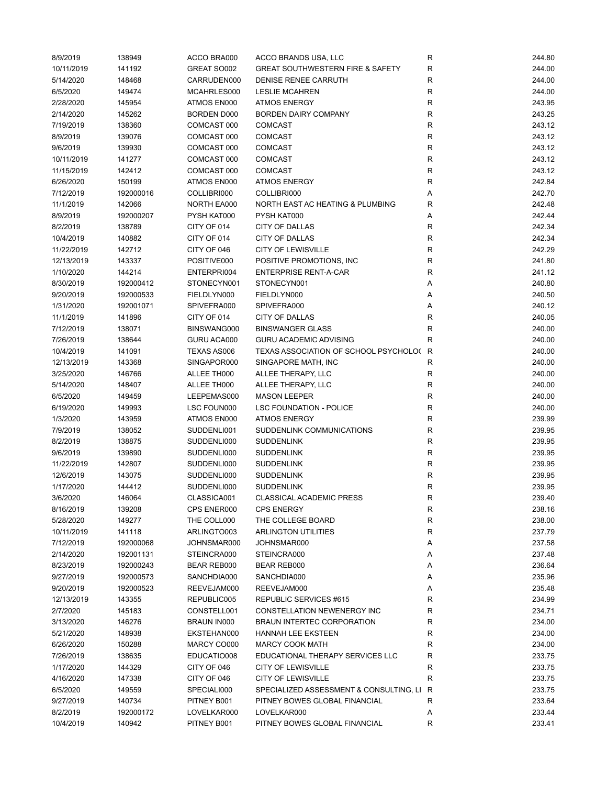| 8/9/2019   | 138949    | ACCO BRA000        | ACCO BRANDS USA, LLC                        | R            | 244.80 |
|------------|-----------|--------------------|---------------------------------------------|--------------|--------|
| 10/11/2019 | 141192    | GREAT SO002        | <b>GREAT SOUTHWESTERN FIRE &amp; SAFETY</b> | $\mathsf{R}$ | 244.00 |
| 5/14/2020  | 148468    | CARRUDEN000        | DENISE RENEE CARRUTH                        | $\mathsf{R}$ | 244.00 |
| 6/5/2020   | 149474    | MCAHRLES000        | <b>LESLIE MCAHREN</b>                       | $\mathsf{R}$ | 244.00 |
| 2/28/2020  | 145954    | ATMOS EN000        | <b>ATMOS ENERGY</b>                         | R            | 243.95 |
| 2/14/2020  | 145262    | <b>BORDEN D000</b> | <b>BORDEN DAIRY COMPANY</b>                 | R            | 243.25 |
| 7/19/2019  | 138360    | COMCAST 000        | <b>COMCAST</b>                              | $\mathsf{R}$ | 243.12 |
| 8/9/2019   | 139076    | COMCAST 000        | <b>COMCAST</b>                              | $\mathsf{R}$ | 243.12 |
| 9/6/2019   | 139930    | COMCAST 000        | <b>COMCAST</b>                              | $\mathsf{R}$ | 243.12 |
| 10/11/2019 | 141277    | COMCAST 000        | <b>COMCAST</b>                              | R            | 243.12 |
| 11/15/2019 | 142412    | COMCAST 000        | <b>COMCAST</b>                              | $\mathsf{R}$ | 243.12 |
| 6/26/2020  | 150199    | ATMOS EN000        | <b>ATMOS ENERGY</b>                         | R            | 242.84 |
| 7/12/2019  | 192000016 | COLLIBRI000        | COLLIBRI000                                 | Α            | 242.70 |
| 11/1/2019  | 142066    | NORTH EA000        | NORTH EAST AC HEATING & PLUMBING            | R            | 242.48 |
|            |           | PYSH KAT000        | PYSH KAT000                                 |              | 242.44 |
| 8/9/2019   | 192000207 |                    |                                             | Α            |        |
| 8/2/2019   | 138789    | CITY OF 014        | <b>CITY OF DALLAS</b>                       | R            | 242.34 |
| 10/4/2019  | 140882    | CITY OF 014        | CITY OF DALLAS                              | $\mathsf{R}$ | 242.34 |
| 11/22/2019 | 142712    | CITY OF 046        | <b>CITY OF LEWISVILLE</b>                   | $\mathsf{R}$ | 242.29 |
| 12/13/2019 | 143337    | POSITIVE000        | POSITIVE PROMOTIONS, INC.                   | $\mathsf{R}$ | 241.80 |
| 1/10/2020  | 144214    | ENTERPRI004        | <b>ENTERPRISE RENT-A-CAR</b>                | $\mathsf{R}$ | 241.12 |
| 8/30/2019  | 192000412 | STONECYN001        | STONECYN001                                 | Α            | 240.80 |
| 9/20/2019  | 192000533 | FIELDLYN000        | FIELDLYN000                                 | Α            | 240.50 |
| 1/31/2020  | 192001071 | SPIVEFRA000        | SPIVEFRA000                                 | Α            | 240.12 |
| 11/1/2019  | 141896    | CITY OF 014        | <b>CITY OF DALLAS</b>                       | R            | 240.05 |
| 7/12/2019  | 138071    | BINSWANG000        | <b>BINSWANGER GLASS</b>                     | $\mathsf{R}$ | 240.00 |
| 7/26/2019  | 138644    | GURU ACA000        | <b>GURU ACADEMIC ADVISING</b>               | $\mathsf{R}$ | 240.00 |
| 10/4/2019  | 141091    | TEXAS AS006        | TEXAS ASSOCIATION OF SCHOOL PSYCHOLO(       | $\mathsf{R}$ | 240.00 |
| 12/13/2019 | 143368    | SINGAPOR000        | SINGAPORE MATH, INC                         | $\mathsf{R}$ | 240.00 |
| 3/25/2020  | 146766    | ALLEE TH000        | ALLEE THERAPY, LLC                          | R            | 240.00 |
| 5/14/2020  | 148407    | ALLEE TH000        | ALLEE THERAPY, LLC                          | $\mathsf{R}$ | 240.00 |
| 6/5/2020   | 149459    | LEEPEMAS000        | <b>MASON LEEPER</b>                         | $\mathsf{R}$ | 240.00 |
| 6/19/2020  | 149993    | LSC FOUN000        | <b>LSC FOUNDATION - POLICE</b>              | R            | 240.00 |
| 1/3/2020   | 143959    | ATMOS EN000        | <b>ATMOS ENERGY</b>                         | R            | 239.99 |
| 7/9/2019   | 138052    | SUDDENLI001        | SUDDENLINK COMMUNICATIONS                   | R            | 239.95 |
| 8/2/2019   | 138875    | SUDDENLI000        | <b>SUDDENLINK</b>                           | $\mathsf{R}$ | 239.95 |
| 9/6/2019   | 139890    | SUDDENLI000        | <b>SUDDENLINK</b>                           | $\mathsf{R}$ | 239.95 |
| 11/22/2019 | 142807    | SUDDENLI000        | <b>SUDDENLINK</b>                           | $\mathsf{R}$ | 239.95 |
| 12/6/2019  | 143075    | SUDDENLI000        | <b>SUDDENLINK</b>                           | R            | 239.95 |
| 1/17/2020  | 144412    | SUDDENLI000        | <b>SUDDENLINK</b>                           | R            | 239.95 |
| 3/6/2020   | 146064    | CLASSICA001        | CLASSICAL ACADEMIC PRESS                    | R            | 239.40 |
| 8/16/2019  | 139208    | CPS ENER000        | <b>CPS ENERGY</b>                           | R            | 238.16 |
| 5/28/2020  | 149277    | THE COLL000        | THE COLLEGE BOARD                           | R            | 238.00 |
| 10/11/2019 | 141118    | ARLINGTO003        | <b>ARLINGTON UTILITIES</b>                  | R            | 237.79 |
| 7/12/2019  | 192000068 | JOHNSMAR000        | JOHNSMAR000                                 | Α            | 237.58 |
|            |           |                    |                                             |              |        |
| 2/14/2020  | 192001131 | STEINCRA000        | STEINCRA000                                 | Α            | 237.48 |
| 8/23/2019  | 192000243 | <b>BEAR REB000</b> | BEAR REB000                                 | Α            | 236.64 |
| 9/27/2019  | 192000573 | SANCHDIA000        | SANCHDIA000                                 | Α            | 235.96 |
| 9/20/2019  | 192000523 | REEVEJAM000        | REEVEJAM000                                 | Α            | 235.48 |
| 12/13/2019 | 143355    | REPUBLIC005        | REPUBLIC SERVICES #615                      | R            | 234.99 |
| 2/7/2020   | 145183    | CONSTELL001        | CONSTELLATION NEWENERGY INC                 | $\mathsf{R}$ | 234.71 |
| 3/13/2020  | 146276    | <b>BRAUN IN000</b> | BRAUN INTERTEC CORPORATION                  | R            | 234.00 |
| 5/21/2020  | 148938    | EKSTEHAN000        | <b>HANNAH LEE EKSTEEN</b>                   | R            | 234.00 |
| 6/26/2020  | 150288    | MARCY CO000        | <b>MARCY COOK MATH</b>                      | R            | 234.00 |
| 7/26/2019  | 138635    | EDUCATIO008        | EDUCATIONAL THERAPY SERVICES LLC            | R            | 233.75 |
| 1/17/2020  | 144329    | CITY OF 046        | <b>CITY OF LEWISVILLE</b>                   | R            | 233.75 |
| 4/16/2020  | 147338    | CITY OF 046        | <b>CITY OF LEWISVILLE</b>                   | R            | 233.75 |
| 6/5/2020   | 149559    | SPECIALI000        | SPECIALIZED ASSESSMENT & CONSULTING, LI     | R            | 233.75 |
| 9/27/2019  | 140734    | PITNEY B001        | PITNEY BOWES GLOBAL FINANCIAL               | R            | 233.64 |
| 8/2/2019   | 192000172 | LOVELKAR000        | LOVELKAR000                                 | Α            | 233.44 |
| 10/4/2019  | 140942    | PITNEY B001        | PITNEY BOWES GLOBAL FINANCIAL               | R            | 233.41 |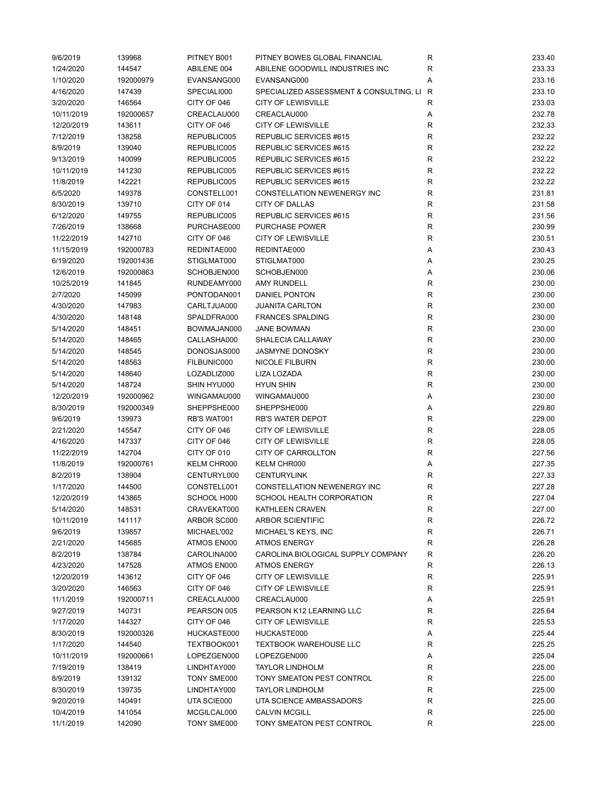| 9/6/2019   | 139968    | PITNEY B001 | PITNEY BOWES GLOBAL FINANCIAL             | R           | 233.40 |
|------------|-----------|-------------|-------------------------------------------|-------------|--------|
| 1/24/2020  | 144547    | ABILENE 004 | ABILENE GOODWILL INDUSTRIES INC           | R           | 233.33 |
| 1/10/2020  | 192000979 | EVANSANG000 | EVANSANG000                               | Α           | 233.16 |
| 4/16/2020  | 147439    | SPECIALI000 | SPECIALIZED ASSESSMENT & CONSULTING, LI R |             | 233.10 |
| 3/20/2020  | 146564    | CITY OF 046 | <b>CITY OF LEWISVILLE</b>                 | R           | 233.03 |
| 10/11/2019 | 192000657 | CREACLAU000 | CREACLAU000                               | Α           | 232.78 |
| 12/20/2019 | 143611    | CITY OF 046 | <b>CITY OF LEWISVILLE</b>                 | R           | 232.33 |
| 7/12/2019  | 138258    | REPUBLIC005 | REPUBLIC SERVICES #615                    | $\mathsf R$ | 232.22 |
| 8/9/2019   | 139040    | REPUBLIC005 | REPUBLIC SERVICES #615                    | R           | 232.22 |
| 9/13/2019  | 140099    | REPUBLIC005 | REPUBLIC SERVICES #615                    | R           | 232.22 |
| 10/11/2019 | 141230    | REPUBLIC005 | REPUBLIC SERVICES #615                    | R           | 232.22 |
| 11/8/2019  | 142221    | REPUBLIC005 | REPUBLIC SERVICES #615                    | R           | 232.22 |
| 6/5/2020   | 149378    | CONSTELL001 | CONSTELLATION NEWENERGY INC               | $\mathsf R$ | 231.81 |
| 8/30/2019  | 139710    | CITY OF 014 | <b>CITY OF DALLAS</b>                     | R           | 231.58 |
|            |           |             |                                           |             |        |
| 6/12/2020  | 149755    | REPUBLIC005 | REPUBLIC SERVICES #615                    | R           | 231.56 |
| 7/26/2019  | 138668    | PURCHASE000 | PURCHASE POWER                            | R           | 230.99 |
| 11/22/2019 | 142710    | CITY OF 046 | <b>CITY OF LEWISVILLE</b>                 | R           | 230.51 |
| 11/15/2019 | 192000783 | REDINTAE000 | REDINTAE000                               | Α           | 230.43 |
| 6/19/2020  | 192001436 | STIGLMAT000 | STIGLMAT000                               | Α           | 230.25 |
| 12/6/2019  | 192000863 | SCHOBJEN000 | SCHOBJEN000                               | Α           | 230.06 |
| 10/25/2019 | 141845    | RUNDEAMY000 | <b>AMY RUNDELL</b>                        | R           | 230.00 |
| 2/7/2020   | 145099    | PONTODAN001 | DANIEL PONTON                             | R           | 230.00 |
| 4/30/2020  | 147983    | CARLTJUA000 | <b>JUANITA CARLTON</b>                    | ${\sf R}$   | 230.00 |
| 4/30/2020  | 148148    | SPALDFRA000 | <b>FRANCES SPALDING</b>                   | R           | 230.00 |
| 5/14/2020  | 148451    | BOWMAJAN000 | <b>JANE BOWMAN</b>                        | ${\sf R}$   | 230.00 |
| 5/14/2020  | 148465    | CALLASHA000 | SHALECIA CALLAWAY                         | $\mathsf R$ | 230.00 |
| 5/14/2020  | 148545    | DONOSJAS000 | <b>JASMYNE DONOSKY</b>                    | $\mathsf R$ | 230.00 |
| 5/14/2020  | 148563    | FILBUNIC000 | <b>NICOLE FILBURN</b>                     | ${\sf R}$   | 230.00 |
| 5/14/2020  | 148640    | LOZADLIZ000 | LIZA LOZADA                               | R           | 230.00 |
| 5/14/2020  | 148724    | SHIN HYU000 | <b>HYUN SHIN</b>                          | $\mathsf R$ | 230.00 |
| 12/20/2019 | 192000962 | WINGAMAU000 | WINGAMAU000                               | Α           | 230.00 |
| 8/30/2019  | 192000349 | SHEPPSHE000 | SHEPPSHE000                               | Α           | 229.80 |
| 9/6/2019   | 139973    | RB'S WAT001 | <b>RB'S WATER DEPOT</b>                   | R           | 229.00 |
| 2/21/2020  | 145547    | CITY OF 046 | <b>CITY OF LEWISVILLE</b>                 | R           | 228.05 |
| 4/16/2020  | 147337    | CITY OF 046 | <b>CITY OF LEWISVILLE</b>                 | R           | 228.05 |
| 11/22/2019 | 142704    | CITY OF 010 | CITY OF CARROLLTON                        | R           | 227.56 |
| 11/8/2019  | 192000761 | KELM CHR000 | KELM CHR000                               | Α           | 227.35 |
| 8/2/2019   | 138904    | CENTURYL000 | <b>CENTURYLINK</b>                        | R           | 227.33 |
| 1/17/2020  | 144500    | CONSTELL001 | CONSTELLATION NEWENERGY INC               | R           | 227.28 |
|            |           |             |                                           |             |        |
| 12/20/2019 | 143865    | SCHOOL H000 | SCHOOL HEALTH CORPORATION                 | R           | 227.04 |
| 5/14/2020  | 148531    | CRAVEKAT000 | KATHLEEN CRAVEN                           | R           | 227.00 |
| 10/11/2019 | 141117    | ARBOR SC000 | ARBOR SCIENTIFIC                          | R           | 226.72 |
| 9/6/2019   | 139857    | MICHAEL'002 | MICHAEL'S KEYS, INC                       | R           | 226.71 |
| 2/21/2020  | 145685    | ATMOS EN000 | <b>ATMOS ENERGY</b>                       | R           | 226.28 |
| 8/2/2019   | 138784    | CAROLINA000 | CAROLINA BIOLOGICAL SUPPLY COMPANY        | R           | 226.20 |
| 4/23/2020  | 147528    | ATMOS EN000 | <b>ATMOS ENERGY</b>                       | R           | 226.13 |
| 12/20/2019 | 143612    | CITY OF 046 | <b>CITY OF LEWISVILLE</b>                 | ${\sf R}$   | 225.91 |
| 3/20/2020  | 146563    | CITY OF 046 | <b>CITY OF LEWISVILLE</b>                 | R           | 225.91 |
| 11/1/2019  | 192000711 | CREACLAU000 | CREACLAU000                               | Α           | 225.91 |
| 9/27/2019  | 140731    | PEARSON 005 | PEARSON K12 LEARNING LLC                  | R           | 225.64 |
| 1/17/2020  | 144327    | CITY OF 046 | <b>CITY OF LEWISVILLE</b>                 | R           | 225.53 |
| 8/30/2019  | 192000326 | HUCKASTE000 | HUCKASTE000                               | Α           | 225.44 |
| 1/17/2020  | 144540    | TEXTBOOK001 | <b>TEXTBOOK WAREHOUSE LLC</b>             | R           | 225.25 |
| 10/11/2019 | 192000661 | LOPEZGEN000 | LOPEZGEN000                               | Α           | 225.04 |
| 7/19/2019  | 138419    | LINDHTAY000 | <b>TAYLOR LINDHOLM</b>                    | R           | 225.00 |
| 8/9/2019   | 139132    | TONY SME000 | TONY SMEATON PEST CONTROL                 | R           | 225.00 |
| 8/30/2019  | 139735    | LINDHTAY000 | <b>TAYLOR LINDHOLM</b>                    | $\mathsf R$ | 225.00 |
| 9/20/2019  | 140491    | UTA SCIE000 | UTA SCIENCE AMBASSADORS                   | R           | 225.00 |
| 10/4/2019  | 141054    | MCGILCAL000 | <b>CALVIN MCGILL</b>                      | R           | 225.00 |
| 11/1/2019  | 142090    | TONY SME000 | TONY SMEATON PEST CONTROL                 | R           | 225.00 |
|            |           |             |                                           |             |        |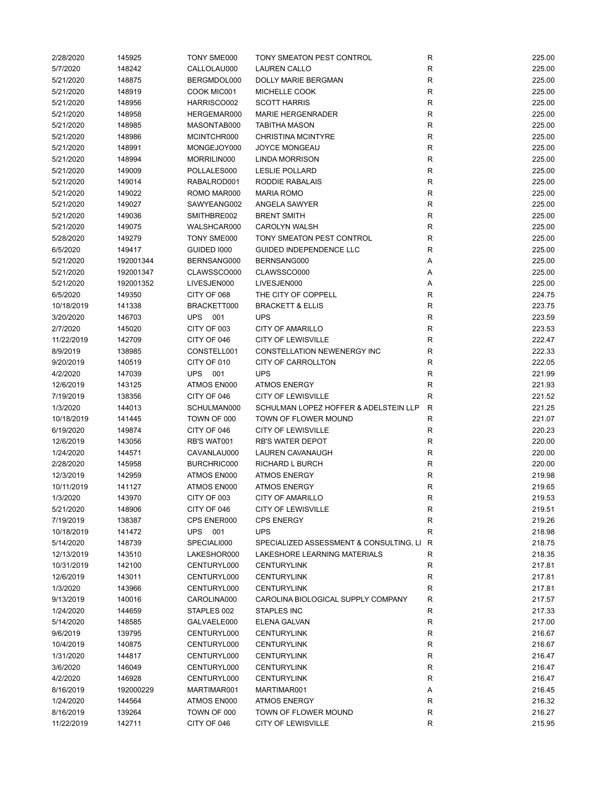| 2/28/2020  | 145925    | TONY SME000        | TONY SMEATON PEST CONTROL                 | R            | 225.00 |
|------------|-----------|--------------------|-------------------------------------------|--------------|--------|
| 5/7/2020   | 148242    | CALLOLAU000        | <b>LAUREN CALLO</b>                       | $\mathsf{R}$ | 225.00 |
| 5/21/2020  | 148875    | BERGMDOL000        | DOLLY MARIE BERGMAN                       | R            | 225.00 |
| 5/21/2020  | 148919    | COOK MIC001        | MICHELLE COOK                             | R            | 225.00 |
| 5/21/2020  | 148956    | HARRISCO002        | <b>SCOTT HARRIS</b>                       | R            | 225.00 |
| 5/21/2020  | 148958    | HERGEMAR000        | <b>MARIE HERGENRADER</b>                  | $\mathsf{R}$ | 225.00 |
| 5/21/2020  | 148985    | MASONTAB000        | <b>TABITHA MASON</b>                      | $\mathsf{R}$ | 225.00 |
| 5/21/2020  | 148986    | MCINTCHR000        | <b>CHRISTINA MCINTYRE</b>                 | R            | 225.00 |
| 5/21/2020  | 148991    | MONGEJOY000        | <b>JOYCE MONGEAU</b>                      | $\mathsf{R}$ | 225.00 |
| 5/21/2020  | 148994    | MORRILIN000        | <b>LINDA MORRISON</b>                     | R            | 225.00 |
| 5/21/2020  | 149009    | POLLALES000        | <b>LESLIE POLLARD</b>                     | R            | 225.00 |
| 5/21/2020  | 149014    | RABALROD001        | RODDIE RABALAIS                           | $\mathsf{R}$ | 225.00 |
| 5/21/2020  | 149022    | ROMO MAR000        | <b>MARIA ROMO</b>                         | R            | 225.00 |
| 5/21/2020  | 149027    | SAWYEANG002        | ANGELA SAWYER                             | R            | 225.00 |
| 5/21/2020  | 149036    | SMITHBRE002        | <b>BRENT SMITH</b>                        | $\mathsf{R}$ | 225.00 |
|            |           |                    |                                           | $\mathsf{R}$ |        |
| 5/21/2020  | 149075    | WALSHCAR000        | <b>CAROLYN WALSH</b>                      |              | 225.00 |
| 5/28/2020  | 149279    | TONY SME000        | TONY SMEATON PEST CONTROL                 | $\mathsf{R}$ | 225.00 |
| 6/5/2020   | 149417    | <b>GUIDED 1000</b> | GUIDED INDEPENDENCE LLC                   | R            | 225.00 |
| 5/21/2020  | 192001344 | BERNSANG000        | BERNSANG000                               | Α            | 225.00 |
| 5/21/2020  | 192001347 | CLAWSSCO000        | CLAWSSCO000                               | Α            | 225.00 |
| 5/21/2020  | 192001352 | LIVESJEN000        | LIVESJEN000                               | Α            | 225.00 |
| 6/5/2020   | 149350    | CITY OF 068        | THE CITY OF COPPELL                       | R            | 224.75 |
| 10/18/2019 | 141338    | BRACKETT000        | <b>BRACKETT &amp; ELLIS</b>               | R            | 223.75 |
| 3/20/2020  | 146703    | <b>UPS 001</b>     | <b>UPS</b>                                | R            | 223.59 |
| 2/7/2020   | 145020    | CITY OF 003        | <b>CITY OF AMARILLO</b>                   | $\mathsf{R}$ | 223.53 |
| 11/22/2019 | 142709    | CITY OF 046        | <b>CITY OF LEWISVILLE</b>                 | $\mathsf{R}$ | 222.47 |
| 8/9/2019   | 138985    | CONSTELL001        | CONSTELLATION NEWENERGY INC               | R            | 222.33 |
| 9/20/2019  | 140519    | CITY OF 010        | <b>CITY OF CARROLLTON</b>                 | R            | 222.05 |
| 4/2/2020   | 147039    | <b>UPS 001</b>     | <b>UPS</b>                                | R            | 221.99 |
| 12/6/2019  | 143125    | ATMOS EN000        | <b>ATMOS ENERGY</b>                       | R            | 221.93 |
| 7/19/2019  | 138356    | CITY OF 046        | <b>CITY OF LEWISVILLE</b>                 | R            | 221.52 |
| 1/3/2020   | 144013    | SCHULMAN000        | SCHULMAN LOPEZ HOFFER & ADELSTEIN LLP     | $\mathsf{R}$ | 221.25 |
| 10/18/2019 | 141445    | TOWN OF 000        | TOWN OF FLOWER MOUND                      | R            | 221.07 |
| 6/19/2020  | 149874    | CITY OF 046        | <b>CITY OF LEWISVILLE</b>                 | R            | 220.23 |
| 12/6/2019  | 143056    | RB'S WAT001        | <b>RB'S WATER DEPOT</b>                   | R            | 220.00 |
| 1/24/2020  | 144571    | CAVANLAU000        | LAUREN CAVANAUGH                          | $\mathsf{R}$ | 220.00 |
| 2/28/2020  | 145958    | BURCHRIC000        | <b>RICHARD L BURCH</b>                    | $\mathsf{R}$ | 220.00 |
| 12/3/2019  | 142959    | ATMOS EN000        | <b>ATMOS ENERGY</b>                       | R            | 219.98 |
| 10/11/2019 | 141127    | ATMOS EN000        | <b>ATMOS ENERGY</b>                       | R            | 219.65 |
|            |           |                    |                                           |              |        |
| 1/3/2020   | 143970    | CITY OF 003        | <b>CITY OF AMARILLO</b>                   | R            | 219.53 |
| 5/21/2020  | 148906    | CITY OF 046        | <b>CITY OF LEWISVILLE</b>                 | R            | 219.51 |
| 7/19/2019  | 138387    | CPS ENER000        | <b>CPS ENERGY</b>                         | R            | 219.26 |
| 10/18/2019 | 141472    | UPS 001            | <b>UPS</b>                                | R            | 218.98 |
| 5/14/2020  | 148739    | SPECIALI000        | SPECIALIZED ASSESSMENT & CONSULTING, LI R |              | 218.75 |
| 12/13/2019 | 143510    | LAKESHOR000        | <b>LAKESHORE LEARNING MATERIALS</b>       | R            | 218.35 |
| 10/31/2019 | 142100    | CENTURYL000        | <b>CENTURYLINK</b>                        | R            | 217.81 |
| 12/6/2019  | 143011    | CENTURYL000        | <b>CENTURYLINK</b>                        | R            | 217.81 |
| 1/3/2020   | 143966    | CENTURYL000        | <b>CENTURYLINK</b>                        | $\mathsf{R}$ | 217.81 |
| 9/13/2019  | 140016    | CAROLINA000        | CAROLINA BIOLOGICAL SUPPLY COMPANY        | R            | 217.57 |
| 1/24/2020  | 144659    | STAPLES 002        | STAPLES INC                               | R            | 217.33 |
| 5/14/2020  | 148585    | GALVAELE000        | ELENA GALVAN                              | $\mathsf R$  | 217.00 |
| 9/6/2019   | 139795    | CENTURYL000        | <b>CENTURYLINK</b>                        | R            | 216.67 |
| 10/4/2019  | 140875    | CENTURYL000        | <b>CENTURYLINK</b>                        | R            | 216.67 |
| 1/31/2020  | 144817    | CENTURYL000        | <b>CENTURYLINK</b>                        | R            | 216.47 |
| 3/6/2020   | 146049    | CENTURYL000        | <b>CENTURYLINK</b>                        | $\mathsf{R}$ | 216.47 |
| 4/2/2020   | 146928    | CENTURYL000        | <b>CENTURYLINK</b>                        | $\mathsf{R}$ | 216.47 |
| 8/16/2019  | 192000229 | MARTIMAR001        | MARTIMAR001                               | Α            | 216.45 |
| 1/24/2020  | 144564    | ATMOS EN000        | <b>ATMOS ENERGY</b>                       | R            | 216.32 |
| 8/16/2019  | 139264    | TOWN OF 000        | TOWN OF FLOWER MOUND                      | R            | 216.27 |
| 11/22/2019 | 142711    | CITY OF 046        | <b>CITY OF LEWISVILLE</b>                 | $\mathsf{R}$ | 215.95 |
|            |           |                    |                                           |              |        |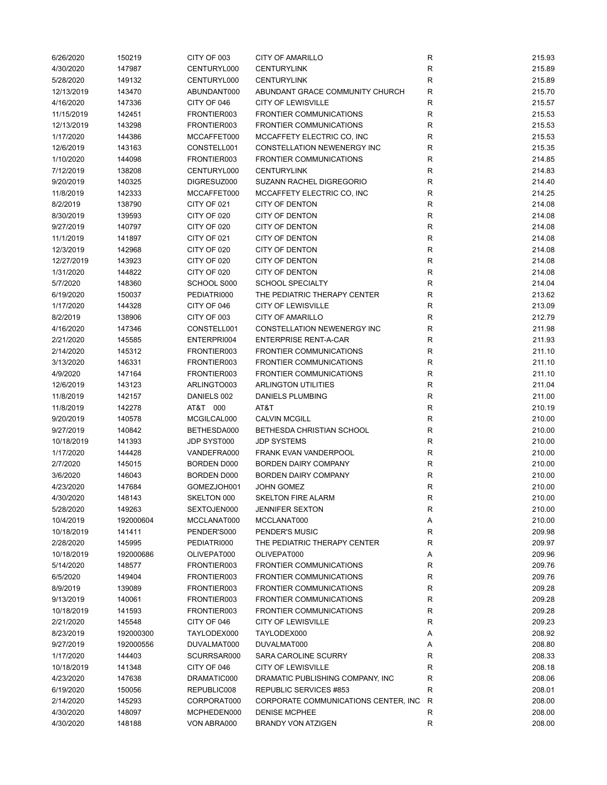| 6/26/2020               | 150219           | CITY OF 003                       | <b>CITY OF AMARILLO</b>                                   | R                 | 215.93           |
|-------------------------|------------------|-----------------------------------|-----------------------------------------------------------|-------------------|------------------|
| 4/30/2020               | 147987           | CENTURYL000                       | <b>CENTURYLINK</b>                                        | R                 | 215.89           |
| 5/28/2020               | 149132           | CENTURYL000                       | <b>CENTURYLINK</b>                                        | R                 | 215.89           |
| 12/13/2019              | 143470           | ABUNDANT000                       | ABUNDANT GRACE COMMUNITY CHURCH                           | R                 | 215.70           |
| 4/16/2020               | 147336           | CITY OF 046                       | <b>CITY OF LEWISVILLE</b>                                 | $\mathsf{R}$      | 215.57           |
| 11/15/2019              | 142451           | FRONTIER003                       | <b>FRONTIER COMMUNICATIONS</b>                            | $\mathsf{R}$      | 215.53           |
| 12/13/2019              | 143298           | FRONTIER003                       | FRONTIER COMMUNICATIONS                                   | $\mathsf{R}$      | 215.53           |
| 1/17/2020               | 144386           | MCCAFFET000                       | MCCAFFETY ELECTRIC CO, INC                                | $\mathsf{R}$      | 215.53           |
| 12/6/2019               | 143163           | CONSTELL001                       | CONSTELLATION NEWENERGY INC                               | R                 | 215.35           |
| 1/10/2020               | 144098           | FRONTIER003                       | <b>FRONTIER COMMUNICATIONS</b>                            | $\mathsf{R}$      | 214.85           |
| 7/12/2019               | 138208           | CENTURYL000                       | <b>CENTURYLINK</b>                                        | R                 | 214.83           |
| 9/20/2019               | 140325           | DIGRESUZ000                       | SUZANN RACHEL DIGREGORIO                                  | R                 | 214.40           |
| 11/8/2019               | 142333           | MCCAFFET000                       | MCCAFFETY ELECTRIC CO, INC                                | R                 | 214.25           |
| 8/2/2019                | 138790           | CITY OF 021                       | <b>CITY OF DENTON</b>                                     | R                 | 214.08           |
| 8/30/2019               | 139593           | CITY OF 020                       | <b>CITY OF DENTON</b>                                     | $\mathsf{R}$      | 214.08           |
| 9/27/2019               | 140797           | CITY OF 020                       | <b>CITY OF DENTON</b>                                     | $\mathsf{R}$      | 214.08           |
| 11/1/2019               | 141897           | CITY OF 021                       | <b>CITY OF DENTON</b>                                     | $\mathsf{R}$      | 214.08           |
| 12/3/2019               | 142968           | CITY OF 020                       | <b>CITY OF DENTON</b>                                     | $\mathsf{R}$      | 214.08           |
| 12/27/2019              | 143923           | CITY OF 020                       | <b>CITY OF DENTON</b>                                     | R                 | 214.08           |
| 1/31/2020               | 144822           | CITY OF 020                       | <b>CITY OF DENTON</b>                                     | $\mathsf{R}$      | 214.08           |
| 5/7/2020                | 148360           | SCHOOL S000                       | <b>SCHOOL SPECIALTY</b>                                   | R                 | 214.04           |
| 6/19/2020               | 150037           | PEDIATRI000                       | THE PEDIATRIC THERAPY CENTER                              | $\mathsf{R}$      | 213.62           |
| 1/17/2020               | 144328           | CITY OF 046                       | <b>CITY OF LEWISVILLE</b>                                 | R                 | 213.09           |
| 8/2/2019                | 138906           | CITY OF 003                       | <b>CITY OF AMARILLO</b>                                   | R                 | 212.79           |
| 4/16/2020               | 147346           | CONSTELL001                       | <b>CONSTELLATION NEWENERGY INC</b>                        | R                 | 211.98           |
| 2/21/2020               | 145585           | ENTERPRI004                       | <b>ENTERPRISE RENT-A-CAR</b>                              | $\mathsf{R}$      | 211.93           |
| 2/14/2020               | 145312           | FRONTIER003                       | FRONTIER COMMUNICATIONS                                   | $\mathsf{R}$      | 211.10           |
| 3/13/2020               | 146331           | FRONTIER003                       | <b>FRONTIER COMMUNICATIONS</b>                            | R                 | 211.10           |
| 4/9/2020                | 147164           | FRONTIER003                       | <b>FRONTIER COMMUNICATIONS</b>                            | R                 | 211.10           |
| 12/6/2019               | 143123           | ARLINGTO003                       | <b>ARLINGTON UTILITIES</b>                                | R                 | 211.04           |
| 11/8/2019               | 142157           | DANIELS 002                       | <b>DANIELS PLUMBING</b>                                   | R                 | 211.00           |
| 11/8/2019               | 142278           | AT&T 000                          | AT&T                                                      | $\mathsf{R}$      | 210.19           |
| 9/20/2019               | 140578           | MCGILCAL000                       | <b>CALVIN MCGILL</b>                                      | R                 | 210.00           |
| 9/27/2019               | 140842           | BETHESDA000                       | BETHESDA CHRISTIAN SCHOOL                                 | R                 | 210.00           |
|                         | 141393           | JDP SYST000                       | <b>JDP SYSTEMS</b>                                        |                   |                  |
| 10/18/2019              |                  |                                   |                                                           | R<br>$\mathsf{R}$ | 210.00<br>210.00 |
| 1/17/2020               | 144428           | VANDEFRA000<br><b>BORDEN D000</b> | FRANK EVAN VANDERPOOL<br><b>BORDEN DAIRY COMPANY</b>      |                   |                  |
| 2/7/2020<br>3/6/2020    | 145015<br>146043 | <b>BORDEN D000</b>                | <b>BORDEN DAIRY COMPANY</b>                               | $\mathsf{R}$<br>R | 210.00<br>210.00 |
| 4/23/2020               | 147684           | GOMEZJOH001                       | <b>JOHN GOMEZ</b>                                         | $\mathsf{R}$      | 210.00           |
|                         | 148143           | SKELTON 000                       | <b>SKELTON FIRE ALARM</b>                                 | R                 |                  |
| 4/30/2020               |                  |                                   |                                                           |                   | 210.00<br>210.00 |
| 5/28/2020               | 149263           | SEXTOJEN000                       | <b>JENNIFER SEXTON</b>                                    | R                 |                  |
| 10/4/2019<br>10/18/2019 | 192000604        | MCCLANAT000                       | MCCLANAT000<br>PENDER'S MUSIC                             | Α                 | 210.00           |
| 2/28/2020               | 141411<br>145995 | PENDER'S000                       | THE PEDIATRIC THERAPY CENTER                              | R<br>R            | 209.98<br>209.97 |
|                         |                  | PEDIATRI000                       |                                                           |                   |                  |
| 10/18/2019              | 192000686        | OLIVEPAT000                       | OLIVEPAT000                                               | Α                 | 209.96           |
| 5/14/2020               | 148577           | FRONTIER003<br>FRONTIER003        | FRONTIER COMMUNICATIONS<br><b>FRONTIER COMMUNICATIONS</b> | R                 | 209.76           |
| 6/5/2020                | 149404           |                                   |                                                           | $\mathsf{R}$      | 209.76           |
| 8/9/2019                | 139089           | FRONTIER003                       | <b>FRONTIER COMMUNICATIONS</b>                            | $\mathsf{R}$      | 209.28           |
| 9/13/2019               | 140061           | FRONTIER003                       | <b>FRONTIER COMMUNICATIONS</b>                            | $\mathsf{R}$      | 209.28           |
| 10/18/2019              | 141593           | FRONTIER003                       | <b>FRONTIER COMMUNICATIONS</b>                            | $\mathsf{R}$      | 209.28           |
| 2/21/2020               | 145548           | CITY OF 046                       | <b>CITY OF LEWISVILLE</b>                                 | R                 | 209.23           |
| 8/23/2019               | 192000300        | TAYLODEX000                       | TAYLODEX000                                               | Α                 | 208.92           |
| 9/27/2019               | 192000556        | DUVALMAT000                       | DUVALMAT000                                               | Α                 | 208.80           |
| 1/17/2020               | 144403           | SCURRSAR000                       | SARA CAROLINE SCURRY                                      | R                 | 208.33           |
| 10/18/2019              | 141348           | CITY OF 046                       | <b>CITY OF LEWISVILLE</b>                                 | R                 | 208.18           |
| 4/23/2020               | 147638           | DRAMATIC000                       | DRAMATIC PUBLISHING COMPANY, INC                          | R                 | 208.06           |
| 6/19/2020               | 150056           | REPUBLIC008                       | REPUBLIC SERVICES #853                                    | $\mathsf R$       | 208.01           |
| 2/14/2020               | 145293           | CORPORAT000                       | CORPORATE COMMUNICATIONS CENTER, INC.                     | R                 | 208.00           |
| 4/30/2020               | 148097           | MCPHEDEN000                       | <b>DENISE MCPHEE</b>                                      | R                 | 208.00           |
| 4/30/2020               | 148188           | VON ABRA000                       | <b>BRANDY VON ATZIGEN</b>                                 | R                 | 208.00           |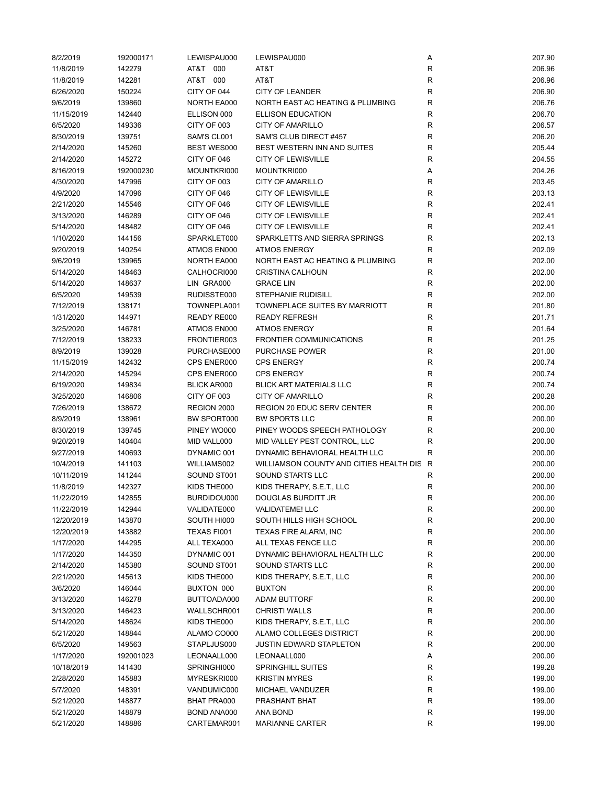| 8/2/2019   | 192000171 | LEWISPAU000        | LEWISPAU000                               | Α           | 207.90 |
|------------|-----------|--------------------|-------------------------------------------|-------------|--------|
| 11/8/2019  | 142279    | AT&T 000           | AT&T                                      | R           | 206.96 |
| 11/8/2019  | 142281    | AT&T 000           | AT&T                                      | R           | 206.96 |
| 6/26/2020  | 150224    | CITY OF 044        | <b>CITY OF LEANDER</b>                    | R           | 206.90 |
| 9/6/2019   | 139860    | <b>NORTH EA000</b> | NORTH EAST AC HEATING & PLUMBING          | $\mathsf R$ | 206.76 |
| 11/15/2019 | 142440    | ELLISON 000        | <b>ELLISON EDUCATION</b>                  | $\mathsf R$ | 206.70 |
| 6/5/2020   | 149336    | CITY OF 003        | <b>CITY OF AMARILLO</b>                   | R           | 206.57 |
| 8/30/2019  | 139751    | SAM'S CL001        | SAM'S CLUB DIRECT #457                    | $\mathsf R$ | 206.20 |
| 2/14/2020  | 145260    | <b>BEST WES000</b> | BEST WESTERN INN AND SUITES               | R           | 205.44 |
| 2/14/2020  | 145272    | CITY OF 046        | <b>CITY OF LEWISVILLE</b>                 | $\mathsf R$ | 204.55 |
| 8/16/2019  | 192000230 | MOUNTKRI000        | MOUNTKRI000                               | Α           | 204.26 |
| 4/30/2020  | 147996    | CITY OF 003        | <b>CITY OF AMARILLO</b>                   | R           | 203.45 |
| 4/9/2020   | 147096    | CITY OF 046        | <b>CITY OF LEWISVILLE</b>                 | R           | 203.13 |
| 2/21/2020  | 145546    | CITY OF 046        | <b>CITY OF LEWISVILLE</b>                 | R           | 202.41 |
| 3/13/2020  | 146289    | CITY OF 046        | <b>CITY OF LEWISVILLE</b>                 | $\mathsf R$ | 202.41 |
| 5/14/2020  | 148482    | CITY OF 046        | <b>CITY OF LEWISVILLE</b>                 | $\mathsf R$ | 202.41 |
| 1/10/2020  | 144156    | SPARKLET000        | SPARKLETTS AND SIERRA SPRINGS             | $\mathsf R$ | 202.13 |
|            |           |                    | <b>ATMOS ENERGY</b>                       | $\mathsf R$ |        |
| 9/20/2019  | 140254    | ATMOS EN000        |                                           |             | 202.09 |
| 9/6/2019   | 139965    | <b>NORTH EA000</b> | NORTH EAST AC HEATING & PLUMBING          | R           | 202.00 |
| 5/14/2020  | 148463    | CALHOCRI000        | <b>CRISTINA CALHOUN</b>                   | R           | 202.00 |
| 5/14/2020  | 148637    | LIN GRA000         | <b>GRACE LIN</b>                          | R           | 202.00 |
| 6/5/2020   | 149539    | RUDISSTE000        | <b>STEPHANIE RUDISILL</b>                 | $\mathsf R$ | 202.00 |
| 7/12/2019  | 138171    | TOWNEPLA001        | TOWNEPLACE SUITES BY MARRIOTT             | R           | 201.80 |
| 1/31/2020  | 144971    | READY RE000        | <b>READY REFRESH</b>                      | R           | 201.71 |
| 3/25/2020  | 146781    | ATMOS EN000        | <b>ATMOS ENERGY</b>                       | $\mathsf R$ | 201.64 |
| 7/12/2019  | 138233    | FRONTIER003        | <b>FRONTIER COMMUNICATIONS</b>            | $\mathsf R$ | 201.25 |
| 8/9/2019   | 139028    | PURCHASE000        | <b>PURCHASE POWER</b>                     | $\mathsf R$ | 201.00 |
| 11/15/2019 | 142432    | CPS ENER000        | <b>CPS ENERGY</b>                         | R           | 200.74 |
| 2/14/2020  | 145294    | CPS ENER000        | <b>CPS ENERGY</b>                         | R           | 200.74 |
| 6/19/2020  | 149834    | <b>BLICK AR000</b> | <b>BLICK ART MATERIALS LLC</b>            | $\mathsf R$ | 200.74 |
| 3/25/2020  | 146806    | CITY OF 003        | <b>CITY OF AMARILLO</b>                   | R           | 200.28 |
| 7/26/2019  | 138672    | REGION 2000        | REGION 20 EDUC SERV CENTER                | R           | 200.00 |
| 8/9/2019   | 138961    | BW SPORT000        | <b>BW SPORTS LLC</b>                      | R           | 200.00 |
| 8/30/2019  | 139745    | PINEY WO000        | PINEY WOODS SPEECH PATHOLOGY              | R           | 200.00 |
| 9/20/2019  | 140404    | MID VALL000        | MID VALLEY PEST CONTROL, LLC              | R           | 200.00 |
| 9/27/2019  | 140693    | DYNAMIC 001        | DYNAMIC BEHAVIORAL HEALTH LLC             | $\mathsf R$ | 200.00 |
| 10/4/2019  | 141103    | WILLIAMS002        | WILLIAMSON COUNTY AND CITIES HEALTH DIS R |             | 200.00 |
| 10/11/2019 | 141244    | SOUND ST001        | SOUND STARTS LLC                          | R           | 200.00 |
| 11/8/2019  | 142327    | KIDS THE000        | KIDS THERAPY, S.E.T., LLC                 | R           | 200.00 |
| 11/22/2019 | 142855    | BURDIDOU000        | DOUGLAS BURDITT JR                        | R           | 200.00 |
| 11/22/2019 | 142944    | VALIDATE000        | <b>VALIDATEME! LLC</b>                    | R           | 200.00 |
| 12/20/2019 | 143870    | SOUTH HI000        | SOUTH HILLS HIGH SCHOOL                   | ${\sf R}$   | 200.00 |
| 12/20/2019 | 143882    | TEXAS FI001        | TEXAS FIRE ALARM, INC                     | R           | 200.00 |
| 1/17/2020  | 144295    | ALL TEXA000        | ALL TEXAS FENCE LLC                       | R           | 200.00 |
| 1/17/2020  | 144350    | DYNAMIC 001        | DYNAMIC BEHAVIORAL HEALTH LLC             | ${\sf R}$   | 200.00 |
| 2/14/2020  | 145380    | SOUND ST001        | SOUND STARTS LLC                          | ${\sf R}$   | 200.00 |
| 2/21/2020  | 145613    | KIDS THE000        | KIDS THERAPY, S.E.T., LLC                 | ${\sf R}$   | 200.00 |
| 3/6/2020   | 146044    | BUXTON 000         | <b>BUXTON</b>                             | R           | 200.00 |
| 3/13/2020  | 146278    | BUTTOADA000        | ADAM BUTTORF                              | R           | 200.00 |
| 3/13/2020  |           |                    |                                           |             |        |
|            | 146423    | WALLSCHR001        | <b>CHRISTI WALLS</b>                      | ${\sf R}$   | 200.00 |
| 5/14/2020  | 148624    | KIDS THE000        | KIDS THERAPY, S.E.T., LLC                 | ${\sf R}$   | 200.00 |
| 5/21/2020  | 148844    | ALAMO CO000        | ALAMO COLLEGES DISTRICT                   | R           | 200.00 |
| 6/5/2020   | 149563    | STAPLJUS000        | <b>JUSTIN EDWARD STAPLETON</b>            | R           | 200.00 |
| 1/17/2020  | 192001023 | LEONAALL000        | LEONAALL000                               | Α           | 200.00 |
| 10/18/2019 | 141430    | SPRINGHI000        | <b>SPRINGHILL SUITES</b>                  | R           | 199.28 |
| 2/28/2020  | 145883    | MYRESKRI000        | <b>KRISTIN MYRES</b>                      | ${\sf R}$   | 199.00 |
| 5/7/2020   | 148391    | VANDUMIC000        | MICHAEL VANDUZER                          | ${\sf R}$   | 199.00 |
| 5/21/2020  | 148877    | BHAT PRA000        | PRASHANT BHAT                             | R           | 199.00 |
| 5/21/2020  | 148879    | BOND ANA000        | ANA BOND                                  | R           | 199.00 |
| 5/21/2020  | 148886    | CARTEMAR001        | <b>MARIANNE CARTER</b>                    | $\mathsf R$ | 199.00 |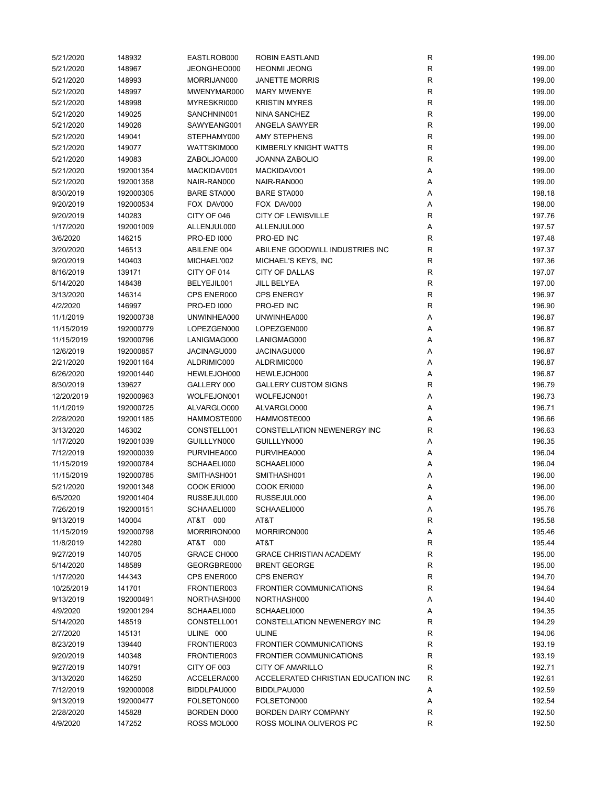| 5/21/2020             | 148932    | EASTLROB000                | <b>ROBIN EASTLAND</b>               | R            | 199.00 |
|-----------------------|-----------|----------------------------|-------------------------------------|--------------|--------|
| 5/21/2020             | 148967    | JEONGHEO000                | <b>HEONMI JEONG</b>                 | R            | 199.00 |
| 5/21/2020             | 148993    | MORRIJAN000                | <b>JANETTE MORRIS</b>               | $\mathsf{R}$ | 199.00 |
| 5/21/2020             | 148997    | MWENYMAR000                | <b>MARY MWENYE</b>                  | $\mathsf{R}$ | 199.00 |
| 5/21/2020             | 148998    | MYRESKRI000                | <b>KRISTIN MYRES</b>                | $\mathsf{R}$ | 199.00 |
| 5/21/2020             | 149025    | SANCHNIN001                | NINA SANCHEZ                        | $\mathsf{R}$ | 199.00 |
| 5/21/2020             | 149026    | SAWYEANG001                | <b>ANGELA SAWYER</b>                | $\mathsf{R}$ | 199.00 |
| 5/21/2020             | 149041    | STEPHAMY000                | <b>AMY STEPHENS</b>                 | $\mathsf{R}$ | 199.00 |
| 5/21/2020             | 149077    | WATTSKIM000                | KIMBERLY KNIGHT WATTS               | $\mathsf{R}$ | 199.00 |
| 5/21/2020             | 149083    | ZABOLJOA000                | <b>JOANNA ZABOLIO</b>               | $\mathsf{R}$ | 199.00 |
| 5/21/2020             | 192001354 | MACKIDAV001                | MACKIDAV001                         | Α            | 199.00 |
| 5/21/2020             | 192001358 | NAIR-RAN000                | NAIR-RAN000                         | Α            | 199.00 |
| 8/30/2019             | 192000305 | <b>BARE STA000</b>         | <b>BARE STA000</b>                  | Α            | 198.18 |
| 9/20/2019             | 192000534 | FOX DAV000                 | FOX DAV000                          | Α            | 198.00 |
| 9/20/2019             | 140283    | CITY OF 046                | <b>CITY OF LEWISVILLE</b>           | R            | 197.76 |
| 1/17/2020             | 192001009 | ALLENJUL000                | ALLENJUL000                         | Α            | 197.57 |
| 3/6/2020              | 146215    | <b>PRO-ED 1000</b>         | PRO-ED INC                          | R            | 197.48 |
| 3/20/2020             | 146513    | ABILENE 004                | ABILENE GOODWILL INDUSTRIES INC     | $\mathsf{R}$ | 197.37 |
| 9/20/2019             | 140403    | MICHAEL'002                | MICHAEL'S KEYS, INC                 | $\mathsf{R}$ | 197.36 |
| 8/16/2019             | 139171    | CITY OF 014                | <b>CITY OF DALLAS</b>               | R            | 197.07 |
|                       |           |                            |                                     |              |        |
| 5/14/2020             | 148438    | BELYEJIL001<br>CPS ENER000 | JILL BELYEA                         | $\mathsf{R}$ | 197.00 |
| 3/13/2020             | 146314    |                            | <b>CPS ENERGY</b>                   | R            | 196.97 |
| 4/2/2020              | 146997    | <b>PRO-ED 1000</b>         | PRO-ED INC                          | R            | 196.90 |
| 11/1/2019             | 192000738 | UNWINHEA000                | UNWINHEA000                         | Α            | 196.87 |
| 11/15/2019            | 192000779 | LOPEZGEN000                | LOPEZGEN000                         | Α            | 196.87 |
| 11/15/2019            | 192000796 | LANIGMAG000                | LANIGMAG000                         | Α            | 196.87 |
| 12/6/2019             | 192000857 | JACINAGU000                | JACINAGU000                         | Α            | 196.87 |
| 2/21/2020             | 192001164 | ALDRIMIC000                | ALDRIMIC000                         | Α            | 196.87 |
| 6/26/2020             | 192001440 | HEWLEJOH000                | HEWLEJOH000                         | Α            | 196.87 |
| 8/30/2019             | 139627    | GALLERY 000                | <b>GALLERY CUSTOM SIGNS</b>         | R            | 196.79 |
| 12/20/2019            | 192000963 | WOLFEJON001                | WOLFEJON001                         | Α            | 196.73 |
| 11/1/2019             | 192000725 | ALVARGLO000                | ALVARGLO000                         | Α            | 196.71 |
| 2/28/2020             | 192001185 | HAMMOSTE000                | HAMMOSTE000                         | Α            | 196.66 |
| 3/13/2020             | 146302    | CONSTELL001                | CONSTELLATION NEWENERGY INC         | R            | 196.63 |
| 1/17/2020             | 192001039 | GUILLLYN000                | GUILLLYN000                         | Α            | 196.35 |
| 7/12/2019             | 192000039 | PURVIHEA000                | PURVIHEA000                         | Α            | 196.04 |
| 11/15/2019            | 192000784 | SCHAAELI000                | SCHAAELI000                         | Α            | 196.04 |
| 11/15/2019            | 192000785 | SMITHASH001                | SMITHASH001                         | Α            | 196.00 |
| 5/21/2020             | 192001348 | COOK ERI000                | COOK ERI000                         | Α            | 196.00 |
| 6/5/2020              | 192001404 | RUSSEJUL000                | RUSSEJUL000                         | Α            | 196.00 |
| 7/26/2019             | 192000151 | SCHAAELI000                | SCHAAELI000                         | Α            | 195.76 |
| 9/13/2019             | 140004    | AT&T 000                   | AT&T                                | R            | 195.58 |
| 11/15/2019            | 192000798 | MORRIRON000                | MORRIRON000                         | Α            | 195.46 |
| 11/8/2019             | 142280    | AT&T 000                   | AT&T                                | R            | 195.44 |
| 9/27/2019             | 140705    | GRACE CH000                | <b>GRACE CHRISTIAN ACADEMY</b>      | R            | 195.00 |
| 5/14/2020             | 148589    | GEORGBRE000                | <b>BRENT GEORGE</b>                 | $\mathsf{R}$ | 195.00 |
| 1/17/2020             | 144343    | CPS ENER000                | <b>CPS ENERGY</b>                   | R            | 194.70 |
| 10/25/2019            | 141701    | FRONTIER003                | <b>FRONTIER COMMUNICATIONS</b>      | R            | 194.64 |
| 9/13/2019             | 192000491 | NORTHASH000                | NORTHASH000                         | Α            | 194.40 |
| 4/9/2020              | 192001294 | SCHAAELI000                | SCHAAELI000                         | Α            | 194.35 |
| 5/14/2020             | 148519    | CONSTELL001                | CONSTELLATION NEWENERGY INC         | R            | 194.29 |
| 2/7/2020              | 145131    | ULINE 000                  | <b>ULINE</b>                        | R            | 194.06 |
| 8/23/2019             | 139440    | FRONTIER003                | <b>FRONTIER COMMUNICATIONS</b>      | R            | 193.19 |
| 9/20/2019             | 140348    | FRONTIER003                | <b>FRONTIER COMMUNICATIONS</b>      | R            | 193.19 |
| 9/27/2019             | 140791    | CITY OF 003                | CITY OF AMARILLO                    | $\mathsf{R}$ | 192.71 |
| 3/13/2020             | 146250    | ACCELERA000                | ACCELERATED CHRISTIAN EDUCATION INC | R            | 192.61 |
| 7/12/2019             | 192000008 | BIDDLPAU000                | BIDDLPAU000                         | Α            | 192.59 |
| 9/13/2019             | 192000477 | FOLSETON000                | FOLSETON000                         | Α            | 192.54 |
|                       |           |                            |                                     |              | 192.50 |
| 2/28/2020<br>4/9/2020 | 145828    | BORDEN D000                | <b>BORDEN DAIRY COMPANY</b>         | R            |        |
|                       | 147252    | ROSS MOL000                | ROSS MOLINA OLIVEROS PC             | $\mathsf{R}$ | 192.50 |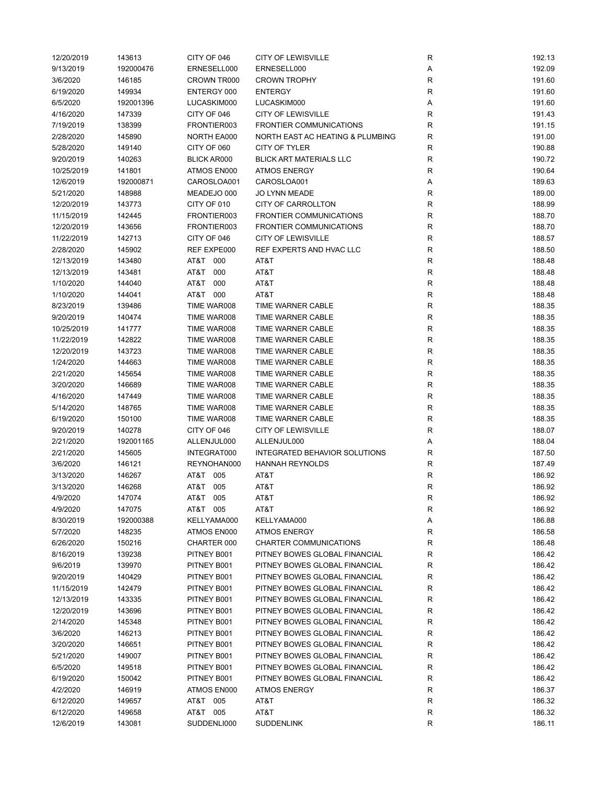| 12/20/2019 | 143613    | CITY OF 046        | <b>CITY OF LEWISVILLE</b>        | R           | 192.13 |
|------------|-----------|--------------------|----------------------------------|-------------|--------|
| 9/13/2019  | 192000476 | ERNESELL000        | ERNESELL000                      | Α           | 192.09 |
| 3/6/2020   | 146185    | CROWN TR000        | <b>CROWN TROPHY</b>              | $\mathsf R$ | 191.60 |
| 6/19/2020  | 149934    | ENTERGY 000        | <b>ENTERGY</b>                   | $\mathsf R$ | 191.60 |
| 6/5/2020   | 192001396 | LUCASKIM000        | LUCASKIM000                      | Α           | 191.60 |
| 4/16/2020  | 147339    | CITY OF 046        | <b>CITY OF LEWISVILLE</b>        | R           | 191.43 |
| 7/19/2019  | 138399    | FRONTIER003        | <b>FRONTIER COMMUNICATIONS</b>   | R           | 191.15 |
| 2/28/2020  | 145890    | NORTH EA000        | NORTH EAST AC HEATING & PLUMBING | R           | 191.00 |
| 5/28/2020  | 149140    | CITY OF 060        | CITY OF TYLER                    | R           | 190.88 |
| 9/20/2019  | 140263    | <b>BLICK AR000</b> | <b>BLICK ART MATERIALS LLC</b>   | R           | 190.72 |
| 10/25/2019 | 141801    | ATMOS EN000        | <b>ATMOS ENERGY</b>              | R           | 190.64 |
| 12/6/2019  | 192000871 | CAROSLOA001        | CAROSLOA001                      | Α           | 189.63 |
| 5/21/2020  | 148988    | MEADEJO 000        | <b>JO LYNN MEADE</b>             | R           | 189.00 |
| 12/20/2019 | 143773    | CITY OF 010        | <b>CITY OF CARROLLTON</b>        | R           | 188.99 |
| 11/15/2019 | 142445    | FRONTIER003        | <b>FRONTIER COMMUNICATIONS</b>   | $\mathsf R$ | 188.70 |
| 12/20/2019 | 143656    | FRONTIER003        | <b>FRONTIER COMMUNICATIONS</b>   | R           | 188.70 |
| 11/22/2019 | 142713    | CITY OF 046        | <b>CITY OF LEWISVILLE</b>        | R           | 188.57 |
| 2/28/2020  | 145902    | REF EXPE000        | REF EXPERTS AND HVAC LLC         | $\mathsf R$ | 188.50 |
| 12/13/2019 | 143480    | AT&T 000           | AT&T                             | R           | 188.48 |
| 12/13/2019 | 143481    | AT&T<br>000        | AT&T                             | $\mathsf R$ | 188.48 |
|            |           | AT&T<br>000        | AT&T                             |             | 188.48 |
| 1/10/2020  | 144040    | AT&T 000           |                                  | R           |        |
| 1/10/2020  | 144041    |                    | AT&T                             | R           | 188.48 |
| 8/23/2019  | 139486    | TIME WAR008        | TIME WARNER CABLE                | R           | 188.35 |
| 9/20/2019  | 140474    | TIME WAR008        | TIME WARNER CABLE                | ${\sf R}$   | 188.35 |
| 10/25/2019 | 141777    | TIME WAR008        | TIME WARNER CABLE                | $\mathsf R$ | 188.35 |
| 11/22/2019 | 142822    | TIME WAR008        | TIME WARNER CABLE                | $\mathsf R$ | 188.35 |
| 12/20/2019 | 143723    | TIME WAR008        | TIME WARNER CABLE                | R           | 188.35 |
| 1/24/2020  | 144663    | TIME WAR008        | TIME WARNER CABLE                | R           | 188.35 |
| 2/21/2020  | 145654    | TIME WAR008        | TIME WARNER CABLE                | R           | 188.35 |
| 3/20/2020  | 146689    | TIME WAR008        | TIME WARNER CABLE                | $\mathsf R$ | 188.35 |
| 4/16/2020  | 147449    | TIME WAR008        | TIME WARNER CABLE                | R           | 188.35 |
| 5/14/2020  | 148765    | TIME WAR008        | TIME WARNER CABLE                | R           | 188.35 |
| 6/19/2020  | 150100    | TIME WAR008        | TIME WARNER CABLE                | R           | 188.35 |
| 9/20/2019  | 140278    | CITY OF 046        | <b>CITY OF LEWISVILLE</b>        | $\mathsf R$ | 188.07 |
| 2/21/2020  | 192001165 | ALLENJUL000        | ALLENJUL000                      | Α           | 188.04 |
| 2/21/2020  | 145605    | INTEGRAT000        | INTEGRATED BEHAVIOR SOLUTIONS    | R           | 187.50 |
| 3/6/2020   | 146121    | REYNOHAN000        | <b>HANNAH REYNOLDS</b>           | R           | 187.49 |
| 3/13/2020  | 146267    | AT&T 005           | AT&T                             | R           | 186.92 |
| 3/13/2020  | 146268    | AT&T 005           | AT&T                             | R           | 186.92 |
| 4/9/2020   | 147074    | AT&T 005           | AT&T                             | R           | 186.92 |
| 4/9/2020   | 147075    | AT&T 005           | AT&T                             | R           | 186.92 |
| 8/30/2019  | 192000388 | KELLYAMA000        | KELLYAMA000                      | Α           | 186.88 |
| 5/7/2020   | 148235    | ATMOS EN000        | <b>ATMOS ENERGY</b>              | R           | 186.58 |
| 6/26/2020  | 150216    | CHARTER 000        | CHARTER COMMUNICATIONS           | R           | 186.48 |
| 8/16/2019  | 139238    | PITNEY B001        | PITNEY BOWES GLOBAL FINANCIAL    | R           | 186.42 |
| 9/6/2019   | 139970    | PITNEY B001        | PITNEY BOWES GLOBAL FINANCIAL    | R           | 186.42 |
| 9/20/2019  | 140429    | PITNEY B001        | PITNEY BOWES GLOBAL FINANCIAL    | R           | 186.42 |
| 11/15/2019 | 142479    | PITNEY B001        | PITNEY BOWES GLOBAL FINANCIAL    | R           | 186.42 |
| 12/13/2019 | 143335    | PITNEY B001        | PITNEY BOWES GLOBAL FINANCIAL    | R           | 186.42 |
| 12/20/2019 | 143696    | PITNEY B001        | PITNEY BOWES GLOBAL FINANCIAL    | R           | 186.42 |
| 2/14/2020  | 145348    | PITNEY B001        | PITNEY BOWES GLOBAL FINANCIAL    | R           | 186.42 |
| 3/6/2020   | 146213    | PITNEY B001        | PITNEY BOWES GLOBAL FINANCIAL    | R           | 186.42 |
| 3/20/2020  | 146651    | PITNEY B001        | PITNEY BOWES GLOBAL FINANCIAL    | R           | 186.42 |
| 5/21/2020  | 149007    | PITNEY B001        | PITNEY BOWES GLOBAL FINANCIAL    | R           | 186.42 |
| 6/5/2020   | 149518    | PITNEY B001        | PITNEY BOWES GLOBAL FINANCIAL    | R           | 186.42 |
| 6/19/2020  | 150042    | PITNEY B001        | PITNEY BOWES GLOBAL FINANCIAL    | R           | 186.42 |
| 4/2/2020   | 146919    | ATMOS EN000        | <b>ATMOS ENERGY</b>              | R           | 186.37 |
|            |           |                    |                                  |             |        |
| 6/12/2020  | 149657    | AT&T 005           | AT&T                             | R           | 186.32 |
| 6/12/2020  | 149658    | AT&T 005           | AT&T                             | R           | 186.32 |
| 12/6/2019  | 143081    | SUDDENLI000        | <b>SUDDENLINK</b>                | R           | 186.11 |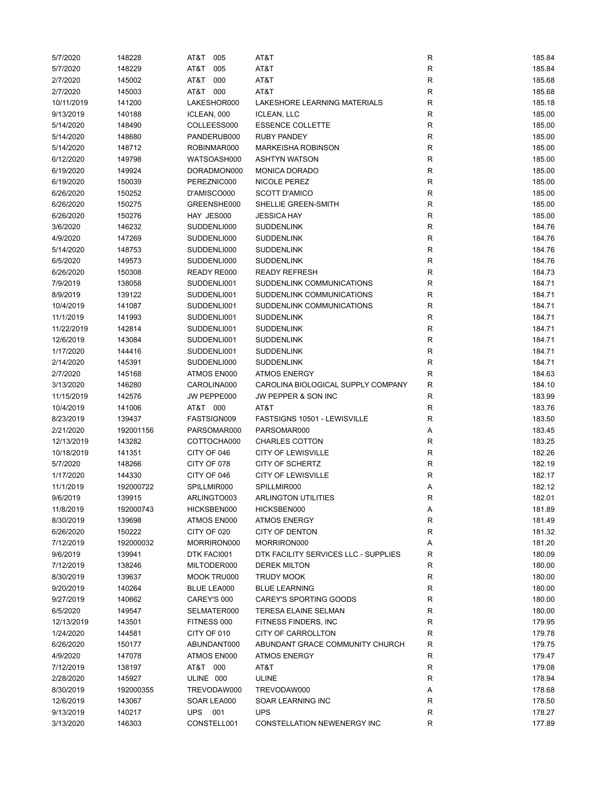| 5/7/2020   | 148228    | AT&T<br>005        | AT&T                                 | R            | 185.84           |
|------------|-----------|--------------------|--------------------------------------|--------------|------------------|
| 5/7/2020   | 148229    | AT&T<br>005        | AT&T                                 | R            | 185.84           |
| 2/7/2020   | 145002    | AT&T<br>000        | AT&T                                 | R            | 185.68           |
| 2/7/2020   | 145003    | AT&T 000           | AT&T                                 | R            | 185.68           |
| 10/11/2019 | 141200    | LAKESHOR000        | LAKESHORE LEARNING MATERIALS         | ${\sf R}$    | 185.18           |
| 9/13/2019  | 140188    | ICLEAN, 000        | <b>ICLEAN, LLC</b>                   | ${\sf R}$    | 185.00           |
| 5/14/2020  | 148490    | COLLEESS000        | <b>ESSENCE COLLETTE</b>              | R            | 185.00           |
| 5/14/2020  | 148680    | PANDERUB000        | <b>RUBY PANDEY</b>                   | $\mathsf R$  | 185.00           |
| 5/14/2020  | 148712    | ROBINMAR000        | <b>MARKEISHA ROBINSON</b>            | R            | 185.00           |
| 6/12/2020  | 149798    | WATSOASH000        | <b>ASHTYN WATSON</b>                 | $\mathsf R$  | 185.00           |
| 6/19/2020  | 149924    | DORADMON000        | <b>MONICA DORADO</b>                 | R            | 185.00           |
| 6/19/2020  | 150039    | PEREZNIC000        | NICOLE PEREZ                         | R            | 185.00           |
| 6/26/2020  | 150252    | D'AMISCO000        | <b>SCOTT D'AMICO</b>                 | R            | 185.00           |
| 6/26/2020  | 150275    | GREENSHE000        | SHELLIE GREEN-SMITH                  | R            | 185.00           |
| 6/26/2020  | 150276    | HAY JES000         | <b>JESSICA HAY</b>                   | ${\sf R}$    | 185.00           |
| 3/6/2020   | 146232    | SUDDENLI000        | <b>SUDDENLINK</b>                    | ${\sf R}$    | 184.76           |
| 4/9/2020   | 147269    | SUDDENLI000        | <b>SUDDENLINK</b>                    | $\mathsf R$  | 184.76           |
|            |           |                    |                                      |              |                  |
| 5/14/2020  | 148753    | SUDDENLI000        | <b>SUDDENLINK</b>                    | ${\sf R}$    | 184.76<br>184.76 |
| 6/5/2020   | 149573    | SUDDENLI000        | <b>SUDDENLINK</b>                    | R            |                  |
| 6/26/2020  | 150308    | READY RE000        | <b>READY REFRESH</b>                 | ${\sf R}$    | 184.73           |
| 7/9/2019   | 138058    | SUDDENLI001        | SUDDENLINK COMMUNICATIONS            | $\mathsf R$  | 184.71           |
| 8/9/2019   | 139122    | SUDDENLI001        | SUDDENLINK COMMUNICATIONS            | $\mathsf R$  | 184.71           |
| 10/4/2019  | 141087    | SUDDENLI001        | SUDDENLINK COMMUNICATIONS            | R            | 184.71           |
| 11/1/2019  | 141993    | SUDDENLI001        | <b>SUDDENLINK</b>                    | R            | 184.71           |
| 11/22/2019 | 142814    | SUDDENLI001        | <b>SUDDENLINK</b>                    | $\mathsf R$  | 184.71           |
| 12/6/2019  | 143084    | SUDDENLI001        | <b>SUDDENLINK</b>                    | $\mathsf R$  | 184.71           |
| 1/17/2020  | 144416    | SUDDENLI001        | <b>SUDDENLINK</b>                    | ${\sf R}$    | 184.71           |
| 2/14/2020  | 145391    | SUDDENLI000        | <b>SUDDENLINK</b>                    | R            | 184.71           |
| 2/7/2020   | 145168    | ATMOS EN000        | <b>ATMOS ENERGY</b>                  | R            | 184.63           |
| 3/13/2020  | 146280    | CAROLINA000        | CAROLINA BIOLOGICAL SUPPLY COMPANY   | $\mathsf R$  | 184.10           |
| 11/15/2019 | 142576    | JW PEPPE000        | JW PEPPER & SON INC                  | R            | 183.99           |
| 10/4/2019  | 141006    | AT&T 000           | AT&T                                 | $\mathsf R$  | 183.76           |
| 8/23/2019  | 139437    | FASTSIGN009        | FASTSIGNS 10501 - LEWISVILLE         | R            | 183.50           |
| 2/21/2020  | 192001156 | PARSOMAR000        | PARSOMAR000                          | Α            | 183.45           |
| 12/13/2019 | 143282    | COTTOCHA000        | <b>CHARLES COTTON</b>                | R            | 183.25           |
| 10/18/2019 | 141351    | CITY OF 046        | <b>CITY OF LEWISVILLE</b>            | $\mathsf R$  | 182.26           |
| 5/7/2020   | 148266    | CITY OF 078        | <b>CITY OF SCHERTZ</b>               | ${\sf R}$    | 182.19           |
| 1/17/2020  | 144330    | CITY OF 046        | <b>CITY OF LEWISVILLE</b>            | R            | 182.17           |
| 11/1/2019  | 192000722 | SPILLMIR000        | SPILLMIR000                          | Α            | 182.12           |
| 9/6/2019   | 139915    | ARLINGTO003        | ARLINGTON UTILITIES                  | R            | 182.01           |
| 11/8/2019  | 192000743 | HICKSBEN000        | HICKSBEN000                          | Α            | 181.89           |
| 8/30/2019  | 139698    | ATMOS EN000        | <b>ATMOS ENERGY</b>                  | ${\sf R}$    | 181.49           |
| 6/26/2020  | 150222    | CITY OF 020        | CITY OF DENTON                       | R            | 181.32           |
| 7/12/2019  | 192000032 | MORRIRON000        | MORRIRON000                          | Α            | 181.20           |
| 9/6/2019   | 139941    | DTK FACI001        | DTK FACILITY SERVICES LLC - SUPPLIES | R            | 180.09           |
| 7/12/2019  | 138246    | MILTODER000        | <b>DEREK MILTON</b>                  | R            | 180.00           |
| 8/30/2019  | 139637    | MOOK TRU000        | <b>TRUDY MOOK</b>                    | ${\sf R}$    | 180.00           |
| 9/20/2019  | 140264    | <b>BLUE LEA000</b> | <b>BLUE LEARNING</b>                 | R            | 180.00           |
|            |           |                    | <b>CAREY'S SPORTING GOODS</b>        |              |                  |
| 9/27/2019  | 140662    | CAREY'S 000        |                                      | ${\sf R}$    | 180.00           |
| 6/5/2020   | 149547    | SELMATER000        | TERESA ELAINE SELMAN                 | ${\sf R}$    | 180.00           |
| 12/13/2019 | 143501    | FITNESS 000        | FITNESS FINDERS, INC                 | R            | 179.95           |
| 1/24/2020  | 144581    | CITY OF 010        | CITY OF CARROLLTON                   | R            | 179.78           |
| 6/26/2020  | 150177    | ABUNDANT000        | ABUNDANT GRACE COMMUNITY CHURCH      | R            | 179.75           |
| 4/9/2020   | 147078    | ATMOS EN000        | <b>ATMOS ENERGY</b>                  | R            | 179.47           |
| 7/12/2019  | 138197    | AT&T 000           | AT&T                                 | $\mathsf{R}$ | 179.08           |
| 2/28/2020  | 145927    | ULINE 000          | <b>ULINE</b>                         | $\mathsf R$  | 178.94           |
| 8/30/2019  | 192000355 | TREVODAW000        | TREVODAW000                          | Α            | 178.68           |
| 12/6/2019  | 143067    | SOAR LEA000        | SOAR LEARNING INC                    | R            | 178.50           |
| 9/13/2019  | 140217    | UPS 001            | <b>UPS</b>                           | R            | 178.27           |
| 3/13/2020  | 146303    | CONSTELL001        | CONSTELLATION NEWENERGY INC          | ${\sf R}$    | 177.89           |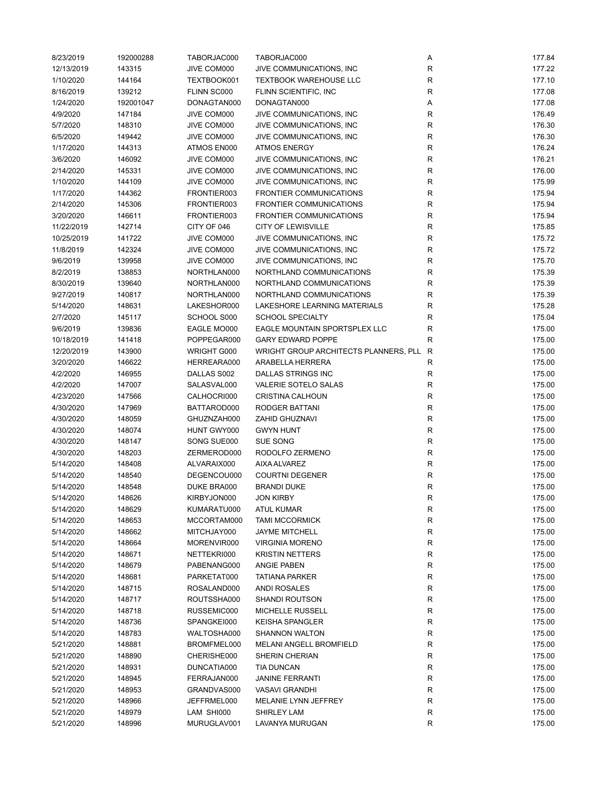| 8/23/2019  | 192000288 | TABORJAC000 | TABORJAC000                           | Α            | 177.84 |
|------------|-----------|-------------|---------------------------------------|--------------|--------|
| 12/13/2019 | 143315    | JIVE COM000 | JIVE COMMUNICATIONS, INC              | ${\sf R}$    | 177.22 |
| 1/10/2020  | 144164    | TEXTBOOK001 | <b>TEXTBOOK WAREHOUSE LLC</b>         | ${\sf R}$    | 177.10 |
| 8/16/2019  | 139212    | FLINN SC000 | FLINN SCIENTIFIC, INC                 | $\mathsf R$  | 177.08 |
| 1/24/2020  | 192001047 | DONAGTAN000 | DONAGTAN000                           | Α            | 177.08 |
| 4/9/2020   | 147184    | JIVE COM000 | JIVE COMMUNICATIONS, INC              | R            | 176.49 |
| 5/7/2020   | 148310    | JIVE COM000 | JIVE COMMUNICATIONS, INC              | ${\sf R}$    | 176.30 |
| 6/5/2020   | 149442    | JIVE COM000 | JIVE COMMUNICATIONS, INC              | ${\sf R}$    | 176.30 |
| 1/17/2020  | 144313    | ATMOS EN000 | <b>ATMOS ENERGY</b>                   | $\mathsf R$  | 176.24 |
| 3/6/2020   | 146092    | JIVE COM000 | JIVE COMMUNICATIONS, INC              | $\mathsf R$  | 176.21 |
| 2/14/2020  | 145331    | JIVE COM000 | JIVE COMMUNICATIONS, INC              | $\mathsf R$  | 176.00 |
| 1/10/2020  | 144109    | JIVE COM000 | JIVE COMMUNICATIONS, INC              | $\mathsf R$  | 175.99 |
| 1/17/2020  | 144362    | FRONTIER003 | <b>FRONTIER COMMUNICATIONS</b>        | $\mathsf R$  | 175.94 |
| 2/14/2020  | 145306    | FRONTIER003 | <b>FRONTIER COMMUNICATIONS</b>        | R            | 175.94 |
|            |           | FRONTIER003 | <b>FRONTIER COMMUNICATIONS</b>        |              | 175.94 |
| 3/20/2020  | 146611    |             |                                       | R            |        |
| 11/22/2019 | 142714    | CITY OF 046 | <b>CITY OF LEWISVILLE</b>             | $\mathsf R$  | 175.85 |
| 10/25/2019 | 141722    | JIVE COM000 | JIVE COMMUNICATIONS, INC              | $\mathsf R$  | 175.72 |
| 11/8/2019  | 142324    | JIVE COM000 | JIVE COMMUNICATIONS, INC              | $\mathsf R$  | 175.72 |
| 9/6/2019   | 139958    | JIVE COM000 | JIVE COMMUNICATIONS, INC              | $\mathsf R$  | 175.70 |
| 8/2/2019   | 138853    | NORTHLAN000 | NORTHLAND COMMUNICATIONS              | R            | 175.39 |
| 8/30/2019  | 139640    | NORTHLAN000 | NORTHLAND COMMUNICATIONS              | ${\sf R}$    | 175.39 |
| 9/27/2019  | 140817    | NORTHLAN000 | NORTHLAND COMMUNICATIONS              | $\mathsf R$  | 175.39 |
| 5/14/2020  | 148631    | LAKESHOR000 | LAKESHORE LEARNING MATERIALS          | $\mathsf R$  | 175.28 |
| 2/7/2020   | 145117    | SCHOOL S000 | <b>SCHOOL SPECIALTY</b>               | ${\sf R}$    | 175.04 |
| 9/6/2019   | 139836    | EAGLE MO000 | EAGLE MOUNTAIN SPORTSPLEX LLC         | $\mathsf R$  | 175.00 |
| 10/18/2019 | 141418    | POPPEGAR000 | <b>GARY EDWARD POPPE</b>              | $\mathsf R$  | 175.00 |
| 12/20/2019 | 143900    | WRIGHT G000 | WRIGHT GROUP ARCHITECTS PLANNERS, PLL | $\mathsf{R}$ | 175.00 |
| 3/20/2020  | 146622    | HERREARA000 | ARABELLA HERRERA                      | ${\sf R}$    | 175.00 |
| 4/2/2020   | 146955    | DALLAS S002 | DALLAS STRINGS INC                    | ${\sf R}$    | 175.00 |
| 4/2/2020   | 147007    | SALASVAL000 | VALERIE SOTELO SALAS                  | R            | 175.00 |
| 4/23/2020  | 147566    | CALHOCRI000 | <b>CRISTINA CALHOUN</b>               | $\mathsf R$  | 175.00 |
| 4/30/2020  | 147969    | BATTAROD000 | RODGER BATTANI                        | $\mathsf R$  | 175.00 |
| 4/30/2020  | 148059    | GHUZNZAH000 | <b>ZAHID GHUZNAVI</b>                 | ${\sf R}$    | 175.00 |
| 4/30/2020  | 148074    | HUNT GWY000 | <b>GWYN HUNT</b>                      | ${\sf R}$    | 175.00 |
| 4/30/2020  | 148147    | SONG SUE000 | SUE SONG                              | R            | 175.00 |
| 4/30/2020  | 148203    | ZERMEROD000 | RODOLFO ZERMENO                       | $\mathsf R$  | 175.00 |
| 5/14/2020  | 148408    | ALVARAIX000 | AIXA ALVAREZ                          | ${\sf R}$    | 175.00 |
| 5/14/2020  | 148540    | DEGENCOU000 | <b>COURTNI DEGENER</b>                | ${\sf R}$    | 175.00 |
| 5/14/2020  | 148548    | DUKE BRA000 | <b>BRANDI DUKE</b>                    | $\mathsf R$  | 175.00 |
| 5/14/2020  | 148626    | KIRBYJON000 | <b>JON KIRBY</b>                      | R            | 175.00 |
| 5/14/2020  | 148629    | KUMARATU000 | <b>ATUL KUMAR</b>                     | R            | 175.00 |
| 5/14/2020  | 148653    | MCCORTAM000 | <b>TAMI MCCORMICK</b>                 | R            | 175.00 |
| 5/14/2020  | 148662    | MITCHJAY000 | <b>JAYME MITCHELL</b>                 | ${\sf R}$    | 175.00 |
| 5/14/2020  | 148664    | MORENVIR000 | <b>VIRGINIA MORENO</b>                | R            | 175.00 |
| 5/14/2020  | 148671    | NETTEKRI000 | <b>KRISTIN NETTERS</b>                | R            | 175.00 |
| 5/14/2020  | 148679    | PABENANG000 | <b>ANGIE PABEN</b>                    | R            | 175.00 |
|            | 148681    | PARKETAT000 | <b>TATIANA PARKER</b>                 | ${\sf R}$    | 175.00 |
| 5/14/2020  |           |             |                                       |              |        |
| 5/14/2020  | 148715    | ROSALAND000 | <b>ANDI ROSALES</b>                   | ${\sf R}$    | 175.00 |
| 5/14/2020  | 148717    | ROUTSSHA000 | SHANDI ROUTSON                        | R            | 175.00 |
| 5/14/2020  | 148718    | RUSSEMIC000 | MICHELLE RUSSELL                      | R            | 175.00 |
| 5/14/2020  | 148736    | SPANGKEI000 | <b>KEISHA SPANGLER</b>                | R            | 175.00 |
| 5/14/2020  | 148783    | WALTOSHA000 | <b>SHANNON WALTON</b>                 | R            | 175.00 |
| 5/21/2020  | 148881    | BROMFMEL000 | <b>MELANI ANGELL BROMFIELD</b>        | ${\sf R}$    | 175.00 |
| 5/21/2020  | 148890    | CHERISHE000 | SHERIN CHERIAN                        | R            | 175.00 |
| 5/21/2020  | 148931    | DUNCATIA000 | <b>TIA DUNCAN</b>                     | R            | 175.00 |
| 5/21/2020  | 148945    | FERRAJAN000 | <b>JANINE FERRANTI</b>                | R            | 175.00 |
| 5/21/2020  | 148953    | GRANDVAS000 | VASAVI GRANDHI                        | ${\sf R}$    | 175.00 |
| 5/21/2020  | 148966    | JEFFRMEL000 | MELANIE LYNN JEFFREY                  | R            | 175.00 |
| 5/21/2020  | 148979    | LAM SHI000  | SHIRLEY LAM                           | R            | 175.00 |
| 5/21/2020  | 148996    | MURUGLAV001 | LAVANYA MURUGAN                       | R            | 175.00 |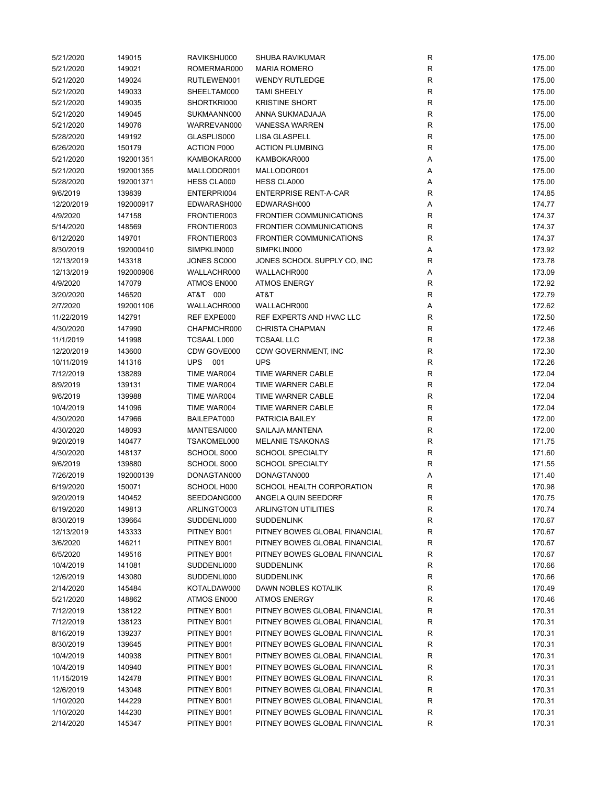| 5/21/2020  | 149015    | RAVIKSHU000        | <b>SHUBA RAVIKUMAR</b>         | R           | 175.00 |
|------------|-----------|--------------------|--------------------------------|-------------|--------|
| 5/21/2020  | 149021    | ROMERMAR000        | <b>MARIA ROMERO</b>            | ${\sf R}$   | 175.00 |
| 5/21/2020  | 149024    | RUTLEWEN001        | <b>WENDY RUTLEDGE</b>          | ${\sf R}$   | 175.00 |
| 5/21/2020  | 149033    | SHEELTAM000        | <b>TAMI SHEELY</b>             | ${\sf R}$   | 175.00 |
| 5/21/2020  | 149035    | SHORTKRI000        | <b>KRISTINE SHORT</b>          | ${\sf R}$   | 175.00 |
| 5/21/2020  | 149045    | SUKMAANN000        | ANNA SUKMADJAJA                | R           | 175.00 |
| 5/21/2020  | 149076    | WARREVAN000        | <b>VANESSA WARREN</b>          | ${\sf R}$   | 175.00 |
| 5/28/2020  | 149192    | GLASPLIS000        | <b>LISA GLASPELL</b>           | ${\sf R}$   | 175.00 |
| 6/26/2020  | 150179    | <b>ACTION P000</b> | <b>ACTION PLUMBING</b>         | ${\sf R}$   | 175.00 |
| 5/21/2020  | 192001351 | KAMBOKAR000        | KAMBOKAR000                    | Α           | 175.00 |
| 5/21/2020  | 192001355 | MALLODOR001        | MALLODOR001                    | Α           | 175.00 |
| 5/28/2020  | 192001371 | HESS CLA000        | HESS CLA000                    | Α           | 175.00 |
| 9/6/2019   | 139839    | ENTERPRI004        | <b>ENTERPRISE RENT-A-CAR</b>   | R           | 174.85 |
|            |           |                    |                                |             |        |
| 12/20/2019 | 192000917 | EDWARASH000        | EDWARASH000                    | Α           | 174.77 |
| 4/9/2020   | 147158    | FRONTIER003        | <b>FRONTIER COMMUNICATIONS</b> | R           | 174.37 |
| 5/14/2020  | 148569    | FRONTIER003        | <b>FRONTIER COMMUNICATIONS</b> | R           | 174.37 |
| 6/12/2020  | 149701    | FRONTIER003        | <b>FRONTIER COMMUNICATIONS</b> | $\mathsf R$ | 174.37 |
| 8/30/2019  | 192000410 | SIMPKLIN000        | SIMPKLIN000                    | Α           | 173.92 |
| 12/13/2019 | 143318    | JONES SC000        | JONES SCHOOL SUPPLY CO, INC    | $\mathsf R$ | 173.78 |
| 12/13/2019 | 192000906 | WALLACHR000        | WALLACHR000                    | Α           | 173.09 |
| 4/9/2020   | 147079    | ATMOS EN000        | <b>ATMOS ENERGY</b>            | R           | 172.92 |
| 3/20/2020  | 146520    | AT&T 000           | AT&T                           | R           | 172.79 |
| 2/7/2020   | 192001106 | WALLACHR000        | WALLACHR000                    | Α           | 172.62 |
| 11/22/2019 | 142791    | REF EXPE000        | REF EXPERTS AND HVAC LLC       | $\mathsf R$ | 172.50 |
| 4/30/2020  | 147990    | CHAPMCHR000        | <b>CHRISTA CHAPMAN</b>         | R           | 172.46 |
| 11/1/2019  | 141998    | TCSAAL L000        | <b>TCSAAL LLC</b>              | R           | 172.38 |
| 12/20/2019 | 143600    | CDW GOVE000        | CDW GOVERNMENT, INC            | $\mathsf R$ | 172.30 |
| 10/11/2019 | 141316    | <b>UPS</b><br>001  | <b>UPS</b>                     | $\mathsf R$ | 172.26 |
| 7/12/2019  | 138289    | TIME WAR004        | TIME WARNER CABLE              | ${\sf R}$   | 172.04 |
| 8/9/2019   | 139131    | TIME WAR004        | TIME WARNER CABLE              | ${\sf R}$   | 172.04 |
| 9/6/2019   | 139988    | TIME WAR004        | TIME WARNER CABLE              | R           | 172.04 |
| 10/4/2019  | 141096    | TIME WAR004        | TIME WARNER CABLE              | R           | 172.04 |
| 4/30/2020  | 147966    | BAILEPAT000        | PATRICIA BAILEY                | R           | 172.00 |
|            |           |                    |                                |             |        |
| 4/30/2020  | 148093    | MANTESAI000        | SAILAJA MANTENA                | ${\sf R}$   | 172.00 |
| 9/20/2019  | 140477    | TSAKOMEL000        | <b>MELANIE TSAKONAS</b>        | R           | 171.75 |
| 4/30/2020  | 148137    | SCHOOL S000        | <b>SCHOOL SPECIALTY</b>        | $\mathsf R$ | 171.60 |
| 9/6/2019   | 139880    | SCHOOL S000        | <b>SCHOOL SPECIALTY</b>        | $\mathsf R$ | 171.55 |
| 7/26/2019  | 192000139 | DONAGTAN000        | DONAGTAN000                    | Α           | 171.40 |
| 6/19/2020  | 150071    | SCHOOL H000        | SCHOOL HEALTH CORPORATION      | R           | 170.98 |
| 9/20/2019  | 140452    | SEEDOANG000        | ANGELA QUIN SEEDORF            | R           | 170.75 |
| 6/19/2020  | 149813    | ARLINGTO003        | <b>ARLINGTON UTILITIES</b>     | R           | 170.74 |
| 8/30/2019  | 139664    | SUDDENLI000        | <b>SUDDENLINK</b>              | R           | 170.67 |
| 12/13/2019 | 143333    | PITNEY B001        | PITNEY BOWES GLOBAL FINANCIAL  | ${\sf R}$   | 170.67 |
| 3/6/2020   | 146211    | PITNEY B001        | PITNEY BOWES GLOBAL FINANCIAL  | R           | 170.67 |
| 6/5/2020   | 149516    | PITNEY B001        | PITNEY BOWES GLOBAL FINANCIAL  | R           | 170.67 |
| 10/4/2019  | 141081    | SUDDENLI000        | <b>SUDDENLINK</b>              | R           | 170.66 |
| 12/6/2019  | 143080    | SUDDENLI000        | <b>SUDDENLINK</b>              | R           | 170.66 |
| 2/14/2020  | 145484    | KOTALDAW000        | DAWN NOBLES KOTALIK            | ${\sf R}$   | 170.49 |
| 5/21/2020  | 148862    | ATMOS EN000        | <b>ATMOS ENERGY</b>            | R           | 170.46 |
| 7/12/2019  | 138122    | PITNEY B001        | PITNEY BOWES GLOBAL FINANCIAL  | R           | 170.31 |
| 7/12/2019  | 138123    | PITNEY B001        | PITNEY BOWES GLOBAL FINANCIAL  | R           | 170.31 |
| 8/16/2019  | 139237    | PITNEY B001        | PITNEY BOWES GLOBAL FINANCIAL  | R           | 170.31 |
| 8/30/2019  | 139645    | PITNEY B001        | PITNEY BOWES GLOBAL FINANCIAL  | R           | 170.31 |
| 10/4/2019  | 140938    | PITNEY B001        | PITNEY BOWES GLOBAL FINANCIAL  | R           | 170.31 |
| 10/4/2019  | 140940    | PITNEY B001        | PITNEY BOWES GLOBAL FINANCIAL  | R           | 170.31 |
|            |           |                    |                                |             |        |
| 11/15/2019 | 142478    | PITNEY B001        | PITNEY BOWES GLOBAL FINANCIAL  | R           | 170.31 |
| 12/6/2019  | 143048    | PITNEY B001        | PITNEY BOWES GLOBAL FINANCIAL  | R           | 170.31 |
| 1/10/2020  | 144229    | PITNEY B001        | PITNEY BOWES GLOBAL FINANCIAL  | ${\sf R}$   | 170.31 |
| 1/10/2020  | 144230    | PITNEY B001        | PITNEY BOWES GLOBAL FINANCIAL  | R           | 170.31 |
| 2/14/2020  | 145347    | PITNEY B001        | PITNEY BOWES GLOBAL FINANCIAL  | R           | 170.31 |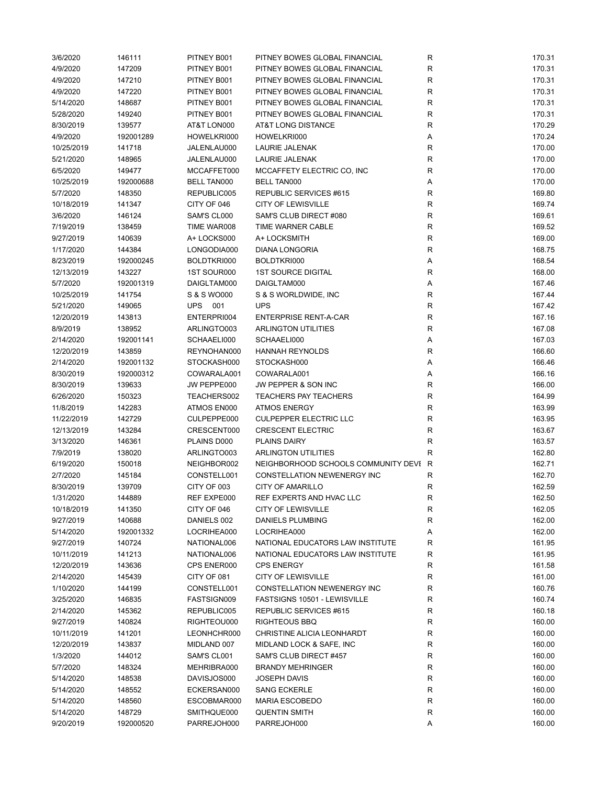| 3/6/2020   | 146111    | PITNEY B001        | PITNEY BOWES GLOBAL FINANCIAL         | R           | 170.31 |
|------------|-----------|--------------------|---------------------------------------|-------------|--------|
| 4/9/2020   | 147209    | PITNEY B001        | PITNEY BOWES GLOBAL FINANCIAL         | ${\sf R}$   | 170.31 |
| 4/9/2020   | 147210    | PITNEY B001        | PITNEY BOWES GLOBAL FINANCIAL         | R           | 170.31 |
| 4/9/2020   | 147220    | PITNEY B001        | PITNEY BOWES GLOBAL FINANCIAL         | $\mathsf R$ | 170.31 |
| 5/14/2020  | 148687    | PITNEY B001        | PITNEY BOWES GLOBAL FINANCIAL         | R           | 170.31 |
| 5/28/2020  | 149240    | PITNEY B001        | PITNEY BOWES GLOBAL FINANCIAL         | $\mathsf R$ | 170.31 |
| 8/30/2019  | 139577    | AT&T LON000        | AT&T LONG DISTANCE                    | R           | 170.29 |
| 4/9/2020   | 192001289 | HOWELKRI000        | HOWELKRI000                           | Α           | 170.24 |
| 10/25/2019 | 141718    | JALENLAU000        | LAURIE JALENAK                        | $\mathsf R$ | 170.00 |
| 5/21/2020  | 148965    | JALENLAU000        | LAURIE JALENAK                        | $\mathsf R$ | 170.00 |
| 6/5/2020   | 149477    | MCCAFFET000        | MCCAFFETY ELECTRIC CO, INC            | R           | 170.00 |
| 10/25/2019 | 192000688 | <b>BELL TAN000</b> | <b>BELL TAN000</b>                    | Α           | 170.00 |
| 5/7/2020   | 148350    | REPUBLIC005        | REPUBLIC SERVICES #615                | R           | 169.80 |
| 10/18/2019 | 141347    | CITY OF 046        | <b>CITY OF LEWISVILLE</b>             | R           | 169.74 |
| 3/6/2020   | 146124    | SAM'S CL000        | SAM'S CLUB DIRECT #080                | R           | 169.61 |
| 7/19/2019  | 138459    | TIME WAR008        | TIME WARNER CABLE                     | $\mathsf R$ | 169.52 |
| 9/27/2019  | 140639    | A+ LOCKS000        | A+ LOCKSMITH                          | $\mathsf R$ | 169.00 |
| 1/17/2020  | 144384    | LONGODIA000        | <b>DIANA LONGORIA</b>                 | $\mathsf R$ | 168.75 |
| 8/23/2019  | 192000245 | BOLDTKRI000        | BOLDTKRI000                           | Α           | 168.54 |
| 12/13/2019 | 143227    | 1ST SOUR000        | <b>1ST SOURCE DIGITAL</b>             | R           | 168.00 |
|            | 192001319 | DAIGLTAM000        | DAIGLTAM000                           |             | 167.46 |
| 5/7/2020   |           |                    |                                       | Α           |        |
| 10/25/2019 | 141754    | S & S WO000        | S & S WORLDWIDE, INC                  | R           | 167.44 |
| 5/21/2020  | 149065    | UPS 001            | <b>UPS</b>                            | R           | 167.42 |
| 12/20/2019 | 143813    | ENTERPRI004        | <b>ENTERPRISE RENT-A-CAR</b>          | $\mathsf R$ | 167.16 |
| 8/9/2019   | 138952    | ARLINGTO003        | <b>ARLINGTON UTILITIES</b>            | R           | 167.08 |
| 2/14/2020  | 192001141 | SCHAAELI000        | SCHAAELI000                           | Α           | 167.03 |
| 12/20/2019 | 143859    | REYNOHAN000        | <b>HANNAH REYNOLDS</b>                | R           | 166.60 |
| 2/14/2020  | 192001132 | STOCKASH000        | STOCKASH000                           | Α           | 166.46 |
| 8/30/2019  | 192000312 | COWARALA001        | COWARALA001                           | Α           | 166.16 |
| 8/30/2019  | 139633    | JW PEPPE000        | JW PEPPER & SON INC                   | R           | 166.00 |
| 6/26/2020  | 150323    | TEACHERS002        | <b>TEACHERS PAY TEACHERS</b>          | $\mathsf R$ | 164.99 |
| 11/8/2019  | 142283    | ATMOS EN000        | <b>ATMOS ENERGY</b>                   | R           | 163.99 |
| 11/22/2019 | 142729    | CULPEPPE000        | <b>CULPEPPER ELECTRIC LLC</b>         | $\mathsf R$ | 163.95 |
| 12/13/2019 | 143284    | CRESCENT000        | <b>CRESCENT ELECTRIC</b>              | R           | 163.67 |
| 3/13/2020  | 146361    | PLAINS D000        | <b>PLAINS DAIRY</b>                   | R           | 163.57 |
| 7/9/2019   | 138020    | ARLINGTO003        | <b>ARLINGTON UTILITIES</b>            | R           | 162.80 |
| 6/19/2020  | 150018    | NEIGHBOR002        | NEIGHBORHOOD SCHOOLS COMMUNITY DEVI R |             | 162.71 |
| 2/7/2020   | 145184    | CONSTELL001        | CONSTELLATION NEWENERGY INC           | $\mathsf R$ | 162.70 |
| 8/30/2019  | 139709    | CITY OF 003        | <b>CITY OF AMARILLO</b>               | R           | 162.59 |
| 1/31/2020  | 144889    | REF EXPE000        | REF EXPERTS AND HVAC LLC              | R           | 162.50 |
| 10/18/2019 | 141350    | CITY OF 046        | <b>CITY OF LEWISVILLE</b>             | R           | 162.05 |
| 9/27/2019  | 140688    | DANIELS 002        | DANIELS PLUMBING                      | R           | 162.00 |
| 5/14/2020  | 192001332 | LOCRIHEA000        | LOCRIHEA000                           | Α           | 162.00 |
| 9/27/2019  | 140724    | NATIONAL006        | NATIONAL EDUCATORS LAW INSTITUTE      | R           | 161.95 |
| 10/11/2019 | 141213    | NATIONAL006        | NATIONAL EDUCATORS LAW INSTITUTE      | R           | 161.95 |
| 12/20/2019 | 143636    | CPS ENER000        | <b>CPS ENERGY</b>                     | R           | 161.58 |
| 2/14/2020  | 145439    | CITY OF 081        | <b>CITY OF LEWISVILLE</b>             | $\mathsf R$ | 161.00 |
| 1/10/2020  | 144199    | CONSTELL001        | CONSTELLATION NEWENERGY INC           | R           | 160.76 |
| 3/25/2020  | 146835    | FASTSIGN009        | FASTSIGNS 10501 - LEWISVILLE          | R           | 160.74 |
| 2/14/2020  | 145362    | REPUBLIC005        | REPUBLIC SERVICES #615                | R           | 160.18 |
| 9/27/2019  | 140824    | RIGHTEOU000        | <b>RIGHTEOUS BBQ</b>                  | R           | 160.00 |
| 10/11/2019 | 141201    | LEONHCHR000        | CHRISTINE ALICIA LEONHARDT            | R           | 160.00 |
| 12/20/2019 | 143837    | MIDLAND 007        | MIDLAND LOCK & SAFE, INC              | ${\sf R}$   | 160.00 |
| 1/3/2020   | 144012    | SAM'S CL001        | SAM'S CLUB DIRECT #457                | R           | 160.00 |
| 5/7/2020   | 148324    | MEHRIBRA000        | <b>BRANDY MEHRINGER</b>               | R           | 160.00 |
| 5/14/2020  | 148538    | DAVISJOS000        | <b>JOSEPH DAVIS</b>                   | R           | 160.00 |
| 5/14/2020  | 148552    | ECKERSAN000        | <b>SANG ECKERLE</b>                   | ${\sf R}$   | 160.00 |
| 5/14/2020  | 148560    | ESCOBMAR000        | <b>MARIA ESCOBEDO</b>                 | ${\sf R}$   | 160.00 |
| 5/14/2020  | 148729    | SMITHQUE000        | <b>QUENTIN SMITH</b>                  | R           | 160.00 |
| 9/20/2019  | 192000520 | PARREJOH000        | PARREJOH000                           | A           | 160.00 |
|            |           |                    |                                       |             |        |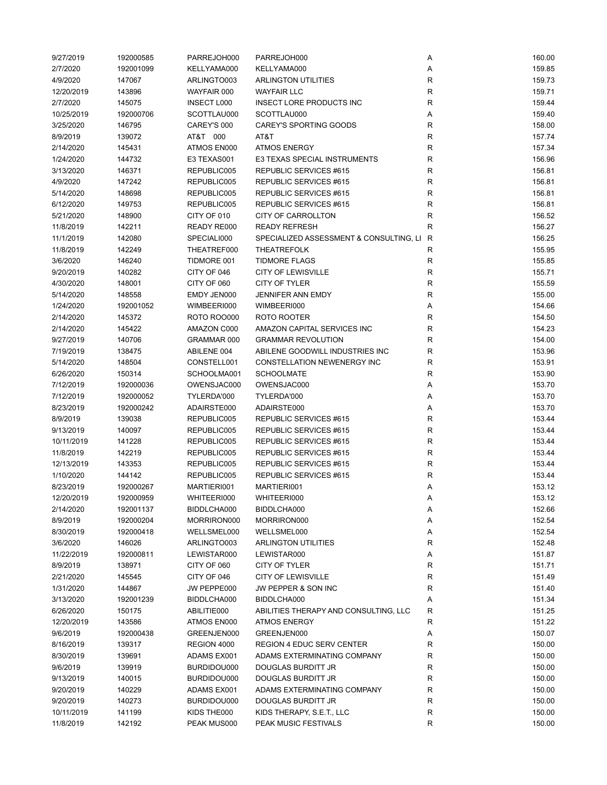| 9/27/2019  | 192000585 | PARREJOH000        | PARREJOH000                             | Α            | 160.00 |
|------------|-----------|--------------------|-----------------------------------------|--------------|--------|
| 2/7/2020   | 192001099 | KELLYAMA000        | KELLYAMA000                             | Α            | 159.85 |
| 4/9/2020   | 147067    | ARLINGTO003        | <b>ARLINGTON UTILITIES</b>              | R            | 159.73 |
| 12/20/2019 | 143896    | WAYFAIR 000        | <b>WAYFAIR LLC</b>                      | R            | 159.71 |
| 2/7/2020   | 145075    | <b>INSECT L000</b> | <b>INSECT LORE PRODUCTS INC</b>         | R            | 159.44 |
| 10/25/2019 | 192000706 | SCOTTLAU000        | SCOTTLAU000                             | Α            | 159.40 |
| 3/25/2020  | 146795    | CAREY'S 000        | <b>CAREY'S SPORTING GOODS</b>           | R            | 158.00 |
| 8/9/2019   | 139072    | AT&T 000           | AT&T                                    | $\mathsf R$  | 157.74 |
| 2/14/2020  | 145431    | ATMOS EN000        | <b>ATMOS ENERGY</b>                     | R            | 157.34 |
| 1/24/2020  | 144732    | E3 TEXAS001        | E3 TEXAS SPECIAL INSTRUMENTS            | R            | 156.96 |
| 3/13/2020  | 146371    | REPUBLIC005        | REPUBLIC SERVICES #615                  | R            | 156.81 |
| 4/9/2020   | 147242    | REPUBLIC005        | REPUBLIC SERVICES #615                  | R            | 156.81 |
| 5/14/2020  | 148698    | REPUBLIC005        | REPUBLIC SERVICES #615                  | $\mathsf R$  | 156.81 |
| 6/12/2020  | 149753    | REPUBLIC005        | REPUBLIC SERVICES #615                  | R            | 156.81 |
| 5/21/2020  | 148900    | CITY OF 010        | <b>CITY OF CARROLLTON</b>               | R            | 156.52 |
| 11/8/2019  | 142211    | READY RE000        | <b>READY REFRESH</b>                    | R            | 156.27 |
| 11/1/2019  | 142080    | SPECIALI000        | SPECIALIZED ASSESSMENT & CONSULTING, LI | $\mathsf{R}$ | 156.25 |
|            |           | THEATREF000        |                                         |              |        |
| 11/8/2019  | 142249    |                    | <b>THEATREFOLK</b>                      | $\mathsf R$  | 155.95 |
| 3/6/2020   | 146240    | TIDMORE 001        | <b>TIDMORE FLAGS</b>                    | R            | 155.85 |
| 9/20/2019  | 140282    | CITY OF 046        | <b>CITY OF LEWISVILLE</b>               | ${\sf R}$    | 155.71 |
| 4/30/2020  | 148001    | CITY OF 060        | <b>CITY OF TYLER</b>                    | $\mathsf R$  | 155.59 |
| 5/14/2020  | 148558    | EMDY JEN000        | JENNIFER ANN EMDY                       | R            | 155.00 |
| 1/24/2020  | 192001052 | WIMBEERI000        | WIMBEERI000                             | Α            | 154.66 |
| 2/14/2020  | 145372    | <b>ROTO ROO000</b> | ROTO ROOTER                             | R            | 154.50 |
| 2/14/2020  | 145422    | AMAZON C000        | AMAZON CAPITAL SERVICES INC             | $\mathsf R$  | 154.23 |
| 9/27/2019  | 140706    | GRAMMAR 000        | <b>GRAMMAR REVOLUTION</b>               | $\mathsf R$  | 154.00 |
| 7/19/2019  | 138475    | ABILENE 004        | ABILENE GOODWILL INDUSTRIES INC         | $\mathsf R$  | 153.96 |
| 5/14/2020  | 148504    | CONSTELL001        | CONSTELLATION NEWENERGY INC             | $\mathsf R$  | 153.91 |
| 6/26/2020  | 150314    | SCHOOLMA001        | <b>SCHOOLMATE</b>                       | R            | 153.90 |
| 7/12/2019  | 192000036 | OWENSJAC000        | OWENSJAC000                             | Α            | 153.70 |
| 7/12/2019  | 192000052 | TYLERDA'000        | TYLERDA'000                             | Α            | 153.70 |
| 8/23/2019  | 192000242 | ADAIRSTE000        | ADAIRSTE000                             | Α            | 153.70 |
| 8/9/2019   | 139038    | REPUBLIC005        | REPUBLIC SERVICES #615                  | R            | 153.44 |
| 9/13/2019  | 140097    | REPUBLIC005        | REPUBLIC SERVICES #615                  | R            | 153.44 |
| 10/11/2019 | 141228    | REPUBLIC005        | REPUBLIC SERVICES #615                  | R            | 153.44 |
| 11/8/2019  | 142219    | REPUBLIC005        | REPUBLIC SERVICES #615                  | R            | 153.44 |
| 12/13/2019 | 143353    | REPUBLIC005        | REPUBLIC SERVICES #615                  | R            | 153.44 |
| 1/10/2020  | 144142    | REPUBLIC005        | REPUBLIC SERVICES #615                  | R            | 153.44 |
| 8/23/2019  | 192000267 | MARTIERI001        | MARTIERI001                             | Α            | 153.12 |
| 12/20/2019 | 192000959 | WHITEERI000        | WHITEERI000                             | A            | 153.12 |
| 2/14/2020  | 192001137 | BIDDLCHA000        | BIDDLCHA000                             | Α            | 152.66 |
| 8/9/2019   | 192000204 | MORRIRON000        | MORRIRON000                             | Α            | 152.54 |
| 8/30/2019  | 192000418 | WELLSMEL000        | WELLSMEL000                             | Α            | 152.54 |
| 3/6/2020   | 146026    | ARLINGTO003        | <b>ARLINGTON UTILITIES</b>              | R            | 152.48 |
| 11/22/2019 | 192000811 | LEWISTAR000        | LEWISTAR000                             | Α            | 151.87 |
| 8/9/2019   | 138971    | CITY OF 060        | CITY OF TYLER                           | R            | 151.71 |
| 2/21/2020  | 145545    | CITY OF 046        | <b>CITY OF LEWISVILLE</b>               | ${\sf R}$    | 151.49 |
| 1/31/2020  | 144867    | JW PEPPE000        | JW PEPPER & SON INC                     | ${\sf R}$    | 151.40 |
| 3/13/2020  |           |                    | BIDDLCHA000                             |              | 151.34 |
|            | 192001239 | BIDDLCHA000        |                                         | Α            |        |
| 6/26/2020  | 150175    | ABILITIE000        | ABILITIES THERAPY AND CONSULTING, LLC   | R            | 151.25 |
| 12/20/2019 | 143586    | ATMOS EN000        | <b>ATMOS ENERGY</b>                     | R            | 151.22 |
| 9/6/2019   | 192000438 | GREENJEN000        | GREENJEN000                             | Α            | 150.07 |
| 8/16/2019  | 139317    | REGION 4000        | <b>REGION 4 EDUC SERV CENTER</b>        | R            | 150.00 |
| 8/30/2019  | 139691    | ADAMS EX001        | ADAMS EXTERMINATING COMPANY             | R            | 150.00 |
| 9/6/2019   | 139919    | BURDIDOU000        | DOUGLAS BURDITT JR                      | R            | 150.00 |
| 9/13/2019  | 140015    | BURDIDOU000        | DOUGLAS BURDITT JR                      | R            | 150.00 |
| 9/20/2019  | 140229    | ADAMS EX001        | ADAMS EXTERMINATING COMPANY             | ${\sf R}$    | 150.00 |
| 9/20/2019  | 140273    | BURDIDOU000        | DOUGLAS BURDITT JR                      | R            | 150.00 |
| 10/11/2019 | 141199    | KIDS THE000        | KIDS THERAPY, S.E.T., LLC               | R            | 150.00 |
| 11/8/2019  | 142192    | PEAK MUS000        | PEAK MUSIC FESTIVALS                    | R            | 150.00 |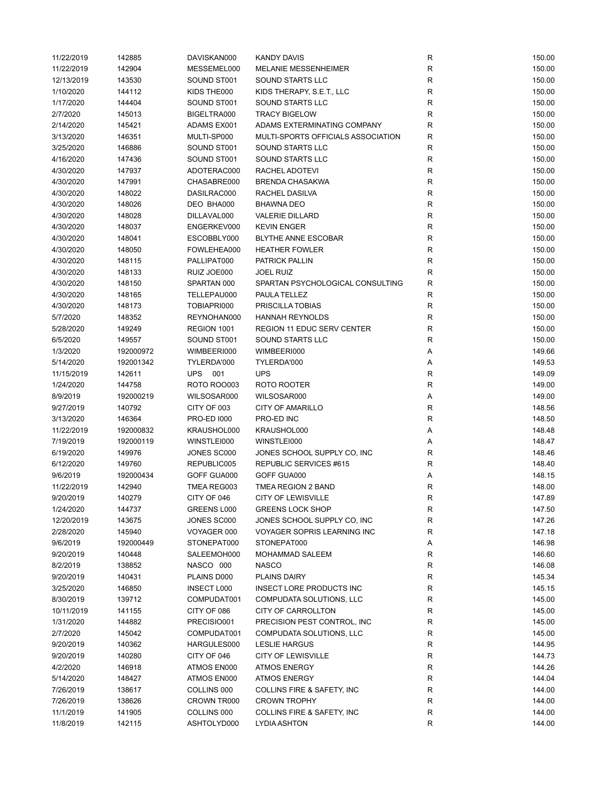| 11/22/2019 | 142885    | DAVISKAN000        | <b>KANDY DAVIS</b>                 | R            | 150.00 |
|------------|-----------|--------------------|------------------------------------|--------------|--------|
| 11/22/2019 | 142904    | MESSEMEL000        | <b>MELANIE MESSENHEIMER</b>        | R            | 150.00 |
| 12/13/2019 | 143530    | SOUND ST001        | <b>SOUND STARTS LLC</b>            | $\mathsf{R}$ | 150.00 |
| 1/10/2020  | 144112    | KIDS THE000        | KIDS THERAPY, S.E.T., LLC          | R            | 150.00 |
| 1/17/2020  | 144404    | SOUND ST001        | SOUND STARTS LLC                   | $\mathsf{R}$ | 150.00 |
| 2/7/2020   | 145013    | BIGELTRA000        | <b>TRACY BIGELOW</b>               | $\mathsf{R}$ | 150.00 |
| 2/14/2020  | 145421    | ADAMS EX001        | ADAMS EXTERMINATING COMPANY        | $\mathsf{R}$ | 150.00 |
| 3/13/2020  | 146351    | MULTI-SP000        | MULTI-SPORTS OFFICIALS ASSOCIATION | $\mathsf{R}$ | 150.00 |
| 3/25/2020  | 146886    | SOUND ST001        | SOUND STARTS LLC                   | $\mathsf{R}$ | 150.00 |
| 4/16/2020  | 147436    | SOUND ST001        | SOUND STARTS LLC                   | R            | 150.00 |
| 4/30/2020  | 147937    | ADOTERAC000        | RACHEL ADOTEVI                     | R            | 150.00 |
| 4/30/2020  | 147991    | CHASABRE000        | <b>BRENDA CHASAKWA</b>             | R            | 150.00 |
| 4/30/2020  | 148022    | DASILRAC000        | RACHEL DASILVA                     | R            | 150.00 |
| 4/30/2020  | 148026    | DEO BHA000         | <b>BHAWNA DEO</b>                  | R            | 150.00 |
| 4/30/2020  | 148028    | DILLAVAL000        | <b>VALERIE DILLARD</b>             | $\mathsf{R}$ | 150.00 |
| 4/30/2020  | 148037    | ENGERKEV000        | <b>KEVIN ENGER</b>                 | R            | 150.00 |
| 4/30/2020  | 148041    | ESCOBBLY000        | <b>BLYTHE ANNE ESCOBAR</b>         | R            | 150.00 |
|            |           |                    |                                    |              |        |
| 4/30/2020  | 148050    | FOWLEHEA000        | <b>HEATHER FOWLER</b>              | $\mathsf{R}$ | 150.00 |
| 4/30/2020  | 148115    | PALLIPAT000        | <b>PATRICK PALLIN</b>              | $\mathsf{R}$ | 150.00 |
| 4/30/2020  | 148133    | RUIZ JOE000        | <b>JOEL RUIZ</b>                   | R            | 150.00 |
| 4/30/2020  | 148150    | SPARTAN 000        | SPARTAN PSYCHOLOGICAL CONSULTING   | R            | 150.00 |
| 4/30/2020  | 148165    | TELLEPAU000        | PAULA TELLEZ                       | R            | 150.00 |
| 4/30/2020  | 148173    | TOBIAPRI000        | PRISCILLA TOBIAS                   | R            | 150.00 |
| 5/7/2020   | 148352    | REYNOHAN000        | <b>HANNAH REYNOLDS</b>             | $\mathsf{R}$ | 150.00 |
| 5/28/2020  | 149249    | REGION 1001        | <b>REGION 11 EDUC SERV CENTER</b>  | $\mathsf{R}$ | 150.00 |
| 6/5/2020   | 149557    | SOUND ST001        | SOUND STARTS LLC                   | R            | 150.00 |
| 1/3/2020   | 192000972 | WIMBEERI000        | WIMBEERI000                        | Α            | 149.66 |
| 5/14/2020  | 192001342 | TYLERDA'000        | TYLERDA'000                        | Α            | 149.53 |
| 11/15/2019 | 142611    | <b>UPS 001</b>     | <b>UPS</b>                         | $\mathsf{R}$ | 149.09 |
| 1/24/2020  | 144758    | <b>ROTO ROO003</b> | ROTO ROOTER                        | R            | 149.00 |
| 8/9/2019   | 192000219 | WILSOSAR000        | WILSOSAR000                        | Α            | 149.00 |
| 9/27/2019  | 140792    | CITY OF 003        | <b>CITY OF AMARILLO</b>            | R            | 148.56 |
| 3/13/2020  | 146364    | <b>PRO-ED 1000</b> | PRO-ED INC                         | R            | 148.50 |
| 11/22/2019 | 192000832 | KRAUSHOL000        | KRAUSHOL000                        | Α            | 148.48 |
| 7/19/2019  | 192000119 | WINSTLEI000        | WINSTLEI000                        | Α            | 148.47 |
| 6/19/2020  | 149976    | JONES SC000        | JONES SCHOOL SUPPLY CO, INC        | R            | 148.46 |
| 6/12/2020  | 149760    | REPUBLIC005        | REPUBLIC SERVICES #615             | R            | 148.40 |
| 9/6/2019   | 192000434 | GOFF GUA000        | GOFF GUA000                        | Α            | 148.15 |
| 11/22/2019 | 142940    | TMEA REG003        | TMEA REGION 2 BAND                 | R            | 148.00 |
| 9/20/2019  | 140279    | CITY OF 046        | <b>CITY OF LEWISVILLE</b>          | R            | 147.89 |
| 1/24/2020  | 144737    | GREENS L000        | <b>GREENS LOCK SHOP</b>            | R            | 147.50 |
| 12/20/2019 | 143675    | JONES SC000        | JONES SCHOOL SUPPLY CO, INC        | R            | 147.26 |
| 2/28/2020  | 145940    | VOYAGER 000        | VOYAGER SOPRIS LEARNING INC        | R            | 147.18 |
| 9/6/2019   | 192000449 | STONEPAT000        | STONEPAT000                        | Α            | 146.98 |
| 9/20/2019  | 140448    | SALEEMOH000        | <b>MOHAMMAD SALEEM</b>             | R            | 146.60 |
| 8/2/2019   | 138852    | NASCO 000          | <b>NASCO</b>                       | $\mathsf{R}$ | 146.08 |
| 9/20/2019  | 140431    | PLAINS D000        | PLAINS DAIRY                       | R            | 145.34 |
| 3/25/2020  | 146850    | <b>INSECT L000</b> | INSECT LORE PRODUCTS INC           | $\mathsf{R}$ | 145.15 |
| 8/30/2019  | 139712    | COMPUDAT001        | COMPUDATA SOLUTIONS, LLC           | R            | 145.00 |
| 10/11/2019 | 141155    | CITY OF 086        | CITY OF CARROLLTON                 | R            | 145.00 |
| 1/31/2020  | 144882    | PRECISIO001        | PRECISION PEST CONTROL, INC        | $\mathsf{R}$ | 145.00 |
|            |           |                    |                                    |              |        |
| 2/7/2020   | 145042    | COMPUDAT001        | COMPUDATA SOLUTIONS, LLC           | R            | 145.00 |
| 9/20/2019  | 140362    | HARGULES000        | <b>LESLIE HARGUS</b>               | R            | 144.95 |
| 9/20/2019  | 140280    | CITY OF 046        | <b>CITY OF LEWISVILLE</b>          | R            | 144.73 |
| 4/2/2020   | 146918    | ATMOS EN000        | <b>ATMOS ENERGY</b>                | $\mathsf{R}$ | 144.26 |
| 5/14/2020  | 148427    | ATMOS EN000        | <b>ATMOS ENERGY</b>                | $\mathsf{R}$ | 144.04 |
| 7/26/2019  | 138617    | COLLINS 000        | COLLINS FIRE & SAFETY, INC         | R            | 144.00 |
| 7/26/2019  | 138626    | CROWN TR000        | <b>CROWN TROPHY</b>                | R            | 144.00 |
| 11/1/2019  | 141905    | COLLINS 000        | COLLINS FIRE & SAFETY, INC         | R            | 144.00 |
| 11/8/2019  | 142115    | ASHTOLYD000        | <b>LYDIA ASHTON</b>                | $\mathsf{R}$ | 144.00 |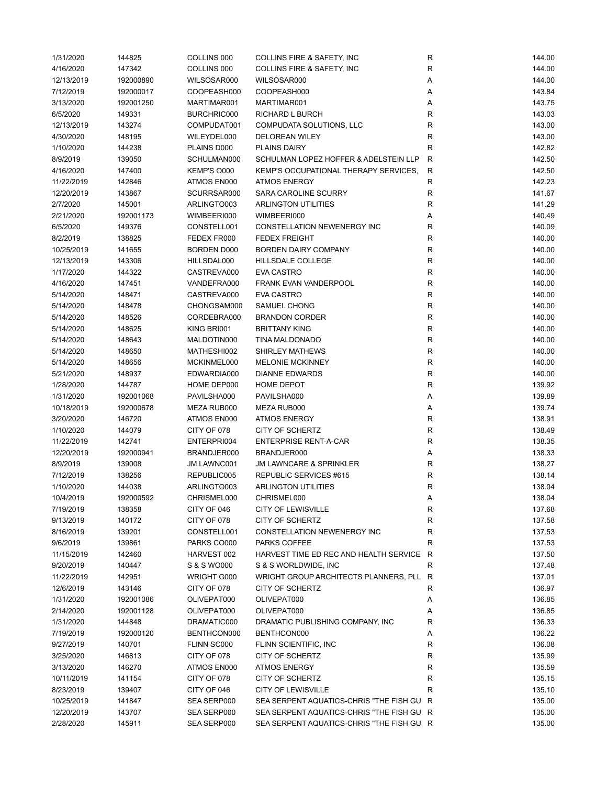| 1/31/2020  | 144825    | COLLINS 000 | COLLINS FIRE & SAFETY, INC                | R            | 144.00 |
|------------|-----------|-------------|-------------------------------------------|--------------|--------|
| 4/16/2020  | 147342    | COLLINS 000 | COLLINS FIRE & SAFETY, INC                | R            | 144.00 |
| 12/13/2019 | 192000890 | WILSOSAR000 | WILSOSAR000                               | Α            | 144.00 |
| 7/12/2019  | 192000017 | COOPEASH000 | COOPEASH000                               | Α            | 143.84 |
| 3/13/2020  | 192001250 | MARTIMAR001 | MARTIMAR001                               | Α            | 143.75 |
| 6/5/2020   | 149331    | BURCHRIC000 | RICHARD L BURCH                           | R            | 143.03 |
| 12/13/2019 | 143274    | COMPUDAT001 | COMPUDATA SOLUTIONS, LLC                  | R            | 143.00 |
| 4/30/2020  | 148195    | WILEYDEL000 | <b>DELOREAN WILEY</b>                     | R            | 143.00 |
| 1/10/2020  | 144238    | PLAINS D000 | <b>PLAINS DAIRY</b>                       | $\mathsf R$  | 142.82 |
| 8/9/2019   | 139050    | SCHULMAN000 | SCHULMAN LOPEZ HOFFER & ADELSTEIN LLP     | $\mathsf{R}$ | 142.50 |
| 4/16/2020  | 147400    | KEMP'S O000 | KEMP'S OCCUPATIONAL THERAPY SERVICES,     | R            | 142.50 |
| 11/22/2019 | 142846    | ATMOS EN000 | <b>ATMOS ENERGY</b>                       | $\mathsf R$  | 142.23 |
| 12/20/2019 | 143867    | SCURRSAR000 | SARA CAROLINE SCURRY                      | R            | 141.67 |
| 2/7/2020   | 145001    | ARLINGTO003 | ARLINGTON UTILITIES                       | R            | 141.29 |
| 2/21/2020  | 192001173 | WIMBEERI000 | WIMBEERI000                               | Α            | 140.49 |
| 6/5/2020   | 149376    | CONSTELL001 | CONSTELLATION NEWENERGY INC               | R            | 140.09 |
| 8/2/2019   | 138825    | FEDEX FR000 | <b>FEDEX FREIGHT</b>                      | R            | 140.00 |
| 10/25/2019 | 141655    | BORDEN D000 | <b>BORDEN DAIRY COMPANY</b>               | R            | 140.00 |
| 12/13/2019 | 143306    | HILLSDAL000 | HILLSDALE COLLEGE                         | R            | 140.00 |
|            |           |             | <b>EVA CASTRO</b>                         |              |        |
| 1/17/2020  | 144322    | CASTREVA000 |                                           | R            | 140.00 |
| 4/16/2020  | 147451    | VANDEFRA000 | FRANK EVAN VANDERPOOL                     | R            | 140.00 |
| 5/14/2020  | 148471    | CASTREVA000 | <b>EVA CASTRO</b>                         | R            | 140.00 |
| 5/14/2020  | 148478    | CHONGSAM000 | <b>SAMUEL CHONG</b>                       | R            | 140.00 |
| 5/14/2020  | 148526    | CORDEBRA000 | <b>BRANDON CORDER</b>                     | R            | 140.00 |
| 5/14/2020  | 148625    | KING BRI001 | <b>BRITTANY KING</b>                      | R            | 140.00 |
| 5/14/2020  | 148643    | MALDOTIN000 | TINA MALDONADO                            | ${\sf R}$    | 140.00 |
| 5/14/2020  | 148650    | MATHESHI002 | SHIRLEY MATHEWS                           | ${\sf R}$    | 140.00 |
| 5/14/2020  | 148656    | MCKINMEL000 | <b>MELONIE MCKINNEY</b>                   | R            | 140.00 |
| 5/21/2020  | 148937    | EDWARDIA000 | <b>DIANNE EDWARDS</b>                     | R            | 140.00 |
| 1/28/2020  | 144787    | HOME DEP000 | HOME DEPOT                                | R            | 139.92 |
| 1/31/2020  | 192001068 | PAVILSHA000 | PAVILSHA000                               | Α            | 139.89 |
| 10/18/2019 | 192000678 | MEZA RUB000 | MEZA RUB000                               | Α            | 139.74 |
| 3/20/2020  | 146720    | ATMOS EN000 | <b>ATMOS ENERGY</b>                       | R            | 138.91 |
| 1/10/2020  | 144079    | CITY OF 078 | CITY OF SCHERTZ                           | R            | 138.49 |
| 11/22/2019 | 142741    | ENTERPRI004 | <b>ENTERPRISE RENT-A-CAR</b>              | R            | 138.35 |
| 12/20/2019 | 192000941 | BRANDJER000 | BRANDJER000                               | Α            | 138.33 |
| 8/9/2019   | 139008    | JM LAWNC001 | <b>JM LAWNCARE &amp; SPRINKLER</b>        | ${\sf R}$    | 138.27 |
| 7/12/2019  | 138256    | REPUBLIC005 | REPUBLIC SERVICES #615                    | R            | 138.14 |
| 1/10/2020  | 144038    | ARLINGTO003 | <b>ARLINGTON UTILITIES</b>                | R            | 138.04 |
| 10/4/2019  | 192000592 | CHRISMEL000 | CHRISMEL000                               |              | 138.04 |
| 7/19/2019  | 138358    | CITY OF 046 | <b>CITY OF LEWISVILLE</b>                 | R            | 137.68 |
| 9/13/2019  | 140172    | CITY OF 078 | <b>CITY OF SCHERTZ</b>                    | R            | 137.58 |
| 8/16/2019  | 139201    | CONSTELL001 | CONSTELLATION NEWENERGY INC               | R            | 137.53 |
| 9/6/2019   | 139861    | PARKS CO000 | PARKS COFFEE                              | R            | 137.53 |
| 11/15/2019 | 142460    | HARVEST 002 | HARVEST TIME ED REC AND HEALTH SERVICE    | R            | 137.50 |
| 9/20/2019  | 140447    | S & S WO000 | S & S WORLDWIDE, INC                      | R            | 137.48 |
| 11/22/2019 | 142951    | WRIGHT G000 | WRIGHT GROUP ARCHITECTS PLANNERS, PLL R   |              | 137.01 |
| 12/6/2019  | 143146    | CITY OF 078 | CITY OF SCHERTZ                           | R            | 136.97 |
| 1/31/2020  | 192001086 | OLIVEPAT000 | OLIVEPAT000                               | A            | 136.85 |
| 2/14/2020  | 192001128 | OLIVEPAT000 | OLIVEPAT000                               | Α            | 136.85 |
| 1/31/2020  | 144848    | DRAMATIC000 | DRAMATIC PUBLISHING COMPANY, INC          | R            | 136.33 |
| 7/19/2019  | 192000120 | BENTHCON000 | BENTHCON000                               | Α            | 136.22 |
| 9/27/2019  | 140701    | FLINN SC000 | FLINN SCIENTIFIC, INC                     | R            | 136.08 |
| 3/25/2020  | 146813    | CITY OF 078 | CITY OF SCHERTZ                           | R            | 135.99 |
| 3/13/2020  | 146270    | ATMOS EN000 | <b>ATMOS ENERGY</b>                       | R            | 135.59 |
|            |           | CITY OF 078 | <b>CITY OF SCHERTZ</b>                    |              |        |
| 10/11/2019 | 141154    |             |                                           | R            | 135.15 |
| 8/23/2019  | 139407    | CITY OF 046 | <b>CITY OF LEWISVILLE</b>                 | R            | 135.10 |
| 10/25/2019 | 141847    | SEA SERP000 | SEA SERPENT AQUATICS-CHRIS "THE FISH GU R |              | 135.00 |
| 12/20/2019 | 143707    | SEA SERP000 | SEA SERPENT AQUATICS-CHRIS "THE FISH GU R |              | 135.00 |
| 2/28/2020  | 145911    | SEA SERP000 | SEA SERPENT AQUATICS-CHRIS "THE FISH GU R |              | 135.00 |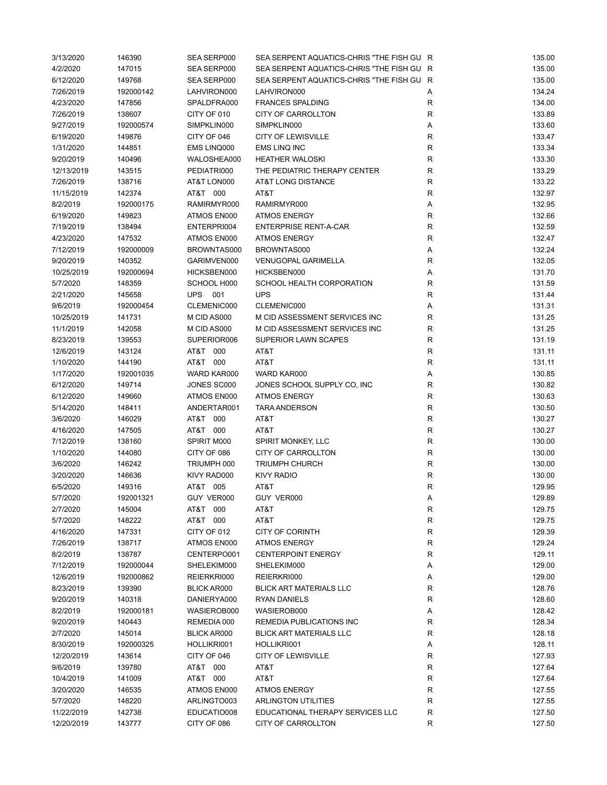| 3/13/2020  | 146390    | SEA SERP000        | SEA SERPENT AQUATICS-CHRIS "THE FISH GU R |             | 135.00 |
|------------|-----------|--------------------|-------------------------------------------|-------------|--------|
| 4/2/2020   | 147015    | SEA SERP000        | SEA SERPENT AQUATICS-CHRIS "THE FISH GU R |             | 135.00 |
| 6/12/2020  | 149768    | SEA SERP000        | SEA SERPENT AQUATICS-CHRIS "THE FISH GU R |             | 135.00 |
| 7/26/2019  | 192000142 | LAHVIRON000        | LAHVIRON000                               | Α           | 134.24 |
| 4/23/2020  | 147856    | SPALDFRA000        | <b>FRANCES SPALDING</b>                   | R           | 134.00 |
| 7/26/2019  | 138607    | CITY OF 010        | CITY OF CARROLLTON                        | $\mathsf R$ | 133.89 |
| 9/27/2019  | 192000574 | SIMPKLIN000        | SIMPKLIN000                               | Α           | 133.60 |
| 6/19/2020  | 149876    | CITY OF 046        | <b>CITY OF LEWISVILLE</b>                 | $\mathsf R$ | 133.47 |
| 1/31/2020  | 144851    | EMS LINQ000        | <b>EMS LINQ INC</b>                       | R           | 133.34 |
| 9/20/2019  | 140496    | WALOSHEA000        | <b>HEATHER WALOSKI</b>                    | $\mathsf R$ | 133.30 |
| 12/13/2019 | 143515    | PEDIATRI000        | THE PEDIATRIC THERAPY CENTER              | $\mathsf R$ | 133.29 |
| 7/26/2019  | 138716    | AT&T LON000        | AT&T LONG DISTANCE                        | R           | 133.22 |
| 11/15/2019 | 142374    | AT&T 000           | AT&T                                      | R           | 132.97 |
| 8/2/2019   | 192000175 | RAMIRMYR000        | RAMIRMYR000                               | Α           | 132.95 |
|            |           |                    |                                           |             |        |
| 6/19/2020  | 149823    | ATMOS EN000        | <b>ATMOS ENERGY</b>                       | R           | 132.66 |
| 7/19/2019  | 138494    | ENTERPRI004        | <b>ENTERPRISE RENT-A-CAR</b>              | $\mathsf R$ | 132.59 |
| 4/23/2020  | 147532    | ATMOS EN000        | <b>ATMOS ENERGY</b>                       | $\mathsf R$ | 132.47 |
| 7/12/2019  | 192000009 | BROWNTAS000        | BROWNTAS000                               | Α           | 132.24 |
| 9/20/2019  | 140352    | GARIMVEN000        | <b>VENUGOPAL GARIMELLA</b>                | R           | 132.05 |
| 10/25/2019 | 192000694 | HICKSBEN000        | HICKSBEN000                               | Α           | 131.70 |
| 5/7/2020   | 148359    | SCHOOL H000        | SCHOOL HEALTH CORPORATION                 | R           | 131.59 |
| 2/21/2020  | 145658    | <b>UPS 001</b>     | <b>UPS</b>                                | $\mathsf R$ | 131.44 |
| 9/6/2019   | 192000454 | CLEMENIC000        | CLEMENIC000                               | Α           | 131.31 |
| 10/25/2019 | 141731    | M CID AS000        | M CID ASSESSMENT SERVICES INC             | R           | 131.25 |
| 11/1/2019  | 142058    | M CID AS000        | M CID ASSESSMENT SERVICES INC             | $\mathsf R$ | 131.25 |
| 8/23/2019  | 139553    | SUPERIOR006        | <b>SUPERIOR LAWN SCAPES</b>               | $\mathsf R$ | 131.19 |
| 12/6/2019  | 143124    | AT&T 000           | AT&T                                      | $\mathsf R$ | 131.11 |
| 1/10/2020  | 144190    | AT&T 000           | AT&T                                      | R           | 131.11 |
| 1/17/2020  | 192001035 | WARD KAR000        | WARD KAR000                               | Α           | 130.85 |
| 6/12/2020  | 149714    | JONES SC000        | JONES SCHOOL SUPPLY CO, INC               | R           | 130.82 |
| 6/12/2020  | 149660    | ATMOS EN000        | <b>ATMOS ENERGY</b>                       | R           | 130.63 |
| 5/14/2020  | 148411    | ANDERTAR001        | <b>TARA ANDERSON</b>                      | $\mathsf R$ | 130.50 |
| 3/6/2020   | 146029    | AT&T 000           | AT&T                                      | R           | 130.27 |
| 4/16/2020  | 147505    | AT&T 000           | AT&T                                      | R           | 130.27 |
| 7/12/2019  | 138160    | SPIRIT M000        | SPIRIT MONKEY, LLC                        | R           | 130.00 |
| 1/10/2020  |           | CITY OF 086        | CITY OF CARROLLTON                        | $\mathsf R$ | 130.00 |
|            | 144080    |                    |                                           |             |        |
| 3/6/2020   | 146242    | TRIUMPH 000        | <b>TRIUMPH CHURCH</b>                     | ${\sf R}$   | 130.00 |
| 3/20/2020  | 146636    | KIVY RAD000        | <b>KIVY RADIO</b>                         | $\mathsf R$ | 130.00 |
| 6/5/2020   | 149316    | AT&T 005           | AT&T                                      | $\mathsf R$ | 129.95 |
| 5/7/2020   | 192001321 | GUY VER000         | GUY VER000                                | Α           | 129.89 |
| 2/7/2020   | 145004    | AT&T 000           | AT&T                                      | R           | 129.75 |
| 5/7/2020   | 148222    | AT&T 000           | AT&T                                      | ${\sf R}$   | 129.75 |
| 4/16/2020  | 147331    | CITY OF 012        | <b>CITY OF CORINTH</b>                    | R           | 129.39 |
| 7/26/2019  | 138717    | ATMOS EN000        | <b>ATMOS ENERGY</b>                       | R           | 129.24 |
| 8/2/2019   | 138787    | CENTERPO001        | <b>CENTERPOINT ENERGY</b>                 | R           | 129.11 |
| 7/12/2019  | 192000044 | SHELEKIM000        | SHELEKIM000                               | Α           | 129.00 |
| 12/6/2019  | 192000862 | REIERKRI000        | REIERKRI000                               | Α           | 129.00 |
| 8/23/2019  | 139390    | <b>BLICK AR000</b> | <b>BLICK ART MATERIALS LLC</b>            | R           | 128.76 |
| 9/20/2019  | 140318    | DANIERYA000        | <b>RYAN DANIELS</b>                       | R           | 128.60 |
| 8/2/2019   | 192000181 | WASIEROB000        | WASIEROB000                               | Α           | 128.42 |
| 9/20/2019  | 140443    | REMEDIA 000        | REMEDIA PUBLICATIONS INC                  | R           | 128.34 |
| 2/7/2020   | 145014    | <b>BLICK AR000</b> | <b>BLICK ART MATERIALS LLC</b>            | R           | 128.18 |
| 8/30/2019  | 192000325 | HOLLIKRI001        | HOLLIKRI001                               | Α           | 128.11 |
| 12/20/2019 | 143614    | CITY OF 046        | <b>CITY OF LEWISVILLE</b>                 | R           | 127.93 |
| 9/6/2019   | 139780    | AT&T 000           | AT&T                                      | R           | 127.64 |
| 10/4/2019  | 141009    | AT&T 000           | AT&T                                      | ${\sf R}$   | 127.64 |
| 3/20/2020  |           | ATMOS EN000        | <b>ATMOS ENERGY</b>                       | R           | 127.55 |
|            | 146535    |                    |                                           |             |        |
| 5/7/2020   | 148220    | ARLINGTO003        | <b>ARLINGTON UTILITIES</b>                | R           | 127.55 |
| 11/22/2019 | 142738    | EDUCATIO008        | EDUCATIONAL THERAPY SERVICES LLC          | R           | 127.50 |
| 12/20/2019 | 143777    | CITY OF 086        | CITY OF CARROLLTON                        | R           | 127.50 |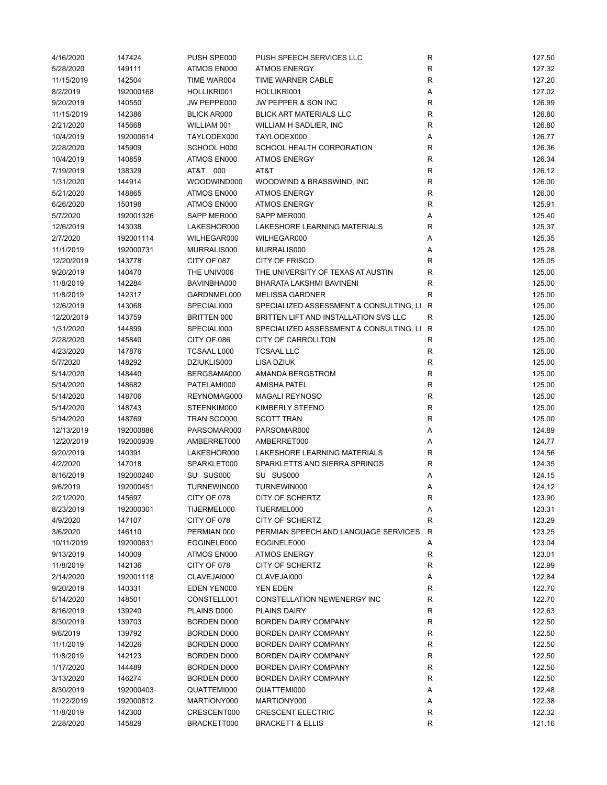| 4/16/2020  | 147424    | PUSH SPE000        | PUSH SPEECH SERVICES LLC                  | R            | 127.50 |
|------------|-----------|--------------------|-------------------------------------------|--------------|--------|
| 5/28/2020  | 149111    | ATMOS EN000        | <b>ATMOS ENERGY</b>                       | R            | 127.32 |
| 11/15/2019 | 142504    | TIME WAR004        | TIME WARNER CABLE                         | R            | 127.20 |
| 8/2/2019   | 192000168 | HOLLIKRI001        | HOLLIKRI001                               | Α            | 127.02 |
| 9/20/2019  | 140550    | JW PEPPE000        | JW PEPPER & SON INC                       | R            | 126.99 |
| 11/15/2019 | 142386    | <b>BLICK AR000</b> | <b>BLICK ART MATERIALS LLC</b>            | ${\sf R}$    | 126.80 |
| 2/21/2020  | 145668    | WILLIAM 001        | WILLIAM H SADLIER, INC                    | R            | 126.80 |
| 10/4/2019  | 192000614 | TAYLODEX000        | TAYLODEX000                               | Α            | 126.77 |
| 2/28/2020  | 145909    | SCHOOL H000        | SCHOOL HEALTH CORPORATION                 | R            | 126.36 |
| 10/4/2019  | 140859    | ATMOS EN000        | <b>ATMOS ENERGY</b>                       | $\mathsf R$  | 126.34 |
| 7/19/2019  | 138329    | AT&T 000           | AT&T                                      | R            | 126.12 |
| 1/31/2020  | 144914    | WOODWIND000        | WOODWIND & BRASSWIND, INC                 | R            | 126.00 |
| 5/21/2020  | 148865    | ATMOS EN000        | <b>ATMOS ENERGY</b>                       | R            | 126.00 |
| 6/26/2020  | 150198    | ATMOS EN000        | <b>ATMOS ENERGY</b>                       | R            | 125.91 |
| 5/7/2020   | 192001326 | SAPP MER000        | SAPP MER000                               |              | 125.40 |
|            |           |                    |                                           | Α            |        |
| 12/6/2019  | 143038    | LAKESHOR000        | LAKESHORE LEARNING MATERIALS              | R            | 125.37 |
| 2/7/2020   | 192001114 | WILHEGAR000        | WILHEGAR000                               | Α            | 125.35 |
| 11/1/2019  | 192000731 | MURRALIS000        | MURRALIS000                               | Α            | 125.28 |
| 12/20/2019 | 143778    | CITY OF 087        | <b>CITY OF FRISCO</b>                     | R            | 125.05 |
| 9/20/2019  | 140470    | THE UNIV006        | THE UNIVERSITY OF TEXAS AT AUSTIN         | $\mathsf R$  | 125.00 |
| 11/8/2019  | 142284    | BAVINBHA000        | BHARATA LAKSHMI BAVINENI                  | R            | 125.00 |
| 11/8/2019  | 142317    | GARDNMEL000        | <b>MELISSA GARDNER</b>                    | R            | 125.00 |
| 12/6/2019  | 143068    | SPECIALI000        | SPECIALIZED ASSESSMENT & CONSULTING, LI R |              | 125.00 |
| 12/20/2019 | 143759    | BRITTEN 000        | BRITTEN LIFT AND INSTALLATION SVS LLC     | R            | 125.00 |
| 1/31/2020  | 144899    | SPECIALI000        | SPECIALIZED ASSESSMENT & CONSULTING, LI R |              | 125.00 |
| 2/28/2020  | 145840    | CITY OF 086        | CITY OF CARROLLTON                        | R            | 125.00 |
| 4/23/2020  | 147876    | TCSAAL L000        | TCSAAL LLC                                | $\mathsf{R}$ | 125.00 |
| 5/7/2020   | 148292    | DZIUKLIS000        | <b>LISA DZIUK</b>                         | R            | 125.00 |
| 5/14/2020  | 148440    | BERGSAMA000        | AMANDA BERGSTROM                          | R            | 125.00 |
| 5/14/2020  | 148682    | PATELAMI000        | <b>AMISHA PATEL</b>                       | R            | 125.00 |
| 5/14/2020  | 148706    | REYNOMAG000        | <b>MAGALI REYNOSO</b>                     | R            | 125.00 |
| 5/14/2020  | 148743    | STEENKIM000        | KIMBERLY STEENO                           | ${\sf R}$    | 125.00 |
| 5/14/2020  | 148769    | TRAN SCO000        | <b>SCOTT TRAN</b>                         | R            | 125.00 |
| 12/13/2019 | 192000886 | PARSOMAR000        | PARSOMAR000                               | Α            | 124.89 |
| 12/20/2019 | 192000939 | AMBERRET000        | AMBERRET000                               | Α            | 124.77 |
| 9/20/2019  | 140391    | LAKESHOR000        | LAKESHORE LEARNING MATERIALS              | R            | 124.56 |
| 4/2/2020   | 147018    | SPARKLET000        | SPARKLETTS AND SIERRA SPRINGS             | ${\sf R}$    | 124.35 |
| 8/16/2019  | 192000240 | SU SUS000          | SU SUS000                                 | Α            | 124.15 |
| 9/6/2019   | 192000451 | TURNEWIN000        | TURNEWIN000                               | Α            | 124.12 |
| 2/21/2020  | 145697    | CITY OF 078        | CITY OF SCHERTZ                           | R            | 123.90 |
|            |           |                    |                                           |              |        |
| 8/23/2019  | 192000301 | TIJERMEL000        | TIJERMEL000                               | Α            | 123.31 |
| 4/9/2020   | 147107    | CITY OF 078        | <b>CITY OF SCHERTZ</b>                    | $\mathsf R$  | 123.29 |
| 3/6/2020   | 146110    | PERMIAN 000        | PERMIAN SPEECH AND LANGUAGE SERVICES      | R            | 123.25 |
| 10/11/2019 | 192000631 | EGGINELE000        | EGGINELE000                               | Α            | 123.04 |
| 9/13/2019  | 140009    | ATMOS EN000        | <b>ATMOS ENERGY</b>                       | R            | 123.01 |
| 11/8/2019  | 142136    | CITY OF 078        | <b>CITY OF SCHERTZ</b>                    | R            | 122.99 |
| 2/14/2020  | 192001118 | CLAVEJAI000        | CLAVEJAI000                               | Α            | 122.84 |
| 9/20/2019  | 140331    | EDEN YEN000        | YEN EDEN                                  | R            | 122.70 |
| 5/14/2020  | 148501    | CONSTELL001        | CONSTELLATION NEWENERGY INC               | R            | 122.70 |
| 8/16/2019  | 139240    | PLAINS D000        | <b>PLAINS DAIRY</b>                       | R            | 122.63 |
| 8/30/2019  | 139703    | <b>BORDEN D000</b> | BORDEN DAIRY COMPANY                      | R            | 122.50 |
| 9/6/2019   | 139792    | BORDEN D000        | BORDEN DAIRY COMPANY                      | R            | 122.50 |
| 11/1/2019  | 142026    | BORDEN D000        | <b>BORDEN DAIRY COMPANY</b>               | R            | 122.50 |
| 11/8/2019  | 142123    | BORDEN D000        | BORDEN DAIRY COMPANY                      | R            | 122.50 |
| 1/17/2020  | 144489    | BORDEN D000        | BORDEN DAIRY COMPANY                      | R            | 122.50 |
| 3/13/2020  | 146274    | BORDEN D000        | <b>BORDEN DAIRY COMPANY</b>               | R            | 122.50 |
| 8/30/2019  | 192000403 | QUATTEMI000        | QUATTEMI000                               | Α            | 122.48 |
| 11/22/2019 | 192000812 | MARTIONY000        | MARTIONY000                               | Α            | 122.38 |
| 11/8/2019  | 142300    | CRESCENT000        | <b>CRESCENT ELECTRIC</b>                  | R            | 122.32 |
| 2/28/2020  | 145829    | BRACKETT000        | <b>BRACKETT &amp; ELLIS</b>               | R            | 121.16 |
|            |           |                    |                                           |              |        |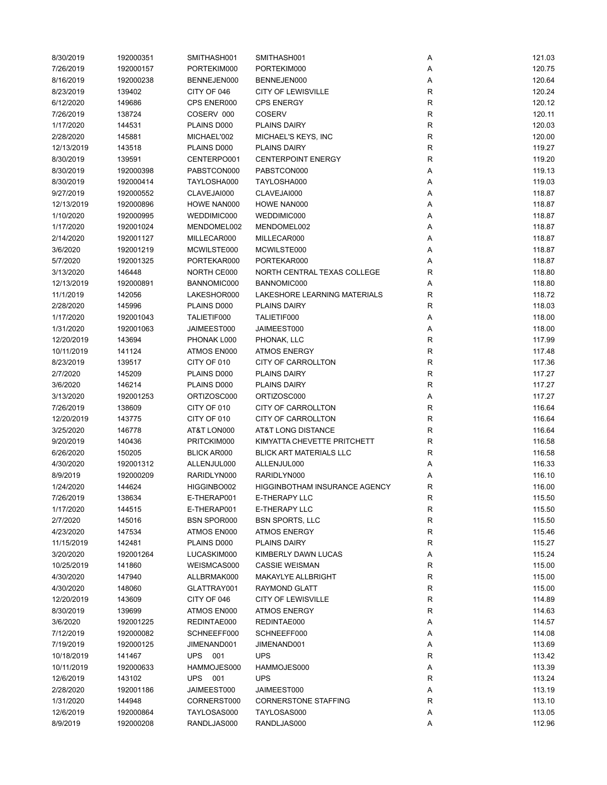| 8/30/2019  | 192000351 | SMITHASH001        | SMITHASH001                          | Α            | 121.03 |
|------------|-----------|--------------------|--------------------------------------|--------------|--------|
| 7/26/2019  | 192000157 | PORTEKIM000        | PORTEKIM000                          | Α            | 120.75 |
| 8/16/2019  | 192000238 | BENNEJEN000        | BENNEJEN000                          | Α            | 120.64 |
| 8/23/2019  | 139402    | CITY OF 046        | <b>CITY OF LEWISVILLE</b>            | $\mathsf{R}$ | 120.24 |
| 6/12/2020  | 149686    | CPS ENER000        | <b>CPS ENERGY</b>                    | R            | 120.12 |
| 7/26/2019  | 138724    | COSERV 000         | <b>COSERV</b>                        | $\mathsf{R}$ | 120.11 |
| 1/17/2020  | 144531    | PLAINS D000        | <b>PLAINS DAIRY</b>                  | R            | 120.03 |
| 2/28/2020  | 145881    | MICHAEL'002        | MICHAEL'S KEYS, INC                  | R            | 120.00 |
| 12/13/2019 | 143518    | PLAINS D000        | <b>PLAINS DAIRY</b>                  | R            | 119.27 |
| 8/30/2019  | 139591    | CENTERPO001        | <b>CENTERPOINT ENERGY</b>            | R            | 119.20 |
| 8/30/2019  | 192000398 | PABSTCON000        | PABSTCON000                          | Α            | 119.13 |
| 8/30/2019  | 192000414 | TAYLOSHA000        | TAYLOSHA000                          | Α            | 119.03 |
| 9/27/2019  | 192000552 | CLAVEJAI000        | CLAVEJAI000                          | Α            | 118.87 |
| 12/13/2019 | 192000896 | HOWE NAN000        | HOWE NAN000                          | Α            | 118.87 |
| 1/10/2020  | 192000995 | WEDDIMIC000        | WEDDIMIC000                          | Α            | 118.87 |
|            |           |                    |                                      |              |        |
| 1/17/2020  | 192001024 | MENDOMEL002        | MENDOMEL002                          | Α            | 118.87 |
| 2/14/2020  | 192001127 | MILLECAR000        | MILLECAR000                          | Α            | 118.87 |
| 3/6/2020   | 192001219 | MCWILSTE000        | MCWILSTE000                          | Α            | 118.87 |
| 5/7/2020   | 192001325 | PORTEKAR000        | PORTEKAR000                          | Α            | 118.87 |
| 3/13/2020  | 146448    | NORTH CE000        | NORTH CENTRAL TEXAS COLLEGE          | R            | 118.80 |
| 12/13/2019 | 192000891 | BANNOMIC000        | BANNOMIC000                          | Α            | 118.80 |
| 11/1/2019  | 142056    | LAKESHOR000        | <b>LAKESHORE LEARNING MATERIALS</b>  | R            | 118.72 |
| 2/28/2020  | 145996    | PLAINS D000        | <b>PLAINS DAIRY</b>                  | R            | 118.03 |
| 1/17/2020  | 192001043 | TALIETIF000        | TALIETIF000                          | Α            | 118.00 |
| 1/31/2020  | 192001063 | JAIMEEST000        | JAIMEEST000                          | Α            | 118.00 |
| 12/20/2019 | 143694    | PHONAK L000        | PHONAK, LLC                          | $\mathsf{R}$ | 117.99 |
| 10/11/2019 | 141124    | ATMOS EN000        | <b>ATMOS ENERGY</b>                  | $\mathsf{R}$ | 117.48 |
| 8/23/2019  | 139517    | CITY OF 010        | CITY OF CARROLLTON                   | R            | 117.36 |
| 2/7/2020   | 145209    | PLAINS D000        | <b>PLAINS DAIRY</b>                  | R            | 117.27 |
| 3/6/2020   | 146214    | PLAINS D000        | <b>PLAINS DAIRY</b>                  | R            | 117.27 |
| 3/13/2020  | 192001253 | ORTIZOSC000        | ORTIZOSC000                          | Α            | 117.27 |
| 7/26/2019  | 138609    | CITY OF 010        | CITY OF CARROLLTON                   | R            | 116.64 |
| 12/20/2019 | 143775    | CITY OF 010        | CITY OF CARROLLTON                   | R            | 116.64 |
| 3/25/2020  | 146778    | AT&T LON000        | <b>AT&amp;T LONG DISTANCE</b>        | R            | 116.64 |
| 9/20/2019  | 140436    | PRITCKIM000        | KIMYATTA CHEVETTE PRITCHETT          | R            | 116.58 |
| 6/26/2020  | 150205    | <b>BLICK AR000</b> | <b>BLICK ART MATERIALS LLC</b>       | R            | 116.58 |
| 4/30/2020  | 192001312 | ALLENJUL000        | ALLENJUL000                          | Α            | 116.33 |
| 8/9/2019   | 192000209 | RARIDLYN000        | RARIDLYN000                          | Α            | 116.10 |
| 1/24/2020  | 144624    | HIGGINBO002        | <b>HIGGINBOTHAM INSURANCE AGENCY</b> | R            | 116.00 |
| 7/26/2019  | 138634    | E-THERAP001        | E-THERAPY LLC                        | R            | 115.50 |
| 1/17/2020  | 144515    | E-THERAP001        | <b>E-THERAPY LLC</b>                 | R            | 115.50 |
| 2/7/2020   | 145016    | <b>BSN SPOR000</b> | <b>BSN SPORTS, LLC</b>               | $\mathsf{R}$ | 115.50 |
| 4/23/2020  | 147534    | ATMOS EN000        | <b>ATMOS ENERGY</b>                  | $\mathsf{R}$ | 115.46 |
| 11/15/2019 | 142481    | PLAINS D000        | <b>PLAINS DAIRY</b>                  | R            | 115.27 |
| 3/20/2020  | 192001264 | LUCASKIM000        | KIMBERLY DAWN LUCAS                  |              | 115.24 |
| 10/25/2019 | 141860    | WEISMCAS000        | <b>CASSIE WEISMAN</b>                | Α<br>R       | 115.00 |
|            |           |                    |                                      | $\mathsf{R}$ |        |
| 4/30/2020  | 147940    | ALLBRMAK000        | MAKAYLYE ALLBRIGHT                   |              | 115.00 |
| 4/30/2020  | 148060    | GLATTRAY001        | <b>RAYMOND GLATT</b>                 | ${\sf R}$    | 115.00 |
| 12/20/2019 | 143609    | CITY OF 046        | <b>CITY OF LEWISVILLE</b>            | R            | 114.89 |
| 8/30/2019  | 139699    | ATMOS EN000        | <b>ATMOS ENERGY</b>                  | R            | 114.63 |
| 3/6/2020   | 192001225 | REDINTAE000        | REDINTAE000                          | Α            | 114.57 |
| 7/12/2019  | 192000082 | SCHNEEFF000        | SCHNEEFF000                          | Α            | 114.08 |
| 7/19/2019  | 192000125 | JIMENAND001        | JIMENAND001                          | Α            | 113.69 |
| 10/18/2019 | 141467    | UPS 001            | <b>UPS</b>                           | R            | 113.42 |
| 10/11/2019 | 192000633 | HAMMOJES000        | HAMMOJES000                          | Α            | 113.39 |
| 12/6/2019  | 143102    | <b>UPS</b><br>001  | <b>UPS</b>                           | R            | 113.24 |
| 2/28/2020  | 192001186 | JAIMEEST000        | JAIMEEST000                          | Α            | 113.19 |
| 1/31/2020  | 144948    | CORNERST000        | <b>CORNERSTONE STAFFING</b>          | R            | 113.10 |
| 12/6/2019  | 192000864 | TAYLOSAS000        | TAYLOSAS000                          | Α            | 113.05 |
| 8/9/2019   | 192000208 | RANDLJAS000        | RANDLJAS000                          | Α            | 112.96 |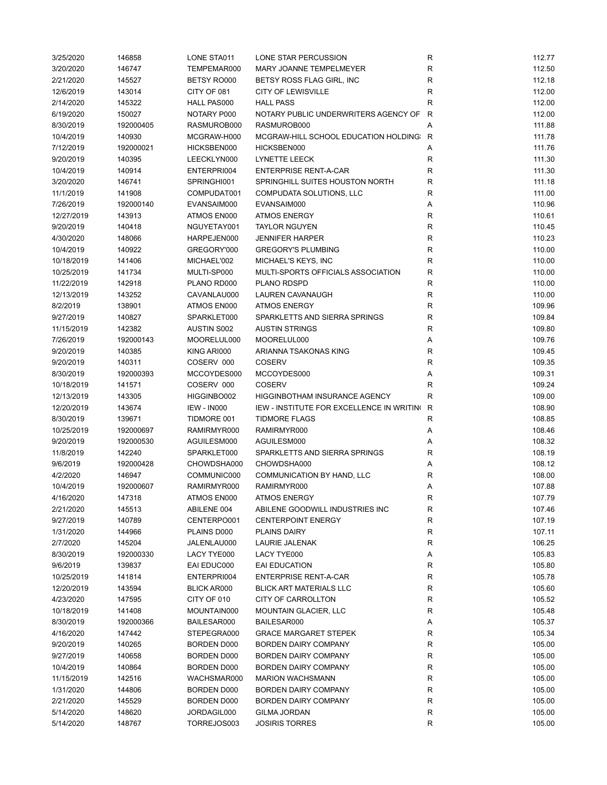| 3/25/2020  | 146858    | LONE STA011                | LONE STAR PERCUSSION                             | R            | 112.77 |
|------------|-----------|----------------------------|--------------------------------------------------|--------------|--------|
| 3/20/2020  | 146747    | TEMPEMAR000                | MARY JOANNE TEMPELMEYER                          | R            | 112.50 |
| 2/21/2020  | 145527    | BETSY RO000                | BETSY ROSS FLAG GIRL, INC                        | R            | 112.18 |
| 12/6/2019  | 143014    | CITY OF 081                | <b>CITY OF LEWISVILLE</b>                        | $\mathsf R$  | 112.00 |
| 2/14/2020  | 145322    | <b>HALL PAS000</b>         | <b>HALL PASS</b>                                 | R            | 112.00 |
| 6/19/2020  | 150027    | NOTARY P000                | NOTARY PUBLIC UNDERWRITERS AGENCY OF             | $\mathsf{R}$ | 112.00 |
| 8/30/2019  | 192000405 | RASMUROB000                | RASMUROB000                                      | Α            | 111.88 |
| 10/4/2019  | 140930    | MCGRAW-H000                | MCGRAW-HILL SCHOOL EDUCATION HOLDING: R          |              | 111.78 |
| 7/12/2019  | 192000021 | HICKSBEN000                | HICKSBEN000                                      | Α            | 111.76 |
| 9/20/2019  | 140395    | LEECKLYN000                | LYNETTE LEECK                                    | R            | 111.30 |
| 10/4/2019  | 140914    | ENTERPRI004                | <b>ENTERPRISE RENT-A-CAR</b>                     | R            | 111.30 |
| 3/20/2020  | 146741    | SPRINGHI001                | SPRINGHILL SUITES HOUSTON NORTH                  | R            | 111.18 |
| 11/1/2019  | 141908    | COMPUDAT001                | COMPUDATA SOLUTIONS, LLC                         | R            | 111.00 |
| 7/26/2019  | 192000140 | EVANSAIM000                | EVANSAIM000                                      | Α            | 110.96 |
| 12/27/2019 | 143913    | ATMOS EN000                | <b>ATMOS ENERGY</b>                              | R            | 110.61 |
|            | 140418    | NGUYETAY001                | <b>TAYLOR NGUYEN</b>                             | $\mathsf R$  |        |
| 9/20/2019  |           |                            |                                                  |              | 110.45 |
| 4/30/2020  | 148066    | HARPEJEN000                | <b>JENNIFER HARPER</b>                           | R            | 110.23 |
| 10/4/2019  | 140922    | GREGORY'000                | <b>GREGORY'S PLUMBING</b>                        | ${\sf R}$    | 110.00 |
| 10/18/2019 | 141406    | MICHAEL'002                | MICHAEL'S KEYS, INC                              | R            | 110.00 |
| 10/25/2019 | 141734    | MULTI-SP000                | MULTI-SPORTS OFFICIALS ASSOCIATION               | $\mathsf R$  | 110.00 |
| 11/22/2019 | 142918    | PLANO RD000                | <b>PLANO RDSPD</b>                               | R            | 110.00 |
| 12/13/2019 | 143252    | CAVANLAU000                | LAUREN CAVANAUGH                                 | R            | 110.00 |
| 8/2/2019   | 138901    | ATMOS EN000                | <b>ATMOS ENERGY</b>                              | R            | 109.96 |
| 9/27/2019  | 140827    | SPARKLET000                | SPARKLETTS AND SIERRA SPRINGS                    | R            | 109.84 |
| 11/15/2019 | 142382    | <b>AUSTIN S002</b>         | <b>AUSTIN STRINGS</b>                            | $\mathsf R$  | 109.80 |
| 7/26/2019  | 192000143 | MOORELUL000                | MOORELUL000                                      | Α            | 109.76 |
| 9/20/2019  | 140385    | KING ARI000                | ARIANNA TSAKONAS KING                            | R            | 109.45 |
| 9/20/2019  | 140311    | COSERV 000                 | <b>COSERV</b>                                    | $\mathsf R$  | 109.35 |
| 8/30/2019  | 192000393 | MCCOYDES000                | MCCOYDES000                                      | Α            | 109.31 |
| 10/18/2019 | 141571    | COSERV 000                 | <b>COSERV</b>                                    | R            | 109.24 |
| 12/13/2019 | 143305    | HIGGINBO002                | HIGGINBOTHAM INSURANCE AGENCY                    | R            | 109.00 |
| 12/20/2019 | 143674    | <b>IEW - IN000</b>         | IEW - INSTITUTE FOR EXCELLENCE IN WRITING        | R            | 108.90 |
| 8/30/2019  | 139671    | TIDMORE 001                | <b>TIDMORE FLAGS</b>                             | R            | 108.85 |
| 10/25/2019 | 192000697 | RAMIRMYR000                | RAMIRMYR000                                      | Α            | 108.46 |
| 9/20/2019  | 192000530 | AGUILESM000                | AGUILESM000                                      | Α            | 108.32 |
| 11/8/2019  | 142240    | SPARKLET000                | SPARKLETTS AND SIERRA SPRINGS                    | R            | 108.19 |
| 9/6/2019   | 192000428 | CHOWDSHA000                | CHOWDSHA000                                      | Α            | 108.12 |
| 4/2/2020   | 146947    | COMMUNIC000                | <b>COMMUNICATION BY HAND, LLC</b>                | R            | 108.00 |
| 10/4/2019  | 192000607 | RAMIRMYR000                | RAMIRMYR000                                      | Α            | 107.88 |
| 4/16/2020  | 147318    | ATMOS EN000                | <b>ATMOS ENERGY</b>                              | R            | 107.79 |
| 2/21/2020  | 145513    | ABILENE 004                | ABILENE GOODWILL INDUSTRIES INC                  | R            | 107.46 |
| 9/27/2019  | 140789    |                            |                                                  | R            | 107.19 |
| 1/31/2020  | 144966    | CENTERPO001<br>PLAINS D000 | <b>CENTERPOINT ENERGY</b><br><b>PLAINS DAIRY</b> |              | 107.11 |
|            |           |                            | LAURIE JALENAK                                   | R            |        |
| 2/7/2020   | 145204    | JALENLAU000                |                                                  | R            | 106.25 |
| 8/30/2019  | 192000330 | LACY TYE000                | LACY TYE000                                      | Α            | 105.83 |
| 9/6/2019   | 139837    | EAI EDUC000                | EAI EDUCATION                                    | R            | 105.80 |
| 10/25/2019 | 141814    | ENTERPRI004                | <b>ENTERPRISE RENT-A-CAR</b>                     | ${\sf R}$    | 105.78 |
| 12/20/2019 | 143594    | BLICK AR000                | <b>BLICK ART MATERIALS LLC</b>                   | R            | 105.60 |
| 4/23/2020  | 147595    | CITY OF 010                | CITY OF CARROLLTON                               | R            | 105.52 |
| 10/18/2019 | 141408    | MOUNTAIN000                | <b>MOUNTAIN GLACIER, LLC</b>                     | R            | 105.48 |
| 8/30/2019  | 192000366 | BAILESAR000                | BAILESAR000                                      | Α            | 105.37 |
| 4/16/2020  | 147442    | STEPEGRA000                | <b>GRACE MARGARET STEPEK</b>                     | R            | 105.34 |
| 9/20/2019  | 140265    | BORDEN D000                | <b>BORDEN DAIRY COMPANY</b>                      | R            | 105.00 |
| 9/27/2019  | 140658    | BORDEN D000                | <b>BORDEN DAIRY COMPANY</b>                      | R            | 105.00 |
| 10/4/2019  | 140864    | BORDEN D000                | <b>BORDEN DAIRY COMPANY</b>                      | R            | 105.00 |
| 11/15/2019 | 142516    | WACHSMAR000                | <b>MARION WACHSMANN</b>                          | R            | 105.00 |
| 1/31/2020  | 144806    | BORDEN D000                | BORDEN DAIRY COMPANY                             | ${\sf R}$    | 105.00 |
| 2/21/2020  | 145529    | BORDEN D000                | BORDEN DAIRY COMPANY                             | R            | 105.00 |
| 5/14/2020  | 148620    | JORDAGIL000                | <b>GILMA JORDAN</b>                              | R            | 105.00 |
| 5/14/2020  | 148767    | TORREJOS003                | <b>JOSIRIS TORRES</b>                            | R            | 105.00 |
|            |           |                            |                                                  |              |        |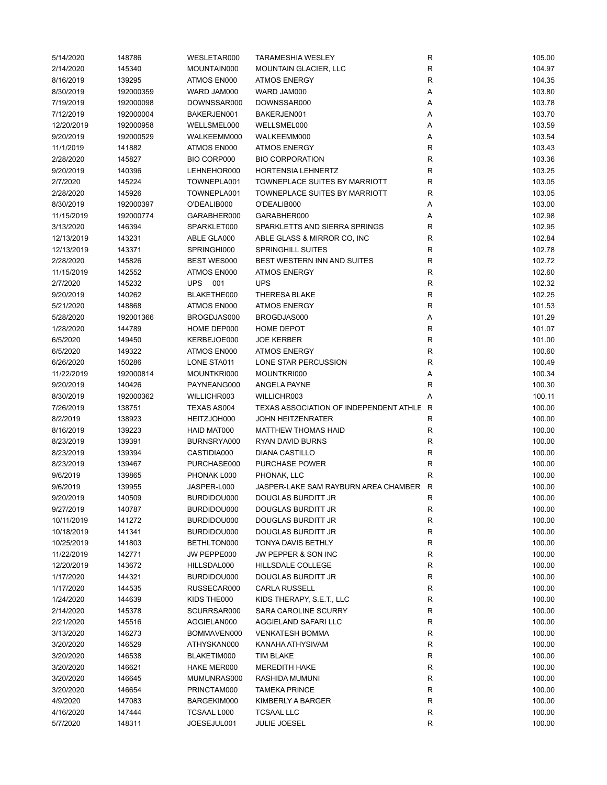| 5/14/2020  | 148786    | WESLETAR000        | <b>TARAMESHIA WESLEY</b>                 | R           | 105.00 |
|------------|-----------|--------------------|------------------------------------------|-------------|--------|
| 2/14/2020  | 145340    | MOUNTAIN000        | MOUNTAIN GLACIER, LLC                    | R           | 104.97 |
| 8/16/2019  | 139295    | ATMOS EN000        | <b>ATMOS ENERGY</b>                      | R           | 104.35 |
| 8/30/2019  | 192000359 | WARD JAM000        | WARD JAM000                              | Α           | 103.80 |
| 7/19/2019  | 192000098 | DOWNSSAR000        | DOWNSSAR000                              | Α           | 103.78 |
| 7/12/2019  | 192000004 | BAKERJEN001        | BAKERJEN001                              | Α           | 103.70 |
| 12/20/2019 | 192000958 | WELLSMEL000        | WELLSMEL000                              | Α           | 103.59 |
| 9/20/2019  | 192000529 | WALKEEMM000        | WALKEEMM000                              | Α           | 103.54 |
| 11/1/2019  | 141882    | ATMOS EN000        | <b>ATMOS ENERGY</b>                      | R           | 103.43 |
| 2/28/2020  | 145827    | BIO CORP000        | <b>BIO CORPORATION</b>                   | $\mathsf R$ | 103.36 |
| 9/20/2019  | 140396    | LEHNEHOR000        | <b>HORTENSIA LEHNERTZ</b>                | R           | 103.25 |
| 2/7/2020   | 145224    | TOWNEPLA001        | <b>TOWNEPLACE SUITES BY MARRIOTT</b>     | R           | 103.05 |
| 2/28/2020  | 145926    | TOWNEPLA001        | TOWNEPLACE SUITES BY MARRIOTT            | R           | 103.05 |
| 8/30/2019  | 192000397 | O'DEALIB000        | O'DEALIB000                              | Α           | 103.00 |
| 11/15/2019 | 192000774 | GARABHER000        | GARABHER000                              | Α           | 102.98 |
| 3/13/2020  | 146394    | SPARKLET000        | SPARKLETTS AND SIERRA SPRINGS            | R           | 102.95 |
| 12/13/2019 | 143231    | ABLE GLA000        | ABLE GLASS & MIRROR CO, INC              | $\mathsf R$ | 102.84 |
|            |           |                    |                                          |             |        |
| 12/13/2019 | 143371    | SPRINGHI000        | <b>SPRINGHILL SUITES</b>                 | R           | 102.78 |
| 2/28/2020  | 145826    | <b>BEST WES000</b> | BEST WESTERN INN AND SUITES              | R           | 102.72 |
| 11/15/2019 | 142552    | ATMOS EN000        | <b>ATMOS ENERGY</b>                      | ${\sf R}$   | 102.60 |
| 2/7/2020   | 145232    | UPS 001            | <b>UPS</b>                               | $\mathsf R$ | 102.32 |
| 9/20/2019  | 140262    | BLAKETHE000        | <b>THERESA BLAKE</b>                     | $\mathsf R$ | 102.25 |
| 5/21/2020  | 148868    | ATMOS EN000        | <b>ATMOS ENERGY</b>                      | R           | 101.53 |
| 5/28/2020  | 192001366 | BROGDJAS000        | BROGDJAS000                              | Α           | 101.29 |
| 1/28/2020  | 144789    | HOME DEP000        | HOME DEPOT                               | R           | 101.07 |
| 6/5/2020   | 149450    | KERBEJOE000        | <b>JOE KERBER</b>                        | $\mathsf R$ | 101.00 |
| 6/5/2020   | 149322    | ATMOS EN000        | <b>ATMOS ENERGY</b>                      | ${\sf R}$   | 100.60 |
| 6/26/2020  | 150286    | LONE STA011        | LONE STAR PERCUSSION                     | R           | 100.49 |
| 11/22/2019 | 192000814 | MOUNTKRI000        | MOUNTKRI000                              | Α           | 100.34 |
| 9/20/2019  | 140426    | PAYNEANG000        | ANGELA PAYNE                             | R           | 100.30 |
| 8/30/2019  | 192000362 | WILLICHR003        | WILLICHR003                              | Α           | 100.11 |
| 7/26/2019  | 138751    | TEXAS AS004        | TEXAS ASSOCIATION OF INDEPENDENT ATHLE R |             | 100.00 |
| 8/2/2019   | 138923    | HEITZJOH000        | <b>JOHN HEITZENRATER</b>                 | R           | 100.00 |
| 8/16/2019  | 139223    | HAID MAT000        | <b>MATTHEW THOMAS HAID</b>               | R           | 100.00 |
| 8/23/2019  | 139391    | BURNSRYA000        | RYAN DAVID BURNS                         | R           | 100.00 |
| 8/23/2019  | 139394    | CASTIDIA000        | <b>DIANA CASTILLO</b>                    | $\mathsf R$ | 100.00 |
| 8/23/2019  | 139467    | PURCHASE000        | <b>PURCHASE POWER</b>                    | ${\sf R}$   | 100.00 |
| 9/6/2019   | 139865    | PHONAK L000        | PHONAK, LLC                              | R           | 100.00 |
| 9/6/2019   | 139955    | JASPER-L000        | JASPER-LAKE SAM RAYBURN AREA CHAMBER R   |             | 100.00 |
| 9/20/2019  | 140509    | BURDIDOU000        | DOUGLAS BURDITT JR                       | R           | 100.00 |
| 9/27/2019  | 140787    | BURDIDOU000        | <b>DOUGLAS BURDITT JR</b>                | R           | 100.00 |
| 10/11/2019 | 141272    | BURDIDOU000        | DOUGLAS BURDITT JR                       | ${\sf R}$   | 100.00 |
| 10/18/2019 | 141341    | BURDIDOU000        | DOUGLAS BURDITT JR                       | R           | 100.00 |
| 10/25/2019 | 141803    | BETHLTON000        | TONYA DAVIS BETHLY                       | R           | 100.00 |
| 11/22/2019 | 142771    | JW PEPPE000        | JW PEPPER & SON INC                      | R           | 100.00 |
| 12/20/2019 | 143672    | HILLSDAL000        | HILLSDALE COLLEGE                        | ${\sf R}$   | 100.00 |
| 1/17/2020  | 144321    | BURDIDOU000        | <b>DOUGLAS BURDITT JR</b>                | ${\sf R}$   | 100.00 |
| 1/17/2020  | 144535    | RUSSECAR000        | <b>CARLA RUSSELL</b>                     | R           | 100.00 |
| 1/24/2020  | 144639    | KIDS THE000        | KIDS THERAPY, S.E.T., LLC                | ${\sf R}$   | 100.00 |
| 2/14/2020  | 145378    | SCURRSAR000        | SARA CAROLINE SCURRY                     | ${\sf R}$   | 100.00 |
| 2/21/2020  | 145516    | AGGIELAN000        | AGGIELAND SAFARI LLC                     | R           | 100.00 |
|            |           |                    |                                          |             |        |
| 3/13/2020  | 146273    | BOMMAVEN000        | <b>VENKATESH BOMMA</b>                   | R           | 100.00 |
| 3/20/2020  | 146529    | ATHYSKAN000        | KANAHA ATHYSIVAM                         | R           | 100.00 |
| 3/20/2020  | 146538    | BLAKETIM000        | TIM BLAKE                                | R           | 100.00 |
| 3/20/2020  | 146621    | HAKE MER000        | <b>MEREDITH HAKE</b>                     | R           | 100.00 |
| 3/20/2020  | 146645    | MUMUNRAS000        | RASHIDA MUMUNI                           | ${\sf R}$   | 100.00 |
| 3/20/2020  | 146654    | PRINCTAM000        | <b>TAMEKA PRINCE</b>                     | ${\sf R}$   | 100.00 |
| 4/9/2020   | 147083    | BARGEKIM000        | KIMBERLY A BARGER                        | R           | 100.00 |
| 4/16/2020  | 147444    | TCSAAL L000        | <b>TCSAAL LLC</b>                        | R           | 100.00 |
| 5/7/2020   | 148311    | JOESEJUL001        | JULIE JOESEL                             | ${\sf R}$   | 100.00 |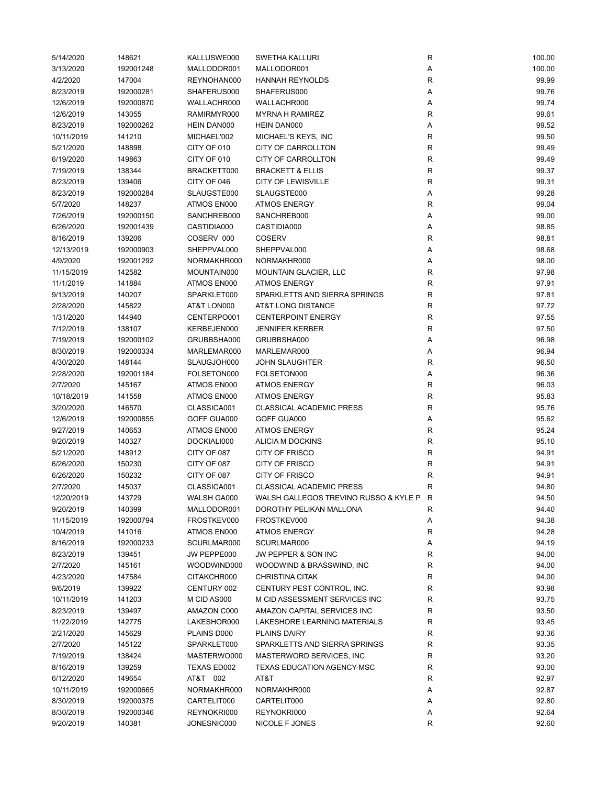| 5/14/2020  | 148621    | KALLUSWE000 | <b>SWETHA KALLURI</b>                 | R            | 100.00 |
|------------|-----------|-------------|---------------------------------------|--------------|--------|
| 3/13/2020  | 192001248 | MALLODOR001 | MALLODOR001                           | Α            | 100.00 |
| 4/2/2020   | 147004    | REYNOHAN000 | <b>HANNAH REYNOLDS</b>                | R            | 99.99  |
| 8/23/2019  | 192000281 | SHAFERUS000 | SHAFERUS000                           | Α            | 99.76  |
| 12/6/2019  | 192000870 | WALLACHR000 | WALLACHR000                           | Α            | 99.74  |
| 12/6/2019  | 143055    | RAMIRMYR000 | <b>MYRNA H RAMIREZ</b>                | ${\sf R}$    | 99.61  |
| 8/23/2019  | 192000262 | HEIN DAN000 | HEIN DAN000                           | Α            | 99.52  |
| 10/11/2019 | 141210    | MICHAEL'002 | MICHAEL'S KEYS, INC                   | $\mathsf R$  | 99.50  |
| 5/21/2020  | 148898    | CITY OF 010 | CITY OF CARROLLTON                    | R            | 99.49  |
| 6/19/2020  | 149863    | CITY OF 010 | CITY OF CARROLLTON                    | $\mathsf R$  | 99.49  |
| 7/19/2019  | 138344    | BRACKETT000 | <b>BRACKETT &amp; ELLIS</b>           | $\mathsf R$  | 99.37  |
| 8/23/2019  | 139406    | CITY OF 046 | <b>CITY OF LEWISVILLE</b>             | R            | 99.31  |
| 8/23/2019  | 192000284 | SLAUGSTE000 | SLAUGSTE000                           | Α            | 99.28  |
| 5/7/2020   | 148237    | ATMOS EN000 | <b>ATMOS ENERGY</b>                   | R            | 99.04  |
| 7/26/2019  | 192000150 | SANCHREB000 | SANCHREB000                           | Α            | 99.00  |
| 6/26/2020  | 192001439 | CASTIDIA000 | CASTIDIA000                           | Α            | 98.85  |
| 8/16/2019  | 139206    | COSERV 000  | <b>COSERV</b>                         | $\mathsf R$  | 98.81  |
| 12/13/2019 | 192000903 | SHEPPVAL000 | SHEPPVAL000                           | Α            | 98.68  |
| 4/9/2020   |           | NORMAKHR000 | NORMAKHR000                           |              | 98.00  |
|            | 192001292 |             |                                       | Α            |        |
| 11/15/2019 | 142582    | MOUNTAIN000 | <b>MOUNTAIN GLACIER, LLC</b>          | ${\sf R}$    | 97.98  |
| 11/1/2019  | 141884    | ATMOS EN000 | <b>ATMOS ENERGY</b>                   | $\mathsf R$  | 97.91  |
| 9/13/2019  | 140207    | SPARKLET000 | SPARKLETTS AND SIERRA SPRINGS         | $\mathsf R$  | 97.81  |
| 2/28/2020  | 145822    | AT&T LON000 | AT&T LONG DISTANCE                    | R            | 97.72  |
| 1/31/2020  | 144940    | CENTERPO001 | <b>CENTERPOINT ENERGY</b>             | R            | 97.55  |
| 7/12/2019  | 138107    | KERBEJEN000 | <b>JENNIFER KERBER</b>                | $\mathsf R$  | 97.50  |
| 7/19/2019  | 192000102 | GRUBBSHA000 | GRUBBSHA000                           | Α            | 96.98  |
| 8/30/2019  | 192000334 | MARLEMAR000 | MARLEMAR000                           | Α            | 96.94  |
| 4/30/2020  | 148144    | SLAUGJOH000 | <b>JOHN SLAUGHTER</b>                 | R            | 96.50  |
| 2/28/2020  | 192001184 | FOLSETON000 | FOLSETON000                           | Α            | 96.36  |
| 2/7/2020   | 145167    | ATMOS EN000 | <b>ATMOS ENERGY</b>                   | $\mathsf R$  | 96.03  |
| 10/18/2019 | 141558    | ATMOS EN000 | <b>ATMOS ENERGY</b>                   | $\mathsf R$  | 95.83  |
| 3/20/2020  | 146570    | CLASSICA001 | <b>CLASSICAL ACADEMIC PRESS</b>       | ${\sf R}$    | 95.76  |
| 12/6/2019  | 192000855 | GOFF GUA000 | GOFF GUA000                           | Α            | 95.62  |
| 9/27/2019  | 140653    | ATMOS EN000 | <b>ATMOS ENERGY</b>                   | R            | 95.24  |
| 9/20/2019  | 140327    | DOCKIALI000 | ALICIA M DOCKINS                      | $\mathsf R$  | 95.10  |
| 5/21/2020  | 148912    | CITY OF 087 | <b>CITY OF FRISCO</b>                 | ${\sf R}$    | 94.91  |
| 6/26/2020  | 150230    | CITY OF 087 | <b>CITY OF FRISCO</b>                 | ${\sf R}$    | 94.91  |
| 6/26/2020  | 150232    | CITY OF 087 | <b>CITY OF FRISCO</b>                 | $\mathsf R$  | 94.91  |
| 2/7/2020   | 145037    | CLASSICA001 | <b>CLASSICAL ACADEMIC PRESS</b>       | R            | 94.80  |
| 12/20/2019 | 143729    | WALSH GA000 | WALSH GALLEGOS TREVINO RUSSO & KYLE P | $\mathsf{R}$ | 94.50  |
| 9/20/2019  | 140399    | MALLODOR001 | DOROTHY PELIKAN MALLONA               | R            | 94.40  |
| 11/15/2019 | 192000794 | FROSTKEV000 | FROSTKEV000                           | Α            | 94.38  |
| 10/4/2019  | 141016    | ATMOS EN000 | <b>ATMOS ENERGY</b>                   | R            | 94.28  |
| 8/16/2019  | 192000233 | SCURLMAR000 | SCURLMAR000                           | Α            | 94.19  |
| 8/23/2019  | 139451    | JW PEPPE000 | JW PEPPER & SON INC                   | R            | 94.00  |
| 2/7/2020   | 145161    | WOODWIND000 | WOODWIND & BRASSWIND, INC             | ${\sf R}$    | 94.00  |
| 4/23/2020  | 147584    | CITAKCHR000 | <b>CHRISTINA CITAK</b>                | R            | 94.00  |
| 9/6/2019   | 139922    | CENTURY 002 | CENTURY PEST CONTROL, INC.            | R            | 93.98  |
| 10/11/2019 | 141203    | M CID AS000 | M CID ASSESSMENT SERVICES INC         | R            | 93.75  |
| 8/23/2019  | 139497    | AMAZON C000 | AMAZON CAPITAL SERVICES INC           | ${\sf R}$    | 93.50  |
| 11/22/2019 | 142775    | LAKESHOR000 | LAKESHORE LEARNING MATERIALS          | R            | 93.45  |
| 2/21/2020  | 145629    | PLAINS D000 | <b>PLAINS DAIRY</b>                   | R            | 93.36  |
| 2/7/2020   | 145122    | SPARKLET000 | SPARKLETTS AND SIERRA SPRINGS         | R            | 93.35  |
| 7/19/2019  | 138424    | MASTERWO000 | MASTERWORD SERVICES, INC.             | R            | 93.20  |
|            |           |             | <b>TEXAS EDUCATION AGENCY-MSC</b>     | R            | 93.00  |
| 8/16/2019  | 139259    | TEXAS ED002 |                                       |              |        |
| 6/12/2020  | 149654    | AT&T 002    | AT&T                                  | $\mathsf R$  | 92.97  |
| 10/11/2019 | 192000665 | NORMAKHR000 | NORMAKHR000                           | Α            | 92.87  |
| 8/30/2019  | 192000375 | CARTELIT000 | CARTELIT000                           | Α            | 92.80  |
| 8/30/2019  | 192000346 | REYNOKRI000 | REYNOKRI000                           | Α            | 92.64  |
| 9/20/2019  | 140381    | JONESNIC000 | NICOLE F JONES                        | R            | 92.60  |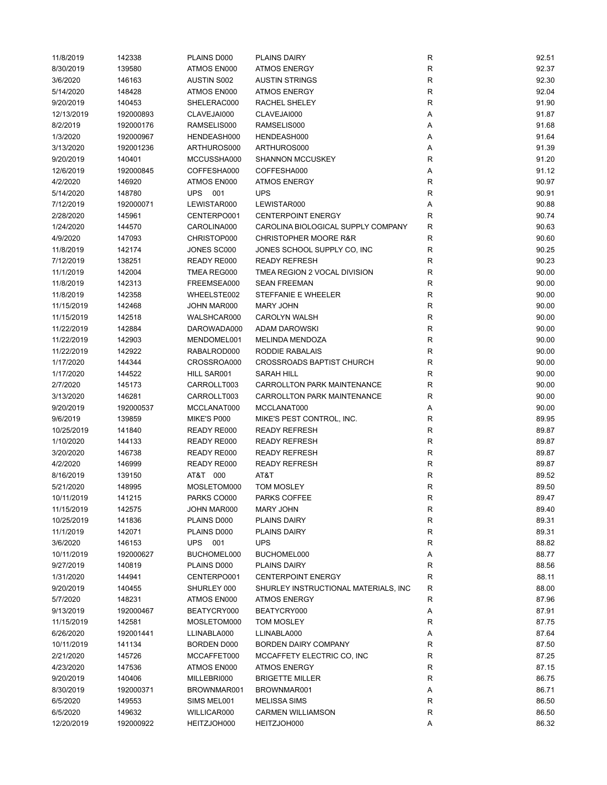| 11/8/2019  | 142338    | PLAINS D000        | <b>PLAINS DAIRY</b>                   | R           | 92.51 |
|------------|-----------|--------------------|---------------------------------------|-------------|-------|
| 8/30/2019  | 139580    | ATMOS EN000        | <b>ATMOS ENERGY</b>                   | ${\sf R}$   | 92.37 |
| 3/6/2020   | 146163    | <b>AUSTIN S002</b> | <b>AUSTIN STRINGS</b>                 | ${\sf R}$   | 92.30 |
| 5/14/2020  | 148428    | ATMOS EN000        | <b>ATMOS ENERGY</b>                   | ${\sf R}$   | 92.04 |
| 9/20/2019  | 140453    | SHELERAC000        | <b>RACHEL SHELEY</b>                  | $\mathsf R$ | 91.90 |
| 12/13/2019 | 192000893 | CLAVEJAI000        | CLAVEJAI000                           | Α           | 91.87 |
| 8/2/2019   | 192000176 | RAMSELIS000        | RAMSELIS000                           | Α           | 91.68 |
| 1/3/2020   | 192000967 | HENDEASH000        | HENDEASH000                           | Α           | 91.64 |
| 3/13/2020  | 192001236 | ARTHUROS000        | ARTHUROS000                           | Α           | 91.39 |
| 9/20/2019  | 140401    | MCCUSSHA000        | <b>SHANNON MCCUSKEY</b>               | R           | 91.20 |
| 12/6/2019  | 192000845 | COFFESHA000        | COFFESHA000                           | Α           | 91.12 |
| 4/2/2020   | 146920    | ATMOS EN000        | <b>ATMOS ENERGY</b>                   | R           | 90.97 |
| 5/14/2020  | 148780    | UPS 001            | <b>UPS</b>                            | R           | 90.91 |
| 7/12/2019  | 192000071 | LEWISTAR000        | LEWISTAR000                           | Α           | 90.88 |
| 2/28/2020  | 145961    | CENTERPO001        | <b>CENTERPOINT ENERGY</b>             | R           | 90.74 |
|            |           |                    |                                       |             |       |
| 1/24/2020  | 144570    | CAROLINA000        | CAROLINA BIOLOGICAL SUPPLY COMPANY    | R           | 90.63 |
| 4/9/2020   | 147093    | CHRISTOP000        | <b>CHRISTOPHER MOORE R&amp;R</b>      | $\mathsf R$ | 90.60 |
| 11/8/2019  | 142174    | JONES SC000        | JONES SCHOOL SUPPLY CO, INC           | $\mathsf R$ | 90.25 |
| 7/12/2019  | 138251    | READY RE000        | <b>READY REFRESH</b>                  | $\mathsf R$ | 90.23 |
| 11/1/2019  | 142004    | TMEA REG000        | TMEA REGION 2 VOCAL DIVISION          | $\mathsf R$ | 90.00 |
| 11/8/2019  | 142313    | FREEMSEA000        | <b>SEAN FREEMAN</b>                   | R           | 90.00 |
| 11/8/2019  | 142358    | WHEELSTE002        | STEFFANIE E WHEELER                   | $\mathsf R$ | 90.00 |
| 11/15/2019 | 142468    | JOHN MAR000        | <b>MARY JOHN</b>                      | R           | 90.00 |
| 11/15/2019 | 142518    | WALSHCAR000        | <b>CAROLYN WALSH</b>                  | ${\sf R}$   | 90.00 |
| 11/22/2019 | 142884    | DAROWADA000        | ADAM DAROWSKI                         | R           | 90.00 |
| 11/22/2019 | 142903    | MENDOMEL001        | <b>MELINDA MENDOZA</b>                | R           | 90.00 |
| 11/22/2019 | 142922    | RABALROD000        | RODDIE RABALAIS                       | ${\sf R}$   | 90.00 |
| 1/17/2020  | 144344    | CROSSROA000        | <b>CROSSROADS BAPTIST CHURCH</b>      | ${\sf R}$   | 90.00 |
| 1/17/2020  | 144522    | HILL SAR001        | <b>SARAH HILL</b>                     | $\mathsf R$ | 90.00 |
| 2/7/2020   | 145173    | CARROLLT003        | CARROLLTON PARK MAINTENANCE           | R           | 90.00 |
| 3/13/2020  | 146281    | CARROLLT003        | CARROLLTON PARK MAINTENANCE           | R           | 90.00 |
| 9/20/2019  | 192000537 | MCCLANAT000        | MCCLANAT000                           | Α           | 90.00 |
| 9/6/2019   | 139859    | MIKE'S P000        | MIKE'S PEST CONTROL, INC.             | R           | 89.95 |
| 10/25/2019 | 141840    | READY RE000        | <b>READY REFRESH</b>                  | $\mathsf R$ | 89.87 |
| 1/10/2020  | 144133    | READY RE000        | <b>READY REFRESH</b>                  | R           | 89.87 |
| 3/20/2020  | 146738    | READY RE000        | <b>READY REFRESH</b>                  | $\mathsf R$ | 89.87 |
| 4/2/2020   | 146999    | READY RE000        | <b>READY REFRESH</b>                  | $\mathsf R$ | 89.87 |
| 8/16/2019  | 139150    | AT&T 000           | AT&T                                  | $\mathsf R$ | 89.52 |
| 5/21/2020  | 148995    | MOSLETOM000        | TOM MOSLEY                            | R           | 89.50 |
| 10/11/2019 | 141215    | PARKS CO000        | PARKS COFFEE                          | R           | 89.47 |
| 11/15/2019 | 142575    | JOHN MAR000        | MARY JOHN                             | R           | 89.40 |
| 10/25/2019 | 141836    | PLAINS D000        | PLAINS DAIRY                          | ${\sf R}$   | 89.31 |
| 11/1/2019  | 142071    | PLAINS D000        | <b>PLAINS DAIRY</b>                   | R           | 89.31 |
| 3/6/2020   | 146153    | UPS 001            | <b>UPS</b>                            | R           | 88.82 |
| 10/11/2019 | 192000627 | BUCHOMEL000        | BUCHOMEL000                           | Α           | 88.77 |
| 9/27/2019  | 140819    | PLAINS D000        | PLAINS DAIRY                          | R           | 88.56 |
|            |           |                    | <b>CENTERPOINT ENERGY</b>             | R           | 88.11 |
| 1/31/2020  | 144941    | CENTERPO001        |                                       |             |       |
| 9/20/2019  | 140455    | SHURLEY 000        | SHURLEY INSTRUCTIONAL MATERIALS, INC. | $\mathsf R$ | 88.00 |
| 5/7/2020   | 148231    | ATMOS EN000        | <b>ATMOS ENERGY</b>                   | R           | 87.96 |
| 9/13/2019  | 192000467 | BEATYCRY000        | BEATYCRY000                           | Α           | 87.91 |
| 11/15/2019 | 142581    | MOSLETOM000        | TOM MOSLEY                            | R           | 87.75 |
| 6/26/2020  | 192001441 | LLINABLA000        | LLINABLA000                           | Α           | 87.64 |
| 10/11/2019 | 141134    | BORDEN D000        | <b>BORDEN DAIRY COMPANY</b>           | R           | 87.50 |
| 2/21/2020  | 145726    | MCCAFFET000        | MCCAFFETY ELECTRIC CO, INC            | R           | 87.25 |
| 4/23/2020  | 147536    | ATMOS EN000        | <b>ATMOS ENERGY</b>                   | R           | 87.15 |
| 9/20/2019  | 140406    | MILLEBRI000        | <b>BRIGETTE MILLER</b>                | R           | 86.75 |
| 8/30/2019  | 192000371 | BROWNMAR001        | BROWNMAR001                           | Α           | 86.71 |
| 6/5/2020   | 149553    | SIMS MEL001        | <b>MELISSA SIMS</b>                   | ${\sf R}$   | 86.50 |
| 6/5/2020   | 149632    | WILLICAR000        | <b>CARMEN WILLIAMSON</b>              | R           | 86.50 |
| 12/20/2019 | 192000922 | HEITZJOH000        | HEITZJOH000                           | Α           | 86.32 |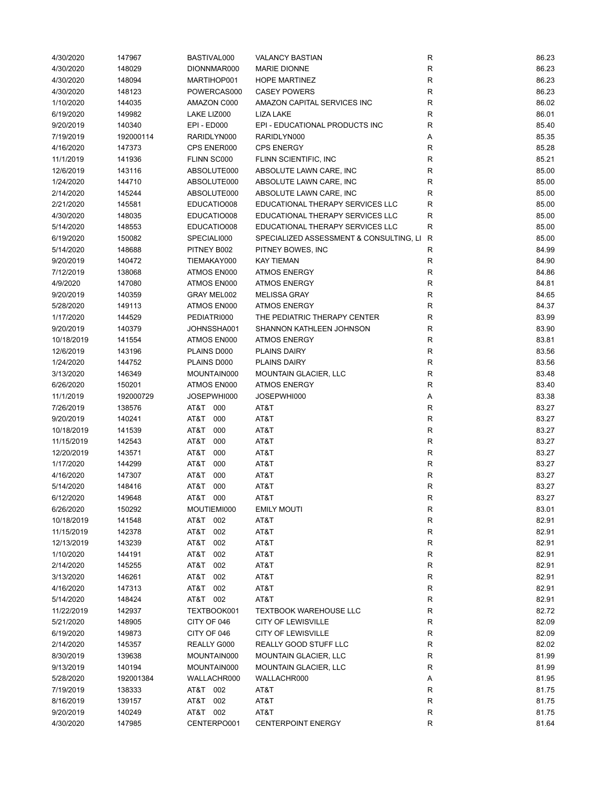| 4/30/2020  | 147967    | BASTIVAL000 | <b>VALANCY BASTIAN</b>                  | R           | 86.23 |
|------------|-----------|-------------|-----------------------------------------|-------------|-------|
| 4/30/2020  | 148029    | DIONNMAR000 | <b>MARIE DIONNE</b>                     | R           | 86.23 |
| 4/30/2020  | 148094    | MARTIHOP001 | <b>HOPE MARTINEZ</b>                    | ${\sf R}$   | 86.23 |
| 4/30/2020  | 148123    | POWERCAS000 | <b>CASEY POWERS</b>                     | ${\sf R}$   | 86.23 |
| 1/10/2020  | 144035    | AMAZON C000 | AMAZON CAPITAL SERVICES INC             | ${\sf R}$   | 86.02 |
| 6/19/2020  | 149982    | LAKE LIZ000 | LIZA LAKE                               | $\mathsf R$ | 86.01 |
| 9/20/2019  | 140340    | EPI - ED000 | EPI - EDUCATIONAL PRODUCTS INC          | R           | 85.40 |
| 7/19/2019  | 192000114 | RARIDLYN000 | RARIDLYN000                             | Α           | 85.35 |
| 4/16/2020  | 147373    | CPS ENER000 | <b>CPS ENERGY</b>                       | R           | 85.28 |
| 11/1/2019  | 141936    | FLINN SC000 | FLINN SCIENTIFIC, INC                   | $\mathsf R$ | 85.21 |
| 12/6/2019  | 143116    | ABSOLUTE000 | ABSOLUTE LAWN CARE, INC                 | R           | 85.00 |
| 1/24/2020  | 144710    | ABSOLUTE000 | ABSOLUTE LAWN CARE, INC                 | R           | 85.00 |
| 2/14/2020  | 145244    | ABSOLUTE000 | ABSOLUTE LAWN CARE, INC                 | R           | 85.00 |
| 2/21/2020  | 145581    | EDUCATIO008 | EDUCATIONAL THERAPY SERVICES LLC        | $\mathsf R$ | 85.00 |
| 4/30/2020  | 148035    | EDUCATIO008 | EDUCATIONAL THERAPY SERVICES LLC        | $\mathsf R$ | 85.00 |
| 5/14/2020  | 148553    | EDUCATIO008 | EDUCATIONAL THERAPY SERVICES LLC        | R           | 85.00 |
| 6/19/2020  | 150082    | SPECIALI000 | SPECIALIZED ASSESSMENT & CONSULTING, LI | R           | 85.00 |
| 5/14/2020  | 148688    | PITNEY B002 | PITNEY BOWES, INC                       | ${\sf R}$   | 84.99 |
| 9/20/2019  | 140472    | TIEMAKAY000 | <b>KAY TIEMAN</b>                       | $\mathsf R$ | 84.90 |
| 7/12/2019  | 138068    | ATMOS EN000 | <b>ATMOS ENERGY</b>                     | R           | 84.86 |
|            |           | ATMOS EN000 | <b>ATMOS ENERGY</b>                     |             | 84.81 |
| 4/9/2020   | 147080    |             |                                         | R           | 84.65 |
| 9/20/2019  | 140359    | GRAY MEL002 | <b>MELISSA GRAY</b>                     | ${\sf R}$   |       |
| 5/28/2020  | 149113    | ATMOS EN000 | <b>ATMOS ENERGY</b>                     | $\mathsf R$ | 84.37 |
| 1/17/2020  | 144529    | PEDIATRI000 | THE PEDIATRIC THERAPY CENTER            | $\mathsf R$ | 83.99 |
| 9/20/2019  | 140379    | JOHNSSHA001 | SHANNON KATHLEEN JOHNSON                | $\mathsf R$ | 83.90 |
| 10/18/2019 | 141554    | ATMOS EN000 | <b>ATMOS ENERGY</b>                     | R           | 83.81 |
| 12/6/2019  | 143196    | PLAINS D000 | <b>PLAINS DAIRY</b>                     | $\mathsf R$ | 83.56 |
| 1/24/2020  | 144752    | PLAINS D000 | <b>PLAINS DAIRY</b>                     | $\mathsf R$ | 83.56 |
| 3/13/2020  | 146349    | MOUNTAIN000 | <b>MOUNTAIN GLACIER, LLC</b>            | $\mathsf R$ | 83.48 |
| 6/26/2020  | 150201    | ATMOS EN000 | <b>ATMOS ENERGY</b>                     | R           | 83.40 |
| 11/1/2019  | 192000729 | JOSEPWHI000 | JOSEPWHI000                             | Α           | 83.38 |
| 7/26/2019  | 138576    | AT&T 000    | AT&T                                    | $\mathsf R$ | 83.27 |
| 9/20/2019  | 140241    | AT&T<br>000 | AT&T                                    | $\mathsf R$ | 83.27 |
| 10/18/2019 | 141539    | T&TA<br>000 | AT&T                                    | $\mathsf R$ | 83.27 |
| 11/15/2019 | 142543    | T&TA<br>000 | AT&T                                    | $\mathsf R$ | 83.27 |
| 12/20/2019 | 143571    | T&TA<br>000 | AT&T                                    | R           | 83.27 |
| 1/17/2020  | 144299    | AT&T<br>000 | AT&T                                    | ${\sf R}$   | 83.27 |
| 4/16/2020  | 147307    | AT&T<br>000 | AT&T                                    | R           | 83.27 |
| 5/14/2020  | 148416    | T&TA<br>000 | AT&T                                    | $\mathsf R$ | 83.27 |
| 6/12/2020  | 149648    | AT&T 000    | AT&T                                    | R           | 83.27 |
| 6/26/2020  | 150292    | MOUTIEMI000 | <b>EMILY MOUTI</b>                      | R           | 83.01 |
| 10/18/2019 | 141548    | AT&T 002    | AT&T                                    | ${\sf R}$   | 82.91 |
| 11/15/2019 | 142378    | AT&T 002    | AT&T                                    | ${\sf R}$   | 82.91 |
| 12/13/2019 | 143239    | AT&T<br>002 | AT&T                                    | ${\sf R}$   | 82.91 |
| 1/10/2020  | 144191    | AT&T<br>002 | AT&T                                    | ${\sf R}$   | 82.91 |
| 2/14/2020  | 145255    | T&TA<br>002 | AT&T                                    | R           | 82.91 |
| 3/13/2020  | 146261    | AT&T<br>002 | AT&T                                    | R           | 82.91 |
| 4/16/2020  | 147313    | AT&T 002    | AT&T                                    | ${\sf R}$   | 82.91 |
| 5/14/2020  | 148424    | AT&T 002    | AT&T                                    | ${\sf R}$   | 82.91 |
| 11/22/2019 | 142937    | TEXTBOOK001 | <b>TEXTBOOK WAREHOUSE LLC</b>           | R           | 82.72 |
| 5/21/2020  | 148905    | CITY OF 046 | <b>CITY OF LEWISVILLE</b>               | R           | 82.09 |
| 6/19/2020  | 149873    | CITY OF 046 | <b>CITY OF LEWISVILLE</b>               | R           | 82.09 |
| 2/14/2020  | 145357    | REALLY G000 | REALLY GOOD STUFF LLC                   | ${\sf R}$   | 82.02 |
| 8/30/2019  | 139638    | MOUNTAIN000 | <b>MOUNTAIN GLACIER, LLC</b>            | ${\sf R}$   | 81.99 |
| 9/13/2019  | 140194    | MOUNTAIN000 | <b>MOUNTAIN GLACIER, LLC</b>            | R           | 81.99 |
| 5/28/2020  | 192001384 | WALLACHR000 | WALLACHR000                             |             | 81.95 |
| 7/19/2019  | 138333    | AT&T 002    | AT&T                                    | Α<br>R      | 81.75 |
|            |           |             |                                         |             |       |
| 8/16/2019  | 139157    | AT&T 002    | AT&T                                    | R           | 81.75 |
| 9/20/2019  | 140249    | AT&T 002    | AT&T                                    | R           | 81.75 |
| 4/30/2020  | 147985    | CENTERPO001 | <b>CENTERPOINT ENERGY</b>               | R           | 81.64 |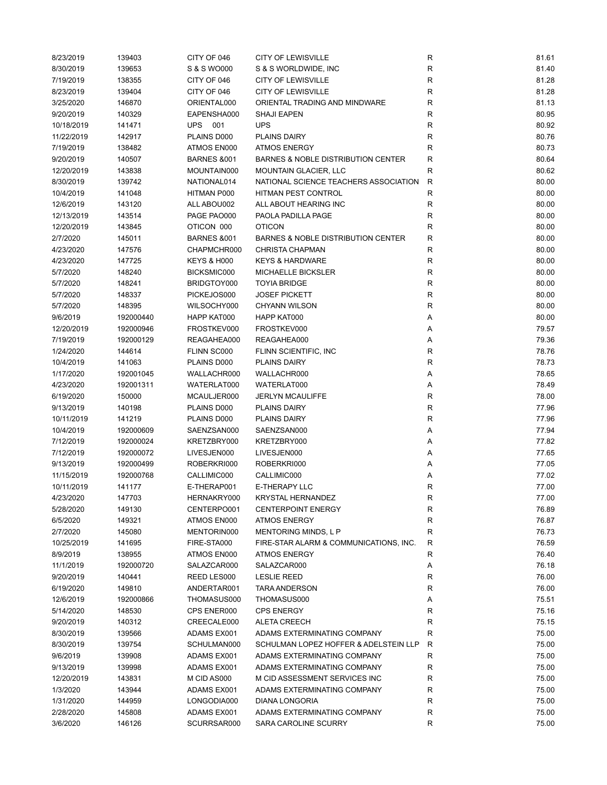| 8/23/2019  | 139403    | CITY OF 046            | <b>CITY OF LEWISVILLE</b>                     | ${\sf R}$    | 81.61 |
|------------|-----------|------------------------|-----------------------------------------------|--------------|-------|
| 8/30/2019  | 139653    | S & S WO000            | S & S WORLDWIDE, INC                          | ${\sf R}$    | 81.40 |
| 7/19/2019  | 138355    | CITY OF 046            | <b>CITY OF LEWISVILLE</b>                     | ${\sf R}$    | 81.28 |
| 8/23/2019  | 139404    | CITY OF 046            | <b>CITY OF LEWISVILLE</b>                     | $\mathsf R$  | 81.28 |
| 3/25/2020  | 146870    | ORIENTAL000            | ORIENTAL TRADING AND MINDWARE                 | R            | 81.13 |
| 9/20/2019  | 140329    | EAPENSHA000            | <b>SHAJI EAPEN</b>                            | $\mathsf R$  | 80.95 |
| 10/18/2019 | 141471    | UPS 001                | <b>UPS</b>                                    | ${\sf R}$    | 80.92 |
| 11/22/2019 | 142917    | PLAINS D000            | <b>PLAINS DAIRY</b>                           | ${\sf R}$    | 80.76 |
| 7/19/2019  | 138482    | ATMOS EN000            | <b>ATMOS ENERGY</b>                           | $\mathsf R$  | 80.73 |
| 9/20/2019  | 140507    | <b>BARNES &amp;001</b> | <b>BARNES &amp; NOBLE DISTRIBUTION CENTER</b> | R            | 80.64 |
| 12/20/2019 | 143838    | MOUNTAIN000            | <b>MOUNTAIN GLACIER, LLC</b>                  | $\mathsf R$  | 80.62 |
| 8/30/2019  | 139742    | NATIONAL014            | NATIONAL SCIENCE TEACHERS ASSOCIATION         | $\mathsf{R}$ | 80.00 |
| 10/4/2019  | 141048    | HITMAN P000            | HITMAN PEST CONTROL                           | $\mathsf R$  | 80.00 |
| 12/6/2019  | 143120    | ALL ABOU002            | ALL ABOUT HEARING INC                         | R            | 80.00 |
| 12/13/2019 | 143514    | PAGE PAO000            | PAOLA PADILLA PAGE                            | R            | 80.00 |
| 12/20/2019 | 143845    | OTICON 000             | <b>OTICON</b>                                 | $\mathsf R$  | 80.00 |
|            |           |                        | <b>BARNES &amp; NOBLE DISTRIBUTION CENTER</b> | $\mathsf R$  |       |
| 2/7/2020   | 145011    | <b>BARNES &amp;001</b> |                                               |              | 80.00 |
| 4/23/2020  | 147576    | CHAPMCHR000            | <b>CHRISTA CHAPMAN</b>                        | $\mathsf R$  | 80.00 |
| 4/23/2020  | 147725    | <b>KEYS &amp; H000</b> | <b>KEYS &amp; HARDWARE</b>                    | R            | 80.00 |
| 5/7/2020   | 148240    | BICKSMIC000            | <b>MICHAELLE BICKSLER</b>                     | R            | 80.00 |
| 5/7/2020   | 148241    | BRIDGTOY000            | <b>TOYIA BRIDGE</b>                           | $\mathsf R$  | 80.00 |
| 5/7/2020   | 148337    | PICKEJOS000            | <b>JOSEF PICKETT</b>                          | $\mathsf R$  | 80.00 |
| 5/7/2020   | 148395    | WILSOCHY000            | <b>CHYANN WILSON</b>                          | $\mathsf R$  | 80.00 |
| 9/6/2019   | 192000440 | HAPP KAT000            | HAPP KAT000                                   | Α            | 80.00 |
| 12/20/2019 | 192000946 | FROSTKEV000            | FROSTKEV000                                   | Α            | 79.57 |
| 7/19/2019  | 192000129 | REAGAHEA000            | REAGAHEA000                                   | Α            | 79.36 |
| 1/24/2020  | 144614    | FLINN SC000            | FLINN SCIENTIFIC, INC                         | $\mathsf R$  | 78.76 |
| 10/4/2019  | 141063    | PLAINS D000            | PLAINS DAIRY                                  | $\mathsf R$  | 78.73 |
| 1/17/2020  | 192001045 | WALLACHR000            | WALLACHR000                                   | Α            | 78.65 |
| 4/23/2020  | 192001311 | WATERLAT000            | WATERLAT000                                   | Α            | 78.49 |
| 6/19/2020  | 150000    | MCAULJER000            | <b>JERLYN MCAULIFFE</b>                       | $\mathsf R$  | 78.00 |
| 9/13/2019  | 140198    | PLAINS D000            | <b>PLAINS DAIRY</b>                           | R            | 77.96 |
| 10/11/2019 | 141219    | PLAINS D000            | PLAINS DAIRY                                  | R            | 77.96 |
| 10/4/2019  | 192000609 | SAENZSAN000            | SAENZSAN000                                   | Α            | 77.94 |
| 7/12/2019  | 192000024 | KRETZBRY000            | KRETZBRY000                                   | Α            | 77.82 |
| 7/12/2019  | 192000072 | LIVESJEN000            | LIVESJEN000                                   | Α            | 77.65 |
| 9/13/2019  | 192000499 | ROBERKRI000            | ROBERKRI000                                   | Α            | 77.05 |
| 11/15/2019 | 192000768 | CALLIMIC000            | CALLIMIC000                                   | Α            | 77.02 |
| 10/11/2019 | 141177    | E-THERAP001            | <b>E-THERAPY LLC</b>                          | R            | 77.00 |
| 4/23/2020  | 147703    | HERNAKRY000            | KRYSTAL HERNANDEZ                             | R            | 77.00 |
| 5/28/2020  | 149130    | CENTERPO001            | <b>CENTERPOINT ENERGY</b>                     | R            | 76.89 |
| 6/5/2020   | 149321    | ATMOS EN000            | <b>ATMOS ENERGY</b>                           | R            | 76.87 |
| 2/7/2020   | 145080    | MENTORIN000            | MENTORING MINDS, L P                          | $\mathsf R$  | 76.73 |
| 10/25/2019 | 141695    | FIRE-STA000            | FIRE-STAR ALARM & COMMUNICATIONS, INC.        | R            | 76.59 |
| 8/9/2019   | 138955    | ATMOS EN000            | <b>ATMOS ENERGY</b>                           | R            | 76.40 |
| 11/1/2019  | 192000720 | SALAZCAR000            | SALAZCAR000                                   | Α            | 76.18 |
| 9/20/2019  | 140441    | REED LES000            | <b>LESLIE REED</b>                            | R            | 76.00 |
| 6/19/2020  | 149810    | ANDERTAR001            | <b>TARA ANDERSON</b>                          | R            | 76.00 |
| 12/6/2019  | 192000866 | THOMASUS000            | THOMASUS000                                   | Α            | 75.51 |
| 5/14/2020  | 148530    | CPS ENER000            | <b>CPS ENERGY</b>                             | R            | 75.16 |
| 9/20/2019  | 140312    | CREECALE000            | ALETA CREECH                                  | R            | 75.15 |
|            |           |                        |                                               | $\mathsf R$  |       |
| 8/30/2019  | 139566    | ADAMS EX001            | ADAMS EXTERMINATING COMPANY                   |              | 75.00 |
| 8/30/2019  | 139754    | SCHULMAN000            | SCHULMAN LOPEZ HOFFER & ADELSTEIN LLP         | R            | 75.00 |
| 9/6/2019   | 139908    | ADAMS EX001            | ADAMS EXTERMINATING COMPANY                   | R            | 75.00 |
| 9/13/2019  | 139998    | ADAMS EX001            | ADAMS EXTERMINATING COMPANY                   | R            | 75.00 |
| 12/20/2019 | 143831    | M CID AS000            | M CID ASSESSMENT SERVICES INC                 | R            | 75.00 |
| 1/3/2020   | 143944    | ADAMS EX001            | ADAMS EXTERMINATING COMPANY                   | $\mathsf R$  | 75.00 |
| 1/31/2020  | 144959    | LONGODIA000            | DIANA LONGORIA                                | R            | 75.00 |
| 2/28/2020  | 145808    | ADAMS EX001            | ADAMS EXTERMINATING COMPANY                   | R            | 75.00 |
| 3/6/2020   | 146126    | SCURRSAR000            | SARA CAROLINE SCURRY                          | R            | 75.00 |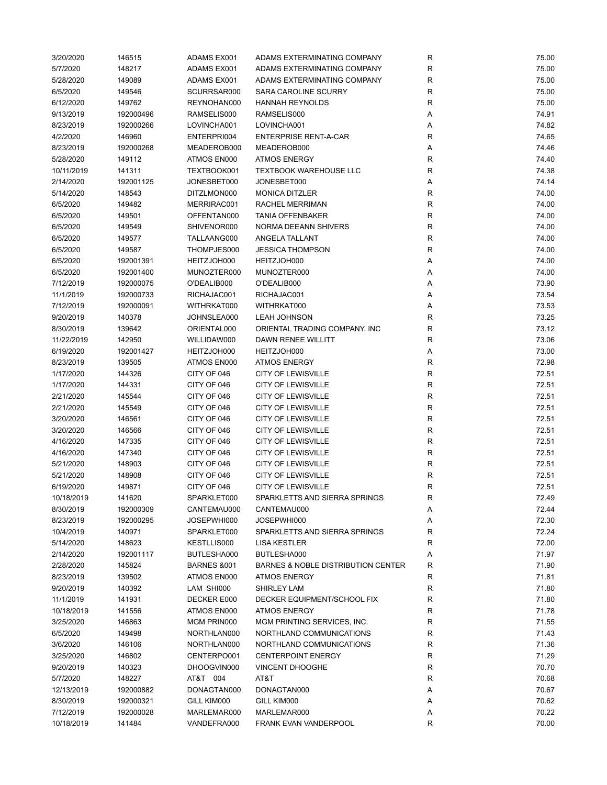| 3/20/2020  | 146515    | ADAMS EX001            | ADAMS EXTERMINATING COMPANY        | R            | 75.00 |
|------------|-----------|------------------------|------------------------------------|--------------|-------|
| 5/7/2020   | 148217    | ADAMS EX001            | ADAMS EXTERMINATING COMPANY        | R            | 75.00 |
| 5/28/2020  | 149089    | ADAMS EX001            | ADAMS EXTERMINATING COMPANY        | R            | 75.00 |
| 6/5/2020   | 149546    | SCURRSAR000            | SARA CAROLINE SCURRY               | R            | 75.00 |
| 6/12/2020  | 149762    | REYNOHAN000            | <b>HANNAH REYNOLDS</b>             | R            | 75.00 |
| 9/13/2019  | 192000496 | RAMSELIS000            | RAMSELIS000                        | Α            | 74.91 |
| 8/23/2019  | 192000266 | LOVINCHA001            | LOVINCHA001                        | Α            | 74.82 |
| 4/2/2020   | 146960    | ENTERPRI004            | <b>ENTERPRISE RENT-A-CAR</b>       | R            | 74.65 |
| 8/23/2019  | 192000268 | MEADEROB000            | MEADEROB000                        | Α            | 74.46 |
| 5/28/2020  | 149112    | ATMOS EN000            | <b>ATMOS ENERGY</b>                | R            | 74.40 |
| 10/11/2019 | 141311    | TEXTBOOK001            | TEXTBOOK WAREHOUSE LLC             | R            | 74.38 |
|            |           |                        |                                    |              |       |
| 2/14/2020  | 192001125 | JONESBET000            | JONESBET000                        | Α            | 74.14 |
| 5/14/2020  | 148543    | DITZLMON000            | <b>MONICA DITZLER</b>              | R            | 74.00 |
| 6/5/2020   | 149482    | MERRIRAC001            | RACHEL MERRIMAN                    | $\mathsf R$  | 74.00 |
| 6/5/2020   | 149501    | OFFENTAN000            | <b>TANIA OFFENBAKER</b>            | $\mathsf R$  | 74.00 |
| 6/5/2020   | 149549    | SHIVENOR000            | NORMA DEEANN SHIVERS               | R            | 74.00 |
| 6/5/2020   | 149577    | TALLAANG000            | ANGELA TALLANT                     | $\mathsf R$  | 74.00 |
| 6/5/2020   | 149587    | THOMPJES000            | <b>JESSICA THOMPSON</b>            | R            | 74.00 |
| 6/5/2020   | 192001391 | HEITZJOH000            | HEITZJOH000                        | Α            | 74.00 |
| 6/5/2020   | 192001400 | MUNOZTER000            | MUNOZTER000                        | Α            | 74.00 |
| 7/12/2019  | 192000075 | O'DEALIB000            | O'DEALIB000                        | Α            | 73.90 |
| 11/1/2019  | 192000733 | RICHAJAC001            | RICHAJAC001                        | Α            | 73.54 |
| 7/12/2019  | 192000091 | WITHRKAT000            | WITHRKAT000                        | Α            | 73.53 |
| 9/20/2019  | 140378    | JOHNSLEA000            | <b>LEAH JOHNSON</b>                | R            | 73.25 |
| 8/30/2019  | 139642    | ORIENTAL000            | ORIENTAL TRADING COMPANY, INC      | R            | 73.12 |
| 11/22/2019 | 142950    | WILLIDAW000            | DAWN RENEE WILLITT                 | R            | 73.06 |
| 6/19/2020  | 192001427 | HEITZJOH000            | HEITZJOH000                        | Α            | 73.00 |
| 8/23/2019  | 139505    | ATMOS EN000            | <b>ATMOS ENERGY</b>                | R            | 72.98 |
| 1/17/2020  | 144326    | CITY OF 046            | <b>CITY OF LEWISVILLE</b>          | $\mathsf R$  | 72.51 |
| 1/17/2020  | 144331    | CITY OF 046            | <b>CITY OF LEWISVILLE</b>          | R            | 72.51 |
| 2/21/2020  | 145544    | CITY OF 046            | <b>CITY OF LEWISVILLE</b>          | R            | 72.51 |
|            |           |                        |                                    |              |       |
| 2/21/2020  | 145549    | CITY OF 046            | <b>CITY OF LEWISVILLE</b>          | R            | 72.51 |
| 3/20/2020  | 146561    | CITY OF 046            | <b>CITY OF LEWISVILLE</b>          | R            | 72.51 |
| 3/20/2020  | 146566    | CITY OF 046            | <b>CITY OF LEWISVILLE</b>          | $\mathsf{R}$ | 72.51 |
| 4/16/2020  | 147335    | CITY OF 046            | <b>CITY OF LEWISVILLE</b>          | $\mathsf{R}$ | 72.51 |
| 4/16/2020  | 147340    | CITY OF 046            | <b>CITY OF LEWISVILLE</b>          | ${\sf R}$    | 72.51 |
| 5/21/2020  | 148903    | CITY OF 046            | <b>CITY OF LEWISVILLE</b>          | ${\sf R}$    | 72.51 |
| 5/21/2020  | 148908    | CITY OF 046            | <b>CITY OF LEWISVILLE</b>          | R            | 72.51 |
| 6/19/2020  | 149871    | CITY OF 046            | <b>CITY OF LEWISVILLE</b>          | R            | 72.51 |
| 10/18/2019 | 141620    | SPARKLET000            | SPARKLETTS AND SIERRA SPRINGS      | R            | 72.49 |
| 8/30/2019  | 192000309 | CANTEMAU000            | CANTEMAU000                        | Α            | 72.44 |
| 8/23/2019  | 192000295 | JOSEPWHI000            | JOSEPWHI000                        | Α            | 72.30 |
| 10/4/2019  | 140971    | SPARKLET000            | SPARKLETTS AND SIERRA SPRINGS      | R            | 72.24 |
| 5/14/2020  | 148623    | KESTLLIS000            | <b>LISA KESTLER</b>                | R            | 72.00 |
| 2/14/2020  | 192001117 | BUTLESHA000            | BUTLESHA000                        | Α            | 71.97 |
| 2/28/2020  | 145824    | <b>BARNES &amp;001</b> | BARNES & NOBLE DISTRIBUTION CENTER | R            | 71.90 |
| 8/23/2019  | 139502    | ATMOS EN000            | <b>ATMOS ENERGY</b>                | R            | 71.81 |
| 9/20/2019  | 140392    | LAM SHI000             | SHIRLEY LAM                        | R            | 71.80 |
| 11/1/2019  | 141931    | DECKER E000            | DECKER EQUIPMENT/SCHOOL FIX        | R            | 71.80 |
| 10/18/2019 | 141556    | ATMOS EN000            | <b>ATMOS ENERGY</b>                | R            | 71.78 |
| 3/25/2020  | 146863    | MGM PRIN000            | MGM PRINTING SERVICES, INC.        | R            | 71.55 |
| 6/5/2020   | 149498    | NORTHLAN000            | NORTHLAND COMMUNICATIONS           | R            | 71.43 |
| 3/6/2020   | 146106    |                        | NORTHLAND COMMUNICATIONS           | R            | 71.36 |
|            |           | NORTHLAN000            | <b>CENTERPOINT ENERGY</b>          |              |       |
| 3/25/2020  | 146802    | CENTERPO001            |                                    | R            | 71.29 |
| 9/20/2019  | 140323    | DHOOGVIN000            | VINCENT DHOOGHE                    | R            | 70.70 |
| 5/7/2020   | 148227    | AT&T 004               | AT&T                               | R            | 70.68 |
| 12/13/2019 | 192000882 | DONAGTAN000            | DONAGTAN000                        | Α            | 70.67 |
| 8/30/2019  | 192000321 | GILL KIM000            | GILL KIM000                        | Α            | 70.62 |
| 7/12/2019  | 192000028 | MARLEMAR000            | MARLEMAR000                        | Α            | 70.22 |
| 10/18/2019 | 141484    | VANDEFRA000            | FRANK EVAN VANDERPOOL              | R            | 70.00 |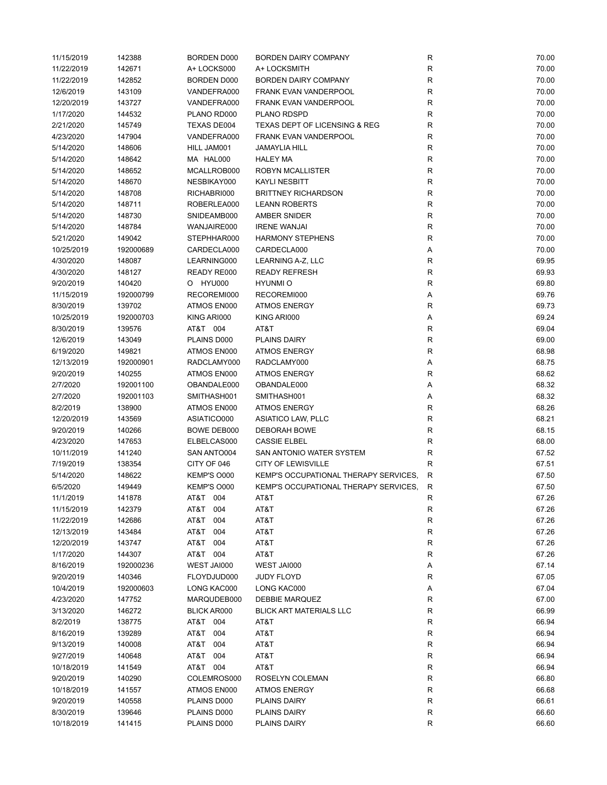| 11/15/2019 | 142388    | <b>BORDEN D000</b> | BORDEN DAIRY COMPANY                     | ${\sf R}$   | 70.00 |
|------------|-----------|--------------------|------------------------------------------|-------------|-------|
| 11/22/2019 | 142671    | A+ LOCKS000        | A+ LOCKSMITH                             | ${\sf R}$   | 70.00 |
| 11/22/2019 | 142852    | <b>BORDEN D000</b> | <b>BORDEN DAIRY COMPANY</b>              | ${\sf R}$   | 70.00 |
| 12/6/2019  | 143109    | VANDEFRA000        | FRANK EVAN VANDERPOOL                    | ${\sf R}$   | 70.00 |
| 12/20/2019 | 143727    | VANDEFRA000        | <b>FRANK EVAN VANDERPOOL</b>             | R           | 70.00 |
| 1/17/2020  | 144532    | PLANO RD000        | PLANO RDSPD                              | $\mathsf R$ | 70.00 |
| 2/21/2020  | 145749    | TEXAS DE004        | <b>TEXAS DEPT OF LICENSING &amp; REG</b> | $\mathsf R$ | 70.00 |
| 4/23/2020  | 147904    | VANDEFRA000        | FRANK EVAN VANDERPOOL                    | ${\sf R}$   | 70.00 |
| 5/14/2020  | 148606    | HILL JAM001        | JAMAYLIA HILL                            | $\mathsf R$ | 70.00 |
| 5/14/2020  | 148642    | MA HAL000          | <b>HALEY MA</b>                          | R           | 70.00 |
| 5/14/2020  | 148652    | MCALLROB000        | ROBYN MCALLISTER                         | $\mathsf R$ | 70.00 |
| 5/14/2020  | 148670    | NESBIKAY000        | <b>KAYLI NESBITT</b>                     | $\mathsf R$ | 70.00 |
| 5/14/2020  | 148708    | RICHABRI000        | <b>BRITTNEY RICHARDSON</b>               | $\mathsf R$ | 70.00 |
| 5/14/2020  | 148711    | ROBERLEA000        | <b>LEANN ROBERTS</b>                     | R           | 70.00 |
| 5/14/2020  | 148730    | SNIDEAMB000        | AMBER SNIDER                             | R           | 70.00 |
| 5/14/2020  | 148784    | WANJAIRE000        | <b>IRENE WANJAI</b>                      | $\mathsf R$ | 70.00 |
| 5/21/2020  |           | STEPHHAR000        | <b>HARMONY STEPHENS</b>                  | $\mathsf R$ | 70.00 |
|            | 149042    |                    |                                          |             |       |
| 10/25/2019 | 192000689 | CARDECLA000        | CARDECLA000                              | Α           | 70.00 |
| 4/30/2020  | 148087    | LEARNING000        | LEARNING A-Z, LLC                        | R           | 69.95 |
| 4/30/2020  | 148127    | READY RE000        | <b>READY REFRESH</b>                     | ${\sf R}$   | 69.93 |
| 9/20/2019  | 140420    | O HYU000           | <b>HYUNMIO</b>                           | $\mathsf R$ | 69.80 |
| 11/15/2019 | 192000799 | RECOREMI000        | RECOREMI000                              | Α           | 69.76 |
| 8/30/2019  | 139702    | ATMOS EN000        | <b>ATMOS ENERGY</b>                      | $\mathsf R$ | 69.73 |
| 10/25/2019 | 192000703 | KING ARI000        | KING ARI000                              | Α           | 69.24 |
| 8/30/2019  | 139576    | AT&T 004           | AT&T                                     | $\mathsf R$ | 69.04 |
| 12/6/2019  | 143049    | PLAINS D000        | <b>PLAINS DAIRY</b>                      | $\mathsf R$ | 69.00 |
| 6/19/2020  | 149821    | ATMOS EN000        | <b>ATMOS ENERGY</b>                      | $\mathsf R$ | 68.98 |
| 12/13/2019 | 192000901 | RADCLAMY000        | RADCLAMY000                              | Α           | 68.75 |
| 9/20/2019  | 140255    | ATMOS EN000        | <b>ATMOS ENERGY</b>                      | $\mathsf R$ | 68.62 |
| 2/7/2020   | 192001100 | OBANDALE000        | OBANDALE000                              | Α           | 68.32 |
| 2/7/2020   | 192001103 | SMITHASH001        | SMITHASH001                              | Α           | 68.32 |
| 8/2/2019   | 138900    | ATMOS EN000        | <b>ATMOS ENERGY</b>                      | R           | 68.26 |
| 12/20/2019 | 143569    | ASIATICO000        | ASIATICO LAW, PLLC                       | ${\sf R}$   | 68.21 |
| 9/20/2019  | 140266    | BOWE DEB000        | <b>DEBORAH BOWE</b>                      | R           | 68.15 |
| 4/23/2020  | 147653    | ELBELCAS000        | <b>CASSIE ELBEL</b>                      | $\mathsf R$ | 68.00 |
| 10/11/2019 | 141240    | SAN ANTO004        | SAN ANTONIO WATER SYSTEM                 | $\mathsf R$ | 67.52 |
| 7/19/2019  | 138354    | CITY OF 046        | <b>CITY OF LEWISVILLE</b>                | $\mathsf R$ | 67.51 |
| 5/14/2020  | 148622    | KEMP'S O000        | KEMP'S OCCUPATIONAL THERAPY SERVICES,    | $\mathsf R$ | 67.50 |
| 6/5/2020   | 149449    | KEMP'S O000        | KEMP'S OCCUPATIONAL THERAPY SERVICES.    | R           | 67.50 |
| 11/1/2019  | 141878    | AT&T 004           | AT&T                                     | R           | 67.26 |
| 11/15/2019 | 142379    | AT&T 004           | AT&T                                     | R           | 67.26 |
| 11/22/2019 | 142686    | AT&T<br>004        | AT&T                                     | ${\sf R}$   | 67.26 |
| 12/13/2019 | 143484    | AT&T<br>004        | AT&T                                     | ${\sf R}$   | 67.26 |
| 12/20/2019 | 143747    | AT&T 004           | AT&T                                     | R           | 67.26 |
| 1/17/2020  | 144307    | AT&T 004           | AT&T                                     | R           | 67.26 |
| 8/16/2019  | 192000236 | WEST JAI000        | WEST JAI000                              | Α           | 67.14 |
| 9/20/2019  | 140346    | FLOYDJUD000        | <b>JUDY FLOYD</b>                        | $\mathsf R$ | 67.05 |
| 10/4/2019  | 192000603 | LONG KAC000        | LONG KAC000                              | Α           | 67.04 |
| 4/23/2020  | 147752    | MARQUDEB000        | DEBBIE MARQUEZ                           | R           | 67.00 |
| 3/13/2020  | 146272    | <b>BLICK AR000</b> | <b>BLICK ART MATERIALS LLC</b>           | ${\sf R}$   | 66.99 |
| 8/2/2019   | 138775    | AT&T 004           | AT&T                                     | ${\sf R}$   | 66.94 |
| 8/16/2019  | 139289    | AT&T<br>004        | AT&T                                     | ${\sf R}$   | 66.94 |
|            |           | AT&T               |                                          |             | 66.94 |
| 9/13/2019  | 140008    | 004<br>AT&T 004    | AT&T                                     | ${\sf R}$   |       |
| 9/27/2019  | 140648    |                    | AT&T                                     | R           | 66.94 |
| 10/18/2019 | 141549    | AT&T 004           | AT&T                                     | R           | 66.94 |
| 9/20/2019  | 140290    | COLEMROS000        | ROSELYN COLEMAN                          | R           | 66.80 |
| 10/18/2019 | 141557    | ATMOS EN000        | <b>ATMOS ENERGY</b>                      | ${\sf R}$   | 66.68 |
| 9/20/2019  | 140558    | PLAINS D000        | PLAINS DAIRY                             | R           | 66.61 |
| 8/30/2019  | 139646    | PLAINS D000        | PLAINS DAIRY                             | R           | 66.60 |
| 10/18/2019 | 141415    | PLAINS D000        | PLAINS DAIRY                             | ${\sf R}$   | 66.60 |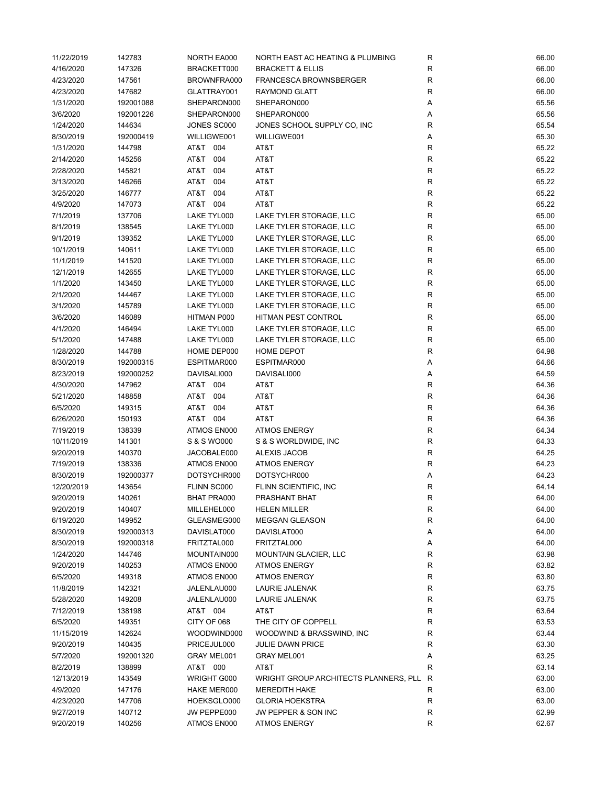| 11/22/2019 | 142783    | NORTH EA000        | NORTH EAST AC HEATING & PLUMBING      | R           | 66.00 |
|------------|-----------|--------------------|---------------------------------------|-------------|-------|
| 4/16/2020  | 147326    | BRACKETT000        | <b>BRACKETT &amp; ELLIS</b>           | R           | 66.00 |
| 4/23/2020  | 147561    | BROWNFRA000        | FRANCESCA BROWNSBERGER                | $\mathsf R$ | 66.00 |
| 4/23/2020  | 147682    | GLATTRAY001        | <b>RAYMOND GLATT</b>                  | $\mathsf R$ | 66.00 |
| 1/31/2020  | 192001088 | SHEPARON000        | SHEPARON000                           | Α           | 65.56 |
| 3/6/2020   | 192001226 | SHEPARON000        | SHEPARON000                           | Α           | 65.56 |
| 1/24/2020  | 144634    | JONES SC000        | JONES SCHOOL SUPPLY CO, INC           | R           | 65.54 |
| 8/30/2019  | 192000419 | WILLIGWE001        | WILLIGWE001                           | Α           | 65.30 |
| 1/31/2020  | 144798    | AT&T 004           | AT&T                                  | R           | 65.22 |
| 2/14/2020  | 145256    | AT&T 004           | AT&T                                  | R           | 65.22 |
| 2/28/2020  | 145821    | AT&T 004           | AT&T                                  | $\mathsf R$ | 65.22 |
| 3/13/2020  | 146266    | AT&T 004           | AT&T                                  | R           | 65.22 |
| 3/25/2020  | 146777    | AT&T 004           | AT&T                                  | ${\sf R}$   | 65.22 |
| 4/9/2020   | 147073    | AT&T 004           | AT&T                                  | $\mathsf R$ | 65.22 |
| 7/1/2019   | 137706    | LAKE TYL000        | LAKE TYLER STORAGE, LLC               | $\mathsf R$ | 65.00 |
| 8/1/2019   | 138545    | LAKE TYL000        | LAKE TYLER STORAGE, LLC               | R           | 65.00 |
| 9/1/2019   | 139352    | LAKE TYL000        | LAKE TYLER STORAGE, LLC               | R           | 65.00 |
| 10/1/2019  | 140611    | LAKE TYL000        | LAKE TYLER STORAGE, LLC               | $\mathsf R$ | 65.00 |
| 11/1/2019  | 141520    | LAKE TYL000        | LAKE TYLER STORAGE, LLC               | R           | 65.00 |
| 12/1/2019  | 142655    | LAKE TYL000        | LAKE TYLER STORAGE, LLC               | ${\sf R}$   | 65.00 |
| 1/1/2020   | 143450    | LAKE TYL000        | LAKE TYLER STORAGE, LLC               | R           | 65.00 |
| 2/1/2020   | 144467    | LAKE TYL000        | LAKE TYLER STORAGE, LLC               | R           | 65.00 |
|            |           |                    | LAKE TYLER STORAGE, LLC               |             | 65.00 |
| 3/1/2020   | 145789    | LAKE TYL000        |                                       | ${\sf R}$   |       |
| 3/6/2020   | 146089    | HITMAN P000        | HITMAN PEST CONTROL                   | ${\sf R}$   | 65.00 |
| 4/1/2020   | 146494    | LAKE TYL000        | LAKE TYLER STORAGE, LLC               | ${\sf R}$   | 65.00 |
| 5/1/2020   | 147488    | LAKE TYL000        | LAKE TYLER STORAGE, LLC               | R           | 65.00 |
| 1/28/2020  | 144788    | HOME DEP000        | HOME DEPOT                            | R           | 64.98 |
| 8/30/2019  | 192000315 | ESPITMAR000        | ESPITMAR000                           | Α           | 64.66 |
| 8/23/2019  | 192000252 | DAVISALI000        | DAVISALI000                           | Α           | 64.59 |
| 4/30/2020  | 147962    | AT&T 004           | AT&T                                  | $\mathsf R$ | 64.36 |
| 5/21/2020  | 148858    | AT&T 004           | AT&T                                  | R           | 64.36 |
| 6/5/2020   | 149315    | AT&T 004           | AT&T                                  | ${\sf R}$   | 64.36 |
| 6/26/2020  | 150193    | AT&T 004           | AT&T                                  | $\mathsf R$ | 64.36 |
| 7/19/2019  | 138339    | ATMOS EN000        | <b>ATMOS ENERGY</b>                   | $\mathsf R$ | 64.34 |
| 10/11/2019 | 141301    | S & S WO000        | S & S WORLDWIDE, INC                  | ${\sf R}$   | 64.33 |
| 9/20/2019  | 140370    | JACOBALE000        | ALEXIS JACOB                          | ${\sf R}$   | 64.25 |
| 7/19/2019  | 138336    | ATMOS EN000        | <b>ATMOS ENERGY</b>                   | $\mathsf R$ | 64.23 |
| 8/30/2019  | 192000377 | DOTSYCHR000        | DOTSYCHR000                           | Α           | 64.23 |
| 12/20/2019 | 143654    | FLINN SC000        | FLINN SCIENTIFIC, INC                 | R           | 64.14 |
| 9/20/2019  | 140261    | <b>BHAT PRA000</b> | PRASHANT BHAT                         | R           | 64.00 |
| 9/20/2019  | 140407    | MILLEHEL000        | <b>HELEN MILLER</b>                   | R           | 64.00 |
| 6/19/2020  | 149952    | GLEASMEG000        | <b>MEGGAN GLEASON</b>                 | R           | 64.00 |
| 8/30/2019  | 192000313 | DAVISLAT000        | DAVISLAT000                           | Α           | 64.00 |
| 8/30/2019  | 192000318 | FRITZTAL000        | FRITZTAL000                           | Α           | 64.00 |
| 1/24/2020  | 144746    | MOUNTAIN000        | <b>MOUNTAIN GLACIER, LLC</b>          | ${\sf R}$   | 63.98 |
| 9/20/2019  | 140253    | ATMOS EN000        | <b>ATMOS ENERGY</b>                   | R           | 63.82 |
| 6/5/2020   | 149318    | ATMOS EN000        | <b>ATMOS ENERGY</b>                   | R           | 63.80 |
| 11/8/2019  | 142321    | JALENLAU000        | LAURIE JALENAK                        | ${\sf R}$   | 63.75 |
| 5/28/2020  | 149208    | JALENLAU000        | LAURIE JALENAK                        | R           | 63.75 |
| 7/12/2019  | 138198    | AT&T 004           | AT&T                                  | ${\sf R}$   | 63.64 |
| 6/5/2020   | 149351    | CITY OF 068        | THE CITY OF COPPELL                   | R           | 63.53 |
| 11/15/2019 | 142624    | WOODWIND000        | WOODWIND & BRASSWIND, INC             | R           | 63.44 |
| 9/20/2019  | 140435    | PRICEJUL000        | <b>JULIE DAWN PRICE</b>               | R           | 63.30 |
| 5/7/2020   | 192001320 | GRAY MEL001        | GRAY MEL001                           | Α           | 63.25 |
| 8/2/2019   | 138899    | AT&T 000           | AT&T                                  | R           | 63.14 |
| 12/13/2019 | 143549    | WRIGHT G000        | WRIGHT GROUP ARCHITECTS PLANNERS, PLL | R           | 63.00 |
| 4/9/2020   | 147176    | HAKE MER000        | <b>MEREDITH HAKE</b>                  | R           | 63.00 |
| 4/23/2020  | 147706    | HOEKSGLO000        | <b>GLORIA HOEKSTRA</b>                | R           | 63.00 |
| 9/27/2019  | 140712    | JW PEPPE000        | JW PEPPER & SON INC                   | R           | 62.99 |
| 9/20/2019  | 140256    | ATMOS EN000        | <b>ATMOS ENERGY</b>                   | R           | 62.67 |
|            |           |                    |                                       |             |       |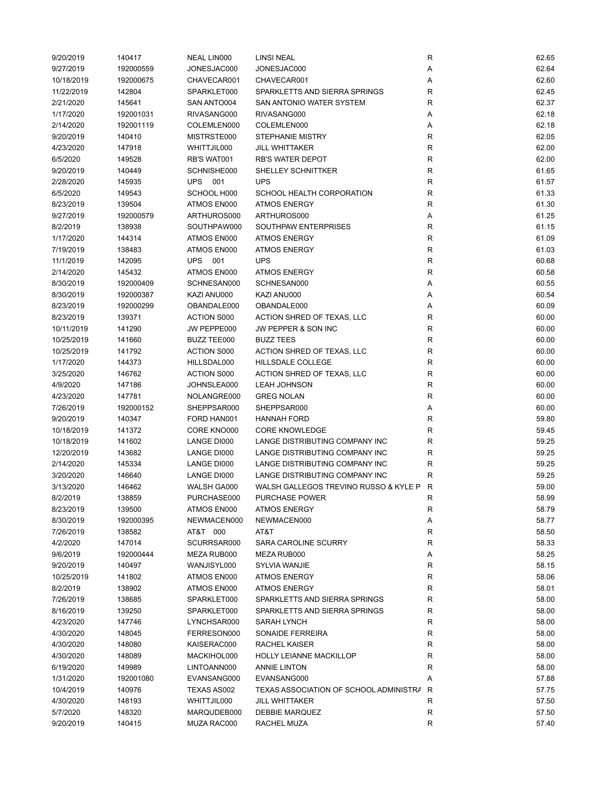| 9/20/2019  | 140417    | NEAL LIN000        | <b>LINSI NEAL</b>                       | R           | 62.65 |
|------------|-----------|--------------------|-----------------------------------------|-------------|-------|
| 9/27/2019  | 192000559 | JONESJAC000        | JONESJAC000                             | Α           | 62.64 |
| 10/18/2019 | 192000675 | CHAVECAR001        | CHAVECAR001                             | Α           | 62.60 |
| 11/22/2019 | 142804    | SPARKLET000        | SPARKLETTS AND SIERRA SPRINGS           | R           | 62.45 |
| 2/21/2020  | 145641    | SAN ANTO004        | SAN ANTONIO WATER SYSTEM                | $\mathsf R$ | 62.37 |
| 1/17/2020  | 192001031 | RIVASANG000        | RIVASANG000                             | Α           | 62.18 |
| 2/14/2020  | 192001119 | COLEMLEN000        | COLEMLEN000                             | Α           | 62.18 |
| 9/20/2019  | 140410    | MISTRSTE000        | <b>STEPHANIE MISTRY</b>                 | R           | 62.05 |
| 4/23/2020  | 147918    | WHITTJIL000        | JILL WHITTAKER                          | R           | 62.00 |
| 6/5/2020   | 149528    | RB'S WAT001        | <b>RB'S WATER DEPOT</b>                 | $\mathsf R$ | 62.00 |
| 9/20/2019  | 140449    | SCHNISHE000        | SHELLEY SCHNITTKER                      | $\mathsf R$ | 61.65 |
| 2/28/2020  | 145935    | <b>UPS 001</b>     | <b>UPS</b>                              | R           | 61.57 |
| 6/5/2020   | 149543    | SCHOOL H000        | SCHOOL HEALTH CORPORATION               | R           | 61.33 |
| 8/23/2019  | 139504    | ATMOS EN000        | <b>ATMOS ENERGY</b>                     | R           | 61.30 |
| 9/27/2019  | 192000579 | ARTHUROS000        | ARTHUROS000                             | Α           | 61.25 |
| 8/2/2019   | 138938    | SOUTHPAW000        | SOUTHPAW ENTERPRISES                    | R           | 61.15 |
| 1/17/2020  | 144314    | ATMOS EN000        | <b>ATMOS ENERGY</b>                     | $\mathsf R$ | 61.09 |
|            |           |                    | <b>ATMOS ENERGY</b>                     | $\mathsf R$ |       |
| 7/19/2019  | 138483    | ATMOS EN000        |                                         |             | 61.03 |
| 11/1/2019  | 142095    | <b>UPS 001</b>     | <b>UPS</b>                              | R           | 60.68 |
| 2/14/2020  | 145432    | ATMOS EN000        | <b>ATMOS ENERGY</b>                     | ${\sf R}$   | 60.58 |
| 8/30/2019  | 192000409 | SCHNESAN000        | SCHNESAN000                             | Α           | 60.55 |
| 8/30/2019  | 192000387 | KAZI ANU000        | KAZI ANU000                             | Α           | 60.54 |
| 8/23/2019  | 192000299 | OBANDALE000        | OBANDALE000                             | Α           | 60.09 |
| 8/23/2019  | 139371    | <b>ACTION S000</b> | ACTION SHRED OF TEXAS, LLC              | R           | 60.00 |
| 10/11/2019 | 141290    | JW PEPPE000        | JW PEPPER & SON INC                     | $\mathsf R$ | 60.00 |
| 10/25/2019 | 141660    | <b>BUZZ TEE000</b> | <b>BUZZ TEES</b>                        | $\mathsf R$ | 60.00 |
| 10/25/2019 | 141792    | <b>ACTION S000</b> | ACTION SHRED OF TEXAS, LLC              | ${\sf R}$   | 60.00 |
| 1/17/2020  | 144373    | HILLSDAL000        | HILLSDALE COLLEGE                       | $\mathsf R$ | 60.00 |
| 3/25/2020  | 146762    | <b>ACTION S000</b> | ACTION SHRED OF TEXAS, LLC              | R           | 60.00 |
| 4/9/2020   | 147186    | JOHNSLEA000        | <b>LEAH JOHNSON</b>                     | $\mathsf R$ | 60.00 |
| 4/23/2020  | 147781    | NOLANGRE000        | <b>GREG NOLAN</b>                       | $\mathsf R$ | 60.00 |
| 7/26/2019  | 192000152 | SHEPPSAR000        | SHEPPSAR000                             | Α           | 60.00 |
| 9/20/2019  | 140347    | FORD HAN001        | <b>HANNAH FORD</b>                      | R           | 59.80 |
| 10/18/2019 | 141372    | CORE KNO000        | <b>CORE KNOWLEDGE</b>                   | R           | 59.45 |
| 10/18/2019 | 141602    | LANGE DI000        | LANGE DISTRIBUTING COMPANY INC          | $\mathsf R$ | 59.25 |
| 12/20/2019 | 143682    | LANGE DI000        | LANGE DISTRIBUTING COMPANY INC          | $\mathsf R$ | 59.25 |
| 2/14/2020  | 145334    | LANGE DI000        | LANGE DISTRIBUTING COMPANY INC          | $\mathsf R$ | 59.25 |
| 3/20/2020  | 146640    | LANGE DI000        | LANGE DISTRIBUTING COMPANY INC          | R           | 59.25 |
| 3/13/2020  | 146462    | WALSH GA000        | WALSH GALLEGOS TREVINO RUSSO & KYLE P R |             | 59.00 |
| 8/2/2019   | 138859    | PURCHASE000        | PURCHASE POWER                          | R           | 58.99 |
| 8/23/2019  | 139500    | ATMOS EN000        | <b>ATMOS ENERGY</b>                     | R           | 58.79 |
| 8/30/2019  | 192000395 | NEWMACEN000        | NEWMACEN000                             | Α           | 58.77 |
| 7/26/2019  | 138582    | AT&T 000           | AT&T                                    | R           | 58.50 |
| 4/2/2020   | 147014    | SCURRSAR000        | SARA CAROLINE SCURRY                    | R           | 58.33 |
| 9/6/2019   | 192000444 | MEZA RUB000        | MEZA RUB000                             | Α           | 58.25 |
| 9/20/2019  | 140497    | WANJISYL000        | SYLVIA WANJIE                           | R           | 58.15 |
| 10/25/2019 | 141802    | ATMOS EN000        | <b>ATMOS ENERGY</b>                     | R           | 58.06 |
| 8/2/2019   | 138902    | ATMOS EN000        | <b>ATMOS ENERGY</b>                     | R           | 58.01 |
| 7/26/2019  | 138685    | SPARKLET000        | SPARKLETTS AND SIERRA SPRINGS           | ${\sf R}$   | 58.00 |
| 8/16/2019  | 139250    | SPARKLET000        | SPARKLETTS AND SIERRA SPRINGS           | ${\sf R}$   | 58.00 |
| 4/23/2020  | 147746    |                    |                                         |             | 58.00 |
|            |           | LYNCHSAR000        | SARAH LYNCH                             | R           |       |
| 4/30/2020  | 148045    | FERRESON000        | SONAIDE FERREIRA                        | R           | 58.00 |
| 4/30/2020  | 148080    | KAISERAC000        | <b>RACHEL KAISER</b>                    | R           | 58.00 |
| 4/30/2020  | 148089    | MACKIHOL000        | <b>HOLLY LEIANNE MACKILLOP</b>          | R           | 58.00 |
| 6/19/2020  | 149989    | LINTOANN000        | <b>ANNIE LINTON</b>                     | R           | 58.00 |
| 1/31/2020  | 192001080 | EVANSANG000        | EVANSANG000                             | Α           | 57.88 |
| 10/4/2019  | 140976    | TEXAS AS002        | TEXAS ASSOCIATION OF SCHOOL ADMINISTRA  | R           | 57.75 |
| 4/30/2020  | 148193    | WHITTJIL000        | JILL WHITTAKER                          | R           | 57.50 |
| 5/7/2020   | 148320    | MARQUDEB000        | DEBBIE MARQUEZ                          | R           | 57.50 |
| 9/20/2019  | 140415    | MUZA RAC000        | RACHEL MUZA                             | R           | 57.40 |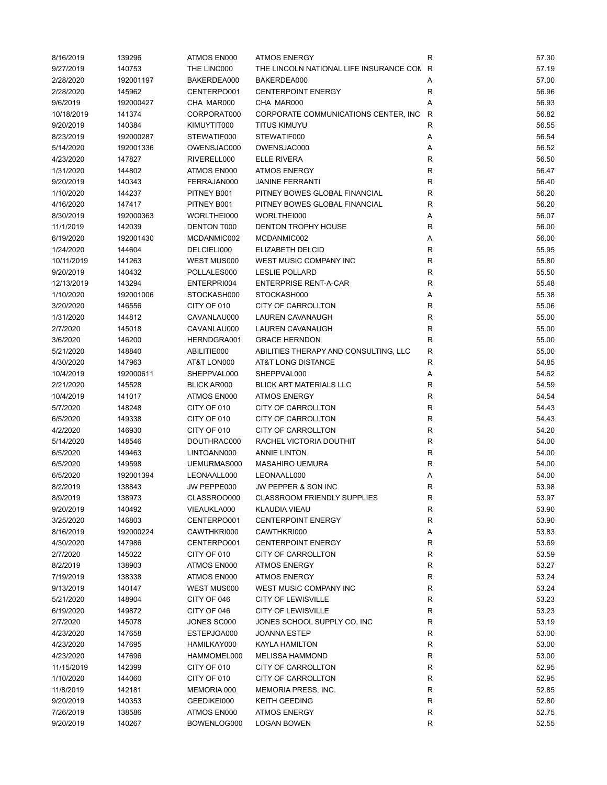| 8/16/2019  | 139296    | ATMOS EN000        | <b>ATMOS ENERGY</b>                       | R            | 57.30 |
|------------|-----------|--------------------|-------------------------------------------|--------------|-------|
| 9/27/2019  | 140753    | THE LINC000        | THE LINCOLN NATIONAL LIFE INSURANCE CON R |              | 57.19 |
| 2/28/2020  | 192001197 | BAKERDEA000        | BAKERDEA000                               | Α            | 57.00 |
| 2/28/2020  | 145962    | CENTERPO001        | <b>CENTERPOINT ENERGY</b>                 | $\mathsf R$  | 56.96 |
| 9/6/2019   | 192000427 | CHA MAR000         | CHA MAR000                                | Α            | 56.93 |
| 10/18/2019 | 141374    | CORPORAT000        | CORPORATE COMMUNICATIONS CENTER, INC      | $\mathsf{R}$ | 56.82 |
| 9/20/2019  | 140384    | KIMUYTIT000        | <b>TITUS KIMUYU</b>                       | $\mathsf R$  | 56.55 |
| 8/23/2019  | 192000287 | STEWATIF000        | STEWATIF000                               | Α            | 56.54 |
| 5/14/2020  | 192001336 | OWENSJAC000        | OWENSJAC000                               | Α            | 56.52 |
|            |           |                    |                                           |              |       |
| 4/23/2020  | 147827    | RIVERELL000        | <b>ELLE RIVERA</b><br><b>ATMOS ENERGY</b> | R            | 56.50 |
| 1/31/2020  | 144802    | ATMOS EN000        |                                           | $\mathsf R$  | 56.47 |
| 9/20/2019  | 140343    | FERRAJAN000        | <b>JANINE FERRANTI</b>                    | R            | 56.40 |
| 1/10/2020  | 144237    | PITNEY B001        | PITNEY BOWES GLOBAL FINANCIAL             | R            | 56.20 |
| 4/16/2020  | 147417    | PITNEY B001        | PITNEY BOWES GLOBAL FINANCIAL             | R            | 56.20 |
| 8/30/2019  | 192000363 | WORLTHEI000        | WORLTHEI000                               | Α            | 56.07 |
| 11/1/2019  | 142039    | DENTON T000        | <b>DENTON TROPHY HOUSE</b>                | R            | 56.00 |
| 6/19/2020  | 192001430 | MCDANMIC002        | MCDANMIC002                               | Α            | 56.00 |
| 1/24/2020  | 144604    | DELCIELI000        | ELIZABETH DELCID                          | $\mathsf R$  | 55.95 |
| 10/11/2019 | 141263    | WEST MUS000        | WEST MUSIC COMPANY INC                    | $\mathsf R$  | 55.80 |
| 9/20/2019  | 140432    | POLLALES000        | <b>LESLIE POLLARD</b>                     | R            | 55.50 |
| 12/13/2019 | 143294    | ENTERPRI004        | <b>ENTERPRISE RENT-A-CAR</b>              | $\mathsf R$  | 55.48 |
| 1/10/2020  | 192001006 | STOCKASH000        | STOCKASH000                               | Α            | 55.38 |
| 3/20/2020  | 146556    | CITY OF 010        | <b>CITY OF CARROLLTON</b>                 | R            | 55.06 |
| 1/31/2020  | 144812    | CAVANLAU000        | <b>LAUREN CAVANAUGH</b>                   | R            | 55.00 |
| 2/7/2020   | 145018    | CAVANLAU000        | LAUREN CAVANAUGH                          | R            | 55.00 |
| 3/6/2020   | 146200    | HERNDGRA001        | <b>GRACE HERNDON</b>                      | $\mathsf R$  | 55.00 |
| 5/21/2020  | 148840    | ABILITIE000        | ABILITIES THERAPY AND CONSULTING, LLC     | $\mathsf R$  | 55.00 |
| 4/30/2020  | 147963    | AT&T LON000        | AT&T LONG DISTANCE                        | $\mathsf R$  | 54.85 |
| 10/4/2019  | 192000611 | SHEPPVAL000        | SHEPPVAL000                               | Α            | 54.62 |
| 2/21/2020  | 145528    | <b>BLICK AR000</b> | <b>BLICK ART MATERIALS LLC</b>            | R            | 54.59 |
| 10/4/2019  | 141017    | ATMOS EN000        | <b>ATMOS ENERGY</b>                       | $\mathsf R$  | 54.54 |
|            |           | CITY OF 010        | CITY OF CARROLLTON                        |              | 54.43 |
| 5/7/2020   | 148248    |                    |                                           | R            |       |
| 6/5/2020   | 149338    | CITY OF 010        | CITY OF CARROLLTON                        | $\mathsf R$  | 54.43 |
| 4/2/2020   | 146930    | CITY OF 010        | CITY OF CARROLLTON                        | R            | 54.20 |
| 5/14/2020  | 148546    | DOUTHRAC000        | RACHEL VICTORIA DOUTHIT                   | R            | 54.00 |
| 6/5/2020   | 149463    | LINTOANN000        | <b>ANNIE LINTON</b>                       | $\mathsf R$  | 54.00 |
| 6/5/2020   | 149598    | UEMURMAS000        | <b>MASAHIRO UEMURA</b>                    | $\mathsf R$  | 54.00 |
| 6/5/2020   | 192001394 | LEONAALL000        | LEONAALL000                               | Α            | 54.00 |
| 8/2/2019   | 138843    | JW PEPPE000        | JW PEPPER & SON INC                       | R            | 53.98 |
| 8/9/2019   | 138973    | CLASSROO000        | CLASSROOM FRIENDLY SUPPLIES               | R            | 53.97 |
| 9/20/2019  | 140492    | VIEAUKLA000        | <b>KLAUDIA VIEAU</b>                      | R            | 53.90 |
| 3/25/2020  | 146803    | CENTERPO001        | <b>CENTERPOINT ENERGY</b>                 | R            | 53.90 |
| 8/16/2019  | 192000224 | CAWTHKRI000        | CAWTHKRI000                               | Α            | 53.83 |
| 4/30/2020  | 147986    | CENTERPO001        | <b>CENTERPOINT ENERGY</b>                 | R            | 53.69 |
| 2/7/2020   | 145022    | CITY OF 010        | <b>CITY OF CARROLLTON</b>                 | R            | 53.59 |
| 8/2/2019   | 138903    | ATMOS EN000        | <b>ATMOS ENERGY</b>                       | R            | 53.27 |
| 7/19/2019  | 138338    | ATMOS EN000        | <b>ATMOS ENERGY</b>                       | ${\sf R}$    | 53.24 |
| 9/13/2019  | 140147    | WEST MUS000        | WEST MUSIC COMPANY INC                    | ${\sf R}$    | 53.24 |
| 5/21/2020  | 148904    | CITY OF 046        | <b>CITY OF LEWISVILLE</b>                 | R            | 53.23 |
| 6/19/2020  | 149872    | CITY OF 046        | <b>CITY OF LEWISVILLE</b>                 | R            | 53.23 |
| 2/7/2020   | 145078    | JONES SC000        | JONES SCHOOL SUPPLY CO, INC               | ${\sf R}$    | 53.19 |
| 4/23/2020  | 147658    | ESTEPJOA000        | JOANNA ESTEP                              | R            | 53.00 |
| 4/23/2020  | 147695    | HAMILKAY000        | <b>KAYLA HAMILTON</b>                     | ${\sf R}$    | 53.00 |
| 4/23/2020  | 147696    | HAMMOMEL000        | <b>MELISSA HAMMOND</b>                    | R            | 53.00 |
| 11/15/2019 | 142399    | CITY OF 010        | CITY OF CARROLLTON                        | R            | 52.95 |
|            |           |                    |                                           |              |       |
| 1/10/2020  | 144060    | CITY OF 010        | CITY OF CARROLLTON                        | R            | 52.95 |
| 11/8/2019  | 142181    | MEMORIA 000        | MEMORIA PRESS, INC.                       | ${\sf R}$    | 52.85 |
| 9/20/2019  | 140353    | GEEDIKEI000        | <b>KEITH GEEDING</b>                      | ${\sf R}$    | 52.80 |
| 7/26/2019  | 138586    | ATMOS EN000        | <b>ATMOS ENERGY</b>                       | R            | 52.75 |
| 9/20/2019  | 140267    | BOWENLOG000        | <b>LOGAN BOWEN</b>                        | ${\sf R}$    | 52.55 |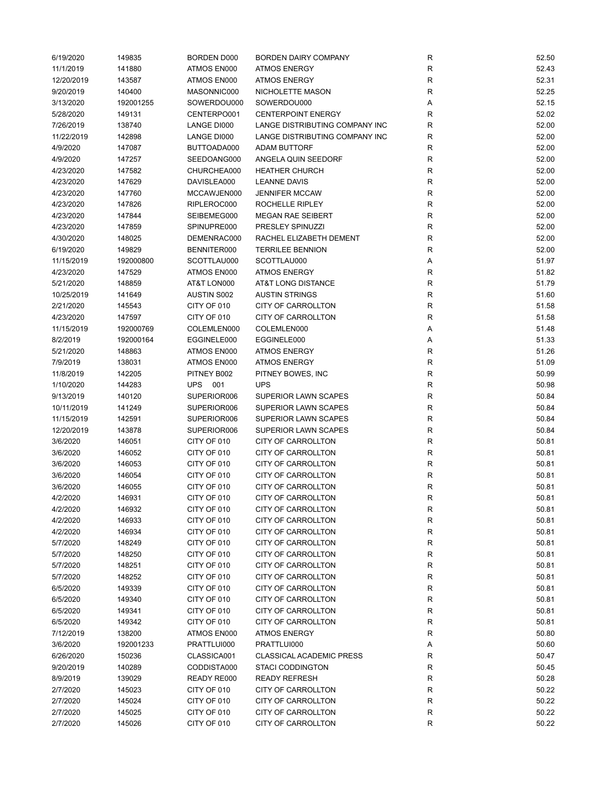| 6/19/2020  | 149835    | <b>BORDEN D000</b> | <b>BORDEN DAIRY COMPANY</b>     | R            | 52.50 |
|------------|-----------|--------------------|---------------------------------|--------------|-------|
| 11/1/2019  | 141880    | ATMOS EN000        | <b>ATMOS ENERGY</b>             | R            | 52.43 |
| 12/20/2019 | 143587    | ATMOS EN000        | <b>ATMOS ENERGY</b>             | ${\sf R}$    | 52.31 |
| 9/20/2019  | 140400    | MASONNIC000        | NICHOLETTE MASON                | $\mathsf{R}$ | 52.25 |
| 3/13/2020  | 192001255 | SOWERDOU000        | SOWERDOU000                     | Α            | 52.15 |
| 5/28/2020  | 149131    | CENTERPO001        | <b>CENTERPOINT ENERGY</b>       | R            | 52.02 |
| 7/26/2019  | 138740    | LANGE DI000        | LANGE DISTRIBUTING COMPANY INC  | R            | 52.00 |
| 11/22/2019 | 142898    | LANGE DI000        | LANGE DISTRIBUTING COMPANY INC  | $\mathsf R$  | 52.00 |
| 4/9/2020   | 147087    | BUTTOADA000        | ADAM BUTTORF                    | R            | 52.00 |
| 4/9/2020   | 147257    | SEEDOANG000        | ANGELA QUIN SEEDORF             | $\mathsf R$  | 52.00 |
| 4/23/2020  | 147582    | CHURCHEA000        | <b>HEATHER CHURCH</b>           | R            | 52.00 |
| 4/23/2020  | 147629    | DAVISLEA000        | <b>LEANNE DAVIS</b>             | R            | 52.00 |
| 4/23/2020  | 147760    | MCCAWJEN000        | <b>JENNIFER MCCAW</b>           | ${\sf R}$    | 52.00 |
| 4/23/2020  | 147826    | RIPLEROC000        | ROCHELLE RIPLEY                 | R            | 52.00 |
| 4/23/2020  | 147844    | SEIBEMEG000        | <b>MEGAN RAE SEIBERT</b>        | $\mathsf{R}$ | 52.00 |
| 4/23/2020  | 147859    | SPINUPRE000        | PRESLEY SPINUZZI                | ${\sf R}$    | 52.00 |
|            | 148025    | DEMENRAC000        | RACHEL ELIZABETH DEMENT         | ${\sf R}$    | 52.00 |
| 4/30/2020  |           |                    |                                 |              |       |
| 6/19/2020  | 149829    | BENNITER000        | <b>TERRILEE BENNION</b>         | $\mathsf R$  | 52.00 |
| 11/15/2019 | 192000800 | SCOTTLAU000        | SCOTTLAU000                     | Α            | 51.97 |
| 4/23/2020  | 147529    | ATMOS EN000        | <b>ATMOS ENERGY</b>             | $\mathsf R$  | 51.82 |
| 5/21/2020  | 148859    | AT&T LON000        | AT&T LONG DISTANCE              | R            | 51.79 |
| 10/25/2019 | 141649    | <b>AUSTIN S002</b> | <b>AUSTIN STRINGS</b>           | ${\sf R}$    | 51.60 |
| 2/21/2020  | 145543    | CITY OF 010        | <b>CITY OF CARROLLTON</b>       | R            | 51.58 |
| 4/23/2020  | 147597    | CITY OF 010        | CITY OF CARROLLTON              | R            | 51.58 |
| 11/15/2019 | 192000769 | COLEMLEN000        | COLEMLEN000                     | Α            | 51.48 |
| 8/2/2019   | 192000164 | EGGINELE000        | EGGINELE000                     | Α            | 51.33 |
| 5/21/2020  | 148863    | ATMOS EN000        | <b>ATMOS ENERGY</b>             | ${\sf R}$    | 51.26 |
| 7/9/2019   | 138031    | ATMOS EN000        | <b>ATMOS ENERGY</b>             | $\mathsf{R}$ | 51.09 |
| 11/8/2019  | 142205    | PITNEY B002        | PITNEY BOWES, INC               | $\mathsf R$  | 50.99 |
| 1/10/2020  | 144283    | UPS 001            | <b>UPS</b>                      | $\mathsf R$  | 50.98 |
| 9/13/2019  | 140120    | SUPERIOR006        | SUPERIOR LAWN SCAPES            | $\mathsf{R}$ | 50.84 |
| 10/11/2019 | 141249    | SUPERIOR006        | SUPERIOR LAWN SCAPES            | ${\sf R}$    | 50.84 |
| 11/15/2019 | 142591    | SUPERIOR006        | SUPERIOR LAWN SCAPES            | R            | 50.84 |
| 12/20/2019 | 143878    | SUPERIOR006        | SUPERIOR LAWN SCAPES            | R            | 50.84 |
| 3/6/2020   | 146051    | CITY OF 010        | CITY OF CARROLLTON              | $\mathsf R$  | 50.81 |
| 3/6/2020   | 146052    | CITY OF 010        | CITY OF CARROLLTON              | R            | 50.81 |
| 3/6/2020   | 146053    | CITY OF 010        | CITY OF CARROLLTON              | ${\sf R}$    | 50.81 |
| 3/6/2020   | 146054    | CITY OF 010        | <b>CITY OF CARROLLTON</b>       | R            | 50.81 |
| 3/6/2020   | 146055    | CITY OF 010        | <b>CITY OF CARROLLTON</b>       | R            | 50.81 |
| 4/2/2020   | 146931    | CITY OF 010        | CITY OF CARROLLTON              | R            | 50.81 |
| 4/2/2020   | 146932    | CITY OF 010        | CITY OF CARROLLTON              | R            | 50.81 |
| 4/2/2020   | 146933    | CITY OF 010        | CITY OF CARROLLTON              | $\mathsf{R}$ | 50.81 |
| 4/2/2020   | 146934    | CITY OF 010        | <b>CITY OF CARROLLTON</b>       | R            | 50.81 |
| 5/7/2020   | 148249    | CITY OF 010        | CITY OF CARROLLTON              | R            | 50.81 |
| 5/7/2020   | 148250    | CITY OF 010        | CITY OF CARROLLTON              | R            | 50.81 |
| 5/7/2020   | 148251    | CITY OF 010        | CITY OF CARROLLTON              | $\mathsf{R}$ | 50.81 |
| 5/7/2020   | 148252    | CITY OF 010        | CITY OF CARROLLTON              | R            | 50.81 |
| 6/5/2020   | 149339    | CITY OF 010        | CITY OF CARROLLTON              | R            | 50.81 |
| 6/5/2020   | 149340    | CITY OF 010        | CITY OF CARROLLTON              | R            | 50.81 |
| 6/5/2020   |           |                    |                                 |              |       |
|            | 149341    | CITY OF 010        | CITY OF CARROLLTON              | R            | 50.81 |
| 6/5/2020   | 149342    | CITY OF 010        | CITY OF CARROLLTON              | R            | 50.81 |
| 7/12/2019  | 138200    | ATMOS EN000        | <b>ATMOS ENERGY</b>             | R            | 50.80 |
| 3/6/2020   | 192001233 | PRATTLUI000        | PRATTLUI000                     | Α            | 50.60 |
| 6/26/2020  | 150236    | CLASSICA001        | <b>CLASSICAL ACADEMIC PRESS</b> | R            | 50.47 |
| 9/20/2019  | 140289    | CODDISTA000        | <b>STACI CODDINGTON</b>         | R            | 50.45 |
| 8/9/2019   | 139029    | READY RE000        | <b>READY REFRESH</b>            | R            | 50.28 |
| 2/7/2020   | 145023    | CITY OF 010        | CITY OF CARROLLTON              | R            | 50.22 |
| 2/7/2020   | 145024    | CITY OF 010        | CITY OF CARROLLTON              | R            | 50.22 |
| 2/7/2020   | 145025    | CITY OF 010        | CITY OF CARROLLTON              | R            | 50.22 |
| 2/7/2020   | 145026    | CITY OF 010        | CITY OF CARROLLTON              | R            | 50.22 |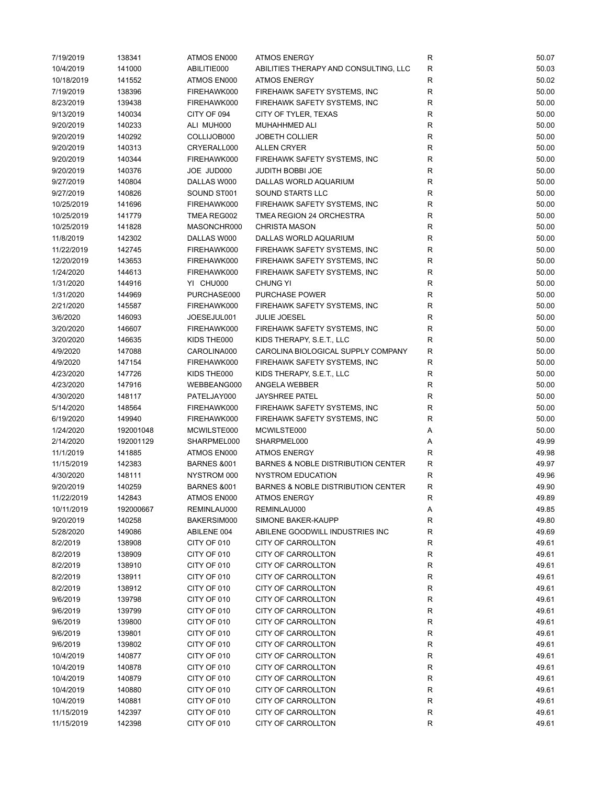| 7/19/2019  | 138341    | ATMOS EN000            | <b>ATMOS ENERGY</b>                           | R           | 50.07 |
|------------|-----------|------------------------|-----------------------------------------------|-------------|-------|
| 10/4/2019  | 141000    | ABILITIE000            | ABILITIES THERAPY AND CONSULTING, LLC         | ${\sf R}$   | 50.03 |
| 10/18/2019 | 141552    | ATMOS EN000            | <b>ATMOS ENERGY</b>                           | $\mathsf R$ | 50.02 |
| 7/19/2019  | 138396    | FIREHAWK000            | FIREHAWK SAFETY SYSTEMS, INC                  | $\mathsf R$ | 50.00 |
| 8/23/2019  | 139438    | FIREHAWK000            | FIREHAWK SAFETY SYSTEMS, INC                  | $\mathsf R$ | 50.00 |
| 9/13/2019  | 140034    | CITY OF 094            | CITY OF TYLER, TEXAS                          | $\mathsf R$ | 50.00 |
| 9/20/2019  | 140233    | ALI MUH000             | <b>MUHAHHMED ALI</b>                          | $\mathsf R$ | 50.00 |
| 9/20/2019  | 140292    | COLLIJOB000            | <b>JOBETH COLLIER</b>                         | ${\sf R}$   | 50.00 |
| 9/20/2019  | 140313    | CRYERALL000            | <b>ALLEN CRYER</b>                            | $\mathsf R$ | 50.00 |
|            |           |                        |                                               | $\mathsf R$ |       |
| 9/20/2019  | 140344    | FIREHAWK000            | FIREHAWK SAFETY SYSTEMS, INC                  |             | 50.00 |
| 9/20/2019  | 140376    | JOE JUD000             | JUDITH BOBBI JOE                              | R           | 50.00 |
| 9/27/2019  | 140804    | DALLAS W000            | DALLAS WORLD AQUARIUM                         | R           | 50.00 |
| 9/27/2019  | 140826    | SOUND ST001            | SOUND STARTS LLC                              | R           | 50.00 |
| 10/25/2019 | 141696    | FIREHAWK000            | FIREHAWK SAFETY SYSTEMS, INC                  | R           | 50.00 |
| 10/25/2019 | 141779    | TMEA REG002            | TMEA REGION 24 ORCHESTRA                      | R           | 50.00 |
| 10/25/2019 | 141828    | MASONCHR000            | <b>CHRISTA MASON</b>                          | $\mathsf R$ | 50.00 |
| 11/8/2019  | 142302    | DALLAS W000            | DALLAS WORLD AQUARIUM                         | $\mathsf R$ | 50.00 |
| 11/22/2019 | 142745    | FIREHAWK000            | FIREHAWK SAFETY SYSTEMS, INC                  | $\mathsf R$ | 50.00 |
| 12/20/2019 | 143653    | FIREHAWK000            | FIREHAWK SAFETY SYSTEMS, INC                  | R           | 50.00 |
| 1/24/2020  | 144613    | FIREHAWK000            | FIREHAWK SAFETY SYSTEMS, INC                  | R           | 50.00 |
| 1/31/2020  | 144916    | YI CHU000              | <b>CHUNG YI</b>                               | $\mathsf R$ | 50.00 |
| 1/31/2020  | 144969    | PURCHASE000            | <b>PURCHASE POWER</b>                         | R           | 50.00 |
| 2/21/2020  | 145587    | FIREHAWK000            | FIREHAWK SAFETY SYSTEMS, INC                  | R           | 50.00 |
| 3/6/2020   | 146093    | JOESEJUL001            | <b>JULIE JOESEL</b>                           | $\mathsf R$ | 50.00 |
| 3/20/2020  | 146607    | FIREHAWK000            | FIREHAWK SAFETY SYSTEMS, INC                  | R           | 50.00 |
| 3/20/2020  | 146635    | KIDS THE000            | KIDS THERAPY, S.E.T., LLC                     | ${\sf R}$   | 50.00 |
| 4/9/2020   | 147088    | CAROLINA000            | CAROLINA BIOLOGICAL SUPPLY COMPANY            | $\mathsf R$ | 50.00 |
| 4/9/2020   | 147154    | FIREHAWK000            | FIREHAWK SAFETY SYSTEMS, INC                  | ${\sf R}$   | 50.00 |
| 4/23/2020  | 147726    | KIDS THE000            | KIDS THERAPY, S.E.T., LLC                     | $\mathsf R$ | 50.00 |
| 4/23/2020  | 147916    | WEBBEANG000            | ANGELA WEBBER                                 | $\mathsf R$ | 50.00 |
| 4/30/2020  | 148117    | PATELJAY000            | JAYSHREE PATEL                                | $\mathsf R$ | 50.00 |
|            |           |                        |                                               | R           |       |
| 5/14/2020  | 148564    | FIREHAWK000            | FIREHAWK SAFETY SYSTEMS, INC                  |             | 50.00 |
| 6/19/2020  | 149940    | FIREHAWK000            | FIREHAWK SAFETY SYSTEMS, INC                  | R           | 50.00 |
| 1/24/2020  | 192001048 | MCWILSTE000            | MCWILSTE000                                   | Α           | 50.00 |
| 2/14/2020  | 192001129 | SHARPMEL000            | SHARPMEL000                                   | Α           | 49.99 |
| 11/1/2019  | 141885    | ATMOS EN000            | <b>ATMOS ENERGY</b>                           | $\mathsf R$ | 49.98 |
| 11/15/2019 | 142383    | <b>BARNES &amp;001</b> | BARNES & NOBLE DISTRIBUTION CENTER            | $\mathsf R$ | 49.97 |
| 4/30/2020  | 148111    | NYSTROM 000            | <b>NYSTROM EDUCATION</b>                      | ${\sf R}$   | 49.96 |
| 9/20/2019  | 140259    | <b>BARNES &amp;001</b> | <b>BARNES &amp; NOBLE DISTRIBUTION CENTER</b> | R           | 49.90 |
| 11/22/2019 | 142843    | ATMOS EN000            | ATMOS ENERGY                                  | R           | 49.89 |
| 10/11/2019 | 192000667 | REMINLAU000            | REMINLAU000                                   | Α           | 49.85 |
| 9/20/2019  | 140258    | BAKERSIM000            | SIMONE BAKER-KAUPP                            | R           | 49.80 |
| 5/28/2020  | 149086    | ABILENE 004            | ABILENE GOODWILL INDUSTRIES INC               | R           | 49.69 |
| 8/2/2019   | 138908    | CITY OF 010            | <b>CITY OF CARROLLTON</b>                     | R           | 49.61 |
| 8/2/2019   | 138909    | CITY OF 010            | CITY OF CARROLLTON                            | R           | 49.61 |
| 8/2/2019   | 138910    | CITY OF 010            | CITY OF CARROLLTON                            | R           | 49.61 |
| 8/2/2019   | 138911    | CITY OF 010            | CITY OF CARROLLTON                            | R           | 49.61 |
| 8/2/2019   | 138912    | CITY OF 010            | CITY OF CARROLLTON                            | ${\sf R}$   | 49.61 |
| 9/6/2019   | 139798    | CITY OF 010            | <b>CITY OF CARROLLTON</b>                     | R           | 49.61 |
| 9/6/2019   | 139799    | CITY OF 010            | <b>CITY OF CARROLLTON</b>                     | R           | 49.61 |
| 9/6/2019   | 139800    | CITY OF 010            | <b>CITY OF CARROLLTON</b>                     | R           | 49.61 |
| 9/6/2019   | 139801    | CITY OF 010            | CITY OF CARROLLTON                            | R           | 49.61 |
| 9/6/2019   | 139802    | CITY OF 010            | CITY OF CARROLLTON                            | ${\sf R}$   | 49.61 |
| 10/4/2019  | 140877    | CITY OF 010            | CITY OF CARROLLTON                            | R           | 49.61 |
|            | 140878    | CITY OF 010            | CITY OF CARROLLTON                            | R           | 49.61 |
| 10/4/2019  |           |                        |                                               |             |       |
| 10/4/2019  | 140879    | CITY OF 010            | <b>CITY OF CARROLLTON</b>                     | R           | 49.61 |
| 10/4/2019  | 140880    | CITY OF 010            | CITY OF CARROLLTON                            | R           | 49.61 |
| 10/4/2019  | 140881    | CITY OF 010            | CITY OF CARROLLTON                            | R           | 49.61 |
| 11/15/2019 | 142397    | CITY OF 010            | <b>CITY OF CARROLLTON</b>                     | R           | 49.61 |
| 11/15/2019 | 142398    | CITY OF 010            | CITY OF CARROLLTON                            | R           | 49.61 |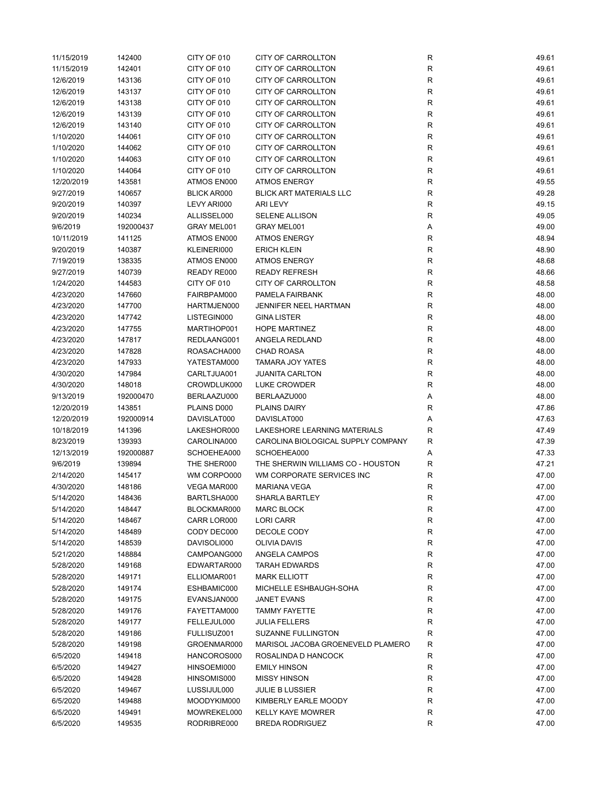| 11/15/2019 | 142400    | CITY OF 010        | <b>CITY OF CARROLLTON</b>          | R            | 49.61 |
|------------|-----------|--------------------|------------------------------------|--------------|-------|
| 11/15/2019 | 142401    | CITY OF 010        | <b>CITY OF CARROLLTON</b>          | $\mathsf{R}$ | 49.61 |
| 12/6/2019  | 143136    | CITY OF 010        | CITY OF CARROLLTON                 | R            | 49.61 |
| 12/6/2019  | 143137    | CITY OF 010        | CITY OF CARROLLTON                 | $\mathsf{R}$ | 49.61 |
| 12/6/2019  | 143138    | CITY OF 010        | <b>CITY OF CARROLLTON</b>          | R            | 49.61 |
| 12/6/2019  | 143139    | CITY OF 010        | CITY OF CARROLLTON                 | R            | 49.61 |
| 12/6/2019  | 143140    | CITY OF 010        | <b>CITY OF CARROLLTON</b>          | $\mathsf{R}$ | 49.61 |
| 1/10/2020  | 144061    | CITY OF 010        | CITY OF CARROLLTON                 | $\mathsf{R}$ | 49.61 |
| 1/10/2020  | 144062    | CITY OF 010        | CITY OF CARROLLTON                 | $\mathsf{R}$ | 49.61 |
| 1/10/2020  | 144063    | CITY OF 010        | <b>CITY OF CARROLLTON</b>          | R            | 49.61 |
| 1/10/2020  | 144064    | CITY OF 010        | CITY OF CARROLLTON                 | $\mathsf{R}$ | 49.61 |
| 12/20/2019 | 143581    | ATMOS EN000        | <b>ATMOS ENERGY</b>                | $\mathsf{R}$ | 49.55 |
| 9/27/2019  | 140657    | <b>BLICK AR000</b> | <b>BLICK ART MATERIALS LLC</b>     | R            | 49.28 |
| 9/20/2019  | 140397    | LEVY ARI000        | <b>ARI LEVY</b>                    | $\mathsf{R}$ | 49.15 |
| 9/20/2019  | 140234    | ALLISSEL000        | <b>SELENE ALLISON</b>              | R            | 49.05 |
| 9/6/2019   | 192000437 | GRAY MEL001        | GRAY MEL001                        | Α            | 49.00 |
|            |           | ATMOS EN000        | <b>ATMOS ENERGY</b>                | R            | 48.94 |
| 10/11/2019 | 141125    |                    |                                    |              |       |
| 9/20/2019  | 140387    | KLEINERI000        | <b>ERICH KLEIN</b>                 | $\mathsf{R}$ | 48.90 |
| 7/19/2019  | 138335    | ATMOS EN000        | <b>ATMOS ENERGY</b>                | $\mathsf{R}$ | 48.68 |
| 9/27/2019  | 140739    | READY RE000        | <b>READY REFRESH</b>               | R            | 48.66 |
| 1/24/2020  | 144583    | CITY OF 010        | <b>CITY OF CARROLLTON</b>          | $\mathsf{R}$ | 48.58 |
| 4/23/2020  | 147660    | FAIRBPAM000        | PAMELA FAIRBANK                    | R            | 48.00 |
| 4/23/2020  | 147700    | HARTMJEN000        | JENNIFER NEEL HARTMAN              | R            | 48.00 |
| 4/23/2020  | 147742    | LISTEGIN000        | <b>GINA LISTER</b>                 | $\mathsf{R}$ | 48.00 |
| 4/23/2020  | 147755    | MARTIHOP001        | <b>HOPE MARTINEZ</b>               | R            | 48.00 |
| 4/23/2020  | 147817    | REDLAANG001        | ANGELA REDLAND                     | $\mathsf{R}$ | 48.00 |
| 4/23/2020  | 147828    | ROASACHA000        | CHAD ROASA                         | $\mathsf{R}$ | 48.00 |
| 4/23/2020  | 147933    | YATESTAM000        | <b>TAMARA JOY YATES</b>            | $\mathsf{R}$ | 48.00 |
| 4/30/2020  | 147984    | CARLTJUA001        | <b>JUANITA CARLTON</b>             | $\mathsf{R}$ | 48.00 |
| 4/30/2020  | 148018    | CROWDLUK000        | LUKE CROWDER                       | R            | 48.00 |
| 9/13/2019  | 192000470 | BERLAAZU000        | BERLAAZU000                        | Α            | 48.00 |
| 12/20/2019 | 143851    | PLAINS D000        | <b>PLAINS DAIRY</b>                | R            | 47.86 |
| 12/20/2019 | 192000914 | DAVISLAT000        | DAVISLAT000                        | Α            | 47.63 |
| 10/18/2019 | 141396    | LAKESHOR000        | LAKESHORE LEARNING MATERIALS       | R            | 47.49 |
| 8/23/2019  | 139393    | CAROLINA000        | CAROLINA BIOLOGICAL SUPPLY COMPANY | R            | 47.39 |
| 12/13/2019 | 192000887 | SCHOEHEA000        | SCHOEHEA000                        | Α            | 47.33 |
| 9/6/2019   | 139894    | THE SHER000        | THE SHERWIN WILLIAMS CO - HOUSTON  | R            | 47.21 |
| 2/14/2020  | 145417    | WM CORPO000        | WM CORPORATE SERVICES INC          | $\mathsf{R}$ | 47.00 |
| 4/30/2020  | 148186    | VEGA MAR000        | <b>MARIANA VEGA</b>                | R            | 47.00 |
| 5/14/2020  | 148436    | BARTLSHA000        | SHARLA BARTLEY                     | R            | 47.00 |
| 5/14/2020  | 148447    | BLOCKMAR000        | <b>MARC BLOCK</b>                  | R            | 47.00 |
| 5/14/2020  | 148467    | CARR LOR000        | <b>LORI CARR</b>                   | $\mathsf{R}$ | 47.00 |
| 5/14/2020  | 148489    | CODY DEC000        | DECOLE CODY                        | $\mathsf{R}$ | 47.00 |
| 5/14/2020  | 148539    | DAVISOLI000        | <b>OLIVIA DAVIS</b>                | R            | 47.00 |
| 5/21/2020  | 148884    | CAMPOANG000        | ANGELA CAMPOS                      | R            | 47.00 |
| 5/28/2020  | 149168    | EDWARTAR000        | <b>TARAH EDWARDS</b>               | R            | 47.00 |
| 5/28/2020  | 149171    | ELLIOMAR001        | <b>MARK ELLIOTT</b>                | $\mathsf{R}$ | 47.00 |
| 5/28/2020  | 149174    | ESHBAMIC000        | MICHELLE ESHBAUGH-SOHA             | $\mathsf{R}$ | 47.00 |
| 5/28/2020  | 149175    | EVANSJAN000        | JANET EVANS                        | R            | 47.00 |
| 5/28/2020  | 149176    | FAYETTAM000        | <b>TAMMY FAYETTE</b>               | R            | 47.00 |
| 5/28/2020  | 149177    | FELLEJUL000        | <b>JULIA FELLERS</b>               | R            | 47.00 |
| 5/28/2020  | 149186    | FULLISUZ001        | SUZANNE FULLINGTON                 | $\mathsf{R}$ | 47.00 |
| 5/28/2020  | 149198    | GROENMAR000        | MARISOL JACOBA GROENEVELD PLAMERO  | $\mathsf{R}$ | 47.00 |
| 6/5/2020   | 149418    | HANCOROS000        | ROSALINDA D HANCOCK                | R            | 47.00 |
| 6/5/2020   | 149427    | HINSOEMI000        | <b>EMILY HINSON</b>                | R            | 47.00 |
| 6/5/2020   | 149428    | HINSOMIS000        | <b>MISSY HINSON</b>                | R            | 47.00 |
|            |           |                    |                                    |              |       |
| 6/5/2020   | 149467    | LUSSIJUL000        | <b>JULIE B LUSSIER</b>             | $\mathsf{R}$ | 47.00 |
| 6/5/2020   | 149488    | MOODYKIM000        | KIMBERLY EARLE MOODY               | $\mathsf{R}$ | 47.00 |
| 6/5/2020   | 149491    | MOWREKEL000        | <b>KELLY KAYE MOWRER</b>           | R            | 47.00 |
| 6/5/2020   | 149535    | RODRIBRE000        | <b>BREDA RODRIGUEZ</b>             | R            | 47.00 |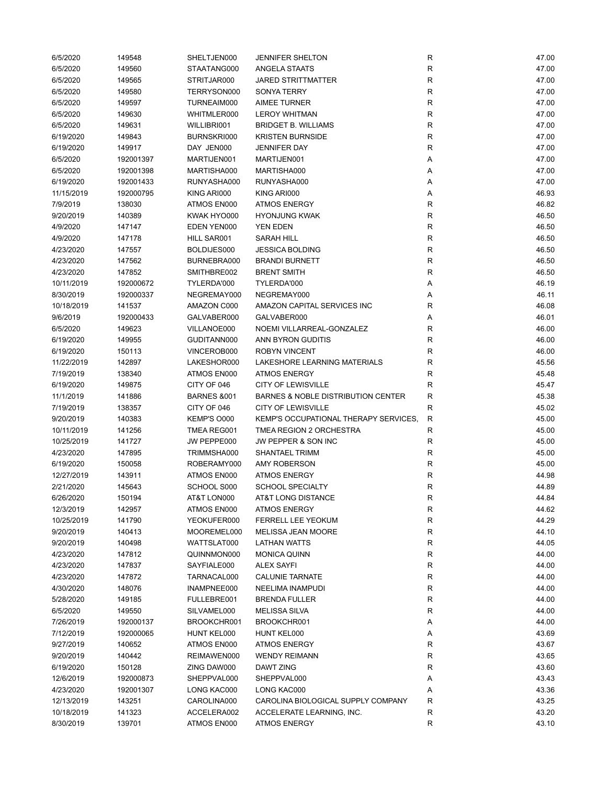| 6/5/2020   | 149548    | SHELTJEN000            | <b>JENNIFER SHELTON</b>               | R            | 47.00 |
|------------|-----------|------------------------|---------------------------------------|--------------|-------|
| 6/5/2020   | 149560    | STAATANG000            | <b>ANGELA STAATS</b>                  | ${\sf R}$    | 47.00 |
| 6/5/2020   | 149565    | STRITJAR000            | <b>JARED STRITTMATTER</b>             | R            | 47.00 |
| 6/5/2020   | 149580    | TERRYSON000            | <b>SONYA TERRY</b>                    | R            | 47.00 |
| 6/5/2020   | 149597    | TURNEAIM000            | <b>AIMEE TURNER</b>                   | $\mathsf{R}$ | 47.00 |
| 6/5/2020   | 149630    | WHITMLER000            | <b>LEROY WHITMAN</b>                  | R            | 47.00 |
| 6/5/2020   | 149631    | WILLIBRI001            | <b>BRIDGET B. WILLIAMS</b>            | ${\sf R}$    | 47.00 |
| 6/19/2020  | 149843    | BURNSKRI000            | <b>KRISTEN BURNSIDE</b>               | ${\sf R}$    | 47.00 |
| 6/19/2020  | 149917    | DAY JEN000             | JENNIFER DAY                          | $\mathsf{R}$ | 47.00 |
| 6/5/2020   | 192001397 | MARTIJEN001            | MARTIJEN001                           | Α            | 47.00 |
| 6/5/2020   | 192001398 | MARTISHA000            | MARTISHA000                           | Α            | 47.00 |
| 6/19/2020  | 192001433 | RUNYASHA000            | RUNYASHA000                           | Α            | 47.00 |
| 11/15/2019 | 192000795 | KING ARI000            | KING ARI000                           | Α            | 46.93 |
| 7/9/2019   | 138030    | ATMOS EN000            | <b>ATMOS ENERGY</b>                   | R            | 46.82 |
| 9/20/2019  | 140389    | KWAK HYO000            | <b>HYONJUNG KWAK</b>                  | R            | 46.50 |
| 4/9/2020   | 147147    | EDEN YEN000            | YEN EDEN                              | R            | 46.50 |
| 4/9/2020   | 147178    | HILL SAR001            | <b>SARAH HILL</b>                     | R            | 46.50 |
| 4/23/2020  | 147557    | BOLDIJES000            | <b>JESSICA BOLDING</b>                | $\mathsf{R}$ | 46.50 |
| 4/23/2020  | 147562    | BURNEBRA000            | <b>BRANDI BURNETT</b>                 | $\mathsf R$  | 46.50 |
| 4/23/2020  | 147852    | SMITHBRE002            | <b>BRENT SMITH</b>                    | R            |       |
|            |           |                        |                                       |              | 46.50 |
| 10/11/2019 | 192000672 | TYLERDA'000            | TYLERDA'000                           | Α            | 46.19 |
| 8/30/2019  | 192000337 | NEGREMAY000            | NEGREMAY000                           | Α            | 46.11 |
| 10/18/2019 | 141537    | AMAZON C000            | AMAZON CAPITAL SERVICES INC           | R            | 46.08 |
| 9/6/2019   | 192000433 | GALVABER000            | GALVABER000                           | Α            | 46.01 |
| 6/5/2020   | 149623    | VILLANOE000            | NOEMI VILLARREAL-GONZALEZ             | R            | 46.00 |
| 6/19/2020  | 149955    | GUDITANN000            | ANN BYRON GUDITIS                     | R            | 46.00 |
| 6/19/2020  | 150113    | VINCEROB000            | <b>ROBYN VINCENT</b>                  | R            | 46.00 |
| 11/22/2019 | 142897    | LAKESHOR000            | LAKESHORE LEARNING MATERIALS          | R            | 45.56 |
| 7/19/2019  | 138340    | ATMOS EN000            | <b>ATMOS ENERGY</b>                   | R            | 45.48 |
| 6/19/2020  | 149875    | CITY OF 046            | <b>CITY OF LEWISVILLE</b>             | R            | 45.47 |
| 11/1/2019  | 141886    | <b>BARNES &amp;001</b> | BARNES & NOBLE DISTRIBUTION CENTER    | R            | 45.38 |
| 7/19/2019  | 138357    | CITY OF 046            | <b>CITY OF LEWISVILLE</b>             | ${\sf R}$    | 45.02 |
| 9/20/2019  | 140383    | KEMP'S O000            | KEMP'S OCCUPATIONAL THERAPY SERVICES, | $\mathsf{R}$ | 45.00 |
| 10/11/2019 | 141256    | TMEA REG001            | TMEA REGION 2 ORCHESTRA               | $\mathsf R$  | 45.00 |
| 10/25/2019 | 141727    | JW PEPPE000            | JW PEPPER & SON INC                   | R            | 45.00 |
| 4/23/2020  | 147895    | TRIMMSHA000            | <b>SHANTAEL TRIMM</b>                 | $\mathsf{R}$ | 45.00 |
| 6/19/2020  | 150058    | ROBERAMY000            | <b>AMY ROBERSON</b>                   | $\mathsf R$  | 45.00 |
| 12/27/2019 | 143911    | ATMOS EN000            | <b>ATMOS ENERGY</b>                   | R            | 44.98 |
| 2/21/2020  | 145643    | SCHOOL S000            | <b>SCHOOL SPECIALTY</b>               | R            | 44.89 |
| 6/26/2020  | 150194    | AT&T LON000            | AT&T LONG DISTANCE                    | R            | 44.84 |
| 12/3/2019  | 142957    | ATMOS EN000            | <b>ATMOS ENERGY</b>                   | R            | 44.62 |
| 10/25/2019 | 141790    | YEOKUFER000            | <b>FERRELL LEE YEOKUM</b>             | R            | 44.29 |
| 9/20/2019  | 140413    | MOOREMEL000            | MELISSA JEAN MOORE                    | R            | 44.10 |
| 9/20/2019  | 140498    | WATTSLAT000            | <b>LATHAN WATTS</b>                   | R            | 44.05 |
| 4/23/2020  | 147812    | QUINNMON000            | <b>MONICA QUINN</b>                   | R            | 44.00 |
| 4/23/2020  | 147837    | SAYFIALE000            | <b>ALEX SAYFI</b>                     | R            | 44.00 |
| 4/23/2020  | 147872    | TARNACAL000            | <b>CALUNIE TARNATE</b>                | R            | 44.00 |
| 4/30/2020  | 148076    | INAMPNEE000            | NEELIMA INAMPUDI                      | ${\sf R}$    | 44.00 |
| 5/28/2020  | 149185    | FULLEBRE001            | <b>BRENDA FULLER</b>                  | ${\sf R}$    | 44.00 |
| 6/5/2020   | 149550    | SILVAMEL000            | <b>MELISSA SILVA</b>                  | R            | 44.00 |
| 7/26/2019  | 192000137 | BROOKCHR001            | BROOKCHR001                           | Α            | 44.00 |
| 7/12/2019  | 192000065 | HUNT KEL000            | HUNT KEL000                           | Α            | 43.69 |
| 9/27/2019  | 140652    | ATMOS EN000            | <b>ATMOS ENERGY</b>                   | R            | 43.67 |
| 9/20/2019  | 140442    | REIMAWEN000            | <b>WENDY REIMANN</b>                  | R            | 43.65 |
| 6/19/2020  | 150128    | ZING DAW000            | DAWT ZING                             | R            | 43.60 |
| 12/6/2019  | 192000873 | SHEPPVAL000            | SHEPPVAL000                           | Α            | 43.43 |
| 4/23/2020  | 192001307 | LONG KAC000            | LONG KAC000                           | Α            | 43.36 |
| 12/13/2019 | 143251    | CAROLINA000            | CAROLINA BIOLOGICAL SUPPLY COMPANY    | R            | 43.25 |
| 10/18/2019 | 141323    | ACCELERA002            | ACCELERATE LEARNING, INC.             | R            | 43.20 |
| 8/30/2019  | 139701    | ATMOS EN000            | <b>ATMOS ENERGY</b>                   | R            | 43.10 |
|            |           |                        |                                       |              |       |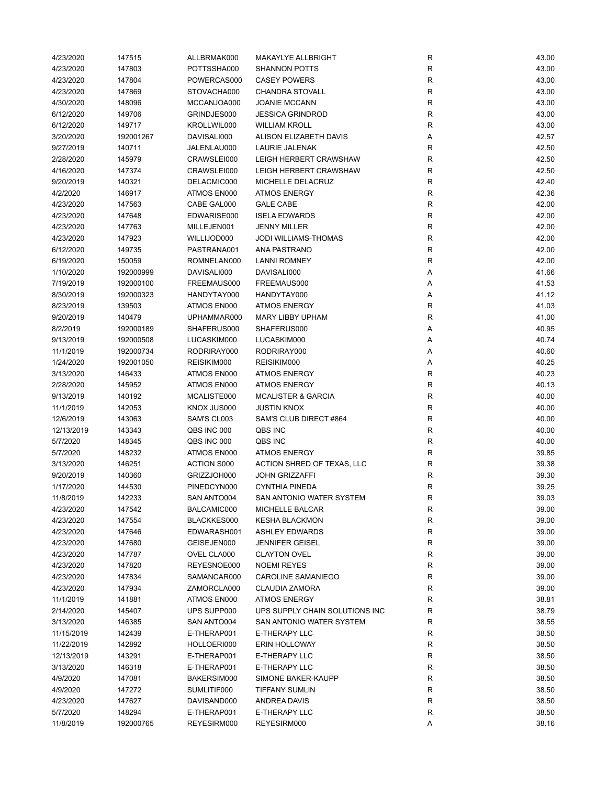| 4/23/2020  | 147515    | ALLBRMAK000        | <b>MAKAYLYE ALLBRIGHT</b>      | R                            | 43.00 |
|------------|-----------|--------------------|--------------------------------|------------------------------|-------|
| 4/23/2020  | 147803    | POTTSSHA000        | <b>SHANNON POTTS</b>           | $\mathsf{R}$                 | 43.00 |
| 4/23/2020  | 147804    | POWERCAS000        | <b>CASEY POWERS</b>            | $\mathsf{R}$                 | 43.00 |
| 4/23/2020  | 147869    | STOVACHA000        | <b>CHANDRA STOVALL</b>         | R                            | 43.00 |
| 4/30/2020  | 148096    | MCCANJOA000        | <b>JOANIE MCCANN</b>           | $\mathsf{R}$                 | 43.00 |
| 6/12/2020  | 149706    | GRINDJES000        | <b>JESSICA GRINDROD</b>        | $\mathsf{R}$                 | 43.00 |
| 6/12/2020  | 149717    | KROLLWIL000        | <b>WILLIAM KROLL</b>           | $\mathsf{R}$                 | 43.00 |
| 3/20/2020  | 192001267 | DAVISALI000        | ALISON ELIZABETH DAVIS         | Α                            | 42.57 |
| 9/27/2019  | 140711    | JALENLAU000        | LAURIE JALENAK                 | $\mathsf{R}$                 | 42.50 |
| 2/28/2020  | 145979    | CRAWSLEI000        | LEIGH HERBERT CRAWSHAW         | $\mathsf{R}$                 | 42.50 |
| 4/16/2020  | 147374    | CRAWSLEI000        | LEIGH HERBERT CRAWSHAW         | R                            | 42.50 |
| 9/20/2019  | 140321    | DELACMIC000        | MICHELLE DELACRUZ              | $\mathsf{R}$                 | 42.40 |
| 4/2/2020   | 146917    | ATMOS EN000        | <b>ATMOS ENERGY</b>            | R                            | 42.36 |
| 4/23/2020  | 147563    | CABE GAL000        | <b>GALE CABE</b>               | R                            | 42.00 |
| 4/23/2020  | 147648    | EDWARISE000        | <b>ISELA EDWARDS</b>           | $\mathsf{R}$                 | 42.00 |
| 4/23/2020  | 147763    | MILLEJEN001        | <b>JENNY MILLER</b>            | $\mathsf{R}$                 | 42.00 |
| 4/23/2020  | 147923    | WILLIJOD000        | JODI WILLIAMS-THOMAS           | $\mathsf{R}$                 | 42.00 |
|            |           | PASTRANA001        | ANA PASTRANO                   |                              |       |
| 6/12/2020  | 149735    |                    |                                | $\mathsf{R}$<br>$\mathsf{R}$ | 42.00 |
| 6/19/2020  | 150059    | ROMNELAN000        | <b>LANNI ROMNEY</b>            |                              | 42.00 |
| 1/10/2020  | 192000999 | DAVISALI000        | DAVISALI000                    | Α                            | 41.66 |
| 7/19/2019  | 192000100 | FREEMAUS000        | FREEMAUS000                    | Α                            | 41.53 |
| 8/30/2019  | 192000323 | HANDYTAY000        | HANDYTAY000                    | Α                            | 41.12 |
| 8/23/2019  | 139503    | ATMOS EN000        | <b>ATMOS ENERGY</b>            | R                            | 41.03 |
| 9/20/2019  | 140479    | UPHAMMAR000        | <b>MARY LIBBY UPHAM</b>        | $\mathsf{R}$                 | 41.00 |
| 8/2/2019   | 192000189 | SHAFERUS000        | SHAFERUS000                    | Α                            | 40.95 |
| 9/13/2019  | 192000508 | LUCASKIM000        | LUCASKIM000                    | Α                            | 40.74 |
| 11/1/2019  | 192000734 | RODRIRAY000        | RODRIRAY000                    | Α                            | 40.60 |
| 1/24/2020  | 192001050 | REISIKIM000        | REISIKIM000                    | Α                            | 40.25 |
| 3/13/2020  | 146433    | ATMOS EN000        | <b>ATMOS ENERGY</b>            | $\mathsf{R}$                 | 40.23 |
| 2/28/2020  | 145952    | ATMOS EN000        | <b>ATMOS ENERGY</b>            | R                            | 40.13 |
| 9/13/2019  | 140192    | MCALISTE000        | <b>MCALISTER &amp; GARCIA</b>  | R                            | 40.00 |
| 11/1/2019  | 142053    | KNOX JUS000        | <b>JUSTIN KNOX</b>             | R                            | 40.00 |
| 12/6/2019  | 143063    | SAM'S CL003        | SAM'S CLUB DIRECT #864         | R                            | 40.00 |
| 12/13/2019 | 143343    | QBS INC 000        | QBS INC                        | R                            | 40.00 |
| 5/7/2020   | 148345    | QBS INC 000        | QBS INC                        | $\mathsf{R}$                 | 40.00 |
| 5/7/2020   | 148232    | ATMOS EN000        | <b>ATMOS ENERGY</b>            | $\mathsf{R}$                 | 39.85 |
| 3/13/2020  | 146251    | <b>ACTION S000</b> | ACTION SHRED OF TEXAS, LLC     | $\mathsf{R}$                 | 39.38 |
| 9/20/2019  | 140360    | GRIZZJOH000        | <b>JOHN GRIZZAFFI</b>          | R                            | 39.30 |
| 1/17/2020  | 144530    | PINEDCYN000        | <b>CYNTHIA PINEDA</b>          | $\mathsf{R}$                 | 39.25 |
| 11/8/2019  | 142233    | SAN ANTO004        | SAN ANTONIO WATER SYSTEM       | R                            | 39.03 |
| 4/23/2020  | 147542    | BALCAMIC000        | MICHELLE BALCAR                | R                            | 39.00 |
| 4/23/2020  | 147554    | BLACKKES000        | <b>KESHA BLACKMON</b>          | R                            | 39.00 |
| 4/23/2020  | 147646    | EDWARASH001        | <b>ASHLEY EDWARDS</b>          | R                            | 39.00 |
| 4/23/2020  | 147680    | GEISEJEN000        | <b>JENNIFER GEISEL</b>         | R                            | 39.00 |
| 4/23/2020  | 147787    | OVEL CLA000        | <b>CLAYTON OVEL</b>            | R                            | 39.00 |
| 4/23/2020  | 147820    | REYESNOE000        | <b>NOEMI REYES</b>             | $\mathsf{R}$                 | 39.00 |
| 4/23/2020  | 147834    | SAMANCAR000        | CAROLINE SAMANIEGO             | R                            | 39.00 |
| 4/23/2020  | 147934    | ZAMORCLA000        | <b>CLAUDIA ZAMORA</b>          | R                            | 39.00 |
| 11/1/2019  | 141881    | ATMOS EN000        | <b>ATMOS ENERGY</b>            | R                            | 38.81 |
| 2/14/2020  | 145407    | UPS SUPP000        | UPS SUPPLY CHAIN SOLUTIONS INC | $\mathsf{R}$                 | 38.79 |
| 3/13/2020  | 146385    | SAN ANTO004        | SAN ANTONIO WATER SYSTEM       | $\mathsf{R}$                 | 38.55 |
|            |           |                    |                                |                              |       |
| 11/15/2019 | 142439    | E-THERAP001        | E-THERAPY LLC                  | R                            | 38.50 |
| 11/22/2019 | 142892    | HOLLOERI000        | <b>ERIN HOLLOWAY</b>           | R                            | 38.50 |
| 12/13/2019 | 143291    | E-THERAP001        | E-THERAPY LLC                  | R                            | 38.50 |
| 3/13/2020  | 146318    | E-THERAP001        | E-THERAPY LLC                  | $\mathsf{R}$                 | 38.50 |
| 4/9/2020   | 147081    | BAKERSIM000        | SIMONE BAKER-KAUPP             | $\mathsf{R}$                 | 38.50 |
| 4/9/2020   | 147272    | SUMLITIF000        | <b>TIFFANY SUMLIN</b>          | R                            | 38.50 |
| 4/23/2020  | 147627    | DAVISAND000        | ANDREA DAVIS                   | R                            | 38.50 |
| 5/7/2020   | 148294    | E-THERAP001        | <b>E-THERAPY LLC</b>           | R                            | 38.50 |
| 11/8/2019  | 192000765 | REYESIRM000        | REYESIRM000                    | Α                            | 38.16 |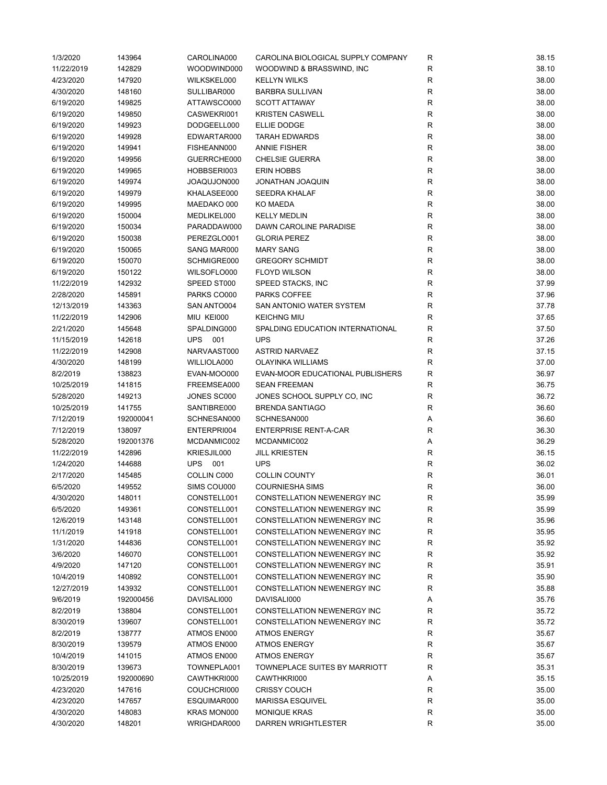| 1/3/2020   | 143964    | CAROLINA000    | CAROLINA BIOLOGICAL SUPPLY COMPANY | R           | 38.15 |
|------------|-----------|----------------|------------------------------------|-------------|-------|
| 11/22/2019 | 142829    | WOODWIND000    | WOODWIND & BRASSWIND, INC          | R           | 38.10 |
| 4/23/2020  | 147920    | WILKSKEL000    | <b>KELLYN WILKS</b>                | R           | 38.00 |
| 4/30/2020  | 148160    | SULLIBAR000    | <b>BARBRA SULLIVAN</b>             | R           | 38.00 |
| 6/19/2020  | 149825    | ATTAWSCO000    | <b>SCOTT ATTAWAY</b>               | $\mathsf R$ | 38.00 |
| 6/19/2020  | 149850    | CASWEKRI001    | <b>KRISTEN CASWELL</b>             | ${\sf R}$   | 38.00 |
| 6/19/2020  | 149923    | DODGEELL000    | <b>ELLIE DODGE</b>                 | $\mathsf R$ | 38.00 |
| 6/19/2020  | 149928    | EDWARTAR000    | <b>TARAH EDWARDS</b>               | $\mathsf R$ | 38.00 |
| 6/19/2020  | 149941    | FISHEANN000    | <b>ANNIE FISHER</b>                | R           | 38.00 |
| 6/19/2020  | 149956    | GUERRCHE000    | <b>CHELSIE GUERRA</b>              | $\mathsf R$ | 38.00 |
| 6/19/2020  | 149965    | HOBBSERI003    | <b>ERIN HOBBS</b>                  | $\mathsf R$ | 38.00 |
| 6/19/2020  | 149974    | JOAQUJON000    | JONATHAN JOAQUIN                   | R           | 38.00 |
| 6/19/2020  | 149979    | KHALASEE000    | <b>SEEDRA KHALAF</b>               | R           | 38.00 |
| 6/19/2020  | 149995    | MAEDAKO 000    | KO MAEDA                           | R           | 38.00 |
| 6/19/2020  | 150004    | MEDLIKEL000    | <b>KELLY MEDLIN</b>                | $\mathsf R$ | 38.00 |
| 6/19/2020  | 150034    | PARADDAW000    | DAWN CAROLINE PARADISE             | $\mathsf R$ | 38.00 |
| 6/19/2020  | 150038    | PEREZGLO001    | <b>GLORIA PEREZ</b>                | $\mathsf R$ | 38.00 |
|            |           |                |                                    | $\mathsf R$ |       |
| 6/19/2020  | 150065    | SANG MAR000    | <b>MARY SANG</b>                   |             | 38.00 |
| 6/19/2020  | 150070    | SCHMIGRE000    | <b>GREGORY SCHMIDT</b>             | R           | 38.00 |
| 6/19/2020  | 150122    | WILSOFLO000    | <b>FLOYD WILSON</b>                | $\mathsf R$ | 38.00 |
| 11/22/2019 | 142932    | SPEED ST000    | SPEED STACKS, INC                  | $\mathsf R$ | 37.99 |
| 2/28/2020  | 145891    | PARKS CO000    | PARKS COFFEE                       | $\mathsf R$ | 37.96 |
| 12/13/2019 | 143363    | SAN ANTO004    | SAN ANTONIO WATER SYSTEM           | R           | 37.78 |
| 11/22/2019 | 142906    | MIU KEI000     | <b>KEICHNG MIU</b>                 | R           | 37.65 |
| 2/21/2020  | 145648    | SPALDING000    | SPALDING EDUCATION INTERNATIONAL   | $\mathsf R$ | 37.50 |
| 11/15/2019 | 142618    | <b>UPS 001</b> | <b>UPS</b>                         | $\mathsf R$ | 37.26 |
| 11/22/2019 | 142908    | NARVAAST000    | <b>ASTRID NARVAEZ</b>              | $\mathsf R$ | 37.15 |
| 4/30/2020  | 148199    | WILLIOLA000    | OLAYINKA WILLIAMS                  | R           | 37.00 |
| 8/2/2019   | 138823    | EVAN-MOO000    | EVAN-MOOR EDUCATIONAL PUBLISHERS   | R           | 36.97 |
| 10/25/2019 | 141815    | FREEMSEA000    | <b>SEAN FREEMAN</b>                | $\mathsf R$ | 36.75 |
| 5/28/2020  | 149213    | JONES SC000    | JONES SCHOOL SUPPLY CO, INC        | R           | 36.72 |
| 10/25/2019 | 141755    | SANTIBRE000    | <b>BRENDA SANTIAGO</b>             | $\mathsf R$ | 36.60 |
| 7/12/2019  | 192000041 | SCHNESAN000    | SCHNESAN000                        | Α           | 36.60 |
| 7/12/2019  | 138097    | ENTERPRI004    | <b>ENTERPRISE RENT-A-CAR</b>       | R           | 36.30 |
| 5/28/2020  | 192001376 | MCDANMIC002    | MCDANMIC002                        | Α           | 36.29 |
| 11/22/2019 | 142896    | KRIESJIL000    | <b>JILL KRIESTEN</b>               | R           | 36.15 |
| 1/24/2020  | 144688    | UPS 001        | <b>UPS</b>                         | ${\sf R}$   | 36.02 |
| 2/17/2020  | 145485    | COLLIN C000    | <b>COLLIN COUNTY</b>               | $\mathsf R$ | 36.01 |
| 6/5/2020   | 149552    | SIMS COU000    | <b>COURNIESHA SIMS</b>             | $\mathsf R$ | 36.00 |
| 4/30/2020  | 148011    | CONSTELL001    | CONSTELLATION NEWENERGY INC        | R           | 35.99 |
| 6/5/2020   | 149361    | CONSTELL001    | CONSTELLATION NEWENERGY INC        | R           | 35.99 |
| 12/6/2019  | 143148    | CONSTELL001    | CONSTELLATION NEWENERGY INC        | ${\sf R}$   | 35.96 |
| 11/1/2019  | 141918    | CONSTELL001    | <b>CONSTELLATION NEWENERGY INC</b> | R           | 35.95 |
| 1/31/2020  | 144836    | CONSTELL001    | <b>CONSTELLATION NEWENERGY INC</b> | R           | 35.92 |
| 3/6/2020   | 146070    | CONSTELL001    | CONSTELLATION NEWENERGY INC        | R           | 35.92 |
| 4/9/2020   | 147120    | CONSTELL001    | CONSTELLATION NEWENERGY INC        | ${\sf R}$   | 35.91 |
| 10/4/2019  | 140892    | CONSTELL001    | CONSTELLATION NEWENERGY INC        | R           | 35.90 |
| 12/27/2019 | 143932    | CONSTELL001    | CONSTELLATION NEWENERGY INC        | R           | 35.88 |
|            |           | DAVISALI000    |                                    |             |       |
| 9/6/2019   | 192000456 |                | DAVISALI000                        | Α           | 35.76 |
| 8/2/2019   | 138804    | CONSTELL001    | CONSTELLATION NEWENERGY INC        | R           | 35.72 |
| 8/30/2019  | 139607    | CONSTELL001    | CONSTELLATION NEWENERGY INC        | R           | 35.72 |
| 8/2/2019   | 138777    | ATMOS EN000    | <b>ATMOS ENERGY</b>                | R           | 35.67 |
| 8/30/2019  | 139579    | ATMOS EN000    | <b>ATMOS ENERGY</b>                | R           | 35.67 |
| 10/4/2019  | 141015    | ATMOS EN000    | <b>ATMOS ENERGY</b>                | R           | 35.67 |
| 8/30/2019  | 139673    | TOWNEPLA001    | TOWNEPLACE SUITES BY MARRIOTT      | R           | 35.31 |
| 10/25/2019 | 192000690 | CAWTHKRI000    | CAWTHKRI000                        | Α           | 35.15 |
| 4/23/2020  | 147616    | COUCHCRI000    | <b>CRISSY COUCH</b>                | R           | 35.00 |
| 4/23/2020  | 147657    | ESQUIMAR000    | <b>MARISSA ESQUIVEL</b>            | R           | 35.00 |
| 4/30/2020  | 148083    | KRAS MON000    | <b>MONIQUE KRAS</b>                | R           | 35.00 |
| 4/30/2020  | 148201    | WRIGHDAR000    | DARREN WRIGHTLESTER                | R           | 35.00 |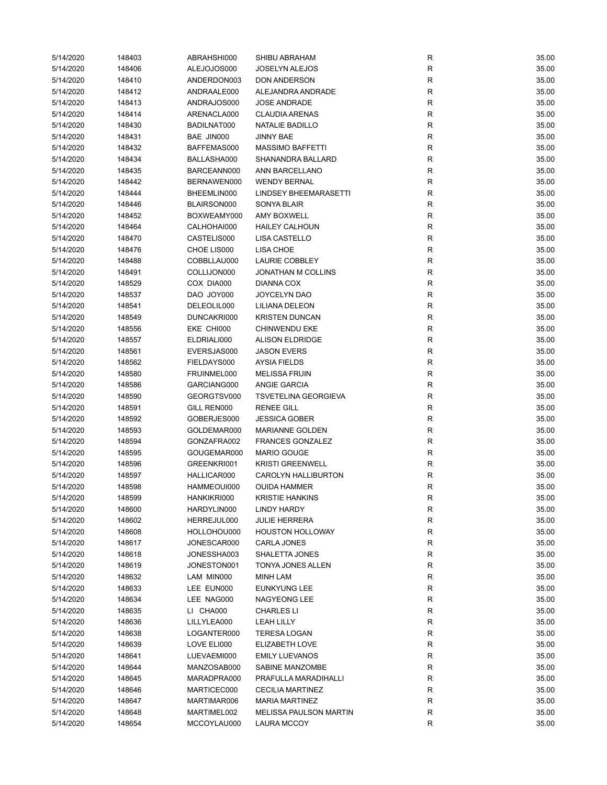| 5/14/2020 | 148403 | ABRAHSHI000 | SHIBU ABRAHAM                 | R            | 35.00 |
|-----------|--------|-------------|-------------------------------|--------------|-------|
| 5/14/2020 | 148406 | ALEJOJOS000 | <b>JOSELYN ALEJOS</b>         | $\mathsf{R}$ | 35.00 |
| 5/14/2020 | 148410 | ANDERDON003 | <b>DON ANDERSON</b>           | $\mathsf{R}$ | 35.00 |
| 5/14/2020 | 148412 | ANDRAALE000 | ALEJANDRA ANDRADE             | R            | 35.00 |
| 5/14/2020 | 148413 | ANDRAJOS000 | <b>JOSE ANDRADE</b>           | R            | 35.00 |
| 5/14/2020 | 148414 | ARENACLA000 | <b>CLAUDIA ARENAS</b>         | $\mathsf{R}$ | 35.00 |
| 5/14/2020 | 148430 | BADILNAT000 | NATALIE BADILLO               | $\mathsf{R}$ | 35.00 |
| 5/14/2020 | 148431 | BAE JIN000  | <b>JINNY BAE</b>              | R            | 35.00 |
| 5/14/2020 | 148432 | BAFFEMAS000 | MASSIMO BAFFETTI              | $\mathsf{R}$ | 35.00 |
| 5/14/2020 | 148434 | BALLASHA000 | <b>SHANANDRA BALLARD</b>      | R            | 35.00 |
| 5/14/2020 | 148435 | BARCEANN000 | ANN BARCELLANO                | R            | 35.00 |
| 5/14/2020 | 148442 | BERNAWEN000 | <b>WENDY BERNAL</b>           | $\mathsf{R}$ | 35.00 |
| 5/14/2020 | 148444 | BHEEMLIN000 | <b>LINDSEY BHEEMARASETTI</b>  | R            | 35.00 |
| 5/14/2020 | 148446 | BLAIRSON000 | <b>SONYA BLAIR</b>            | R            | 35.00 |
| 5/14/2020 | 148452 | BOXWEAMY000 | <b>AMY BOXWELL</b>            | $\mathsf{R}$ | 35.00 |
| 5/14/2020 | 148464 | CALHOHAI000 | <b>HAILEY CALHOUN</b>         | $\mathsf{R}$ | 35.00 |
| 5/14/2020 | 148470 | CASTELIS000 | LISA CASTELLO                 | $\mathsf{R}$ | 35.00 |
| 5/14/2020 | 148476 | CHOE LIS000 | LISA CHOE                     | $\mathsf{R}$ | 35.00 |
| 5/14/2020 | 148488 | COBBLLAU000 | <b>LAURIE COBBLEY</b>         | $\mathsf{R}$ | 35.00 |
| 5/14/2020 | 148491 | COLLIJON000 | <b>JONATHAN M COLLINS</b>     | R            | 35.00 |
|           |        | COX DIA000  |                               |              |       |
| 5/14/2020 | 148529 |             | <b>DIANNA COX</b>             | R            | 35.00 |
| 5/14/2020 | 148537 | DAO JOY000  | JOYCELYN DAO                  | R            | 35.00 |
| 5/14/2020 | 148541 | DELEOLIL000 | LILIANA DELEON                | R            | 35.00 |
| 5/14/2020 | 148549 | DUNCAKRI000 | <b>KRISTEN DUNCAN</b>         | R            | 35.00 |
| 5/14/2020 | 148556 | EKE CHI000  | <b>CHINWENDU EKE</b>          | $\mathsf{R}$ | 35.00 |
| 5/14/2020 | 148557 | ELDRIALI000 | <b>ALISON ELDRIDGE</b>        | $\mathsf{R}$ | 35.00 |
| 5/14/2020 | 148561 | EVERSJAS000 | <b>JASON EVERS</b>            | $\mathsf{R}$ | 35.00 |
| 5/14/2020 | 148562 | FIELDAYS000 | AYSIA FIELDS                  | R            | 35.00 |
| 5/14/2020 | 148580 | FRUINMEL000 | <b>MELISSA FRUIN</b>          | $\mathsf{R}$ | 35.00 |
| 5/14/2020 | 148586 | GARCIANG000 | <b>ANGIE GARCIA</b>           | R            | 35.00 |
| 5/14/2020 | 148590 | GEORGTSV000 | <b>TSVETELINA GEORGIEVA</b>   | R            | 35.00 |
| 5/14/2020 | 148591 | GILL REN000 | <b>RENEE GILL</b>             | R            | 35.00 |
| 5/14/2020 | 148592 | GOBERJES000 | <b>JESSICA GOBER</b>          | R            | 35.00 |
| 5/14/2020 | 148593 | GOLDEMAR000 | MARIANNE GOLDEN               | R            | 35.00 |
| 5/14/2020 | 148594 | GONZAFRA002 | <b>FRANCES GONZALEZ</b>       | R            | 35.00 |
| 5/14/2020 | 148595 | GOUGEMAR000 | <b>MARIO GOUGE</b>            | $\mathsf{R}$ | 35.00 |
| 5/14/2020 | 148596 | GREENKRI001 | <b>KRISTI GREENWELL</b>       | $\mathsf{R}$ | 35.00 |
| 5/14/2020 | 148597 | HALLICAR000 | CAROLYN HALLIBURTON           | R            | 35.00 |
| 5/14/2020 | 148598 | HAMMEOUI000 | <b>OUIDA HAMMER</b>           | R            | 35.00 |
| 5/14/2020 | 148599 | HANKIKRI000 | <b>KRISTIE HANKINS</b>        | R            | 35.00 |
| 5/14/2020 | 148600 | HARDYLIN000 | <b>LINDY HARDY</b>            | R            | 35.00 |
| 5/14/2020 | 148602 | HERREJUL000 | <b>JULIE HERRERA</b>          | R            | 35.00 |
| 5/14/2020 | 148608 | HOLLOHOU000 | <b>HOUSTON HOLLOWAY</b>       | R            | 35.00 |
| 5/14/2020 | 148617 | JONESCAR000 | CARLA JONES                   | R            | 35.00 |
| 5/14/2020 | 148618 | JONESSHA003 | SHALETTA JONES                | R            | 35.00 |
| 5/14/2020 | 148619 | JONESTON001 | TONYA JONES ALLEN             | $\mathsf{R}$ | 35.00 |
| 5/14/2020 | 148632 | LAM MIN000  | MINH LAM                      | R            | 35.00 |
| 5/14/2020 | 148633 | LEE EUN000  | <b>EUNKYUNG LEE</b>           | R            | 35.00 |
| 5/14/2020 | 148634 | LEE NAG000  | NAGYEONG LEE                  | R            | 35.00 |
| 5/14/2020 | 148635 | LI CHA000   | <b>CHARLES LI</b>             | R            | 35.00 |
| 5/14/2020 | 148636 | LILLYLEA000 | <b>LEAH LILLY</b>             | ${\sf R}$    | 35.00 |
| 5/14/2020 | 148638 | LOGANTER000 | <b>TERESA LOGAN</b>           | R            | 35.00 |
| 5/14/2020 | 148639 | LOVE ELI000 | ELIZABETH LOVE                | R            | 35.00 |
| 5/14/2020 | 148641 | LUEVAEMI000 | <b>EMILY LUEVANOS</b>         | R            | 35.00 |
| 5/14/2020 | 148644 | MANZOSAB000 | SABINE MANZOMBE               | $\mathsf{R}$ | 35.00 |
| 5/14/2020 | 148645 | MARADPRA000 | PRAFULLA MARADIHALLI          | $\mathsf{R}$ | 35.00 |
| 5/14/2020 | 148646 | MARTICEC000 | <b>CECILIA MARTINEZ</b>       | R            | 35.00 |
| 5/14/2020 | 148647 | MARTIMAR006 | <b>MARIA MARTINEZ</b>         | R            | 35.00 |
| 5/14/2020 | 148648 | MARTIMEL002 | <b>MELISSA PAULSON MARTIN</b> | R            | 35.00 |
| 5/14/2020 | 148654 | MCCOYLAU000 | <b>LAURA MCCOY</b>            | $\mathsf{R}$ | 35.00 |
|           |        |             |                               |              |       |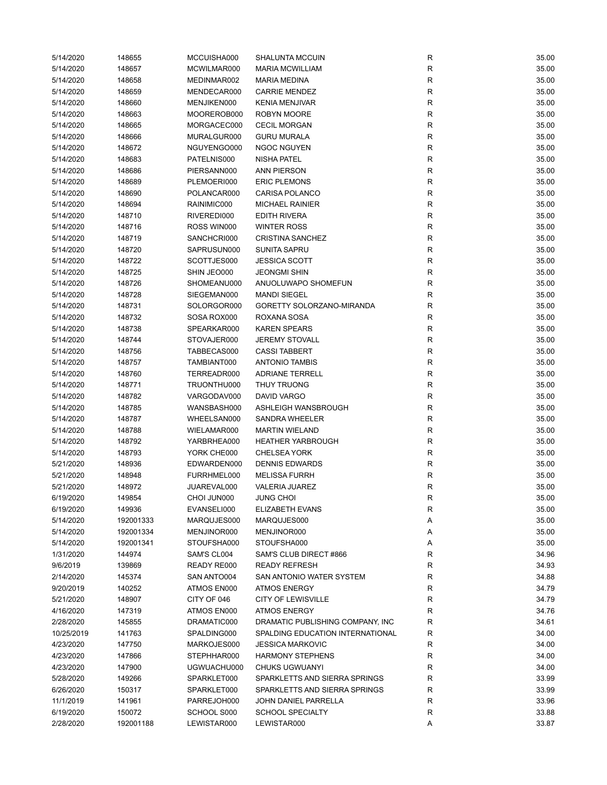| 5/14/2020  | 148655    | MCCUISHA000 | <b>SHALUNTA MCCUIN</b>           | R            | 35.00 |
|------------|-----------|-------------|----------------------------------|--------------|-------|
| 5/14/2020  | 148657    | MCWILMAR000 | <b>MARIA MCWILLIAM</b>           | ${\sf R}$    | 35.00 |
| 5/14/2020  | 148658    | MEDINMAR002 | <b>MARIA MEDINA</b>              | R            | 35.00 |
| 5/14/2020  | 148659    | MENDECAR000 | <b>CARRIE MENDEZ</b>             | $\mathsf{R}$ | 35.00 |
| 5/14/2020  | 148660    | MENJIKEN000 | <b>KENIA MENJIVAR</b>            | R            | 35.00 |
| 5/14/2020  | 148663    | MOOREROB000 | ROBYN MOORE                      | R            | 35.00 |
| 5/14/2020  | 148665    | MORGACEC000 | <b>CECIL MORGAN</b>              | R            | 35.00 |
| 5/14/2020  | 148666    | MURALGUR000 | <b>GURU MURALA</b>               | R            | 35.00 |
| 5/14/2020  | 148672    | NGUYENGO000 | NGOC NGUYEN                      | R            | 35.00 |
| 5/14/2020  | 148683    | PATELNIS000 | <b>NISHA PATEL</b>               | R            | 35.00 |
| 5/14/2020  | 148686    | PIERSANN000 | ANN PIERSON                      | R            | 35.00 |
| 5/14/2020  | 148689    | PLEMOERI000 | <b>ERIC PLEMONS</b>              | R            | 35.00 |
| 5/14/2020  | 148690    | POLANCAR000 | CARISA POLANCO                   | R            | 35.00 |
| 5/14/2020  | 148694    | RAINIMIC000 | <b>MICHAEL RAINIER</b>           | R            | 35.00 |
| 5/14/2020  | 148710    | RIVEREDI000 | <b>EDITH RIVERA</b>              | $\mathsf{R}$ | 35.00 |
| 5/14/2020  | 148716    | ROSS WIN000 | <b>WINTER ROSS</b>               | R            | 35.00 |
| 5/14/2020  | 148719    | SANCHCRI000 | <b>CRISTINA SANCHEZ</b>          | R            | 35.00 |
| 5/14/2020  | 148720    | SAPRUSUN000 | <b>SUNITA SAPRU</b>              | R            | 35.00 |
| 5/14/2020  | 148722    | SCOTTJES000 | <b>JESSICA SCOTT</b>             | R            | 35.00 |
| 5/14/2020  | 148725    | SHIN JEO000 | <b>JEONGMI SHIN</b>              | R            | 35.00 |
| 5/14/2020  | 148726    | SHOMEANU000 | ANUOLUWAPO SHOMEFUN              | R            | 35.00 |
| 5/14/2020  | 148728    | SIEGEMAN000 | <b>MANDI SIEGEL</b>              | R            | 35.00 |
| 5/14/2020  | 148731    | SOLORGOR000 | GORETTY SOLORZANO-MIRANDA        | R            | 35.00 |
| 5/14/2020  | 148732    | SOSA ROX000 | ROXANA SOSA                      | R            | 35.00 |
| 5/14/2020  | 148738    | SPEARKAR000 | <b>KAREN SPEARS</b>              | R            | 35.00 |
| 5/14/2020  | 148744    | STOVAJER000 | <b>JEREMY STOVALL</b>            | R            | 35.00 |
| 5/14/2020  | 148756    | TABBECAS000 | <b>CASSI TABBERT</b>             | R            | 35.00 |
| 5/14/2020  | 148757    | TAMBIANT000 | <b>ANTONIO TAMBIS</b>            | R            | 35.00 |
|            |           |             | <b>ADRIANE TERRELL</b>           |              |       |
| 5/14/2020  | 148760    | TERREADR000 |                                  | $\mathsf{R}$ | 35.00 |
| 5/14/2020  | 148771    | TRUONTHU000 | THUY TRUONG                      | R            | 35.00 |
| 5/14/2020  | 148782    | VARGODAV000 | <b>DAVID VARGO</b>               | R            | 35.00 |
| 5/14/2020  | 148785    | WANSBASH000 | ASHLEIGH WANSBROUGH              | R            | 35.00 |
| 5/14/2020  | 148787    | WHEELSAN000 | <b>SANDRA WHEELER</b>            | R            | 35.00 |
| 5/14/2020  | 148788    | WIELAMAR000 | <b>MARTIN WIELAND</b>            | R            | 35.00 |
| 5/14/2020  | 148792    | YARBRHEA000 | <b>HEATHER YARBROUGH</b>         | R            | 35.00 |
| 5/14/2020  | 148793    | YORK CHE000 | <b>CHELSEA YORK</b>              | R            | 35.00 |
| 5/21/2020  | 148936    | EDWARDEN000 | <b>DENNIS EDWARDS</b>            | R            | 35.00 |
| 5/21/2020  | 148948    | FURRHMEL000 | <b>MELISSA FURRH</b>             | R            | 35.00 |
| 5/21/2020  | 148972    | JUAREVAL000 | <b>VALERIA JUAREZ</b>            | $\mathsf{R}$ | 35.00 |
| 6/19/2020  | 149854    | CHOI JUN000 | JUNG CHOI                        | R            | 35.00 |
| 6/19/2020  | 149936    | EVANSELI000 | <b>ELIZABETH EVANS</b>           | R            | 35.00 |
| 5/14/2020  | 192001333 | MARQUJES000 | MARQUJES000                      | Α            | 35.00 |
| 5/14/2020  | 192001334 | MENJINOR000 | MENJINOR000                      | Α            | 35.00 |
| 5/14/2020  | 192001341 | STOUFSHA000 | STOUFSHA000                      | Α            | 35.00 |
| 1/31/2020  | 144974    | SAM'S CL004 | SAM'S CLUB DIRECT #866           | R            | 34.96 |
| 9/6/2019   | 139869    | READY RE000 | <b>READY REFRESH</b>             | R            | 34.93 |
| 2/14/2020  | 145374    | SAN ANTO004 | SAN ANTONIO WATER SYSTEM         | R            | 34.88 |
| 9/20/2019  | 140252    | ATMOS EN000 | <b>ATMOS ENERGY</b>              | R            | 34.79 |
| 5/21/2020  | 148907    | CITY OF 046 | <b>CITY OF LEWISVILLE</b>        | R            | 34.79 |
| 4/16/2020  | 147319    | ATMOS EN000 | <b>ATMOS ENERGY</b>              | R            | 34.76 |
| 2/28/2020  | 145855    | DRAMATIC000 | DRAMATIC PUBLISHING COMPANY, INC | R            | 34.61 |
| 10/25/2019 | 141763    | SPALDING000 | SPALDING EDUCATION INTERNATIONAL | R            | 34.00 |
| 4/23/2020  | 147750    | MARKOJES000 | <b>JESSICA MARKOVIC</b>          | R            | 34.00 |
| 4/23/2020  | 147866    | STEPHHAR000 | <b>HARMONY STEPHENS</b>          | R            | 34.00 |
| 4/23/2020  | 147900    | UGWUACHU000 | CHUKS UGWUANYI                   | R            | 34.00 |
| 5/28/2020  | 149266    | SPARKLET000 | SPARKLETTS AND SIERRA SPRINGS    | R            | 33.99 |
| 6/26/2020  | 150317    | SPARKLET000 | SPARKLETTS AND SIERRA SPRINGS    | R            | 33.99 |
| 11/1/2019  | 141961    | PARREJOH000 | JOHN DANIEL PARRELLA             | R            | 33.96 |
| 6/19/2020  | 150072    | SCHOOL S000 | <b>SCHOOL SPECIALTY</b>          | R            | 33.88 |
| 2/28/2020  | 192001188 | LEWISTAR000 | LEWISTAR000                      | Α            | 33.87 |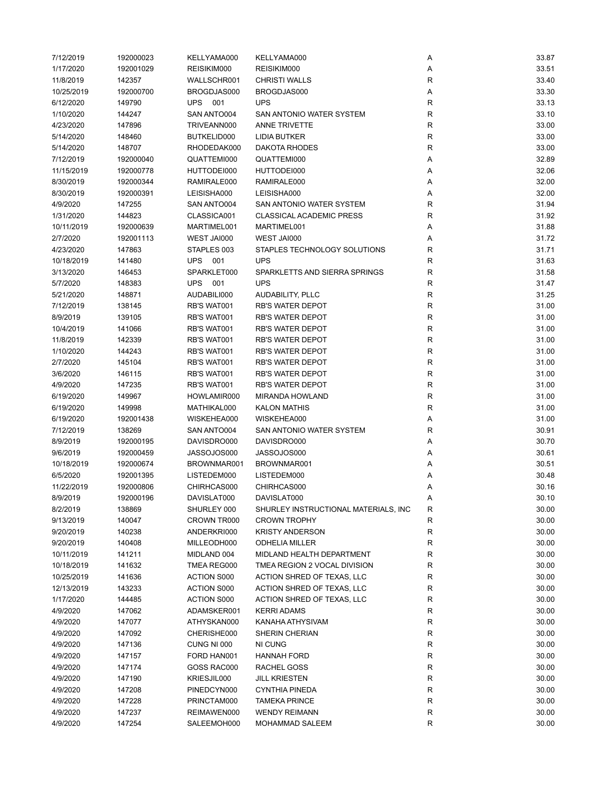| 7/12/2019  | 192000023 | KELLYAMA000        | KELLYAMA000                          | Α            | 33.87 |
|------------|-----------|--------------------|--------------------------------------|--------------|-------|
| 1/17/2020  | 192001029 | REISIKIM000        | REISIKIM000                          | Α            | 33.51 |
| 11/8/2019  | 142357    | WALLSCHR001        | <b>CHRISTI WALLS</b>                 | R            | 33.40 |
| 10/25/2019 | 192000700 | BROGDJAS000        | BROGDJAS000                          | Α            | 33.30 |
| 6/12/2020  | 149790    | <b>UPS 001</b>     | <b>UPS</b>                           | R            | 33.13 |
| 1/10/2020  | 144247    | SAN ANTO004        | SAN ANTONIO WATER SYSTEM             | R            | 33.10 |
| 4/23/2020  | 147896    | TRIVEANN000        | <b>ANNE TRIVETTE</b>                 | R            | 33.00 |
| 5/14/2020  | 148460    | BUTKELID000        | LIDIA BUTKER                         | $\mathsf R$  | 33.00 |
| 5/14/2020  | 148707    | RHODEDAK000        | <b>DAKOTA RHODES</b>                 | R            | 33.00 |
| 7/12/2019  | 192000040 | QUATTEMI000        | QUATTEMI000                          | Α            | 32.89 |
| 11/15/2019 | 192000778 | HUTTODEI000        | HUTTODEI000                          | Α            | 32.06 |
| 8/30/2019  | 192000344 | RAMIRALE000        | RAMIRALE000                          | Α            | 32.00 |
| 8/30/2019  | 192000391 | LEISISHA000        | LEISISHA000                          | Α            | 32.00 |
| 4/9/2020   | 147255    | SAN ANTO004        | SAN ANTONIO WATER SYSTEM             | R            | 31.94 |
| 1/31/2020  | 144823    | CLASSICA001        | <b>CLASSICAL ACADEMIC PRESS</b>      |              | 31.92 |
|            |           |                    |                                      | R            |       |
| 10/11/2019 | 192000639 | MARTIMEL001        | MARTIMEL001                          | Α            | 31.88 |
| 2/7/2020   | 192001113 | WEST JAI000        | WEST JAI000                          | Α            | 31.72 |
| 4/23/2020  | 147863    | STAPLES 003        | STAPLES TECHNOLOGY SOLUTIONS         | R            | 31.71 |
| 10/18/2019 | 141480    | UPS 001            | <b>UPS</b>                           | R            | 31.63 |
| 3/13/2020  | 146453    | SPARKLET000        | SPARKLETTS AND SIERRA SPRINGS        | R            | 31.58 |
| 5/7/2020   | 148383    | <b>UPS 001</b>     | <b>UPS</b>                           | R            | 31.47 |
| 5/21/2020  | 148871    | AUDABILI000        | <b>AUDABILITY, PLLC</b>              | $\mathsf{R}$ | 31.25 |
| 7/12/2019  | 138145    | RB'S WAT001        | <b>RB'S WATER DEPOT</b>              | R            | 31.00 |
| 8/9/2019   | 139105    | RB'S WAT001        | <b>RB'S WATER DEPOT</b>              | R            | 31.00 |
| 10/4/2019  | 141066    | RB'S WAT001        | <b>RB'S WATER DEPOT</b>              | R            | 31.00 |
| 11/8/2019  | 142339    | RB'S WAT001        | <b>RB'S WATER DEPOT</b>              | $\mathsf{R}$ | 31.00 |
| 1/10/2020  | 144243    | RB'S WAT001        | <b>RB'S WATER DEPOT</b>              | ${\sf R}$    | 31.00 |
| 2/7/2020   | 145104    | RB'S WAT001        | RB'S WATER DEPOT                     | ${\sf R}$    | 31.00 |
| 3/6/2020   | 146115    | RB'S WAT001        | <b>RB'S WATER DEPOT</b>              | $\mathsf R$  | 31.00 |
| 4/9/2020   | 147235    | RB'S WAT001        | <b>RB'S WATER DEPOT</b>              | R            | 31.00 |
| 6/19/2020  | 149967    | HOWLAMIR000        | <b>MIRANDA HOWLAND</b>               | $\mathsf R$  | 31.00 |
| 6/19/2020  | 149998    | MATHIKAL000        | <b>KALON MATHIS</b>                  | R            | 31.00 |
| 6/19/2020  | 192001438 | WISKEHEA000        | WISKEHEA000                          | Α            | 31.00 |
| 7/12/2019  | 138269    | SAN ANTO004        | SAN ANTONIO WATER SYSTEM             | R            | 30.91 |
| 8/9/2019   | 192000195 | DAVISDRO000        | DAVISDRO000                          | Α            | 30.70 |
| 9/6/2019   | 192000459 | JASSOJOS000        | JASSOJOS000                          | Α            | 30.61 |
| 10/18/2019 | 192000674 | BROWNMAR001        | BROWNMAR001                          | Α            | 30.51 |
| 6/5/2020   | 192001395 | LISTEDEM000        | LISTEDEM000                          | Α            | 30.48 |
| 11/22/2019 | 192000806 | CHIRHCAS000        | CHIRHCAS000                          | Α            | 30.16 |
| 8/9/2019   | 192000196 | DAVISLAT000        | DAVISLAT000                          | $\mathsf{A}$ | 30.10 |
| 8/2/2019   | 138869    | SHURLEY 000        | SHURLEY INSTRUCTIONAL MATERIALS, INC | R            | 30.00 |
| 9/13/2019  | 140047    | CROWN TR000        | <b>CROWN TROPHY</b>                  | R            | 30.00 |
| 9/20/2019  | 140238    | ANDERKRI000        | <b>KRISTY ANDERSON</b>               | $\mathsf{R}$ | 30.00 |
| 9/20/2019  | 140408    | MILLEODH000        | <b>ODHELIA MILLER</b>                | R            | 30.00 |
| 10/11/2019 | 141211    | MIDLAND 004        | MIDLAND HEALTH DEPARTMENT            | R            | 30.00 |
| 10/18/2019 | 141632    | TMEA REG000        | TMEA REGION 2 VOCAL DIVISION         | R            | 30.00 |
| 10/25/2019 | 141636    | ACTION S000        | ACTION SHRED OF TEXAS, LLC           | R            | 30.00 |
|            | 143233    | <b>ACTION S000</b> |                                      |              |       |
| 12/13/2019 |           |                    | ACTION SHRED OF TEXAS, LLC           | ${\sf R}$    | 30.00 |
| 1/17/2020  | 144485    | <b>ACTION S000</b> | ACTION SHRED OF TEXAS, LLC           | R            | 30.00 |
| 4/9/2020   | 147062    | ADAMSKER001        | <b>KERRI ADAMS</b>                   | R            | 30.00 |
| 4/9/2020   | 147077    | ATHYSKAN000        | KANAHA ATHYSIVAM                     | R            | 30.00 |
| 4/9/2020   | 147092    | CHERISHE000        | SHERIN CHERIAN                       | R            | 30.00 |
| 4/9/2020   | 147136    | CUNG NI 000        | NI CUNG                              | ${\sf R}$    | 30.00 |
| 4/9/2020   | 147157    | FORD HAN001        | <b>HANNAH FORD</b>                   | R            | 30.00 |
| 4/9/2020   | 147174    | GOSS RAC000        | RACHEL GOSS                          | R            | 30.00 |
| 4/9/2020   | 147190    | KRIESJIL000        | <b>JILL KRIESTEN</b>                 | R            | 30.00 |
| 4/9/2020   | 147208    | PINEDCYN000        | CYNTHIA PINEDA                       | R            | 30.00 |
| 4/9/2020   | 147228    | PRINCTAM000        | <b>TAMEKA PRINCE</b>                 | ${\sf R}$    | 30.00 |
| 4/9/2020   | 147237    | REIMAWEN000        | <b>WENDY REIMANN</b>                 | R            | 30.00 |
| 4/9/2020   | 147254    | SALEEMOH000        | MOHAMMAD SALEEM                      | ${\sf R}$    | 30.00 |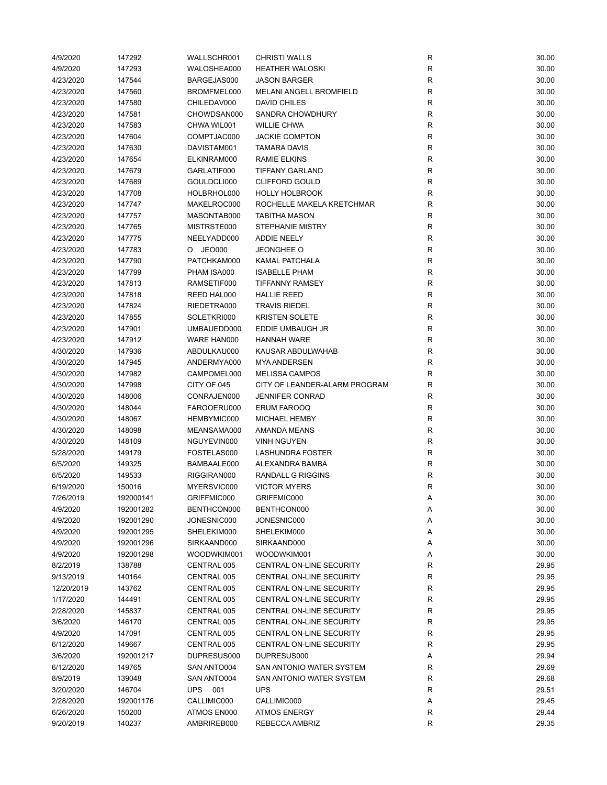| 4/9/2020   | 147292           | WALLSCHR001 | <b>CHRISTI WALLS</b>            | R           | 30.00 |
|------------|------------------|-------------|---------------------------------|-------------|-------|
| 4/9/2020   | 147293           | WALOSHEA000 | <b>HEATHER WALOSKI</b>          | ${\sf R}$   | 30.00 |
| 4/23/2020  | 147544           | BARGEJAS000 | <b>JASON BARGER</b>             | $\mathsf R$ | 30.00 |
| 4/23/2020  | 147560           | BROMFMEL000 | <b>MELANI ANGELL BROMFIELD</b>  | R           | 30.00 |
| 4/23/2020  | 147580           | CHILEDAV000 | <b>DAVID CHILES</b>             | $\mathsf R$ | 30.00 |
| 4/23/2020  | 147581           | CHOWDSAN000 | SANDRA CHOWDHURY                | $\mathsf R$ | 30.00 |
| 4/23/2020  | 147583           | CHWA WIL001 | <b>WILLIE CHWA</b>              | $\mathsf R$ | 30.00 |
| 4/23/2020  | 147604           | COMPTJAC000 | <b>JACKIE COMPTON</b>           | $\mathsf R$ | 30.00 |
| 4/23/2020  | 147630           | DAVISTAM001 | <b>TAMARA DAVIS</b>             | $\mathsf R$ | 30.00 |
| 4/23/2020  | 147654           | ELKINRAM000 | <b>RAMIE ELKINS</b>             | $\mathsf R$ | 30.00 |
| 4/23/2020  | 147679           | GARLATIF000 | <b>TIFFANY GARLAND</b>          | R           | 30.00 |
| 4/23/2020  | 147689           | GOULDCLI000 | <b>CLIFFORD GOULD</b>           | $\mathsf R$ | 30.00 |
| 4/23/2020  | 147708           | HOLBRHOL000 | <b>HOLLY HOLBROOK</b>           | R           | 30.00 |
|            |                  |             | ROCHELLE MAKELA KRETCHMAR       | $\mathsf R$ |       |
| 4/23/2020  | 147747           | MAKELROC000 |                                 |             | 30.00 |
| 4/23/2020  | 147757           | MASONTAB000 | <b>TABITHA MASON</b>            | $\mathsf R$ | 30.00 |
| 4/23/2020  | 147765           | MISTRSTE000 | <b>STEPHANIE MISTRY</b>         | $\mathsf R$ | 30.00 |
| 4/23/2020  | 147775           | NEELYADD000 | <b>ADDIE NEELY</b>              | $\mathsf R$ | 30.00 |
| 4/23/2020  | 147783           | O JEO000    | <b>JEONGHEE O</b>               | $\mathsf R$ | 30.00 |
| 4/23/2020  | 147790           | PATCHKAM000 | KAMAL PATCHALA                  | ${\sf R}$   | 30.00 |
| 4/23/2020  | 147799           | PHAM ISA000 | <b>ISABELLE PHAM</b>            | $\mathsf R$ | 30.00 |
| 4/23/2020  | 147813           | RAMSETIF000 | <b>TIFFANNY RAMSEY</b>          | $\mathsf R$ | 30.00 |
| 4/23/2020  | 147818           | REED HAL000 | <b>HALLIE REED</b>              | R           | 30.00 |
| 4/23/2020  | 147824           | RIEDETRA000 | <b>TRAVIS RIEDEL</b>            | R           | 30.00 |
| 4/23/2020  | 147855           | SOLETKRI000 | <b>KRISTEN SOLETE</b>           | ${\sf R}$   | 30.00 |
| 4/23/2020  | 147901           | UMBAUEDD000 | EDDIE UMBAUGH JR                | $\mathsf R$ | 30.00 |
| 4/23/2020  | 147912           | WARE HAN000 | <b>HANNAH WARE</b>              | $\mathsf R$ | 30.00 |
| 4/30/2020  | 147936           | ABDULKAU000 | KAUSAR ABDULWAHAB               | ${\sf R}$   | 30.00 |
| 4/30/2020  | 147945           | ANDERMYA000 | <b>MYA ANDERSEN</b>             | R           | 30.00 |
| 4/30/2020  | 147982           | CAMPOMEL000 | <b>MELISSA CAMPOS</b>           | $\mathsf R$ | 30.00 |
| 4/30/2020  | 147998           | CITY OF 045 | CITY OF LEANDER-ALARM PROGRAM   | R           | 30.00 |
| 4/30/2020  | 148006           | CONRAJEN000 | <b>JENNIFER CONRAD</b>          | R           | 30.00 |
| 4/30/2020  | 148044           | FAROOERU000 | <b>ERUM FAROOQ</b>              | R           | 30.00 |
| 4/30/2020  | 148067           | HEMBYMIC000 | <b>MICHAEL HEMBY</b>            | R           | 30.00 |
| 4/30/2020  | 148098           | MEANSAMA000 | <b>AMANDA MEANS</b>             | $\mathsf R$ | 30.00 |
| 4/30/2020  | 148109           | NGUYEVIN000 | <b>VINH NGUYEN</b>              | R           | 30.00 |
| 5/28/2020  | 149179           | FOSTELAS000 | LASHUNDRA FOSTER                | ${\sf R}$   | 30.00 |
| 6/5/2020   | 149325           | BAMBAALE000 | ALEXANDRA BAMBA                 | ${\sf R}$   | 30.00 |
| 6/5/2020   |                  | RIGGIRAN000 | RANDALL G RIGGINS               | R           | 30.00 |
| 6/19/2020  | 149533<br>150016 | MYERSVIC000 | <b>VICTOR MYERS</b>             | $\mathsf R$ |       |
|            |                  |             |                                 |             | 30.00 |
| 7/26/2019  | 192000141        | GRIFFMIC000 | GRIFFMIC000                     |             | 30.00 |
| 4/9/2020   | 192001282        | BENTHCON000 | BENTHCON000                     | Α           | 30.00 |
| 4/9/2020   | 192001290        | JONESNIC000 | JONESNIC000                     | Α           | 30.00 |
| 4/9/2020   | 192001295        | SHELEKIM000 | SHELEKIM000                     | Α           | 30.00 |
| 4/9/2020   | 192001296        | SIRKAAND000 | SIRKAAND000                     | Α           | 30.00 |
| 4/9/2020   | 192001298        | WOODWKIM001 | WOODWKIM001                     | Α           | 30.00 |
| 8/2/2019   | 138788           | CENTRAL 005 | CENTRAL ON-LINE SECURITY        | ${\sf R}$   | 29.95 |
| 9/13/2019  | 140164           | CENTRAL 005 | CENTRAL ON-LINE SECURITY        | R           | 29.95 |
| 12/20/2019 | 143762           | CENTRAL 005 | CENTRAL ON-LINE SECURITY        | R           | 29.95 |
| 1/17/2020  | 144491           | CENTRAL 005 | <b>CENTRAL ON-LINE SECURITY</b> | R           | 29.95 |
| 2/28/2020  | 145837           | CENTRAL 005 | <b>CENTRAL ON-LINE SECURITY</b> | R           | 29.95 |
| 3/6/2020   | 146170           | CENTRAL 005 | CENTRAL ON-LINE SECURITY        | ${\sf R}$   | 29.95 |
| 4/9/2020   | 147091           | CENTRAL 005 | CENTRAL ON-LINE SECURITY        | R           | 29.95 |
| 6/12/2020  | 149667           | CENTRAL 005 | CENTRAL ON-LINE SECURITY        | R           | 29.95 |
| 3/6/2020   | 192001217        | DUPRESUS000 | DUPRESUS000                     | Α           | 29.94 |
| 6/12/2020  | 149765           | SAN ANTO004 | SAN ANTONIO WATER SYSTEM        | R           | 29.69 |
| 8/9/2019   | 139048           | SAN ANTO004 | SAN ANTONIO WATER SYSTEM        | ${\sf R}$   | 29.68 |
| 3/20/2020  | 146704           | UPS 001     | <b>UPS</b>                      | R           | 29.51 |
| 2/28/2020  | 192001176        | CALLIMIC000 | CALLIMIC000                     | Α           | 29.45 |
| 6/26/2020  | 150200           | ATMOS EN000 | <b>ATMOS ENERGY</b>             | R           | 29.44 |
| 9/20/2019  | 140237           | AMBRIREB000 | REBECCA AMBRIZ                  | $\mathsf R$ | 29.35 |
|            |                  |             |                                 |             |       |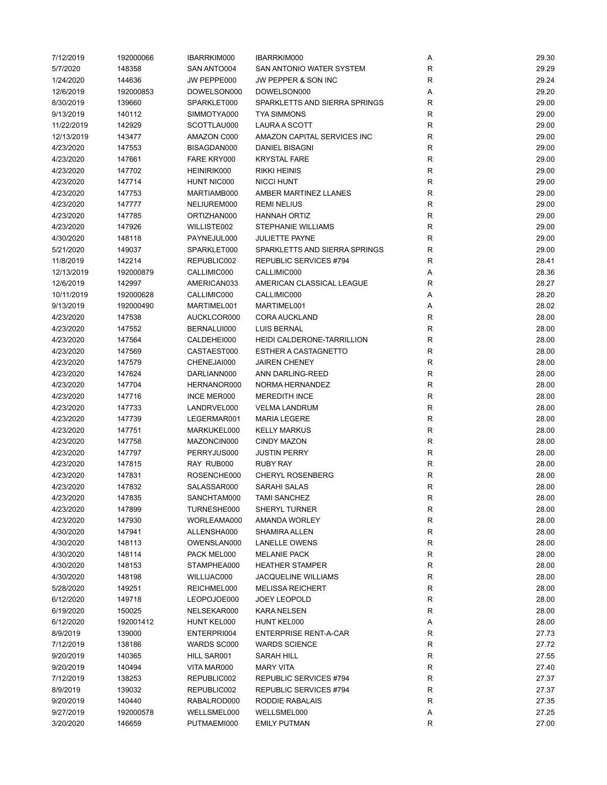| 7/12/2019  | 192000066 | IBARRKIM000        | IBARRKIM000                   | Α           | 29.30 |
|------------|-----------|--------------------|-------------------------------|-------------|-------|
| 5/7/2020   | 148358    | SAN ANTO004        | SAN ANTONIO WATER SYSTEM      | R           | 29.29 |
| 1/24/2020  | 144636    | JW PEPPE000        | JW PEPPER & SON INC           | R           | 29.24 |
| 12/6/2019  | 192000853 | DOWELSON000        | DOWELSON000                   | Α           | 29.20 |
| 8/30/2019  | 139660    | SPARKLET000        | SPARKLETTS AND SIERRA SPRINGS | R           | 29.00 |
| 9/13/2019  | 140112    | SIMMOTYA000        | <b>TYA SIMMONS</b>            | $\mathsf R$ | 29.00 |
| 11/22/2019 | 142929    | SCOTTLAU000        | LAURA A SCOTT                 | $\mathsf R$ | 29.00 |
| 12/13/2019 | 143477    | AMAZON C000        | AMAZON CAPITAL SERVICES INC   | R           | 29.00 |
| 4/23/2020  | 147553    | BISAGDAN000        | DANIEL BISAGNI                | $\mathsf R$ | 29.00 |
| 4/23/2020  | 147661    | FARE KRY000        | <b>KRYSTAL FARE</b>           | R           | 29.00 |
| 4/23/2020  | 147702    | HEINIRIK000        | <b>RIKKI HEINIS</b>           | $\mathsf R$ | 29.00 |
| 4/23/2020  | 147714    | <b>HUNT NIC000</b> | <b>NICCI HUNT</b>             | $\mathsf R$ | 29.00 |
| 4/23/2020  | 147753    | MARTIAMB000        | AMBER MARTINEZ LLANES         | R           | 29.00 |
| 4/23/2020  | 147777    | NELIUREM000        | <b>REMI NELIUS</b>            | R           | 29.00 |
| 4/23/2020  | 147785    | ORTIZHAN000        | <b>HANNAH ORTIZ</b>           | R           | 29.00 |
| 4/23/2020  | 147926    | WILLISTE002        | STEPHANIE WILLIAMS            | $\mathsf R$ | 29.00 |
| 4/30/2020  | 148118    | PAYNEJUL000        | <b>JULIETTE PAYNE</b>         | $\mathsf R$ | 29.00 |
| 5/21/2020  | 149037    | SPARKLET000        | SPARKLETTS AND SIERRA SPRINGS | $\mathsf R$ | 29.00 |
| 11/8/2019  | 142214    | REPUBLIC002        | REPUBLIC SERVICES #794        | R           | 28.41 |
| 12/13/2019 | 192000879 | CALLIMIC000        | CALLIMIC000                   | Α           | 28.36 |
| 12/6/2019  | 142997    | AMERICAN033        | AMERICAN CLASSICAL LEAGUE     |             | 28.27 |
|            |           |                    | CALLIMIC000                   | R           |       |
| 10/11/2019 | 192000628 | CALLIMIC000        |                               | Α           | 28.20 |
| 9/13/2019  | 192000490 | MARTIMEL001        | MARTIMEL001                   | Α           | 28.02 |
| 4/23/2020  | 147538    | AUCKLCOR000        | <b>CORA AUCKLAND</b>          | R           | 28.00 |
| 4/23/2020  | 147552    | BERNALUI000        | <b>LUIS BERNAL</b>            | R           | 28.00 |
| 4/23/2020  | 147564    | CALDEHEI000        | HEIDI CALDERONE-TARRILLION    | $\mathsf R$ | 28.00 |
| 4/23/2020  | 147569    | CASTAEST000        | <b>ESTHER A CASTAGNETTO</b>   | $\mathsf R$ | 28.00 |
| 4/23/2020  | 147579    | CHENEJAI000        | <b>JAIREN CHENEY</b>          | $\mathsf R$ | 28.00 |
| 4/23/2020  | 147624    | DARLIANN000        | ANN DARLING-REED              | $\mathsf R$ | 28.00 |
| 4/23/2020  | 147704    | HERNANOR000        | NORMA HERNANDEZ               | R           | 28.00 |
| 4/23/2020  | 147716    | <b>INCE MER000</b> | <b>MEREDITH INCE</b>          | $\mathsf R$ | 28.00 |
| 4/23/2020  | 147733    | LANDRVEL000        | <b>VELMA LANDRUM</b>          | R           | 28.00 |
| 4/23/2020  | 147739    | LEGERMAR001        | <b>MARIA LEGERE</b>           | $\mathsf R$ | 28.00 |
| 4/23/2020  | 147751    | MARKUKEL000        | <b>KELLY MARKUS</b>           | R           | 28.00 |
| 4/23/2020  | 147758    | MAZONCIN000        | <b>CINDY MAZON</b>            | R           | 28.00 |
| 4/23/2020  | 147797    | PERRYJUS000        | <b>JUSTIN PERRY</b>           | $\mathsf R$ | 28.00 |
| 4/23/2020  | 147815    | RAY RUB000         | <b>RUBY RAY</b>               | $\mathsf R$ | 28.00 |
| 4/23/2020  | 147831    | ROSENCHE000        | <b>CHERYL ROSENBERG</b>       | $\mathsf R$ | 28.00 |
| 4/23/2020  | 147832    | SALASSAR000        | <b>SARAHI SALAS</b>           | R           | 28.00 |
| 4/23/2020  | 147835    | SANCHTAM000        | <b>TAMI SANCHEZ</b>           | R           | 28.00 |
| 4/23/2020  | 147899    | TURNESHE000        | SHERYL TURNER                 | R           | 28.00 |
| 4/23/2020  | 147930    | WORLEAMA000        | <b>AMANDA WORLEY</b>          | R           | 28.00 |
| 4/30/2020  | 147941    | ALLENSHA000        | SHAMIRA ALLEN                 | ${\sf R}$   | 28.00 |
| 4/30/2020  | 148113    | OWENSLAN000        | <b>LANELLE OWENS</b>          | R           | 28.00 |
| 4/30/2020  | 148114    | PACK MEL000        | <b>MELANIE PACK</b>           | R           | 28.00 |
| 4/30/2020  | 148153    | STAMPHEA000        | <b>HEATHER STAMPER</b>        | R           | 28.00 |
| 4/30/2020  | 148198    | WILLIJAC000        | <b>JACQUELINE WILLIAMS</b>    | $\mathsf R$ | 28.00 |
| 5/28/2020  | 149251    | REICHMEL000        | <b>MELISSA REICHERT</b>       | ${\sf R}$   | 28.00 |
| 6/12/2020  | 149718    | LEOPOJOE000        | <b>JOEY LEOPOLD</b>           | R           | 28.00 |
| 6/19/2020  | 150025    | NELSEKAR000        | KARA NELSEN                   | R           | 28.00 |
| 6/12/2020  | 192001412 | HUNT KEL000        | HUNT KEL000                   | Α           | 28.00 |
| 8/9/2019   | 139000    | ENTERPRI004        | <b>ENTERPRISE RENT-A-CAR</b>  | R           | 27.73 |
| 7/12/2019  | 138186    | WARDS SC000        | <b>WARDS SCIENCE</b>          | ${\sf R}$   | 27.72 |
| 9/20/2019  | 140365    | HILL SAR001        | SARAH HILL                    | R           | 27.55 |
| 9/20/2019  | 140494    | VITA MAR000        | <b>MARY VITA</b>              | R           | 27.40 |
| 7/12/2019  | 138253    | REPUBLIC002        | REPUBLIC SERVICES #794        | R           | 27.37 |
| 8/9/2019   | 139032    | REPUBLIC002        | REPUBLIC SERVICES #794        | ${\sf R}$   | 27.37 |
| 9/20/2019  | 140440    | RABALROD000        | RODDIE RABALAIS               | R           | 27.35 |
| 9/27/2019  | 192000578 | WELLSMEL000        | WELLSMEL000                   | Α           | 27.25 |
| 3/20/2020  | 146659    | PUTMAEMI000        | <b>EMILY PUTMAN</b>           | R           | 27.00 |
|            |           |                    |                               |             |       |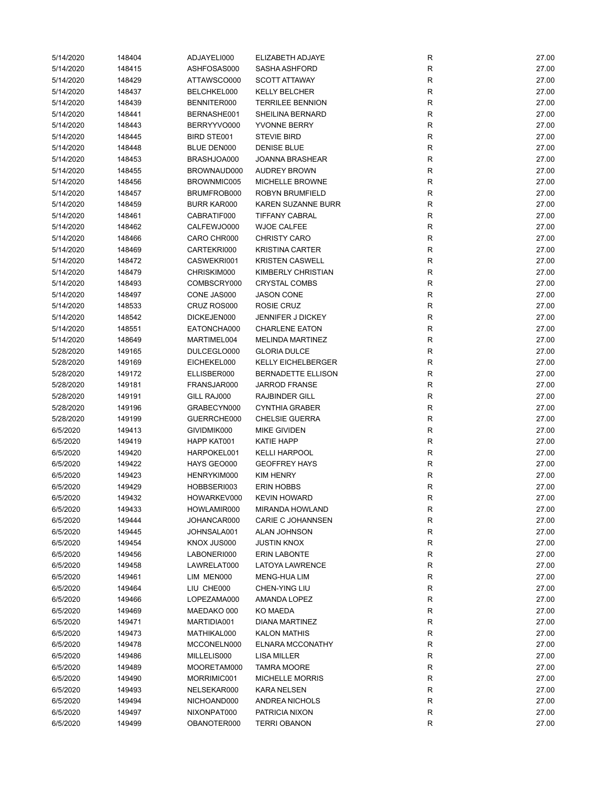| 5/14/2020 | 148404 | ADJAYELI000        | ELIZABETH ADJAYE          | R            | 27.00 |
|-----------|--------|--------------------|---------------------------|--------------|-------|
| 5/14/2020 | 148415 | ASHFOSAS000        | <b>SASHA ASHFORD</b>      | $\mathsf{R}$ | 27.00 |
| 5/14/2020 | 148429 | ATTAWSCO000        | <b>SCOTT ATTAWAY</b>      | $\mathsf{R}$ | 27.00 |
| 5/14/2020 | 148437 | BELCHKEL000        | <b>KELLY BELCHER</b>      | $\mathsf{R}$ | 27.00 |
| 5/14/2020 | 148439 | BENNITER000        | <b>TERRILEE BENNION</b>   | R            | 27.00 |
| 5/14/2020 | 148441 | BERNASHE001        | SHEILINA BERNARD          | $\mathsf{R}$ | 27.00 |
| 5/14/2020 | 148443 | BERRYYVO000        | YVONNE BERRY              | $\mathsf{R}$ | 27.00 |
| 5/14/2020 | 148445 | BIRD STE001        | <b>STEVIE BIRD</b>        | $\mathsf{R}$ | 27.00 |
| 5/14/2020 | 148448 | BLUE DEN000        | <b>DENISE BLUE</b>        | $\mathsf{R}$ | 27.00 |
| 5/14/2020 | 148453 | BRASHJOA000        | <b>JOANNA BRASHEAR</b>    | $\mathsf{R}$ | 27.00 |
| 5/14/2020 | 148455 | BROWNAUD000        | <b>AUDREY BROWN</b>       | $\mathsf{R}$ | 27.00 |
| 5/14/2020 | 148456 | BROWNMIC005        | MICHELLE BROWNE           | $\mathsf{R}$ | 27.00 |
| 5/14/2020 | 148457 | BRUMFROB000        | ROBYN BRUMFIELD           | $\mathsf{R}$ | 27.00 |
| 5/14/2020 | 148459 | <b>BURR KAR000</b> | <b>KAREN SUZANNE BURR</b> | $\mathsf{R}$ | 27.00 |
| 5/14/2020 | 148461 | CABRATIF000        | <b>TIFFANY CABRAL</b>     | R            | 27.00 |
|           |        |                    | <b>WJOE CALFEE</b>        | $\mathsf{R}$ |       |
| 5/14/2020 | 148462 | CALFEWJO000        |                           |              | 27.00 |
| 5/14/2020 | 148466 | CARO CHR000        | <b>CHRISTY CARO</b>       | $\mathsf{R}$ | 27.00 |
| 5/14/2020 | 148469 | CARTEKRI000        | <b>KRISTINA CARTER</b>    | $\mathsf{R}$ | 27.00 |
| 5/14/2020 | 148472 | CASWEKRI001        | <b>KRISTEN CASWELL</b>    | $\mathsf{R}$ | 27.00 |
| 5/14/2020 | 148479 | CHRISKIM000        | KIMBERLY CHRISTIAN        | $\mathsf{R}$ | 27.00 |
| 5/14/2020 | 148493 | COMBSCRY000        | <b>CRYSTAL COMBS</b>      | $\mathsf{R}$ | 27.00 |
| 5/14/2020 | 148497 | CONE JAS000        | <b>JASON CONE</b>         | $\mathsf{R}$ | 27.00 |
| 5/14/2020 | 148533 | CRUZ ROS000        | ROSIE CRUZ                | $\mathsf{R}$ | 27.00 |
| 5/14/2020 | 148542 | DICKEJEN000        | <b>JENNIFER J DICKEY</b>  | $\mathsf{R}$ | 27.00 |
| 5/14/2020 | 148551 | EATONCHA000        | <b>CHARLENE EATON</b>     | R            | 27.00 |
| 5/14/2020 | 148649 | MARTIMEL004        | <b>MELINDA MARTINEZ</b>   | ${\sf R}$    | 27.00 |
| 5/28/2020 | 149165 | DULCEGLO000        | <b>GLORIA DULCE</b>       | $\mathsf{R}$ | 27.00 |
| 5/28/2020 | 149169 | EICHEKEL000        | <b>KELLY EICHELBERGER</b> | $\mathsf{R}$ | 27.00 |
| 5/28/2020 | 149172 | ELLISBER000        | BERNADETTE ELLISON        | $\mathsf{R}$ | 27.00 |
| 5/28/2020 | 149181 | FRANSJAR000        | <b>JARROD FRANSE</b>      | R            | 27.00 |
| 5/28/2020 | 149191 | GILL RAJ000        | <b>RAJBINDER GILL</b>     | $\mathsf{R}$ | 27.00 |
| 5/28/2020 | 149196 | GRABECYN000        | <b>CYNTHIA GRABER</b>     | R            | 27.00 |
| 5/28/2020 | 149199 | GUERRCHE000        | <b>CHELSIE GUERRA</b>     | $\mathsf{R}$ | 27.00 |
| 6/5/2020  | 149413 | GIVIDMIK000        | <b>MIKE GIVIDEN</b>       | R            | 27.00 |
| 6/5/2020  | 149419 | HAPP KAT001        | <b>KATIE HAPP</b>         | R            | 27.00 |
| 6/5/2020  | 149420 | HARPOKEL001        | <b>KELLI HARPOOL</b>      | ${\sf R}$    | 27.00 |
| 6/5/2020  | 149422 | HAYS GEO000        | <b>GEOFFREY HAYS</b>      | $\mathsf{R}$ | 27.00 |
| 6/5/2020  | 149423 | HENRYKIM000        | <b>KIM HENRY</b>          | $\mathsf{R}$ | 27.00 |
| 6/5/2020  | 149429 | HOBBSERI003        | <b>ERIN HOBBS</b>         | R            | 27.00 |
| 6/5/2020  | 149432 | HOWARKEV000        | <b>KEVIN HOWARD</b>       | R            | 27.00 |
| 6/5/2020  | 149433 | HOWLAMIR000        | <b>MIRANDA HOWLAND</b>    | R            | 27.00 |
| 6/5/2020  | 149444 | JOHANCAR000        | <b>CARIE C JOHANNSEN</b>  | $\mathsf{R}$ | 27.00 |
| 6/5/2020  | 149445 | JOHNSALA001        | ALAN JOHNSON              | $\mathsf{R}$ | 27.00 |
| 6/5/2020  | 149454 | KNOX JUS000        | <b>JUSTIN KNOX</b>        | R            | 27.00 |
| 6/5/2020  | 149456 | LABONERI000        | <b>ERIN LABONTE</b>       | R            | 27.00 |
| 6/5/2020  | 149458 | LAWRELAT000        | <b>LATOYA LAWRENCE</b>    | R            | 27.00 |
|           |        |                    |                           |              |       |
| 6/5/2020  | 149461 | LIM MEN000         | MENG-HUA LIM              | $\mathsf{R}$ | 27.00 |
| 6/5/2020  | 149464 | LIU CHE000         | CHEN-YING LIU             | $\mathsf{R}$ | 27.00 |
| 6/5/2020  | 149466 | LOPEZAMA000        | AMANDA LOPEZ              | $\mathsf{R}$ | 27.00 |
| 6/5/2020  | 149469 | MAEDAKO 000        | KO MAEDA                  | R            | 27.00 |
| 6/5/2020  | 149471 | MARTIDIA001        | DIANA MARTINEZ            | R            | 27.00 |
| 6/5/2020  | 149473 | MATHIKAL000        | <b>KALON MATHIS</b>       | $\mathsf{R}$ | 27.00 |
| 6/5/2020  | 149478 | MCCONELN000        | <b>ELNARA MCCONATHY</b>   | $\mathsf{R}$ | 27.00 |
| 6/5/2020  | 149486 | MILLELIS000        | LISA MILLER               | R            | 27.00 |
| 6/5/2020  | 149489 | MOORETAM000        | <b>TAMRA MOORE</b>        | R            | 27.00 |
| 6/5/2020  | 149490 | MORRIMIC001        | <b>MICHELLE MORRIS</b>    | R            | 27.00 |
| 6/5/2020  | 149493 | NELSEKAR000        | KARA NELSEN               | $\mathsf{R}$ | 27.00 |
| 6/5/2020  | 149494 | NICHOAND000        | ANDREA NICHOLS            | $\mathsf{R}$ | 27.00 |
| 6/5/2020  | 149497 | NIXONPAT000        | PATRICIA NIXON            | R            | 27.00 |
| 6/5/2020  | 149499 | OBANOTER000        | <b>TERRI OBANON</b>       | ${\sf R}$    | 27.00 |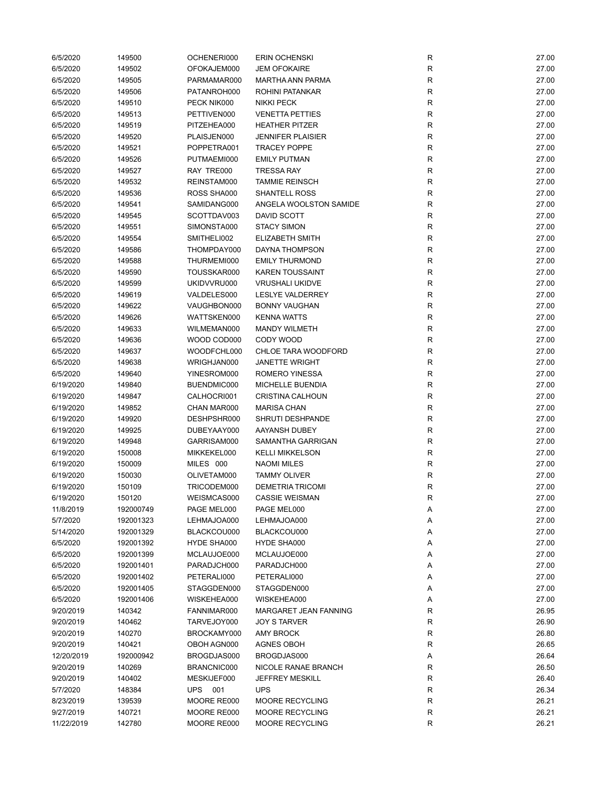| 6/5/2020   | 149500    | OCHENERI000 | <b>ERIN OCHENSKI</b>     | R            | 27.00 |
|------------|-----------|-------------|--------------------------|--------------|-------|
| 6/5/2020   | 149502    | OFOKAJEM000 | <b>JEM OFOKAIRE</b>      | R            | 27.00 |
| 6/5/2020   | 149505    | PARMAMAR000 | <b>MARTHA ANN PARMA</b>  | R            | 27.00 |
| 6/5/2020   | 149506    | PATANROH000 | ROHINI PATANKAR          | R            | 27.00 |
| 6/5/2020   | 149510    | PECK NIK000 | <b>NIKKI PECK</b>        | $\mathsf{R}$ | 27.00 |
| 6/5/2020   | 149513    | PETTIVEN000 | <b>VENETTA PETTIES</b>   | $\mathsf{R}$ | 27.00 |
| 6/5/2020   | 149519    | PITZEHEA000 | <b>HEATHER PITZER</b>    | $\mathsf{R}$ | 27.00 |
| 6/5/2020   | 149520    | PLAISJEN000 | <b>JENNIFER PLAISIER</b> | $\mathsf{R}$ | 27.00 |
| 6/5/2020   | 149521    | POPPETRA001 | <b>TRACEY POPPE</b>      | R            | 27.00 |
| 6/5/2020   | 149526    | PUTMAEMI000 | <b>EMILY PUTMAN</b>      | $\mathsf{R}$ | 27.00 |
| 6/5/2020   | 149527    | RAY TRE000  | <b>TRESSA RAY</b>        | R            | 27.00 |
| 6/5/2020   | 149532    | REINSTAM000 | <b>TAMMIE REINSCH</b>    | R            | 27.00 |
| 6/5/2020   | 149536    | ROSS SHA000 | <b>SHANTELL ROSS</b>     | R            | 27.00 |
| 6/5/2020   | 149541    | SAMIDANG000 | ANGELA WOOLSTON SAMIDE   | R            | 27.00 |
| 6/5/2020   | 149545    | SCOTTDAV003 | DAVID SCOTT              | R            | 27.00 |
| 6/5/2020   | 149551    | SIMONSTA000 | <b>STACY SIMON</b>       | $\mathsf{R}$ | 27.00 |
| 6/5/2020   | 149554    | SMITHELI002 | ELIZABETH SMITH          | $\mathsf{R}$ | 27.00 |
| 6/5/2020   | 149586    | THOMPDAY000 | DAYNA THOMPSON           | $\mathsf{R}$ | 27.00 |
|            |           |             | <b>EMILY THURMOND</b>    |              |       |
| 6/5/2020   | 149588    | THURMEMI000 |                          | R            | 27.00 |
| 6/5/2020   | 149590    | TOUSSKAR000 | <b>KAREN TOUSSAINT</b>   | $\mathsf{R}$ | 27.00 |
| 6/5/2020   | 149599    | UKIDVVRU000 | <b>VRUSHALI UKIDVE</b>   | R            | 27.00 |
| 6/5/2020   | 149619    | VALDELES000 | <b>LESLYE VALDERREY</b>  | $\mathsf{R}$ | 27.00 |
| 6/5/2020   | 149622    | VAUGHBON000 | <b>BONNY VAUGHAN</b>     | $\mathsf{R}$ | 27.00 |
| 6/5/2020   | 149626    | WATTSKEN000 | <b>KENNA WATTS</b>       | R            | 27.00 |
| 6/5/2020   | 149633    | WILMEMAN000 | <b>MANDY WILMETH</b>     | R            | 27.00 |
| 6/5/2020   | 149636    | WOOD COD000 | CODY WOOD                | $\mathsf{R}$ | 27.00 |
| 6/5/2020   | 149637    | WOODFCHL000 | CHLOE TARA WOODFORD      | $\mathsf{R}$ | 27.00 |
| 6/5/2020   | 149638    | WRIGHJAN000 | <b>JANETTE WRIGHT</b>    | $\mathsf{R}$ | 27.00 |
| 6/5/2020   | 149640    | YINESROM000 | ROMERO YINESSA           | R            | 27.00 |
| 6/19/2020  | 149840    | BUENDMIC000 | MICHELLE BUENDIA         | R            | 27.00 |
| 6/19/2020  | 149847    | CALHOCRI001 | <b>CRISTINA CALHOUN</b>  | R            | 27.00 |
| 6/19/2020  | 149852    | CHAN MAR000 | <b>MARISA CHAN</b>       | $\mathsf{R}$ | 27.00 |
| 6/19/2020  | 149920    | DESHPSHR000 | SHRUTI DESHPANDE         | R            | 27.00 |
| 6/19/2020  | 149925    | DUBEYAAY000 | AAYANSH DUBEY            | R            | 27.00 |
| 6/19/2020  | 149948    | GARRISAM000 | SAMANTHA GARRIGAN        | R            | 27.00 |
| 6/19/2020  | 150008    | MIKKEKEL000 | <b>KELLI MIKKELSON</b>   | $\mathsf{R}$ | 27.00 |
| 6/19/2020  | 150009    | MILES 000   | <b>NAOMI MILES</b>       | $\mathsf{R}$ | 27.00 |
| 6/19/2020  | 150030    | OLIVETAM000 | <b>TAMMY OLIVER</b>      | $\mathsf{R}$ | 27.00 |
| 6/19/2020  | 150109    | TRICODEM000 | <b>DEMETRIA TRICOMI</b>  | R            | 27.00 |
| 6/19/2020  | 150120    | WEISMCAS000 | CASSIE WEISMAN           | R            | 27.00 |
| 11/8/2019  | 192000749 | PAGE MEL000 | PAGE MEL000              | Α            | 27.00 |
| 5/7/2020   | 192001323 | LEHMAJOA000 | LEHMAJOA000              | Α            | 27.00 |
| 5/14/2020  | 192001329 | BLACKCOU000 | BLACKCOU000              | Α            | 27.00 |
| 6/5/2020   | 192001392 | HYDE SHA000 | HYDE SHA000              | Α            | 27.00 |
| 6/5/2020   | 192001399 | MCLAUJOE000 | MCLAUJOE000              | Α            | 27.00 |
| 6/5/2020   | 192001401 | PARADJCH000 | PARADJCH000              | Α            | 27.00 |
| 6/5/2020   | 192001402 | PETERALI000 | PETERALI000              | Α            | 27.00 |
| 6/5/2020   | 192001405 | STAGGDEN000 | STAGGDEN000              | Α            | 27.00 |
| 6/5/2020   | 192001406 | WISKEHEA000 | WISKEHEA000              | Α            | 27.00 |
| 9/20/2019  | 140342    | FANNIMAR000 | MARGARET JEAN FANNING    | R            | 26.95 |
| 9/20/2019  | 140462    | TARVEJOY000 | <b>JOY S TARVER</b>      | R            | 26.90 |
|            |           |             |                          |              |       |
| 9/20/2019  | 140270    | BROCKAMY000 | <b>AMY BROCK</b>         | $\mathsf{R}$ | 26.80 |
| 9/20/2019  | 140421    | OBOH AGN000 | <b>AGNES OBOH</b>        | R            | 26.65 |
| 12/20/2019 | 192000942 | BROGDJAS000 | BROGDJAS000              | Α            | 26.64 |
| 9/20/2019  | 140269    | BRANCNIC000 | NICOLE RANAE BRANCH      | R            | 26.50 |
| 9/20/2019  | 140402    | MESKIJEF000 | <b>JEFFREY MESKILL</b>   | $\mathsf{R}$ | 26.40 |
| 5/7/2020   | 148384    | UPS 001     | <b>UPS</b>               | $\mathsf{R}$ | 26.34 |
| 8/23/2019  | 139539    | MOORE RE000 | MOORE RECYCLING          | R            | 26.21 |
| 9/27/2019  | 140721    | MOORE RE000 | MOORE RECYCLING          | R            | 26.21 |
| 11/22/2019 | 142780    | MOORE RE000 | MOORE RECYCLING          | R            | 26.21 |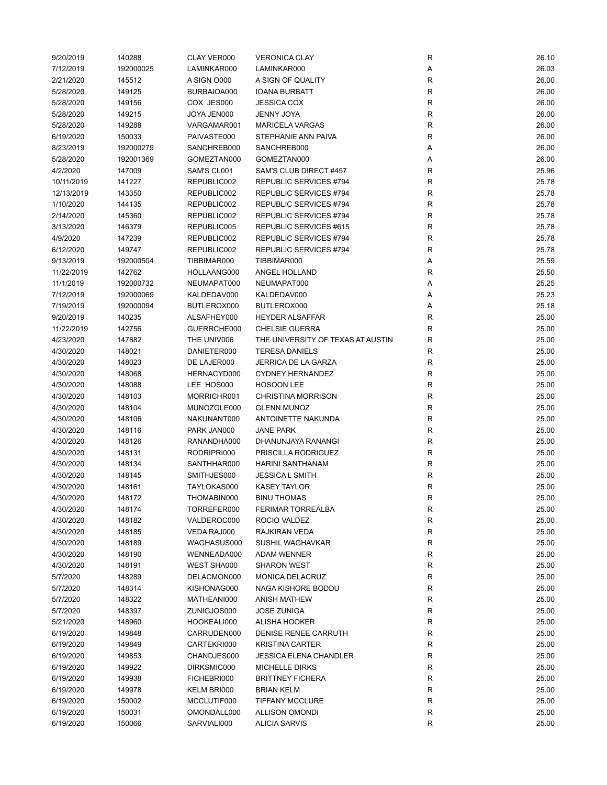| 9/20/2019  | 140288    | CLAY VER000 | <b>VERONICA CLAY</b>              | R           | 26.10 |
|------------|-----------|-------------|-----------------------------------|-------------|-------|
| 7/12/2019  | 192000025 | LAMINKAR000 | LAMINKAR000                       | Α           | 26.03 |
| 2/21/2020  | 145512    | A SIGN 0000 | A SIGN OF QUALITY                 | $\mathsf R$ | 26.00 |
| 5/28/2020  | 149125    | BURBAIOA000 | <b>IOANA BURBATT</b>              | $\mathsf R$ | 26.00 |
| 5/28/2020  | 149156    | COX JES000  | <b>JESSICA COX</b>                | R           | 26.00 |
| 5/28/2020  | 149215    | JOYA JEN000 | <b>JENNY JOYA</b>                 | $\mathsf R$ | 26.00 |
| 5/28/2020  | 149288    | VARGAMAR001 | <b>MARICELA VARGAS</b>            | ${\sf R}$   | 26.00 |
| 6/19/2020  | 150033    | PAIVASTE000 | STEPHANIE ANN PAIVA               | $\mathsf R$ | 26.00 |
| 8/23/2019  | 192000279 | SANCHREB000 | SANCHREB000                       | Α           | 26.00 |
| 5/28/2020  | 192001369 | GOMEZTAN000 | GOMEZTAN000                       | Α           | 26.00 |
| 4/2/2020   | 147009    | SAM'S CL001 | SAM'S CLUB DIRECT #457            | R           | 25.96 |
| 10/11/2019 | 141227    | REPUBLIC002 | <b>REPUBLIC SERVICES #794</b>     | $\mathsf R$ | 25.78 |
| 12/13/2019 | 143350    | REPUBLIC002 | REPUBLIC SERVICES #794            | $\mathsf R$ | 25.78 |
| 1/10/2020  | 144135    | REPUBLIC002 | REPUBLIC SERVICES #794            | R           | 25.78 |
| 2/14/2020  | 145360    | REPUBLIC002 | REPUBLIC SERVICES #794            | R           | 25.78 |
| 3/13/2020  | 146379    | REPUBLIC005 | REPUBLIC SERVICES #615            | R           | 25.78 |
|            |           |             |                                   | $\mathsf R$ | 25.78 |
| 4/9/2020   | 147239    | REPUBLIC002 | REPUBLIC SERVICES #794            | $\mathsf R$ | 25.78 |
| 6/12/2020  | 149747    | REPUBLIC002 | REPUBLIC SERVICES #794            |             |       |
| 9/13/2019  | 192000504 | TIBBIMAR000 | TIBBIMAR000                       | Α           | 25.59 |
| 11/22/2019 | 142762    | HOLLAANG000 | ANGEL HOLLAND                     | R           | 25.50 |
| 11/1/2019  | 192000732 | NEUMAPAT000 | NEUMAPAT000                       | Α           | 25.25 |
| 7/12/2019  | 192000069 | KALDEDAV000 | KALDEDAV000                       | Α           | 25.23 |
| 7/19/2019  | 192000094 | BUTLEROX000 | BUTLEROX000                       | Α           | 25.18 |
| 9/20/2019  | 140235    | ALSAFHEY000 | <b>HEYDER ALSAFFAR</b>            | R           | 25.00 |
| 11/22/2019 | 142756    | GUERRCHE000 | <b>CHELSIE GUERRA</b>             | $\mathsf R$ | 25.00 |
| 4/23/2020  | 147882    | THE UNIV006 | THE UNIVERSITY OF TEXAS AT AUSTIN | $\mathsf R$ | 25.00 |
| 4/30/2020  | 148021    | DANIETER000 | <b>TERESA DANIELS</b>             | $\mathsf R$ | 25.00 |
| 4/30/2020  | 148023    | DE LAJER000 | <b>JERRICA DE LA GARZA</b>        | $\mathsf R$ | 25.00 |
| 4/30/2020  | 148068    | HERNACYD000 | <b>CYDNEY HERNANDEZ</b>           | R           | 25.00 |
| 4/30/2020  | 148088    | LEE HOS000  | <b>HOSOON LEE</b>                 | $\mathsf R$ | 25.00 |
| 4/30/2020  | 148103    | MORRICHR001 | <b>CHRISTINA MORRISON</b>         | $\mathsf R$ | 25.00 |
| 4/30/2020  | 148104    | MUNOZGLE000 | <b>GLENN MUNOZ</b>                | R           | 25.00 |
| 4/30/2020  | 148106    | NAKUNANT000 | ANTOINETTE NAKUNDA                | R           | 25.00 |
| 4/30/2020  | 148116    | PARK JAN000 | <b>JANE PARK</b>                  | R           | 25.00 |
| 4/30/2020  | 148126    | RANANDHA000 | DHANUNJAYA RANANGI                | R           | 25.00 |
| 4/30/2020  | 148131    | RODRIPRI000 | PRISCILLA RODRIGUEZ               | R           | 25.00 |
| 4/30/2020  | 148134    | SANTHHAR000 | <b>HARINI SANTHANAM</b>           | $\mathsf R$ | 25.00 |
| 4/30/2020  | 148145    | SMITHJES000 | JESSICA L SMITH                   | $\mathsf R$ | 25.00 |
| 4/30/2020  | 148161    | TAYLOKAS000 | <b>KASEY TAYLOR</b>               | R           | 25.00 |
| 4/30/2020  | 148172    | THOMABIN000 | <b>BINU THOMAS</b>                | R           | 25.00 |
| 4/30/2020  | 148174    | TORREFER000 | FERIMAR TORREALBA                 | R           | 25.00 |
| 4/30/2020  | 148182    | VALDEROC000 | ROCIO VALDEZ                      | R           | 25.00 |
| 4/30/2020  | 148185    | VEDA RAJ000 | RAJKIRAN VEDA                     | ${\sf R}$   | 25.00 |
| 4/30/2020  | 148189    | WAGHASUS000 | SUSHIL WAGHAVKAR                  | R           | 25.00 |
| 4/30/2020  | 148190    | WENNEADA000 | <b>ADAM WENNER</b>                | R           | 25.00 |
| 4/30/2020  | 148191    | WEST SHA000 | <b>SHARON WEST</b>                | R           | 25.00 |
| 5/7/2020   | 148289    | DELACMON000 | <b>MONICA DELACRUZ</b>            | ${\sf R}$   | 25.00 |
| 5/7/2020   | 148314    | KISHONAG000 | NAGA KISHORE BODDU                | ${\sf R}$   | 25.00 |
| 5/7/2020   | 148322    | MATHEANI000 | <b>ANISH MATHEW</b>               | R           | 25.00 |
| 5/7/2020   | 148397    | ZUNIGJOS000 | <b>JOSE ZUNIGA</b>                | ${\sf R}$   | 25.00 |
| 5/21/2020  | 148960    | HOOKEALI000 | ALISHA HOOKER                     | R           | 25.00 |
| 6/19/2020  | 149848    | CARRUDEN000 | DENISE RENEE CARRUTH              | ${\sf R}$   | 25.00 |
| 6/19/2020  | 149849    | CARTEKRI000 | <b>KRISTINA CARTER</b>            | R           | 25.00 |
| 6/19/2020  | 149853    | CHANDJES000 | <b>JESSICA ELENA CHANDLER</b>     | R           | 25.00 |
| 6/19/2020  | 149922    | DIRKSMIC000 | <b>MICHELLE DIRKS</b>             | R           | 25.00 |
| 6/19/2020  | 149938    | FICHEBRI000 | <b>BRITTNEY FICHERA</b>           | R           | 25.00 |
|            | 149978    |             | <b>BRIAN KELM</b>                 | ${\sf R}$   | 25.00 |
| 6/19/2020  |           | KELM BRI000 |                                   |             |       |
| 6/19/2020  | 150002    | MCCLUTIF000 | <b>TIFFANY MCCLURE</b>            | R           | 25.00 |
| 6/19/2020  | 150031    | OMONDALL000 | <b>ALLISON OMONDI</b>             | R           | 25.00 |
| 6/19/2020  | 150066    | SARVIALI000 | <b>ALICIA SARVIS</b>              | ${\sf R}$   | 25.00 |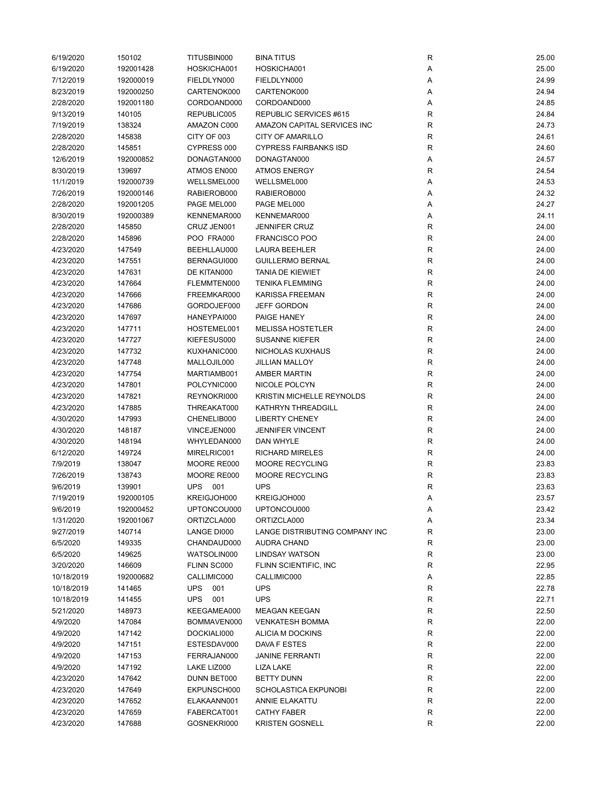| 6/19/2020  | 150102    | TITUSBIN000       | <b>BINA TITUS</b>              | R           | 25.00 |
|------------|-----------|-------------------|--------------------------------|-------------|-------|
| 6/19/2020  | 192001428 | HOSKICHA001       | HOSKICHA001                    | Α           | 25.00 |
| 7/12/2019  | 192000019 | FIELDLYN000       | FIELDLYN000                    | Α           | 24.99 |
| 8/23/2019  | 192000250 | CARTENOK000       | CARTENOK000                    | Α           | 24.94 |
| 2/28/2020  | 192001180 | CORDOAND000       | CORDOAND000                    | Α           | 24.85 |
| 9/13/2019  | 140105    | REPUBLIC005       | REPUBLIC SERVICES #615         | R           | 24.84 |
| 7/19/2019  | 138324    | AMAZON C000       | AMAZON CAPITAL SERVICES INC    | ${\sf R}$   | 24.73 |
| 2/28/2020  | 145838    | CITY OF 003       | <b>CITY OF AMARILLO</b>        | $\mathsf R$ | 24.61 |
| 2/28/2020  | 145851    | CYPRESS 000       | <b>CYPRESS FAIRBANKS ISD</b>   | R           | 24.60 |
| 12/6/2019  | 192000852 | DONAGTAN000       | DONAGTAN000                    | Α           | 24.57 |
| 8/30/2019  | 139697    | ATMOS EN000       | <b>ATMOS ENERGY</b>            | R           | 24.54 |
| 11/1/2019  | 192000739 | WELLSMEL000       | WELLSMEL000                    | Α           | 24.53 |
| 7/26/2019  | 192000146 | RABIEROB000       | RABIEROB000                    | Α           | 24.32 |
| 2/28/2020  | 192001205 | PAGE MEL000       | PAGE MEL000                    | Α           | 24.27 |
| 8/30/2019  | 192000389 | KENNEMAR000       | KENNEMAR000                    | Α           | 24.11 |
| 2/28/2020  | 145850    | CRUZ JEN001       | <b>JENNIFER CRUZ</b>           | R           | 24.00 |
| 2/28/2020  | 145896    | POO FRA000        | <b>FRANCISCO POO</b>           | $\mathsf R$ | 24.00 |
|            |           |                   |                                |             |       |
| 4/23/2020  | 147549    | BEEHLLAU000       | <b>LAURA BEEHLER</b>           | ${\sf R}$   | 24.00 |
| 4/23/2020  | 147551    | BERNAGUI000       | <b>GUILLERMO BERNAL</b>        | $\mathsf R$ | 24.00 |
| 4/23/2020  | 147631    | DE KITAN000       | <b>TANIA DE KIEWIET</b>        | R           | 24.00 |
| 4/23/2020  | 147664    | FLEMMTEN000       | <b>TENIKA FLEMMING</b>         | R           | 24.00 |
| 4/23/2020  | 147666    | FREEMKAR000       | KARISSA FREEMAN                | R           | 24.00 |
| 4/23/2020  | 147686    | GORDOJEF000       | <b>JEFF GORDON</b>             | ${\sf R}$   | 24.00 |
| 4/23/2020  | 147697    | HANEYPAI000       | PAIGE HANEY                    | R           | 24.00 |
| 4/23/2020  | 147711    | HOSTEMEL001       | <b>MELISSA HOSTETLER</b>       | ${\sf R}$   | 24.00 |
| 4/23/2020  | 147727    | KIEFESUS000       | <b>SUSANNE KIEFER</b>          | ${\sf R}$   | 24.00 |
| 4/23/2020  | 147732    | KUXHANIC000       | NICHOLAS KUXHAUS               | $\mathsf R$ | 24.00 |
| 4/23/2020  | 147748    | MALLOJIL000       | <b>JILLIAN MALLOY</b>          | $\mathsf R$ | 24.00 |
| 4/23/2020  | 147754    | MARTIAMB001       | AMBER MARTIN                   | R           | 24.00 |
| 4/23/2020  | 147801    | POLCYNIC000       | NICOLE POLCYN                  | ${\sf R}$   | 24.00 |
| 4/23/2020  | 147821    | REYNOKRI000       | KRISTIN MICHELLE REYNOLDS      | $\mathsf R$ | 24.00 |
| 4/23/2020  | 147885    | THREAKAT000       | KATHRYN THREADGILL             | R           | 24.00 |
| 4/30/2020  | 147993    | CHENELIB000       | <b>LIBERTY CHENEY</b>          | R           | 24.00 |
| 4/30/2020  | 148187    | VINCEJEN000       | <b>JENNIFER VINCENT</b>        | R           | 24.00 |
| 4/30/2020  | 148194    | WHYLEDAN000       | <b>DAN WHYLE</b>               | $\mathsf R$ | 24.00 |
| 6/12/2020  | 149724    | MIRELRIC001       | <b>RICHARD MIRELES</b>         | R           | 24.00 |
| 7/9/2019   | 138047    | MOORE RE000       | MOORE RECYCLING                | ${\sf R}$   | 23.83 |
| 7/26/2019  | 138743    | MOORE RE000       | MOORE RECYCLING                | ${\sf R}$   | 23.83 |
| 9/6/2019   | 139901    | <b>UPS 001</b>    | <b>UPS</b>                     | R           | 23.63 |
| 7/19/2019  | 192000105 | KREIGJOH000       | KREIGJOH000                    | A           | 23.57 |
| 9/6/2019   | 192000452 | UPTONCOU000       | UPTONCOU000                    | Α           | 23.42 |
| 1/31/2020  | 192001067 | ORTIZCLA000       | ORTIZCLA000                    | Α           | 23.34 |
| 9/27/2019  | 140714    | LANGE DI000       | LANGE DISTRIBUTING COMPANY INC | R           | 23.00 |
| 6/5/2020   | 149335    | CHANDAUD000       | <b>AUDRA CHAND</b>             | R           | 23.00 |
| 6/5/2020   | 149625    | WATSOLIN000       | <b>LINDSAY WATSON</b>          | R           | 23.00 |
| 3/20/2020  | 146609    | FLINN SC000       | FLINN SCIENTIFIC, INC          | R           | 22.95 |
| 10/18/2019 | 192000682 | CALLIMIC000       | CALLIMIC000                    | Α           | 22.85 |
| 10/18/2019 | 141465    | <b>UPS</b><br>001 | <b>UPS</b>                     | R           | 22.78 |
| 10/18/2019 | 141455    | <b>UPS</b><br>001 | <b>UPS</b>                     | R           | 22.71 |
| 5/21/2020  | 148973    | KEEGAMEA000       | <b>MEAGAN KEEGAN</b>           | ${\sf R}$   | 22.50 |
| 4/9/2020   | 147084    | BOMMAVEN000       | <b>VENKATESH BOMMA</b>         | R           | 22.00 |
| 4/9/2020   | 147142    |                   |                                | ${\sf R}$   | 22.00 |
|            |           | DOCKIALI000       | ALICIA M DOCKINS               |             |       |
| 4/9/2020   | 147151    | ESTESDAV000       | DAVA F ESTES                   | R           | 22.00 |
| 4/9/2020   | 147153    | FERRAJAN000       | <b>JANINE FERRANTI</b>         | R           | 22.00 |
| 4/9/2020   | 147192    | LAKE LIZ000       | LIZA LAKE                      | R           | 22.00 |
| 4/23/2020  | 147642    | DUNN BET000       | <b>BETTY DUNN</b>              | R           | 22.00 |
| 4/23/2020  | 147649    | EKPUNSCH000       | SCHOLASTICA EKPUNOBI           | ${\sf R}$   | 22.00 |
| 4/23/2020  | 147652    | ELAKAANN001       | ANNIE ELAKATTU                 | R           | 22.00 |
| 4/23/2020  | 147659    | FABERCAT001       | <b>CATHY FABER</b>             | R           | 22.00 |
| 4/23/2020  | 147688    | GOSNEKRI000       | <b>KRISTEN GOSNELL</b>         | R           | 22.00 |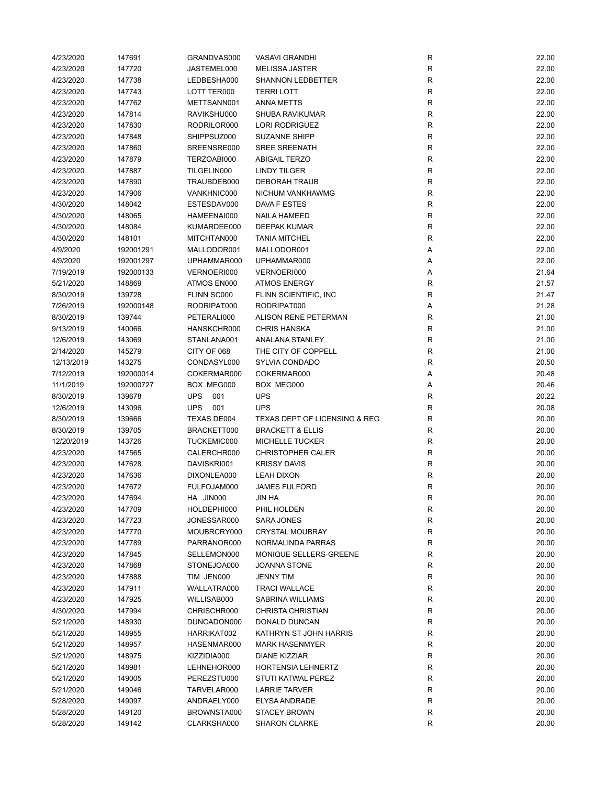| 4/23/2020  | 147691           | GRANDVAS000       | <b>VASAVI GRANDHI</b>                    | R              | 22.00 |
|------------|------------------|-------------------|------------------------------------------|----------------|-------|
| 4/23/2020  | 147720           | JASTEMEL000       | <b>MELISSA JASTER</b>                    | R              | 22.00 |
| 4/23/2020  | 147738           | LEDBESHA000       | <b>SHANNON LEDBETTER</b>                 | R              | 22.00 |
| 4/23/2020  | 147743           | LOTT TER000       | <b>TERRI LOTT</b>                        | ${\sf R}$      | 22.00 |
| 4/23/2020  | 147762           | METTSANN001       | ANNA METTS                               | R              | 22.00 |
| 4/23/2020  | 147814           | RAVIKSHU000       | SHUBA RAVIKUMAR                          | ${\sf R}$      | 22.00 |
| 4/23/2020  | 147830           | RODRILOR000       | <b>LORI RODRIGUEZ</b>                    | ${\sf R}$      | 22.00 |
| 4/23/2020  | 147848           | SHIPPSUZ000       | <b>SUZANNE SHIPP</b>                     | $\mathsf{R}$   | 22.00 |
| 4/23/2020  | 147860           | SREENSRE000       | <b>SREE SREENATH</b>                     | ${\sf R}$      | 22.00 |
| 4/23/2020  | 147879           | TERZOABI000       | <b>ABIGAIL TERZO</b>                     | R              | 22.00 |
| 4/23/2020  | 147887           | TILGELIN000       | <b>LINDY TILGER</b>                      | $\mathsf R$    | 22.00 |
| 4/23/2020  | 147890           | TRAUBDEB000       | <b>DEBORAH TRAUB</b>                     | $\mathsf R$    | 22.00 |
| 4/23/2020  | 147906           | VANKHNIC000       | NICHUM VANKHAWMG                         | R              | 22.00 |
| 4/30/2020  | 148042           | ESTESDAV000       | DAVA F ESTES                             | R              | 22.00 |
| 4/30/2020  | 148065           | HAMEENAI000       | <b>NAILA HAMEED</b>                      | R              | 22.00 |
| 4/30/2020  | 148084           | KUMARDEE000       | <b>DEEPAK KUMAR</b>                      | $\mathsf{R}$   | 22.00 |
| 4/30/2020  | 148101           | MITCHTAN000       | <b>TANIA MITCHEL</b>                     | $\mathsf{R}$   | 22.00 |
| 4/9/2020   | 192001291        | MALLODOR001       | MALLODOR001                              | Α              | 22.00 |
| 4/9/2020   | 192001297        | UPHAMMAR000       | UPHAMMAR000                              | Α              | 22.00 |
| 7/19/2019  | 192000133        | VERNOERI000       | VERNOERI000                              |                | 21.64 |
| 5/21/2020  |                  |                   |                                          | Α              | 21.57 |
|            | 148869<br>139728 | ATMOS EN000       | <b>ATMOS ENERGY</b>                      | R              |       |
| 8/30/2019  |                  | FLINN SC000       | FLINN SCIENTIFIC, INC                    | R              | 21.47 |
| 7/26/2019  | 192000148        | RODRIPAT000       | RODRIPAT000                              | Α              | 21.28 |
| 8/30/2019  | 139744           | PETERALI000       | <b>ALISON RENE PETERMAN</b>              | R              | 21.00 |
| 9/13/2019  | 140066           | HANSKCHR000       | <b>CHRIS HANSKA</b>                      | R              | 21.00 |
| 12/6/2019  | 143069           | STANLANA001       | <b>ANALANA STANLEY</b>                   | ${\sf R}$      | 21.00 |
| 2/14/2020  | 145279           | CITY OF 068       | THE CITY OF COPPELL                      | ${\sf R}$      | 21.00 |
| 12/13/2019 | 143275           | CONDASYL000       | SYLVIA CONDADO                           | ${\sf R}$      | 20.50 |
| 7/12/2019  | 192000014        | COKERMAR000       | COKERMAR000                              | Α              | 20.48 |
| 11/1/2019  | 192000727        | BOX MEG000        | BOX MEG000                               | Α              | 20.46 |
| 8/30/2019  | 139678           | <b>UPS</b><br>001 | <b>UPS</b>                               | R              | 20.22 |
| 12/6/2019  | 143096           | <b>UPS</b><br>001 | <b>UPS</b>                               | R              | 20.08 |
| 8/30/2019  | 139666           | TEXAS DE004       | <b>TEXAS DEPT OF LICENSING &amp; REG</b> | R              | 20.00 |
| 8/30/2019  | 139705           | BRACKETT000       | <b>BRACKETT &amp; ELLIS</b>              | R              | 20.00 |
| 12/20/2019 | 143726           | TUCKEMIC000       | <b>MICHELLE TUCKER</b>                   | R              | 20.00 |
| 4/23/2020  | 147565           | CALERCHR000       | <b>CHRISTOPHER CALER</b>                 | $\mathsf R$    | 20.00 |
| 4/23/2020  | 147628           | DAVISKRI001       | <b>KRISSY DAVIS</b>                      | ${\sf R}$      | 20.00 |
| 4/23/2020  | 147636           | DIXONLEA000       | <b>LEAH DIXON</b>                        | R              | 20.00 |
| 4/23/2020  | 147672           | FULFOJAM000       | <b>JAMES FULFORD</b>                     | R              | 20.00 |
| 4/23/2020  | 147694           | HA JIN000         | <b>JIN HA</b>                            | R              | 20.00 |
| 4/23/2020  | 147709           | HOLDEPHI000       | PHIL HOLDEN                              | R              | 20.00 |
| 4/23/2020  | 147723           | JONESSAR000       | SARA JONES                               | R              | 20.00 |
| 4/23/2020  | 147770           | MOUBRCRY000       | <b>CRYSTAL MOUBRAY</b>                   | R              | 20.00 |
| 4/23/2020  | 147789           | PARRANOR000       | NORMALINDA PARRAS                        | R              | 20.00 |
| 4/23/2020  | 147845           | SELLEMON000       | MONIQUE SELLERS-GREENE                   | R              | 20.00 |
| 4/23/2020  | 147868           | STONEJOA000       | JOANNA STONE                             | R              | 20.00 |
| 4/23/2020  | 147888           | TIM JEN000        | JENNY TIM                                | $\mathsf{R}$   | 20.00 |
| 4/23/2020  | 147911           | WALLATRA000       | <b>TRACI WALLACE</b>                     | ${\sf R}$      | 20.00 |
| 4/23/2020  | 147925           | WILLISAB000       | SABRINA WILLIAMS                         | R              | 20.00 |
| 4/30/2020  | 147994           | CHRISCHR000       | <b>CHRISTA CHRISTIAN</b>                 | R              | 20.00 |
| 5/21/2020  | 148930           | DUNCADON000       | DONALD DUNCAN                            | R              | 20.00 |
| 5/21/2020  | 148955           | HARRIKAT002       | KATHRYN ST JOHN HARRIS                   | R              | 20.00 |
| 5/21/2020  | 148957           | HASENMAR000       | <b>MARK HASENMYER</b>                    | R              | 20.00 |
| 5/21/2020  | 148975           | KIZZIDIA000       | DIANE KIZZIAR                            | R              | 20.00 |
| 5/21/2020  | 148981           | LEHNEHOR000       | <b>HORTENSIA LEHNERTZ</b>                | R              | 20.00 |
| 5/21/2020  | 149005           | PEREZSTU000       | STUTI KATWAL PEREZ                       | R              | 20.00 |
| 5/21/2020  | 149046           | TARVELAR000       | <b>LARRIE TARVER</b>                     | R              | 20.00 |
| 5/28/2020  | 149097           | ANDRAELY000       | <b>ELYSA ANDRADE</b>                     | $\mathsf{R}$   | 20.00 |
|            |                  |                   |                                          |                |       |
| 5/28/2020  | 149120           | BROWNSTA000       | <b>STACEY BROWN</b>                      |                | 20.00 |
| 5/28/2020  | 149142           | CLARKSHA000       | <b>SHARON CLARKE</b>                     | R<br>${\sf R}$ | 20.00 |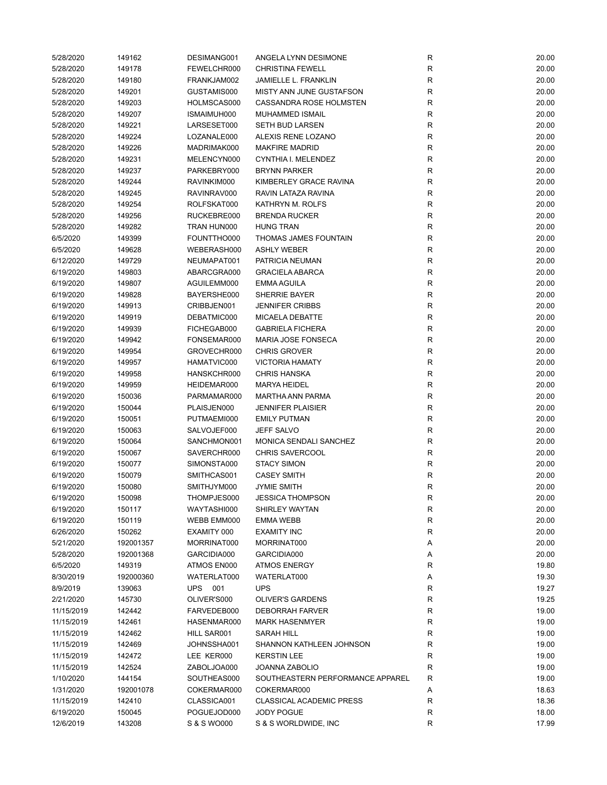| 5/28/2020  | 149162    | DESIMANG001 | ANGELA LYNN DESIMONE             | R           | 20.00 |
|------------|-----------|-------------|----------------------------------|-------------|-------|
| 5/28/2020  | 149178    | FEWELCHR000 | <b>CHRISTINA FEWELL</b>          | R           | 20.00 |
| 5/28/2020  | 149180    | FRANKJAM002 | <b>JAMIELLE L. FRANKLIN</b>      | R           | 20.00 |
| 5/28/2020  | 149201    | GUSTAMIS000 | MISTY ANN JUNE GUSTAFSON         | $\mathsf R$ | 20.00 |
| 5/28/2020  | 149203    | HOLMSCAS000 | CASSANDRA ROSE HOLMSTEN          | R           | 20.00 |
| 5/28/2020  | 149207    | ISMAIMUH000 | MUHAMMED ISMAIL                  | $\mathsf R$ | 20.00 |
| 5/28/2020  | 149221    | LARSESET000 | <b>SETH BUD LARSEN</b>           | ${\sf R}$   | 20.00 |
| 5/28/2020  | 149224    | LOZANALE000 | ALEXIS RENE LOZANO               | $\mathsf R$ | 20.00 |
| 5/28/2020  | 149226    | MADRIMAK000 | <b>MAKFIRE MADRID</b>            | $\mathsf R$ | 20.00 |
| 5/28/2020  | 149231    | MELENCYN000 | CYNTHIA I. MELENDEZ              | R           | 20.00 |
| 5/28/2020  | 149237    | PARKEBRY000 | <b>BRYNN PARKER</b>              | $\mathsf R$ | 20.00 |
| 5/28/2020  | 149244    | RAVINKIM000 | KIMBERLEY GRACE RAVINA           | $\mathsf R$ | 20.00 |
| 5/28/2020  | 149245    | RAVINRAV000 | RAVIN LATAZA RAVINA              | R           | 20.00 |
| 5/28/2020  | 149254    | ROLFSKAT000 | KATHRYN M. ROLFS                 | R           | 20.00 |
| 5/28/2020  | 149256    | RUCKEBRE000 | <b>BRENDA RUCKER</b>             | R           | 20.00 |
|            |           |             | <b>HUNG TRAN</b>                 | $\mathsf R$ |       |
| 5/28/2020  | 149282    | TRAN HUN000 |                                  | $\mathsf R$ | 20.00 |
| 6/5/2020   | 149399    | FOUNTTHO000 | THOMAS JAMES FOUNTAIN            |             | 20.00 |
| 6/5/2020   | 149628    | WEBERASH000 | <b>ASHLY WEBER</b>               | $\mathsf R$ | 20.00 |
| 6/12/2020  | 149729    | NEUMAPAT001 | PATRICIA NEUMAN                  | $\mathsf R$ | 20.00 |
| 6/19/2020  | 149803    | ABARCGRA000 | <b>GRACIELA ABARCA</b>           | $\mathsf R$ | 20.00 |
| 6/19/2020  | 149807    | AGUILEMM000 | <b>EMMA AGUILA</b>               | $\mathsf R$ | 20.00 |
| 6/19/2020  | 149828    | BAYERSHE000 | SHERRIE BAYER                    | R           | 20.00 |
| 6/19/2020  | 149913    | CRIBBJEN001 | <b>JENNIFER CRIBBS</b>           | ${\sf R}$   | 20.00 |
| 6/19/2020  | 149919    | DEBATMIC000 | <b>MICAELA DEBATTE</b>           | R           | 20.00 |
| 6/19/2020  | 149939    | FICHEGAB000 | <b>GABRIELA FICHERA</b>          | R           | 20.00 |
| 6/19/2020  | 149942    | FONSEMAR000 | MARIA JOSE FONSECA               | ${\sf R}$   | 20.00 |
| 6/19/2020  | 149954    | GROVECHR000 | <b>CHRIS GROVER</b>              | ${\sf R}$   | 20.00 |
| 6/19/2020  | 149957    | HAMATVIC000 | <b>VICTORIA HAMATY</b>           | $\mathsf R$ | 20.00 |
| 6/19/2020  | 149958    | HANSKCHR000 | <b>CHRIS HANSKA</b>              | $\mathsf R$ | 20.00 |
| 6/19/2020  | 149959    | HEIDEMAR000 | <b>MARYA HEIDEL</b>              | R           | 20.00 |
| 6/19/2020  | 150036    | PARMAMAR000 | <b>MARTHA ANN PARMA</b>          | ${\sf R}$   | 20.00 |
| 6/19/2020  | 150044    | PLAISJEN000 | <b>JENNIFER PLAISIER</b>         | R           | 20.00 |
| 6/19/2020  | 150051    | PUTMAEMI000 | <b>EMILY PUTMAN</b>              | $\mathsf R$ | 20.00 |
| 6/19/2020  | 150063    | SALVOJEF000 | <b>JEFF SALVO</b>                | R           | 20.00 |
| 6/19/2020  | 150064    | SANCHMON001 | MONICA SENDALI SANCHEZ           | R           | 20.00 |
| 6/19/2020  | 150067    | SAVERCHR000 | <b>CHRIS SAVERCOOL</b>           | $\mathsf R$ | 20.00 |
| 6/19/2020  | 150077    | SIMONSTA000 | <b>STACY SIMON</b>               | ${\sf R}$   | 20.00 |
| 6/19/2020  | 150079    | SMITHCAS001 | <b>CASEY SMITH</b>               | ${\sf R}$   | 20.00 |
| 6/19/2020  | 150080    | SMITHJYM000 | <b>JYMIE SMITH</b>               | R           | 20.00 |
| 6/19/2020  | 150098    | THOMPJES000 | <b>JESSICA THOMPSON</b>          | R           | 20.00 |
| 6/19/2020  | 150117    | WAYTASHI000 | SHIRLEY WAYTAN                   | R           | 20.00 |
| 6/19/2020  | 150119    | WEBB EMM000 | EMMA WEBB                        | ${\sf R}$   | 20.00 |
| 6/26/2020  | 150262    | EXAMITY 000 | <b>EXAMITY INC</b>               | ${\sf R}$   | 20.00 |
| 5/21/2020  | 192001357 | MORRINAT000 | MORRINAT000                      |             | 20.00 |
|            |           |             | GARCIDIA000                      | Α           |       |
| 5/28/2020  | 192001368 | GARCIDIA000 |                                  | Α           | 20.00 |
| 6/5/2020   | 149319    | ATMOS EN000 | <b>ATMOS ENERGY</b>              | R           | 19.80 |
| 8/30/2019  | 192000360 | WATERLAT000 | WATERLAT000                      | Α           | 19.30 |
| 8/9/2019   | 139063    | UPS 001     | <b>UPS</b>                       | $\mathsf R$ | 19.27 |
| 2/21/2020  | 145730    | OLIVER'S000 | <b>OLIVER'S GARDENS</b>          | R           | 19.25 |
| 11/15/2019 | 142442    | FARVEDEB000 | <b>DEBORRAH FARVER</b>           | R           | 19.00 |
| 11/15/2019 | 142461    | HASENMAR000 | <b>MARK HASENMYER</b>            | R           | 19.00 |
| 11/15/2019 | 142462    | HILL SAR001 | SARAH HILL                       | R           | 19.00 |
| 11/15/2019 | 142469    | JOHNSSHA001 | SHANNON KATHLEEN JOHNSON         | ${\sf R}$   | 19.00 |
| 11/15/2019 | 142472    | LEE KER000  | <b>KERSTIN LEE</b>               | R           | 19.00 |
| 11/15/2019 | 142524    | ZABOLJOA000 | JOANNA ZABOLIO                   | ${\sf R}$   | 19.00 |
| 1/10/2020  | 144154    | SOUTHEAS000 | SOUTHEASTERN PERFORMANCE APPAREL | $\mathsf R$ | 19.00 |
| 1/31/2020  | 192001078 | COKERMAR000 | COKERMAR000                      | Α           | 18.63 |
| 11/15/2019 | 142410    | CLASSICA001 | <b>CLASSICAL ACADEMIC PRESS</b>  | ${\sf R}$   | 18.36 |
| 6/19/2020  | 150045    | POGUEJOD000 | JODY POGUE                       | R           | 18.00 |
| 12/6/2019  | 143208    | S & S WO000 | S & S WORLDWIDE, INC             | R           | 17.99 |
|            |           |             |                                  |             |       |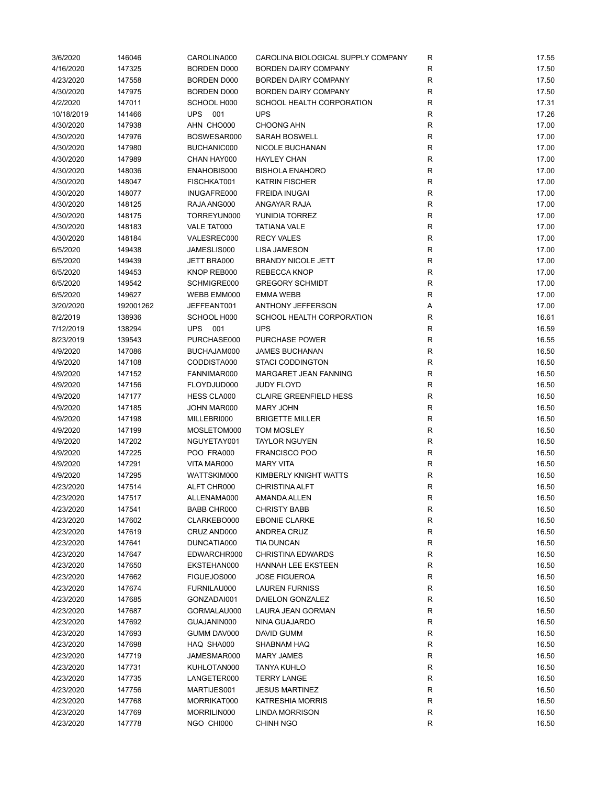| 3/6/2020   | 146046    | CAROLINA000        | CAROLINA BIOLOGICAL SUPPLY COMPANY | R            | 17.55 |
|------------|-----------|--------------------|------------------------------------|--------------|-------|
| 4/16/2020  | 147325    | <b>BORDEN D000</b> | <b>BORDEN DAIRY COMPANY</b>        | R            | 17.50 |
| 4/23/2020  | 147558    | BORDEN D000        | <b>BORDEN DAIRY COMPANY</b>        | $\mathsf{R}$ | 17.50 |
| 4/30/2020  | 147975    | <b>BORDEN D000</b> | <b>BORDEN DAIRY COMPANY</b>        | R            | 17.50 |
| 4/2/2020   | 147011    | SCHOOL H000        | SCHOOL HEALTH CORPORATION          | $\mathsf{R}$ | 17.31 |
| 10/18/2019 | 141466    | <b>UPS</b><br>001  | <b>UPS</b>                         | $\mathsf{R}$ | 17.26 |
| 4/30/2020  | 147938    | AHN CHO000         | <b>CHOONG AHN</b>                  | $\mathsf{R}$ | 17.00 |
| 4/30/2020  | 147976    | BOSWESAR000        | <b>SARAH BOSWELL</b>               | $\mathsf{R}$ | 17.00 |
| 4/30/2020  | 147980    | BUCHANIC000        | NICOLE BUCHANAN                    | R            | 17.00 |
| 4/30/2020  | 147989    | CHAN HAY000        | <b>HAYLEY CHAN</b>                 | $\mathsf{R}$ | 17.00 |
| 4/30/2020  | 148036    | ENAHOBIS000        | <b>BISHOLA ENAHORO</b>             | $\mathsf{R}$ | 17.00 |
| 4/30/2020  | 148047    | FISCHKAT001        | <b>KATRIN FISCHER</b>              | $\mathsf{R}$ | 17.00 |
| 4/30/2020  | 148077    | INUGAFRE000        | <b>FREIDA INUGAI</b>               | $\mathsf{R}$ | 17.00 |
| 4/30/2020  | 148125    | RAJA ANG000        | ANGAYAR RAJA                       | R            | 17.00 |
| 4/30/2020  | 148175    | TORREYUN000        | YUNIDIA TORREZ                     | $\mathsf{R}$ | 17.00 |
| 4/30/2020  | 148183    | VALE TAT000        | <b>TATIANA VALE</b>                | $\mathsf{R}$ | 17.00 |
| 4/30/2020  | 148184    | VALESREC000        | <b>RECY VALES</b>                  | $\mathsf{R}$ | 17.00 |
|            |           |                    | <b>LISA JAMESON</b>                |              |       |
| 6/5/2020   | 149438    | JAMESLIS000        |                                    | $\mathsf{R}$ | 17.00 |
| 6/5/2020   | 149439    | JETT BRA000        | <b>BRANDY NICOLE JETT</b>          | R            | 17.00 |
| 6/5/2020   | 149453    | KNOP REB000        | <b>REBECCA KNOP</b>                | $\mathsf{R}$ | 17.00 |
| 6/5/2020   | 149542    | SCHMIGRE000        | <b>GREGORY SCHMIDT</b>             | $\mathsf{R}$ | 17.00 |
| 6/5/2020   | 149627    | WEBB EMM000        | <b>EMMA WEBB</b>                   | $\mathsf{R}$ | 17.00 |
| 3/20/2020  | 192001262 | JEFFEANT001        | <b>ANTHONY JEFFERSON</b>           | Α            | 17.00 |
| 8/2/2019   | 138936    | SCHOOL H000        | SCHOOL HEALTH CORPORATION          | R            | 16.61 |
| 7/12/2019  | 138294    | UPS 001            | <b>UPS</b>                         | $\mathsf{R}$ | 16.59 |
| 8/23/2019  | 139543    | PURCHASE000        | <b>PURCHASE POWER</b>              | $\mathsf{R}$ | 16.55 |
| 4/9/2020   | 147086    | BUCHAJAM000        | <b>JAMES BUCHANAN</b>              | ${\sf R}$    | 16.50 |
| 4/9/2020   | 147108    | CODDISTA000        | <b>STACI CODDINGTON</b>            | $\mathsf{R}$ | 16.50 |
| 4/9/2020   | 147152    | FANNIMAR000        | MARGARET JEAN FANNING              | R            | 16.50 |
| 4/9/2020   | 147156    | FLOYDJUD000        | <b>JUDY FLOYD</b>                  | $\mathsf{R}$ | 16.50 |
| 4/9/2020   | 147177    | HESS CLA000        | <b>CLAIRE GREENFIELD HESS</b>      | R            | 16.50 |
| 4/9/2020   | 147185    | JOHN MAR000        | <b>MARY JOHN</b>                   | $\mathsf{R}$ | 16.50 |
| 4/9/2020   | 147198    | MILLEBRI000        | <b>BRIGETTE MILLER</b>             | R            | 16.50 |
| 4/9/2020   | 147199    | MOSLETOM000        | <b>TOM MOSLEY</b>                  | R            | 16.50 |
| 4/9/2020   | 147202    | NGUYETAY001        | <b>TAYLOR NGUYEN</b>               | $\mathsf{R}$ | 16.50 |
| 4/9/2020   | 147225    | POO FRA000         | <b>FRANCISCO POO</b>               | $\mathsf{R}$ | 16.50 |
| 4/9/2020   | 147291    | VITA MAR000        | <b>MARY VITA</b>                   | $\mathsf{R}$ | 16.50 |
| 4/9/2020   | 147295    | WATTSKIM000        | KIMBERLY KNIGHT WATTS              | $\mathsf{R}$ | 16.50 |
| 4/23/2020  | 147514    | ALFT CHR000        | <b>CHRISTINA ALFT</b>              | R            | 16.50 |
| 4/23/2020  | 147517    | ALLENAMA000        | AMANDA ALLEN                       | R            | 16.50 |
| 4/23/2020  | 147541    | BABB CHR000        | <b>CHRISTY BABB</b>                | R            | 16.50 |
| 4/23/2020  | 147602    | CLARKEBO000        | <b>EBONIE CLARKE</b>               | $\mathsf{R}$ | 16.50 |
| 4/23/2020  | 147619    | CRUZ AND000        | ANDREA CRUZ                        | R            | 16.50 |
| 4/23/2020  | 147641    | DUNCATIA000        | <b>TIA DUNCAN</b>                  | R            | 16.50 |
| 4/23/2020  | 147647    | EDWARCHR000        | <b>CHRISTINA EDWARDS</b>           | R            | 16.50 |
| 4/23/2020  | 147650    | EKSTEHAN000        | HANNAH LEE EKSTEEN                 | $\mathsf{R}$ | 16.50 |
| 4/23/2020  | 147662    | FIGUEJOS000        | <b>JOSE FIGUEROA</b>               | R            | 16.50 |
| 4/23/2020  | 147674    | FURNILAU000        | <b>LAUREN FURNISS</b>              | $\mathsf{R}$ | 16.50 |
| 4/23/2020  | 147685    | GONZADAI001        | DAIELON GONZALEZ                   | R            | 16.50 |
| 4/23/2020  | 147687    | GORMALAU000        | LAURA JEAN GORMAN                  | R            | 16.50 |
| 4/23/2020  | 147692    | GUAJANIN000        | NINA GUAJARDO                      | $\mathsf{R}$ | 16.50 |
|            |           |                    |                                    |              |       |
| 4/23/2020  | 147693    | GUMM DAV000        | DAVID GUMM                         | $\mathsf{R}$ | 16.50 |
| 4/23/2020  | 147698    | HAQ SHA000         | SHABNAM HAQ                        | R            | 16.50 |
| 4/23/2020  | 147719    | JAMESMAR000        | <b>MARY JAMES</b>                  | R            | 16.50 |
| 4/23/2020  | 147731    | KUHLOTAN000        | TANYA KUHLO                        | R            | 16.50 |
| 4/23/2020  | 147735    | LANGETER000        | <b>TERRY LANGE</b>                 | $\mathsf{R}$ | 16.50 |
| 4/23/2020  | 147756    | MARTIJES001        | <b>JESUS MARTINEZ</b>              | R            | 16.50 |
| 4/23/2020  | 147768    | MORRIKAT000        | <b>KATRESHIA MORRIS</b>            | R            | 16.50 |
| 4/23/2020  | 147769    | MORRILIN000        | <b>LINDA MORRISON</b>              | R            | 16.50 |
| 4/23/2020  | 147778    | NGO CHI000         | <b>CHINH NGO</b>                   | R            | 16.50 |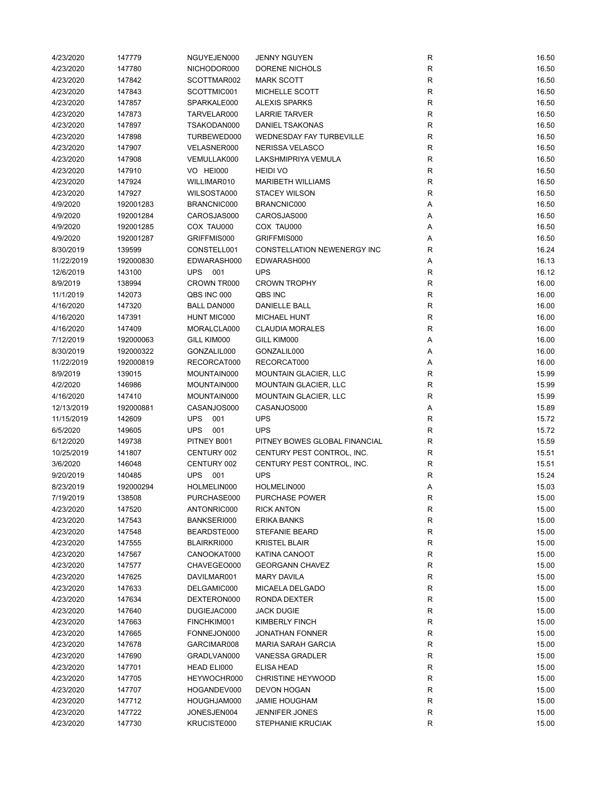| 4/23/2020  | 147779    | NGUYEJEN000        | <b>JENNY NGUYEN</b>             | $\mathsf{R}$ | 16.50 |
|------------|-----------|--------------------|---------------------------------|--------------|-------|
| 4/23/2020  | 147780    | NICHODOR000        | DORENE NICHOLS                  | R            | 16.50 |
| 4/23/2020  | 147842    | SCOTTMAR002        | <b>MARK SCOTT</b>               | R            | 16.50 |
| 4/23/2020  | 147843    | SCOTTMIC001        | MICHELLE SCOTT                  | $\mathsf{R}$ | 16.50 |
| 4/23/2020  | 147857    | SPARKALE000        | <b>ALEXIS SPARKS</b>            | $\mathsf{R}$ | 16.50 |
| 4/23/2020  | 147873    | TARVELAR000        | <b>LARRIE TARVER</b>            | ${\sf R}$    | 16.50 |
| 4/23/2020  | 147897    | TSAKODAN000        | <b>DANIEL TSAKONAS</b>          | $\mathsf R$  | 16.50 |
| 4/23/2020  | 147898    | TURBEWED000        | <b>WEDNESDAY FAY TURBEVILLE</b> | $\mathsf R$  | 16.50 |
| 4/23/2020  | 147907    | VELASNER000        | NERISSA VELASCO                 | $\mathsf R$  | 16.50 |
| 4/23/2020  | 147908    | VEMULLAK000        | <b>LAKSHMIPRIYA VEMULA</b>      | R            | 16.50 |
| 4/23/2020  | 147910    | VO HEI000          | <b>HEIDI VO</b>                 | $\mathsf R$  | 16.50 |
|            |           |                    | <b>MARIBETH WILLIAMS</b>        |              |       |
| 4/23/2020  | 147924    | WILLIMAR010        |                                 | $\mathsf R$  | 16.50 |
| 4/23/2020  | 147927    | WILSOSTA000        | <b>STACEY WILSON</b>            | R            | 16.50 |
| 4/9/2020   | 192001283 | BRANCNIC000        | BRANCNIC000                     | Α            | 16.50 |
| 4/9/2020   | 192001284 | CAROSJAS000        | CAROSJAS000                     | Α            | 16.50 |
| 4/9/2020   | 192001285 | COX TAU000         | COX TAU000                      | Α            | 16.50 |
| 4/9/2020   | 192001287 | GRIFFMIS000        | GRIFFMIS000                     | Α            | 16.50 |
| 8/30/2019  | 139599    | CONSTELL001        | CONSTELLATION NEWENERGY INC     | R            | 16.24 |
| 11/22/2019 | 192000830 | EDWARASH000        | EDWARASH000                     | Α            | 16.13 |
| 12/6/2019  | 143100    | <b>UPS 001</b>     | <b>UPS</b>                      | $\mathsf{R}$ | 16.12 |
| 8/9/2019   | 138994    | CROWN TR000        | <b>CROWN TROPHY</b>             | ${\sf R}$    | 16.00 |
| 11/1/2019  | 142073    | QBS INC 000        | QBS INC                         | $\mathsf{R}$ | 16.00 |
| 4/16/2020  | 147320    | <b>BALL DAN000</b> | DANIELLE BALL                   | $\mathsf{R}$ | 16.00 |
| 4/16/2020  | 147391    | <b>HUNT MIC000</b> | <b>MICHAEL HUNT</b>             | ${\sf R}$    | 16.00 |
| 4/16/2020  | 147409    | MORALCLA000        | <b>CLAUDIA MORALES</b>          | R            | 16.00 |
| 7/12/2019  | 192000063 | GILL KIM000        | GILL KIM000                     | Α            | 16.00 |
| 8/30/2019  | 192000322 | GONZALIL000        | GONZALIL000                     | Α            | 16.00 |
| 11/22/2019 | 192000819 | RECORCAT000        | RECORCAT000                     | Α            | 16.00 |
| 8/9/2019   | 139015    | MOUNTAIN000        | <b>MOUNTAIN GLACIER, LLC</b>    | R            | 15.99 |
| 4/2/2020   | 146986    | MOUNTAIN000        | <b>MOUNTAIN GLACIER, LLC</b>    | R            | 15.99 |
|            |           |                    |                                 | $\mathsf R$  |       |
| 4/16/2020  | 147410    | MOUNTAIN000        | <b>MOUNTAIN GLACIER, LLC</b>    |              | 15.99 |
| 12/13/2019 | 192000881 | CASANJOS000        | CASANJOS000                     | Α            | 15.89 |
| 11/15/2019 | 142609    | <b>UPS</b><br>001  | <b>UPS</b>                      | R            | 15.72 |
| 6/5/2020   | 149605    | <b>UPS</b><br>001  | <b>UPS</b>                      | $\mathsf R$  | 15.72 |
| 6/12/2020  | 149738    | PITNEY B001        | PITNEY BOWES GLOBAL FINANCIAL   | R            | 15.59 |
| 10/25/2019 | 141807    | CENTURY 002        | CENTURY PEST CONTROL, INC.      | $\mathsf R$  | 15.51 |
| 3/6/2020   | 146048    | CENTURY 002        | CENTURY PEST CONTROL, INC.      | ${\sf R}$    | 15.51 |
| 9/20/2019  | 140485    | UPS 001            | <b>UPS</b>                      | R            | 15.24 |
| 8/23/2019  | 192000294 | HOLMELIN000        | HOLMELIN000                     | Α            | 15.03 |
| 7/19/2019  | 138508    | PURCHASE000        | PURCHASE POWER                  | R            | 15.00 |
| 4/23/2020  | 147520    | ANTONRIC000        | <b>RICK ANTON</b>               | R            | 15.00 |
| 4/23/2020  | 147543    | BANKSERI000        | ERIKA BANKS                     | $\mathsf{R}$ | 15.00 |
| 4/23/2020  | 147548    | BEARDSTE000        | STEFANIE BEARD                  | $\mathsf{R}$ | 15.00 |
| 4/23/2020  | 147555    | BLAIRKRI000        | <b>KRISTEL BLAIR</b>            | R            | 15.00 |
| 4/23/2020  | 147567    | CANOOKAT000        | KATINA CANOOT                   | R            | 15.00 |
| 4/23/2020  | 147577    | CHAVEGEO000        | <b>GEORGANN CHAVEZ</b>          | R            | 15.00 |
| 4/23/2020  | 147625    | DAVILMAR001        | <b>MARY DAVILA</b>              | $\mathsf{R}$ | 15.00 |
| 4/23/2020  | 147633    | DELGAMIC000        | MICAELA DELGADO                 | ${\sf R}$    | 15.00 |
| 4/23/2020  | 147634    | DEXTERON000        | RONDA DEXTER                    | R            | 15.00 |
| 4/23/2020  | 147640    | DUGIEJAC000        | <b>JACK DUGIE</b>               | R            | 15.00 |
| 4/23/2020  | 147663    | FINCHKIM001        | <b>KIMBERLY FINCH</b>           | R            | 15.00 |
| 4/23/2020  | 147665    | FONNEJON000        | <b>JONATHAN FONNER</b>          | R            | 15.00 |
|            |           |                    | <b>MARIA SARAH GARCIA</b>       |              |       |
| 4/23/2020  | 147678    | GARCIMAR008        |                                 | $\mathsf{R}$ | 15.00 |
| 4/23/2020  | 147690    | GRADLVAN000        | <b>VANESSA GRADLER</b>          | R            | 15.00 |
| 4/23/2020  | 147701    | HEAD ELI000        | <b>ELISA HEAD</b>               | R            | 15.00 |
| 4/23/2020  | 147705    | HEYWOCHR000        | <b>CHRISTINE HEYWOOD</b>        | R            | 15.00 |
| 4/23/2020  | 147707    | HOGANDEV000        | DEVON HOGAN                     | R            | 15.00 |
| 4/23/2020  | 147712    | HOUGHJAM000        | <b>JAMIE HOUGHAM</b>            | $\mathsf{R}$ | 15.00 |
| 4/23/2020  | 147722    | JONESJEN004        | <b>JENNIFER JONES</b>           | R            | 15.00 |
| 4/23/2020  | 147730    | KRUCISTE000        | STEPHANIE KRUCIAK               | ${\sf R}$    | 15.00 |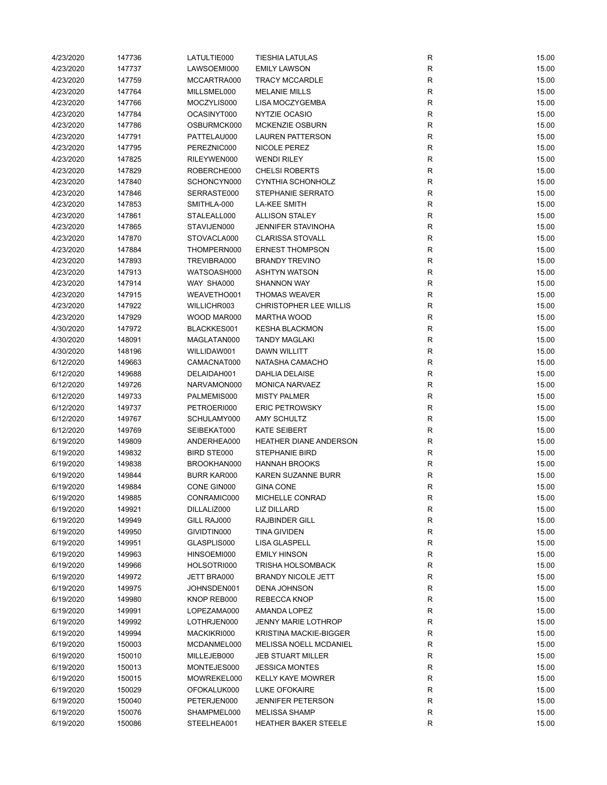| 4/23/2020 | 147736 | LATULTIE000        | <b>TIESHIA LATULAS</b>                              | R           | 15.00 |
|-----------|--------|--------------------|-----------------------------------------------------|-------------|-------|
| 4/23/2020 | 147737 | LAWSOEMI000        | <b>EMILY LAWSON</b>                                 | ${\sf R}$   | 15.00 |
| 4/23/2020 | 147759 | MCCARTRA000        | <b>TRACY MCCARDLE</b>                               | ${\sf R}$   | 15.00 |
| 4/23/2020 | 147764 | MILLSMEL000        | <b>MELANIE MILLS</b>                                | ${\sf R}$   | 15.00 |
| 4/23/2020 | 147766 | MOCZYLIS000        | LISA MOCZYGEMBA                                     | R           | 15.00 |
| 4/23/2020 | 147784 | OCASINYT000        | NYTZIE OCASIO                                       | R           | 15.00 |
| 4/23/2020 | 147786 | OSBURMCK000        | <b>MCKENZIE OSBURN</b>                              | R           | 15.00 |
| 4/23/2020 | 147791 | PATTELAU000        | <b>LAUREN PATTERSON</b>                             | R           | 15.00 |
| 4/23/2020 | 147795 | PEREZNIC000        | NICOLE PEREZ                                        | R           | 15.00 |
| 4/23/2020 | 147825 | RILEYWEN000        | <b>WENDI RILEY</b>                                  | R           | 15.00 |
| 4/23/2020 | 147829 | ROBERCHE000        | <b>CHELSI ROBERTS</b>                               | R           | 15.00 |
| 4/23/2020 | 147840 | SCHONCYN000        | <b>CYNTHIA SCHONHOLZ</b>                            | R           | 15.00 |
| 4/23/2020 | 147846 | SERRASTE000        | <b>STEPHANIE SERRATO</b>                            | $\mathsf R$ | 15.00 |
| 4/23/2020 | 147853 | SMITHLA-000        | <b>LA-KEE SMITH</b>                                 | R           | 15.00 |
| 4/23/2020 | 147861 | STALEALL000        | <b>ALLISON STALEY</b>                               | R           | 15.00 |
| 4/23/2020 | 147865 | STAVIJEN000        | <b>JENNIFER STAVINOHA</b>                           | R           | 15.00 |
| 4/23/2020 | 147870 | STOVACLA000        | <b>CLARISSA STOVALL</b>                             | R           | 15.00 |
| 4/23/2020 | 147884 | THOMPERN000        | <b>ERNEST THOMPSON</b>                              | ${\sf R}$   | 15.00 |
| 4/23/2020 | 147893 | TREVIBRA000        | <b>BRANDY TREVINO</b>                               | R           | 15.00 |
| 4/23/2020 | 147913 | WATSOASH000        | <b>ASHTYN WATSON</b>                                | R           | 15.00 |
| 4/23/2020 | 147914 | WAY SHA000         | <b>SHANNON WAY</b>                                  | R           | 15.00 |
|           | 147915 | WEAVETHO001        | <b>THOMAS WEAVER</b>                                | R           | 15.00 |
| 4/23/2020 |        |                    |                                                     |             |       |
| 4/23/2020 | 147922 | WILLICHR003        | <b>CHRISTOPHER LEE WILLIS</b><br><b>MARTHA WOOD</b> | ${\sf R}$   | 15.00 |
| 4/23/2020 | 147929 | WOOD MAR000        |                                                     | R           | 15.00 |
| 4/30/2020 | 147972 | BLACKKES001        | <b>KESHA BLACKMON</b>                               | R           | 15.00 |
| 4/30/2020 | 148091 | MAGLATAN000        | <b>TANDY MAGLAKI</b>                                | R           | 15.00 |
| 4/30/2020 | 148196 | WILLIDAW001        | <b>DAWN WILLITT</b>                                 | R           | 15.00 |
| 6/12/2020 | 149663 | CAMACNAT000        | NATASHA CAMACHO                                     | R           | 15.00 |
| 6/12/2020 | 149688 | DELAIDAH001        | <b>DAHLIA DELAISE</b>                               | R           | 15.00 |
| 6/12/2020 | 149726 | NARVAMON000        | <b>MONICA NARVAEZ</b>                               | R           | 15.00 |
| 6/12/2020 | 149733 | PALMEMIS000        | <b>MISTY PALMER</b>                                 | R           | 15.00 |
| 6/12/2020 | 149737 | PETROERI000        | <b>ERIC PETROWSKY</b>                               | R           | 15.00 |
| 6/12/2020 | 149767 | SCHULAMY000        | <b>AMY SCHULTZ</b>                                  | R           | 15.00 |
| 6/12/2020 | 149769 | SEIBEKAT000        | <b>KATE SEIBERT</b>                                 | R           | 15.00 |
| 6/19/2020 | 149809 | ANDERHEA000        | HEATHER DIANE ANDERSON                              | R           | 15.00 |
| 6/19/2020 | 149832 | <b>BIRD STE000</b> | <b>STEPHANIE BIRD</b>                               | R           | 15.00 |
| 6/19/2020 | 149838 | BROOKHAN000        | <b>HANNAH BROOKS</b>                                | ${\sf R}$   | 15.00 |
| 6/19/2020 | 149844 | <b>BURR KAR000</b> | KAREN SUZANNE BURR                                  | R           | 15.00 |
| 6/19/2020 | 149884 | CONE GIN000        | <b>GINA CONE</b>                                    | R           | 15.00 |
| 6/19/2020 | 149885 | CONRAMIC000        | MICHELLE CONRAD                                     | R           | 15.00 |
| 6/19/2020 | 149921 | DILLALIZ000        | LIZ DILLARD                                         | R           | 15.00 |
| 6/19/2020 | 149949 | GILL RAJ000        | RAJBINDER GILL                                      | R           | 15.00 |
| 6/19/2020 | 149950 | GIVIDTIN000        | <b>TINA GIVIDEN</b>                                 | ${\sf R}$   | 15.00 |
| 6/19/2020 | 149951 | GLASPLIS000        | LISA GLASPELL                                       | R           | 15.00 |
| 6/19/2020 | 149963 | HINSOEMI000        | <b>EMILY HINSON</b>                                 | R           | 15.00 |
| 6/19/2020 | 149966 | HOLSOTRI000        | <b>TRISHA HOLSOMBACK</b>                            | R           | 15.00 |
| 6/19/2020 | 149972 | JETT BRA000        | <b>BRANDY NICOLE JETT</b>                           | R           | 15.00 |
| 6/19/2020 | 149975 | JOHNSDEN001        | <b>DENA JOHNSON</b>                                 | R           | 15.00 |
| 6/19/2020 | 149980 | KNOP REB000        | REBECCA KNOP                                        | R           | 15.00 |
| 6/19/2020 | 149991 | LOPEZAMA000        | AMANDA LOPEZ                                        | R           | 15.00 |
| 6/19/2020 | 149992 | LOTHRJEN000        | <b>JENNY MARIE LOTHROP</b>                          | R           | 15.00 |
| 6/19/2020 | 149994 | MACKIKRI000        | KRISTINA MACKIE-BIGGER                              | R           | 15.00 |
| 6/19/2020 | 150003 | MCDANMEL000        | <b>MELISSA NOELL MCDANIEL</b>                       | R           | 15.00 |
| 6/19/2020 | 150010 | MILLEJEB000        | <b>JEB STUART MILLER</b>                            | R           | 15.00 |
| 6/19/2020 | 150013 | MONTEJES000        | <b>JESSICA MONTES</b>                               | R           | 15.00 |
| 6/19/2020 | 150015 | MOWREKEL000        | <b>KELLY KAYE MOWRER</b>                            | R           | 15.00 |
| 6/19/2020 | 150029 | OFOKALUK000        | LUKE OFOKAIRE                                       | R           | 15.00 |
| 6/19/2020 | 150040 | PETERJEN000        | <b>JENNIFER PETERSON</b>                            | R           | 15.00 |
| 6/19/2020 | 150076 | SHAMPMEL000        | <b>MELISSA SHAMP</b>                                | R           | 15.00 |
| 6/19/2020 | 150086 | STEELHEA001        | <b>HEATHER BAKER STEELE</b>                         | ${\sf R}$   | 15.00 |
|           |        |                    |                                                     |             |       |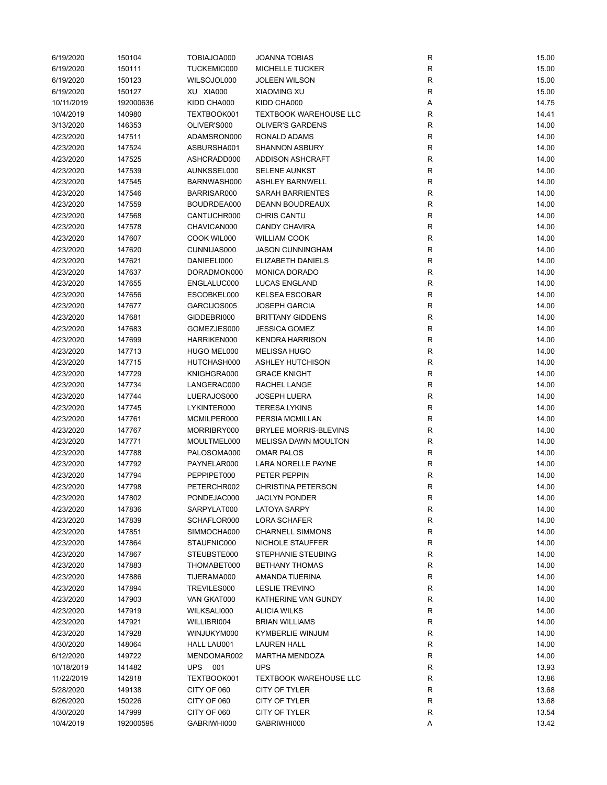| 6/19/2020  | 150104    | TOBIAJOA000 | <b>JOANNA TOBIAS</b>          | R           | 15.00 |
|------------|-----------|-------------|-------------------------------|-------------|-------|
| 6/19/2020  | 150111    | TUCKEMIC000 | <b>MICHELLE TUCKER</b>        | ${\sf R}$   | 15.00 |
| 6/19/2020  | 150123    | WILSOJOL000 | <b>JOLEEN WILSON</b>          | ${\sf R}$   | 15.00 |
| 6/19/2020  | 150127    | XU XIA000   | <b>XIAOMING XU</b>            | ${\sf R}$   | 15.00 |
| 10/11/2019 | 192000636 | KIDD CHA000 | KIDD CHA000                   | Α           | 14.75 |
| 10/4/2019  | 140980    | TEXTBOOK001 | <b>TEXTBOOK WAREHOUSE LLC</b> | R           | 14.41 |
| 3/13/2020  | 146353    | OLIVER'S000 | <b>OLIVER'S GARDENS</b>       | ${\sf R}$   | 14.00 |
| 4/23/2020  | 147511    | ADAMSRON000 | RONALD ADAMS                  | ${\sf R}$   | 14.00 |
| 4/23/2020  | 147524    | ASBURSHA001 | <b>SHANNON ASBURY</b>         | $\mathsf R$ | 14.00 |
|            |           | ASHCRADD000 | ADDISON ASHCRAFT              | R           | 14.00 |
| 4/23/2020  | 147525    |             |                               |             |       |
| 4/23/2020  | 147539    | AUNKSSEL000 | <b>SELENE AUNKST</b>          | ${\sf R}$   | 14.00 |
| 4/23/2020  | 147545    | BARNWASH000 | <b>ASHLEY BARNWELL</b>        | ${\sf R}$   | 14.00 |
| 4/23/2020  | 147546    | BARRISAR000 | SARAH BARRIENTES              | ${\sf R}$   | 14.00 |
| 4/23/2020  | 147559    | BOUDRDEA000 | DEANN BOUDREAUX               | R           | 14.00 |
| 4/23/2020  | 147568    | CANTUCHR000 | <b>CHRIS CANTU</b>            | R           | 14.00 |
| 4/23/2020  | 147578    | CHAVICAN000 | <b>CANDY CHAVIRA</b>          | ${\sf R}$   | 14.00 |
| 4/23/2020  | 147607    | COOK WIL000 | <b>WILLIAM COOK</b>           | $\mathsf R$ | 14.00 |
| 4/23/2020  | 147620    | CUNNIJAS000 | <b>JASON CUNNINGHAM</b>       | ${\sf R}$   | 14.00 |
| 4/23/2020  | 147621    | DANIEELI000 | <b>ELIZABETH DANIELS</b>      | R           | 14.00 |
| 4/23/2020  | 147637    | DORADMON000 | <b>MONICA DORADO</b>          | R           | 14.00 |
| 4/23/2020  | 147655    | ENGLALUC000 | <b>LUCAS ENGLAND</b>          | ${\sf R}$   | 14.00 |
| 4/23/2020  | 147656    | ESCOBKEL000 | <b>KELSEA ESCOBAR</b>         | $\mathsf R$ | 14.00 |
| 4/23/2020  | 147677    | GARCIJOS005 | <b>JOSEPH GARCIA</b>          | ${\sf R}$   | 14.00 |
| 4/23/2020  | 147681    | GIDDEBRI000 | <b>BRITTANY GIDDENS</b>       | R           | 14.00 |
| 4/23/2020  | 147683    | GOMEZJES000 | <b>JESSICA GOMEZ</b>          | ${\sf R}$   | 14.00 |
| 4/23/2020  | 147699    | HARRIKEN000 | <b>KENDRA HARRISON</b>        | ${\sf R}$   | 14.00 |
| 4/23/2020  | 147713    | HUGO MEL000 | <b>MELISSA HUGO</b>           | $\mathsf R$ | 14.00 |
| 4/23/2020  | 147715    | HUTCHASH000 | <b>ASHLEY HUTCHISON</b>       | ${\sf R}$   | 14.00 |
| 4/23/2020  | 147729    | KNIGHGRA000 | <b>GRACE KNIGHT</b>           | R           | 14.00 |
| 4/23/2020  |           |             | RACHEL LANGE                  | ${\sf R}$   | 14.00 |
|            | 147734    | LANGERAC000 |                               |             |       |
| 4/23/2020  | 147744    | LUERAJOS000 | <b>JOSEPH LUERA</b>           | $\mathsf R$ | 14.00 |
| 4/23/2020  | 147745    | LYKINTER000 | <b>TERESA LYKINS</b>          | R           | 14.00 |
| 4/23/2020  | 147761    | MCMILPER000 | PERSIA MCMILLAN               | R           | 14.00 |
| 4/23/2020  | 147767    | MORRIBRY000 | <b>BRYLEE MORRIS-BLEVINS</b>  | R           | 14.00 |
| 4/23/2020  | 147771    | MOULTMEL000 | MELISSA DAWN MOULTON          | R           | 14.00 |
| 4/23/2020  | 147788    | PALOSOMA000 | <b>OMAR PALOS</b>             | R           | 14.00 |
| 4/23/2020  | 147792    | PAYNELAR000 | LARA NORELLE PAYNE            | ${\sf R}$   | 14.00 |
| 4/23/2020  | 147794    | PEPPIPET000 | PETER PEPPIN                  | ${\sf R}$   | 14.00 |
| 4/23/2020  | 147798    | PETERCHR002 | <b>CHRISTINA PETERSON</b>     | R           | 14.00 |
| 4/23/2020  | 147802    | PONDEJAC000 | <b>JACLYN PONDER</b>          | R           | 14.00 |
| 4/23/2020  | 147836    | SARPYLAT000 | <b>LATOYA SARPY</b>           | R           | 14.00 |
| 4/23/2020  | 147839    | SCHAFLOR000 | <b>LORA SCHAFER</b>           | R           | 14.00 |
| 4/23/2020  | 147851    | SIMMOCHA000 | <b>CHARNELL SIMMONS</b>       | ${\sf R}$   | 14.00 |
| 4/23/2020  | 147864    | STAUFNIC000 | NICHOLE STAUFFER              | R           | 14.00 |
| 4/23/2020  | 147867    | STEUBSTE000 | <b>STEPHANIE STEUBING</b>     | R           | 14.00 |
| 4/23/2020  | 147883    | THOMABET000 | <b>BETHANY THOMAS</b>         | R           | 14.00 |
| 4/23/2020  | 147886    | TIJERAMA000 | AMANDA TIJERINA               | ${\sf R}$   | 14.00 |
| 4/23/2020  | 147894    | TREVILES000 | <b>LESLIE TREVINO</b>         | ${\sf R}$   | 14.00 |
| 4/23/2020  | 147903    | VAN GKAT000 | KATHERINE VAN GUNDY           | R           | 14.00 |
| 4/23/2020  | 147919    | WILKSALI000 | <b>ALICIA WILKS</b>           | ${\sf R}$   | 14.00 |
| 4/23/2020  | 147921    | WILLIBRI004 | <b>BRIAN WILLIAMS</b>         | R           | 14.00 |
|            |           |             |                               |             |       |
| 4/23/2020  | 147928    | WINJUKYM000 | <b>KYMBERLIE WINJUM</b>       | ${\sf R}$   | 14.00 |
| 4/30/2020  | 148064    | HALL LAU001 | <b>LAUREN HALL</b>            | R           | 14.00 |
| 6/12/2020  | 149722    | MENDOMAR002 | <b>MARTHA MENDOZA</b>         | R           | 14.00 |
| 10/18/2019 | 141482    | UPS 001     | <b>UPS</b>                    | R           | 13.93 |
| 11/22/2019 | 142818    | TEXTBOOK001 | <b>TEXTBOOK WAREHOUSE LLC</b> | R           | 13.86 |
| 5/28/2020  | 149138    | CITY OF 060 | CITY OF TYLER                 | ${\sf R}$   | 13.68 |
| 6/26/2020  | 150226    | CITY OF 060 | CITY OF TYLER                 | R           | 13.68 |
| 4/30/2020  | 147999    | CITY OF 060 | CITY OF TYLER                 | R           | 13.54 |
| 10/4/2019  | 192000595 | GABRIWHI000 | GABRIWHI000                   | Α           | 13.42 |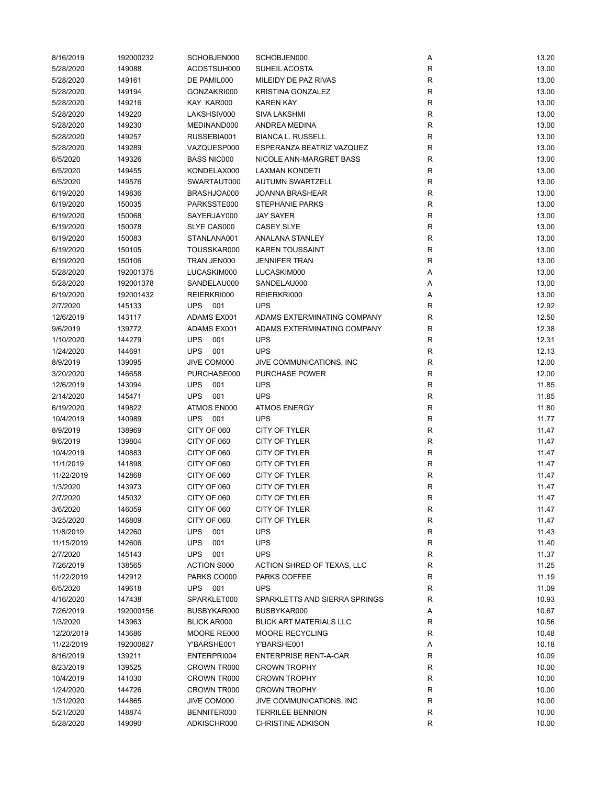| 8/16/2019  | 192000232 | SCHOBJEN000                | SCHOBJEN000                    | Α            | 13.20 |
|------------|-----------|----------------------------|--------------------------------|--------------|-------|
| 5/28/2020  | 149088    | ACOSTSUH000                | SUHEIL ACOSTA                  | R            | 13.00 |
| 5/28/2020  | 149161    | DE PAMIL000                | MILEIDY DE PAZ RIVAS           | $\mathsf{R}$ | 13.00 |
| 5/28/2020  | 149194    | GONZAKRI000                | KRISTINA GONZALEZ              | R            | 13.00 |
| 5/28/2020  | 149216    | KAY KAR000                 | <b>KAREN KAY</b>               | R            | 13.00 |
| 5/28/2020  | 149220    | LAKSHSIV000                | SIVA LAKSHMI                   | R            | 13.00 |
| 5/28/2020  | 149230    | MEDINAND000                | <b>ANDREA MEDINA</b>           | $\mathsf R$  | 13.00 |
| 5/28/2020  | 149257    | RUSSEBIA001                | <b>BIANCA L. RUSSELL</b>       | R            | 13.00 |
| 5/28/2020  | 149289    | VAZQUESP000                | ESPERANZA BEATRIZ VAZQUEZ      | R            | 13.00 |
| 6/5/2020   | 149326    | <b>BASS NIC000</b>         | NICOLE ANN-MARGRET BASS        | R            | 13.00 |
| 6/5/2020   | 149455    | KONDELAX000                | <b>LAXMAN KONDETI</b>          | R            | 13.00 |
| 6/5/2020   | 149576    | SWARTAUT000                | <b>AUTUMN SWARTZELL</b>        | R            | 13.00 |
| 6/19/2020  | 149836    | BRASHJOA000                | <b>JOANNA BRASHEAR</b>         | R            | 13.00 |
| 6/19/2020  | 150035    | PARKSSTE000                | <b>STEPHANIE PARKS</b>         | $\mathsf R$  | 13.00 |
| 6/19/2020  | 150068    | SAYERJAY000                | <b>JAY SAYER</b>               | R            | 13.00 |
| 6/19/2020  | 150078    | SLYE CAS000                | <b>CASEY SLYE</b>              | R            | 13.00 |
| 6/19/2020  | 150083    | STANLANA001                | <b>ANALANA STANLEY</b>         | $\mathsf R$  | 13.00 |
| 6/19/2020  | 150105    | TOUSSKAR000                | <b>KAREN TOUSSAINT</b>         | R            | 13.00 |
| 6/19/2020  | 150106    | TRAN JEN000                | <b>JENNIFER TRAN</b>           | R            | 13.00 |
| 5/28/2020  | 192001375 | LUCASKIM000                | LUCASKIM000                    | Α            | 13.00 |
| 5/28/2020  | 192001378 | SANDELAU000                | SANDELAU000                    | Α            | 13.00 |
| 6/19/2020  | 192001432 | REIERKRI000                | REIERKRI000                    | Α            | 13.00 |
| 2/7/2020   | 145133    | <b>UPS</b><br>001          | <b>UPS</b>                     | R            | 12.92 |
|            |           |                            | ADAMS EXTERMINATING COMPANY    | R            | 12.50 |
| 12/6/2019  | 143117    | ADAMS EX001<br>ADAMS EX001 |                                |              |       |
| 9/6/2019   | 139772    |                            | ADAMS EXTERMINATING COMPANY    | R            | 12.38 |
| 1/10/2020  | 144279    | <b>UPS</b><br>001          | <b>UPS</b>                     | R            | 12.31 |
| 1/24/2020  | 144691    | <b>UPS</b><br>001          | <b>UPS</b>                     | R            | 12.13 |
| 8/9/2019   | 139095    | JIVE COM000                | JIVE COMMUNICATIONS, INC       | R            | 12.00 |
| 3/20/2020  | 146658    | PURCHASE000                | <b>PURCHASE POWER</b>          | R            | 12.00 |
| 12/6/2019  | 143094    | <b>UPS</b><br>001          | <b>UPS</b>                     | R            | 11.85 |
| 2/14/2020  | 145471    | <b>UPS</b><br>001          | <b>UPS</b>                     | R            | 11.85 |
| 6/19/2020  | 149822    | ATMOS EN000                | <b>ATMOS ENERGY</b>            | R            | 11.80 |
| 10/4/2019  | 140989    | <b>UPS</b><br>001          | <b>UPS</b>                     | R            | 11.77 |
| 8/9/2019   | 138969    | CITY OF 060                | CITY OF TYLER                  | ${\sf R}$    | 11.47 |
| 9/6/2019   | 139804    | CITY OF 060                | CITY OF TYLER                  | $\mathsf{R}$ | 11.47 |
| 10/4/2019  | 140883    | CITY OF 060                | CITY OF TYLER                  | $\mathsf R$  | 11.47 |
| 11/1/2019  | 141898    | CITY OF 060                | CITY OF TYLER                  | R            | 11.47 |
| 11/22/2019 | 142868    | CITY OF 060                | CITY OF TYLER                  | R            | 11.47 |
| 1/3/2020   | 143973    | CITY OF 060                | CITY OF TYLER                  | R            | 11.47 |
| 2/7/2020   | 145032    | CITY OF 060                | CITY OF TYLER                  | R            | 11.47 |
| 3/6/2020   | 146059    | CITY OF 060                | CITY OF TYLER                  | R            | 11.47 |
| 3/25/2020  | 146809    | CITY OF 060                | CITY OF TYLER                  | R            | 11.47 |
| 11/8/2019  | 142260    | <b>UPS</b><br>001          | <b>UPS</b>                     | R            | 11.43 |
| 11/15/2019 | 142606    | <b>UPS</b><br>001          | <b>UPS</b>                     | R            | 11.40 |
| 2/7/2020   | 145143    | <b>UPS</b><br>001          | <b>UPS</b>                     | R            | 11.37 |
| 7/26/2019  | 138565    | <b>ACTION S000</b>         | ACTION SHRED OF TEXAS, LLC     | R            | 11.25 |
| 11/22/2019 | 142912    | PARKS CO000                | PARKS COFFEE                   | R            | 11.19 |
| 6/5/2020   | 149618    | UPS 001                    | <b>UPS</b>                     | R            | 11.09 |
| 4/16/2020  | 147438    | SPARKLET000                | SPARKLETTS AND SIERRA SPRINGS  | R            | 10.93 |
| 7/26/2019  | 192000156 | BUSBYKAR000                | BUSBYKAR000                    | Α            | 10.67 |
| 1/3/2020   | 143963    | <b>BLICK AR000</b>         | <b>BLICK ART MATERIALS LLC</b> | R            | 10.56 |
| 12/20/2019 | 143686    | MOORE RE000                | <b>MOORE RECYCLING</b>         | R            | 10.48 |
| 11/22/2019 | 192000827 | Y'BARSHE001                | Y'BARSHE001                    | Α            | 10.18 |
| 8/16/2019  | 139211    | ENTERPRI004                | <b>ENTERPRISE RENT-A-CAR</b>   | R            | 10.09 |
| 8/23/2019  | 139525    | CROWN TR000                | <b>CROWN TROPHY</b>            | R            | 10.00 |
| 10/4/2019  | 141030    | CROWN TR000                | <b>CROWN TROPHY</b>            | R            | 10.00 |
| 1/24/2020  | 144726    | CROWN TR000                | <b>CROWN TROPHY</b>            | R            | 10.00 |
| 1/31/2020  | 144865    | JIVE COM000                | JIVE COMMUNICATIONS, INC       | R            | 10.00 |
| 5/21/2020  | 148874    | BENNITER000                | <b>TERRILEE BENNION</b>        | R            | 10.00 |
| 5/28/2020  | 149090    | ADKISCHR000                | <b>CHRISTINE ADKISON</b>       | $\mathsf R$  | 10.00 |
|            |           |                            |                                |              |       |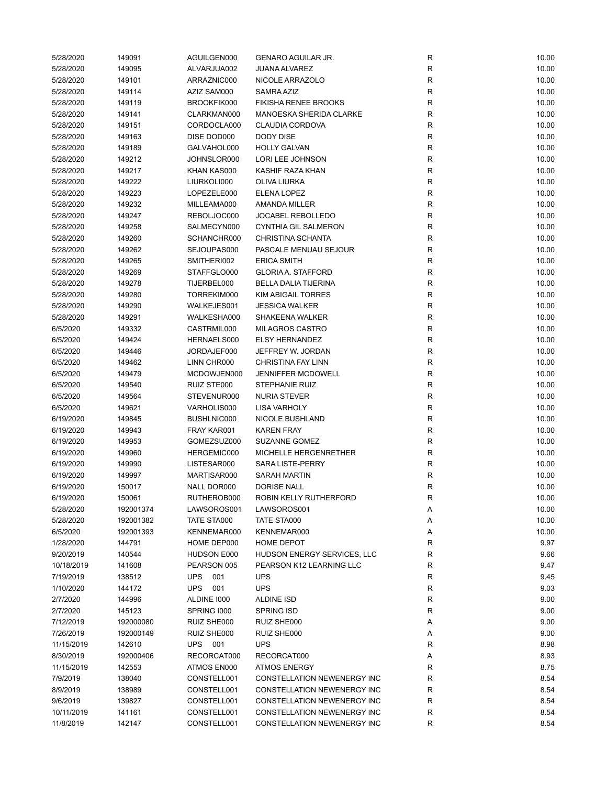| 5/28/2020  | 149091    | AGUILGEN000       | <b>GENARO AGUILAR JR.</b>   | R            | 10.00 |
|------------|-----------|-------------------|-----------------------------|--------------|-------|
| 5/28/2020  | 149095    | ALVARJUA002       | <b>JUANA ALVAREZ</b>        | $\mathsf{R}$ | 10.00 |
| 5/28/2020  | 149101    | ARRAZNIC000       | NICOLE ARRAZOLO             | $\mathsf{R}$ | 10.00 |
| 5/28/2020  | 149114    | AZIZ SAM000       | SAMRA AZIZ                  | $\mathsf{R}$ | 10.00 |
| 5/28/2020  | 149119    | BROOKFIK000       | <b>FIKISHA RENEE BROOKS</b> | $\mathsf{R}$ | 10.00 |
| 5/28/2020  | 149141    | CLARKMAN000       | MANOESKA SHERIDA CLARKE     | $\mathsf{R}$ | 10.00 |
| 5/28/2020  | 149151    | CORDOCLA000       | <b>CLAUDIA CORDOVA</b>      | $\mathsf{R}$ | 10.00 |
| 5/28/2020  | 149163    | DISE DOD000       | <b>DODY DISE</b>            | R            | 10.00 |
| 5/28/2020  | 149189    | GALVAHOL000       | <b>HOLLY GALVAN</b>         | $\mathsf{R}$ | 10.00 |
| 5/28/2020  | 149212    | JOHNSLOR000       | LORI LEE JOHNSON            | $\mathsf{R}$ | 10.00 |
| 5/28/2020  | 149217    | KHAN KAS000       | KASHIF RAZA KHAN            | $\mathsf{R}$ | 10.00 |
| 5/28/2020  | 149222    | LIURKOLI000       | <b>OLIVA LIURKA</b>         | $\mathsf{R}$ | 10.00 |
| 5/28/2020  | 149223    | LOPEZELE000       | ELENA LOPEZ                 | R            | 10.00 |
| 5/28/2020  | 149232    | MILLEAMA000       | AMANDA MILLER               | $\mathsf{R}$ | 10.00 |
| 5/28/2020  | 149247    | REBOLJOC000       | <b>JOCABEL REBOLLEDO</b>    | $\mathsf{R}$ | 10.00 |
| 5/28/2020  | 149258    | SALMECYN000       | <b>CYNTHIA GIL SALMERON</b> | $\mathsf{R}$ | 10.00 |
| 5/28/2020  | 149260    | SCHANCHR000       | <b>CHRISTINA SCHANTA</b>    | $\mathsf{R}$ | 10.00 |
| 5/28/2020  | 149262    | SEJOUPAS000       | PASCALE MENUAU SEJOUR       | $\mathsf{R}$ | 10.00 |
| 5/28/2020  | 149265    | SMITHERI002       | <b>ERICA SMITH</b>          | R            | 10.00 |
| 5/28/2020  | 149269    | STAFFGLO000       | <b>GLORIA A. STAFFORD</b>   | $\mathsf{R}$ | 10.00 |
| 5/28/2020  | 149278    | TIJERBEL000       | <b>BELLA DALIA TIJERINA</b> | $\mathsf{R}$ | 10.00 |
| 5/28/2020  | 149280    | TORREKIM000       | KIM ABIGAIL TORRES          | R            | 10.00 |
| 5/28/2020  | 149290    | WALKEJES001       | <b>JESSICA WALKER</b>       | R            | 10.00 |
| 5/28/2020  | 149291    | WALKESHA000       | <b>SHAKEENA WALKER</b>      | $\mathsf{R}$ | 10.00 |
| 6/5/2020   | 149332    | CASTRMIL000       | <b>MILAGROS CASTRO</b>      | $\mathsf{R}$ | 10.00 |
| 6/5/2020   | 149424    | HERNAELS000       | <b>ELSY HERNANDEZ</b>       | $\mathsf{R}$ | 10.00 |
| 6/5/2020   | 149446    | JORDAJEF000       | JEFFREY W. JORDAN           | $\mathsf{R}$ | 10.00 |
|            | 149462    | LINN CHR000       | <b>CHRISTINA FAY LINN</b>   | $\mathsf{R}$ | 10.00 |
| 6/5/2020   |           | MCDOWJEN000       | <b>JENNIFFER MCDOWELL</b>   | $\mathsf{R}$ |       |
| 6/5/2020   | 149479    |                   |                             |              | 10.00 |
| 6/5/2020   | 149540    | RUIZ STE000       | <b>STEPHANIE RUIZ</b>       | R            | 10.00 |
| 6/5/2020   | 149564    | STEVENUR000       | <b>NURIA STEVER</b>         | $\mathsf{R}$ | 10.00 |
| 6/5/2020   | 149621    | VARHOLIS000       | <b>LISA VARHOLY</b>         | R            | 10.00 |
| 6/19/2020  | 149845    | BUSHLNIC000       | NICOLE BUSHLAND             | R            | 10.00 |
| 6/19/2020  | 149943    | FRAY KAR001       | <b>KAREN FRAY</b>           | $\mathsf{R}$ | 10.00 |
| 6/19/2020  | 149953    | GOMEZSUZ000       | SUZANNE GOMEZ               | $\mathsf{R}$ | 10.00 |
| 6/19/2020  | 149960    | HERGEMIC000       | MICHELLE HERGENRETHER       | $\mathsf{R}$ | 10.00 |
| 6/19/2020  | 149990    | LISTESAR000       | SARA LISTE-PERRY            | $\mathsf{R}$ | 10.00 |
| 6/19/2020  | 149997    | MARTISAR000       | <b>SARAH MARTIN</b>         | $\mathsf{R}$ | 10.00 |
| 6/19/2020  | 150017    | NALL DOR000       | <b>DORISE NALL</b>          | $\mathsf{R}$ | 10.00 |
| 6/19/2020  | 150061    | RUTHEROB000       | ROBIN KELLY RUTHERFORD      | R            | 10.00 |
| 5/28/2020  | 192001374 | LAWSOROS001       | LAWSOROS001                 | Α            | 10.00 |
| 5/28/2020  | 192001382 | TATE STA000       | TATE STA000                 | Α            | 10.00 |
| 6/5/2020   | 192001393 | KENNEMAR000       | KENNEMAR000                 | Α            | 10.00 |
| 1/28/2020  | 144791    | HOME DEP000       | HOME DEPOT                  | R            | 9.97  |
| 9/20/2019  | 140544    | HUDSON E000       | HUDSON ENERGY SERVICES, LLC | R            | 9.66  |
| 10/18/2019 | 141608    | PEARSON 005       | PEARSON K12 LEARNING LLC    | R            | 9.47  |
| 7/19/2019  | 138512    | UPS 001           | <b>UPS</b>                  | R            | 9.45  |
| 1/10/2020  | 144172    | <b>UPS</b><br>001 | <b>UPS</b>                  | $\mathsf{R}$ | 9.03  |
| 2/7/2020   | 144996    | ALDINE 1000       | <b>ALDINE ISD</b>           | R            | 9.00  |
| 2/7/2020   | 145123    | SPRING 1000       | SPRING ISD                  | R            | 9.00  |
| 7/12/2019  | 192000080 | RUIZ SHE000       | RUIZ SHE000                 | Α            | 9.00  |
| 7/26/2019  | 192000149 | RUIZ SHE000       | RUIZ SHE000                 | Α            | 9.00  |
| 11/15/2019 | 142610    | UPS 001           | <b>UPS</b>                  | R            | 8.98  |
| 8/30/2019  | 192000406 | RECORCAT000       | RECORCAT000                 | Α            | 8.93  |
| 11/15/2019 | 142553    | ATMOS EN000       | <b>ATMOS ENERGY</b>         | $\mathsf{R}$ | 8.75  |
| 7/9/2019   | 138040    | CONSTELL001       | CONSTELLATION NEWENERGY INC | $\mathsf{R}$ | 8.54  |
| 8/9/2019   | 138989    | CONSTELL001       | CONSTELLATION NEWENERGY INC | R            | 8.54  |
| 9/6/2019   | 139827    | CONSTELL001       | CONSTELLATION NEWENERGY INC | R            | 8.54  |
| 10/11/2019 | 141161    | CONSTELL001       | CONSTELLATION NEWENERGY INC | R            | 8.54  |
| 11/8/2019  | 142147    | CONSTELL001       | CONSTELLATION NEWENERGY INC | $\mathsf{R}$ | 8.54  |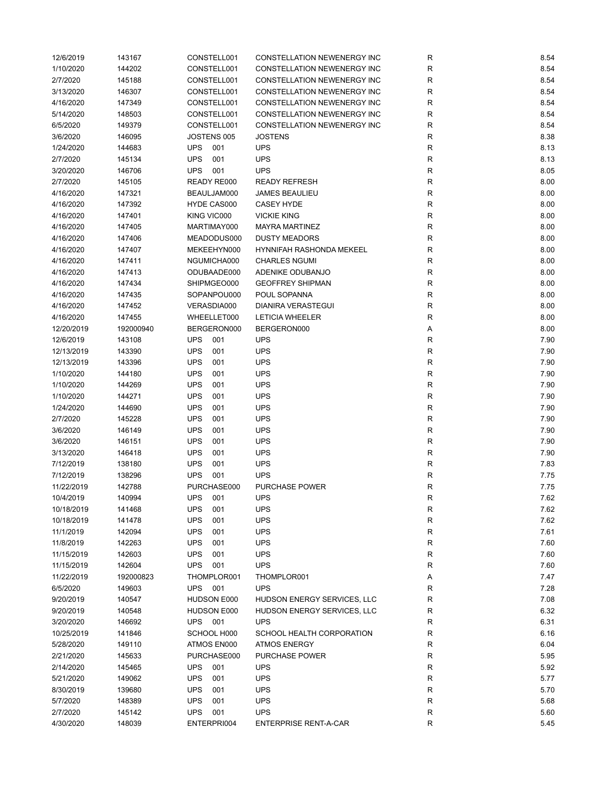| 12/6/2019  | 143167    | CONSTELL001       | <b>CONSTELLATION NEWENERGY INC</b> | R            | 8.54 |
|------------|-----------|-------------------|------------------------------------|--------------|------|
| 1/10/2020  | 144202    | CONSTELL001       | CONSTELLATION NEWENERGY INC        | $\mathsf{R}$ | 8.54 |
| 2/7/2020   | 145188    | CONSTELL001       | CONSTELLATION NEWENERGY INC        | $\mathsf{R}$ | 8.54 |
| 3/13/2020  | 146307    | CONSTELL001       | CONSTELLATION NEWENERGY INC        | R            | 8.54 |
| 4/16/2020  | 147349    | CONSTELL001       | CONSTELLATION NEWENERGY INC        | R            | 8.54 |
| 5/14/2020  | 148503    | CONSTELL001       | <b>CONSTELLATION NEWENERGY INC</b> | $\mathsf{R}$ | 8.54 |
| 6/5/2020   | 149379    | CONSTELL001       | CONSTELLATION NEWENERGY INC        | $\mathsf{R}$ | 8.54 |
| 3/6/2020   | 146095    | JOSTENS 005       | <b>JOSTENS</b>                     | $\mathsf{R}$ | 8.38 |
| 1/24/2020  | 144683    | <b>UPS</b><br>001 | <b>UPS</b>                         | $\mathsf{R}$ | 8.13 |
| 2/7/2020   | 145134    | <b>UPS</b><br>001 | <b>UPS</b>                         | $\mathsf{R}$ | 8.13 |
| 3/20/2020  | 146706    | <b>UPS</b><br>001 | <b>UPS</b>                         | R            | 8.05 |
| 2/7/2020   | 145105    | READY RE000       | <b>READY REFRESH</b>               | $\mathsf{R}$ | 8.00 |
| 4/16/2020  | 147321    | BEAULJAM000       | <b>JAMES BEAULIEU</b>              | $\mathsf{R}$ | 8.00 |
| 4/16/2020  | 147392    | HYDE CAS000       | <b>CASEY HYDE</b>                  | $\mathsf{R}$ | 8.00 |
| 4/16/2020  | 147401    | KING VIC000       | <b>VICKIE KING</b>                 | $\mathsf{R}$ | 8.00 |
| 4/16/2020  | 147405    | MARTIMAY000       | <b>MAYRA MARTINEZ</b>              | $\mathsf{R}$ | 8.00 |
| 4/16/2020  | 147406    | MEADODUS000       | <b>DUSTY MEADORS</b>               | $\mathsf{R}$ | 8.00 |
| 4/16/2020  | 147407    | MEKEEHYN000       | HYNNIFAH RASHONDA MEKEEL           | $\mathsf{R}$ | 8.00 |
| 4/16/2020  | 147411    | NGUMICHA000       | <b>CHARLES NGUMI</b>               | $\mathsf{R}$ | 8.00 |
| 4/16/2020  | 147413    | ODUBAADE000       | ADENIKE ODUBANJO                   | $\mathsf{R}$ | 8.00 |
| 4/16/2020  | 147434    | SHIPMGEO000       | <b>GEOFFREY SHIPMAN</b>            | $\mathsf{R}$ | 8.00 |
| 4/16/2020  | 147435    | SOPANPOU000       | POUL SOPANNA                       | $\mathsf{R}$ | 8.00 |
| 4/16/2020  | 147452    | VERASDIA000       | <b>DIANIRA VERASTEGUI</b>          | $\mathsf{R}$ | 8.00 |
| 4/16/2020  | 147455    | WHEELLET000       | <b>LETICIA WHEELER</b>             | $\mathsf{R}$ | 8.00 |
| 12/20/2019 | 192000940 | BERGERON000       | BERGERON000                        | Α            | 8.00 |
| 12/6/2019  | 143108    | <b>UPS</b><br>001 | <b>UPS</b>                         | $\mathsf{R}$ | 7.90 |
| 12/13/2019 | 143390    | <b>UPS</b><br>001 | <b>UPS</b>                         | $\mathsf{R}$ | 7.90 |
| 12/13/2019 | 143396    | <b>UPS</b><br>001 | <b>UPS</b>                         | $\mathsf{R}$ | 7.90 |
| 1/10/2020  | 144180    | <b>UPS</b><br>001 | <b>UPS</b>                         | $\mathsf{R}$ | 7.90 |
| 1/10/2020  | 144269    | <b>UPS</b><br>001 | <b>UPS</b>                         | R            | 7.90 |
| 1/10/2020  | 144271    | <b>UPS</b><br>001 | <b>UPS</b>                         | R            | 7.90 |
| 1/24/2020  | 144690    | <b>UPS</b><br>001 | <b>UPS</b>                         | $\mathsf{R}$ | 7.90 |
| 2/7/2020   | 145228    | <b>UPS</b><br>001 | <b>UPS</b>                         | $\mathsf{R}$ | 7.90 |
| 3/6/2020   | 146149    | <b>UPS</b><br>001 | <b>UPS</b>                         | $\mathsf{R}$ | 7.90 |
| 3/6/2020   | 146151    | <b>UPS</b><br>001 | <b>UPS</b>                         | $\mathsf{R}$ | 7.90 |
| 3/13/2020  | 146418    | <b>UPS</b><br>001 | <b>UPS</b>                         | $\mathsf{R}$ | 7.90 |
| 7/12/2019  | 138180    | <b>UPS</b><br>001 | <b>UPS</b>                         | R            | 7.83 |
| 7/12/2019  | 138296    | <b>UPS</b><br>001 | <b>UPS</b>                         | R            | 7.75 |
| 11/22/2019 | 142788    | PURCHASE000       | <b>PURCHASE POWER</b>              | R            | 7.75 |
| 10/4/2019  | 140994    | <b>UPS</b><br>001 | <b>UPS</b>                         | R            | 7.62 |
| 10/18/2019 | 141468    | <b>UPS</b><br>001 | <b>UPS</b>                         | $\mathsf{R}$ | 7.62 |
| 10/18/2019 | 141478    | <b>UPS</b><br>001 | <b>UPS</b>                         | $\mathsf{R}$ | 7.62 |
| 11/1/2019  | 142094    | <b>UPS</b><br>001 | <b>UPS</b>                         | $\mathsf{R}$ | 7.61 |
| 11/8/2019  | 142263    | <b>UPS</b><br>001 | <b>UPS</b>                         | $\mathsf{R}$ | 7.60 |
| 11/15/2019 | 142603    | <b>UPS</b><br>001 | <b>UPS</b>                         | $\mathsf{R}$ | 7.60 |
| 11/15/2019 | 142604    | <b>UPS</b><br>001 | <b>UPS</b>                         | $\mathsf{R}$ | 7.60 |
| 11/22/2019 | 192000823 | THOMPLOR001       | THOMPLOR001                        | Α            | 7.47 |
| 6/5/2020   | 149603    | UPS 001           | <b>UPS</b>                         | $\mathsf{R}$ | 7.28 |
| 9/20/2019  | 140547    | HUDSON E000       | HUDSON ENERGY SERVICES, LLC        | $\mathsf{R}$ | 7.08 |
| 9/20/2019  | 140548    | HUDSON E000       | HUDSON ENERGY SERVICES, LLC        | R            | 6.32 |
| 3/20/2020  | 146692    | <b>UPS</b> 001    | <b>UPS</b>                         | $\mathsf{R}$ | 6.31 |
| 10/25/2019 | 141846    | SCHOOL H000       | SCHOOL HEALTH CORPORATION          | R            | 6.16 |
| 5/28/2020  | 149110    | ATMOS EN000       | <b>ATMOS ENERGY</b>                | $\mathsf{R}$ | 6.04 |
| 2/21/2020  | 145633    | PURCHASE000       | PURCHASE POWER                     | R            | 5.95 |
| 2/14/2020  | 145465    | <b>UPS</b><br>001 | <b>UPS</b>                         | $\mathsf{R}$ | 5.92 |
| 5/21/2020  | 149062    | <b>UPS</b><br>001 | <b>UPS</b>                         | $\mathsf{R}$ | 5.77 |
| 8/30/2019  | 139680    | <b>UPS</b><br>001 | <b>UPS</b>                         | $\mathsf{R}$ | 5.70 |
| 5/7/2020   | 148389    | <b>UPS</b><br>001 | <b>UPS</b>                         | $\mathsf{R}$ | 5.68 |
| 2/7/2020   | 145142    | <b>UPS</b><br>001 | <b>UPS</b>                         | R            | 5.60 |
| 4/30/2020  | 148039    | ENTERPRI004       | <b>ENTERPRISE RENT-A-CAR</b>       | R            | 5.45 |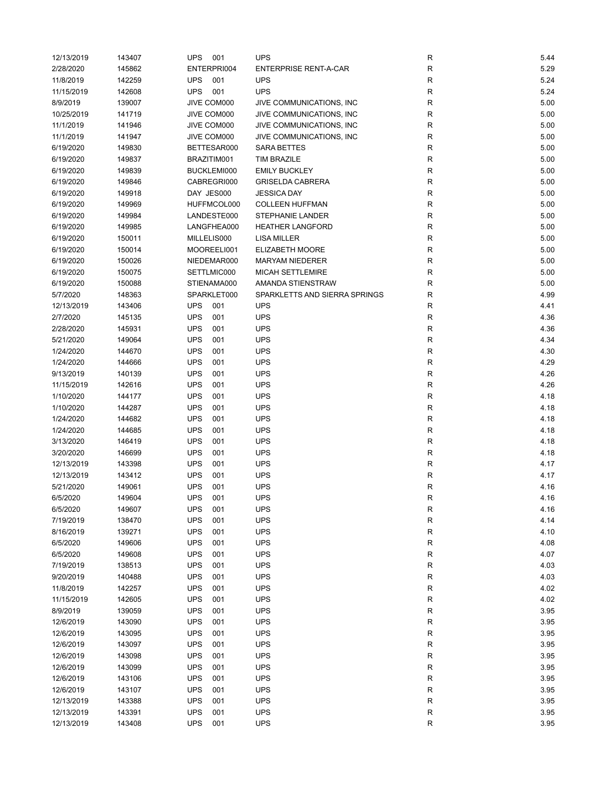| 12/13/2019 | 143407 | <b>UPS</b><br>001 | <b>UPS</b>                    | R            | 5.44 |
|------------|--------|-------------------|-------------------------------|--------------|------|
| 2/28/2020  | 145862 | ENTERPRI004       | <b>ENTERPRISE RENT-A-CAR</b>  | R            | 5.29 |
| 11/8/2019  | 142259 | <b>UPS</b><br>001 | <b>UPS</b>                    | $\mathsf{R}$ | 5.24 |
| 11/15/2019 | 142608 | <b>UPS</b><br>001 | <b>UPS</b>                    | R            | 5.24 |
| 8/9/2019   | 139007 | JIVE COM000       | JIVE COMMUNICATIONS, INC      | R            | 5.00 |
| 10/25/2019 | 141719 | JIVE COM000       | JIVE COMMUNICATIONS, INC      | R            | 5.00 |
| 11/1/2019  | 141946 | JIVE COM000       | JIVE COMMUNICATIONS, INC      | $\mathsf{R}$ | 5.00 |
| 11/1/2019  | 141947 | JIVE COM000       | JIVE COMMUNICATIONS, INC      | $\mathsf{R}$ | 5.00 |
| 6/19/2020  | 149830 | BETTESAR000       | <b>SARA BETTES</b>            | R            | 5.00 |
| 6/19/2020  | 149837 | BRAZITIM001       | <b>TIM BRAZILE</b>            | $\mathsf{R}$ | 5.00 |
| 6/19/2020  | 149839 | BUCKLEMI000       | <b>EMILY BUCKLEY</b>          | R            | 5.00 |
| 6/19/2020  | 149846 | CABREGRI000       | <b>GRISELDA CABRERA</b>       | R            | 5.00 |
| 6/19/2020  | 149918 | DAY JES000        | <b>JESSICA DAY</b>            | R            | 5.00 |
| 6/19/2020  | 149969 | HUFFMCOL000       | <b>COLLEEN HUFFMAN</b>        | R            | 5.00 |
| 6/19/2020  | 149984 | LANDESTE000       | <b>STEPHANIE LANDER</b>       | R            | 5.00 |
| 6/19/2020  | 149985 | LANGFHEA000       | <b>HEATHER LANGFORD</b>       | $\mathsf{R}$ | 5.00 |
| 6/19/2020  | 150011 | MILLELIS000       | <b>LISA MILLER</b>            | $\mathsf{R}$ | 5.00 |
|            |        |                   |                               |              |      |
| 6/19/2020  | 150014 | MOOREELI001       | ELIZABETH MOORE               | $\mathsf{R}$ | 5.00 |
| 6/19/2020  | 150026 | NIEDEMAR000       | <b>MARYAM NIEDERER</b>        | R            | 5.00 |
| 6/19/2020  | 150075 | SETTLMIC000       | MICAH SETTLEMIRE              | $\mathsf{R}$ | 5.00 |
| 6/19/2020  | 150088 | STIENAMA000       | AMANDA STIENSTRAW             | $\mathsf{R}$ | 5.00 |
| 5/7/2020   | 148363 | SPARKLET000       | SPARKLETTS AND SIERRA SPRINGS | $\mathsf{R}$ | 4.99 |
| 12/13/2019 | 143406 | <b>UPS</b><br>001 | <b>UPS</b>                    | $\mathsf{R}$ | 4.41 |
| 2/7/2020   | 145135 | <b>UPS</b><br>001 | <b>UPS</b>                    | R            | 4.36 |
| 2/28/2020  | 145931 | <b>UPS</b><br>001 | <b>UPS</b>                    | $\mathsf{R}$ | 4.36 |
| 5/21/2020  | 149064 | <b>UPS</b><br>001 | <b>UPS</b>                    | $\mathsf{R}$ | 4.34 |
| 1/24/2020  | 144670 | <b>UPS</b><br>001 | <b>UPS</b>                    | $\mathsf{R}$ | 4.30 |
| 1/24/2020  | 144666 | <b>UPS</b><br>001 | <b>UPS</b>                    | $\mathsf{R}$ | 4.29 |
| 9/13/2019  | 140139 | <b>UPS</b><br>001 | <b>UPS</b>                    | R            | 4.26 |
| 11/15/2019 | 142616 | <b>UPS</b><br>001 | <b>UPS</b>                    | R            | 4.26 |
| 1/10/2020  | 144177 | <b>UPS</b><br>001 | <b>UPS</b>                    | R            | 4.18 |
| 1/10/2020  | 144287 | <b>UPS</b><br>001 | <b>UPS</b>                    | $\mathsf{R}$ | 4.18 |
| 1/24/2020  | 144682 | <b>UPS</b><br>001 | <b>UPS</b>                    | R            | 4.18 |
| 1/24/2020  | 144685 | <b>UPS</b><br>001 | <b>UPS</b>                    | R            | 4.18 |
| 3/13/2020  | 146419 | <b>UPS</b><br>001 | <b>UPS</b>                    | R            | 4.18 |
| 3/20/2020  | 146699 | <b>UPS</b><br>001 | <b>UPS</b>                    | $\mathsf{R}$ | 4.18 |
| 12/13/2019 | 143398 | <b>UPS</b><br>001 | <b>UPS</b>                    | $\mathsf{R}$ | 4.17 |
| 12/13/2019 | 143412 | <b>UPS</b><br>001 | <b>UPS</b>                    | $\mathsf{R}$ | 4.17 |
| 5/21/2020  | 149061 | <b>UPS</b><br>001 | <b>UPS</b>                    | R            | 4.16 |
| 6/5/2020   | 149604 | UPS 001           | <b>UPS</b>                    | R            | 4.16 |
| 6/5/2020   | 149607 | <b>UPS</b><br>001 | <b>UPS</b>                    | R            | 4.16 |
| 7/19/2019  | 138470 | <b>UPS</b><br>001 | <b>UPS</b>                    | $\mathsf{R}$ | 4.14 |
| 8/16/2019  | 139271 | <b>UPS</b><br>001 | <b>UPS</b>                    | $\mathsf{R}$ | 4.10 |
| 6/5/2020   | 149606 | <b>UPS</b><br>001 | <b>UPS</b>                    | R            | 4.08 |
| 6/5/2020   | 149608 | <b>UPS</b><br>001 | <b>UPS</b>                    | $\mathsf{R}$ | 4.07 |
| 7/19/2019  | 138513 | <b>UPS</b><br>001 | <b>UPS</b>                    | $\mathsf{R}$ | 4.03 |
| 9/20/2019  | 140488 | <b>UPS</b><br>001 | <b>UPS</b>                    | $\mathsf{R}$ | 4.03 |
| 11/8/2019  | 142257 | <b>UPS</b><br>001 | <b>UPS</b>                    | $\mathsf{R}$ | 4.02 |
| 11/15/2019 | 142605 | <b>UPS</b><br>001 | <b>UPS</b>                    | $\mathsf{R}$ | 4.02 |
| 8/9/2019   |        | <b>UPS</b><br>001 | <b>UPS</b>                    |              |      |
|            | 139059 |                   |                               | $\mathsf{R}$ | 3.95 |
| 12/6/2019  | 143090 | <b>UPS</b><br>001 | <b>UPS</b>                    | R            | 3.95 |
| 12/6/2019  | 143095 | <b>UPS</b><br>001 | <b>UPS</b>                    | $\mathsf{R}$ | 3.95 |
| 12/6/2019  | 143097 | <b>UPS</b><br>001 | <b>UPS</b>                    | R            | 3.95 |
| 12/6/2019  | 143098 | <b>UPS</b><br>001 | <b>UPS</b>                    | R            | 3.95 |
| 12/6/2019  | 143099 | <b>UPS</b><br>001 | <b>UPS</b>                    | ${\sf R}$    | 3.95 |
| 12/6/2019  | 143106 | <b>UPS</b><br>001 | <b>UPS</b>                    | R            | 3.95 |
| 12/6/2019  | 143107 | <b>UPS</b><br>001 | <b>UPS</b>                    | $\mathsf{R}$ | 3.95 |
| 12/13/2019 | 143388 | <b>UPS</b><br>001 | <b>UPS</b>                    | $\mathsf{R}$ | 3.95 |
| 12/13/2019 | 143391 | <b>UPS</b><br>001 | <b>UPS</b>                    | ${\sf R}$    | 3.95 |
| 12/13/2019 | 143408 | <b>UPS</b><br>001 | <b>UPS</b>                    | $\mathsf{R}$ | 3.95 |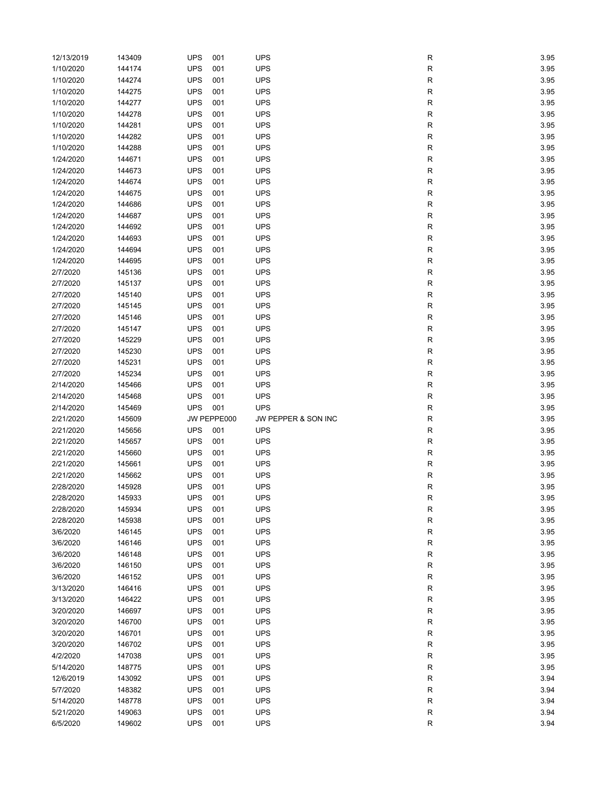| 12/13/2019 | 143409 | <b>UPS</b> | 001         | <b>UPS</b>          | R         | 3.95 |
|------------|--------|------------|-------------|---------------------|-----------|------|
| 1/10/2020  | 144174 | <b>UPS</b> | 001         | <b>UPS</b>          | R         | 3.95 |
| 1/10/2020  | 144274 | <b>UPS</b> | 001         | <b>UPS</b>          | R         | 3.95 |
| 1/10/2020  | 144275 | <b>UPS</b> | 001         | <b>UPS</b>          | R         | 3.95 |
| 1/10/2020  | 144277 | <b>UPS</b> | 001         | <b>UPS</b>          | R         | 3.95 |
| 1/10/2020  | 144278 | <b>UPS</b> | 001         | <b>UPS</b>          | R         | 3.95 |
| 1/10/2020  | 144281 | <b>UPS</b> | 001         | <b>UPS</b>          | R         | 3.95 |
| 1/10/2020  | 144282 | <b>UPS</b> | 001         | <b>UPS</b>          |           | 3.95 |
|            |        | <b>UPS</b> | 001         |                     | R         |      |
| 1/10/2020  | 144288 |            |             | <b>UPS</b>          | R         | 3.95 |
| 1/24/2020  | 144671 | <b>UPS</b> | 001         | <b>UPS</b>          | R         | 3.95 |
| 1/24/2020  | 144673 | <b>UPS</b> | 001         | <b>UPS</b>          | R         | 3.95 |
| 1/24/2020  | 144674 | <b>UPS</b> | 001         | <b>UPS</b>          | R         | 3.95 |
| 1/24/2020  | 144675 | <b>UPS</b> | 001         | <b>UPS</b>          | R         | 3.95 |
| 1/24/2020  | 144686 | <b>UPS</b> | 001         | <b>UPS</b>          | R         | 3.95 |
| 1/24/2020  | 144687 | <b>UPS</b> | 001         | <b>UPS</b>          | R         | 3.95 |
| 1/24/2020  | 144692 | <b>UPS</b> | 001         | <b>UPS</b>          | R         | 3.95 |
| 1/24/2020  | 144693 | <b>UPS</b> | 001         | <b>UPS</b>          | R         | 3.95 |
| 1/24/2020  | 144694 | <b>UPS</b> | 001         | <b>UPS</b>          | R         | 3.95 |
| 1/24/2020  | 144695 | <b>UPS</b> | 001         | <b>UPS</b>          | R         | 3.95 |
| 2/7/2020   | 145136 | <b>UPS</b> | 001         | <b>UPS</b>          | R         | 3.95 |
| 2/7/2020   | 145137 | <b>UPS</b> | 001         | <b>UPS</b>          | R         | 3.95 |
| 2/7/2020   | 145140 | <b>UPS</b> | 001         | <b>UPS</b>          | R         | 3.95 |
| 2/7/2020   | 145145 | <b>UPS</b> | 001         | <b>UPS</b>          | R         | 3.95 |
| 2/7/2020   | 145146 | <b>UPS</b> | 001         | <b>UPS</b>          | R         | 3.95 |
| 2/7/2020   | 145147 | <b>UPS</b> | 001         | <b>UPS</b>          | R         | 3.95 |
| 2/7/2020   | 145229 | <b>UPS</b> | 001         | <b>UPS</b>          | R         | 3.95 |
|            |        | <b>UPS</b> | 001         | <b>UPS</b>          |           |      |
| 2/7/2020   | 145230 |            |             |                     | R         | 3.95 |
| 2/7/2020   | 145231 | <b>UPS</b> | 001         | <b>UPS</b>          | R         | 3.95 |
| 2/7/2020   | 145234 | <b>UPS</b> | 001         | <b>UPS</b>          | R         | 3.95 |
| 2/14/2020  | 145466 | <b>UPS</b> | 001         | <b>UPS</b>          | R         | 3.95 |
|            |        |            |             |                     |           |      |
| 2/14/2020  | 145468 | <b>UPS</b> | 001         | <b>UPS</b>          | R         | 3.95 |
| 2/14/2020  | 145469 | <b>UPS</b> | 001         | <b>UPS</b>          | R         | 3.95 |
| 2/21/2020  | 145609 |            | JW PEPPE000 | JW PEPPER & SON INC | R         | 3.95 |
| 2/21/2020  | 145656 | <b>UPS</b> | 001         | <b>UPS</b>          | R         | 3.95 |
| 2/21/2020  | 145657 | <b>UPS</b> | 001         | <b>UPS</b>          | R         | 3.95 |
| 2/21/2020  | 145660 | <b>UPS</b> | 001         | <b>UPS</b>          | R         | 3.95 |
| 2/21/2020  | 145661 | <b>UPS</b> | 001         | <b>UPS</b>          | R         | 3.95 |
| 2/21/2020  | 145662 | <b>UPS</b> | 001         | <b>UPS</b>          |           | 3.95 |
| 2/28/2020  | 145928 |            | 001         | <b>UPS</b>          | R         |      |
|            |        | <b>UPS</b> |             |                     | R         | 3.95 |
| 2/28/2020  | 145933 | <b>UPS</b> | 001         | <b>UPS</b>          | к         | 3.95 |
| 2/28/2020  | 145934 | <b>UPS</b> | 001         | <b>UPS</b>          | R         | 3.95 |
| 2/28/2020  | 145938 | <b>UPS</b> | 001         | <b>UPS</b>          | ${\sf R}$ | 3.95 |
| 3/6/2020   | 146145 | <b>UPS</b> | 001         | <b>UPS</b>          | R         | 3.95 |
| 3/6/2020   | 146146 | <b>UPS</b> | 001         | <b>UPS</b>          | ${\sf R}$ | 3.95 |
| 3/6/2020   | 146148 | <b>UPS</b> | 001         | <b>UPS</b>          | ${\sf R}$ | 3.95 |
| 3/6/2020   | 146150 | <b>UPS</b> | 001         | <b>UPS</b>          | R         | 3.95 |
| 3/6/2020   | 146152 | <b>UPS</b> | 001         | <b>UPS</b>          | ${\sf R}$ | 3.95 |
| 3/13/2020  | 146416 | <b>UPS</b> | 001         | <b>UPS</b>          | ${\sf R}$ | 3.95 |
| 3/13/2020  | 146422 | <b>UPS</b> | 001         | <b>UPS</b>          | ${\sf R}$ | 3.95 |
| 3/20/2020  | 146697 | <b>UPS</b> | 001         | <b>UPS</b>          | ${\sf R}$ | 3.95 |
| 3/20/2020  | 146700 | <b>UPS</b> | 001         | <b>UPS</b>          | ${\sf R}$ | 3.95 |
| 3/20/2020  | 146701 | <b>UPS</b> | 001         | UPS                 | R         | 3.95 |
| 3/20/2020  | 146702 | <b>UPS</b> | 001         | <b>UPS</b>          | ${\sf R}$ | 3.95 |
| 4/2/2020   | 147038 | <b>UPS</b> | 001         | <b>UPS</b>          | ${\sf R}$ | 3.95 |
| 5/14/2020  | 148775 | <b>UPS</b> | 001         | <b>UPS</b>          | ${\sf R}$ | 3.95 |
| 12/6/2019  | 143092 | <b>UPS</b> | 001         | <b>UPS</b>          | R         | 3.94 |
| 5/7/2020   | 148382 | <b>UPS</b> | 001         | <b>UPS</b>          | ${\sf R}$ | 3.94 |
| 5/14/2020  | 148778 | <b>UPS</b> | 001         | <b>UPS</b>          | ${\sf R}$ | 3.94 |
| 5/21/2020  | 149063 | UPS        | 001         | <b>UPS</b>          | ${\sf R}$ | 3.94 |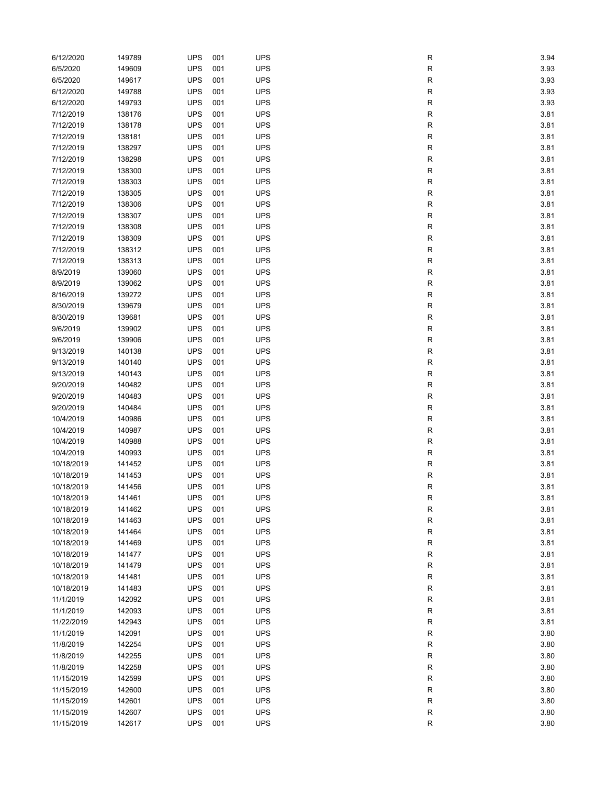| 6/12/2020  | 149789 | <b>UPS</b> | 001        | <b>UPS</b> | R         | 3.94 |
|------------|--------|------------|------------|------------|-----------|------|
| 6/5/2020   | 149609 | <b>UPS</b> | 001        | <b>UPS</b> | R         | 3.93 |
| 6/5/2020   | 149617 | <b>UPS</b> | 001        | <b>UPS</b> | R         | 3.93 |
| 6/12/2020  | 149788 | <b>UPS</b> | 001        | <b>UPS</b> | R         | 3.93 |
| 6/12/2020  | 149793 | <b>UPS</b> | 001        | <b>UPS</b> | ${\sf R}$ | 3.93 |
| 7/12/2019  | 138176 | <b>UPS</b> | 001        | <b>UPS</b> | R         | 3.81 |
| 7/12/2019  | 138178 | <b>UPS</b> | 001        | <b>UPS</b> | R         | 3.81 |
| 7/12/2019  | 138181 | <b>UPS</b> | 001        | <b>UPS</b> | R         | 3.81 |
| 7/12/2019  | 138297 | <b>UPS</b> | 001        | <b>UPS</b> | R         | 3.81 |
| 7/12/2019  | 138298 | <b>UPS</b> | 001        | <b>UPS</b> | R         | 3.81 |
| 7/12/2019  | 138300 | <b>UPS</b> | 001        | <b>UPS</b> | R         | 3.81 |
|            |        | <b>UPS</b> |            | <b>UPS</b> |           |      |
| 7/12/2019  | 138303 | <b>UPS</b> | 001<br>001 | <b>UPS</b> | R         | 3.81 |
| 7/12/2019  | 138305 | <b>UPS</b> |            | <b>UPS</b> | R         | 3.81 |
| 7/12/2019  | 138306 |            | 001        |            | R         | 3.81 |
| 7/12/2019  | 138307 | <b>UPS</b> | 001        | <b>UPS</b> | ${\sf R}$ | 3.81 |
| 7/12/2019  | 138308 | <b>UPS</b> | 001        | <b>UPS</b> | R         | 3.81 |
| 7/12/2019  | 138309 | <b>UPS</b> | 001        | <b>UPS</b> | R         | 3.81 |
| 7/12/2019  | 138312 | <b>UPS</b> | 001        | <b>UPS</b> | R         | 3.81 |
| 7/12/2019  | 138313 | <b>UPS</b> | 001        | <b>UPS</b> | R         | 3.81 |
| 8/9/2019   | 139060 | <b>UPS</b> | 001        | <b>UPS</b> | R         | 3.81 |
| 8/9/2019   | 139062 | <b>UPS</b> | 001        | <b>UPS</b> | R         | 3.81 |
| 8/16/2019  | 139272 | <b>UPS</b> | 001        | <b>UPS</b> | R         | 3.81 |
| 8/30/2019  | 139679 | <b>UPS</b> | 001        | <b>UPS</b> | R         | 3.81 |
| 8/30/2019  | 139681 | <b>UPS</b> | 001        | <b>UPS</b> | R         | 3.81 |
| 9/6/2019   | 139902 | <b>UPS</b> | 001        | <b>UPS</b> | ${\sf R}$ | 3.81 |
| 9/6/2019   | 139906 | <b>UPS</b> | 001        | <b>UPS</b> | R         | 3.81 |
| 9/13/2019  | 140138 | <b>UPS</b> | 001        | <b>UPS</b> | R         | 3.81 |
| 9/13/2019  | 140140 | <b>UPS</b> | 001        | <b>UPS</b> | R         | 3.81 |
| 9/13/2019  | 140143 | <b>UPS</b> | 001        | <b>UPS</b> | R         | 3.81 |
| 9/20/2019  | 140482 | <b>UPS</b> | 001        | <b>UPS</b> | R         | 3.81 |
| 9/20/2019  | 140483 | <b>UPS</b> | 001        | <b>UPS</b> | R         | 3.81 |
| 9/20/2019  | 140484 | <b>UPS</b> | 001        | <b>UPS</b> | R         | 3.81 |
| 10/4/2019  | 140986 | <b>UPS</b> | 001        | <b>UPS</b> | R         | 3.81 |
| 10/4/2019  | 140987 | <b>UPS</b> | 001        | <b>UPS</b> | R         | 3.81 |
| 10/4/2019  | 140988 | <b>UPS</b> | 001        | <b>UPS</b> | R         | 3.81 |
| 10/4/2019  | 140993 | <b>UPS</b> | 001        | <b>UPS</b> | R         | 3.81 |
| 10/18/2019 | 141452 | <b>UPS</b> | 001        | <b>UPS</b> | R         | 3.81 |
| 10/18/2019 | 141453 | <b>UPS</b> | 001        | <b>UPS</b> | R         | 3.81 |
| 10/18/2019 | 141456 | <b>UPS</b> | 001        | <b>UPS</b> | R         | 3.81 |
| 10/18/2019 | 141461 | <b>UPS</b> | 001        | <b>UPS</b> |           | 3.81 |
|            |        |            |            | <b>UPS</b> | R         |      |
| 10/18/2019 | 141462 | <b>UPS</b> | 001        |            | R         | 3.81 |
| 10/18/2019 | 141463 | <b>UPS</b> | 001        | <b>UPS</b> | R         | 3.81 |
| 10/18/2019 | 141464 | <b>UPS</b> | 001        | <b>UPS</b> | ${\sf R}$ | 3.81 |
| 10/18/2019 | 141469 | <b>UPS</b> | 001        | <b>UPS</b> | ${\sf R}$ | 3.81 |
| 10/18/2019 | 141477 | <b>UPS</b> | 001        | <b>UPS</b> | ${\sf R}$ | 3.81 |
| 10/18/2019 | 141479 | <b>UPS</b> | 001        | <b>UPS</b> | R         | 3.81 |
| 10/18/2019 | 141481 | <b>UPS</b> | 001        | <b>UPS</b> | ${\sf R}$ | 3.81 |
| 10/18/2019 | 141483 | <b>UPS</b> | 001        | <b>UPS</b> | ${\sf R}$ | 3.81 |
| 11/1/2019  | 142092 | <b>UPS</b> | 001        | <b>UPS</b> | ${\sf R}$ | 3.81 |
| 11/1/2019  | 142093 | <b>UPS</b> | 001        | <b>UPS</b> | ${\sf R}$ | 3.81 |
| 11/22/2019 | 142943 | <b>UPS</b> | 001        | <b>UPS</b> | R         | 3.81 |
| 11/1/2019  | 142091 | <b>UPS</b> | 001        | <b>UPS</b> | ${\sf R}$ | 3.80 |
| 11/8/2019  | 142254 | <b>UPS</b> | 001        | <b>UPS</b> | ${\sf R}$ | 3.80 |
| 11/8/2019  | 142255 | <b>UPS</b> | 001        | <b>UPS</b> | ${\sf R}$ | 3.80 |
| 11/8/2019  | 142258 | <b>UPS</b> | 001        | <b>UPS</b> | ${\sf R}$ | 3.80 |
| 11/15/2019 | 142599 | <b>UPS</b> | 001        | <b>UPS</b> | R         | 3.80 |
| 11/15/2019 | 142600 | <b>UPS</b> | 001        | <b>UPS</b> | ${\sf R}$ | 3.80 |
| 11/15/2019 | 142601 | <b>UPS</b> | 001        | <b>UPS</b> | R         | 3.80 |
| 11/15/2019 | 142607 | <b>UPS</b> | 001        | <b>UPS</b> | ${\sf R}$ | 3.80 |
| 11/15/2019 | 142617 | <b>UPS</b> | 001        | <b>UPS</b> | ${\sf R}$ | 3.80 |
|            |        |            |            |            |           |      |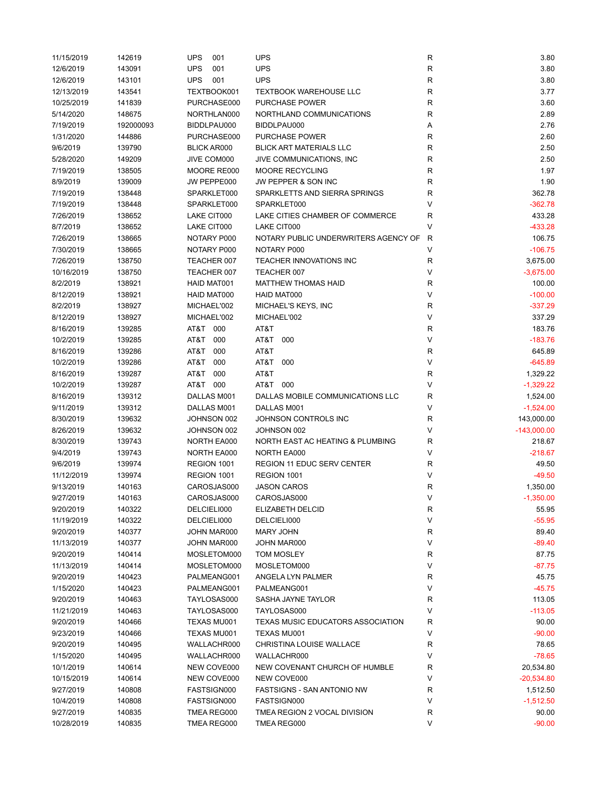| 11/15/2019 | 142619    | <b>UPS</b><br>001  | <b>UPS</b>                           | R           | 3.80          |
|------------|-----------|--------------------|--------------------------------------|-------------|---------------|
| 12/6/2019  | 143091    | <b>UPS</b><br>001  | <b>UPS</b>                           | $\mathsf R$ | 3.80          |
| 12/6/2019  | 143101    | <b>UPS</b><br>001  | <b>UPS</b>                           | R           | 3.80          |
| 12/13/2019 | 143541    | TEXTBOOK001        | <b>TEXTBOOK WAREHOUSE LLC</b>        | R           | 3.77          |
| 10/25/2019 | 141839    | PURCHASE000        | PURCHASE POWER                       | R           | 3.60          |
| 5/14/2020  | 148675    | NORTHLAN000        | NORTHLAND COMMUNICATIONS             | R           | 2.89          |
| 7/19/2019  | 192000093 | BIDDLPAU000        | BIDDLPAU000                          | Α           | 2.76          |
| 1/31/2020  | 144886    | PURCHASE000        | PURCHASE POWER                       | R           | 2.60          |
| 9/6/2019   | 139790    | <b>BLICK AR000</b> | <b>BLICK ART MATERIALS LLC</b>       | $\mathsf R$ | 2.50          |
| 5/28/2020  | 149209    | JIVE COM000        | JIVE COMMUNICATIONS, INC             | R           | 2.50          |
| 7/19/2019  | 138505    | MOORE RE000        | MOORE RECYCLING                      | R           | 1.97          |
| 8/9/2019   | 139009    | JW PEPPE000        | JW PEPPER & SON INC                  | $\mathsf R$ | 1.90          |
| 7/19/2019  | 138448    | SPARKLET000        | SPARKLETTS AND SIERRA SPRINGS        | R           | 362.78        |
| 7/19/2019  | 138448    | SPARKLET000        | SPARKLET000                          | V           | $-362.78$     |
|            |           |                    |                                      |             |               |
| 7/26/2019  | 138652    | LAKE CIT000        | LAKE CITIES CHAMBER OF COMMERCE      | R           | 433.28        |
| 8/7/2019   | 138652    | LAKE CIT000        | LAKE CIT000                          | V           | $-433.28$     |
| 7/26/2019  | 138665    | NOTARY P000        | NOTARY PUBLIC UNDERWRITERS AGENCY OF | R           | 106.75        |
| 7/30/2019  | 138665    | NOTARY P000        | NOTARY P000                          | V           | $-106.75$     |
| 7/26/2019  | 138750    | TEACHER 007        | TEACHER INNOVATIONS INC              | $\mathsf R$ | 3,675.00      |
| 10/16/2019 | 138750    | TEACHER 007        | TEACHER 007                          | V           | $-3,675.00$   |
| 8/2/2019   | 138921    | HAID MAT001        | <b>MATTHEW THOMAS HAID</b>           | R           | 100.00        |
| 8/12/2019  | 138921    | HAID MAT000        | HAID MAT000                          | V           | $-100.00$     |
| 8/2/2019   | 138927    | MICHAEL'002        | MICHAEL'S KEYS, INC                  | R           | $-337.29$     |
| 8/12/2019  | 138927    | MICHAEL'002        | MICHAEL'002                          | V           | 337.29        |
| 8/16/2019  | 139285    | AT&T 000           | AT&T                                 | R           | 183.76        |
| 10/2/2019  | 139285    | AT&T<br>000        | AT&T 000                             | V           | $-183.76$     |
| 8/16/2019  | 139286    | AT&T<br>000        | AT&T                                 | R           | 645.89        |
| 10/2/2019  | 139286    | AT&T<br>000        | AT&T<br>000                          | V           | $-645.89$     |
| 8/16/2019  | 139287    | AT&T<br>000        | AT&T                                 | $\mathsf R$ | 1,329.22      |
| 10/2/2019  | 139287    | AT&T 000           | AT&T 000                             | V           | $-1,329.22$   |
| 8/16/2019  | 139312    | DALLAS M001        | DALLAS MOBILE COMMUNICATIONS LLC     | R           | 1,524.00      |
| 9/11/2019  | 139312    | DALLAS M001        | DALLAS M001                          | V           | $-1,524.00$   |
| 8/30/2019  | 139632    | JOHNSON 002        | JOHNSON CONTROLS INC                 | R           | 143,000.00    |
| 8/26/2019  | 139632    | JOHNSON 002        | JOHNSON 002                          | V           | $-143,000.00$ |
| 8/30/2019  | 139743    | NORTH EA000        | NORTH EAST AC HEATING & PLUMBING     | R           | 218.67        |
|            |           |                    | <b>NORTH EA000</b>                   | V           | $-218.67$     |
| 9/4/2019   | 139743    | NORTH EA000        |                                      |             |               |
| 9/6/2019   | 139974    | REGION 1001        | <b>REGION 11 EDUC SERV CENTER</b>    | R           | 49.50         |
| 11/12/2019 | 139974    | REGION 1001        | REGION 1001                          | V           | $-49.50$      |
| 9/13/2019  | 140163    | CAROSJAS000        | <b>JASON CAROS</b>                   | R           | 1,350.00      |
| 9/27/2019  | 140163    | CAROSJAS000        | CAROSJAS000                          | V           | $-1,350.00$   |
| 9/20/2019  | 140322    | DELCIELI000        | ELIZABETH DELCID                     | ${\sf R}$   | 55.95         |
| 11/19/2019 | 140322    | DELCIELI000        | DELCIELI000                          | V           | $-55.95$      |
| 9/20/2019  | 140377    | JOHN MAR000        | MARY JOHN                            | R           | 89.40         |
| 11/13/2019 | 140377    | JOHN MAR000        | JOHN MAR000                          | V           | $-89.40$      |
| 9/20/2019  | 140414    | MOSLETOM000        | TOM MOSLEY                           | R           | 87.75         |
| 11/13/2019 | 140414    | MOSLETOM000        | MOSLETOM000                          | V           | $-87.75$      |
| 9/20/2019  | 140423    | PALMEANG001        | ANGELA LYN PALMER                    | R           | 45.75         |
| 1/15/2020  | 140423    | PALMEANG001        | PALMEANG001                          | V           | $-45.75$      |
| 9/20/2019  | 140463    | TAYLOSAS000        | SASHA JAYNE TAYLOR                   | R           | 113.05        |
| 11/21/2019 | 140463    | TAYLOSAS000        | TAYLOSAS000                          | V           | $-113.05$     |
| 9/20/2019  | 140466    | TEXAS MU001        | TEXAS MUSIC EDUCATORS ASSOCIATION    | R           | 90.00         |
| 9/23/2019  | 140466    | TEXAS MU001        | TEXAS MU001                          | V           | $-90.00$      |
| 9/20/2019  | 140495    | WALLACHR000        | CHRISTINA LOUISE WALLACE             | R           | 78.65         |
| 1/15/2020  | 140495    | WALLACHR000        | WALLACHR000                          | V           | $-78.65$      |
| 10/1/2019  | 140614    | NEW COVE000        | NEW COVENANT CHURCH OF HUMBLE        | R           | 20,534.80     |
| 10/15/2019 | 140614    | NEW COVE000        | NEW COVE000                          | V           | $-20,534.80$  |
| 9/27/2019  | 140808    | FASTSIGN000        | <b>FASTSIGNS - SAN ANTONIO NW</b>    | R           | 1,512.50      |
| 10/4/2019  | 140808    | FASTSIGN000        | FASTSIGN000                          | V           | $-1,512.50$   |
|            |           |                    | TMEA REGION 2 VOCAL DIVISION         |             |               |
| 9/27/2019  | 140835    | TMEA REG000        |                                      | R           | 90.00         |
| 10/28/2019 | 140835    | TMEA REG000        | TMEA REG000                          | V           | $-90.00$      |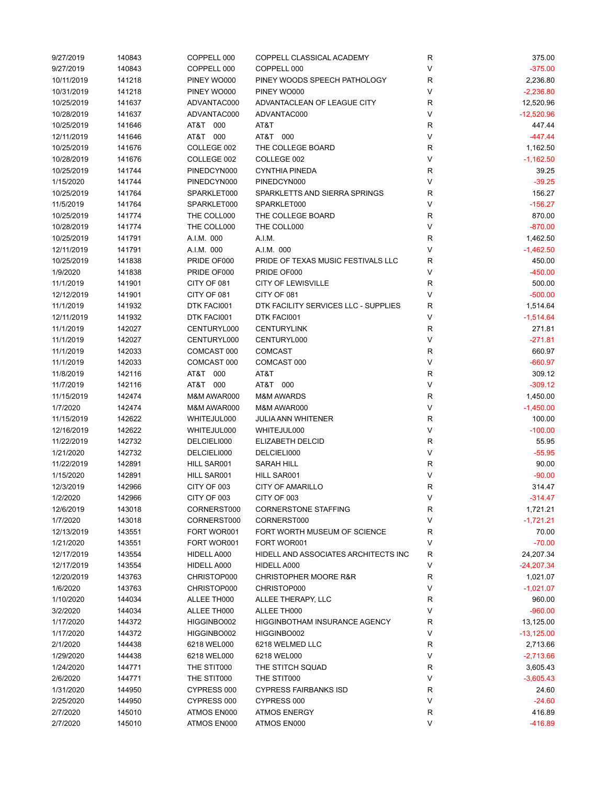| 9/27/2019  | 140843 | COPPELL 000 | COPPELL CLASSICAL ACADEMY            | R            | 375.00       |
|------------|--------|-------------|--------------------------------------|--------------|--------------|
| 9/27/2019  | 140843 | COPPELL 000 | COPPELL 000                          | V            | $-375.00$    |
| 10/11/2019 | 141218 | PINEY WO000 | PINEY WOODS SPEECH PATHOLOGY         | R            | 2,236.80     |
| 10/31/2019 | 141218 | PINEY WO000 | PINEY WO000                          | V            | $-2,236.80$  |
| 10/25/2019 | 141637 | ADVANTAC000 | ADVANTACLEAN OF LEAGUE CITY          | R            | 12,520.96    |
| 10/28/2019 | 141637 | ADVANTAC000 | ADVANTAC000                          | V            | $-12,520.96$ |
| 10/25/2019 | 141646 | AT&T 000    | AT&T                                 | R            | 447.44       |
|            |        |             |                                      | V            | $-447.44$    |
| 12/11/2019 | 141646 | AT&T 000    | AT&T 000                             |              |              |
| 10/25/2019 | 141676 | COLLEGE 002 | THE COLLEGE BOARD                    | R            | 1,162.50     |
| 10/28/2019 | 141676 | COLLEGE 002 | COLLEGE 002                          | V            | $-1,162.50$  |
| 10/25/2019 | 141744 | PINEDCYN000 | <b>CYNTHIA PINEDA</b>                | $\mathsf R$  | 39.25        |
| 1/15/2020  | 141744 | PINEDCYN000 | PINEDCYN000                          | V            | $-39.25$     |
| 10/25/2019 | 141764 | SPARKLET000 | SPARKLETTS AND SIERRA SPRINGS        | R            | 156.27       |
| 11/5/2019  | 141764 | SPARKLET000 | SPARKLET000                          | V            | $-156.27$    |
| 10/25/2019 | 141774 | THE COLL000 | THE COLLEGE BOARD                    | R            | 870.00       |
| 10/28/2019 | 141774 | THE COLL000 | THE COLL000                          | V            | $-870.00$    |
| 10/25/2019 | 141791 | A.I.M. 000  | A.I.M.                               | R            | 1,462.50     |
| 12/11/2019 | 141791 | A.I.M. 000  | A.I.M. 000                           | V            | $-1,462.50$  |
| 10/25/2019 | 141838 | PRIDE OF000 | PRIDE OF TEXAS MUSIC FESTIVALS LLC   | R            | 450.00       |
| 1/9/2020   | 141838 | PRIDE OF000 | PRIDE OF000                          | V            | $-450.00$    |
| 11/1/2019  | 141901 | CITY OF 081 | <b>CITY OF LEWISVILLE</b>            | R            | 500.00       |
|            |        |             |                                      | V            |              |
| 12/12/2019 | 141901 | CITY OF 081 | CITY OF 081                          |              | $-500.00$    |
| 11/1/2019  | 141932 | DTK FACI001 | DTK FACILITY SERVICES LLC - SUPPLIES | R            | 1,514.64     |
| 12/11/2019 | 141932 | DTK FACI001 | DTK FACI001                          | V            | $-1,514.64$  |
| 11/1/2019  | 142027 | CENTURYL000 | <b>CENTURYLINK</b>                   | R            | 271.81       |
| 11/1/2019  | 142027 | CENTURYL000 | CENTURYL000                          | V            | $-271.81$    |
| 11/1/2019  | 142033 | COMCAST 000 | <b>COMCAST</b>                       | R            | 660.97       |
| 11/1/2019  | 142033 | COMCAST 000 | COMCAST 000                          | V            | $-660.97$    |
| 11/8/2019  | 142116 | AT&T 000    | AT&T                                 | R            | 309.12       |
| 11/7/2019  | 142116 | AT&T 000    | AT&T 000                             | V            | $-309.12$    |
| 11/15/2019 | 142474 | M&M AWAR000 | <b>M&amp;M AWARDS</b>                | $\mathsf R$  | 1,450.00     |
| 1/7/2020   | 142474 | M&M AWAR000 | M&M AWAR000                          | V            | $-1,450.00$  |
| 11/15/2019 | 142622 | WHITEJUL000 | <b>JULIA ANN WHITENER</b>            | R            | 100.00       |
| 12/16/2019 | 142622 | WHITEJUL000 | WHITEJUL000                          | V            | $-100.00$    |
|            |        |             |                                      |              |              |
| 11/22/2019 | 142732 | DELCIELI000 | ELIZABETH DELCID                     | R            | 55.95        |
| 1/21/2020  | 142732 | DELCIELI000 | DELCIELI000                          | V            | $-55.95$     |
| 11/22/2019 | 142891 | HILL SAR001 | SARAH HILL                           | R            | 90.00        |
| 1/15/2020  | 142891 | HILL SAR001 | HILL SAR001                          | $\mathsf{V}$ | $-90.00$     |
| 12/3/2019  | 142966 | CITY OF 003 | <b>CITY OF AMARILLO</b>              | R            | 314.47       |
| 1/2/2020   | 142966 | CITY OF 003 | CITY OF 003                          |              | $-314.47$    |
| 12/6/2019  | 143018 | CORNERST000 | <b>CORNERSTONE STAFFING</b>          | R            | 1,721.21     |
| 1/7/2020   | 143018 | CORNERST000 | CORNERST000                          | V            | $-1,721.21$  |
| 12/13/2019 | 143551 | FORT WOR001 | FORT WORTH MUSEUM OF SCIENCE         | R            | 70.00        |
| 1/21/2020  | 143551 | FORT WOR001 | FORT WOR001                          | V            | $-70.00$     |
| 12/17/2019 | 143554 | HIDELL A000 | HIDELL AND ASSOCIATES ARCHITECTS INC | R            | 24,207.34    |
| 12/17/2019 | 143554 | HIDELL A000 | HIDELL A000                          | V            | $-24,207.34$ |
| 12/20/2019 | 143763 | CHRISTOP000 | <b>CHRISTOPHER MOORE R&amp;R</b>     | R            | 1,021.07     |
| 1/6/2020   | 143763 | CHRISTOP000 | CHRISTOP000                          | V            | $-1,021.07$  |
| 1/10/2020  | 144034 | ALLEE TH000 | ALLEE THERAPY, LLC                   | R            | 960.00       |
|            |        |             | ALLEE TH000                          | V            |              |
| 3/2/2020   | 144034 | ALLEE TH000 |                                      |              | $-960.00$    |
| 1/17/2020  | 144372 | HIGGINBO002 | <b>HIGGINBOTHAM INSURANCE AGENCY</b> | R            | 13,125.00    |
| 1/17/2020  | 144372 | HIGGINBO002 | HIGGINBO002                          | V            | $-13,125.00$ |
| 2/1/2020   | 144438 | 6218 WEL000 | 6218 WELMED LLC                      | R            | 2,713.66     |
| 1/29/2020  | 144438 | 6218 WEL000 | 6218 WEL000                          | V            | $-2,713.66$  |
| 1/24/2020  | 144771 | THE STIT000 | THE STITCH SQUAD                     | R            | 3,605.43     |
| 2/6/2020   | 144771 | THE STIT000 | THE STIT000                          | V            | $-3,605.43$  |
| 1/31/2020  | 144950 | CYPRESS 000 | <b>CYPRESS FAIRBANKS ISD</b>         | R            | 24.60        |
| 2/25/2020  | 144950 | CYPRESS 000 | CYPRESS 000                          | V            | $-24.60$     |
| 2/7/2020   | 145010 | ATMOS EN000 | <b>ATMOS ENERGY</b>                  | R            | 416.89       |
| 2/7/2020   | 145010 | ATMOS EN000 | ATMOS EN000                          | V            | $-416.89$    |
|            |        |             |                                      |              |              |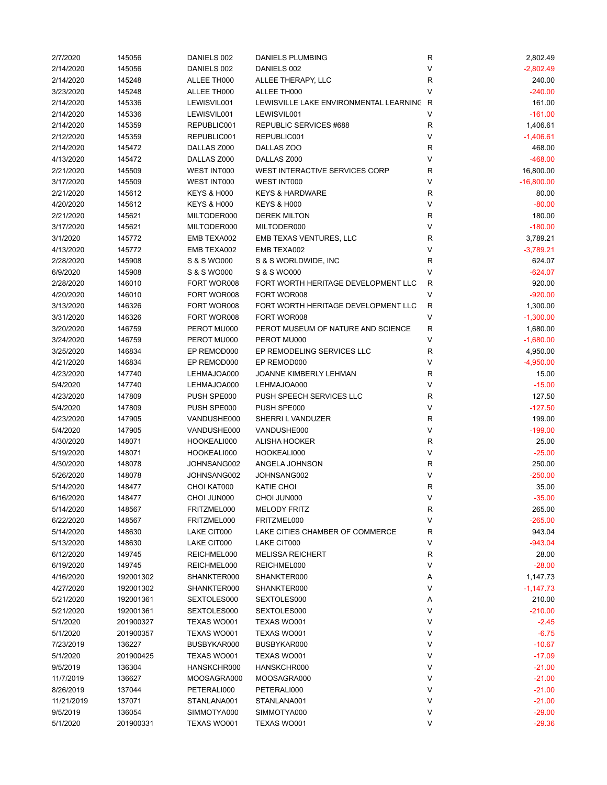| 2/7/2020   | 145056    | DANIELS 002            | <b>DANIELS PLUMBING</b>                  | R            | 2,802.49     |
|------------|-----------|------------------------|------------------------------------------|--------------|--------------|
| 2/14/2020  | 145056    | DANIELS 002            | DANIELS 002                              | V            | $-2,802.49$  |
| 2/14/2020  | 145248    | ALLEE TH000            | ALLEE THERAPY, LLC                       | R            | 240.00       |
| 3/23/2020  | 145248    | ALLEE TH000            | ALLEE TH000                              | V            | $-240.00$    |
| 2/14/2020  | 145336    | LEWISVIL001            | LEWISVILLE LAKE ENVIRONMENTAL LEARNING R |              | 161.00       |
| 2/14/2020  | 145336    | LEWISVIL001            | LEWISVIL001                              | V            | $-161.00$    |
| 2/14/2020  | 145359    | REPUBLIC001            | REPUBLIC SERVICES #688                   | R            | 1,406.61     |
| 2/12/2020  | 145359    | REPUBLIC001            | REPUBLIC001                              | V            | $-1,406.61$  |
| 2/14/2020  | 145472    | DALLAS Z000            | DALLAS ZOO                               | R            | 468.00       |
|            |           |                        |                                          | V            | $-468.00$    |
| 4/13/2020  | 145472    | DALLAS Z000            | DALLAS Z000                              |              |              |
| 2/21/2020  | 145509    | WEST INT000            | WEST INTERACTIVE SERVICES CORP           | R            | 16,800.00    |
| 3/17/2020  | 145509    | <b>WEST INT000</b>     | WEST INT000                              | V            | $-16,800.00$ |
| 2/21/2020  | 145612    | <b>KEYS &amp; H000</b> | <b>KEYS &amp; HARDWARE</b>               | R            | 80.00        |
| 4/20/2020  | 145612    | <b>KEYS &amp; H000</b> | <b>KEYS &amp; H000</b>                   | V            | $-80.00$     |
| 2/21/2020  | 145621    | MILTODER000            | <b>DEREK MILTON</b>                      | R            | 180.00       |
| 3/17/2020  | 145621    | MILTODER000            | MILTODER000                              | $\vee$       | $-180.00$    |
| 3/1/2020   | 145772    | EMB TEXA002            | EMB TEXAS VENTURES, LLC                  | R            | 3,789.21     |
| 4/13/2020  | 145772    | EMB TEXA002            | EMB TEXA002                              | V            | $-3,789.21$  |
| 2/28/2020  | 145908    | S & S WO000            | S & S WORLDWIDE, INC                     | R            | 624.07       |
| 6/9/2020   | 145908    | S & S WO000            | S & S WO000                              | V            | $-624.07$    |
| 2/28/2020  | 146010    | FORT WOR008            | FORT WORTH HERITAGE DEVELOPMENT LLC      | $\mathsf{R}$ | 920.00       |
| 4/20/2020  | 146010    | FORT WOR008            | FORT WOR008                              | V            | $-920.00$    |
| 3/13/2020  | 146326    | FORT WOR008            | FORT WORTH HERITAGE DEVELOPMENT LLC      | $\mathsf{R}$ | 1,300.00     |
| 3/31/2020  | 146326    | FORT WOR008            | FORT WOR008                              | V            | $-1,300.00$  |
| 3/20/2020  | 146759    | PEROT MU000            | PEROT MUSEUM OF NATURE AND SCIENCE       | R            | 1,680.00     |
| 3/24/2020  | 146759    | PEROT MU000            | PEROT MU000                              | V            | $-1,680.00$  |
|            |           |                        |                                          |              |              |
| 3/25/2020  | 146834    | EP REMOD000            | EP REMODELING SERVICES LLC               | R            | 4,950.00     |
| 4/21/2020  | 146834    | EP REMOD000            | EP REMOD000                              | V            | $-4,950.00$  |
| 4/23/2020  | 147740    | LEHMAJOA000            | JOANNE KIMBERLY LEHMAN                   | R            | 15.00        |
| 5/4/2020   | 147740    | LEHMAJOA000            | LEHMAJOA000                              | V            | $-15.00$     |
| 4/23/2020  | 147809    | PUSH SPE000            | PUSH SPEECH SERVICES LLC                 | R            | 127.50       |
| 5/4/2020   | 147809    | PUSH SPE000            | PUSH SPE000                              | V            | $-127.50$    |
| 4/23/2020  | 147905    | VANDUSHE000            | SHERRI L VANDUZER                        | R            | 199.00       |
| 5/4/2020   | 147905    | VANDUSHE000            | VANDUSHE000                              | V            | $-199.00$    |
| 4/30/2020  | 148071    | HOOKEALI000            | ALISHA HOOKER                            | R            | 25.00        |
| 5/19/2020  | 148071    | HOOKEALI000            | HOOKEALI000                              | V            | $-25.00$     |
| 4/30/2020  | 148078    | JOHNSANG002            | ANGELA JOHNSON                           | R            | 250.00       |
| 5/26/2020  | 148078    | JOHNSANG002            | JOHNSANG002                              | V            | $-250.00$    |
| 5/14/2020  | 148477    | CHOI KAT000            | KATIE CHOI                               | R            | 35.00        |
| 6/16/2020  | 148477    | CHOI JUN000            | CHOI JUN000                              | ٧            | $-35.00$     |
| 5/14/2020  | 148567    | FRITZMEL000            | <b>MELODY FRITZ</b>                      | R            | 265.00       |
| 6/22/2020  | 148567    | FRITZMEL000            | FRITZMEL000                              | V            | $-265.00$    |
| 5/14/2020  | 148630    | LAKE CIT000            | LAKE CITIES CHAMBER OF COMMERCE          | R            | 943.04       |
| 5/13/2020  | 148630    | LAKE CIT000            | LAKE CIT000                              | V            | $-943.04$    |
| 6/12/2020  | 149745    | REICHMEL000            | <b>MELISSA REICHERT</b>                  | R            | 28.00        |
|            |           |                        |                                          |              |              |
| 6/19/2020  | 149745    | REICHMEL000            | REICHMEL000                              | V            | $-28.00$     |
| 4/16/2020  | 192001302 | SHANKTER000            | SHANKTER000                              | Α            | 1,147.73     |
| 4/27/2020  | 192001302 | SHANKTER000            | SHANKTER000                              | V            | $-1,147.73$  |
| 5/21/2020  | 192001361 | SEXTOLES000            | SEXTOLES000                              | Α            | 210.00       |
| 5/21/2020  | 192001361 | SEXTOLES000            | SEXTOLES000                              | V            | $-210.00$    |
| 5/1/2020   | 201900327 | TEXAS WO001            | TEXAS WO001                              | V            | $-2.45$      |
| 5/1/2020   | 201900357 | TEXAS WO001            | TEXAS WO001                              | V            | $-6.75$      |
| 7/23/2019  | 136227    | BUSBYKAR000            | BUSBYKAR000                              | V            | $-10.67$     |
| 5/1/2020   | 201900425 | TEXAS WO001            | TEXAS WO001                              | V            | $-17.09$     |
| 9/5/2019   | 136304    | HANSKCHR000            | HANSKCHR000                              | V            | $-21.00$     |
| 11/7/2019  | 136627    | MOOSAGRA000            | MOOSAGRA000                              | V            | $-21.00$     |
| 8/26/2019  | 137044    | PETERALI000            | PETERALI000                              | V            | $-21.00$     |
| 11/21/2019 | 137071    | STANLANA001            | STANLANA001                              | V            | $-21.00$     |
| 9/5/2019   | 136054    | SIMMOTYA000            | SIMMOTYA000                              | V            | $-29.00$     |
| 5/1/2020   | 201900331 | TEXAS WO001            | TEXAS WO001                              | V            | $-29.36$     |
|            |           |                        |                                          |              |              |